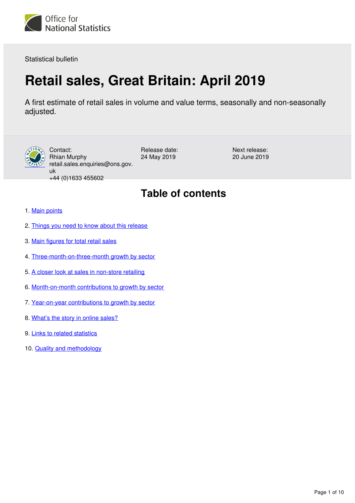<span id="page-0-0"></span>

Statistical bulletin

# **Retail sales, Great Britain: April 2019**

A first estimate of retail sales in volume and value terms, seasonally and non-seasonally adjusted.



Contact: Rhian Murphy retail.sales.enquiries@ons.gov. uk +44 (0)1633 455602

Release date: 24 May 2019

Next release: 20 June 2019

## **Table of contents**

- 1. [Main points](#page-1-0)
- 2. [Things you need to know about this release](#page-1-1)
- 3. [Main figures for total retail sales](#page-2-0)
- 4. [Three-month-on-three-month growth by sector](#page-4-0)
- 5. [A closer look at sales in non-store retailing](#page-4-1)
- 6. [Month-on-month contributions to growth by sector](#page-6-0)
- 7. [Year-on-year contributions to growth by sector](#page-7-0)
- 8. [What's the story in online sales?](#page-8-0)
- 9. [Links to related statistics](#page-8-1)
- 10. [Quality and methodology](#page-9-0)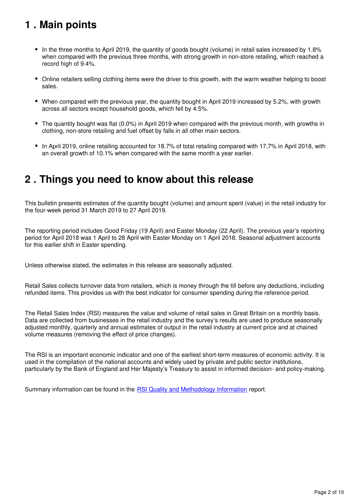## <span id="page-1-0"></span>**1 . Main points**

- In the three months to April 2019, the quantity of goods bought (volume) in retail sales increased by 1.8% when compared with the previous three months, with strong growth in non-store retailing, which reached a record high of 9.4%.
- Online retailers selling clothing items were the driver to this growth, with the warm weather helping to boost sales.
- When compared with the previous year, the quantity bought in April 2019 increased by 5.2%, with growth across all sectors except household goods, which fell by 4.5%.
- The quantity bought was flat (0.0%) in April 2019 when compared with the previous month, with growths in clothing, non-store retailing and fuel offset by falls in all other main sectors.
- In April 2019, online retailing accounted for 18.7% of total retailing compared with 17.7% in April 2018, with an overall growth of 10.1% when compared with the same month a year earlier.

## <span id="page-1-1"></span>**2 . Things you need to know about this release**

This bulletin presents estimates of the quantity bought (volume) and amount spent (value) in the retail industry for the four-week period 31 March 2019 to 27 April 2019.

The reporting period includes Good Friday (19 April) and Easter Monday (22 April). The previous year's reporting period for April 2018 was 1 April to 28 April with Easter Monday on 1 April 2018. Seasonal adjustment accounts for this earlier shift in Easter spending.

Unless otherwise stated, the estimates in this release are seasonally adjusted.

Retail Sales collects turnover data from retailers, which is money through the till before any deductions, including refunded items. This provides us with the best indicator for consumer spending during the reference period.

The Retail Sales Index (RSI) measures the value and volume of retail sales in Great Britain on a monthly basis. Data are collected from businesses in the retail industry and the survey's results are used to produce seasonally adjusted monthly, quarterly and annual estimates of output in the retail industry at current price and at chained volume measures (removing the effect of price changes).

The RSI is an important economic indicator and one of the earliest short-term measures of economic activity. It is used in the compilation of the national accounts and widely used by private and public sector institutions, particularly by the Bank of England and Her Majesty's Treasury to assist in informed decision- and policy-making.

Summary information can be found in the [RSI Quality and Methodology Information](https://www.ons.gov.uk/businessindustryandtrade/retailindustry/qmis/retailsalesindexqmi) report.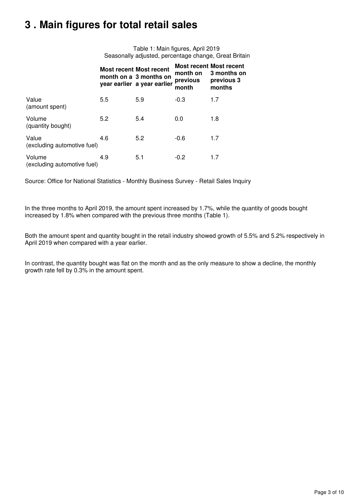## <span id="page-2-0"></span>**3 . Main figures for total retail sales**

Table 1: Main figures, April 2019 Seasonally adjusted, percentage change, Great Britain

|                                       |     | <b>Most recent Most recent</b><br>month on a 3 months on<br>year earlier a year earlier | month on<br>previous<br>month | <b>Most recent Most recent</b><br>3 months on<br>previous 3<br>months |
|---------------------------------------|-----|-----------------------------------------------------------------------------------------|-------------------------------|-----------------------------------------------------------------------|
| Value<br>(amount spent)               | 5.5 | 5.9                                                                                     | -0.3                          | 1.7                                                                   |
| Volume<br>(quantity bought)           | 5.2 | 5.4                                                                                     | 0.0                           | 1.8                                                                   |
| Value<br>(excluding automotive fuel)  | 4.6 | 5.2                                                                                     | -0.6                          | 1.7                                                                   |
| Volume<br>(excluding automotive fuel) | 4.9 | 5.1                                                                                     | $-0.2$                        | 1.7                                                                   |

Source: Office for National Statistics - Monthly Business Survey - Retail Sales Inquiry

In the three months to April 2019, the amount spent increased by 1.7%, while the quantity of goods bought increased by 1.8% when compared with the previous three months (Table 1).

Both the amount spent and quantity bought in the retail industry showed growth of 5.5% and 5.2% respectively in April 2019 when compared with a year earlier.

In contrast, the quantity bought was flat on the month and as the only measure to show a decline, the monthly growth rate fell by 0.3% in the amount spent.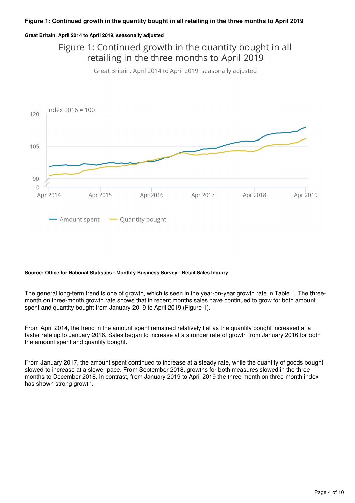### **Great Britain, April 2014 to April 2019, seasonally adjusted**

Figure 1: Continued growth in the quantity bought in all retailing in the three months to April 2019

Great Britain, April 2014 to April 2019, seasonally adjusted



#### **Source: Office for National Statistics - Monthly Business Survey - Retail Sales Inquiry**

The general long-term trend is one of growth, which is seen in the year-on-year growth rate in Table 1. The threemonth on three-month growth rate shows that in recent months sales have continued to grow for both amount spent and quantity bought from January 2019 to April 2019 (Figure 1).

From April 2014, the trend in the amount spent remained relatively flat as the quantity bought increased at a faster rate up to January 2016. Sales began to increase at a stronger rate of growth from January 2016 for both the amount spent and quantity bought.

From January 2017, the amount spent continued to increase at a steady rate, while the quantity of goods bought slowed to increase at a slower pace. From September 2018, growths for both measures slowed in the three months to December 2018. In contrast, from January 2019 to April 2019 the three-month on three-month index has shown strong growth.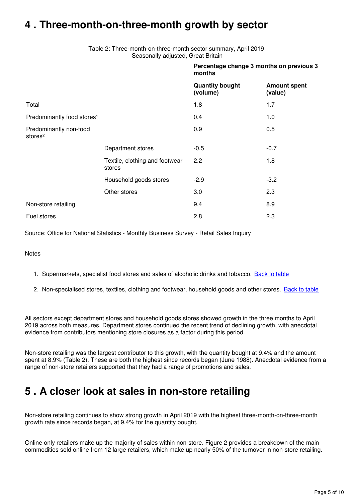## <span id="page-4-0"></span>**4 . Three-month-on-three-month growth by sector**

Table 2: Three-month-on-three-month sector summary, April 2019 Seasonally adjusted, Great Britain

|                                               |                                          | months                             | Percentage change 3 months on previous 3 |
|-----------------------------------------------|------------------------------------------|------------------------------------|------------------------------------------|
|                                               |                                          | <b>Quantity bought</b><br>(volume) | <b>Amount spent</b><br>(value)           |
| Total                                         |                                          | 1.8                                | 1.7                                      |
| Predominantly food stores <sup>1</sup>        |                                          | 0.4                                | 1.0                                      |
| Predominantly non-food<br>stores <sup>2</sup> |                                          | 0.9                                | 0.5                                      |
|                                               | Department stores                        | $-0.5$                             | $-0.7$                                   |
|                                               | Textile, clothing and footwear<br>stores | 2.2                                | 1.8                                      |
|                                               | Household goods stores                   | $-2.9$                             | $-3.2$                                   |
|                                               | Other stores                             | 3.0                                | 2.3                                      |
| Non-store retailing                           |                                          | 9.4                                | 8.9                                      |
| Fuel stores                                   |                                          | 2.8                                | 2.3                                      |

Source: Office for National Statistics - Monthly Business Survey - Retail Sales Inquiry

**Notes** 

- 1. Supermarkets, specialist food stores and sales of alcoholic drinks and tobacco. [Back to table](#page-0-0)
- 2. Non-specialised stores, textiles, clothing and footwear, household goods and other stores. <u>[Back to table](#page-0-0)</u>

All sectors except department stores and household goods stores showed growth in the three months to April 2019 across both measures. Department stores continued the recent trend of declining growth, with anecdotal evidence from contributors mentioning store closures as a factor during this period.

Non-store retailing was the largest contributor to this growth, with the quantity bought at 9.4% and the amount spent at 8.9% (Table 2). These are both the highest since records began (June 1988). Anecdotal evidence from a range of non-store retailers supported that they had a range of promotions and sales.

## <span id="page-4-1"></span>**5 . A closer look at sales in non-store retailing**

Non-store retailing continues to show strong growth in April 2019 with the highest three-month-on-three-month growth rate since records began, at 9.4% for the quantity bought.

Online only retailers make up the majority of sales within non-store. Figure 2 provides a breakdown of the main commodities sold online from 12 large retailers, which make up nearly 50% of the turnover in non-store retailing.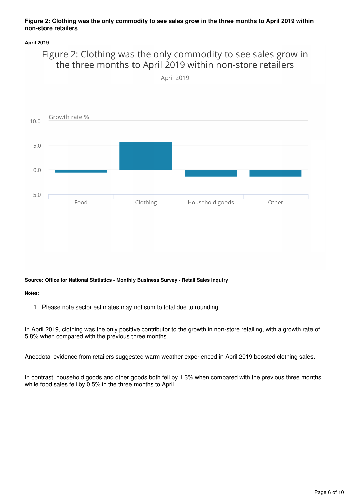### **Figure 2: Clothing was the only commodity to see sales grow in the three months to April 2019 within non-store retailers**

### **April 2019**

### Figure 2: Clothing was the only commodity to see sales grow in the three months to April 2019 within non-store retailers

April 2019



**Source: Office for National Statistics - Monthly Business Survey - Retail Sales Inquiry**

**Notes:**

1. Please note sector estimates may not sum to total due to rounding.

In April 2019, clothing was the only positive contributor to the growth in non-store retailing, with a growth rate of 5.8% when compared with the previous three months.

Anecdotal evidence from retailers suggested warm weather experienced in April 2019 boosted clothing sales.

In contrast, household goods and other goods both fell by 1.3% when compared with the previous three months while food sales fell by 0.5% in the three months to April.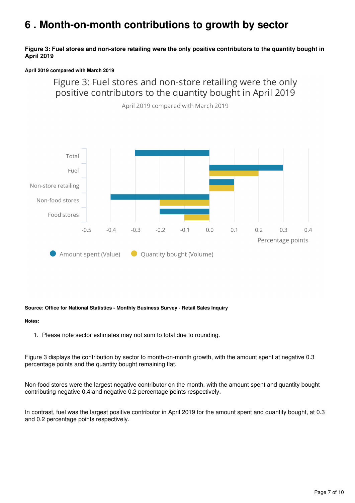## <span id="page-6-0"></span>**6 . Month-on-month contributions to growth by sector**

### **Figure 3: Fuel stores and non-store retailing were the only positive contributors to the quantity bought in April 2019**

### **April 2019 compared with March 2019**

### Figure 3: Fuel stores and non-store retailing were the only positive contributors to the quantity bought in April 2019





### **Source: Office for National Statistics - Monthly Business Survey - Retail Sales Inquiry**

#### **Notes:**

1. Please note sector estimates may not sum to total due to rounding.

Figure 3 displays the contribution by sector to month-on-month growth, with the amount spent at negative 0.3 percentage points and the quantity bought remaining flat.

Non-food stores were the largest negative contributor on the month, with the amount spent and quantity bought contributing negative 0.4 and negative 0.2 percentage points respectively.

In contrast, fuel was the largest positive contributor in April 2019 for the amount spent and quantity bought, at 0.3 and 0.2 percentage points respectively.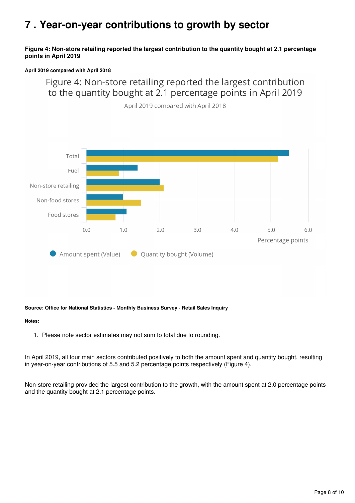## <span id="page-7-0"></span>**7 . Year-on-year contributions to growth by sector**

### **Figure 4: Non-store retailing reported the largest contribution to the quantity bought at 2.1 percentage points in April 2019**

### **April 2019 compared with April 2018**

Figure 4: Non-store retailing reported the largest contribution to the quantity bought at 2.1 percentage points in April 2019



April 2019 compared with April 2018

### **Source: Office for National Statistics - Monthly Business Survey - Retail Sales Inquiry**

### **Notes:**

1. Please note sector estimates may not sum to total due to rounding.

In April 2019, all four main sectors contributed positively to both the amount spent and quantity bought, resulting in year-on-year contributions of 5.5 and 5.2 percentage points respectively (Figure 4).

Non-store retailing provided the largest contribution to the growth, with the amount spent at 2.0 percentage points and the quantity bought at 2.1 percentage points.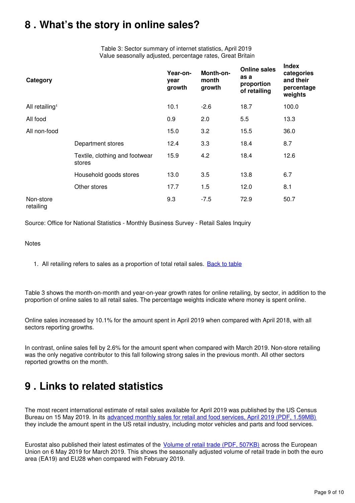## <span id="page-8-0"></span>**8 . What's the story in online sales?**

Table 3: Sector summary of internet statistics, April 2019 Value seasonally adjusted, percentage rates, Great Britain

| Category                   |                                          | Year-on-<br>year<br>growth | Month-on-<br>month<br>growth | <b>Online sales</b><br>as a<br>proportion<br>of retailing | <b>Index</b><br>categories<br>and their<br>percentage<br>weights |
|----------------------------|------------------------------------------|----------------------------|------------------------------|-----------------------------------------------------------|------------------------------------------------------------------|
| All retailing <sup>1</sup> |                                          | 10.1                       | $-2.6$                       | 18.7                                                      | 100.0                                                            |
| All food                   |                                          | 0.9                        | 2.0                          | 5.5                                                       | 13.3                                                             |
| All non-food               |                                          | 15.0                       | 3.2                          | 15.5                                                      | 36.0                                                             |
|                            | Department stores                        | 12.4                       | 3.3                          | 18.4                                                      | 8.7                                                              |
|                            | Textile, clothing and footwear<br>stores | 15.9                       | 4.2                          | 18.4                                                      | 12.6                                                             |
|                            | Household goods stores                   | 13.0                       | 3.5                          | 13.8                                                      | 6.7                                                              |
|                            | Other stores                             | 17.7                       | 1.5                          | 12.0                                                      | 8.1                                                              |
| Non-store<br>retailing     |                                          | 9.3                        | $-7.5$                       | 72.9                                                      | 50.7                                                             |

Source: Office for National Statistics - Monthly Business Survey - Retail Sales Inquiry

### **Notes**

1. All retailing refers to sales as a proportion of total retail sales. **[Back to table](#page-0-0)** 

Table 3 shows the month-on-month and year-on-year growth rates for online retailing, by sector, in addition to the proportion of online sales to all retail sales. The percentage weights indicate where money is spent online.

Online sales increased by 10.1% for the amount spent in April 2019 when compared with April 2018, with all sectors reporting growths.

In contrast, online sales fell by 2.6% for the amount spent when compared with March 2019. Non-store retailing was the only negative contributor to this fall following strong sales in the previous month. All other sectors reported growths on the month.

## <span id="page-8-1"></span>**9 . Links to related statistics**

The most recent international estimate of retail sales available for April 2019 was published by the US Census Bureau on 15 May 2019. In its [advanced monthly sales for retail and food services, April 2019 \(PDF, 1.59MB\)](https://www.census.gov/retail/marts/www/marts_current.pdf) they include the amount spent in the US retail industry, including motor vehicles and parts and food services.

Eurostat also published their latest estimates of the *[Volume of retail trade \(PDF, 507KB\)](https://ec.europa.eu/eurostat/documents/2995521/9765839/4-06052019-AP-EN.pdf/34cafafd-8c96-4d10-9257-1827243c5390)* across the European Union on 6 May 2019 for March 2019. This shows the seasonally adjusted volume of retail trade in both the euro area (EA19) and EU28 when compared with February 2019.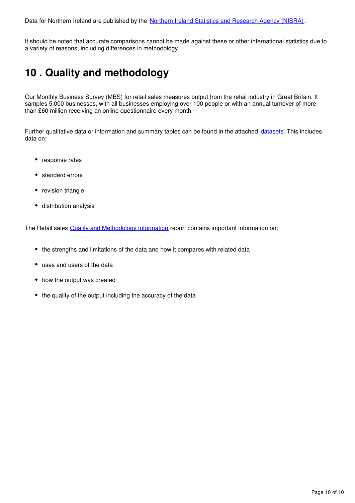It should be noted that accurate comparisons cannot be made against these or other international statistics due to a variety of reasons, including differences in methodology.

## <span id="page-9-0"></span>**10 . Quality and methodology**

Our Monthly Business Survey (MBS) for retail sales measures output from the retail industry in Great Britain. It samples 5,000 businesses, with all businesses employing over 100 people or with an annual turnover of more than £60 million receiving an online questionnaire every month.

Further qualitative data or information and summary tables can be found in the attached datasets[.](https://www.ons.gov.uk/businessindustryandtrade/retailindustry/bulletins/retailsales/april2019/relateddata) This includes data on:

- response rates
- standard errors
- revision triangle
- distribution analysis

The Retail sales **Quality and Methodology Information** report contains important information on:

- the strengths and limitations of the data and how it compares with related data
- uses and users of the data
- how the output was created
- the quality of the output including the accuracy of the data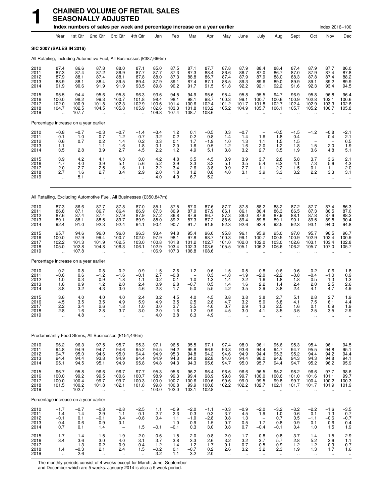|                                      |                                                                              |                                          | Index numbers of sales per week and percentage increase on a year earlier         |                                                               |                                                     |                                         |                                             |                                                                |                                             |                                                       |                                          |                                                               |                                                     |                                             |                                                                | Index 2016=100                                          |                                                        |
|--------------------------------------|------------------------------------------------------------------------------|------------------------------------------|-----------------------------------------------------------------------------------|---------------------------------------------------------------|-----------------------------------------------------|-----------------------------------------|---------------------------------------------|----------------------------------------------------------------|---------------------------------------------|-------------------------------------------------------|------------------------------------------|---------------------------------------------------------------|-----------------------------------------------------|---------------------------------------------|----------------------------------------------------------------|---------------------------------------------------------|--------------------------------------------------------|
|                                      | Year                                                                         | 1st Qtr                                  | 2nd Qtr                                                                           | 3rd Qtr                                                       | 4th Qtr                                             | Jan                                     | Feb                                         | Mar                                                            | Apr                                         | May                                                   | June                                     | July                                                          | Aug                                                 | Sept                                        | Oct                                                            | Nov                                                     | Dec                                                    |
|                                      | <b>SIC 2007 (SALES IN 2016)</b>                                              |                                          |                                                                                   |                                                               |                                                     |                                         |                                             |                                                                |                                             |                                                       |                                          |                                                               |                                                     |                                             |                                                                |                                                         |                                                        |
|                                      | All Retailing, Including Automotive Fuel, All Businesses (£387,696m)         |                                          |                                                                                   |                                                               |                                                     |                                         |                                             |                                                                |                                             |                                                       |                                          |                                                               |                                                     |                                             |                                                                |                                                         |                                                        |
| 2010<br>2011<br>2012<br>2013<br>2014 | 87.4<br>87.3<br>87.9<br>88.9<br>91.9                                         | 86.6<br>87.4<br>88.1<br>88.1<br>90.6     | 87.8<br>87.2<br>87.4<br>88.4<br>91.9                                              | 88.0<br>86.9<br>88.1<br>89.5<br>91.9                          | 87.1<br>87.7<br>87.8<br>89.4<br>93.5                | 85.0<br>87.7<br>88.0<br>87.9<br>89.8    | 87.5<br>87.3<br>87.3<br>89.1<br>90.2        | 87.1<br>87.3<br>88.8<br>87.4<br>91.7                           | 87.7<br>88.4<br>86.7<br>87.1<br>91.5        | 87.8<br>86.6<br>87.4<br>88.5<br>91.8                  | 87.9<br>86.7<br>87.9<br>89.3<br>92.2     | 88.4<br>87.0<br>87.9<br>89.6<br>92.1                          | 88.4<br>86.7<br>88.0<br>89.0<br>92.2                | 87.4<br>87.0<br>88.3<br>89.9<br>91.6        | 87.9<br>87.9<br>87.8<br>89.1<br>92.3                           | 87.7<br>87.4<br>87.4<br>89.2<br>93.4                    | 86.0<br>87.8<br>88.2<br>89.9<br>94.5                   |
| 2015<br>2016<br>2017<br>2018<br>2019 | 95.5<br>100.0<br>102.0<br>104.7                                              | 94.4<br>98.2<br>100.9<br>102.5<br>107.7  | 95.6<br>99.3<br>101.8<br>104.5<br>ä.                                              | 95.8<br>100.7<br>102.3<br>105.8<br>$\ddot{\phantom{a}}$       | 96.3<br>101.8<br>102.9<br>105.9                     | 93.6<br>98.4<br>100.6<br>102.6<br>106.8 | 94.5<br>98.1<br>101.4<br>103.3<br>107.4     | 94.9<br>98.1<br>100.6<br>101.8<br>108.7                        | 95.6<br>98.7<br>102.4<br>103.2<br>108.6     | 95.4<br>100.3<br>101.2<br>105.2                       | 95.8<br>99.1<br>101.7<br>104.9           | 95.5<br>100.7<br>101.8<br>105.7                               | 94.7<br>100.6<br>102.7<br>106.1                     | 96.9<br>100.9<br>102.4<br>105.7             | 95.8<br>102.8<br>102.9<br>105.2                                | 96.8<br>102.1<br>103.3<br>106.7                         | 96.4<br>100.6<br>102.6<br>105.8                        |
|                                      | Percentage increase on a year earlier                                        |                                          |                                                                                   |                                                               |                                                     |                                         |                                             |                                                                |                                             |                                                       |                                          |                                                               |                                                     |                                             |                                                                |                                                         |                                                        |
| 2010<br>2011<br>2012<br>2013<br>2014 | $-0.8$<br>$-0.1$<br>0.6<br>1.1<br>3.5                                        | $-0.7$<br>1.0<br>0.7<br>2.8              | $-0.3$<br>$-0.7$<br>0.2<br>1.1<br>3.9                                             | $-0.7$<br>$-1.2$<br>1.4<br>1.6<br>2.7                         | $-1.4$<br>0.7<br>0.2<br>1.8<br>4.5                  | $-3.4$<br>3.2<br>0.3<br>$-0.1$<br>2.2   | 1.2<br>$-0.2$<br>0.1<br>2.0<br>1.2          | 0.1<br>0.2<br>1.7<br>$-1.6$<br>4.9                             | $-0.5$<br>0.8<br>$-1.9$<br>0.5<br>5.1       | 0.3<br>$-1.4$<br>1.0<br>1.2<br>3.8                    | $-0.7$<br>$-1.4$<br>1.3<br>1.6<br>3.2    | $\overline{\phantom{m}}$<br>$-1.6$<br>1.1<br>2.0<br>2.7       | $-0.5$<br>$-1.8$<br>1.5<br>1.2<br>3.5               | $-1.5$<br>$-0.4$<br>1.5<br>1.8<br>1.9       | $-1.2$<br>$\qquad \qquad -$<br>$\qquad \qquad -$<br>1.5<br>3.6 | $-0.8$<br>$-0.4$<br>2.0<br>4.8                          | $\frac{-2.1}{2.1}$<br>$0.5$<br>1.9<br>5.1              |
| 2015<br>2016<br>2017<br>2018<br>2019 | $3.9$<br>$4.7$<br>2.0<br>2.7<br>$\ddot{\phantom{a}}$                         | 4.2<br>4.0<br>2.7<br>1.6<br>5.1          | 4.1<br>3.9<br>2.5<br>2.7<br>ä.                                                    | 4.3<br>5.1<br>1.6<br>3.4<br>$\ddot{\phantom{a}}$              | 3.0<br>5.6<br>1.1<br>2.9<br>$\ddot{\phantom{1}}$    | 4.2<br>5.2<br>2.2<br>2.0<br>4.0         | 4.8<br>3.9<br>3.4<br>1.8<br>4.0             | 3.5<br>3.3<br>2.6<br>$1.2$<br>6.7                              | 4.5<br>3.2<br>3.8<br>0.8<br>5.2             | 3.9<br>5.1<br>0.9<br>4.0<br>$\ddot{\phantom{1}}$      | 3.9<br>3.5<br>2.7<br>3.1<br>$\ddotsc$    | 3.7<br>5.4<br>1.1<br>3.9<br>$\ddotsc$                         | 2.8<br>6.2<br>2.2<br>3.3<br>$\ddotsc$               | 5.8<br>4.1<br>1.5<br>3.2<br>$\ddotsc$       | 3.7<br>7.3<br>0.1<br>2.2<br>$\ddotsc$                          | 3.6<br>5.6<br>1.1<br>3.3<br>$\ddotsc$                   | $^{2.1}_{4.3}$<br>2.0<br>3.1<br>$\ddotsc$              |
|                                      | All Retailing, Excluding Automotive Fuel, All Businesses (£350,847m)         |                                          |                                                                                   |                                                               |                                                     |                                         |                                             |                                                                |                                             |                                                       |                                          |                                                               |                                                     |                                             |                                                                |                                                         |                                                        |
| 2010<br>2011<br>2012<br>2013<br>2014 | 87.3<br>86.8<br>87.6<br>89.1<br>92.4                                         | 86.6<br>87.1<br>87.4<br>88.1<br>91.0     | 87.7<br>86.7<br>87.4<br>88.5<br>92.3                                              | 87.8<br>86.4<br>87.9<br>89.7<br>92.4                          | 87.0<br>86.9<br>87.9<br>89.9<br>94.1                | 85.1<br>87.3<br>87.2<br>88.0<br>90.4    | 87.5<br>86.9<br>86.8<br>89.2<br>90.7        | 87.0<br>87.0<br>87.9<br>87.3<br>91.7                           | 87.6<br>87.9<br>86.7<br>87.2<br>91.9        | 87.7<br>86.1<br>87.3<br>88.6<br>92.3                  | 87.8<br>86.1<br>88.0<br>89.4<br>92.6     | 88.2<br>86.4<br>87.8<br>89.8<br>92.4                          | 88.2<br>86.3<br>87.9<br>89.1<br>92.5                | 87.2<br>86.5<br>88.1<br>90.1<br>92.3        | 87.7<br>87.3<br>87.8<br>89.5<br>93.1                           | 87.4<br>86.5<br>87.6<br>89.8<br>94.0                    | 86.3<br>87.0<br>88.2<br>90.4<br>94.8                   |
| 2015<br>2016<br>2017<br>2018<br>2019 | 95.7<br>100.0<br>102.2<br>105.0<br>$\ddot{\phantom{1}}$                      | 94.6<br>97.9<br>101.3<br>102.8<br>107.8  | 96.0<br>99.4<br>101.9<br>104.8<br>$\ddot{\phantom{a}}$                            | 96.0<br>100.7<br>102.5<br>106.3                               | 96.3<br>102.0<br>103.0<br>106.1                     | 93.4<br>97.9<br>100.8<br>102.9<br>106.9 | 94.8<br>98.1<br>101.8<br>103.4<br>107.3     | 95.4<br>97.8<br>101.2<br>102.3<br>108.8                        | 96.0<br>98.7<br>102.7<br>103.6<br>108.6     | 95.8<br>100.3<br>101.0<br>105.5                       | 96.1<br>99.1<br>102.0<br>105.1           | 95.9<br>100.7<br>102.0<br>106.2                               | 95.0<br>100.5<br>103.0<br>106.6                     | 97.0<br>100.9<br>102.6<br>106.2             | 95.7<br>102.9<br>103.1<br>105.7                                | 96.5<br>102.4<br>103.4<br>107.0                         | 96.7<br>100.9<br>102.8<br>105.7                        |
|                                      | Percentage increase on a year earlier                                        |                                          |                                                                                   |                                                               |                                                     |                                         |                                             |                                                                |                                             |                                                       |                                          |                                                               |                                                     |                                             |                                                                |                                                         |                                                        |
| 2010<br>2011<br>2012<br>2013<br>2014 | 0.2<br>$-0.6$<br>1.0<br>1.6<br>3.8                                           | 0.8<br>0.6<br>0.3<br>0.9<br>3.2          | 0.8<br>$-1.2$<br>0.9<br>1.2<br>4.3                                                | 0.2<br>$-1.6$<br>1.8<br>2.0<br>3.0                            | $-0.9$<br>$-0.1$<br>1.1<br>2.4<br>4.6               | $-1.5$<br>2.7<br>$-0.2$<br>0.9<br>2.8   | 2.6<br>$-0.8$<br>$-0.1$<br>2.8<br>1.7       | 1.2<br>$\overline{\phantom{a}}$<br>1.0<br>$-0.7$<br>5.0        | 0.6<br>0.3<br>$-1.3$<br>0.5<br>5.5          | 1.5<br>$-1.8$<br>1.4<br>1.4<br>4.2                    | 0.5<br>$-1.9$<br>2.2<br>1.6<br>3.5       | 0.8<br>$-2.0$<br>1.6<br>2.2<br>2.9                            | 0.6<br>$-2.2$<br>1.8<br>1.4<br>3.8                  | $-0.6$<br>$-0.8$<br>1.8<br>2.4<br>2.4       | $-0.2$<br>$-0.4$<br>0.5<br>2.0<br>4.1                          | $-0.6$<br>$-1.0$<br>1.3<br>2.5<br>4.7                   | $-1.8$<br>0.9<br>1.3<br>2.6<br>4.9                     |
| 2015<br>2016<br>2017<br>2018<br>2019 | 3.6<br>4.5<br>2.2<br>2.8<br>÷.                                               | 4.0<br>3.5<br>3.4<br>1.6<br>4.8          | 4.0<br>3.5<br>2.6<br>2.8<br>ä.                                                    | 4.0<br>4.9<br>1.8<br>3.7<br>$\ddot{\phantom{1}}$              | 2.4<br>5.9<br>1.0<br>3.0<br>u,                      | 3.2<br>4.9<br>3.0<br>$^{2.0}_{4.0}$     | 4.5<br>3.5<br>3.7<br>1.6<br>3.8             | 4.0<br>2.5<br>3.5<br>$\begin{array}{c} 1.2 \\ 6.3 \end{array}$ | 4.5<br>2.8<br>4.0<br>0.9<br>4.9             | 3.8<br>4.7<br>0.7<br>4.5<br>ä,                        | 3.8<br>3.2<br>2.9<br>3.0<br>ä,           | 3.8<br>5.0<br>1.3<br>4.1<br>$\ddotsc$                         | 2.7<br>5.8<br>2.5<br>3.5<br>Ω,                      | 5.1<br>4.1<br>1.6<br>3.5<br>$\ddotsc$       | 2.8<br>7.5<br>0.1<br>2.5<br>$\ddotsc$                          | 2.7<br>6.1<br>0.9<br>3.5<br>$\ddotsc$                   | 1.9<br>4.4<br>1.9<br>2.9<br>ä.                         |
|                                      | Predominantly Food Stores, All Businesses (£154,446m)                        |                                          |                                                                                   |                                                               |                                                     |                                         |                                             |                                                                |                                             |                                                       |                                          |                                                               |                                                     |                                             |                                                                |                                                         |                                                        |
| 2010<br>2011<br>2012<br>2013<br>2014 | 96.2<br>94.8<br>94.7<br>94.4<br>95.1                                         | 96.3<br>94.9<br>95.0<br>94.4<br>94.5     | 97.5<br>94.7<br>94.6<br>93.8<br>95.1                                              | 95.7<br>94.6<br>95.0<br>94.9<br>94.9                          | 95.3<br>95.2<br>94.4<br>94.4<br>95.8                | 97.1<br>94.5<br>94.9<br>94.9<br>94.8    | 96.5<br>94.2<br>95.3<br>94.3<br>94.3        | 95.5<br>95.8<br>94.8<br>94.0<br>94.3                           | 97.1<br>96.9<br>94.2<br>92.8<br>95.6        | 97.4<br>93.8<br>94.6<br>94.0<br>94.7                  | 98.0<br>93.6<br>94.9<br>94.4<br>95.0     | 96.1<br>94.4<br>94.4<br>96.0<br>95.7                          | 95.6<br>94.7<br>95.3<br>94.6<br>94.4                | 95.3<br>94.7<br>95.2<br>94.3<br>94.7        | 95.4<br>95.5<br>94.4<br>94.3<br>95.2                           | 96.1<br>94.8<br>94.2<br>94.8<br>96.2                    | 94.5<br>95.1<br>94.4<br>94.1<br>95.9                   |
| 2015<br>2016<br>2017<br>2018<br>2019 | 96.7<br>100.0<br>100.0<br>101.5<br>$\ddot{\phantom{a}}$                      | 95.8<br>99.2<br>100.4<br>100.2<br>102.7  | 96.6<br>99.5<br>99.7<br>101.8<br>$\ddot{\phantom{a}}$                             | 96.7<br>100.6<br>99.7<br>102.1<br>$\ddot{\phantom{a}}$        | 97.7<br>100.7<br>100.3<br>101.8                     | 95.3<br>98.9<br>100.0<br>99.8<br>103.0  | 95.6<br>99.3<br>100.7<br>100.8<br>102.0     | 96.2<br>99.4<br>100.6<br>99.9<br>103.1                         | 96.4<br>98.9<br>100.6<br>100.8<br>102.8     | 96.6<br>99.8<br>99.6<br>102.2<br>$\ddot{\phantom{a}}$ | 96.6<br>99.7<br>99.0<br>102.2<br>ä.      | 96.5<br>100.0<br>99.5<br>102.7<br>ä,                          | 95.2<br>100.6<br>99.8<br>102.1<br>ä.                | 98.2<br>101.0<br>99.7<br>101.7<br>$\ddotsc$ | 96.6<br>101.6<br>100.4<br>101.7<br>$\ddot{\phantom{a}}$        | 97.7<br>101.1<br>100.2<br>101.9<br>$\ddot{\phantom{a}}$ | 98.6<br>99.7<br>100.3<br>101.9                         |
|                                      | Percentage increase on a year earlier                                        |                                          |                                                                                   |                                                               |                                                     |                                         |                                             |                                                                |                                             |                                                       |                                          |                                                               |                                                     |                                             |                                                                |                                                         |                                                        |
| 2010<br>2011<br>2012<br>2013<br>2014 | $-1.7$<br>$-1.4$<br>$-0.1$<br>$-0.4$<br>0.7                                  | $-0.7$<br>$-1.4$<br>0.1<br>$-0.6$<br>0.1 | $-0.8$<br>$-2.9$<br>$-0.1$<br>$-0.9$<br>1.4                                       | $-2.8$<br>$-1.1$<br>0.4<br>$-0.1$<br>$\overline{\phantom{a}}$ | $-2.5$<br>$-0.1$<br>$-0.8$<br>1.5                   | 1.1<br>$-2.7$<br>0.4<br>$-0.1$          | $-0.9$<br>$-2.3$<br>1.1<br>$-1.0$<br>$-0.1$ | $-2.0$<br>0.3<br>$-1.0$<br>$-0.9$<br>0.3                       | $-1.1$<br>$-0.3$<br>$-2.8$<br>$-1.5$<br>3.0 | $-0.3$<br>$-3.\overline{7}$<br>0.8<br>$-0.7$<br>0.8   | $-0.9$<br>$-4.5$<br>1.3<br>$-0.5$<br>0.7 | $-2.0$<br>$-1.9$<br>$\overline{\phantom{a}}$<br>1.7<br>$-0.4$ | $-3.2$<br>$-1.0$<br>0.7<br>$-0.8$<br>$-0.1$         | $-3.2$<br>$-0.6$<br>0.5<br>$-0.9$<br>0.4    | $-2.2$<br>0.1<br>$-1.1$<br>$-0.1$<br>1.0                       | $-1.6$<br>$-1.3$<br>$-0.6$<br>0.6<br>1.5                | $-3.5$<br>$0.7 - 0.7 - 0.4$<br>1.9                     |
| 2015<br>2016<br>2017<br>2018<br>2019 | 1.7<br>3.4<br>$\hspace{0.1mm}-\hspace{0.1mm}$<br>1.4<br>$\ddot{\phantom{1}}$ | 1.4<br>3.6<br>1.3<br>$-0.3$<br>2.6       | $1.5$<br>$\begin{array}{c} 3.0 \\ 0.2 \end{array}$<br>2.1<br>$\ddot{\phantom{1}}$ | 1.9<br>4.0<br>$-0.9$<br>2.4<br>$\ddotsc$                      | 2.0<br>3.1<br>$-0.4$<br>1.5<br>$\ddot{\phantom{1}}$ | 0.6<br>3.7<br>1.2<br>$-0.2$<br>3.2      | 1.5<br>3.8<br>1.4<br>0.1<br>1.1             | 2.0<br>$3.3\,$<br>1.2<br>$-0.7$<br>3.2                         | 0.8<br>2.6<br>$\frac{1}{1.7}$<br>0.2<br>2.0 | 2.0<br>3.2<br>$-0.1$<br>2.6<br>$\sim$                 | 1.7<br>$3.2 - 0.7$<br>3.2<br>$\ddotsc$   | 0.8<br>3.7<br>$-0.5$<br>3.2<br>$\ddot{\phantom{1}}$           | 0.8<br>5.7<br>$-0.9$<br>2.3<br>$\ddot{\phantom{1}}$ | 3.7<br>2.8<br>$-1.2$<br>1.9<br>$\ddotsc$    | 1.4<br>5.2<br>$-1.2$<br>1.3<br>$\ddot{\phantom{1}}$            | 1.5<br>3.6<br>$-0.9$<br>1.7<br>$\sim$                   | 2.9<br>$\frac{1}{1}$ .1<br>1.6<br>$\ddot{\phantom{a}}$ |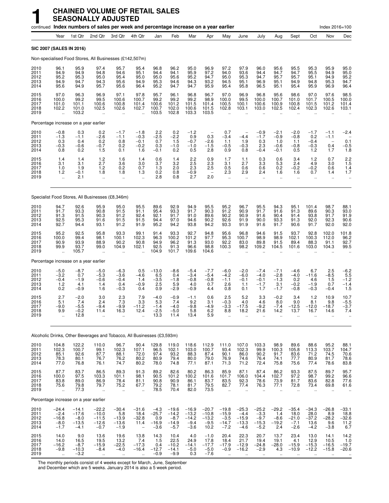|                                      |                                                         |                                                   |                                                           | continued Index numbers of sales per week and percentage increase on a year earlier |                                                      |                                               |                                                   |                                                   |                                                         |                                                   |                                                       |                                                               |                                             |                                                |                                                      | Index 2016=100                                       |                                                    |
|--------------------------------------|---------------------------------------------------------|---------------------------------------------------|-----------------------------------------------------------|-------------------------------------------------------------------------------------|------------------------------------------------------|-----------------------------------------------|---------------------------------------------------|---------------------------------------------------|---------------------------------------------------------|---------------------------------------------------|-------------------------------------------------------|---------------------------------------------------------------|---------------------------------------------|------------------------------------------------|------------------------------------------------------|------------------------------------------------------|----------------------------------------------------|
|                                      | Year                                                    | 1st Qtr                                           | 2nd Qtr                                                   | 3rd Qtr                                                                             | 4th Qtr                                              | Jan                                           | Feb                                               | Mar                                               | Apr                                                     | May                                               | June                                                  | July                                                          | Aug                                         | Sept                                           | Oct                                                  | Nov                                                  | Dec                                                |
|                                      | SIC 2007 (SALES IN 2016)                                |                                                   |                                                           |                                                                                     |                                                      |                                               |                                                   |                                                   |                                                         |                                                   |                                                       |                                                               |                                             |                                                |                                                      |                                                      |                                                    |
|                                      |                                                         |                                                   |                                                           | Non-specialised Food Stores, All Businesses (£142,507m)                             |                                                      |                                               |                                                   |                                                   |                                                         |                                                   |                                                       |                                                               |                                             |                                                |                                                      |                                                      |                                                    |
| 2010<br>2011<br>2012<br>2013<br>2014 | 96.1<br>94.9<br>95.2<br>94.9<br>95.6                    | 95.9<br>94.9<br>95.3<br>94.7<br>94.9              | 97.4<br>94.8<br>95.0<br>94.3<br>95.7                      | 95.7<br>94.6<br>95.4<br>95.6<br>95.6                                                | 95.4<br>95.1<br>95.0<br>94.9<br>96.4                 | 96.8<br>94.4<br>95.0<br>95.3<br>95.2          | 96.2<br>94.1<br>95.6<br>94.6<br>94.7              | 95.0<br>95.9<br>95.2<br>94.3<br>94.7              | 96.9<br>97.2<br>94.7<br>93.2<br>95.9                    | 97.2<br>94.0<br>95.0<br>94.5<br>95.4              | 97.9<br>93.6<br>95.3<br>95.1<br>95.8                  | 96.0<br>94.4<br>94.7<br>96.9<br>96.5                          | 95.6<br>94.7<br>95.7<br>95.1<br>95.1        | 95.5<br>94.7<br>95.7<br>94.9<br>95.4           | 95.3<br>95.5<br>95.1<br>94.8<br>95.9                 | 95.9<br>94.9<br>94.9<br>95.3<br>96.9                 | 95.0<br>95.0<br>95.2<br>94.7<br>96.4               |
| 2015<br>2016<br>2017<br>2018<br>2019 | 97.0<br>100.0<br>101.0<br>102.2                         | 96.3<br>99.2<br>101.1<br>101.0<br>103.2           | 96.9<br>99.5<br>100.6<br>102.5                            | 97.1<br>100.6<br>100.8<br>102.6<br>$\ddot{\phantom{a}}$                             | 97.8<br>100.7<br>101.4<br>102.7                      | 95.7<br>99.2<br>100.6<br>100.7<br>103.5       | 96.1<br>99.2<br>101.2<br>102.0<br>102.8           | 96.8<br>99.2<br>101.5<br>100.6<br>103.3           | 96.7<br>98.9<br>101.4<br>101.5<br>103.5                 | 97.0<br>100.0<br>100.5<br>102.8                   | 96.9<br>99.5<br>100.1<br>103.1                        | 96.8<br>100.0<br>100.6<br>103.0                               | 95.6<br>100.7<br>100.9<br>102.5             | 98.6<br>101.0<br>100.8<br>102.4                | 97.0<br>101.7<br>101.5<br>102.3                      | 97.6<br>100.5<br>101.2<br>102.6                      | 98.5<br>100.0<br>101.4<br>103.1                    |
|                                      | Percentage increase on a year earlier                   |                                                   |                                                           |                                                                                     |                                                      |                                               |                                                   |                                                   |                                                         |                                                   |                                                       |                                                               |                                             |                                                |                                                      |                                                      |                                                    |
| 2010<br>2011<br>2012<br>2013<br>2014 | $-0.8$<br>$-1.3$<br>0.3<br>$-0.3$<br>0.8                | 0.3<br>$-1.1$<br>0.4<br>$-0.6$<br>0.2             | 0.2<br>$-2.6$<br>0.2<br>$-0.7$<br>1.5                     | $-1.7$<br>$-1.1$<br>0.8<br>0.2<br>0.1                                               | $^{-1.8}_{-0.3}$<br>$-0.1$<br>$-0.2$<br>1.6          | $^{2.2}_{-2.5}$<br>0.7<br>0.3<br>$-0.1$       | $0.2 - 2.2$<br>1.5<br>$-1.0$<br>0.2               | $-1.2$<br>0.9<br>$-0.7$<br>$-1.0$<br>0.5          | 0.3<br>$-2.6$<br>$-1.5$<br>2.8                          | 0.7<br>$-3.4$<br>1.1<br>$-0.5$<br>0.9             | $-4.4$<br>1.9<br>$-0.3$<br>0.8                        | $-0.9$<br>$-1.7$<br>0.3<br>2.3<br>$-0.4$                      | $-2.1$<br>$-0.9$<br>1.0<br>$-0.6$<br>$-0.1$ | $^{-2.0}_{-0.8}$<br>1.1<br>$-0.8$<br>0.5       | $-1.7$<br>0.2<br>$-0.4$<br>$-0.3$<br>1.2             | $-1.1$<br>$-1.1$<br>0.4<br>1.7                       | $-2.4$<br>0.1<br>$-0.5$<br>1.8                     |
| 2015<br>2016<br>2017<br>2018<br>2019 | $\frac{1.4}{3.1}$<br>1.0<br>1.2<br>$\ddot{\phantom{a}}$ | 1.4<br>3.1<br>1.9<br>$-0.1$<br>2.1                | $^{1.2}_{2.7}$<br>1.2<br>1.8                              | $\frac{1.6}{3.6}$<br>0.2<br>1.8                                                     | $1.4$<br>3.0<br>0.7<br>1.3                           | $\frac{0.6}{3.7}$<br>1.3<br>0.2<br>2.8        | $\frac{1.4}{3.2}$<br>2.0<br>0.8<br>0.8            | $^{2.2}_{2.5}$<br>2.3<br>$-0.9$<br>2.7            | $\begin{array}{c} 0.9 \\ 2.3 \end{array}$<br>2.5<br>2.0 | 1.7<br>3.1<br>0.5<br>2.3<br>$\ddot{\phantom{a}}$  | 1.1<br>2.7<br>0.6<br>2.9                              | $\substack{0.3 \\ 3.3}$<br>0.6<br>2.4<br>$\ddot{\phantom{a}}$ | 0.6<br>5.3<br>0.2<br>1.6                    | 3.4<br>2.4<br>$-0.2$<br>1.6<br>ä,              | $1.2$<br>4.9<br>$-0.2$<br>0.7<br>ä,                  | 0.7<br>3.0<br>0.6<br>1.4<br>$\ddot{\phantom{1}}$     | $2.2$<br>1.5<br>1.4<br>1.7<br>$\ddot{\phantom{0}}$ |
|                                      |                                                         |                                                   |                                                           | Specialist Food Stores, All Businesses (£8,346m)                                    |                                                      |                                               |                                                   |                                                   |                                                         |                                                   |                                                       |                                                               |                                             |                                                |                                                      |                                                      |                                                    |
| 2010<br>2011<br>2012<br>2013<br>2014 | 94.7<br>91.7<br>91.3<br>92.5<br>92.7                    | 92.6<br>93.3<br>91.5<br>95.3<br>94.4              | 95.9<br>90.8<br>90.3<br>91.6<br>93.1                      | 95.0<br>91.5<br>91.2<br>91.5<br>91.2                                                | 95.5<br>91.1<br>92.4<br>91.5<br>91.9                 | 89.6<br>95.4<br>92.1<br>94.4<br>95.2          | 92.9<br>93.3<br>91.7<br>97.0<br>94.2              | 94.9<br>91.7<br>91.0<br>94.6<br>93.8              | 95.5<br>90.3<br>89.6<br>90.2<br>94.2                    | 95.2<br>91.2<br>90.2<br>92.6<br>93.3              | 96.7<br>90.9<br>90.9<br>91.9<br>91.9                  | 95.5<br>91.7<br>91.6<br>90.0<br>91.6                          | 94.3<br>91.6<br>90.4<br>93.3<br>91.7        | 95.1<br>91.3<br>91.4<br>91.3<br>90.6           | 101.4<br>89.6<br>93.8<br>92.0<br>91.7                | 98.7<br>90.3<br>91.7<br>92.3<br>92.0                 | 88.1<br>93.0<br>91.9<br>90.6<br>92.0               |
| 2015<br>2016<br>2017<br>2018<br>2019 | 95.2<br>100.0<br>90.9<br>99.9                           | 92.5<br>99.4<br>93.9<br>93.7<br>105.7             | 95.8<br>98.1<br>88.9<br>99.0                              | 93.3<br>100.1<br>90.2<br>104.9                                                      | 99.1<br>102.3<br>90.8<br>102.1                       | 91.4<br>96.3<br>94.9<br>92.5<br>104.9         | 93.3<br>100.2<br>96.2<br>91.3<br>101.7            | 92.7<br>101.2<br>91.3<br>96.6<br>109.6            | 94.8<br>97.7<br>93.0<br>98.8<br>104.6                   | 95.6<br>95.3<br>92.2<br>100.3                     | 96.8<br>100.7<br>83.0<br>98.2                         | 94.6<br>98.9<br>89.8<br>109.2                                 | 91.5<br>98.9<br>91.5<br>104.5               | 93.7<br>102.1<br>89.4<br>101.6                 | 92.8<br>100.3<br>88.3<br>103.0                       | 102.0<br>112.0<br>91.1<br>104.3                      | 101.8<br>96.2<br>92.7<br>99.5                      |
|                                      | Percentage increase on a year earlier                   |                                                   |                                                           |                                                                                     |                                                      |                                               |                                                   |                                                   |                                                         |                                                   |                                                       |                                                               |                                             |                                                |                                                      |                                                      |                                                    |
| 2010<br>2011<br>2012<br>2013<br>2014 | $-5.0$<br>$-3.2$<br>$-0.4$<br>$1.2$<br>0.2              | $-8.7$<br>0.7<br>$-1.9$<br>4.1<br>$-0.9$          | $-5.0$<br>$-5.3$<br>$-0.6$<br>1.4<br>1.6                  | $-6.3$<br>$-3.6$<br>$-0.4$<br>0.4<br>$-0.3$                                         | 0.5<br>$-4.6$<br>1.4<br>$-0.9$<br>0.4                | $-13.0$<br>6.5<br>$-3.5$<br>2.5<br>0.9        | $-8.6$<br>0.4<br>$-1.8$<br>5.9<br>$-2.9$          | $-5.4$<br>$-3.4$<br>$-0.8$<br>4.0<br>$-0.9$       | $-7.7$<br>$-5.4$<br>$-0.8$<br>0.7<br>4.4                | $-6.0$<br>$-4.2$<br>$-1.1$<br>2.6<br>0.8          | $-2.0$<br>$-6.0$<br>$-0.1$<br>1.1<br>0.1              | $-7.4$<br>$-4.0$<br>$-0.1$<br>$-1.7$<br>1.7                   | $-7.1$<br>$-2.8$<br>$-1.3$<br>3.1<br>$-1.7$ | $-4.6$<br>$-4.0$<br>0.2<br>$-0.2$<br>$-0.8$    | 6.7<br>$-11.6$<br>4.6<br>$-1.9$<br>$-0.3$            | 2.5<br>$-8.5$<br>1.5<br>0.7<br>$-0.4$                | $-6.2$<br>5.5<br>$-1.2$<br>$-1.4$<br>1.5           |
| 2015<br>2016<br>2017<br>2018<br>2019 | 2.7<br>5.1<br>$-9.0$<br>9.9                             | $-2.0$<br>7.4<br>$-5.5$<br>$-0.2$<br>12.8         | 3.0<br>2.4<br>$-9.4$<br>11.4<br>$\ddotsc$                 | 2.3<br>7.3<br>$-9.9$<br>16.3                                                        | 7.9<br>3.3<br>$-11.2$<br>12.4                        | $-4.0$<br>5.3<br>$-1.4$<br>-2.5<br>13.3       | $-0.9$<br>7.4<br>$-4.0$<br>-5.0<br>11.4           | $-1.1$<br>9.2<br>$-9.8$<br>5.8<br>13.4            | 0.6<br>3.1<br>$-4.9$<br>6.2<br>5.9                      | 2.5<br>$-0.3$<br>$-3.3$<br>8.8                    | 5.2<br>4.0<br>$-17.5$<br>18.2                         | 3.3<br>4.6<br>$-9.2$<br>21.6                                  | $-0.2$<br>8.0<br>$-7.4$<br>14.2             | 3.4<br>9.0<br>$-12.5$<br>13.7                  | 1.2<br>8.1<br>$-12.0$<br>16.7                        | 10.9<br>9.8<br>$-18.7$<br>14.6                       | 10.7<br>$-5.5$<br>$-3.7$<br>7.4                    |
|                                      |                                                         |                                                   |                                                           | Alcoholic Drinks, Other Beverages and Tobacco, All Businesses (£3,593m)             |                                                      |                                               |                                                   |                                                   |                                                         |                                                   |                                                       |                                                               |                                             |                                                |                                                      |                                                      |                                                    |
| 2010<br>2011<br>2012<br>2013<br>2014 | 104.8<br>$\frac{102.3}{85.1}$<br>78.3<br>77.0           | 122.2<br>$\frac{100.7}{92.6}$<br>80.1<br>76.8     | 110.0<br>99.1<br>87.7<br>76.7<br>76.1                     | 96.7<br>102.3<br>88.1<br>76.2<br>74.7                                               | 90.4<br>107.1<br>72.0<br>80.2<br>80.2                | 129.8<br>96.5<br>97.4<br>80.9<br>78.0         | 119.0<br>102.1<br>93.2<br>79.4<br>74.8            | 118.6<br>103.0<br>88.3<br>80.0<br>77.1            | 112.9<br>100.7<br>87.4<br>79.0<br>87.1                  | 111.0<br>93.4<br>90.1<br>76.9<br>71.3             | 107.0<br>102.3<br>86.0<br>74.6<br>71.2                | 103.3<br>99.9<br>90.2<br>76.4<br>72.4                         | 98.9<br>100.3<br>91.7<br>74.1<br>75.8       | 89.6<br>105.8<br>83.6<br>77.7<br>75.6          | 88.6<br>113.3<br>71.2<br>80.9<br>77.4                | 95.2<br>103.7<br>74.5<br>81.7<br>78.6                | 88.1<br>104.7<br>70.6<br>78.6<br>83.8              |
| 2015<br>2016<br>2017<br>2018<br>2019 | 87.7<br>100.0<br>83.8<br>75.6<br>$\ddotsc$              | 83.7<br>97.5<br>89.0<br>79.8<br>77.3              | 86.5<br>103.3<br>86.9<br>79.7<br>$\ddot{\phantom{1}}$     | 89.3<br>101.1<br>78.4<br>75.2<br>$\ddot{\phantom{a}}$                               | 91.3<br>98.1<br>81.1<br>67.7<br>$\ddot{\phantom{a}}$ | 89.2<br>90.5<br>90.8<br>79.2<br>78.5          | 82.6<br>101.2<br>90.9<br>78.1<br>70.4             | 80.2<br>100.2<br>86.1<br>81.7<br>82.0             | 86.3<br>101.6<br>83.7<br>79.5<br>73.5                   | 85.9<br>101.7<br>83.5<br>82.7<br>$\sim$           | 87.1<br>106.0<br>92.3<br>77.4<br>$\ddot{\phantom{a}}$ | 87.4<br>104.4<br>78.6<br>76.3<br>$\ddot{\phantom{a}}$         | 86.2<br>102.7<br>73.9<br>77.1<br>÷.         | 93.3<br>$\frac{97.2}{81.7}$<br>72.8<br>ä.      | 87.5<br>98.7<br>83.6<br>73.4<br>$\ddot{\phantom{1}}$ | 89.7<br>99.2<br>82.8<br>69.8<br>$\ddot{\phantom{a}}$ | 95.7<br>96.6<br>77.6<br>61.6                       |
|                                      | Percentage increase on a year earlier                   |                                                   |                                                           |                                                                                     |                                                      |                                               |                                                   |                                                   |                                                         |                                                   |                                                       |                                                               |                                             |                                                |                                                      |                                                      |                                                    |
| 2010<br>2011<br>2012<br>2013<br>2014 | $-24.4$<br>$-2.4$<br>$-16.8$<br>$-8.0$<br>$-1.7$        | $-14.1$<br>$-17.6$<br>$-8.0$<br>$-13.5$<br>$-4.1$ | $-22.2$<br>$-10.0$<br>$-11.5$<br>$-12.6$<br>$-0.7$        | $-30.4$<br>5.8<br>$-13.9$<br>$-13.6$<br>$-1.9$                                      | $-31.6$<br>18.4<br>$-32.8$<br>11.4                   | $-4.3$<br>$-25.7$<br>0.9<br>$-16.9$<br>$-3.6$ | $-19.6$<br>$-14.2$<br>$-8.7$<br>$-14.9$<br>$-5.7$ | $-16.9$<br>$-13.2$<br>$-14.2$<br>$-9.4$<br>$-3.6$ | $-20.7$<br>$-10.8$<br>$-13.2$<br>$-9.5$<br>10.2         | $-19.8$<br>$-15.9$<br>$-3.5$<br>$-14.7$<br>$-7.2$ | $-25.3$<br>$-4.4$<br>$-15.9$<br>$-13.3$<br>$-4.6$     | $-25.2$<br>$-3.3$<br>$-9.7$<br>$-15.3$<br>$-5.2$              | $-29.2$<br>1.4<br>$-8.6$<br>$-19.2$<br>2.4  | $-35.4$<br>18.0<br>$-21.0$<br>$-7.1$<br>$-2.6$ | $-34.3$<br>28.0<br>$-37.2$<br>13.6<br>$-4.2$         | $-26.8$<br>8.9<br>$-28.2$<br>9.6<br>$-3.8$           | $-33.1$<br>18.8<br>$-32.6$<br>11.2<br>6.7          |
| 2015<br>2016<br>2017<br>2018<br>2019 | 14.0<br>14.0<br>$-16.2$<br>$-9.8$                       | 9.0<br>16.5<br>$-8.7$<br>$-10.3$<br>$-3.2$        | 13.6<br>19.5<br>$-15.9$<br>$-8.4$<br>$\ddot{\phantom{1}}$ | 19.6<br>13.2<br>$-22.5$<br>$-4.0$<br>$\ddot{\phantom{1}}$                           | 13.8<br>7.4<br>$-17.3$<br>$-16.4$                    | 14.3<br>1.5<br>0.4<br>$-12.7$<br>$-0.9$       | 10.4<br>22.5<br>$-10.2$<br>$-14.1$<br>$-9.9$      | 4.0<br>24.9<br>$-14.1$<br>$-5.0$<br>0.3           | $-1.0$<br>17.8<br>$-17.7$<br>$-5.0$<br>$-7.6$           | 20.4<br>18.4<br>$-17.9$<br>$-0.9$                 | 22.3<br>21.7<br>$-12.9$<br>$-16.2$                    | 20.7<br>19.4<br>$-24.8$<br>$-2.9$                             | 13.7<br>19.1<br>$-28.0$<br>4.3              | 23.4<br>4.1<br>$-15.9$<br>$-10.9$              | 13.0<br>12.9<br>$-15.3$<br>$-12.2$                   | 14.1<br>10.5<br>$-16.5$<br>$-15.8$                   | 14.2<br>1.0<br>$-19.7$<br>$-20.6$                  |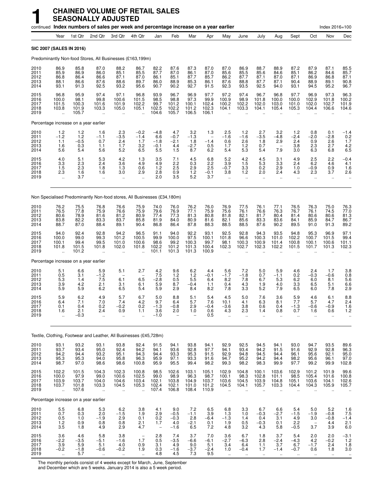|                                      |                                                                |                                          |                                                  | continued Index numbers of sales per week and percentage increase on a year earlier |                                                            |                                            |                                          |                                          |                                          |                                                     |                                                           |                                                  |                                                    |                                                        |                                                     | Index 2016=100                                      |                                                         |
|--------------------------------------|----------------------------------------------------------------|------------------------------------------|--------------------------------------------------|-------------------------------------------------------------------------------------|------------------------------------------------------------|--------------------------------------------|------------------------------------------|------------------------------------------|------------------------------------------|-----------------------------------------------------|-----------------------------------------------------------|--------------------------------------------------|----------------------------------------------------|--------------------------------------------------------|-----------------------------------------------------|-----------------------------------------------------|---------------------------------------------------------|
|                                      | Year                                                           | 1st Qtr                                  | 2nd Qtr                                          | 3rd Qtr                                                                             | 4th Qtr                                                    | Jan                                        | Feb                                      | Mar                                      | Apr                                      | May                                                 | June                                                      | July                                             | Aug                                                | Sept                                                   | Oct                                                 | Nov                                                 | Dec                                                     |
|                                      | SIC 2007 (SALES IN 2016)                                       |                                          |                                                  |                                                                                     |                                                            |                                            |                                          |                                          |                                          |                                                     |                                                           |                                                  |                                                    |                                                        |                                                     |                                                     |                                                         |
|                                      |                                                                |                                          |                                                  | Predominantly Non-food Stores, All Businesses (£163,199m)                           |                                                            |                                            |                                          |                                          |                                          |                                                     |                                                           |                                                  |                                                    |                                                        |                                                     |                                                     |                                                         |
| 2010<br>2011<br>2012<br>2013<br>2014 | 86.9<br>85.9<br>86.8<br>88.1<br>93.1                           | 85.8<br>86.9<br>86.4<br>86.6<br>91.3     | 87.0<br>86.0<br>86.6<br>87.6<br>92.5             | 88.2<br>85.1<br>87.1<br>88.6<br>93.2                                                | 86.7<br>85.5<br>87.0<br>89.7<br>95.6                       | 82.2<br>87.7<br>86.1<br>86.0<br>90.7       | 87.6<br>87.0<br>85.1<br>88.9<br>90.2     | 87.3<br>86.1<br>87.7<br>85.3<br>92.7     | 87.0<br>87.0<br>85.7<br>86.1<br>91.5     | 87.0<br>85.6<br>86.2<br>87.6<br>92.3                | 86.9<br>85.5<br>87.7<br>88.8<br>93.5                      | 88.7<br>85.6<br>87.1<br>87.7<br>92.5             | 88.9<br>84.6<br>87.0<br>87.1<br>94.0               | 87.2<br>85.1<br>87.1<br>90.4<br>93.1                   | 87.9<br>86.2<br>86.9<br>88.9<br>94.5                | 87.1<br>84.6<br>86.8<br>89.1<br>95.2                | 85.5<br>85.7<br>87.1<br>90.8<br>96.7                    |
| 2015<br>2016<br>2017<br>2018<br>2019 | 96.8<br>100.0<br>101.5<br>103.8                                | 95.9<br>98.1<br>100.3<br>101.9<br>105.7  | 97.4<br>99.8<br>101.6<br>103.3                   | 97.1<br>100.6<br>101.9<br>105.0<br>ä,                                               | 96.8<br>101.5<br>102.2<br>105.1                            | 93.9<br>98.5<br>99.7<br>102.5<br>104.6     | 96.7<br>98.8<br>101.2<br>102.2<br>105.7  | 96.9<br>97.3<br>100.1<br>101.2<br>106.5  | 97.7<br>99.9<br>102.4<br>102.3<br>106.1  | 97.2<br>100.9<br>100.2<br>104.1                     | 97.4<br>98.9<br>102.2<br>103.3                            | 96.7<br>101.8<br>102.0<br>104.1                  | 96.8<br>100.0<br>103.0<br>105.4                    | 97.7<br>100.0<br>101.0<br>105.3                        | 96.9<br>102.9<br>102.0<br>104.4                     | 97.3<br>101.8<br>102.7<br>106.6                     | 96.3<br>100.2<br>101.9<br>104.6                         |
|                                      | Percentage increase on a year earlier                          |                                          |                                                  |                                                                                     |                                                            |                                            |                                          |                                          |                                          |                                                     |                                                           |                                                  |                                                    |                                                        |                                                     |                                                     |                                                         |
| 2010<br>2011<br>2012<br>2013<br>2014 | $1.2 - 1.2$<br>1.1<br>1.6<br>5.6                               | 1.2<br>1.2<br>$-0.5$<br>0.3<br>5.4       | 1.6<br>$-1.1$<br>0.7<br>1.1<br>5.6               | 2.3<br>$-3.5$<br>2.4<br>1.7<br>5.2                                                  | $-0.2$<br>$-1.4$<br>1.7<br>3.2<br>6.5                      | $-4.8$<br>6.6<br>$-1.8$<br>$-0.1$<br>5.5   | 4.7<br>$-0.7$<br>$-2.1$<br>4.4<br>1.5    | 3.2<br>$-1.3$<br>1.8<br>$-2.7$<br>8.7    | 1.3<br>$-1.4$<br>0.5<br>6.2              | 2.5<br>$-1.6$<br>0.6<br>1.7<br>5.4                  | 1.2<br>$-1.6$<br>2.6<br>1.2<br>5.3                        | 2.7<br>$-3.5$<br>1.8<br>0.7<br>5.4               | 3.2<br>$-4.8$<br>2.9<br>7.9                        | $1.2$<br>-2.4<br>2.4<br>3.8<br>3.0                     | 0.8<br>$-2.0$<br>0.9<br>2.3<br>6.3                  | 0.1<br>$-2.8$<br>2.6<br>2.7<br>6.8                  | $-1.4$<br>0.2<br>1.7<br>$^{4.2}_{6.5}$                  |
| 2015<br>2016<br>2017<br>2018<br>2019 | 4.0<br>3.3<br>1.5<br>2.3                                       | 5.1<br>2.3<br>2.3<br>1.6<br>3.7          | 5.3<br>2.4<br>1.8<br>1.6                         | 4.2<br>3.6<br>1.3<br>3.0<br>ä.                                                      | 1.3<br>4.9<br>0.6<br>2.9<br>ă,                             | $\frac{3.5}{4.9}$<br>1.2<br>2.8<br>2.0     | 7.1<br>2.2<br>2.5<br>0.9<br>3.5          | 4.5<br>0.3<br>2.9<br>1.2<br>5.2          | 6.8<br>2.2<br>2.5<br>$-0.1$<br>3.7       | 5.2<br>3.9<br>$-0.7$<br>3.8<br>$\ddotsc$            | $\frac{4.2}{1.5}$<br>3.3<br>$1.2$<br>$\ddot{\phantom{1}}$ | $\frac{4.5}{5.3}$<br>0.2<br>2.0<br>$\ddotsc$     | 3.1<br>3.3<br>2.9<br>2.4<br>$\ldots$               | 4.9<br>2.4<br>1.0<br>4.3<br>$\ddotsc$                  | 2.5<br>6.2<br>$-0.9$<br>2.3<br>$\ddot{\phantom{a}}$ | 2.2<br>4.6<br>0.9<br>3.7<br>$\ddotsc$               | $-0.4$<br>4.1<br>1.6<br>2.6                             |
|                                      |                                                                |                                          |                                                  | Non Specialised Predominantly Non-food stores, All Businesses (£34,180m)            |                                                            |                                            |                                          |                                          |                                          |                                                     |                                                           |                                                  |                                                    |                                                        |                                                     |                                                     |                                                         |
| 2010<br>2011<br>2012<br>2013<br>2014 | 76.2<br>76.5<br>80.6<br>83.8<br>88.7                           | 75.5<br>77.8<br>78.9<br>82.2<br>87.0     | 76.8<br>75.9<br>81.6<br>83.3<br>88.4             | 76.6<br>76.6<br>81.2<br>83.7<br>89.1                                                | 75.9<br>75.9<br>80.9<br>85.8<br>90.4                       | 74.0<br>79.6<br>77.4<br>81.9<br>86.8       | 76.0<br>76.9<br>77.3<br>84.0<br>86.4     | 76.2<br>77.1<br>81.3<br>80.9<br>87.8     | 76.0<br>75.9<br>80.8<br>81.6<br>88.3     | 76.9<br>75.6<br>81.8<br>82.1<br>88.5                | 77.5<br>76.1<br>82.1<br>85.6<br>88.5                      | 76.1<br>76.6<br>81.7<br>83.3<br>87.6             | 77.1<br>76.3<br>80.4<br>83.6<br>90.2               | 76.5<br>76.7<br>81.4<br>84.1<br>89.5                   | 76.3<br>76.1<br>80.6<br>85.9<br>91.0                | 75.0<br>74.5<br>80.6<br>84.7<br>91.3                | 76.3<br>77.0<br>81.3<br>86.7<br>89.2                    |
| 2015<br>2016<br>2017<br>2018<br>2019 | 94.0<br>100.0<br>100.1<br>101.8                                | 92.4<br>99.0<br>99.4<br>101.5<br>101.2   | 92.8<br>99.3<br>99.5<br>101.8                    | 94.2<br>101.2<br>101.0<br>102.0                                                     | 96.5<br>100.5<br>100.6<br>101.8                            | 91.1<br>99.9<br>98.6<br>102.2<br>101.1     | 94.0<br>100.0<br>99.2<br>101.2<br>101.3  | 92.2<br>97.5<br>100.3<br>101.3<br>101.3  | 93.1<br>100.1<br>99.7<br>100.4<br>100.9  | 92.5<br>101.8<br>98.1<br>102.3                      | 92.8<br>96.6<br>100.3<br>102.7                            | 94.3<br>100.3<br>100.9<br>102.3                  | 93.5<br>101.0<br>101.4<br>102.2                    | 94.8<br>102.2<br>100.8<br>101.5                        | 95.3<br>100.7<br>100.1<br>101.7                     | 96.9<br>101.5<br>100.6<br>101.3                     | 97.1<br>99.4<br>101.1<br>102.3                          |
|                                      | Percentage increase on a year earlier                          |                                          |                                                  |                                                                                     |                                                            |                                            |                                          |                                          |                                          |                                                     |                                                           |                                                  |                                                    |                                                        |                                                     |                                                     |                                                         |
| 2010<br>2011<br>2012<br>2013<br>2014 | 5.1<br>0.5<br>5.3<br>3.9<br>5.9                                | 6.6<br>3.1<br>1.4<br>4.2<br>5.9          | 5.9<br>$-1.2$<br>7.5<br>2.1<br>6.2               | 5.1<br>6.1<br>3.1<br>6.5                                                            | 2.7<br>6.5<br>6.1<br>5.4                                   | 4.2<br>7.5<br>$-2.8$<br>5.9<br>5.9         | 9.6<br>1.2<br>0.5<br>8.7<br>2.9          | 6.2<br>1.2<br>5.5<br>$-0.4$<br>8.4       | 4.4<br>$-0.1$<br>6.4<br>1.1<br>8.2       | 5.6<br>$-1.7$<br>8.2<br>0.4<br>7.8                  | 7.2<br>$-1.8$<br>7.8<br>4.3<br>3.3                        | 5.0<br>0.7<br>6.7<br>1.9<br>5.2                  | 5.9<br>$-1.1$<br>5.3<br>4.0<br>7.9                 | 4.6<br>0.2<br>6.2<br>3.3<br>6.5                        | 2.4<br>$-0.3$<br>6.0<br>6.5<br>6.0                  | 1.7<br>$-0.6$<br>8.1<br>5.1<br>7.8                  | 3.8<br>0.8<br>5.6<br>6.6<br>2.9                         |
| 2015<br>2016<br>2017<br>2018<br>2019 | 5.9<br>6.4<br>0.1<br>1.6                                       | 6.2<br>7.1<br>0.4<br>2.1<br>$-0.3$       | 4.9<br>7.0<br>0.2<br>2.4<br>$\ddot{\phantom{0}}$ | 5.7<br>7.4<br>$-0.2$<br>0.9<br>                                                     | 6.7<br>4.2<br>0.2<br>1.1                                   | 5.0<br>9.7<br>$-1.3$<br>3.6<br>$-1.0$      | 8.8<br>6.4<br>$-0.8$<br>2.0              | 5.1<br>5.7<br>2.9<br>1.0                 | 5.4<br>7.6<br>$-0.4$<br>0.6<br>0.5       | 4.5<br>10.1<br>$-3.6$<br>4.3                        | 5.0<br>4.1<br>3.8<br>2.3                                  | 7.6<br>6.3<br>0.6<br>1.4                         | 3.6<br>8.1<br>0.4<br>0.8<br>$\ddot{\phantom{a}}$   | 5.9<br>7.7<br>$-1.3$<br>0.7<br>$\ddotsc$               | 4.6<br>5.7<br>$-0.6$<br>1.6<br>$\ddot{\phantom{a}}$ | 6.1<br>4.7<br>$-0.9$<br>0.6<br>$\ddot{\phantom{a}}$ | 8.8<br>2.4<br>1.6<br>1.2                                |
|                                      |                                                                |                                          |                                                  | Textile, Clothing, Footwear and Leather, All Businesses (£45,728m)                  |                                                            |                                            |                                          |                                          |                                          |                                                     |                                                           |                                                  |                                                    |                                                        |                                                     |                                                     |                                                         |
| 2010<br>2011<br>2012<br>2013<br>2014 | 93.1<br>93.7<br>94.2<br>95.3<br>98.7                           | 93.2<br>93.4<br>94.4<br>95.3<br>97.0     | 93.1<br>95.0<br>93.2<br>94.0<br>98.6             | 93.8<br>92.4<br>95.1<br>95.8<br>98.6                                                | 92.4<br>94.2<br>94.3<br>96.3<br>100.8                      | 91.5<br>94.1<br>94.4<br>95.9<br>95.9       | 94.1<br>93.6<br>93.3<br>97.1<br>95.5     | 93.8<br>92.8<br>95.3<br>93.3<br>99.4     | 94.1<br>97.7<br>91.5<br>91.6<br>98.2     | 92.9<br>94.1<br>92.9<br>94.7<br>99.3                | 92.5<br>93.4<br>94.8<br>95.2<br>98.2                      | 94.5<br>94.2<br>94.5<br>94.2<br>98.3             | 94.1<br>91.5<br>94.4<br>94.4<br>99.9               | 93.0<br>91.6<br>96.1<br>98.2<br>97.7                   | 94.7<br>92.9<br>95.6<br>95.6<br>99.2                | 93.5<br>92.8<br>92.1<br>96.1<br>99.9                | 89.6<br>96.3<br>95.0<br>97.0<br>102.8                   |
| 2015<br>2016<br>2017<br>2018<br>2019 | 102.2<br>100.0<br>103.9<br>103.7<br>$\ddot{\phantom{1}}$       | 101.5<br>97.9<br>103.7<br>101.8<br>107.6 | 104.3<br>99.0<br>104.0<br>103.3                  | 102.3<br>100.6<br>104.6<br>104.5<br>                                                | 100.8<br>102.5<br>103.4<br>105.3<br>ă,                     | 98.5<br>99.0<br>102.1<br>102.4<br>107.4    | 102.6<br>98.9<br>103.8<br>102.1<br>106.8 | 103.1<br>96.3<br>104.9<br>101.0<br>108.4 | 105.1<br>98.7<br>103.7<br>101.2<br>110.9 | 102.9<br>100.1<br>103.6<br>104.5                    | 104.8<br>98.3<br>104.5<br>104.1                           | 100.1<br>102.8<br>103.9<br>105.7                 | 103.6<br>101.1<br>104.8<br>103.3<br>$\ddotsc$      | 102.9<br>98.5<br>105.1<br>104.4                        | 101.2<br>105.4<br>103.6<br>104.3                    | 101.9<br>101.6<br>104.1<br>105.9                    | 99.6<br>100.8<br>102.6<br>105.7                         |
|                                      | Percentage increase on a year earlier                          |                                          |                                                  |                                                                                     |                                                            |                                            |                                          |                                          |                                          |                                                     |                                                           |                                                  |                                                    |                                                        |                                                     |                                                     |                                                         |
| 2010<br>2011<br>2012<br>2013<br>2014 | $\begin{array}{c} 5.5 \\ 0.7 \end{array}$<br>0.5<br>1.2<br>3.5 | 6.8<br>0.3<br>1.0<br>0.9<br>1.8          | 5.3<br>2.0<br>$-1.9$<br>0.8<br>4.9               | 6.2<br>$-1.5$<br>2.9<br>0.8<br>2.9                                                  | 3.8<br>1.9<br>0.1<br>2.1<br>4.7                            | 4.1<br>2.9<br>0.2<br>1.7<br>$\overline{a}$ | 9.0<br>$-0.5$<br>$-0.3$<br>4.0<br>$-1.6$ | 7.2<br>$-1.1$<br>2.8<br>$-2.1$<br>6.5    | 6.5<br>3.9<br>$-6.4$<br>0.1<br>7.2       | 6.8<br>1.3<br>$-1.3$<br>1.9<br>4.8                  | 3.3<br>1.0<br>1.4<br>0.5<br>3.2                           | 6.7<br>$-0.3$<br>0.4<br>$-0.3$<br>4.3            | 6.6<br>$-2.7$<br>3.1<br>0.1<br>5.8                 | 5.4<br>$-1.5$<br>4.9<br>2.2<br>$-0.5$                  | 5.0<br>$-1.9$<br>3.0<br>$\qquad \qquad -$<br>3.7    | 5.2<br>$-0.8$<br>$-0.8$<br>4.4<br>3.9               | 1.6<br>$7.5 - 1.4$<br>2.1<br>6.0                        |
| 2015<br>2016<br>2017<br>2018<br>2019 | 3.6<br>$-2.2$<br>$3.9\,$<br>$-0.2$<br>$\ddot{\phantom{1}}$     | 4.6<br>-3.5<br>5.9<br>$-1.8$<br>5.7      | 5.8<br>$-5.1$<br>5.1<br>$-0.6$<br>$\sim$         | 3.8<br>$-1.6$<br>4.0<br>$-0.2$<br>$\ddotsc$                                         | $\overline{\phantom{a}}$<br>1.7<br>0.9<br>1.9<br>$\ddotsc$ | 2.8<br>0.5<br>3.1<br>0.3<br>4.8            | 7.4<br>$-3.5$<br>4.9<br>$-1.6$<br>4.5    | 3.7<br>$-6.6$<br>9.0<br>$-3.7$<br>7.3    | 7.0<br>$-6.1$<br>5.1<br>$-2.4$<br>9.5    | 3.6<br>$-2.7$<br>3.4<br>1.0<br>$\ddot{\phantom{1}}$ | 6.7<br>$-6.3$<br>6.4<br>$-0.4$<br>$\ddot{\phantom{1}}$    | 1.8<br>2.8<br>1.1<br>1.7<br>$\ddot{\phantom{1}}$ | 3.7<br>$-2.4$<br>3.7<br>$-1.4$<br>$\bullet\bullet$ | 5.4<br>$-4.3$<br>6.7<br>$-0.7$<br>$\ddot{\phantom{1}}$ | 2.0<br>$4.2 - 1.7$<br>0.6<br>$\sim$                 | 2.0<br>$-0.2$<br>2.4<br>1.8<br>$\bullet\bullet$     | $-3.1$<br>$1.2$<br>$1.8$<br>3.0<br>$\ddot{\phantom{1}}$ |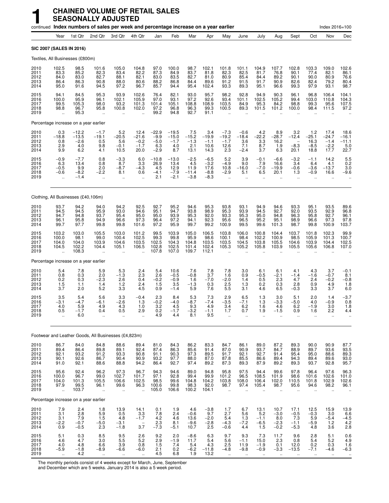|                                      |                                                       |                                               | continued Index numbers of sales per week and percentage increase on a year earlier |                                                        |                                                     |                                              |                                             |                                          |                                              |                                                        |                                                         |                                                         |                                           |                                                              |                                                        | Index 2016=100                                      |                                                            |
|--------------------------------------|-------------------------------------------------------|-----------------------------------------------|-------------------------------------------------------------------------------------|--------------------------------------------------------|-----------------------------------------------------|----------------------------------------------|---------------------------------------------|------------------------------------------|----------------------------------------------|--------------------------------------------------------|---------------------------------------------------------|---------------------------------------------------------|-------------------------------------------|--------------------------------------------------------------|--------------------------------------------------------|-----------------------------------------------------|------------------------------------------------------------|
|                                      | Year                                                  | 1st Qtr                                       | 2nd Qtr                                                                             | 3rd Qtr                                                | 4th Qtr                                             | Jan                                          | Feb                                         | Mar                                      | Apr                                          | May                                                    | June                                                    | July                                                    | Aug                                       | Sept                                                         | Oct                                                    | Nov                                                 | Dec                                                        |
|                                      | SIC 2007 (SALES IN 2016)                              |                                               |                                                                                     |                                                        |                                                     |                                              |                                             |                                          |                                              |                                                        |                                                         |                                                         |                                           |                                                              |                                                        |                                                     |                                                            |
|                                      | Textiles, All Businesses (£800m)                      |                                               |                                                                                     |                                                        |                                                     |                                              |                                             |                                          |                                              |                                                        |                                                         |                                                         |                                           |                                                              |                                                        |                                                     |                                                            |
| 2010<br>2011<br>2012<br>2013<br>2014 | 102.5<br>83.3<br>84.0<br>86.4<br>95.0                 | 98.5<br>85.2<br>83.0<br>86.3<br>91.6          | 101.6<br>82.3<br>82.7<br>90.8<br>94.5                                               | 105.0<br>83.4<br>88.1<br>88.0<br>97.2                  | 104.8<br>82.2<br>82.1<br>80.6<br>96.7               | 97.0<br>87.3<br>83.0<br>88.2<br>85.7         | 100.0<br>84.9<br>83.5<br>86.8<br>94.4       | 98.7<br>83.7<br>82.7<br>84.4<br>95.4     | 102.1<br>81.8<br>81.0<br>89.6<br>102.4       | 101.8<br>82.3<br>80.9<br>91.2<br>93.3                  | 101.1<br>82.5<br>85.4<br>91.5<br>89.3                   | 104.9<br>81.7<br>84.4<br>91.7<br>95.1                   | 107.7<br>76.8<br>89.2<br>90.9<br>96.6     | 102.8<br>90.1<br>90.1<br>82.6<br>99.3                        | 103.3<br>77.4<br>90.0<br>82.4<br>97.9                  | 109.0<br>82.1<br>80.9<br>79.2<br>93.1               | 102.6<br>86.1<br>76.6<br>80.4<br>98.7                      |
| 2015<br>2016<br>2017<br>2018<br>2019 | 94.1<br>100.0<br>99.5<br>98.8<br>$\ddot{\phantom{a}}$ | 84.5<br>95.9<br>105.3<br>96.7<br>95.3         | 95.3<br>96.1<br>98.0<br>95.8                                                        | 93.9<br>102.1<br>93.2<br>100.8<br>$\ddot{\phantom{a}}$ | 102.6<br>105.9<br>101.3<br>102.0                    | 76.4<br>97.0<br>101.4<br>97.2<br>99.2        | 82.1<br>93.1<br>105.1<br>96.8<br>94.8       | 93.0<br>97.2<br>108.8<br>96.3<br>92.7    | 95.7<br>92.6<br>108.9<br>99.3<br>91.1        | 98.2<br>93.4<br>103.5<br>100.5<br>$\ddot{\phantom{a}}$ | 92.8<br>101.1<br>84.9<br>89.3                           | 94.9<br>102.5<br>95.3<br>101.5                          | 90.3<br>105.2<br>84.2<br>101.2            | 96.1<br>99.4<br>98.8<br>100.0                                | 96.8<br>103.0<br>99.3<br>98.4                          | 106.4<br>110.8<br>95.6<br>111.5                     | 104.1<br>104.3<br>107.5<br>97.2                            |
|                                      | Percentage increase on a year earlier                 |                                               |                                                                                     |                                                        |                                                     |                                              |                                             |                                          |                                              |                                                        |                                                         |                                                         |                                           |                                                              |                                                        |                                                     |                                                            |
| 2010<br>2011<br>2012<br>2013<br>2014 | 0.3<br>$-18.8$<br>0.8<br>2.9<br>9.9                   | $-12.2$<br>$-13.5$<br>$-2.6$<br>4.0<br>6.2    | $-1.7$<br>$-19.1$<br>0.5<br>9.8<br>4.1                                              | $5.2 - 20.5$<br>5.6<br>$-0.1$<br>10.5                  | 12.4<br>$-21.6$<br>$-0.2$<br>$-1.7$<br>20.0         | $-22.9$<br>$-9.9$<br>$-5.0$<br>6.3<br>$-2.9$ | $-19.5$<br>$-15.0$<br>$-1.7$<br>4.0<br>8.7  | $7.5 - 15.2$<br>$-1.3$<br>2.1<br>13.1    | 3.4<br>$-19.9$<br>$-1.1$<br>10.6<br>14.3     | $-7.3$<br>$-19.2$<br>$-1.7$<br>12.6<br>2.3             | $-0.6$<br>$-18.4$<br>3.6<br>7.1<br>$-2.4$               | $4.2 - 22.2$<br>3.3<br>8.7<br>3.7                       | $8.9 - 28.7$<br>16.2<br>1.9<br>6.3        | 3.2<br>$-12.4$<br>$\overline{\phantom{a}}$<br>$-8.3$<br>20.1 | $1.2$<br>$-25.1$<br>16.3<br>$-8.5$<br>18.8             | 17.4<br>$-24.7$<br>$-1.4$<br>$\frac{-2.2}{17.7}$    | $18.6 - 16.1$<br>$-11.1$<br>$\frac{5.0}{22.7}$             |
| 2015<br>2016<br>2017<br>2018<br>2019 | $-0.9$<br>6.3<br>$-0.5$<br>$-0.6$                     | $-7.7$<br>13.4<br>9.9<br>$-8.2$<br>$-1.4$     | 0.8<br>0.8<br>2.0<br>$-2.2$                                                         | $-3.3$<br>8.7<br>$-8.7$<br>8.1<br>$\ddot{\phantom{a}}$ | 6.0<br>3.3<br>$-4.3$<br>0.6<br>$\ddotsc$            | $-10.8$<br>26.9<br>4.5<br>$-4.1$<br>2.1      | $-13.0$<br>13.4<br>12.9<br>$-7.9$<br>$-2.1$ | $-2.5$<br>4.5<br>11.9<br>-11.4<br>$-3.8$ | $-6.5$<br>$-3.2$<br>17.6<br>$-8.8$<br>$-8.3$ | 5.2<br>$-4.9$<br>10.8<br>$-2.9$<br>$\ddotsc$           | 3.9<br>9.0<br>$-16.0$<br>5.1                            | $-0.1$<br>7.9<br>$-7.0$<br>6.5                          | $-6.6$<br>16.6<br>$-19.9$<br>20.1         | $-3.2$<br>3.4<br>$-0.6$<br>1.3                               | $-1.1$<br>6.4<br>$-3.6$<br>$-0.9$                      | 14.2<br>4.1<br>$-13.7$<br>16.6                      | $\begin{array}{c} 5.5 \\ 0.2 \end{array}$<br>3.0<br>$-9.6$ |
|                                      | Clothing, All Businesses (£40,106m)                   |                                               |                                                                                     |                                                        |                                                     |                                              |                                             |                                          |                                              |                                                        |                                                         |                                                         |                                           |                                                              |                                                        |                                                     |                                                            |
| 2010<br>2011<br>2012<br>2013<br>2014 | 93.7<br>94.5<br>94.7<br>96.1<br>99.7                  | 94.2<br>94.5<br>94.8<br>95.8<br>97.7          | 94.0<br>95.9<br>93.7<br>94.9<br>99.8                                                | 94.2<br>93.0<br>95.4<br>96.6<br>99.8                   | 92.5<br>94.6<br>95.0<br>97.3<br>101.6               | 92.7<br>95.1<br>95.0<br>96.4<br>97.2         | 95.2<br>94.7<br>93.9<br>97.2<br>95.9        | 94.6<br>93.8<br>95.3<br>94.1<br>99.7     | 95.3<br>98.9<br>92.0<br>92.3<br>99.2         | 93.8<br>95.3<br>93.3<br>95.6<br>100.9                  | 93.1<br>93.9<br>95.3<br>96.5<br>99.5                    | 94.9<br>94.5<br>95.0<br>95.2<br>99.6                    | 94.6<br>92.7<br>94.8<br>95.1<br>101.3     | 93.3<br>92.0<br>96.3<br>98.9<br>98.7                         | 95.1<br>93.5<br>95.8<br>96.6<br>99.8                   | 93.5<br>92.9<br>92.7<br>97.3<br>100.9               | 89.6<br>96.8<br>96.1<br>$\frac{97.8}{103.7}$               |
| 2015<br>2016<br>2017<br>2018<br>2019 | 103.2<br>100.0<br>104.0<br>104.5                      | 103.0<br>98.1<br>104.0<br>102.2<br>108.3      | 105.5<br>99.0<br>103.9<br>104.4                                                     | 103.0<br>100.4<br>104.6<br>105.1                       | 101.2<br>102.5<br>103.5<br>106.5                    | 99.5<br>99.3<br>102.5<br>102.8<br>107.8      | 103.9<br>99.8<br>104.3<br>102.5<br>107.0    | 105.0<br>95.9<br>104.8<br>101.4<br>109.7 | 106.5<br>98.6<br>103.5<br>102.4<br>112.1     | 103.8<br>100.1<br>103.5<br>105.3                       | 106.0<br>98.4<br>104.5<br>105.2                         | 100.8<br>102.2<br>103.8<br>105.8                        | 104.4<br>100.9<br>105.5<br>103.9          | 103.7<br>98.5<br>104.6<br>105.5                              | 101.8<br>105.9<br>103.9<br>105.6                       | 102.3<br>101.3<br>104.4<br>106.8                    | 99.9<br>100.7<br>102.5<br>107.0                            |
|                                      | Percentage increase on a year earlier                 |                                               |                                                                                     |                                                        |                                                     |                                              |                                             |                                          |                                              |                                                        |                                                         |                                                         |                                           |                                                              |                                                        |                                                     |                                                            |
| 2010<br>2011<br>2012<br>2013<br>2014 | 5.4<br>0.8<br>0.2<br>1.5<br>3.7                       | 7.8<br>0.3<br>0.3<br>1.1<br>2.0               | 5.9<br>2.0<br>$-2.3$<br>1.4<br>5.2                                                  | 5.3<br>$-1.3$<br>2.6<br>1.2<br>3.3                     | 2.4<br>2.3<br>0.4<br>2.4<br>4.5                     | 5.4<br>2.6<br>$-0.2$<br>1.5<br>0.9           | 10.6<br>$-0.5$<br>$-0.9$<br>3.5<br>$-1.4$   | 7.6<br>$-0.8$<br>1.6<br>$-1.3$<br>5.9    | 7.8<br>3.7<br>$-7.0$<br>0.3<br>7.6           | 7.8<br>1.6<br>$-2.0$<br>2.5<br>5.5                     | 3.0<br>0.9<br>1.4<br>1.3<br>3.1                         | 6.1<br>$-0.5$<br>0.5<br>0.2<br>4.6                      | 6.1<br>$-2.1$<br>2.3<br>0.3<br>6.5        | 4.1<br>$-1.4$<br>4.7<br>2.8<br>$-0.3$                        | 4.3<br>$-1.6$<br>2.4<br>0.9<br>3.3                     | 3.7<br>$-0.7$<br>$-0.2$<br>4.9<br>3.7               | $-0.1$<br>8.1<br>$-0.8$<br>1.8<br>6.0                      |
| 2015<br>2016<br>2017<br>2018<br>2019 | 3.5<br>-3.1<br>4.0<br>0.5                             | 5.4<br>$-4.7$<br>5.9<br>-1.7<br>6.0           | 5.6<br>$-6.1$<br>4.9<br>0.4                                                         | 3.3<br>$-2.6$<br>4.3<br>0.5<br>$\ddotsc$               | $-0.4$<br>1.3<br>1.0<br>2.9                         | 2.3<br>$-0.2$<br>3.2<br>$0.2$<br>4.9         | 8.4<br>$-4.0$<br>4.5<br>-1.7<br>4.4         | 5.3<br>$-8.7$<br>9.3<br>$^{-3.2}_{8.1}$  | 7.3<br>$-7.4$<br>4.9<br>-1.1<br>9.5          | 2.9<br>$-3.5$<br>3.4<br>1.7<br>$\mathbf{r}$            | 6.5<br>$-7.1$<br>6.2<br>0.7<br>$\ddotsc$                | 1.3<br>1.3<br>1.6<br>1.9<br>ä.                          | 3.0<br>$-3.3$<br>4.6<br>-1.5              | 5.1<br>$-5.0$<br>6.2<br>0.9<br>$\ddot{\phantom{a}}$          | 2.0<br>4.0<br>$-1.9$<br>1.6<br>$\ddotsc$               | 1.4<br>$-0.9$<br>3.0<br>2.2<br>$\ddotsc$            | $-3.7$<br>0.8<br>1.8<br>4.4                                |
|                                      |                                                       |                                               | Footwear and Leather Goods, All Businesses (£4,823m)                                |                                                        |                                                     |                                              |                                             |                                          |                                              |                                                        |                                                         |                                                         |                                           |                                                              |                                                        |                                                     |                                                            |
| 2010<br>2011<br>2012<br>2013<br>2014 | 86.7<br>89.4<br>92.1<br>90.1<br>91.0                  | 84.0<br>86.4<br>93.2<br>92.6<br>92.1          | 84.8<br>89.8<br>91.2<br>86.7<br>88.6                                                | 88.6<br>89.1<br>93.3<br>90.4<br>88.8                   | 89.4<br>92.4<br>90.8<br>90.9<br>94.2                | 81.0<br>87.4<br>91.1<br>93.2<br>86.4         | 84.3<br>86.3<br>90.3<br>97.7<br>92.7        | 86.2<br>85.6<br>97.3<br>88.0<br>97.4     | 83.3<br>91.4<br>89.5<br>87.0<br>89.2         | 84.7<br>87.0<br>91.7<br>87.8<br>87.3                   | 86.1<br>90.9<br>92.1<br>85.5<br>89.3                    | 89.0<br>93.7<br>92.7<br>86.6<br>87.9                    | 87.2<br>84.7<br>91.4<br>89.4<br>89.2      | 89.3<br>88.9<br>95.4<br>94.3<br>89.3                         | 90.0<br>89.7<br>95.0<br>89.4<br>93.7                   | 90.9<br>93.6<br>88.6<br>89.6<br>92.8                | 87.7<br>93.5<br>89.3<br>93.0<br>95.7                       |
| 2015<br>2016<br>2017<br>2018<br>2019 | 95.6<br>100.0<br>104.0<br>97.9<br>÷.                  | 92.4<br>96.7<br>101.3<br>99.5<br>103.7        | 96.2<br>99.0<br>105.5<br>96.1<br>$\ddot{\phantom{a}}$                               | 97.3<br>102.7<br>106.6<br>99.6<br>$\ddot{\phantom{1}}$ | 96.7<br>101.7<br>102.5<br>96.3<br>$\ddotsc$         | 94.3<br>97.1<br>98.5<br>100.6<br>105.0       | 94.6<br>92.8<br>99.6<br>99.8<br>106.6       | 89.0<br>99.4<br>104.8<br>98.3<br>100.2   | 94.8<br>99.9<br>104.2<br>92.0<br>104.1       | 95.8<br>101.2<br>103.8<br>98.7<br>$\ddot{\phantom{a}}$ | 97.5<br>96.5<br>108.0<br>97.4<br>$\ddotsc$              | 94.4<br>108.5<br>106.4<br>105.4<br>ä.                   | 99.6<br>101.9<br>102.0<br>98.7<br>ä.      | 97.8<br>98.6<br>110.5<br>95.6<br>$\ddotsc$                   | 96.4<br>101.6<br>101.8<br>94.6<br>$\ddot{\phantom{a}}$ | 97.6<br>102.6<br>102.9<br>98.2<br>$\mathbf{r}$      | $96.3$<br>$101.0$<br>$102.6$<br>96.1                       |
|                                      | Percentage increase on a year earlier                 |                                               |                                                                                     |                                                        |                                                     |                                              |                                             |                                          |                                              |                                                        |                                                         |                                                         |                                           |                                                              |                                                        |                                                     |                                                            |
| 2010<br>2011<br>2012<br>2013<br>2014 | 7.9<br>3.1<br>3.1<br>$-2.2$<br>0.9                    | 2.4<br>2.8<br>$7.9 - 0.7$<br>$-0.5$           | 1.8<br>5.9<br>1.5<br>$-5.0$<br>2.3                                                  | 13.9<br>0.5<br>4.8<br>$-3.\overline{1}$<br>$-1.8$      | 14.1<br>3.3<br>$-1.7$<br>$3.\overline{7}$           | 0.1<br>7.8<br>$^{4.2}_{2.3}$<br>$-7.3$       | 1.9<br>$2.4$<br>4.6<br>8.1<br>$-5.1$        | 4.6<br>$-0.6$<br>13.6<br>$-9.6$<br>10.7  | $-3.8$<br>9.7<br>$^{-2.0}_{-2.8}$<br>2.5     | 1.7<br>2.7<br>5.4<br>$-4.3$<br>$-0.6$                  | 6.7<br>5.6<br>$\frac{1.3}{-7.2}$<br>4.4                 | 13.1<br>5.2<br>$-1.1$<br>$-6.5$<br>1.5                  | 10.7<br>$-3.0$<br>8.0<br>$-2.3$<br>$-0.2$ | 17.1<br>$-0.5$<br>7.3<br>$-1.1$<br>$-5.3$                    | 12.5<br>$-0.3$<br>$\frac{5.9}{-5.9}$<br>4.8            | 15.9<br>3.0<br>$-5.4$<br>1.2<br>3.6                 | $13.9$<br>6.6<br>-4.5<br>4.2<br>2.8                        |
| 2015<br>2016<br>2017<br>2018<br>2019 | 5.1<br>4.6<br>4.0<br>$-5.9$<br>$\ddot{\phantom{1}}$   | 0.3<br>4.7<br>4.8<br>$-1.\overline{8}$<br>4.2 | 8.5<br>3.0<br>6.6<br>$-8.9$<br>$\ddotsc$                                            | 9.5<br>5.5<br>3.9<br>$-6.6$<br>$\ddotsc$               | 2.6<br>5.2<br>0.8<br>$-6.0$<br>$\ddot{\phantom{a}}$ | 9.2<br>2.9<br>1.5<br>2.1<br>4.5              | 2.0<br>$-1.9$<br>7.4<br>0.2<br>6.8          | $-8.6$<br>11.7<br>5.4<br>$-6.2$<br>1.9   | 6.3<br>5.4<br>4.3<br>$-11.8$<br>13.2         | 9.7<br>5.6<br>2.5<br>$-4.8$<br>$\ddotsc$               | 9.3<br>$-1.1$<br>11.9<br>$-9.8$<br>$\ddot{\phantom{1}}$ | 7.3<br>15.0<br>$-1.9$<br>$-0.9$<br>$\ddot{\phantom{a}}$ | 11.7<br>2.3<br>0.1<br>$-3.3$<br>ä.        | 9.6<br>0.8<br>12.0<br>$-13.5$<br>$\ddot{\phantom{1}}$        | 2.8<br>5.4<br>0.2<br>$-7.1$<br>$\ddotsc$               | 5.1<br>5.2<br>0.3<br>$-4.6$<br>$\ddot{\phantom{a}}$ | 0.6<br>4.9<br>1.6<br>$-6.\overline{3}$<br>$\ddotsc$        |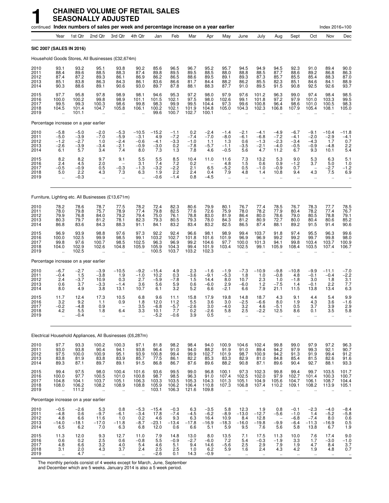|                                      |                                                         |                                              |                                                                       | continued Index numbers of sales per week and percentage increase on a year earlier |                                               |                                           |                                             |                                          |                                            |                                                          |                                                         |                                                          |                                                        |                                                         |                                                         | Index 2016=100                                           |                                                                                        |
|--------------------------------------|---------------------------------------------------------|----------------------------------------------|-----------------------------------------------------------------------|-------------------------------------------------------------------------------------|-----------------------------------------------|-------------------------------------------|---------------------------------------------|------------------------------------------|--------------------------------------------|----------------------------------------------------------|---------------------------------------------------------|----------------------------------------------------------|--------------------------------------------------------|---------------------------------------------------------|---------------------------------------------------------|----------------------------------------------------------|----------------------------------------------------------------------------------------|
|                                      | Year                                                    | 1st Qtr                                      | 2nd Qtr                                                               | 3rd Otr                                                                             | 4th Qtr                                       | Jan                                       | Feb                                         | Mar                                      | Apr                                        | May                                                      | June                                                    | July                                                     | Aug                                                    | Sept                                                    | Oct                                                     | Nov                                                      | Dec                                                                                    |
| SIC 2007 (SALES IN 2016)             |                                                         |                                              |                                                                       |                                                                                     |                                               |                                           |                                             |                                          |                                            |                                                          |                                                         |                                                          |                                                        |                                                         |                                                         |                                                          |                                                                                        |
|                                      |                                                         |                                              |                                                                       | Household Goods Stores, All Businesses (£32,674m)                                   |                                               |                                           |                                             |                                          |                                            |                                                          |                                                         |                                                          |                                                        |                                                         |                                                         |                                                          |                                                                                        |
| 2010<br>2011<br>2012<br>2013<br>2014 | 93.1<br>88.4<br>87.4<br>85.1<br>90.3                    | 93.2<br>89.6<br>87.2<br>83.8<br>88.6         | 95.1<br>88.5<br>89.3<br>86.3<br>89.1                                  | 93.8<br>88.3<br>86.1<br>84.3<br>90.6                                                | 90.2<br>87.4<br>86.9<br>86.1<br>93.0          | 85.6<br>89.8<br>86.2<br>83.6<br>89.7      | 96.5<br>89.5<br>86.5<br>86.6<br>87.8        | 96.7<br>89.5<br>88.6<br>81.7<br>88.1     | 95.2<br>88.5<br>89.5<br>84.4<br>88.3       | 95.7<br>88.0<br>89.1<br>88.2<br>87.7                     | 94.5<br>88.8<br>89.3<br>86.2<br>91.0                    | 94.9<br>88.5<br>87.3<br>85.5<br>89.5                     | 94.5<br>87.7<br>85.7<br>82.3<br>91.5                   | 92.3<br>88.6<br>85.5<br>85.1<br>90.8                    | 91.0<br>89.2<br>85.4<br>84.6<br>92.5                    | 89.4<br>86.8<br>88.3<br>84.1<br>92.6                     | 90.0<br>86.3<br>87.0<br>$88.9$<br>93.7                                                 |
| 2015<br>2016<br>2017<br>2018<br>2019 | 97.7<br>100.0<br>99.5<br>104.5<br>$\ddot{\phantom{a}}$  | 95.8<br>100.2<br>99.3<br>101.4<br>101.1      | 97.8<br>99.8<br>100.3<br>104.7                                        | 98.9<br>98.9<br>98.6<br>105.8                                                       | 98.1<br>101.1<br>99.8<br>106.1                | 94.6<br>101.5<br>98.3<br>100.2<br>99.6    | 95.3<br>102.1<br>99.9<br>102.1<br>100.7     | 97.2<br>97.5<br>99.5<br>101.9<br>102.7   | 98.0<br>98.0<br>104.4<br>104.8<br>100.1    | 97.9<br>102.6<br>97.3<br>105.0                           | 97.6<br>99.1<br>99.6<br>104.3                           | 101.2<br>101.8<br>100.8<br>102.3                         | 96.3<br>97.2<br>96.4<br>106.8                          | 99.0<br>97.9<br>98.6<br>107.9                           | 97.4<br>101.0<br>101.0<br>105.4                         | 98.4<br>103.3<br>100.5<br>108.1                          | 98.5<br>99.5<br>98.3<br>105.0                                                          |
|                                      |                                                         | Percentage increase on a year earlier        |                                                                       |                                                                                     |                                               |                                           |                                             |                                          |                                            |                                                          |                                                         |                                                          |                                                        |                                                         |                                                         |                                                          |                                                                                        |
| 2010<br>2011<br>2012<br>2013<br>2014 | $-5.8$<br>$-5.0$<br>$-1.2$<br>$-2.6$<br>6.1             | $-5.0$<br>$-3.9$<br>$-2.7$<br>$-3.9$<br>5.7  | $-2.0$<br>$-7.0$<br>1.0<br>$-3.4$<br>3.4                              | $-5.3$<br>$-5.9$<br>$-2.4$<br>$\frac{-2.1}{7.4}$                                    | $-10.5$<br>$-3.1$<br>$-0.6$<br>$-0.9$<br>8.0  | $-15.2$<br>4.9<br>$-4.1$<br>$-3.0$<br>7.3 | $-1.1$<br>$-7.2$<br>$-3.3$<br>0.2<br>1.3    | 0.2<br>$-7.4$<br>$-1.0$<br>$-7.8$<br>7.8 | $-2.4$<br>$-7.0$<br>1.1<br>$-5.7$<br>4.6   | $-1.4$<br>$-8.0$<br>1.3<br>$-1.1$<br>$-0.5$              | $-2.1$<br>$-6.1$<br>0.6<br>$-3.5$<br>5.6                | $-4.1$<br>$-6.8$<br>$-1.3$<br>$-2.1$<br>4.7              | $-4.9$<br>$-7.2$<br>$-2.3$<br>$-4.0$<br>11.2           | $-6.7$<br>$-4.1$<br>$-3.4$<br>$-0.5$<br>6.7             | $-9.1$<br>$-2.0$<br>$-4.3$<br>$-0.9$<br>9.3             | $-10.4$<br>$-2.9$<br>1.7<br>$-4.8$<br>10.1               | $-11.8$<br>-4.1<br>0.7<br>$\frac{2.2}{5.4}$                                            |
| 2015<br>2016<br>2017<br>2018<br>2019 | 8.2<br>2.4<br>$-0.5$<br>5.0<br>$\ddotsc$                | 8.2<br>4.5<br>$-0.9$<br>2.2<br>$-0.3$        | 9.7<br>2.0<br>0.5<br>4.3<br>ä,                                        | 9.1<br>$-0.3$<br>7.3                                                                | 5.5<br>3.1<br>$-1.3$<br>6.3                   | 5.5<br>7.4<br>$-3.2$<br>1.9<br>$-0.6$     | 8.5<br>7.2<br>$-2.2$<br>2.2<br>$-1.4$       | 10.4<br>0.2<br>2.1<br>2.4<br>0.8         | 11.0<br>6.5<br>0.4<br>$-4.5$               | 11.6<br>4.8<br>$-5.2$<br>7.9<br>$\ddotsc$                | 7.3<br>1.5<br>0.5<br>4.8<br>$\ddot{\phantom{1}}$        | 13.2<br>0.6<br>$-1.0$<br>1.4<br>$\ddotsc$                | 5.3<br>0.9<br>$-0.9$<br>10.8<br>$\ldots$               | 9.0<br>$-1.2$<br>0.7<br>9.4<br>$\ddotsc$                | 5.3<br>3.7<br>4.3<br>$\ddotsc$                          | 6.3<br>5.0<br>$-2.7$<br>7.5<br>$\ldots$                  | 5.1<br>1.0<br>$-1.2$<br>6.9                                                            |
|                                      |                                                         |                                              |                                                                       | Furniture, Lighting etc. All Businesses (£13,671m)                                  |                                               |                                           |                                             |                                          |                                            |                                                          |                                                         |                                                          |                                                        |                                                         |                                                         |                                                          |                                                                                        |
| 2010<br>2011<br>2012<br>2013<br>2014 | 78.2<br>78.0<br>79.9<br>80.3<br>86.8                    | 78.6<br>79.8<br>76.8<br>79.7<br>83.6         | 78.7<br>75.7<br>84.0<br>81.2<br>84.3                                  | 77.5<br>78.9<br>79.2<br>78.1<br>88.3                                                | 78.2<br>77.4<br>79.4<br>82.3<br>91.1          | 72.4<br>79.8<br>75.0<br>79.3<br>84.1      | 82.3<br>82.5<br>76.1<br>80.5<br>83.2        | 80.6<br>77.6<br>78.8<br>79.3<br>83.4     | 79.9<br>72.6<br>83.0<br>78.0<br>83.2       | 80.1<br>75.9<br>81.9<br>84.3<br>82.5                     | 76.7<br>78.0<br>86.4<br>81.2<br>86.5                    | 77.4<br>78.2<br>80.0<br>80.9<br>87.4                     | 78.5<br>77.9<br>78.6<br>72.7<br>88.1                   | 76.7<br>80.4<br>79.0<br>80.0<br>89.2                    | 78.3<br>78.2<br>80.5<br>80.4<br>91.5                    | 77.7<br>77.4<br>78.8<br>80.6<br>91.4                     | 78.5<br>76.7<br>79.1<br>85.2<br>90.6                                                   |
| 2015<br>2016<br>2017<br>2018<br>2019 | 96.9<br>100.0<br>99.8<br>104.0<br>ă,                    | 93.9<br>102.5<br>97.6<br>102.9<br>102.5      | 98.8<br>99.9<br>100.7<br>102.6                                        | 97.6<br>98.5<br>98.5<br>104.8                                                       | 97.3<br>99.1<br>102.5<br>105.9                | 92.2<br>103.2<br>96.3<br>105.9<br>100.5   | 92.4<br>102.7<br>96.9<br>104.3<br>103.7     | 96.6<br>101.8<br>99.2<br>99.4<br>103.2   | 98.1<br>101.6<br>104.6<br>101.9<br>102.3   | 98.9<br>101.9<br>97.7<br>103.4                           | 99.4<br>96.9<br>100.0<br>102.5                          | 103.7<br>96.9<br>101.3<br>99.1                           | 91.8<br>99.2<br>94.1<br>105.9                          | 97.4<br>99.2<br>99.8<br>108.4                           | 95.5<br>99.7<br>103.4<br>103.5                          | 96.3<br>99.8<br>103.7<br>107.4                           | 99.6<br>98.0<br>100.9<br>106.7                                                         |
|                                      |                                                         | Percentage increase on a year earlier        |                                                                       |                                                                                     |                                               |                                           |                                             |                                          |                                            |                                                          |                                                         |                                                          |                                                        |                                                         |                                                         |                                                          |                                                                                        |
| 2010<br>2011<br>2012<br>2013<br>2014 | $-6.7$<br>$-0.4$<br>2.4<br>0.6<br>8.0                   | $-2.7$<br>1.5<br>$-3.7$<br>3.7<br>4.9        | $-3.9$<br>$-3.8$<br>10.9<br>$-3.3$<br>3.8                             | $-10.5$<br>1.9<br>0.3<br>$-1.4$<br>13.1                                             | $-9.2$<br>$-1.0$<br>2.7<br>3.6<br>10.7        | $-15.4$<br>10.2<br>$-5.9$<br>5.6<br>6.1   | 4.9<br>0.3<br>$-7.8$<br>5.9<br>3.2          | 2.3<br>$-3.6$<br>1.5<br>0.6<br>5.2       | $-1.6$<br>$-9.1$<br>14.4<br>$-6.0$<br>6.6  | $-1.9$<br>$-5.3$<br>8.0<br>2.9<br>$-2.1$                 | $-7.3$<br>1.8<br>10.7<br>$-6.0$<br>6.6                  | $-10.9$<br>1.0<br>2.3<br>1.2<br>7.9                      | $-9.8$<br>$-0.8$<br>1.0<br>$-7.5$<br>21.1              | $-10.8$<br>4.8<br>$-1.8$<br>1.4<br>11.5                 | $-9.9$<br>$-0.1$<br>3.0<br>$-0.1$<br>13.8               | $-11.1$<br>$-0.4$<br>1.8<br>2.2<br>13.4                  | $-7.0$<br>$\frac{-2.2}{3.1}$<br>7.7<br>6.3                                             |
| 2015<br>2016<br>2017<br>2018<br>2019 | 11.7<br>3.2<br>$-0.2$<br>4.2<br>ä,                      | 12.4<br>9.2<br>$-4.8$<br>5.5<br>$-0.4$       | 17.3<br>1.1<br>0.9<br>1.8<br>$\ddot{\phantom{1}}$                     | 10.5<br>0.9<br>6.4<br>$\ddotsc$                                                     | 6.8<br>1.8<br>3.5<br>3.3<br>$\ddotsc$         | 9.6<br>12.0<br>$-6.8$<br>10.1<br>$-5.2$   | 11.1<br>11.2<br>$-5.7$<br>7.7<br>$-0.6$     | 15.8<br>5.5<br>$-2.6$<br>0.2<br>3.9      | 17.9<br>3.6<br>3.0<br>$-2.6$<br>0.5        | 19.8<br>3.0<br>$-4.0$<br>5.8<br>$\ddot{\phantom{a}}$     | 14.8<br>$-2.5$<br>3.2<br>2.5<br>$\ddotsc$               | 18.7<br>$-6.6$<br>4.6<br>$-2.2$<br>$\ddotsc$             | 4.3<br>8.0<br>$-5.1$<br>12.5<br>$\ddot{\phantom{a}}$   | 9.1<br>1.9<br>0.5<br>8.6<br>ä.                          | 4.4<br>4.3<br>3.7<br>0.1<br>$\ddot{\phantom{a}}$        | 5.4<br>3.6<br>3.9<br>3.5<br>$\mathbf{r}$                 | 9.9<br>$-1.6$<br>2.9<br>5.8                                                            |
|                                      |                                                         |                                              |                                                                       | Electrical Household Appliances, All Businesses (£6,287m)                           |                                               |                                           |                                             |                                          |                                            |                                                          |                                                         |                                                          |                                                        |                                                         |                                                         |                                                          |                                                                                        |
| 2010<br>2011<br>2012<br>2013<br>2014 | 97.7<br>93.0<br>97.5<br>83.8<br>89.3                    | 93.3<br>$\frac{93.8}{100.0}$<br>81.9<br>87.1 | 100.2<br>$\begin{array}{c} 90.4 \\ 100.9 \end{array}$<br>83.8<br>89.7 | 100.3<br>94.1<br>95.1<br>83.9<br>89.1                                               | 97.1<br>93.8<br>93.9<br>85.7<br>91.5          | 81.8<br>96.4<br>100.8<br>77.5<br>86.8     | 98.2<br>91.0<br>99.4<br>86.1<br>86.7        | 98.4<br>94.0<br>99.9<br>82.2<br>87.6     | 94.0<br>88.2<br>102.7<br>85.3<br>89.6      | 100.9<br>91.9<br>101.9<br>83.3<br>88.2                   | 104.6<br>91.0<br>98.7<br>82.9<br>90.8                   | 102.4<br>89.4<br>100.9<br>81.0<br>87.1                   | 99.8<br>94.2<br>94.2<br>84.8<br>89.6                   | 99.0<br>97.9<br>91.3<br>85.4<br>90.4                    | 97.9<br>99.3<br>91.9<br>81.5<br>92.7                    | 97.2<br>92.1<br>99.4<br>82.6<br>88.1                     | 96.3<br>90.7<br>91.2<br>91.6<br>93.3                                                   |
| 2015<br>2016<br>2017<br>2018<br>2019 | 99.4<br>100.0<br>104.8<br>108.0<br>$\ddot{\phantom{a}}$ | 97.5<br>97.7<br>104.1<br>106.2<br>111.2      | 98.0<br>100.5<br>103.7<br>108.2<br>ä,                                 | 100.4<br>101.0<br>105.1<br>108.9<br>ä,                                              | 101.6<br>100.8<br>106.3<br>108.8<br>$\ddotsc$ | 93.6<br>98.7<br>103.3<br>105.9<br>103.1   | 99.5<br>98.5<br>103.5<br>106.2<br>106.3     | 99.0<br>96.3<br>105.3<br>106.4<br>121.6  | 96.8<br>91.0<br>104.3<br>110.8<br>109.8    | 100.1<br>107.4<br>101.3<br>107.3<br>$\ddot{\phantom{a}}$ | 97.3<br>102.5<br>105.1<br>106.8<br>$\ddot{\phantom{a}}$ | 102.3<br>102.0<br>104.9<br>107.4<br>$\ddot{\phantom{a}}$ | 99.8<br>97.9<br>105.6<br>110.2<br>$\ddot{\phantom{a}}$ | 99.4<br>102.7<br>104.7<br>109.1<br>$\ddot{\phantom{a}}$ | 99.7<br>101.4<br>106.1<br>108.2<br>$\ddot{\phantom{1}}$ | 103.5<br>100.3<br>108.7<br>113.9<br>$\ddot{\phantom{a}}$ | 101.7<br>100.7<br>104.4<br>105.1                                                       |
|                                      |                                                         | Percentage increase on a year earlier        |                                                                       |                                                                                     |                                               |                                           |                                             |                                          |                                            |                                                          |                                                         |                                                          |                                                        |                                                         |                                                         |                                                          |                                                                                        |
| 2010<br>2011<br>2012<br>2013<br>2014 | $-0.5$<br>$-4.8$<br>4.8<br>$-14.0$<br>6.5               | $-2.6$<br>0.6<br>6.6<br>$-18.1$<br>6.2       | 5.3<br>$-9.7$<br>11.6<br>$-17.0$<br>7.0                               | 0.8<br>$-6.1$<br>1.0<br>$-11.8$<br>6.3                                              | $-5.3$<br>$-3.4$<br>0.2<br>$-8.7$<br>6.8      | $-15.4$<br>17.8<br>4.6<br>$-23.1$<br>12.0 | $-0.3$<br>$-7.4$<br>$^{9.3}_{-13.4}$<br>0.6 | $6.3 - 4.5$<br>$-17.8$<br>6.6            | $-3.5$<br>$-6.2$<br>16.4<br>$-16.9$<br>5.1 | 5.8<br>$-8.9$<br>10.9<br>$-18.3$<br>5.9                  | 12.3<br>$-13.0$<br>8.4<br>$-16.0$<br>9.5                | 1.9<br>$-12.7$<br>$12.8 - 19.8$<br>7.6                   | 0.8<br>$-5.6$<br>$\qquad \qquad -$<br>$-9.9$<br>5.6    | $-0.1$<br>$-1.0$<br>$-6.8$<br>$-6.4$<br>5.8             | $-2.3$<br>1.4<br>$-7.4$<br>$-11.3$<br>13.8              | $-4.0$<br>$-5.2$<br>8.0<br>$-16.9$<br>6.7                | $-8.4$<br>$-5.8$<br>$0.6 \\ 0.5$<br>1.9                                                |
| 2015<br>2016<br>2017<br>2018<br>2019 | 11.3<br>0.6<br>4.8<br>3.1<br>$\mathcal{L}_{\mathbf{r}}$ | 12.0<br>0.2<br>6.6<br>2.0<br>4.7             | 9.3<br>2.5<br>3.2<br>4.3<br>$\mathcal{L}_{\mathcal{A}}$               | 12.7<br>0.6<br>4.0<br>3.7<br>$\mathbf{u}$                                           | 11.0<br>$-0.8$<br>5.4<br>2.4<br>$\ddotsc$     | $7.9$<br>5.5<br>$^{4.6}_{2.5}$<br>$-2.6$  | 14.8<br>$-0.9$<br>5.1<br>2.5<br>0.1         | 13.0<br>$-2.7$<br>9.4<br>1.0<br>14.3     | 8.0<br>$-6.0$<br>14.6<br>6.2<br>$-0.9$     | 13.5<br>7.2<br>$-5.6$<br>5.9<br>$\ddot{\phantom{a}}$     | 7.1<br>5.4<br>2.5<br>1.6<br>à.                          | 17.5<br>$-0.3$<br>2.9<br>2.4<br>ä,                       | 11.3<br>$-1.9$<br>7.9<br>4.3<br>à.                     | 10.0<br>3.3<br>1.9<br>4.2<br>÷.                         | 7.6<br>1.7<br>4.7<br>1.9<br>à.                          | 17.4<br>$-3.0$<br>8.4<br>4.8<br>à.                       | $9.0 - 1.0 - 1.0$<br>$\begin{array}{c} 3.7 \\ 0.7 \end{array}$<br>$\ddot{\phantom{a}}$ |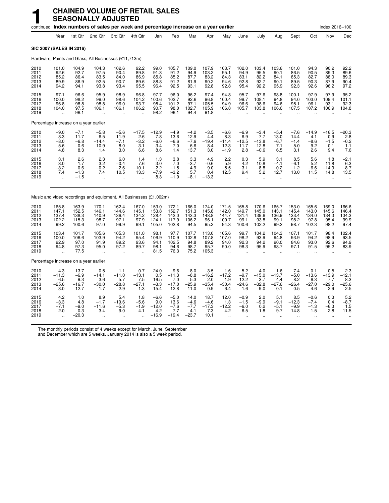|                                       |                                                             |                                                   | continued Index numbers of sales per week and percentage increase on a year earlier |                                                       |                                                       |                                                |                                                   |                                                  |                                            |                                                        |                                                      |                                               |                                                       |                                              |                                            | Index 2016=100                               |                                                  |
|---------------------------------------|-------------------------------------------------------------|---------------------------------------------------|-------------------------------------------------------------------------------------|-------------------------------------------------------|-------------------------------------------------------|------------------------------------------------|---------------------------------------------------|--------------------------------------------------|--------------------------------------------|--------------------------------------------------------|------------------------------------------------------|-----------------------------------------------|-------------------------------------------------------|----------------------------------------------|--------------------------------------------|----------------------------------------------|--------------------------------------------------|
|                                       | Year                                                        | 1st Qtr                                           | 2nd Qtr                                                                             | 3rd Qtr                                               | 4th Qtr                                               | Jan                                            | Feb                                               | Mar                                              | Apr                                        | May                                                    | June                                                 | July                                          | Aug                                                   | Sept                                         | Oct                                        | Nov                                          | Dec                                              |
| <b>SIC 2007 (SALES IN 2016)</b>       |                                                             |                                                   |                                                                                     |                                                       |                                                       |                                                |                                                   |                                                  |                                            |                                                        |                                                      |                                               |                                                       |                                              |                                            |                                              |                                                  |
|                                       |                                                             |                                                   | Hardware, Paints and Glass, All Businesses (£11,713m)                               |                                                       |                                                       |                                                |                                                   |                                                  |                                            |                                                        |                                                      |                                               |                                                       |                                              |                                            |                                              |                                                  |
| 2010<br>2011<br>2012<br>2013<br>2014  | 101.0<br>92.6<br>85.2<br>89.9<br>94.2                       | 104.9<br>92.7<br>86.4<br>86.9<br>94.1             | 104.3<br>97.5<br>83.5<br>92.5<br>93.8                                               | 102.6<br>90.4<br>84.0<br>90.7<br>93.4                 | 92.2<br>89.8<br>86.9<br>89.6<br>95.5                  | 99.0<br>91.3<br>85.8<br>88.8<br>96.4           | 105.7<br>91.2<br>85.2<br>91.2<br>92.5             | 109.0<br>94.9<br>87.7<br>81.9<br>93.1            | 107.9<br>103.2<br>83.2<br>90.2<br>92.8     | 103.7<br>95.1<br>84.3<br>94.6<br>92.8                  | 102.0<br>94.9<br>83.1<br>92.8<br>95.4                | 103.4<br>95.5<br>82.2<br>92.7<br>92.2         | 103.6<br>90.1<br>84.1<br>90.1<br>95.9                 | 101.0<br>86.5<br>85.3<br>89.5<br>92.3        | 94.3<br>90.5<br>82.7<br>90.3<br>92.6       | 90.2<br>89.3<br>88.0<br>87.9<br>96.2         | 92.2<br>89.6<br>89.3<br>90.4<br>97.2             |
| 2015<br>2016<br>2017<br>2018<br>2019  | 97.1<br>100.0<br>96.8<br>104.0                              | 96.6<br>98.2<br>98.8<br>97.5<br>96.1              | 95.9<br>99.0<br>98.8<br>106.1<br>$\ddot{\phantom{a}}$                               | 98.9<br>98.6<br>96.0<br>106.1<br>$\ddot{\phantom{a}}$ | 96.8<br>104.2<br>93.7<br>106.2                        | 97.7<br>100.6<br>98.4<br>90.7<br>98.2          | 96.0<br>102.7<br>101.2<br>98.0<br>96.1            | 96.2<br>92.6<br>97.1<br>102.7<br>94.4            | 97.4<br>96.8<br>105.5<br>105.9<br>91.8     | 94.8<br>100.4<br>94.9<br>106.8                         | 95.7<br>99.7<br>96.6<br>105.7                        | 97.6<br>108.1<br>98.6<br>103.8                | 98.8<br>94.8<br>94.6<br>106.6                         | 100.1<br>94.0<br>95.1<br>107.5               | 97.9<br>103.0<br>96.1<br>107.2             | 97.9<br>109.4<br>93.1<br>106.9               | 95.2<br>101.1<br>92.3<br>104.8                   |
| Percentage increase on a year earlier |                                                             |                                                   |                                                                                     |                                                       |                                                       |                                                |                                                   |                                                  |                                            |                                                        |                                                      |                                               |                                                       |                                              |                                            |                                              |                                                  |
| 2010<br>2011<br>2012<br>2013<br>2014  | $-9.0$<br>$-8.3$<br>$-8.0$<br>5.6<br>4.8                    | $-7.1$<br>$-11.7$<br>$-6.8$<br>0.6<br>8.3         | $-5.8$<br>$-6.5$<br>$-14.4$<br>10.9<br>1.4                                          | $-5.6$<br>$-11.9$<br>$-7.1$<br>8.0<br>3.0             | $-17.5$<br>$-2.6$<br>$-3.2$<br>3.1<br>6.6             | $-12.9$<br>$-7.8$<br>$-6.0$<br>3.4<br>8.6      | $-4.9$<br>$-13.6$<br>$-6.6$<br>7.0<br>1.4         | $-4.2$<br>$-12.9$<br>$-7.6$<br>$-6.6$<br>13.7    | $-3.5$<br>$-4.4$<br>$-19.4$<br>8.4<br>3.0  | $-6.6$<br>$-8.3$<br>$-11.4$<br>12.3<br>$-1.9$          | $-6.9$<br>$-6.9$<br>$-12.5$<br>11.7<br>2.8           | $-3.4$<br>$-7.7$<br>$-13.8$<br>12.8<br>$-0.6$ | $-5.4$<br>$-13.0$<br>$-6.7$<br>7.1<br>6.5             | $-7.6$<br>$-14.4$<br>$-1.4$<br>5.0<br>3.1    | $-14.9$<br>$-4.1$<br>$-8.6$<br>9.2<br>2.6  | $-16.5$<br>$-0.9$<br>$-1.5$<br>$-0.1$<br>9.4 | -20.3<br>$-2.8$<br>$-0.2$<br>$1.1$<br>7.6        |
| 2015<br>2016<br>2017<br>2018<br>2019  | 3.1<br>3.0<br>$-3.2$<br>7.4<br>$\ddot{\phantom{a}}$         | 2.6<br>1.7<br>0.6<br>$-1.3$<br>$-1.5$             | 2.3<br>3.2<br>$-0.2$<br>7.4<br>ä.                                                   | 6.0<br>$-0.4$<br>$-2.6$<br>10.5<br>÷.                 | 1.4<br>7.6<br>$-10.1$<br>13.3<br>$\ddot{\phantom{a}}$ | 1.3<br>3.0<br>$-2.2$<br>$-7.9$<br>8.3          | 3.8<br>7.0<br>$-1.5$<br>$-3.2$<br>$-1.9$          | 3.3<br>$-3.7$<br>4.9<br>5.7<br>$-8.1$            | 4.9<br>$-0.6$<br>9.0<br>0.4<br>$-13.3$     | $^{2.2}_{5.9}$<br>$-5.5$<br>12.5<br>ä.                 | 0.3<br>4.2<br>$-3.1$<br>9.4<br>$\ddot{\phantom{a}}$  | 5.9<br>10.8<br>$-8.8$<br>5.2<br>÷.            | 3.1<br>$-4.1$<br>$-0.2$<br>12.7<br>÷.                 | 8.5<br>$-6.1$<br>1.2<br>13.0<br>$\ddotsc$    | 5.6<br>5.2<br>$-6.6$<br>11.5<br>$\ddotsc$  | 1.8<br>11.8<br>$-14.9$<br>14.8<br>$\ddotsc$  | $-2.1$<br>6.3<br>$-8.7$<br>13.5                  |
|                                       |                                                             |                                                   | Music and video recordings and equipment, All Businesses (£1,002m)                  |                                                       |                                                       |                                                |                                                   |                                                  |                                            |                                                        |                                                      |                                               |                                                       |                                              |                                            |                                              |                                                  |
| 2010<br>2011<br>2012<br>2013<br>2014  | 165.8<br>147.1<br>137.4<br>102.2<br>99.2                    | 163.9<br>152.5<br>138.3<br>115.3<br>100.6         | 170.1<br>146.1<br>140.9<br>98.7<br>97.0                                             | 162.4<br>144.6<br>136.4<br>97.1<br>99.9               | 167.0<br>145.1<br>134.2<br>97.9<br>99.1               | 153.0<br>153.8<br>128.4<br>124.1<br>105.0      | 172.1<br>152.7<br>142.0<br>117.9<br>102.8         | 166.0<br>151.3<br>143.3<br>106.2<br>94.5         | 174.0<br>145.8<br>148.8<br>96.1<br>95.2    | 171.5<br>142.0<br>144.7<br>100.7<br>94.3               | 165.8<br>149.7<br>131.4<br>99.1<br>100.6             | 170.6<br>145.0<br>139.6<br>93.8<br>102.2      | 165.7<br>143.1<br>136.9<br>99.1<br>99.2               | 153.0<br>145.4<br>133.4<br>98.2<br>98.7      | 165.6<br>143.0<br>134.0<br>97.8<br>102.3   | 169.0<br>145.6<br>134.3<br>95.4<br>98.2      | 166.6<br>146.4<br>134.3<br>99.9<br>97.4          |
| 2015<br>2016<br>2017<br>2018<br>2019  | 103.4<br>100.0<br>92.9<br>94.8<br>$\ddot{\phantom{a}}$      | 101.7<br>106.6<br>97.0<br>97.3<br>77.5            | 105.6<br>103.9<br>91.9<br>95.0<br>$\ddot{\phantom{a}}$                              | 105.3<br>94.2<br>89.2<br>97.2<br>$\ddot{\phantom{a}}$ | 101.0<br>95.4<br>93.6<br>89.7                         | 98.1<br>106.9<br>94.1<br>98.1<br>81.5          | 97.7<br>110.9<br>102.5<br>94.6<br>76.3            | 107.7<br>102.8<br>94.8<br>98.7<br>75.2           | 113.0<br>107.8<br>89.2<br>95.7<br>105.3    | 105.6<br>107.0<br>94.0<br>90.0<br>$\ddot{\phantom{a}}$ | 99.7<br>98.2<br>92.3<br>98.3<br>$\ddot{\phantom{a}}$ | 104.2<br>93.9<br>94.2<br>95.9                 | 104.3<br>94.8<br>90.0<br>98.7<br>$\ddot{\phantom{a}}$ | 107.1<br>93.9<br>84.6<br>97.1                | 101.7<br>94.2<br>93.0<br>91.5              | 98.4<br>98.9<br>92.6<br>95.2                 | 102.4<br>93.5<br>94.9<br>83.9                    |
| Percentage increase on a year earlier |                                                             |                                                   |                                                                                     |                                                       |                                                       |                                                |                                                   |                                                  |                                            |                                                        |                                                      |                                               |                                                       |                                              |                                            |                                              |                                                  |
| 2010<br>2011<br>2012<br>2013<br>2014  | $-4.3$<br>$-11.3$<br>$-6.\overline{5}$<br>$-25.6$<br>$-3.0$ | $-13.7$<br>$-6.9$<br>$-9.3$<br>$-16.7$<br>$-12.7$ | $-0.5$<br>$-14.1$<br>$-3.6$<br>$-30.0$<br>$-1.7$                                    | $-1.1$<br>$-11.0$<br>$-5.7$<br>$-28.8$<br>2.9         | $-0.7$<br>$-13.1$<br>$-7.5$<br>$-27.1$<br>1.3         | $-24.0$<br>0.5<br>$-16.5$<br>$-3.3$<br>$-15.4$ | $-9.6$<br>$-11.3$<br>$-7.0$<br>$-17.0$<br>$-12.8$ | $-8.0$<br>$-8.8$<br>$-5.3$<br>$-25.9$<br>$-11.0$ | 3.5<br>$-16.2$<br>2.0<br>$-35.4$<br>$-0.9$ | 1.6<br>$-17.2$<br>1.9<br>$-30.4$<br>$-6.4$             | $-5.2$<br>$-9.7$<br>$-12.2$<br>$-24.6$<br>1.6        | 4.0<br>$-15.0$<br>$-3.7$<br>$-32.8$<br>9.0    | 1.6<br>$-13.7$<br>$-4.4$<br>$-27.6$<br>0.1            | $-7.4$<br>$-5.0$<br>$-8.2$<br>$-26.4$<br>0.5 | 0.1<br>$-13.6$<br>$-6.3$<br>$-27.0$<br>4.6 | 0.5<br>$-13.9$<br>$-7.7$<br>$-29.0$<br>2.9   | $-2.3$<br>$-12.1$<br>$-8.3$<br>$-25.6$<br>$-2.5$ |
| 2015<br>2016<br>2017<br>2018<br>2019  | 4.2<br>$-3.3$<br>$-7.1$<br>2.0                              | 1.0<br>4.8<br>$-9.0$<br>0.3<br>$-20.3$            | 8.9<br>$-1.7$<br>$-11.6$<br>3.4                                                     | 5.4<br>$-10.6$<br>$-5.3$<br>9.0                       | 1.8<br>$-5.6$<br>$-1.9$<br>$-4.1$                     | $-6.6$<br>9.0<br>$-12.0$<br>4.2<br>$-16.9$     | $-5.0$<br>13.6<br>$-7.6$<br>$-7.7$<br>$-19.4$     | 14.0<br>$-4.6$<br>$-7.7$<br>4.1<br>$-23.7$       | 18.7<br>$-4.6$<br>$-17.3$<br>7.3<br>10.1   | 12.0<br>1.3<br>$-12.2$<br>$-4.2$                       | $-0.9$<br>$-1.5$<br>$-6.0$<br>6.5                    | 2.0<br>$-9.9$<br>0.2<br>1.8                   | 5.1<br>$-9.1$<br>$-5.1$<br>9.7                        | 8.5<br>$-12.3$<br>$-9.9$<br>14.8             | $-0.6$<br>$-7.4$<br>$-1.3$<br>$-1.5$       | 0.3<br>0.4<br>$-6.3$<br>2.8                  | 5.2<br>$-8.7$<br>1.5<br>$-11.5$                  |

The monthly periods consist of 4 weeks except for March, June, September

and December which are 5 weeks. January 2014 is also a 5 week period.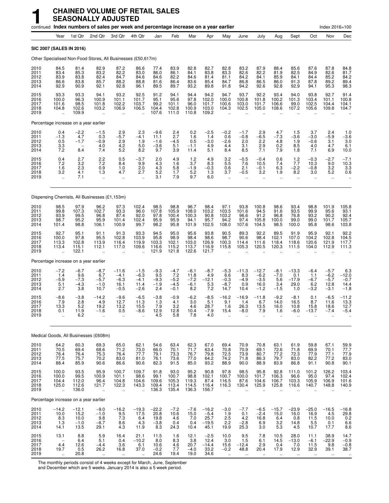|                                      |                                                                       |                                                            | continued Index numbers of sales per week and percentage increase on a year earlier |                                                          |                                                         |                                                     |                                             |                                           |                                              |                                                         |                                                          |                                                         |                                                       |                                                        |                                                        | Index 2016=100                                         |                                                                |
|--------------------------------------|-----------------------------------------------------------------------|------------------------------------------------------------|-------------------------------------------------------------------------------------|----------------------------------------------------------|---------------------------------------------------------|-----------------------------------------------------|---------------------------------------------|-------------------------------------------|----------------------------------------------|---------------------------------------------------------|----------------------------------------------------------|---------------------------------------------------------|-------------------------------------------------------|--------------------------------------------------------|--------------------------------------------------------|--------------------------------------------------------|----------------------------------------------------------------|
|                                      | Year                                                                  | 1st Qtr                                                    | 2nd Qtr                                                                             | 3rd Qtr                                                  | 4th Qtr                                                 | Jan                                                 | Feb                                         | Mar                                       | Apr                                          | May                                                     | June                                                     | July                                                    | Aug                                                   | Sept                                                   | Oct                                                    | Nov                                                    | Dec                                                            |
| SIC 2007 (SALES IN 2016)             |                                                                       |                                                            |                                                                                     |                                                          |                                                         |                                                     |                                             |                                           |                                              |                                                         |                                                          |                                                         |                                                       |                                                        |                                                        |                                                        |                                                                |
|                                      |                                                                       |                                                            | Other Specialised Non-Food Stores, All Businesses (£50,617m)                        |                                                          |                                                         |                                                     |                                             |                                           |                                              |                                                         |                                                          |                                                         |                                                       |                                                        |                                                        |                                                        |                                                                |
| 2010<br>2011<br>2012<br>2013<br>2014 | 84.5<br>83.4<br>83.9<br>86.6<br>92.9                                  | 81.4<br>85.3<br>83.8<br>83.8<br>90.9                       | 82.9<br>83.2<br>82.4<br>85.7<br>92.1                                                | 87.2<br>82.2<br>84.7<br>88.2<br>92.8                     | 86.6<br>83.0<br>84.6<br>88.8<br>96.1                    | 77.4<br>86.0<br>84.6<br>81.6<br>89.5                | 83.9<br>86.1<br>82.2<br>86.4<br>89.7        | 82.8<br>84.1<br>84.6<br>83.6<br>93.2      | 82.7<br>83.8<br>81.4<br>85.4<br>89.8         | 82.8<br>83.3<br>81.1<br>84.7<br>91.8                    | 83.2<br>82.6<br>84.2<br>86.8<br>94.2                     | 87.9<br>82.2<br>84.1<br>86.5<br>92.6                    | 88.4<br>81.9<br>85.9<br>86.0<br>92.8                  | 85.6<br>82.5<br>84.1<br>91.3<br>92.9                   | 87.6<br>84.9<br>84.4<br>87.8<br>94.1                   | 87.8<br>82.6<br>85.2<br>89.2<br>95.3                   | 84.8<br>81.7<br>84.2<br>89.4<br>98.3                           |
| 2015<br>2016<br>2017<br>2018<br>2019 | 93.3<br>100.0<br>101.6<br>104.8<br>$\ddotsc$                          | 93.3<br>96.3<br>98.5<br>102.6<br>109.9                     | 94.1<br>100.9<br>101.8<br>103.2<br>ä.                                               | 93.2<br>101.1<br>102.2<br>106.9                          | 92.5<br>101.7<br>103.7<br>106.5<br>$\ddot{\phantom{a}}$ | 91.2<br>95.1<br>99.2<br>104.4<br>107.6              | 94.1<br>95.6<br>101.1<br>102.8<br>111.0     | 94.4<br>97.8<br>96.0<br>100.9<br>110.8    | 94.2<br>102.0<br>101.7<br>103.0<br>109.2     | 94.7<br>100.0<br>100.6<br>104.3                         | 93.7<br>100.8<br>103.0<br>102.5                          | 92.2<br>101.8<br>101.7<br>105.0                         | 93.4<br>100.2<br>106.6<br>108.6                       | 94.0<br>101.3<br>99.0<br>107.2                         | 93.8<br>103.4<br>102.5<br>105.6                        | 92.7<br>101.1<br>104.4<br>109.8                        | 91.4<br>100.8<br>104.1<br>104.7                                |
|                                      |                                                                       | Percentage increase on a year earlier                      |                                                                                     |                                                          |                                                         |                                                     |                                             |                                           |                                              |                                                         |                                                          |                                                         |                                                       |                                                        |                                                        |                                                        |                                                                |
| 2010<br>2011<br>2012<br>2013<br>2014 | 0.4<br>$-1.3$<br>0.5<br>$\frac{3.3}{7.2}$                             | $-2.2$<br>4.7<br>$-1.7$<br>$\overline{\phantom{a}}$<br>8.4 | $-1.5$<br>0.3<br>$-0.9$<br>4.0<br>7.4                                               | $2.9 - 5.7$<br>2.9<br>$4.2$<br>5.2                       | 2.3<br>$-4.1$<br>1.9<br>5.0<br>8.2                      | $-9.6$<br>11.1<br>$-1.6$<br>$-3.6$<br>9.7           | 2.4<br>2.7<br>$-4.5$<br>5.1<br>3.9          | 0.2<br>1.6<br>0.5<br>$-1.1$<br>11.4       | $-2.5$<br>1.4<br>$-3.0$<br>4.9<br>5.1        | $-0.2$<br>0.6<br>$-2.6$<br>4.4<br>8.4                   | $-1.7$<br>$-0.8$<br>2.0<br>3.1<br>8.5                    | 2.9<br>$-6.5$<br>2.2<br>$^{2.9}_{7.1}$                  | 4.7<br>$-7.3$<br>4.8<br>0.2<br>7.9                    | 1.5<br>$-3.6$<br>1.9<br>8.5<br>1.8                     | 3.7<br>$-3.0$<br>$-0.6$<br>4.0<br>7.1                  | 2.4<br>$-5.9$<br>3.1<br>4.7<br>6.9                     | 1.0<br>$-3.6$<br>3.0<br>6.1<br>10.0                            |
| 2015<br>2016<br>2017<br>2018<br>2019 | 0.4<br>7.2<br>1.6<br>3.2<br>$\ddotsc$                                 | 2.7<br>3.2<br>2.3<br>4.1<br>7.1                            | 2.2<br>7.2<br>0.9<br>1.3<br>$\ddot{\phantom{a}}$                                    | 0.5<br>8.4<br>1.0<br>4.7<br>$\ddotsc$                    | $-3.7$<br>9.9<br>2.0<br>2.7<br>ă,                       | 2.0<br>4.3<br>4.3<br>5.2<br>3.1                     | 4.9<br>1.6<br>5.8<br>1.7<br>7.9             | 1.2<br>3.7<br>$-1.9$<br>5.2<br>9.7        | 4.9<br>8.3<br>$-0.3$<br>1.3<br>6.0           | 3.2<br>5.5<br>0.6<br>3.7<br>$\ddot{\phantom{1}}$        | $-0.5$<br>7.6<br>2.1<br>$-0.5$<br>$\ddot{\phantom{a}}$   | $-0.4$<br>10.5<br>$-0.1$<br>3.2<br>$\ddot{\phantom{a}}$ | 0.6<br>7.4<br>6.3<br>1.9<br>$\ddotsc$                 | $1.2$<br>7.7<br>$-2.2$<br>8.2<br>$\ddotsc$             | $-0.3$<br>10.3<br>$-0.8$<br>3.0<br>÷.                  | $-2.7$<br>9.0<br>3.2<br>5.2<br>$\mathbf{r}$            | $-7.1$<br>10.3<br>3.3<br>0.6                                   |
|                                      |                                                                       |                                                            | Dispensing Chemists, All Businesses (£1,153m)                                       |                                                          |                                                         |                                                     |                                             |                                           |                                              |                                                         |                                                          |                                                         |                                                       |                                                        |                                                        |                                                        |                                                                |
| 2010<br>2011<br>2012<br>2013<br>2014 | 98.5<br>99.8<br>93.9<br>98.7<br>101.4                                 | 97.9<br>107.3<br>99.5<br>95.2<br>98.8                      | 96.2<br>102.7<br>96.8<br>95.9<br>106.1                                              | 97.3<br>93.3<br>87.4<br>101.4<br>100.9                   | 102.4<br>96.0<br>92.0<br>102.4<br>99.7                  | 98.5<br>107.8<br>97.8<br>95.9<br>98.2               | 98.8<br>105.9<br>100.4<br>95.9<br>95.8      | 96.7<br>108.0<br>100.3<br>94.1<br>101.9   | 98.4<br>103.2<br>90.8<br>95.7<br>102.5       | 97.1<br>103.5<br>103.2<br>94.2<br>108.0                 | 93.8<br>101.6<br>96.6<br>97.4<br>107.6                   | 100.8<br>94.5<br>91.2<br>105.8<br>104.5                 | 98.6<br>91.6<br>96.8<br>100.0<br>98.5                 | 93.4<br>93.5<br>76.8<br>99.0<br>100.0                  | 98.8<br>99.9<br>93.2<br>99.0<br>95.8                   | 101.9<br>95.6<br>90.2<br>101.7<br>98.6                 | 105.8<br>93.1<br>92.4<br>105.7<br>103.8                        |
| 2015<br>2016<br>2017<br>2018<br>2019 | 92.7<br>100.0<br>113.3<br>113.4<br>$\ddotsc$                          | 95.1<br>97.8<br>102.8<br>115.1<br>122.1                    | 91.1<br>95.5<br>113.9<br>112.1                                                      | 91.3<br>102.8<br>116.4<br>117.0<br>$\ddot{\phantom{a}}$  | 93.3<br>103.9<br>119.9<br>109.6<br>ä,                   | 94.5<br>95.8<br>103.3<br>116.6<br>121.9             | 95.0<br>98.9<br>102.1<br>115.2<br>121.8     | 95.6<br>98.4<br>103.0<br>113.7<br>122.6   | 93.8<br>98.6<br>126.9<br>116.9<br>121.7      | 90.5<br>98.7<br>100.3<br>115.8<br>÷.                    | 89.3<br>90.6<br>114.4<br>105.3                           | 92.2<br>98.4<br>111.6<br>120.5                          | 89.5<br>102.1<br>118.4<br>120.3                       | 91.9<br>107.0<br>118.6<br>111.5                        | 95.9<br>104.2<br>120.6<br>104.0                        | 92.1<br>102.8<br>121.9<br>112.9                        | $\begin{array}{c} 92.2 \\ 104.5 \end{array}$<br>117.7<br>111.3 |
|                                      |                                                                       | Percentage increase on a year earlier                      |                                                                                     |                                                          |                                                         |                                                     |                                             |                                           |                                              |                                                         |                                                          |                                                         |                                                       |                                                        |                                                        |                                                        |                                                                |
| 2010<br>2011<br>2012<br>2013<br>2014 | $-7.2$<br>1.4<br>$-5.9$<br>5.1<br>2.7                                 | $-6.7$<br>$\frac{9.6}{-7.3}$<br>$-4.3$<br>3.8              | $-8.7$<br>6.7<br>$-5.7$<br>$-1.0$<br>10.7                                           | $-11.6$<br>$-4.1$<br>$-6.3$<br>16.1<br>$-0.5$            | $-1.5$<br>$-6.3$<br>$-4.1$<br>11.4<br>$-2.6$            | $-9.3$<br>9.5<br>$-9.3$<br>$-1.9$<br>2.4            | $-4.7$<br>7.2<br>$-5.2$<br>$-4.5$<br>$-0.1$ | $-6.1$<br>11.8<br>$-7.2$<br>$-6.1$<br>8.2 | $-8.7$<br>4.9<br>$-12.1$<br>5.3<br>7.2       | $-5.3$<br>6.6<br>$-0.3$<br>$-8.7$<br>14.7               | $-11.3$<br>8.3<br>$-4.9$<br>0.9<br>10.4                  | $-12.7$<br>$-6.2$<br>$-3.5$<br>16.0<br>$-1.2$           | $-8.1$<br>$-7.0$<br>5.6<br>3.4<br>$-1.5$              | $-13.3$<br>0.1<br>$-17.9$<br>29.0<br>1.0               | $-6.4$<br>1.1<br>$-6.7$<br>6.2<br>$-3.2$               | $-5.7$<br>$-6.2$<br>$-5.7$<br>12.8<br>$-3.1$           | 6.3<br>$-12.0$<br>$-0.7$<br>14.4<br>$-1.8$                     |
| 2015<br>2016<br>2017<br>2018<br>2019 | -8.6<br>7.9<br>13.3<br>0.1<br>$\ddot{\phantom{a}}$                    | $-3.8$<br>2.8<br>5.2<br>11.9<br>6.2                        | $-14.2$<br>4.9<br>19.2<br>$-1.6$<br>$\ddot{\phantom{a}}$                            | $-9.6$<br>12.7<br>13.2<br>0.5<br>$\ddotsc$               | $-6.5$<br>11.3<br>15.5<br>$-8.6$                        | $-3.8$<br>1.3<br>7.9<br>12.9<br>4.5                 | $-0.9$<br>4.1<br>3.2<br>12.8<br>5.8         | $-6.2$<br>3.0<br>4.6<br>10.4<br>7.8       | $-8.5$<br>5.1<br>28.7<br>$-7.9$<br>4.0       | $-16.2$<br>9.1<br>1.6<br>15.4<br>$\ddot{\phantom{a}}$   | $-16.9$<br>1.4<br>26.3<br>$-8.0$<br>$\ddot{\phantom{a}}$ | $-11.8$<br>6.7<br>13.5<br>7.9<br>$\ddot{\phantom{a}}$   | $-9.2$<br>14.0<br>16.0<br>1.6<br>$\ddot{\phantom{a}}$ | $-8.1$<br>16.5<br>10.8<br>-6.0                         | 0.1<br>8.7<br>15.8<br>$-13.7$                          | $-6.5$<br>11.6<br>18.6<br>$-7.4$<br>$\ddotsc$          | $-11.2$<br>13.3<br>12.7<br>-5.4                                |
|                                      |                                                                       |                                                            | Medical Goods, All Businesses (£608m)                                               |                                                          |                                                         |                                                     |                                             |                                           |                                              |                                                         |                                                          |                                                         |                                                       |                                                        |                                                        |                                                        |                                                                |
| 2010<br>2011<br>2012<br>2013<br>2014 | 64.2<br>70.5<br>76.4<br>77.5<br>88.4                                  | 60.3<br>69.4<br>76.4<br>75.7<br>85.9                       | 69.3<br>68.6<br>75.3<br>70.2<br>90.6                                                | 65.0<br>71.2<br>76.4<br>83.0<br>86.6                     | 62.1<br>73.0<br>77.7<br>81.0<br>90.6                    | 54.6<br>66.0<br>79.1<br>76.1<br>82.3                | 63.4<br>70.1<br>73.3<br>73.6<br>91.5        | 62.3<br>71.7<br>76.7<br>77.0<br>85.0      | 67.0<br>63.4<br>79.8<br>64.2<br>93.2         | 69.4<br>70.8<br>72.5<br>74.2<br>88.9                    | 70.9<br>70.9<br>73.9<br>71.8<br>90.0                     | 70.8<br>69.1<br>80.7<br>86.3<br>88.9                    | 63.1<br>72.6<br>77.2<br>79.7<br>83.9                  | 61.9<br>71.8<br>72.3<br>83.0<br>86.8                   | 59.8<br>69.9<br>77.9<br>82.2<br>91.1                   | 67.1<br>70.1<br>77.1<br>77.2<br>90.8                   | 59.9<br>77.7<br>77.9<br>83.0<br>90.1                           |
| 2015<br>2016<br>2017<br>2018<br>2019 | 100.0<br>100.0<br>104.4<br>125.0<br>$\ddot{\phantom{a}}$              | 93.5<br>99.5<br>112.0<br>112.6<br>136.0                    | 95.9<br>100.9<br>96.4<br>121.7<br>$\ddot{\phantom{a}}$                              | 100.7<br>101.1<br>104.8<br>122.3<br>$\ddot{\phantom{a}}$ | 109.7<br>98.6<br>104.6<br>143.3                         | 91.8<br>99.1<br>109.6<br>109.4<br>136.3             | 93.0<br>100.7<br>105.3<br>113.4<br>135.4    | 95.2<br>98.8<br>119.3<br>114.5<br>136.3   | 90.8<br>102.1<br>87.4<br>116.4<br>156.7      | 97.8<br>100.7<br>116.5<br>116.3<br>$\ddot{\phantom{a}}$ | 98.5<br>100.0<br>87.6<br>130.4                           | 95.8<br>101.7<br>104.6<br>125.9                         | 92.8<br>106.3<br>106.7<br>125.8                       | 111.0<br>96.6<br>103.3<br>116.6                        | 101.2<br>95.0<br>105.9<br>140.7                        | 126.2<br>97.4<br>106.9<br>148.8                        | 103.4<br>102.4<br>101.6<br>140.9                               |
|                                      |                                                                       | Percentage increase on a year earlier                      |                                                                                     |                                                          |                                                         |                                                     |                                             |                                           |                                              |                                                         |                                                          |                                                         |                                                       |                                                        |                                                        |                                                        |                                                                |
| 2010<br>2011<br>2012<br>2013<br>2014 | $-14.2$<br>10.0<br>$\begin{array}{c} 8.3 \\ 1.3 \end{array}$<br>14.1  | $-12.1$<br>15.2<br>10.0<br>$-1.0$<br>13.5                  | $-9.0$<br>$-1.0$<br>9.8<br>$-6.7$<br>29.1                                           | $-16.2$<br>9.5<br>7.3<br>$8.\overline{6}$<br>4.3         | $-19.3$<br>17.5<br>6.4<br>4.3<br>11.9                   | $-22.2$<br>20.8<br>19.8<br>$-3.\overline{8}$<br>8.3 | $-7.2$<br>10.6<br>4.6<br>0.4<br>24.3        | $-7.6$<br>15.0<br>7.0<br>0.4<br>10.4      | $-16.2$<br>$-5.4$<br>25.7<br>$-19.5$<br>45.1 | $-3.0$<br>1.9<br>$^{2.5}_{2.2}$<br>19.9                 | $-7.7$<br>0.1<br>4.2<br>$-2.\overline{8}$<br>25.3        | $-6.5$<br>$-2.4$<br>16.8<br>6.9<br>3.0                  | $-15.7$<br>15.0<br>$6.4$<br>$3.2$<br>5.3              | $-23.9$<br>16.0<br>0.8<br>14.8<br>4.5                  | $-25.0$<br>16.9<br>11.5<br>$5.\overline{5}$<br>10.7    | $-16.5$<br>4.5<br>10.0<br>0.1<br>17.7                  | $-16.8$<br>29.8<br>$0.2$<br>$6.6$<br>8.6                       |
| 2015<br>2016<br>2017<br>2018<br>2019 | 13.1<br>$\overline{\phantom{a}}$<br>4.4<br>19.7<br>$\bar{\mathbf{a}}$ | 8.8<br>6.4<br>12.6<br>0.5<br>20.8                          | 5.9<br>5.1<br>$-4.4$<br>26.2<br>à.                                                  | 16.4<br>0.4<br>3.6<br>16.8<br>$\ddotsc$                  | 21.1<br>$-10.2$<br>6.1<br>37.0<br>$\ddot{\phantom{a}}$  | 11.5<br>8.0<br>10.6<br>$-0.2$<br>24.6               | 1.6<br>8.3<br>$\frac{4.6}{7.7}$<br>19.4     | 12.1<br>3.8<br>20.7<br>$-4.0$<br>19.0     | $-2.5$<br>12.4<br>$-14.4$<br>33.2<br>34.6    | 10.0<br>3.0<br>15.6<br>$-0.2$<br>à.                     | 9.5<br>1.5<br>$-12.4$<br>48.8<br>$\ddot{\phantom{1}}$    | 7.8<br>6.1<br>2.9<br>20.4<br>$\ddot{\phantom{1}}$       | 10.5<br>14.5<br>0.4<br>17.9<br>$\ddot{\phantom{a}}$   | 28.0<br>$-13.0$<br>7.0<br>12.9<br>$\ddot{\phantom{1}}$ | 11.1<br>$-6.1$<br>11.5<br>32.9<br>$\ddot{\phantom{1}}$ | 38.9<br>$-22.9$<br>9.8<br>39.1<br>$\ddot{\phantom{a}}$ | 14.7<br>$-0.9$<br>$-0.8$<br>38.7<br>$\ddot{\phantom{1}}$       |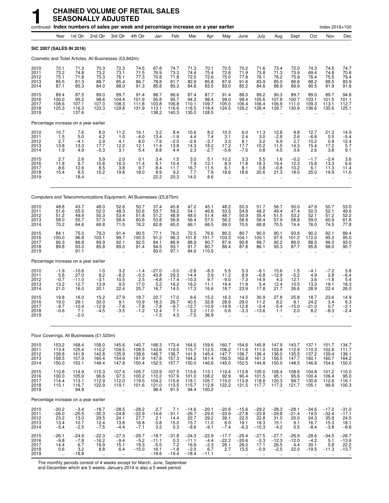|                                      |                                                       |                                             | continued Index numbers of sales per week and percentage increase on a year earlier |                                                         |                                                         |                                                 |                                            |                                               |                                               |                                                |                                                 |                                                    |                                                   |                                                           |                                                   | Index 2016=100                                |                                              |
|--------------------------------------|-------------------------------------------------------|---------------------------------------------|-------------------------------------------------------------------------------------|---------------------------------------------------------|---------------------------------------------------------|-------------------------------------------------|--------------------------------------------|-----------------------------------------------|-----------------------------------------------|------------------------------------------------|-------------------------------------------------|----------------------------------------------------|---------------------------------------------------|-----------------------------------------------------------|---------------------------------------------------|-----------------------------------------------|----------------------------------------------|
|                                      | Year                                                  | 1st Qtr                                     | 2nd Qtr                                                                             | 3rd Qtr                                                 | 4th Qtr                                                 | Jan                                             | Feb                                        | Mar                                           | Apr                                           | May                                            | June                                            | July                                               | Aug                                               | Sept                                                      | Oct                                               | Nov                                           | Dec                                          |
| SIC 2007 (SALES IN 2016)             |                                                       |                                             |                                                                                     |                                                         |                                                         |                                                 |                                            |                                               |                                               |                                                |                                                 |                                                    |                                                   |                                                           |                                                   |                                               |                                              |
|                                      |                                                       |                                             | Cosmetic and Toilet Articles, All Businesses (£3,842m)                              |                                                         |                                                         |                                                 |                                            |                                               |                                               |                                                |                                                 |                                                    |                                                   |                                                           |                                                   |                                               |                                              |
| 2010<br>2011<br>2012<br>2013<br>2014 | 72.1<br>73.2<br>75.1<br>85.5<br>87.1                  | 71.3<br>74.8<br>71.8<br>81.3<br>85.3        | 70.3<br>73.2<br>75.3<br>88.7<br>84.0                                                | 72.3<br>73.1<br>76.1<br>85.4<br>88.0                    | 74.5<br>71.5<br>77.3<br>86.7<br>91.3                    | 67.8<br>76.9<br>70.8<br>78.8<br>85.8            | 74.7<br>73.3<br>71.8<br>81.7<br>85.3       | 71.3<br>74.4<br>72.5<br>82.9<br>84.8          | 70.1<br>75.4<br>72.6<br>85.8<br>83.5          | 70.5<br>72.6<br>75.0<br>87.9<br>83.0           | 70.2<br>71.9<br>77.8<br>91.6<br>85.2            | 71.6<br>73.8<br>76.1<br>83.9<br>84.6               | 73.4<br>71.3<br>76.2<br>85.0<br>88.9              | 72.0<br>73.9<br>75.9<br>86.8<br>89.9                      | 74.3<br>69.4<br>76.4<br>88.2<br>90.5              | 74.5<br>74.8<br>75.5<br>88.5<br>91.9          | 74.7<br>70.6<br>79.4<br>83.9<br>91.6         |
| 2015<br>2016<br>2017<br>2018<br>2019 | 89.4<br>100.0<br>108.6<br>125.3                       | 87.5<br>95.2<br>107.1<br>116.3<br>137.6     | 89.0<br>98.6<br>107.0<br>123.3<br>$\ddot{\phantom{a}}$                              | 89.7<br>104.4<br>108.3<br>129.8<br>ä,                   | 91.4<br>101.9<br>111.8<br>131.9<br>$\ddot{\phantom{a}}$ | 88.7<br>95.8<br>103.8<br>113.1<br>138.2         | 86.6<br>95.7<br>106.8<br>116.6<br>140.3    | 87.4<br>94.3<br>110.1<br>118.5<br>135.0       | 87.7<br>98.4<br>109.7<br>118.4<br>128.5       | 91.4<br>99.0<br>105.0<br>124.5                 | 88.0<br>98.4<br>106.4<br>126.2                  | 89.2<br>105.6<br>106.4<br>128.4                    | 90.3<br>107.8<br>106.9<br>129.7                   | 89.7<br>100.7<br>111.0<br>130.9                           | 89.0<br>103.1<br>109.3<br>136.6                   | 89.7<br>101.5<br>113.1<br>135.6               | 94.8<br>101.1<br>112.7<br>125.1              |
|                                      |                                                       | Percentage increase on a year earlier       |                                                                                     |                                                         |                                                         |                                                 |                                            |                                               |                                               |                                                |                                                 |                                                    |                                                   |                                                           |                                                   |                                               |                                              |
| 2010<br>2011<br>2012<br>2013<br>2014 | 10.7<br>1.5<br>2.7<br>13.8<br>1.9                     | 7.6<br>5.0<br>$-4.1$<br>13.3<br>4.9         | 8.0<br>4.2<br>2.9<br>17.7<br>$-5.3$                                                 | 11.2<br>1.0<br>4.1<br>12.2<br>3.1                       | 16.1<br>$-4.0$<br>8.0<br>12.1<br>5.4                    | 3.2<br>13.4<br>$-7.9$<br>11.4<br>8.8            | 8.4<br>$-1.9$<br>$-2.0$<br>13.8<br>4.4     | 10.6<br>4.4<br>$-2.6$<br>14.3<br>2.3          | 8.2<br>7.4<br>$-3.7$<br>18.2<br>$-2.7$        | 10.3<br>3.1<br>3.3<br>17.2<br>$-5.6$           | 6.0<br>2.4<br>8.1<br>17.7<br>$-7.0$             | 11.3<br>3.0<br>3.2<br>10.2<br>0.8                  | 12.8<br>$-2.8$<br>6.9<br>11.5<br>4.5              | 9.8<br>2.6<br>2.7<br>14.3<br>3.6                          | 12.7<br>$-6.6$<br>10.2<br>15.4<br>2.6             | 21.3<br>0.5<br>0.8<br>17.2<br>3.8             | 14.9<br>$-5.4$<br>12.4<br>5.7<br>9.1         |
| 2015<br>2016<br>2017<br>2018<br>2019 | 2.7<br>11.8<br>8.6<br>15.4<br>$\ddot{\phantom{a}}$    | 2.6<br>8.7<br>12.6<br>8.5<br>18.4           | 5.9<br>10.8<br>8.5<br>15.2<br>$\ddot{\phantom{1}}$                                  | 2.0<br>16.3<br>3.8<br>19.8<br>ä,                        | 0.1<br>11.4<br>9.7<br>18.0                              | 3.4<br>8.1<br>8.4<br>8.9<br>22.2                | 1.5<br>10.4<br>11.7<br>9.2<br>20.3         | 3.0<br>7.9<br>16.7<br>7.7<br>14.0             | 5.1<br>12.1<br>11.5<br>7.9<br>8.6             | 10.2<br>8.3<br>6.1<br>18.6<br>$\ddotsc$        | 3.3<br>11.8<br>8.1<br>18.6                      | 5.5<br>18.3<br>0.8<br>20.6<br>$\ddot{\phantom{a}}$ | 1.6<br>19.4<br>$-0.8$<br>21.3<br>$\ddotsc$        | $-0.2$<br>12.3<br>10.2<br>18.0<br>$\ddotsc$               | $-1.7$<br>15.8<br>6.1<br>25.0<br>$\ddotsc$        | $-2.4$<br>13.3<br>11.3<br>19.9<br>$\ddotsc$   | 3.6<br>6.6<br>11.4<br>11.0                   |
|                                      |                                                       |                                             | Computers and Telecommunications Equipment, All Businesses (£5,675m)                |                                                         |                                                         |                                                 |                                            |                                               |                                               |                                                |                                                 |                                                    |                                                   |                                                           |                                                   |                                               |                                              |
| 2010<br>2011<br>2012<br>2013<br>2014 | 48.8<br>51.6<br>51.2<br>58.0<br>70.2                  | 43.7<br>55.5<br>49.4<br>55.7<br>64.6        | 48.0<br>52.0<br>50.3<br>57.3<br>68.8                                                | 52.6<br>48.3<br>53.4<br>58.4<br>71.5                    | 50.7<br>50.6<br>51.8<br>60.6<br>76.2                    | 37.4<br>53.7<br>51.2<br>53.8<br>62.8            | 45.8<br>59.2<br>48.9<br>56.8<br>65.0       | 47.2<br>54.1<br>48.5<br>56.4<br>66.1          | 45.1<br>46.8<br>51.4<br>57.0<br>66.5          | 48.2<br>53.5<br>48.7<br>58.2<br>69.0           | 50.3<br>54.8<br>50.9<br>56.9<br>70.5            | 51.7<br>48.2<br>55.4<br>58.4<br>68.8               | 56.7<br>49.4<br>51.5<br>57.9<br>70.5              | 50.0<br>47.4<br>53.2<br>58.8<br>74.4                      | 47.9<br>50.3<br>52.1<br>59.0<br>76.0              | 50.7<br>52.1<br>51.2<br>60.9<br>74.5          | 53.0<br>49.6<br>52.2<br>61.8<br>77.8         |
| 2015<br>2016<br>2017<br>2018<br>2019 | 84.1<br>100.0<br>90.3<br>89.8<br>$\ddot{\phantom{a}}$ | 75.0<br>96.8<br>86.8<br>93.0<br>91.1        | 79.3<br>103.1<br>89.9<br>85.8                                                       | 91.4<br>99.7<br>92.1<br>89.0<br>$\ddotsc$               | 90.5<br>100.3<br>92.5<br>91.4                           | 77.1<br>91.2<br>84.1<br>94.5<br>93.0            | 76.0<br>96.3<br>86.9<br>93.1<br>97.1       | 72.5<br>101.8<br>88.9<br>91.7<br>84.9         | 76.6<br>101.7<br>90.7<br>80.7<br>110.5        | 80.3<br>103.3<br>87.9<br>88.4                  | 80.7<br>104.1<br>90.8<br>87.8                   | 90.0<br>100.1<br>99.7<br>86.1                      | 90.1<br>97.5<br>92.2<br>93.3                      | 93.6<br>101.2<br>86.0<br>87.7                             | 90.2<br>112.0<br>88.5<br>95.8                     | 92.1<br>95.3<br>96.0<br>88.0                  | 89.4<br>95.0<br>93.0<br>90.7                 |
|                                      |                                                       | Percentage increase on a year earlier       |                                                                                     |                                                         |                                                         |                                                 |                                            |                                               |                                               |                                                |                                                 |                                                    |                                                   |                                                           |                                                   |                                               |                                              |
| 2010<br>2011<br>2012<br>2013<br>2014 | $-1.9$<br>5.8<br>$-0.7$<br>13.2<br>21.0               | $-10.6$<br>27.0<br>$-11.0$<br>12.7<br>16.0  | 1.0<br>8.2<br>$-3.1$<br>13.9<br>20.1                                                | $3.2 - 8.2$<br>10.5<br>9.5<br>22.4                      | $-1.4$<br>$-0.3$<br>2.5<br>17.0<br>25.7                 | $-27.0$<br>43.8<br>$-4.8$<br>5.2<br>16.7        | $-3.0$<br>29.3<br>$-17.4$<br>16.2<br>14.5  | $-2.8$<br>14.4<br>$-10.3$<br>16.2<br>17.3     | $-8.3$<br>3.9<br>9.7<br>11.1<br>16.6          | 5.5<br>11.2<br>$-9.0$<br>19.4<br>18.7          | 5.3<br>8.9<br>$-7.3$<br>11.9<br>23.9            | $-6.1$<br>$-6.8$<br>14.9<br>5.4<br>17.8            | 15.6<br>$-12.9$<br>4.3<br>12.4<br>21.7            | $1.5 - 5.2$<br>12.1<br>10.5<br>26.6                       | $-4.1$<br>4.9<br>3.6<br>13.3<br>28.9              | $-7.2$<br>2.8<br>$-1.8$<br>19.1<br>22.4       | $5.8 - 6.4$<br>5.4<br>18.3<br>26.0           |
| 2015<br>2016<br>2017<br>2018<br>2019 | 19.8<br>19.0<br>$-9.7$<br>$-0.6$<br>$\ddotsc$         | 16.0<br>29.1<br>$-10.4$<br>7.1<br>$-2.0$    | 15.2<br>30.0<br>$-12.9$<br>-4.5<br>$\ddotsc$                                        | 27.9<br>9.1<br>$-7.6$<br>$-3.5$<br>÷.                   | 18.7<br>10.9<br>$-7.8$<br>$-1.2$                        | 22.7<br>18.3<br>$-7.8$<br>12.4<br>$-1.5$        | 17.0<br>26.7<br>$-9.7$<br>7.1<br>4.3       | 9.6<br>40.5<br>$-12.7$<br>3.2<br>$-7.5$       | 15.2<br>32.8<br>$-10.9$<br>$-11.0$<br>36.9    | 16.3<br>28.6<br>$-14.9$<br>0.6                 | 14.5<br>29.0<br>$-12.8$<br>$-3.3$               | 30.9<br>11.2<br>$-0.4$<br>$-13.6$                  | 27.8<br>$8.2 - 5.4$<br>1.1<br>$\ddotsc$           | 25.8<br>8.1<br>$-15.0$<br>2.0<br>$\ddotsc$                | 18.7<br>24.2<br>$-21.0$<br>8.2<br>$\ddotsc$       | 23.6<br>3.4<br>0.7<br>$-8.3$                  | 14.9<br>6.3<br>$-2.1$<br>$-2.4$              |
|                                      |                                                       |                                             | Floor Coverings, All Businesses (£1,520m)                                           |                                                         |                                                         |                                                 |                                            |                                               |                                               |                                                |                                                 |                                                    |                                                   |                                                           |                                                   |                                               |                                              |
| 2010<br>2011<br>2012<br>2013<br>2014 | 153.2<br>113.4<br>139.8<br>158.5<br>150.0             | 168.4<br>125.4<br>141.8<br>157.0<br>153.1   | 158.0<br>110.2<br>142.8<br>160.4<br>148.4                                           | 145.6<br>109.5<br>135.9<br>154.6<br>147.8               | 140.7<br>108.5<br>138.6<br>161.9<br>150.4               | 168.3<br>143.6<br>146.7<br>147.8<br>152.5       | 173.4<br>119.5<br>136.7<br>157.3<br>157.7  | 164.5<br>115.7<br>141.9<br>164.2<br>150.0     | 159.6<br>112.5<br>145.4<br>161.4<br>146.6     | 160.7<br>106.2<br>147.7<br>156.5<br>145.0      | 154.6<br>111.6<br>136.7<br>162.8<br>152.5       | 145.8<br>111.0<br>136.4<br>161.3<br>144.8          | 147.9<br>103.8<br>136.0<br>156.5<br>150.0         | 143.7<br>112.9<br>135.5<br>147.7<br>148.5                 | 137.1<br>110.3<br>137.2<br>160.1<br>146.8         | 151.7<br>102.6<br>139.4<br>160.7<br>154.6     | 134.7<br>111.7<br>139.1<br>164.2<br>150.0    |
| 2015<br>2016<br>2017<br>2018<br>2019 | 110.8<br>100.0<br>114.4<br>115.1                      | 114.9<br>105.9<br>113.1<br>116.7<br>94.8    | 115.3<br>96.6<br>112.9<br>122.9<br>$\ddot{\phantom{1}}$                             | 107.4<br>97.3<br>112.0<br>119.1<br>$\ddot{\phantom{a}}$ | 105.7<br>100.2<br>119.5<br>101.6                        | 123.9<br>110.2<br>104.2<br>121.0<br>98.4        | 107.5<br>107.9<br>115.6<br>113.5<br>91.5   | 113.6<br>101.0<br>118.1<br>115.7<br>94.4      | 113.1<br>108.2<br>105.7<br>112.8<br>100.2     | 119.4<br>92.9<br>119.0<br>122.2<br>$\ddotsc$   | 113.8<br>90.4<br>113.9<br>131.5                 | 105.0<br>101.5<br>118.8<br>117.7                   | 108.4<br>95.1<br>120.3<br>117.3<br>$\ddotsc$      | 108.6<br>95.6<br>99.7<br>121.7<br>$\ddotsc$               | 104.8<br>100.4<br>130.6<br>105.1<br>$\ddotsc$     | 101.2<br>106.4<br>112.6<br>99.9               | 110.0<br>95.0<br>116.1<br>100.3              |
|                                      |                                                       | Percentage increase on a year earlier       |                                                                                     |                                                         |                                                         |                                                 |                                            |                                               |                                               |                                                |                                                 |                                                    |                                                   |                                                           |                                                   |                                               |                                              |
| 2010<br>2011<br>2012<br>2013<br>2014 | $-20.2$<br>$-26.0$<br>23.2<br>13.4<br>$-5.4$          | $-3.4$<br>$-25.5$<br>13.0<br>10.7<br>$-2.5$ | $-18.7$<br>$-30.3$<br>29.5<br>12.4<br>$-7.5$                                        | $-28.5$<br>$-24.8$<br>24.1<br>13.8<br>$-4.4$            | $-28.2$<br>$-22.9$<br>27.7<br>16.8<br>$-7.1$            | 2.7<br>$-14.6$<br>2.1<br>0.8<br>3.2             | 7.1<br>$-31.1$<br>14.4<br>15.0<br>0.3      | $-14.6$<br>$-29.7$<br>22.7<br>15.7<br>$-8.6$  | $-20.1$<br>$-29.5$<br>29.2<br>11.0<br>$-9.1$  | $-20.6$<br>$-33.9$<br>39.1<br>6.0<br>$-7.4$    | $-15.6$<br>$-27.8$<br>22.5<br>19.1<br>$-6.3$    | $-29.2$<br>$-23.8$<br>22.8<br>18.3<br>$-10.3$      | $-28.3$<br>$-29.8$<br>31.0<br>15.1<br>$-4.2$      | $-28.1$<br>$-21.4$<br>20.0<br>9.1<br>0.5                  | $-34.6$<br>$-19.5$<br>24.3<br>16.7<br>$-8.4$      | $-17.2$<br>$-32.4$<br>35.8<br>15.3<br>$-3.8$  | $-31.0$<br>$-17.1$<br>24.5<br>18.1<br>$-8.6$ |
| 2015<br>2016<br>2017<br>2018<br>2019 | $-26.1$<br>$-9.8$<br>14.4<br>0.6<br>$\mathbf{r}$ .    | $-24.9$<br>$-7.8$<br>6.7<br>3.2<br>$-18.8$  | $-22.3$<br>$-16.2$<br>16.9<br>8.8<br>$\ldots$                                       | $-27.3$<br>$-9.4$<br>15.1<br>6.4<br>$\ddotsc$           | $-29.7$<br>$-5.2$<br>19.3<br>$-15.0$                    | $-18.7$<br>$-11.1$<br>$-5.5$<br>16.1<br>$-18.6$ | $-31.8$<br>0.3<br>7.2<br>$-1.8$<br>$-19.4$ | $-24.3$<br>$-11.1$<br>$16.9 - 2.0$<br>$-18.4$ | $-22.9$<br>$-4.4$<br>$-2.3$<br>6.7<br>$-11.1$ | $-17.7$<br>$-22.2$<br>28.1<br>2.7<br>$\ddotsc$ | $-25.4$<br>$-20.6$<br>26.0<br>15.5<br>$\ddotsc$ | $-27.5$<br>$-3.3$<br>17.1<br>$-0.9$<br>$\ddotsc$   | $-27.7$<br>$-12.3$<br>26.5<br>$-2.5$<br>$\cdot$ . | $-26.9$<br>$-12.0$<br>4.4<br>22.0<br>$\ddot{\phantom{a}}$ | $-28.6$<br>$-4.2$<br>30.1<br>$-19.5$<br>$\ddotsc$ | $-34.5$<br>5.1<br>5.8<br>$-11.3$<br>$\ddotsc$ | $-26.7$<br>$-13.6$<br>22.2<br>$-13.7$        |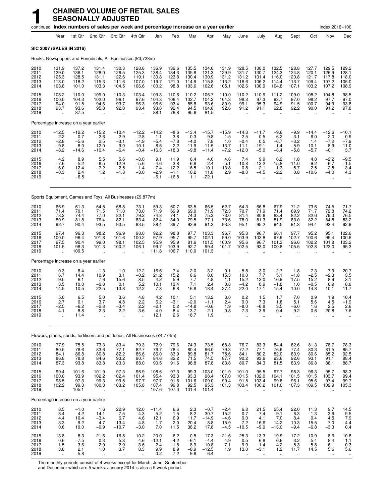|                                      |                                                        |                                                                 | continued Index numbers of sales per week and percentage increase on a year earlier |                                                 |                                                   |                                               |                                                 |                                               |                                                |                                                         |                                                     |                                                      |                                                     |                                                     |                                                  | Index 2016=100                                  |                                               |
|--------------------------------------|--------------------------------------------------------|-----------------------------------------------------------------|-------------------------------------------------------------------------------------|-------------------------------------------------|---------------------------------------------------|-----------------------------------------------|-------------------------------------------------|-----------------------------------------------|------------------------------------------------|---------------------------------------------------------|-----------------------------------------------------|------------------------------------------------------|-----------------------------------------------------|-----------------------------------------------------|--------------------------------------------------|-------------------------------------------------|-----------------------------------------------|
|                                      | Year                                                   | 1st Qtr                                                         | 2nd Qtr                                                                             | 3rd Qtr                                         | 4th Qtr                                           | Jan                                           | Feb                                             | Mar                                           | Apr                                            | May                                                     | June                                                | July                                                 | Aug                                                 | Sept                                                | Oct                                              | Nov                                             | Dec                                           |
| SIC 2007 (SALES IN 2016)             |                                                        |                                                                 |                                                                                     |                                                 |                                                   |                                               |                                                 |                                               |                                                |                                                         |                                                     |                                                      |                                                     |                                                     |                                                  |                                                 |                                               |
|                                      |                                                        |                                                                 | Books, Newspapers and Periodicals, All Businesses (£3,723m)                         |                                                 |                                                   |                                               |                                                 |                                               |                                                |                                                         |                                                     |                                                      |                                                     |                                                     |                                                  |                                                 |                                               |
| 2010<br>2011<br>2012<br>2013<br>2014 | 131.9<br>129.0<br>125.3<br>113.0<br>103.8              | 137.2<br>136.1<br>128.5<br>118.2<br>101.0                       | 131.4<br>128.0<br>131.1<br>115.3<br>103.3                                           | 130.3<br>126.5<br>122.6<br>111.6<br>104.5       | 128.8<br>125.3<br>119.1<br>107.0<br>106.6         | 136.9<br>138.4<br>130.8<br>119.7<br>100.2     | 139.6<br>134.3<br>123.8<br>121.0<br>98.8        | 135.5<br>135.8<br>130.4<br>114.9<br>103.6     | 134.6<br>121.3<br>130.9<br>115.8<br>102.6      | 131.9<br>129.9<br>131.2<br>113.2<br>105.1               | 128.5<br>131.7<br>131.2<br>116.6<br>102.6           | 130.0<br>130.7<br>131.4<br>106.2<br>100.9            | 132.5<br>124.3<br>116.0<br>114.4<br>104.8           | 128.8<br>124.8<br>120.8<br>113.7<br>107.1           | 127.7<br>120.1<br>121.7<br>109.4<br>103.2        | 129.5<br>126.9<br>117.8<br>107.2<br>107.2       | 129.2<br>128.1<br>118.0<br>105.0<br>108.9     |
| 2015<br>2016<br>2017<br>2018<br>2019 | 108.2<br>100.0<br>94.0<br>93.7<br>$\ddot{\phantom{a}}$ | 110.0<br>104.3<br>91.5<br>93.6<br>87.5                          | 109.0<br>102.0<br>94.6<br>95.8<br>$\ddot{\phantom{a}}$                              | 110.3<br>96.1<br>93.7<br>92.0<br>÷.             | 103.4<br>97.6<br>96.3<br>93.4                     | 109.3<br>104.3<br>96.6<br>93.8<br>88.1        | 110.6<br>106.4<br>93.4<br>92.4<br>76.8          | 110.2<br>102.7<br>85.8<br>94.5<br>95.6        | 106.7<br>104.2<br>93.6<br>104.6<br>81.5        | 110.0<br>104.3<br>89.9<br>92.6                          | 110.2<br>98.3<br>99.1<br>91.2                       | 110.9<br>97.3<br>95.3<br>91.1                        | 111.2<br>93.7<br>94.9<br>92.8                       | 109.0<br>97.0<br>91.5<br>92.2                       | 108.2<br>98.2<br>100.7<br>90.0                   | 104.8<br>97.7<br>94.9<br>91.2                   | 98.5<br>97.0<br>93.8<br>97.8                  |
|                                      |                                                        | Percentage increase on a year earlier                           |                                                                                     |                                                 |                                                   |                                               |                                                 |                                               |                                                |                                                         |                                                     |                                                      |                                                     |                                                     |                                                  |                                                 |                                               |
| 2010<br>2011<br>2012<br>2013<br>2014 | $-12.5$<br>$-2.2$<br>$-2.8$<br>$-9.8$<br>$-8.2$        | $-12.2$<br>$-0.7$<br>$-5.6$<br>$-8.0$<br>-14.6                  | $-15.2$<br>$-2.6$<br>2.5<br>$-12.0$<br>$-10.4$                                      | $-10.4$<br>$-2.9$<br>$-3.1$<br>$-9.0$<br>$-6.4$ | $-12.2$<br>$-2.8$<br>$-4.9$<br>$-10.1$<br>$-0.4$  | $-14.2$<br>1.1<br>$-5.4$<br>$-8.5$<br>$-16.3$ | $-8.6$<br>$-3.8$<br>$-7.8$<br>$-2.2$<br>$-18.3$ | $-13.4$<br>0.3<br>$-4.0$<br>$-11.9$<br>$-9.8$ | $-15.7$<br>$-9.8$<br>7.8<br>$-11.5$<br>$-11.4$ | $-15.9$<br>$-1.5$<br>1.0<br>$-13.7$<br>$-7.2$           | $-14.3$<br>2.5<br>$-0.4$<br>$-11.1$<br>$-12.0$      | $-11.7$<br>0.5<br>0.5<br>$-19.1$<br>$-5.0$           | $-9.6$<br>$-6.2$<br>$-6.7$<br>$-1.4$<br>$-8.4$      | $-9.9$<br>$-3.1$<br>$-3.2$<br>$-5.9$<br>$-5.8$      | $-14.4$<br>$-6.0$<br>1.4<br>$-10.1$<br>$-5.7$    | $-12.6$<br>$-2.0$<br>$-7.2$<br>$-8.9$<br>$-0.1$ | $-10.1$<br>$-0.9$<br>$-7.9$<br>$-11.0$<br>3.7 |
| 2015<br>2016<br>2017<br>2018<br>2019 | 4.2<br>$-7.6$<br>$-6.0$<br>$-0.3$<br>ä.                | 8.9<br>$-\overline{5}.\overline{2}$<br>$-12.4$<br>2.4<br>$-6.5$ | 5.5<br>$-6.5$<br>$-7.2$<br>$1.2$<br>ä,                                              | 5.6<br>–12.9<br>$-2.5$<br>$-1.8$<br>÷.          | $-3.0$<br>$-5.6$<br>$-1.4$<br>$-3.0$<br>$\ddotsc$ | 9.1<br>$-4.6$<br>$-7.4$<br>$-2.9$<br>$-6.1$   | 11.9<br>$-3.8$<br>$-12.2$<br>$-1.1$<br>$-16.8$  | 6.4<br>$-6.8$<br>$-16.5$<br>10.2<br>1.1       | 4.0<br>$-2.4$<br>$-10.1$<br>11.8<br>$-22.1$    | 4.6<br>$-5.1$<br>$-13.8$<br>2.9<br>$\ddot{\phantom{a}}$ | 7.4<br>$-10.8$<br>0.8<br>$-8.0$                     | 9.9<br>$-12.2$<br>$-2.1$<br>$-4.5$                   | 6.2<br>$-15.8$<br>1.3<br>$-2.2$                     | 1.8<br>$-11.0$<br>$-5.7$<br>0.8                     | 4.8<br>$-9.2$<br>2.5<br>$-10.6$                  | $-2.2$<br>$-6.7$<br>$-2.8$<br>$-4.0$<br>÷.      | $-9.5 - 1.5$<br>$-3.4$<br>4.3                 |
|                                      |                                                        |                                                                 | Sports Equipment, Games and Toys, All Businesses (£9,877m)                          |                                                 |                                                   |                                               |                                                 |                                               |                                                |                                                         |                                                     |                                                      |                                                     |                                                     |                                                  |                                                 |                                               |
| 2010<br>2011<br>2012<br>2013<br>2014 | 66.9<br>71.4<br>78.2<br>80.9<br>92.7                   | 61.3<br>70.1<br>74.4<br>81.8<br>90.4                            | 64.5<br>71.5<br>77.0<br>76.4<br>93.5                                                | 68.8<br>71.0<br>82.1<br>82.1<br>93.5            | 73.1<br>73.0<br>79.2<br>83.4<br>93.5              | 59.3<br>71.9<br>74.8<br>82.4<br>88.4          | 60.7<br>69.9<br>74.1<br>84.0<br>89.7            | 63.5<br>69.0<br>74.3<br>79.5<br>92.9          | 66.5<br>71.9<br>75.3<br>77.1<br>91.3           | 62.7<br>72.3<br>73.0<br>73.6<br>93.8                    | 64.3<br>70.7<br>81.4<br>78.0<br>95.1                | 66.8<br>71.9<br>80.6<br>81.3<br>95.2                 | 67.9<br>71.4<br>83.4<br>81.9<br>94.5                | 71.2<br>69.9<br>82.2<br>83.0<br>91.3                | 73.6<br>71.7<br>82.6<br>82.2<br>94.4             | 74.5<br>72.8<br>79.3<br>84.8<br>93.4            | 71.7<br>74.2<br>76.5<br>83.2<br>92.9          |
| 2015<br>2016<br>2017<br>2018<br>2019 | 97.4<br>100.0<br>97.5<br>101.5<br>$\ddot{\phantom{a}}$ | 96.3<br>96.4<br>90.4<br>98.3<br>109.5                           | 98.2<br>101.8<br>99.0<br>101.3                                                      | 96.9<br>101.6<br>98.1<br>100.2<br>÷.            | 98.0<br>100.2<br>102.5<br>106.1                   | 92.2<br>97.9<br>95.9<br>99.7<br>111.8         | 98.8<br>95.7<br>95.9<br>103.9<br>106.7          | 97.7<br>95.7<br>81.6<br>92.7<br>110.0         | 103.3<br>102.1<br>101.5<br>99.4<br>101.3       | 96.7<br>99.0<br>100.9<br>101.7                          | 95.3<br>103.9<br>95.6<br>102.5                      | 96.7<br>103.8<br>96.7<br>93.0                        | 96.1<br>97.9<br>101.3<br>100.8                      | 97.7<br>102.7<br>96.6<br>105.5                      | 95.2<br>100.6<br>102.2<br>102.8                  | 95.1<br>99.4<br>101.8<br>123.0                  | 102.6<br>100.6<br>103.2<br>95.3               |
|                                      |                                                        | Percentage increase on a year earlier                           |                                                                                     |                                                 |                                                   |                                               |                                                 |                                               |                                                |                                                         |                                                     |                                                      |                                                     |                                                     |                                                  |                                                 |                                               |
| 2010<br>2011<br>2012<br>2013<br>2014 | 0.3<br>6.7<br>9.5<br>3.5<br>14.5                       | $-8.4$<br>14.4<br>6.1<br>10.0<br>10.5                           | $-1.3$<br>10.9<br>7.6<br>$-0.8$<br>22.5                                             | $-1.0$<br>3.1<br>15.6<br>0.1<br>13.8            | 12.2<br>$-0.2$<br>8.5<br>5.2<br>12.2              | $-16.6$<br>21.2<br>4.2<br>10.1<br>7.3         | $-7.4$<br>15.2<br>5.9<br>13.4<br>6.8            | $-2.0$<br>8.6<br>7.7<br>7.1<br>16.8           | 3.2<br>8.0<br>4.8<br>2.4<br>18.4               | 0.1<br>15.3<br>1.1<br>0.8<br>27.4                       | $-5.8$<br>10.0<br>15.2<br>$-4.2$<br>22.0            | $-3.0$<br>7.7<br>12.0<br>0.9<br>17.1                 | $-2.7$<br>5.1<br>16.9<br>$-1.8$<br>15.4             | 1.8<br>$-1.8$<br>17.5<br>1.0<br>10.0                | 7.3<br>$-2.5$<br>15.2<br>$-0.5$<br>14.8          | 7.9<br>-2.3<br>8.9<br>6.9<br>10.1               | 20.7<br>$\frac{3.5}{3.1}$<br>8.8<br>11.7      |
| 2015<br>2016<br>2017<br>2018<br>2019 | 5.0<br>2.7<br>-2.5<br>4.1<br>$\ddot{\phantom{a}}$      | 6.5<br>0.1<br>-6.2<br>8.8<br>11.4                               | 5.0<br>3.7<br>-2.8<br>2.3<br>ä.                                                     | 3.6<br>4.8<br>$-3.4$<br>2.2<br>$\ddotsc$        | 4.8<br>2.2<br>2.2<br>3.6                          | 4.2<br>6.2<br>$-2.1$<br>4.0<br>12.1           | 10.1<br>$-3.1$<br>0.2<br>8.4<br>2.6             | 5.1<br>$-2.0$<br>$-14.8$<br>13.7<br>18.7      | 13.2<br>$-1.1$<br>$-0.6$<br>$-2.1$<br>1.9      | 3.0<br>2.4<br>1.9<br>0.8<br>$\ddotsc$                   | 0.2<br>9.0<br>$-8.0$<br>7.3<br>$\ddot{\phantom{a}}$ | 1.5<br>7.3<br>$-6.8$<br>-3.9<br>$\ddot{\phantom{a}}$ | 1.7<br>1.8<br>3.5<br>$-0.4$<br>$\ddot{\phantom{a}}$ | 7.0<br>5.1<br>$-6.0$<br>9.2<br>$\ddot{\phantom{a}}$ | 0.9<br>5.6<br>1.6<br>0.6<br>$\ddot{\phantom{a}}$ | 1.9<br>4.5<br>2.5<br>20.8<br>$\ddotsc$          | 10.4<br>$-1.9$<br>2.6<br>$-7.6$               |
|                                      |                                                        |                                                                 | Flowers, plants, seeds, fertilisers and pet foods, All Businesses (£4,774m)         |                                                 |                                                   |                                               |                                                 |                                               |                                                |                                                         |                                                     |                                                      |                                                     |                                                     |                                                  |                                                 |                                               |
| 2010<br>2011<br>2012<br>2013<br>2014 | 77.9<br>80.5<br>84.1<br>86.8<br>87.3                   | 75.5<br>78.6<br>86.8<br>78.8<br>93.8                            | 73.3<br>$83.6$<br>$80.8$<br>84.6<br>83.8                                            | 83.4<br>77.1<br>82.2<br>93.2<br>83.3            | 79.3<br>82.7<br>86.6<br>90.7<br>88.0              | 72.9<br>76.7<br>86.0<br>84.6<br>90.5          | 79.6<br>78.4<br>83.9<br>82.2<br>91.6            | 74.3<br>80.4<br>89.8<br>71.5<br>98.8          | 73.5<br>96.0<br>81.7<br>74.5<br>87.8           | 68.8<br>79.3<br>75.6<br>87.7<br>83.8                    | 76.7<br>77.2<br>84.1<br>90.2<br>80.7                | 83.3<br>77.1<br>80.2<br>93.6<br>84.3                 | 84.4<br>76.6<br>82.0<br>93.6<br>81.5                | 82.6<br>77.4<br>83.9<br>92.6<br>83.9                | 81.3<br>80.3<br>80.6<br>93.1<br>86.8             | 78.7<br>81.5<br>85.2<br>91.1<br>88.1            | 78.3<br>85.7<br>92.5<br>88.4<br>88.7          |
| 2015<br>2016<br>2017<br>2018<br>2019 | 99.4<br>100.0<br>98.5<br>102.2<br>÷.                   | 101.6<br>93.9<br>97.3<br>99.3<br>105.1                          | 101.9<br>102.2<br>99.3<br>100.3<br>$\ddot{\phantom{a}}$                             | 97.3<br>102.4<br>99.5<br>103.2<br>$\ddotsc$     | 96.9<br>101.4<br>97.7<br>105.8                    | 108.6<br>95.4<br>97.7<br>107.4<br>107.6       | 97.3<br>93.3<br>91.6<br>99.8<br>107.0           | 99.3<br>93.3<br>101.6<br>92.5<br>101.4        | 103.0<br>98.4<br>109.0<br>95.3<br>101.4        | 101.9<br>107.0<br>99.4<br>101.3                         | 101.0<br>101.5<br>91.5<br>103.4                     | 95.5<br>102.0<br>103.4<br>100.2                      | 97.7<br>104.1<br>99.8<br>101.0                      | 98.3<br>101.5<br>96.1<br>107.3                      | 96.3<br>101.5<br>95.6<br>109.5                   | 95.7<br>103.7<br>97.4<br>102.9<br>$\mathbf{r}$  | 98.3<br>99.4<br>99.7<br>105.3                 |
|                                      |                                                        | Percentage increase on a year earlier                           |                                                                                     |                                                 |                                                   |                                               |                                                 |                                               |                                                |                                                         |                                                     |                                                      |                                                     |                                                     |                                                  |                                                 |                                               |
| 2010<br>2011<br>2012<br>2013<br>2014 | 8.5<br>3.4<br>4.4<br>3.3<br>0.6                        | $-1.0$<br>4.2<br>10.4<br>$-9.2$<br>19.0                         | 1.6<br>14.1<br>$-3.4$<br>4.7<br>$-0.9$                                              | 22.9<br>$-7.5$<br>6.7<br>13.4<br>$-10.7$        | 12.0<br>4.3<br>4.6<br>4.8<br>$-3.0$               | $-11.4$<br>$5.2\,$<br>12.1<br>$-1.7$<br>7.0   | 6.6<br>$-1.5$<br>6.9<br>$-2.0$<br>11.5          | 2.3<br>8.2<br>11.7<br>$-20.4$<br>38.2         | $-0.7$<br>30.7<br>$-14.9$<br>$-8.8$<br>17.8    | $-2.4$<br>15.2<br>$-4.6$<br>15.9<br>$-4.5$              | 6.8<br>0.7<br>9.0<br>7.2<br>$-10.5$                 | 21.5<br>$-7.4$<br>4.1<br>16.6<br>$-9.9$              | 25.4<br>$-9.1$<br>7.0<br>14.2<br>$-13.0$            | 22.0<br>$-6.3$<br>8.4<br>10.3<br>$-9.4$             | 11.3<br>$-1.3$<br>0.4<br>15.5<br>$-6.8$          | 9.7<br>3.6<br>4.5<br>7.0<br>$-3.3$              | 14.5<br>$\frac{9.5}{7.9}$<br>-4.4<br>0.4      |
| 2015<br>2016<br>2017<br>2018<br>2019 | 13.8<br>0.6<br>$-1.5$<br>3.8                           | 8.3<br>$-7.5$<br>3.6<br>2.1<br>5.8                              | 21.6<br>0.3<br>$-2.9$<br>1.0                                                        | 16.8<br>5.3<br>$-2.9$<br>3.7                    | 10.2<br>4.6<br>$-3.6$<br>8.3                      | 20.0<br>$-12.1$<br>2.4<br>9.9<br>0.2          | 6.2<br>$-4.2$<br>$-1.8$<br>8.9<br>7.2           | 0.5<br>$-6.1$<br>8.9<br>$-8.9$<br>9.6         | 17.3<br>$-4.4$<br>10.8<br>$-12.5$<br>6.4       | 21.6<br>4.9<br>$-7.1$<br>1.9                            | 25.3<br>0.5<br>$-9.9$<br>13.0                       | 13.3<br>6.8<br>1.4<br>$-3.1$                         | 19.9<br>6.6<br>$-4.2$<br>1.2                        | 17.2<br>3.2<br>$-5.3$<br>11.7                       | 10.9<br>5.4<br>$-5.8$<br>14.5                    | 8.6<br>8.4<br>$-6.1$<br>5.6                     | 10.8<br>1.1<br>$0.3$<br>5.6                   |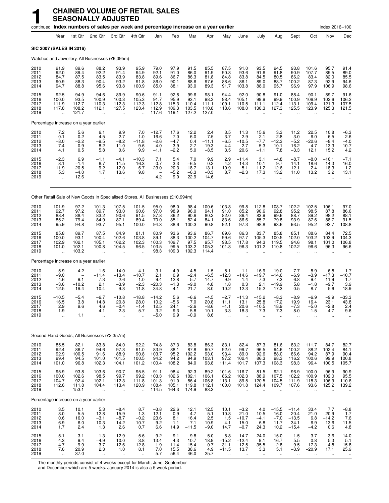|                                      |                                                         |                                         |                                                         | continued Index numbers of sales per week and percentage increase on a year earlier |                                                         |                                               |                                           |                                           |                                                |                                                              |                                                          |                                                           |                                                       |                                                         |                                                       | Index 2016=100                                         |                                                |
|--------------------------------------|---------------------------------------------------------|-----------------------------------------|---------------------------------------------------------|-------------------------------------------------------------------------------------|---------------------------------------------------------|-----------------------------------------------|-------------------------------------------|-------------------------------------------|------------------------------------------------|--------------------------------------------------------------|----------------------------------------------------------|-----------------------------------------------------------|-------------------------------------------------------|---------------------------------------------------------|-------------------------------------------------------|--------------------------------------------------------|------------------------------------------------|
|                                      | Year                                                    | 1st Qtr                                 | 2nd Qtr                                                 | 3rd Qtr                                                                             | 4th Qtr                                                 | Jan                                           | Feb                                       | Mar                                       | Apr                                            | May                                                          | June                                                     | July                                                      | Aug                                                   | Sept                                                    | Oct                                                   | Nov                                                    | Dec                                            |
|                                      | SIC 2007 (SALES IN 2016)                                |                                         |                                                         |                                                                                     |                                                         |                                               |                                           |                                           |                                                |                                                              |                                                          |                                                           |                                                       |                                                         |                                                       |                                                        |                                                |
|                                      |                                                         |                                         |                                                         | Watches and Jewellery, All Businesses (£6,095m)                                     |                                                         |                                               |                                           |                                           |                                                |                                                              |                                                          |                                                           |                                                       |                                                         |                                                       |                                                        |                                                |
| 2010<br>2011<br>2012<br>2013<br>2014 | 91.9<br>92.0<br>84.7<br>90.9<br>94.7                    | 89.6<br>89.4<br>87.5<br>88.3<br>88.8    | 88.2<br>92.2<br>83.5<br>90.4<br>95.6                    | 93.9<br>91.4<br>83.9<br>93.2<br>93.8                                                | 95.9<br>94.9<br>83.8<br>91.8<br>100.9                   | 79.0<br>92.1<br>89.6<br>86.0<br>85.0          | 97.9<br>91.0<br>86.7<br>90.1<br>88.1      | 91.5<br>86.0<br>86.3<br>88.6<br>93.0      | 85.5<br>91.9<br>81.8<br>97.6<br>89.3           | 87.5<br>90.8<br>84.8<br>88.6<br>91.7                         | 91.0<br>93.6<br>83.8<br>86.1<br>103.8                    | 93.5<br>91.6<br>84.5<br>89.0<br>88.0                      | 94.5<br>91.8<br>80.5<br>88.7<br>95.7                  | 93.8<br>90.9<br>86.2<br>100.2<br>96.9                   | 101.6<br>107.7<br>83.4<br>87.3<br>97.9                | 95.7<br>89.5<br>82.0<br>92.9<br>106.9                  | 91.4<br>89.0<br>85.5<br>94.6<br>98.6           |
| 2015<br>2016<br>2017<br>2018<br>2019 | 92.5<br>100.0<br>111.9<br>117.8<br>$\ddot{\phantom{a}}$ | 94.9<br>93.5<br>112.7<br>108.2<br>121.7 | 94.6<br>100.9<br>110.3<br>112.1                         | 89.9<br>100.3<br>112.3<br>127.5                                                     | 90.6<br>105.3<br>112.3<br>123.4<br>$\ddot{\phantom{a}}$ | 91.1<br>91.7<br>112.8<br>112.9<br>117.6       | 92.8<br>95.9<br>115.3<br>109.3<br>119.1   | 99.6<br>93.1<br>110.4<br>103.5<br>127.2   | 98.1<br>98.3<br>111.1<br>110.8<br>127.0        | 94.4<br>98.4<br>109.1<br>118.6                               | 92.0<br>105.1<br>110.5<br>108.0                          | 90.8<br>99.9<br>111.1<br>130.3                            | 91.0<br>99.9<br>112.4<br>127.3                        | 88.4<br>100.9<br>113.1<br>125.5                         | 90.1<br>106.9<br>109.4<br>123.9                       | 89.7<br>102.6<br>121.3<br>125.3                        | 91.6<br>106.2<br>107.5<br>121.5                |
|                                      | Percentage increase on a year earlier                   |                                         |                                                         |                                                                                     |                                                         |                                               |                                           |                                           |                                                |                                                              |                                                          |                                                           |                                                       |                                                         |                                                       |                                                        |                                                |
| 2010<br>2011<br>2012<br>2013<br>2014 | 7.2<br>0.1<br>$-8.0$<br>7.4<br>4.1                      | 5.6<br>$-0.2$<br>$-2.2$<br>0.9<br>0.5   | 6.1<br>4.5<br>$-9.5$<br>8.2<br>5.8                      | 9.9<br>$-2.7$<br>$-8.2$<br>11.0<br>0.6                                              | 7.0<br>$-1.0$<br>$-11.8$<br>9.6<br>9.9                  | $-12.7$<br>16.6<br>$-2.6$<br>$-4.0$<br>$-1.1$ | 17.6<br>$-7.0$<br>$-4.7$<br>3.9<br>$-2.2$ | 12.2<br>$-6.0$<br>0.4<br>2.7<br>5.0       | $\frac{2.4}{7.5}$<br>$-11.1$<br>19.3<br>$-8.5$ | 3.5<br>3.7<br>$-6.5$<br>4.4<br>3.5                           | 11.3<br>2.9<br>$-10.5$<br>2.7<br>20.6                    | 15.6<br>$-2.1$<br>$-7.7$<br>5.3<br>$-1.1$                 | 3.3<br>$-2.8$<br>$-12.3$<br>10.1<br>7.8               | 11.2<br>$-3.0$<br>$-5.2$<br>16.2<br>$-3.3$              | 22.5<br>6.0<br>$-22.6$<br>4.7<br>12.1                 | 10.8<br>$-6.5$<br>$-8.4$<br>13.3<br>15.2               | $-6.3$<br>$-2.6$<br>$-4.0$<br>$^{10.7}_{4.2}$  |
| 2015<br>2016<br>2017<br>2018<br>2019 | $-2.3$<br>8.1<br>11.9<br>5.3<br>$\ddot{\phantom{a}}$    | 6.9<br>$-1.4$<br>20.5<br>$-4.0$<br>12.6 | $-1.1$<br>6.7<br>9.2<br>1.7<br>$\ddot{\phantom{a}}$     | $-4.1$<br>11.5<br>12.0<br>13.6<br>$\ddotsc$                                         | $-10.3$<br>16.3<br>6.7<br>9.8                           | 7.1<br>0.7<br>23.0<br>4.2                     | 5.4<br>3.3<br>20.3<br>$-5.2$<br>9.0       | 7.0<br>$-6.5$<br>18.7<br>$-6.3$<br>22.9   | 9.9<br>0.2<br>13.1<br>$-0.3$<br>14.6           | 2.9<br>4.2<br>10.9<br>8.7<br>$\ddot{\phantom{a}}$            | $-11.4$<br>14.3<br>5.1<br>$-2.3$<br>$\ddot{\phantom{a}}$ | 3.1<br>10.1<br>11.2<br>17.3<br>$\ddot{\phantom{a}}$       | $-4.8$<br>9.7<br>12.6<br>13.2<br>$\ddot{\phantom{a}}$ | $-8.7$<br>14.1<br>12.1<br>11.0<br>$\ddot{\phantom{a}}$  | $-8.0$<br>18.6<br>2.4<br>13.2<br>$\ddot{\phantom{a}}$ | $-16.1$<br>14.3<br>18.3<br>3.2<br>$\ddot{\phantom{a}}$ | $-7.1$<br>16.0<br>1.2<br>13.1                  |
|                                      |                                                         |                                         |                                                         | Other Retail Sale of New Goods in Specialised Stores, All Businesses (£10,994m)     |                                                         |                                               |                                           |                                           |                                                |                                                              |                                                          |                                                           |                                                       |                                                         |                                                       |                                                        |                                                |
| 2010<br>2011<br>2012<br>2013<br>2014 | 101.9<br>92.7<br>88.4<br>85.2<br>95.9                   | 97.2<br>97.2<br>88.4<br>79.4<br>94.8    | 101.3<br>89.7<br>83.2<br>84.9<br>93.7                   | 107.5<br>93.0<br>90.6<br>87.1<br>95.1                                               | 101.5<br>90.6<br>91.5<br>89.4<br>100.0                  | 95.0<br>97.0<br>87.8<br>70.0<br>94.3          | 98.0<br>98.9<br>86.2<br>85.1<br>88.6      | 98.4<br>96.0<br>90.6<br>82.4<br>100.3     | 100.6<br>94.1<br>80.2<br>84.1<br>90.8          | 103.8<br>91.0<br>82.0<br>83.6<br>92.1                        | 99.8<br>85.2<br>86.4<br>86.6<br>97.3                     | 112.8<br>90.6<br>83.9<br>85.7<br>98.8                     | 108.7<br>92.8<br>99.6<br>79.8<br>93.6                 | 102.2<br>95.2<br>88.7<br>93.9<br>93.5                   | 102.5<br>98.5<br>89.2<br>87.6<br>95.2                 | 106.1<br>87.8<br>98.2<br>88.7<br>93.7                  | 97.0<br>86.6<br>88.1<br>91.5<br>108.8          |
| 2015<br>2016<br>2017<br>2018<br>2019 | 85.8<br>100.0<br>102.9<br>101.0<br>$\ddot{\phantom{a}}$ | 89.7<br>93.1<br>102.1<br>102.1<br>103.2 | 87.5<br>100.4<br>105.1<br>100.8                         | 84.9<br>102.6<br>102.2<br>104.5                                                     | 81.1<br>103.8<br>102.3<br>96.5                          | 80.9<br>89.1<br>100.3<br>103.5<br>98.3        | 93.6<br>88.3<br>109.7<br>99.5<br>109.3    | 93.6<br>100.2<br>97.5<br>103.2<br>102.3   | 86.7<br>104.7<br>95.7<br>105.3<br>114.4        | 89.6<br>99.6<br>98.5<br>101.8                                | 86.3<br>97.7<br>117.8<br>96.3                            | 83.7<br>105.3<br>94.3<br>101.2                            | 85.8<br>100.5<br>119.5<br>110.8                       | 85.1<br>102.0<br>94.6<br>102.2                          | 88.6<br>103.2<br>98.1<br>96.6                         | 84.4<br>103.9<br>101.0<br>96.3                         | 72.5<br>104.3<br>106.8<br>96.6                 |
|                                      | Percentage increase on a year earlier                   |                                         |                                                         |                                                                                     |                                                         |                                               |                                           |                                           |                                                |                                                              |                                                          |                                                           |                                                       |                                                         |                                                       |                                                        |                                                |
| 2010<br>2011<br>2012<br>2013<br>2014 | 5.9<br>$-9.0$<br>$-4.6$<br>$-3.6$<br>12.5               | 4.2<br>$-9.1$<br>$-10.2$<br>19.4        | 1.6<br>$-11.4$<br>$-7.3$<br>2.1<br>10.4                 | 14.0<br>$-13.4$<br>$-2.6$<br>$-3.9$<br>9.3                                          | 4.1<br>$-10.7$<br>1.0<br>$-2.3$<br>11.8                 | 3.1<br>2.1<br>$-9.4$<br>$-20.3$<br>34.8       | 4.9<br>0.9<br>$-12.8$<br>$-1.3$<br>4.1    | 4.5<br>$-2.4$<br>$-5.7$<br>$-9.0$<br>21.7 | 1.5<br>$-6.5$<br>$-14.7$<br>4.8<br>8.0         | 5.1<br>$-12.3$<br>$-9.9$<br>1.8<br>10.2                      | $-1.1$<br>$-14.6$<br>1.4<br>0.3<br>12.3                  | 16.9<br>$-19.7 -7.3$<br>2.1<br>15.2                       | 19.0<br>$-14.6$<br>7.3<br>$-19.9$<br>17.3             | 7.7<br>$-6.9$<br>$-6.8$<br>5.8<br>$-0.5$                | 8.9<br>$-3.9$<br>$-9.4$<br>$-1.8$<br>8.7              | 6.8<br>$-17.3$<br>11.9<br>$-9.7$<br>5.6                | $-1.7$<br>$-10.7$<br>1.7<br>$\frac{3.9}{18.9}$ |
| 2015<br>2016<br>2017<br>2018<br>2019 | $-10.5$<br>16.5<br>2.9<br>-1.9<br>ä.                    | $-5.4$<br>3.8<br>9.6<br>1.1             | $-6.7$<br>14.8<br>4.6<br>-4.1                           | $-10.8$<br>20.8<br>$-0.4$<br>2.3<br>                                                | $-18.8$<br>28.0<br>$-1.4$<br>-5.7                       | $-14.2$<br>10.2<br>12.5<br>3.2<br>$-5.0$      | 5.6<br>$-5.6$<br>24.1<br>$-9.3$<br>9.9    | $-6.6$<br>7.0<br>$-2.6$<br>5.8<br>$-0.9$  | $-4.5$<br>20.8<br>$-8.6$<br>10.1<br>8.6        | $-2.7$<br>11.1<br>$-1.1$<br>3.3                              | $-11.3$<br>13.1<br>20.6<br>$-18.3$                       | $-15.2$<br>25.8<br>$-10.5$<br>7.3<br>$\ddot{\phantom{0}}$ | $-8.3$<br>17.2<br>18.9<br>$-7.3$                      | $-8.9$<br>19.9<br>$-7.3$<br>8.0<br>$\ddot{\phantom{a}}$ | $-6.9$<br>16.4<br>$-5.0$<br>$-1.5$                    | $-9.9$<br>23.1<br>$-2.8$<br>-4.7                       | -33.3<br>43.8<br>2.4<br>-9.6                   |
|                                      | Second Hand Goods, All Businesses (£2,357m)             |                                         |                                                         |                                                                                     |                                                         |                                               |                                           |                                           |                                                |                                                              |                                                          |                                                           |                                                       |                                                         |                                                       |                                                        |                                                |
| 2010<br>2011<br>2012<br>2013<br>2014 | 85.5<br>92.4<br>92.9<br>99.4<br>101.0                   | 82.1<br>86.7<br>100.5<br>94.5<br>96.8   | 83.8<br>94.6<br>91.6<br>101.0<br>102.3                  | 84.0<br>97.3<br>88.9<br>101.5<br>104.1                                              | 92.2<br>91.0<br>90.8<br>100.5<br>101.2                  | 74.8<br>83.9<br>103.7<br>94.2<br>100.4        | 87.3<br>88.1<br>95.2<br>94.2<br>108.2     | 83.8<br>87.8<br>102.2<br>94.9<br>84.0     | 86.3<br>90.7<br>93.0<br>103.1<br>93.8          | 83.1<br>92.0<br>93.4<br>97.2<br>111.4                        | 82.4<br>99.7<br>89.0<br>102.4<br>101.7                   | 87.3<br>96.5<br>92.6<br>86.3<br>107.3                     | 81.6<br>94.6<br>88.0<br>98.3<br>108.3                 | 83.2<br>100.2<br>86.6<br>116.2<br>98.3                  | 111.7<br>88.2<br>94.2<br>100.6<br>96.4                | 84.7<br>102.4<br>87.9<br>99.9<br>100.5                 | 82.7<br>84.1<br>90.4<br>100.8<br>105.7         |
| 2015<br>2016<br>2017<br>2018<br>2019 | 95.9<br>100.0<br>104.7<br>112.6<br>$\ddot{\phantom{a}}$ | 93.8<br>102.6<br>92.4<br>111.8<br>153.1 | 103.6<br>98.5<br>102.1<br>104.4<br>$\ddot{\phantom{a}}$ | 90.7<br>99.7<br>112.3<br>113.4<br>ă,                                                | 95.5<br>99.2<br>111.8<br>120.9                          | 91.1<br>103.3<br>101.3<br>108.4<br>114.5      | 98.4<br>102.6<br>91.0<br>105.1<br>164.3   | 92.3<br>102.1<br>86.4<br>119.8<br>174.9   | 89.2<br>106.1<br>106.8<br>112.1<br>83.3        | 101.6<br>86.2<br>113.1<br>100.0<br>$\ddot{\phantom{a}}$      | 116.7<br>102.3<br>89.5<br>101.8                          | 81.5<br>88.9<br>120.5<br>124.4                            | 92.1<br>107.5<br>104.5<br>109.7                       | 96.9<br>102.2<br>111.9<br>107.6                         | 100.0<br>100.9<br>118.3<br>93.6                       | 96.9<br>102.0<br>106.9<br>125.2                        | 90.9<br>95.5<br>110.6<br>139.2                 |
|                                      | Percentage increase on a year earlier                   |                                         |                                                         |                                                                                     |                                                         |                                               |                                           |                                           |                                                |                                                              |                                                          |                                                           |                                                       |                                                         |                                                       |                                                        |                                                |
| 2010<br>2011<br>2012<br>2013<br>2014 | $3.5\,$<br>8.0<br>0.6<br>6.9<br>1.7                     | 10.1<br>5.5<br>16.0<br>$-6.0$<br>2.4    | 5.3<br>12.8<br>$-3.1$<br>10.3<br>1.3                    | $-8.4$<br>15.9<br>$-8.7$<br>14.2<br>2.6                                             | 8.7<br>$-1.3$<br>$-0.2$<br>10.7<br>0.7                  | $-3.8$<br>12.1<br>23.6<br>$-9.2$<br>6.6       | 22.6<br>0.9<br>8.1<br>$-1.1$<br>14.9      | 12.1<br>4.7<br>16.4<br>$-7.1$<br>$-11.5$  | 12.5<br>5.1<br>2.5<br>10.9<br>$-9.0$           | 10.1<br>10.8<br>1.5<br>4.1<br>14.7                           | $-3.2$<br>21.0<br>$-10.7$<br>15.0<br>$-0.7$              | 4.0<br>10.5<br>$-4.1$<br>$-6.8$<br>24.3                   | $-15.5$<br>16.0<br>$-7.0$<br>11.7<br>10.2             | $-11.4$<br>20.4<br>$-13.5$<br>34.1<br>$-15.4$           | 33.4<br>$-21.0$<br>6.8<br>6.9<br>$-4.2$               | 7.7<br>20.9<br>$-14.2$<br>13.6<br>0.6                  | $-8.8$<br>1.7<br>$7.6$<br>11.5<br>4.8          |
| 2015<br>2016<br>2017<br>2018<br>2019 | $-5.1$<br>4.3<br>4.7<br>7.6<br>$\ddot{\phantom{1}}$     | $-3.1$<br>9.4<br>$-9.9$<br>20.9<br>37.0 | 1.3<br>$-4.9$<br>3.7<br>2.3<br>$\ddotsc$                | $-12.9$<br>10.0<br>12.6<br>1.0<br>$\ddotsc$                                         | $-5.6$<br>3.8<br>12.8<br>8.1<br>$\ddot{\phantom{1}}$    | $-9.2$<br>13.4<br>$-1.9$<br>7.0<br>5.7        | $-9.1$<br>4.3<br>$-11.4$<br>15.5<br>56.4  | 9.8<br>10.7<br>$-15.4$<br>38.6<br>46.0    | $-5.0$<br>18.9<br>0.7<br>4.9<br>$-25.7$        | $-8.8$<br>$-15.2$<br>31.1<br>$-11.5$<br>$\ddot{\phantom{1}}$ | 14.7<br>$-12.4$<br>$-12.5$<br>13.7<br>$\ddotsc$          | $-24.0$<br>9.1<br>35.5<br>3.3<br>$\sim$                   | $-15.0$<br>16.7<br>$-2.8$<br>5.1<br>$\ddotsc$         | $-1.5$<br>5.5<br>9.5<br>$-3.9$<br>$\ddotsc$             | 3.7<br>0.8<br>17.3<br>$-20.9$<br>$\ddotsc$            | $-3.6$<br>5.3<br>4.8<br>17.1<br>$\sim$                 | $-14.0$<br>5.1<br>15.8<br>25.9<br>$\ddotsc$    |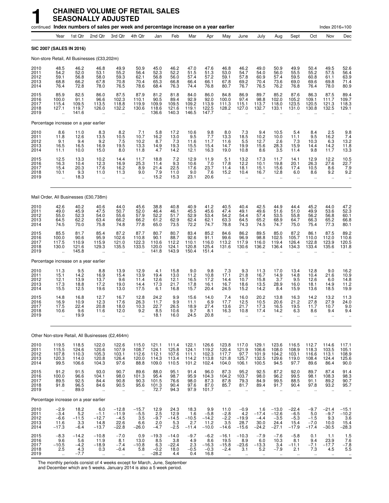|                                      |                                                         |                                           | continued Index numbers of sales per week and percentage increase on a year earlier |                                                                  |                                                         |                                                                  |                                                                   |                                           |                                             |                                                                    |                                                       |                                                      |                                                 |                                                |                                                 | Index 2016=100                                |                                              |
|--------------------------------------|---------------------------------------------------------|-------------------------------------------|-------------------------------------------------------------------------------------|------------------------------------------------------------------|---------------------------------------------------------|------------------------------------------------------------------|-------------------------------------------------------------------|-------------------------------------------|---------------------------------------------|--------------------------------------------------------------------|-------------------------------------------------------|------------------------------------------------------|-------------------------------------------------|------------------------------------------------|-------------------------------------------------|-----------------------------------------------|----------------------------------------------|
|                                      | Year                                                    | 1st Qtr                                   | 2nd Qtr                                                                             | 3rd Otr                                                          | 4th Qtr                                                 | Jan                                                              | Feb                                                               | Mar                                       | Apr                                         | May                                                                | June                                                  | July                                                 | Aug                                             | Sept                                           | Oct                                             | Nov                                           | Dec                                          |
|                                      | SIC 2007 (SALES IN 2016)                                |                                           |                                                                                     |                                                                  |                                                         |                                                                  |                                                                   |                                           |                                             |                                                                    |                                                       |                                                      |                                                 |                                                |                                                 |                                               |                                              |
|                                      |                                                         |                                           | Non-store Retail, All Businesses (£33,202m)                                         |                                                                  |                                                         |                                                                  |                                                                   |                                           |                                             |                                                                    |                                                       |                                                      |                                                 |                                                |                                                 |                                               |                                              |
| 2010<br>2011<br>2012<br>2013<br>2014 | 48.5<br>54.2<br>59.1<br>68.8<br>76.4                    | 46.2<br>52.0<br>56.8<br>66.2<br>72.8      | 46.8<br>53.1<br>58.0<br>67.8<br>78.0                                                | 49.9<br>55.2<br>59.3<br>70.8<br>76.5                             | 50.9<br>56.4<br>62.1<br>70.4<br>78.6                    | 45.0<br>52.3<br>56.8<br>65.3<br>68.4                             | 46.2<br>52.2<br>56.0<br>66.8<br>76.3                              | 47.0<br>51.5<br>57.4<br>66.4<br>74.4      | 47.6<br>51.3<br>57.2<br>66.1<br>76.8        | 46.8<br>53.0<br>59.1<br>67.8<br>80.7                               | 46.2<br>54.7<br>57.8<br>69.2<br>76.7                  | 49.0<br>54.0<br>60.9<br>70.4<br>76.5                 | 50.9<br>56.0<br>57.4<br>73.6<br>76.2            | 49.9<br>55.5<br>59.5<br>69.0<br>76.8           | 50.4<br>55.2<br>60.8<br>69.6<br>76.4            | 49.5<br>57.5<br>61.1<br>69.8<br>78.0          | 52.6<br>56.4<br>63.9<br>71.4<br>80.9         |
| 2015<br>2016<br>2017<br>2018<br>2019 | 85.9<br>100.0<br>115.4<br>127.1<br>$\ddot{\phantom{a}}$ | 82.5<br>91.1<br>109.5<br>119.7<br>141.6   | 86.0<br>96.6<br>113.5<br>126.0<br>$\ddot{\phantom{a}}$                              | 87.5<br>102.3<br>118.8<br>132.2<br>ä,                            | 87.9<br>110.1<br>119.9<br>130.6<br>$\ddot{\phantom{a}}$ | 81.2<br>90.5<br>109.9<br>118.6<br>136.6                          | 81.8<br>89.4<br>109.5<br>121.6<br>140.3                           | 84.0<br>92.9<br>109.2<br>119.1<br>146.5   | 86.0<br>92.0<br>113.9<br>122.5<br>147.7     | 84.8<br>100.0<br>111.3<br>128.2                                    | 86.9<br>97.4<br>115.1<br>127.0                        | 89.7<br>98.8<br>113.7<br>132.7                       | 85.2<br>102.0<br>118.0<br>133.1                 | 87.6<br>105.2<br>123.5<br>131.0                | 86.3<br>109.1<br>120.5<br>130.8                 | 87.5<br>111.7<br>121.3<br>132.5               | 89.4<br>109.7<br>118.3<br>129.1              |
|                                      | Percentage increase on a year earlier                   |                                           |                                                                                     |                                                                  |                                                         |                                                                  |                                                                   |                                           |                                             |                                                                    |                                                       |                                                      |                                                 |                                                |                                                 |                                               |                                              |
| 2010<br>2011<br>2012<br>2013<br>2014 | 8.6<br>11.8<br>9.1<br>16.5<br>11.1                      | 11.0<br>12.6<br>9.4<br>16.5<br>10.0       | 8.3<br>13.5<br>9.2<br>16.9<br>15.0                                                  | $\begin{array}{c} 8.2 \\ 10.5 \end{array}$<br>7.5<br>19.5<br>8.0 | $7.1$<br>10.7<br>10.2<br>13.3<br>11.8                   | $\begin{array}{c} 5.8 \\ 16.2 \end{array}$<br>8.7<br>14.9<br>4.7 | 17.2<br>13.0<br>7.3<br>19.3<br>14.2                               | $^{10.6}_{9.5}$<br>11.6<br>15.5<br>12.1   | $\frac{9.8}{7.7}$<br>11.7<br>15.4<br>16.3   | $\begin{array}{c} 8.0 \\ 13.3 \end{array}$<br>11.6<br>14.7<br>19.0 | $7.3$<br>18.5<br>5.5<br>19.9<br>10.8                  | 9.4<br>10.2<br>12.7<br>15.6<br>8.6                   | 10.5<br>10.0<br>2.6<br>28.3<br>3.5              | 5.4<br>11.1<br>7.3<br>15.9<br>11.4             | $8.4$<br>9.5<br>10.3<br>14.4<br>9.8             | $\frac{2.5}{16.2}$<br>6.3<br>14.2<br>11.7     | $\frac{9.8}{7.4}$<br>13.2<br>11.8<br>13.3    |
| 2015<br>2016<br>2017<br>2018<br>2019 | 12.5<br>16.3<br>15.4<br>10.1<br>                        | 13.3<br>10.4<br>20.3<br>9.3<br>18.3       | $10.2$<br>12.3<br>17.6<br>11.0                                                      | 14.4<br>16.9<br>16.2<br>11.3<br>÷.                               | $11.7$<br>25.3<br>8.9<br>9.0                            | 18.8<br>11.4<br>21.4<br>7.9<br>15.2                              | $\begin{array}{c} 7.2 \\ 9.3 \end{array}$<br>22.5<br>11.0<br>15.3 | 12.9<br>10.6<br>17.6<br>9.0<br>23.1       | 11.9<br>7.0<br>23.7<br>7.6<br>20.6          | 5.1<br>17.8<br>11.4<br>15.2                                        | 13.2<br>12.2<br>18.1<br>10.4<br>$\ddot{\phantom{a}}$  | 17.3<br>10.1<br>15.1<br>16.7                         | 11.7<br>19.8<br>15.6<br>12.8                    | 14.1<br>20.1<br>17.4<br>6.0                    | 12.9<br>26.3<br>10.5<br>8.6                     | 12.2<br>27.6<br>8.6<br>9.2<br>$\mathbf{r}$    | 10.5<br>22.7<br>7.9<br>9.2                   |
|                                      |                                                         |                                           | Mail Order, All Businesses (£30,738m)                                               |                                                                  |                                                         |                                                                  |                                                                   |                                           |                                             |                                                                    |                                                       |                                                      |                                                 |                                                |                                                 |                                               |                                              |
| 2010<br>2011<br>2012<br>2013<br>2014 | 42.6<br>49.0<br>55.0<br>64.5<br>74.5                    | 40.2<br>45.9<br>52.3<br>62.2<br>70.0      | 40.6<br>47.5<br>54.0<br>63.4<br>75.8                                                | 44.0<br>50.7<br>55.6<br>66.2<br>74.8                             | 45.6<br>52.0<br>57.9<br>66.2<br>77.8                    | 38.8<br>46.4<br>52.2<br>61.2<br>65.0                             | 40.8<br>46.1<br>51.7<br>62.9<br>73.5                              | 40.9<br>45.5<br>52.9<br>62.4<br>72.2      | 41.2<br>45.6<br>53.4<br>62.1<br>74.7        | 40.5<br>47.4<br>54.2<br>63.3<br>78.8                               | 40.4<br>49.1<br>54.4<br>64.5<br>74.3                  | 42.5<br>49.6<br>57.4<br>65.2<br>74.5                 | 44.9<br>51.6<br>53.5<br>68.9<br>74.7            | 44.4<br>51.0<br>55.8<br>64.7<br>75.0           | 45.2<br>49.9<br>56.2<br>66.3<br>75.4            | 44.0<br>53.6<br>56.8<br>65.2<br>77.3          | 47.2<br>52.3<br>60.1<br>66.8<br>80.1         |
| 2015<br>2016<br>2017<br>2018<br>2019 | 85.5<br>100.0<br>117.5<br>130.0<br>$\ddot{\phantom{a}}$ | 81.7<br>90.6<br>110.9<br>121.6<br>145.8   | 85.4<br>95.9<br>115.9<br>129.3                                                      | 87.2<br>102.6<br>121.0<br>135.5                                  | 87.7<br>110.8<br>122.3<br>133.5                         | 80.7<br>90.1<br>110.6<br>120.0<br>141.8                          | 80.7<br>88.7<br>112.2<br>124.1<br>143.9                           | 83.4<br>92.6<br>110.1<br>120.8<br>150.4   | 85.2<br>91.1<br>116.0<br>125.4<br>151.4     | 84.6<br>99.6<br>113.2<br>131.6                                     | 86.2<br>96.9<br>117.9<br>130.6                        | 89.5<br>98.8<br>116.0<br>136.2                       | 85.0<br>102.5<br>119.4<br>136.4                 | 87.2<br>105.7<br>126.4<br>134.3                | 86.1<br>110.0<br>122.8<br>133.4                 | 87.5<br>112.0<br>123.9<br>135.6               | 89.2<br>110.6<br>120.5<br>131.8              |
|                                      | Percentage increase on a year earlier                   |                                           |                                                                                     |                                                                  |                                                         |                                                                  |                                                                   |                                           |                                             |                                                                    |                                                       |                                                      |                                                 |                                                |                                                 |                                               |                                              |
| 2010<br>2011<br>2012<br>2013<br>2014 | 11.3<br>15.1<br>12.1<br>17.3<br>15.5                    | 9.5<br>14.2<br>13.9<br>18.8<br>12.5       | 8.8<br>16.9<br>13.7<br>17.2<br>19.6                                                 | 13.9<br>15.4<br>9.6<br>19.0<br>13.0                              | 12.9<br>13.9<br>11.4<br>14.4<br>17.5                    | 4.1<br>19.4<br>12.6<br>17.3<br>6.1                               | 15.8<br>13.0<br>12.1<br>21.7<br>16.8                              | 9.0<br>11.2<br>16.5<br>17.8<br>15.7       | 9.8<br>10.8<br>17.2<br>16.1<br>20.4         | 7.3<br>17.1<br>14.4<br>16.7<br>24.5                                | 9.3<br>21.8<br>10.7<br>18.6<br>15.2                   | 11.3<br>16.7<br>15.8<br>13.5<br>14.2                 | 17.0<br>14.9<br>3.7<br>28.9<br>8.4              | 13.4<br>14.8<br>9.5<br>16.0<br>15.9            | 12.8<br>10.4<br>12.6<br>18.1<br>13.6            | 9.0<br>21.6<br>6.0<br>14.9<br>18.5            | 16.2<br>10.9<br>14.8<br>11.2<br>19.9         |
| 2015<br>2016<br>2017<br>2018<br>2019 | 14.8<br>16.9<br>17.5<br>10.6<br>                        | 16.8<br>10.9<br>22.4<br>9.6<br>19.9       | 12.7<br>12.3<br>20.8<br>11.6<br>$\ddotsc$                                           | 16.7<br>17.6<br>18.0<br>12.0<br>$\ddotsc$                        | 12.8<br>26.3<br>10.3<br>9.2                             | 24.2<br>11.7<br>22.7<br>8.5<br>18.1                              | 9.9<br>9.9<br>26.5<br>10.6<br>16.0                                | 15.6<br>11.1<br>18.9<br>9.7<br>24.5       | 14.0<br>6.9<br>27.4<br>8.1<br>20.8          | 7.4<br>17.7<br>13.6<br>16.3                                        | 16.0<br>12.5<br>21.7<br>10.8                          | 20.2<br>10.5<br>17.3<br>17.4                         | 13.8<br>20.6<br>16.5<br>14.2                    | 16.3<br>21.2<br>19.5<br>6.3                    | 14.2<br>27.8<br>11.7<br>8.6                     | 13.2<br>27.9<br>10.7<br>9.4                   | 11.3<br>24.0<br>9.0<br>9.4                   |
|                                      |                                                         |                                           | Other Non-store Retail, All Businesses (£2,464m)                                    |                                                                  |                                                         |                                                                  |                                                                   |                                           |                                             |                                                                    |                                                       |                                                      |                                                 |                                                |                                                 |                                               |                                              |
| 2010<br>2011<br>2012<br>2013<br>2014 | 119.5<br>115.5<br>107.8<br>120.3<br>99.5                | 118.5<br>124.6<br>110.3<br>114.0<br>106.6 | 122.0<br>120.6<br>105.3<br>120.8<br>104.3                                           | 122.6<br>107.9<br>103.1<br>126.4<br>97.6                         | 115.0<br>108.7<br>112.6<br>120.0<br>88.8                | 121.1<br>124.1<br>112.1<br>114.3<br>109.0                        | 111.4<br>125.8<br>107.6<br>113.4<br>110.5                         | 122.1<br>124.1<br>111.1<br>114.2<br>101.2 | 126.6<br>119.2<br>102.3<br>113.8<br>102.4   | 123.8<br>$\frac{120.4}{117.7}$<br>121.8<br>104.0                   | 117.0<br>121.9<br>97.7<br>125.7<br>106.1              | 129.1<br>106.6<br>101.9<br>132.5<br>100.5            | 123.6<br>108.0<br>104.2<br>129.6<br>94.5        | 116.5<br>108.9<br>103.1<br>119.0<br>97.7       | 112.7<br>118.3<br>116.6<br>108.4<br>89.6        | 114.6<br>103.5<br>113.1<br>124.4<br>86.4      | 117.1<br>105.1<br>108.9<br>125.6<br>90.0     |
| 2015<br>2016<br>2017<br>2018<br>2019 | 91.2<br>100.0<br>89.5<br>91.8<br>$\bar{\mathbf{a}}$     | 91.5<br>96.6<br>92.5<br>96.5<br>89.0      | 93.0<br>104.1<br>84.4<br>84.6<br>$\ddotsc$                                          | 90.7<br>98.0<br>90.8<br>90.5<br>x.                               | 89.6<br>101.3<br>90.3<br>95.6<br>$\ddotsc$              | 88.0<br>95.4<br>101.5<br>101.3<br>72.7                           | 95.1<br>98.7<br>76.6<br>90.4<br>94.3                              | 91.4<br>95.9<br>98.0<br>97.6<br>97.9      | 96.0<br>104.3<br>87.3<br>87.0<br>101.7      | 87.3<br>104.2<br>87.8<br>85.7<br>$\mathbf{r}$ .                    | 95.2<br>103.7<br>79.3<br>81.7<br>$\ddot{\phantom{a}}$ | 92.5<br>98.0<br>84.9<br>89.4<br>$\ddot{\phantom{a}}$ | 87.2<br>96.2<br>99.5<br>91.7<br>$\mathbf{r}$    | 92.0<br>99.5<br>88.5<br>90.4<br>$\ddotsc$      | 89.7<br>98.1<br>91.1<br>97.8<br>$\ddotsc$       | 87.4<br>108.3<br>89.2<br>93.2<br>$\mathbf{r}$ | 91.4<br>98.3<br>90.7<br>95.7                 |
|                                      | Percentage increase on a year earlier                   |                                           |                                                                                     |                                                                  |                                                         |                                                                  |                                                                   |                                           |                                             |                                                                    |                                                       |                                                      |                                                 |                                                |                                                 |                                               |                                              |
| 2010<br>2011<br>2012<br>2013<br>2014 | $-2.9$<br>$-3.4$<br>$-6.6$<br>11.6<br>$-17.3$           | 18.2<br>5.2<br>$-11.5$<br>3.3<br>$-6.4$   | 6.0<br>$-1.1$<br>$-12.7$<br>14.8<br>$-13.7$                                         | $-12.8$<br>$-11.9$<br>$-4.5$<br>22.6<br>$-22.8$                  | $-15.7$<br>$-5.5$<br>3.5<br>6.6<br>$-26.0$              | 12.9<br>2.5<br>$-9.7$<br>2.0<br>$-4.7$                           | 24.3<br>12.9<br>$-14.5$<br>5.3<br>$-2.5$                          | 18.3<br>1.6<br>$-10.5$<br>2.7<br>$-11.4$  | 9.9<br>$-5.8$<br>$-14.2$<br>11.2<br>$-10.0$ | 11.0<br>$-2.8$<br>$-2.2$<br>3.5<br>$-14.6$                         | $-0.9$<br>4.2<br>$-19.9$<br>28.7<br>$-15.6$           | 1.6<br>$-17.4$<br>$-4.4$<br>30.0<br>$-24.2$          | $-13.0$<br>$-12.6$<br>$-3.5$<br>24.4<br>$-27.1$ | $-22.4$<br>$-6.5$<br>$-5.3$<br>15.4<br>$-17.9$ | $-9.7$<br>5.0<br>$-1.5$<br>$-7.0$<br>$-17.4$    | $-21.4$<br>$-9.7$<br>9.3<br>10.0<br>$-30.5$   | $-15.1$<br>$-10.2$<br>3.6<br>15.4<br>$-28.3$ |
| 2015<br>2016<br>2017<br>2018<br>2019 | $-8.3$<br>9.6<br>$-10.5$<br>2.5<br>$\ddotsc$            | $-14.2$<br>5.6<br>$-4.2$<br>4.3<br>$-7.7$ | $-10.8$<br>11.9<br>$-18.9$<br>0.3<br>$\ldots$                                       | $-7.0$<br>8.1<br>$-7.4$<br>$-0.4$<br>$\ddotsc$                   | 0.9<br>13.0<br>$-10.8$<br>5.8                           | $-19.3$<br>8.5<br>6.3<br>$-0.2$<br>$-28.2$                       | $-14.0$<br>3.8<br>$-22.4$<br>18.0<br>4.4                          | $-9.7$<br>4.9<br>2.3<br>$-0.5$<br>0.4     | $-6.2$<br>8.6<br>$-16.3$<br>$-0.3$<br>16.8  | $-16.1$<br>19.5<br>$-15.8$<br>$-2.4$<br>$\ddot{\phantom{1}}$       | $-10.3$<br>8.9<br>$-23.6$<br>3.1<br>$\ldots$          | $-7.9$<br>6.0<br>$-13.3$<br>5.2<br>$\sim$            | $-7.6$<br>10.3<br>3.4<br>$-7.9$<br>$\ddotsc$    | $-5.8$<br>8.1<br>$-11.1$<br>2.1<br>$\ldots$    | 0.1<br>9.4<br>$-7.1$<br>7.3<br>$\bullet\bullet$ | 1.1<br>23.9<br>$-17.7$<br>4.5<br>$\cdot$      | 1.5<br>7.6<br>$-7.8$<br>5.5<br>$\cdot\cdot$  |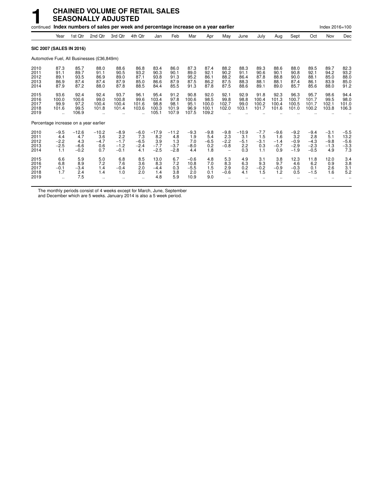|                                       |                                                     |                                           | <b>CHAINED VOLUME OF RETAIL SALES</b><br><b>SEASONALLY ADJUSTED</b>                 |                                             |                                          |                                           |                                           |                                         |                                         |                                      |                                        |                                       |                                          |                                             |                                             |                                          |                                           |
|---------------------------------------|-----------------------------------------------------|-------------------------------------------|-------------------------------------------------------------------------------------|---------------------------------------------|------------------------------------------|-------------------------------------------|-------------------------------------------|-----------------------------------------|-----------------------------------------|--------------------------------------|----------------------------------------|---------------------------------------|------------------------------------------|---------------------------------------------|---------------------------------------------|------------------------------------------|-------------------------------------------|
|                                       |                                                     |                                           | continued Index numbers of sales per week and percentage increase on a year earlier |                                             |                                          |                                           |                                           |                                         |                                         |                                      |                                        |                                       |                                          |                                             |                                             | Index 2016=100                           |                                           |
|                                       | Year                                                | 1st Qtr                                   | 2nd Qtr                                                                             | 3rd Qtr                                     | 4th Qtr                                  | Jan                                       | Feb                                       | Mar                                     | Apr                                     | May                                  | June                                   | July                                  | Aug                                      | Sept                                        | Oct                                         | Nov                                      | Dec                                       |
| <b>SIC 2007 (SALES IN 2016)</b>       |                                                     |                                           |                                                                                     |                                             |                                          |                                           |                                           |                                         |                                         |                                      |                                        |                                       |                                          |                                             |                                             |                                          |                                           |
|                                       |                                                     |                                           | Automotive Fuel, All Businesses (£36,849m)                                          |                                             |                                          |                                           |                                           |                                         |                                         |                                      |                                        |                                       |                                          |                                             |                                             |                                          |                                           |
| 2010<br>2011<br>2012<br>2013<br>2014  | 87.3<br>91.1<br>89.1<br>86.9<br>87.9                | 85.7<br>89.7<br>93.5<br>87.4<br>87.2      | 88.0<br>91.1<br>86.9<br>87.4<br>88.0                                                | 88.6<br>90.5<br>89.0<br>87.9<br>87.8        | 86.8<br>93.2<br>87.1<br>85.0<br>88.5     | 83.4<br>90.3<br>93.8<br>86.6<br>84.4      | 86.0<br>90.1<br>91.3<br>87.9<br>85.5      | 87.3<br>89.0<br>95.2<br>87.5<br>91.3    | 87.4<br>92.1<br>86.1<br>86.2<br>87.8    | 88.2<br>90.2<br>88.2<br>87.5<br>87.5 | 88.3<br>91.1<br>86.4<br>88.3<br>88.6   | 89.3<br>90.6<br>87.8<br>88.1<br>89.1  | 88.6<br>90.1<br>88.8<br>88.1<br>89.0     | 88.0<br>90.8<br>90.0<br>87.4<br>85.7        | 89.5<br>92.1<br>88.1<br>86.1<br>85.6        | 89.7<br>94.2<br>85.0<br>83.9<br>88.0     | 82.3<br>93.2<br>88.0<br>85.0<br>91.2      |
| 2015<br>2016<br>2017<br>2018<br>2019  | 93.6<br>100.0<br>99.9<br>101.6                      | 92.4<br>100.6<br>97.2<br>99.5<br>106.9    | 92.4<br>99.0<br>100.4<br>101.8                                                      | 93.7<br>100.8<br>100.4<br>101.4             | 96.1<br>99.6<br>101.6<br>103.6           | 95.4<br>103.4<br>98.8<br>100.3<br>105.1   | 91.2<br>97.8<br>98.1<br>101.9<br>107.9    | 90.8<br>100.6<br>95.1<br>96.9<br>107.5  | 92.0<br>98.5<br>100.0<br>100.1<br>109.2 | 92.1<br>99.8<br>102.7<br>102.0       | 92.9<br>98.8<br>99.0<br>103.1          | 91.8<br>100.4<br>100.2<br>101.7       | 92.3<br>101.3<br>100.4<br>101.6          | 96.3<br>100.7<br>100.5<br>101.0             | 95.7<br>101.7<br>101.7<br>100.2             | 98.6<br>99.5<br>102.1<br>103.8           | 94.4<br>98.0<br>101.0<br>106.3            |
| Percentage increase on a year earlier |                                                     |                                           |                                                                                     |                                             |                                          |                                           |                                           |                                         |                                         |                                      |                                        |                                       |                                          |                                             |                                             |                                          |                                           |
| 2010<br>2011<br>2012<br>2013<br>2014  | $-9.5$<br>4.4<br>$-2.2$<br>$-2.5$<br>1.1            | $-12.6$<br>4.7<br>4.3<br>$-6.6$<br>$-0.2$ | $-10.2$<br>3.6<br>$-4.7$<br>0.6<br>0.7                                              | $-8.9$<br>2.2<br>$-1.7$<br>$-1.2$<br>$-0.1$ | $-6.0$<br>7.3<br>$-6.5$<br>$-2.4$<br>4.1 | $-17.9$<br>8.2<br>3.9<br>$-7.7$<br>$-2.5$ | $-11.2$<br>4.8<br>1.3<br>$-3.7$<br>$-2.8$ | $-9.3$<br>1.9<br>7.0<br>$-8.0$<br>4.4   | $-9.8$<br>5.4<br>$-6.5$<br>0.2<br>1.8   | $-9.8$<br>2.3<br>$-2.2$<br>$-0.8$    | $-10.9$<br>3.1<br>$-5.1$<br>2.2<br>0.3 | $-7.7$<br>1.5<br>$-3.1$<br>0.3<br>1.1 | $-9.6$<br>1.6<br>$-1.4$<br>$-0.7$<br>0.9 | $-9.2$<br>3.2<br>$-0.9$<br>$-2.9$<br>$-1.9$ | $-9.4$<br>2.8<br>$-4.3$<br>$-2.3$<br>$-0.5$ | $-3.1$<br>5.1<br>$-9.8$<br>$-1.3$<br>4.9 | $-5.5$<br>13.2<br>$-5.6$<br>$-3.3$<br>7.3 |
| 2015<br>2016<br>2017<br>2018<br>2019  | 6.6<br>6.8<br>$-0.1$<br>1.7<br>$\ddot{\phantom{a}}$ | 5.9<br>8.9<br>$-3.4$<br>2.4<br>7.5        | 5.0<br>7.2<br>1.4<br>1.4                                                            | 6.8<br>7.6<br>$-0.4$<br>1.0                 | 8.5<br>3.6<br>2.0<br>2.0                 | 13.0<br>8.3<br>$-4.4$<br>1.4<br>4.8       | 6.7<br>7.2<br>0.3<br>3.8<br>5.9           | $-0.6$<br>10.8<br>$-5.5$<br>2.0<br>10.9 | 4.8<br>7.0<br>1.5<br>0.1<br>9.0         | 5.3<br>8.3<br>2.9<br>$-0.6$          | 4.9<br>6.3<br>0.2<br>4.1               | 3.1<br>9.3<br>$-0.2$<br>1.5           | 3.8<br>9.7<br>$-0.9$<br>1.2              | 12.3<br>4.6<br>$-0.3$<br>0.5                | 11.8<br>6.2<br>0.1<br>$-1.5$                | 12.0<br>0.9<br>2.6<br>1.6                | 3.4<br>3.8<br>3.1<br>5.2                  |

The monthly periods consist of 4 weeks except for March, June, September

and December which are 5 weeks. January 2014 is also a 5 week period.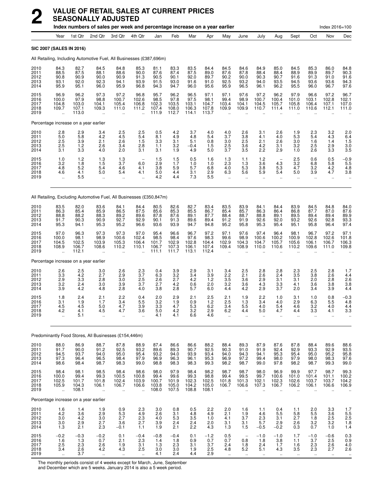|                                      |                                                         |                                              | Index numbers of sales per week and percentage increase on a year earlier |                                                         |                                              |                                         |                                         |                                         |                                         |                                                        |                                                                       |                                       |                                          |                                                         |                                                  | $Index 2016 = 100$                               |                                                  |
|--------------------------------------|---------------------------------------------------------|----------------------------------------------|---------------------------------------------------------------------------|---------------------------------------------------------|----------------------------------------------|-----------------------------------------|-----------------------------------------|-----------------------------------------|-----------------------------------------|--------------------------------------------------------|-----------------------------------------------------------------------|---------------------------------------|------------------------------------------|---------------------------------------------------------|--------------------------------------------------|--------------------------------------------------|--------------------------------------------------|
|                                      | Year                                                    | 1st Qtr                                      | 2nd Qtr                                                                   | 3rd Qtr                                                 | 4th Qtr                                      | Jan                                     | Feb                                     | Mar                                     | Apr                                     | May                                                    | June                                                                  | July                                  | Aug                                      | Sept                                                    | Oct                                              | Nov                                              | Dec                                              |
|                                      | <b>SIC 2007 (SALES IN 2016)</b>                         |                                              |                                                                           |                                                         |                                              |                                         |                                         |                                         |                                         |                                                        |                                                                       |                                       |                                          |                                                         |                                                  |                                                  |                                                  |
|                                      |                                                         |                                              | All Retailing, Including Automotive Fuel, All Businesses (£387,696m)      |                                                         |                                              |                                         |                                         |                                         |                                         |                                                        |                                                                       |                                       |                                          |                                                         |                                                  |                                                  |                                                  |
| 2010<br>2011<br>2012<br>2013<br>2014 | 84.3<br>88.5<br>90.8<br>93.1<br>95.9                    | 82.7<br>87.5<br>90.9<br>92.0<br>95.1         | 84.5<br>88.1<br>90.0<br>92.3<br>96.0                                      | 84.8<br>88.6<br>90.9<br>94.1<br>95.9                    | 85.3<br>90.0<br>91.3<br>93.9<br>96.8         | 81.1<br>87.6<br>90.5<br>91.5<br>94.3    | 83.3<br>87.4<br>90.1<br>93.0<br>94.7    | 83.5<br>87.5<br>92.0<br>91.6<br>96.0    | 84.4<br>89.0<br>89.7<br>91.0<br>95.6    | 84.5<br>87.6<br>90.2<br>92.5<br>95.9                   | 84.6<br>87.8<br>90.0<br>93.2<br>96.5                                  | 84.9<br>88.4<br>90.3<br>94.0<br>96.1  | 85.0<br>88.4<br>90.7<br>93.5<br>96.2     | 84.5<br>88.9<br>91.6<br>94.5<br>95.5                    | 85.3<br>89.9<br>91.3<br>93.6<br>96.0             | 86.0<br>89.7<br>91.0<br>93.6<br>96.7             | 84.8<br>90.3<br>$\frac{91.6}{94.3}$<br>97.6      |
| 2015<br>2016<br>2017<br>2018<br>2019 | 96.9<br>100.0<br>104.8<br>109.7<br>ă,                   | 96.2<br>97.9<br>103.0<br>107.1<br>113.0      | 97.3<br>98.8<br>104.1<br>109.3<br>ä,                                      | 97.2<br>100.7<br>105.4<br>111.0<br>$\ddot{\phantom{a}}$ | 96.8<br>102.6<br>106.8<br>111.2<br>          | 95.7<br>98.5<br>102.3<br>107.4<br>111.9 | 96.2<br>97.8<br>103.5<br>108.0<br>112.7 | 96.5<br>97.5<br>103.1<br>106.3<br>114.1 | 97.1<br>98.1<br>104.7<br>107.8<br>113.7 | 97.1<br>99.4<br>103.4<br>109.9<br>$\ddot{\phantom{a}}$ | 97.6<br>98.9<br>104.1<br>109.9<br>$\ddot{\phantom{a}}$                | 97.2<br>100.7<br>104.5<br>110.7       | 96.2<br>100.4<br>105.7<br>111.4          | 97.9<br>101.0<br>105.8<br>111.0<br>$\ddot{\phantom{a}}$ | 96.6<br>103.1<br>106.4<br>110.6                  | 97.2<br>102.8<br>107.1<br>112.1                  | 96.7<br>102.1<br>107.0<br>111.0                  |
|                                      | Percentage increase on a year earlier                   |                                              |                                                                           |                                                         |                                              |                                         |                                         |                                         |                                         |                                                        |                                                                       |                                       |                                          |                                                         |                                                  |                                                  |                                                  |
| 2010<br>2011<br>2012<br>2013<br>2014 | 2.8<br>5.0<br>2.5<br>2.5<br>3.1                         | 2.9<br>5.8<br>3.9<br>1.2<br>3.3              | 3.4<br>4.2<br>2.1<br>2.6<br>4.0                                           | 2.5<br>4.5<br>2.6<br>3.4<br>2.0                         | 2.5<br>5.4<br>1.5<br>2.8<br>3.1              | 0.5<br>8.1<br>3.3<br>1.1<br>3.1         | 4.2<br>4.9<br>3.1<br>3.2<br>1.9         | 3.7<br>4.8<br>5.1<br>$-0.4$<br>4.9      | 4.0<br>5.4<br>0.8<br>1.5<br>5.0         | 4.0<br>3.7<br>3.0<br>2.5<br>3.7                        | 2.6<br>3.8<br>2.5<br>3.6<br>3.5                                       | 3.1<br>4.1<br>2.1<br>4.2<br>2.2       | 2.6<br>4.0<br>2.6<br>3.1<br>2.9          | 1.9<br>5.3<br>3.0<br>3.2<br>1.0                         | 2.3<br>5.4<br>1.6<br>2.5<br>2.6                  | 3.2<br>4.3<br>1.4<br>2.9<br>3.3                  | $^{2.0}_{6.4}$<br>$\frac{1.5}{3.0}$<br>3.5       |
| 2015<br>2016<br>2017<br>2018<br>2019 | 1.0<br>3.2<br>4.8<br>4.6<br>$\ddot{\phantom{0}}$        | 1.2<br>1.8<br>5.2<br>4.1<br>5.5              | 1.3<br>1.5<br>5.4<br>5.0<br>$\ddotsc$                                     | 1.3<br>3.7<br>4.6<br>5.4<br>$\ddot{\phantom{a}}$        | 6.0<br>4.1<br>4.1<br>$\ddot{\phantom{a}}$    | 1.5<br>2.9<br>3.8<br>5.0<br>4.2         | 1.5<br>1.7<br>5.9<br>4.4<br>4.4         | 0.5<br>1.0<br>5.7<br>3.1<br>7.3         | 1.6<br>1.0<br>6.8<br>2.9<br>5.5         | 1.3<br>2.3<br>4.0<br>6.3<br>$\cdot$ .                  | 1.1<br>1.3<br>5.3<br>5.6<br>$\ddot{\phantom{a}}$                      | 1.2<br>3.6<br>3.8<br>5.9<br>μ.        | 4.3<br>5.3<br>5.4<br>$\ddotsc$           | 2.5<br>3.2<br>4.7<br>5.0<br>$\ddot{\phantom{a}}$        | 0.6<br>6.8<br>3.2<br>3.9<br>$\ddot{\phantom{0}}$ | 0.5<br>5.8<br>4.2<br>4.7<br>$\ddot{\phantom{a}}$ | $^{-0.9}_{5.5}$<br>4.8<br>3.8                    |
|                                      |                                                         |                                              | All Retailing, Excluding Automotive Fuel, All Businesses (£350,847m)      |                                                         |                                              |                                         |                                         |                                         |                                         |                                                        |                                                                       |                                       |                                          |                                                         |                                                  |                                                  |                                                  |
| 2010<br>2011<br>2012<br>2013<br>2014 | 83.5<br>86.3<br>88.8<br>91.7<br>95.3                    | 82.0<br>85.4<br>88.2<br>90.3<br>94.1         | 83.6<br>85.9<br>88.3<br>90.9<br>95.3                                      | 84.1<br>86.5<br>89.2<br>92.7<br>95.2                    | 84.4<br>87.5<br>89.6<br>92.9<br>96.6         | 80.5<br>85.6<br>87.8<br>90.1<br>93.6    | 82.6<br>85.3<br>87.6<br>91.3<br>93.9    | 82.7<br>85.5<br>89.1<br>89.6<br>94.7    | 83.4<br>86.7<br>87.7<br>89.4<br>94.8    | 83.5<br>85.4<br>88.4<br>91.2<br>95.2                   | 83.9<br>85.7<br>88.7<br>91.9<br>95.8                                  | 84.1<br>86.3<br>88.8<br>92.6<br>95.3  | 84.4<br>86.4<br>89.1<br>92.0<br>95.4     | 83.9<br>86.8<br>89.5<br>93.2<br>95.1                    | 84.5<br>87.7<br>89.4<br>92.6<br>95.8             | 84.8<br>87.0<br>89.4<br>92.8<br>96.4             | 84.0<br>87.6<br>89.9<br>93.3<br>97.4             |
| 2015<br>2016<br>2017<br>2018<br>2019 | 97.0<br>100.0<br>104.5<br>108.9                         | 96.3<br>98.1<br>102.5<br>106.7<br>112.1      | 97.3<br>98.9<br>103.9<br>108.6<br>$\ddot{\phantom{a}}$                    | 97.3<br>100.6<br>105.3<br>110.2<br>$\ddot{\phantom{a}}$ | 97.0<br>102.4<br>106.4<br>110.1              | 95.4<br>98.5<br>101.7<br>106.7<br>111.1 | 96.6<br>98.4<br>102.9<br>107.3<br>111.7 | 96.7<br>97.6<br>102.8<br>106.1<br>113.1 | 97.2<br>98.3<br>104.4<br>107.4<br>112.4 | 97.1<br>99.6<br>102.9<br>109.4<br>$\sim$               | 97.6<br>98.9<br>104.3<br>108.9                                        | 97.4<br>100.6<br>104.7<br>110.0       | 96.4<br>100.2<br>105.7<br>110.6          | 98.1<br>100.9<br>105.6<br>110.2                         | 96.7<br>102.8<br>106.1<br>109.6                  | 97.2<br>102.6<br>106.7<br>111.0                  | 97.1<br>101.8<br>106.3<br>109.8                  |
|                                      | Percentage increase on a year earlier                   |                                              |                                                                           |                                                         |                                              |                                         |                                         |                                         |                                         |                                                        |                                                                       |                                       |                                          |                                                         |                                                  |                                                  |                                                  |
| 2010<br>2011<br>2012<br>2013<br>2014 | 2.6<br>$\overline{3.3}$<br>2.9<br>3.2<br>3.9            | 2.5<br>$4.\overline{2}$<br>3.3<br>2.4<br>4.2 | 3.0<br>2.7<br>2.8<br>3.0<br>4.8                                           | 2.6<br>2.9<br>3.0<br>3.9<br>2.8                         | 2.3<br>$3.\overline{7}$<br>2.5<br>3.7<br>4.0 | 0.4<br>6.3<br>2.6<br>2.7<br>3.8         | 3.9<br>3.2<br>2.7<br>4.2<br>2.8         | 2.9<br>3.4<br>4.2<br>0.6<br>5.7         | 3.1<br>3.9<br>1.2<br>2.0<br>6.0         | 3.4<br>2.2<br>3.5<br>3.2<br>4.4                        | 2.5<br>2.1<br>3.6<br>3.6<br>4.2                                       | 2.8<br>2.6<br>2.9<br>4.3<br>2.9       | 2.8<br>2.4<br>3.1<br>3.3<br>3.7          | 2.3<br>3.5<br>3.1<br>4.1<br>2.0                         | 2.5<br>3.8<br>2.0<br>3.6<br>3.4                  | 2.8<br>2.6<br>2.8<br>3.8<br>3.9                  | 1.7<br>4.4<br>2.6<br>3.8<br>4.4                  |
| 2015<br>2016<br>2017<br>2018<br>2019 | 1.8<br>3.1<br>4.5<br>4.2                                | 2.4<br>1.9<br>4.5<br>4.1<br>5.1              | 2.1<br>1.7<br>5.0<br>4.5                                                  | 2.2<br>3.4<br>4.7<br>47                                 | 0.4<br>5.5<br>3.9<br>36                      | 2.0<br>3.2<br>3.3<br>5.0<br>4.1         | 2.9<br>1.9<br>4.7<br>4.2<br>4.1         | 2.1<br>0.9<br>5.3<br>3.2<br>6.6         | 2.5<br>1.2<br>6.2<br>2.9<br>4.6         | 2.1<br>2.5<br>3.4<br>62                                | 1.9<br>1.3<br>5.5<br>$\overline{A}$                                   | 2.2<br>3.4<br>4.0<br>5 N              | 1.0<br>4.0<br>5.4<br>47                  | 3.1<br>2.9<br>4.6<br>$\Delta \Delta$                    | 1.0<br>6.3<br>3.2<br>33                          | 0.8<br>5.5<br>4.0<br>41                          | $-0.3$<br>4.8<br>4.4<br>3.3                      |
|                                      |                                                         |                                              | Predominantly Food Stores, All Businesses (£154,446m)                     |                                                         |                                              |                                         |                                         |                                         |                                         |                                                        |                                                                       |                                       |                                          |                                                         |                                                  |                                                  |                                                  |
| 2010<br>2011<br>2012<br>2013<br>2014 | 88.0<br>91.7<br>94.5<br>97.3<br>98.6                    | 86.9<br>90.0<br>93.7<br>96.4<br>98.4         | 88.7<br>91.2<br>94.0<br>96.5<br>98.7                                      | 87.8<br>92.5<br>95.0<br>98.4<br>98.3                    | 88.9<br>93.2<br>95.4<br>97.9<br>99.0         | 87.4<br>89.6<br>93.2<br>96.9<br>98.8    | 86.6<br>89.3<br>94.0<br>96.3<br>98.3    | 86.6<br>90.7<br>93.9<br>96.1<br>98.3    | 88.2<br>92.5<br>93.4<br>95.3<br>99.3    | 88.4<br>90.3<br>94.0<br>96.9<br>98.2                   | 89.3<br>91.0<br>94.3<br>97.2<br>98.7                                  | 87.9<br>91.9<br>94.1<br>99.4<br>99.0  | 87.6<br>92.4<br>95.3<br>98.0<br>97.8     | 87.8<br>92.9<br>95.4<br>97.9<br>98.2                    | 88.4<br>93.3<br>95.0<br>98.0<br>98.7             | 89.6<br>92.9<br>95.2<br>98.3<br>99.3             | 88.6<br>93.5<br>95.8<br>97.6<br>99.0             |
| 2015<br>2016<br>2017<br>2018<br>2019 | 98.4<br>100.0<br>102.5<br>105.9<br>$\ddot{\phantom{a}}$ | 98.1<br>99.4<br>101.7<br>104.3<br>108.1      | 98.5<br>99.3<br>101.8<br>106.1<br>$\ddotsc$                               | 98.4<br>100.5<br>102.4<br>106.7<br>$\ddotsc$            | 98.6<br>100.8<br>103.9<br>106.6<br>          | 98.0<br>99.4<br>100.7<br>103.8<br>108.0 | 97.9<br>99.6<br>101.9<br>105.0<br>107.5 | 98.4<br>99.3<br>102.3<br>104.2<br>108.8 | 98.2<br>98.8<br>102.5<br>105.0<br>108.1 | 98.7<br>99.4<br>101.8<br>106.7<br>$\cdot$ .            | 98.7<br>99.5<br>101.3<br>106.6                                        | 98.0<br>99.7<br>102.1<br>107.3        | 96.9<br>100.6<br>102.3<br>106.7          | 99.9<br>101.0<br>102.6<br>106.2<br>ä.                   | 97.7<br>101.4<br>103.7<br>106.1                  | 98.7<br>101.1<br>103.7<br>106.6                  | 99.3<br>$100.2$<br>$104.2$<br>106.9              |
|                                      | Percentage increase on a year earlier                   |                                              |                                                                           |                                                         |                                              |                                         |                                         |                                         |                                         |                                                        |                                                                       |                                       |                                          |                                                         |                                                  |                                                  |                                                  |
| 2010<br>2011<br>2012<br>2013<br>2014 | 1.6<br>4.2<br>3.0<br>3.0<br>1.3                         | 1.4<br>3.6<br>4.2<br>2.9<br>2.1              | 1.9<br>2.9<br>$3.0\,$<br>2.7<br>2.3                                       | 0.9<br>5.3<br>2.7<br>3.6<br>$-0.1$                      | 2.3<br>4.9<br>$2.\overline{3}$<br>2.7<br>1.1 | 3.0<br>2.6<br>4.0<br>3.9<br>1.9         | 0.8<br>3.1<br>$5.3\,$<br>2.4<br>2.1     | 0.5<br>4.8<br>3.5<br>2.4<br>2.2         | 2.2<br>4.9<br>1.0<br>2.0<br>4.3         | 2.0<br>2.1<br>4.1<br>3.1<br>1.3                        | 1.6<br>1.9<br>$3.7\,$<br>3.1<br>1.5                                   | 1.1<br>4.6<br>2.3<br>5.7<br>$-0.5$    | 0.4<br>5.5<br>3.1<br>2.9<br>$-0.2$       | 1.1<br>5.8<br>2.7<br>2.6<br>0.3                         | 2.0<br>5.5<br>1.8<br>3.2<br>0.7                  | 3.3<br>3.6<br>2.5<br>3.2<br>1.0                  | $1.7$<br>$5.5$<br>$2.5$<br>$1.8$<br>$1.4$        |
| 2015<br>2016<br>2017<br>2018<br>2019 | $-0.2$<br>1.6<br>2.5<br>3.4<br>ä,                       | $-0.3$<br>1.3<br>2.3<br>2.6<br>3.7           | $-0.2$<br>0.7<br>2.6<br>4.2<br>$\ddotsc$                                  | 0.1<br>2.1<br>1.9<br>4.3<br>$\ddot{\phantom{1}}$        | $-0.4$<br>2.3<br>3.1<br>2.5<br>$\mathbf{u}$  | $-0.8$<br>1.4<br>1.3<br>3.0<br>4.1      | $-0.4$<br>1.8<br>2.3<br>3.0<br>2.4      | 0.1<br>0.9<br>3.1<br>1.9<br>4.4         | $-1.2$<br>0.7<br>$3.7\,$<br>2.5<br>2.9  | 0.5<br>0.7<br>2.4<br>4.8<br>$\ddot{\phantom{1}}$       | $\overline{\phantom{0}}$<br>0.8<br>1.8<br>5.2<br>$\ddot{\phantom{1}}$ | $-1.0$<br>1.8<br>2.4<br>5.1<br>$\sim$ | $-1.0$<br>3.8<br>1.7<br>4.3<br>$\ddotsc$ | 1.7<br>1.1<br>1.6<br>3.5<br>$\ddotsc$                   | $-1.0$<br>3.7<br>2.3<br>2.3<br>$\sim$            | $-0.6$<br>2.5<br>2.6<br>2.7<br>$\sim$            | 0.3<br>0.9<br>4.0<br>2.6<br>$\ddot{\phantom{1}}$ |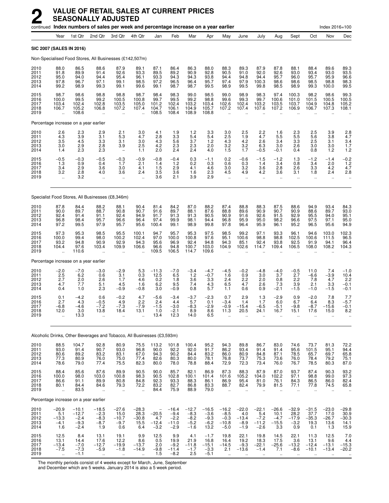|                                      |                                                |                                                  |                                                           | continued Index numbers of sales per week and percentage increase on a year earlier |                                                     |                                                                    |                                                  |                                                 |                                               |                                                        |                                                       |                                               |                                                        |                                                      |                                                      | Index 2016=100                                        |                                                                         |
|--------------------------------------|------------------------------------------------|--------------------------------------------------|-----------------------------------------------------------|-------------------------------------------------------------------------------------|-----------------------------------------------------|--------------------------------------------------------------------|--------------------------------------------------|-------------------------------------------------|-----------------------------------------------|--------------------------------------------------------|-------------------------------------------------------|-----------------------------------------------|--------------------------------------------------------|------------------------------------------------------|------------------------------------------------------|-------------------------------------------------------|-------------------------------------------------------------------------|
|                                      | Year                                           | 1st Qtr                                          | 2nd Qtr                                                   | 3rd Qtr                                                                             | 4th Qtr                                             | Jan                                                                | Feb                                              | Mar                                             | Apr                                           | May                                                    | June                                                  | July                                          | Aug                                                    | Sept                                                 | Oct                                                  | Nov                                                   | Dec                                                                     |
|                                      |                                                | <b>SIC 2007 (SALES IN 2016)</b>                  |                                                           |                                                                                     |                                                     |                                                                    |                                                  |                                                 |                                               |                                                        |                                                       |                                               |                                                        |                                                      |                                                      |                                                       |                                                                         |
|                                      |                                                |                                                  |                                                           | Non-Specialised Food Stores, All Businesses (£142,507m)                             |                                                     |                                                                    |                                                  |                                                 |                                               |                                                        |                                                       |                                               |                                                        |                                                      |                                                      |                                                       |                                                                         |
| 2010<br>2011<br>2012<br>2013<br>2014 | 88.0<br>91.8<br>95.0<br>97.8<br>99.2           | 86.5<br>89.9<br>94.0<br>96.7<br>98.9             | 88.6<br>91.4<br>94.4<br>97.1<br>99.3                      | 87.9<br>92.6<br>95.4<br>99.1<br>99.1                                                | 89.1<br>93.3<br>96.1<br>98.5<br>99.6                | 87.1<br>89.5<br>93.3<br>97.2<br>99.1                               | 86.4<br>89.2<br>94.3<br>96.5<br>98.7             | 86.3<br>90.9<br>94.3<br>96.4<br>98.7            | 88.0<br>92.8<br>93.8<br>95.7<br>99.5          | 88.3<br>90.5<br>94.4<br>97.4<br>98.9                   | 89.3<br>91.0<br>94.8<br>97.9<br>99.5                  | 87.9<br>92.0<br>94.4<br>100.3<br>99.8         | 87.8<br>92.6<br>95.7<br>98.6<br>98.5                   | 88.1<br>93.0<br>96.0<br>98.6<br>98.9                 | 88.4<br>93.4<br>95.7<br>98.5<br>99.3                 | 89.6<br>93.0<br>95.9<br>98.8<br>100.0                 | 89.3<br>93.5<br>96.6<br>98.3<br>99.5                                    |
| 2015<br>2016<br>2017<br>2018<br>2019 | 98.7<br>100.0<br>103.4<br>106.7                | 98.6<br>99.5<br>102.4<br>105.2<br>108.6          | 98.8<br>99.2<br>102.8<br>106.8<br>$\ddot{\phantom{a}}$    | 98.8<br>100.5<br>103.5<br>107.2<br>$\ddot{\phantom{a}}$                             | 98.7<br>100.8<br>105.0<br>107.4                     | 98.4<br>99.7<br>101.2<br>104.7<br>108.5                            | 98.3<br>99.5<br>102.4<br>106.1<br>108.4          | 99.0<br>99.2<br>103.2<br>104.9<br>108.9         | 98.5<br>98.8<br>103.4<br>105.7<br>108.8       | 99.0<br>99.6<br>102.6<br>107.2                         | 98.9<br>99.3<br>102.4<br>107.4                        | 98.3<br>99.7<br>103.2<br>107.6                | 97.4<br>100.6<br>103.5<br>107.2                        | 100.3<br>101.0<br>103.7<br>106.9                     | 98.2<br>101.5<br>104.9<br>106.7                      | 98.6<br>100.5<br>104.8<br>107.3                       | 99.3<br>100.5<br>105.2<br>108.1                                         |
|                                      |                                                | Percentage increase on a year earlier            |                                                           |                                                                                     |                                                     |                                                                    |                                                  |                                                 |                                               |                                                        |                                                       |                                               |                                                        |                                                      |                                                      |                                                       |                                                                         |
| 2010<br>2011<br>2012<br>2013<br>2014 | $^{2.6}_{4.3}$<br>3.5<br>3.0<br>1.4            | 2.3<br>3.9<br>4.5<br>2.9<br>2.3                  | 2.9<br>3.1<br>3.3<br>2.8<br>2.3                           | 2.1<br>5.3<br>3.1<br>3.9<br>$\overline{\phantom{0}}$                                | 3.0<br>4.7<br>3.0<br>2.5<br>1.1                     | 4.1<br>2.8<br>4.3<br>4.2<br>2.0                                    | 1.9<br>3.3<br>5.6<br>2.3<br>2.4                  | 1.2<br>5.4<br>3.7<br>2.3<br>2.4                 | $\frac{3.3}{5.4}$<br>1.2<br>2.0<br>4.0        | 3.0<br>2.5<br>4.3<br>3.2<br>1.5                        | 2.5<br>1.9<br>4.2<br>3.2<br>1.7                       | 2.2<br>4.7<br>2.6<br>6.3<br>$-0.5$            | 1.6<br>5.5<br>3.4<br>3.0<br>$-0.1$                     | 2.3<br>5.5<br>3.3<br>2.6<br>0.4                      | 2.5<br>5.6<br>2.5<br>3.0<br>0.8                      | 3.9<br>3.8<br>3.1<br>3.0<br>1.2                       | $^{2.8}_{4.7}$<br>3.4<br>1.7<br>1.2                                     |
| 2015<br>2016<br>2017<br>2018<br>2019 | $-0.5$<br>1.3<br>3.4<br>3.2<br>$\ddotsc$       | $-0.3$<br>0.9<br>2.9<br>2.8<br>3.2               | $-0.5$<br>0.4<br>3.6<br>4.0<br>$\ddot{\phantom{a}}$       | $-0.3$<br>1.7<br>3.0<br>3.6<br>$\ddot{\phantom{a}}$                                 | $-0.9$<br>2.1<br>4.1<br>2.4<br>$\ddot{\phantom{a}}$ | $-0.8$<br>1.4<br>1.5<br>3.5<br>3.6                                 | $-0.4$<br>1.2<br>2.9<br>3.6<br>2.1               | 0.3<br>0.2<br>4.1<br>1.6<br>3.9                 | $-1.1$<br>0.3<br>4.6<br>2.3<br>2.9            | 0.2<br>0.6<br>3.0<br>4.5<br>$\ddot{\phantom{a}}$       | $-0.6$<br>0.3<br>3.2<br>4.9<br>$\ddotsc$              | $-1.5$<br>1.4<br>3.6<br>4.2<br>$\ddotsc$      | $-1.2$<br>3.4<br>2.8<br>3.6<br>$\ddotsc$               | 1.3<br>0.8<br>2.6<br>3.1<br>$\ddotsc$                | $-1.2$<br>3.4<br>3.3<br>1.8<br>$\ddotsc$             | $-1.4$<br>2.0<br>4.2<br>2.4<br>$\ddotsc$              | $-0.2$<br>1.2<br>4.7<br>2.8                                             |
|                                      |                                                |                                                  |                                                           | Specialist Food Stores, All Businesses (£8,346m)                                    |                                                     |                                                                    |                                                  |                                                 |                                               |                                                        |                                                       |                                               |                                                        |                                                      |                                                      |                                                       |                                                                         |
| 2010<br>2011<br>2012<br>2013<br>2014 | 87.8<br>90.0<br>92.4<br>96.8<br>97.2           | 84.4<br>89.7<br>91.4<br>98.4<br>99.5             | 88.2<br>88.7<br>91.1<br>95.7<br>97.9                      | 88.1<br>90.8<br>92.4<br>96.6<br>95.7                                                | 90.4<br>90.7<br>94.9<br>96.4<br>95.6                | 81.4<br>91.6<br>91.7<br>97.4<br>100.4                              | 84.2<br>89.7<br>91.3<br>99.9<br>99.1             | 87.0<br>88.1<br>91.3<br>98.1<br>98.9            | 88.2<br>87.6<br>90.5<br>94.4<br>99.8          | 87.4<br>88.8<br>90.9<br>96.8<br>97.8                   | 88.8<br>89.6<br>91.6<br>95.9<br>96.4                  | 88.3<br>90.9<br>92.6<br>95.0<br>95.9          | 87.5<br>90.7<br>91.5<br>98.2<br>96.1                   | 88.6<br>90.9<br>92.9<br>96.6<br>95.2                 | 94.9<br>88.6<br>95.5<br>97.5<br>96.5                 | 93.4<br>89.7<br>94.0<br>97.1<br>95.6                  | 84.3<br>93.0<br>95.1<br>95.0<br>94.9                                    |
| 2015<br>2016<br>2017<br>2018<br>2019 | 97.3<br>100.0<br>93.2<br>104.4<br>$\ddotsc$    | 95.3<br>99.4<br>94.8<br>97.6<br>110.6            | 98.5<br>98.0<br>90.9<br>103.4                             | 95.5<br>100.2<br>92.9<br>109.9                                                      | 100.1<br>102.4<br>94.3<br>106.6                     | 94.7<br>97.0<br>95.6<br>96.6<br>109.5                              | 95.7<br>100.0<br>96.9<br>94.8<br>106.5           | 95.3<br>100.8<br>92.4<br>100.7<br>114.7         | 97.5<br>97.6<br>94.8<br>103.0<br>109.6        | 98.5<br>95.1<br>94.3<br>104.9                          | 99.2<br>100.6<br>85.1<br>102.6                        | 97.1<br>98.8<br>92.4<br>114.7                 | 93.3<br>98.8<br>93.8<br>109.4                          | 96.1<br>102.5<br>92.5<br>106.5                       | 94.6<br>100.6<br>91.9<br>108.0                       | 103.0<br>111.5<br>94.1<br>108.2                       | 102.3<br>96.5<br>96.4<br>104.3                                          |
|                                      |                                                | Percentage increase on a year earlier            |                                                           |                                                                                     |                                                     |                                                                    |                                                  |                                                 |                                               |                                                        |                                                       |                                               |                                                        |                                                      |                                                      |                                                       |                                                                         |
| 2010<br>2011<br>2012<br>2013<br>2014 | $\frac{-2.0}{2.5}$<br>2.7<br>4.7<br>0.4        | $-7.0$<br>6.2<br>2.0<br>7.7<br>1.0               | $-3.0$<br>0.6<br>2.6<br>5.1<br>2.3                        | $-2.9$<br>3.1<br>1.7<br>4.5<br>$-0.9$                                               | 5.3<br>0.3<br>4.6<br>1.6<br>$-0.8$                  | $-11.3$<br>12.5<br>0.2<br>6.2<br>3.0                               | $-7.0$<br>6.5<br>1.8<br>9.5<br>$-0.9$            | $-3.4$<br>1.2<br>3.6<br>7.4<br>0.8              | $-4.7$<br>$-0.7$<br>3.3<br>4.3<br>5.7         | $-4.5$<br>1.6<br>2.4<br>6.5<br>1.1                     | $-0.2$<br>0.9<br>2.2<br>4.7<br>0.6                    | $-4.8$<br>3.0<br>2.0<br>2.6<br>0.9            | $-4.0$<br>3.7<br>0.8<br>7.3<br>$-2.1$                  | $-0.5$<br>2.7<br>2.2<br>3.9<br>$-1.5$                | 11.0<br>$-6.6$<br>7.8<br>2.1<br>$-1.0$               | 7.4<br>$-3.9$<br>4.7<br>3.3<br>$-1.5$                 | $-1.0$<br>10.4<br>2.2<br>$-0.1$<br>$-0.1$                               |
| 2015<br>2016<br>2017<br>2018<br>2019 | 0.1<br>2.7<br>$-6.8$<br>12.0<br>ă,             | $-4.2$<br>4.3<br>$-4.6$<br>3.0<br>13.3           | 0.6<br>$-0.5$<br>$-7.2$<br>13.8<br>$\ddot{\phantom{1}}$   | $-0.2$<br>4.9<br>$-7.3$<br>18.4<br>$\ddot{\phantom{a}}$                             | 4.7<br>$\frac{2.2}{-7.9}$<br>13.1<br>$\ddotsc$      | $-5.6$<br>2.4<br>$-1.5$<br>1.0<br>13.4                             | $-3.4$<br>4.4<br>$-3.0$<br>$-2.1$<br>12.3        | $-3.7$<br>5.7<br>$-8.3$<br>8.9<br>14.0          | $-2.3$<br>0.1<br>$-2.9$<br>8.6<br>6.5         | 0.7<br>$-3.4$<br>$-0.9$<br>11.3                        | 2.9<br>1.4<br>$-15.4$<br>20.5                         | 1.3<br>1.7<br>-6.5<br>24.1                    | $-2.9$<br>6.0<br>$-5.1$<br>16.7<br>$\ddotsc$           | 0.9<br>6.7<br>$-9.8$<br>15.1<br>$\ddot{\phantom{a}}$ | $-2.0$<br>6.4<br>$-8.7$<br>17.6<br>$\ddotsc$         | 7.8<br>8.3<br>$-15.6$<br>15.0<br>$\ddot{\phantom{a}}$ | $7.7 - 5.7$<br>$-0.1$<br>8.2                                            |
|                                      |                                                |                                                  |                                                           | Alcoholic Drinks, Other Beverages and Tobacco, All Businesses (£3,593m)             |                                                     |                                                                    |                                                  |                                                 |                                               |                                                        |                                                       |                                               |                                                        |                                                      |                                                      |                                                       |                                                                         |
| 2010<br>2011<br>2012<br>2013<br>2014 | 88.5<br>93.0<br>80.6<br>77.3<br>78.6           | 104.7<br>91.4<br>89.2<br>80.9<br>79.0            | 92.8<br>90.7<br>83.2<br>76.0<br>77.4                      | 80.9<br>93.0<br>83.1<br>75.0<br>75.5                                                | 75.5<br>96.8<br>67.0<br>77.4<br>82.3                | 113.2<br>90.0<br>94.3<br>82.6<br>80.0                              | 101.8<br>92.2<br>90.2<br>80.3<br>78.0            | 100.4<br>92.0<br>84.4<br>80.0<br>78.8           | 95.2<br>91.7<br>83.2<br>78.1<br>88.4          | 94.3<br>86.2<br>86.0<br>76.8<br>72.9                   | 89.8<br>93.4<br>80.9<br>73.7<br>72.3                  | 86.7<br>91.4<br>84.8<br>75.3<br>73.4          | 83.0<br>91.4<br>87.1<br>73.6<br>76.0                   | 74.6<br>95.6<br>78.5<br>76.0<br>76.7                 | 73.7<br>101.5<br>65.7<br>78.4<br>78.5                | 81.3<br>95.1<br>69.7<br>79.2<br>80.3                  | 72.2<br>94.4<br>65.8<br>75.1<br>87.0                                    |
| 2015<br>2016<br>2017<br>2018<br>2019 | 88.4<br>100.0<br>86.6<br>80.1<br>$\ddotsc$     | 85.6<br>98.0<br>91.1<br>84.4<br>83.5             | 87.6<br>103.0<br>89.9<br>84.6                             | 89.9<br>100.8<br>80.8<br>79.3<br>$\ddot{\phantom{a}}$                               | 90.5<br>98.3<br>84.8<br>72.2<br>÷.                  | $90.0$<br>$90.5$<br>92.3<br>83.2<br>84.4                           | 85.7<br>102.8<br>93.3<br>82.7<br>75.9            | 82.1<br>100.1<br>88.3<br>86.8<br>88.9           | 86.9<br>101.4<br>86.1<br>83.3<br>79.0         | 87.3<br>101.6<br>86.9<br>88.7<br>$\ddot{\phantom{a}}$  | 88.3<br>105.2<br>95.4<br>82.4<br>$\ddot{\phantom{a}}$ | 87.9<br>104.0<br>81.0<br>79.9<br>$\ddotsc$    | 87.0<br>102.2<br>76.1<br>81.5<br>$\ddot{\phantom{a}}$  | 93.7<br>97.1<br>84.3<br>77.1<br>$\ddotsc$            | 87.4<br>98.8<br>86.5<br>77.8<br>$\ddot{\phantom{a}}$ | 90.3<br>99.0<br>86.0<br>74.5<br>$\ddot{\phantom{a}}$  | 93.2<br>97.3<br>82.4<br>65.8                                            |
|                                      |                                                | Percentage increase on a year earlier            |                                                           |                                                                                     |                                                     |                                                                    |                                                  |                                                 |                                               |                                                        |                                                       |                                               |                                                        |                                                      |                                                      |                                                       |                                                                         |
| 2010<br>2011<br>2012<br>2013<br>2014 | $-20.9$<br>$5.1 - 13.3$<br>$-4.1$<br>1.6       | $-10.1$<br>$-12.7$<br>$-2.4$<br>$-9.3$<br>$-2.4$ | $-18.5$<br>$-2.3$<br>$-8.3$<br>$-8.7$<br>1.9              | $-27.6$<br>15.0<br>$-10.7$<br>$-9.7$<br>0.6                                         | $-28.3$<br>$28.3 - 30.8$<br>15.5<br>6.4             | $-20.5$<br>4.7<br>$-12.4$<br>$-3.2$                                | $-16.4$<br>$-9.4$<br>$-2.2$<br>$-11.0$<br>$-2.9$ | $-12.7$<br>$-8.3$<br>$-8.2$<br>$-5.2$<br>$-1.6$ | $-16.5$<br>$-3.6$<br>$-9.3$<br>$-6.2$<br>13.2 | $-16.2$<br>$-8.5$<br>$-0.3$<br>$-10.8$<br>$-5.0$       | $-22.0$<br>4.0<br>$-13.4$<br>$-8.9$<br>$-1.9$         | $-22.1$<br>5.4<br>$-7.2$<br>$-11.2$<br>$-2.6$ | $-26.6$<br>10.1<br>$-4.7$<br>$-15.5$<br>3.3            | $-32.9$<br>$28.2 - 17.9$<br>$-3.2$<br>0.9            | $-31.5$<br>$37.7 - 35.3$<br>19.3<br>0.1              | $-23.0$<br>17.0<br>$-26.7$<br>13.6<br>1.3             | $-29.8$<br>$\begin{array}{c} 30.9 \\ -30.3 \\ 14.1 \end{array}$<br>15.9 |
| 2015<br>2016<br>2017<br>2018<br>2019 | 12.5<br>13.1<br>$-13.4$<br>$-7.5$<br>$\ddotsc$ | 8.4<br>14.4<br>$-7.0$<br>$-7.3$<br>$-1.1$        | 13.1<br>17.6<br>$-12.7$<br>$-5.9$<br>$\ddot{\phantom{1}}$ | 19.1<br>12.2<br>$-19.9$<br>$-1.8$<br>$\cdot$ .                                      | 9.9<br>8.6<br>$-13.7$<br>$-14.9$<br>$\ldots$        | 12.5<br>$\begin{array}{c} 0.5 \\ 2.0 \end{array}$<br>$-9.8$<br>1.5 | 9.9<br>19.9<br>$-9.2$<br>$-11.4$<br>$-8.2$       | 4.1<br>21.9<br>$-11.8$<br>$-1.7$<br>2.5         | $-1.7$<br>16.8<br>$-15.1$<br>$-3.3$<br>$-5.1$ | 19.8<br>16.4<br>$-14.5$<br>2.1<br>$\ddot{\phantom{1}}$ | 22.1<br>19.2<br>$-9.3$<br>$-13.6$<br>$\cdot$ .        | 19.8<br>18.3<br>$-22.1$<br>$-1.4$<br>$\cdot$  | 14.5<br>17.5<br>$-25.6$<br>7.1<br>$\ddot{\phantom{1}}$ | 22.1<br>3.6<br>$-13.2$<br>$-8.6$<br>$\cdot$ .        | 11.3<br>13.1<br>$-12.4$<br>$-10.1$<br>$\cdot$        | 12.5<br>9.6<br>$-13.1$<br>$-13.4$<br>$\cdot$          | 7.0<br>4.4<br>$-15.3$<br>$-20.2$                                        |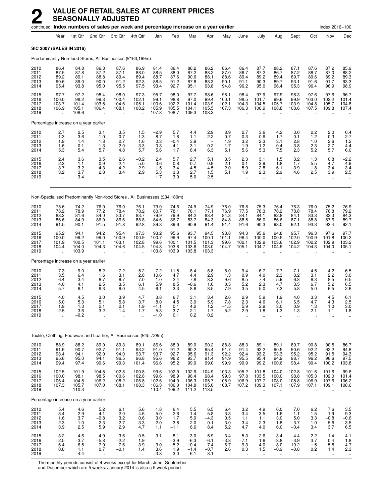|                                      |                                                         |                                           | continued Index numbers of sales per week and percentage increase on a year earlier |                                             |                                                                |                                                      |                                          |                                          |                                              |                                                         |                                                         |                                                          |                                                          |                                                         |                                                          | Index 2016=100                                   |                                             |
|--------------------------------------|---------------------------------------------------------|-------------------------------------------|-------------------------------------------------------------------------------------|---------------------------------------------|----------------------------------------------------------------|------------------------------------------------------|------------------------------------------|------------------------------------------|----------------------------------------------|---------------------------------------------------------|---------------------------------------------------------|----------------------------------------------------------|----------------------------------------------------------|---------------------------------------------------------|----------------------------------------------------------|--------------------------------------------------|---------------------------------------------|
|                                      | Year                                                    | 1st Qtr                                   | 2nd Qtr                                                                             | 3rd Qtr                                     | 4th Qtr                                                        | Jan                                                  | Feb                                      | Mar                                      | Apr                                          | May                                                     | June                                                    | July                                                     | Aug                                                      | Sept                                                    | Oct                                                      | Nov                                              | Dec                                         |
|                                      | SIC 2007 (SALES IN 2016)                                |                                           |                                                                                     |                                             |                                                                |                                                      |                                          |                                          |                                              |                                                         |                                                         |                                                          |                                                          |                                                         |                                                          |                                                  |                                             |
|                                      |                                                         |                                           | Predominantly Non-food Stores, All Businesses (£163,199m)                           |                                             |                                                                |                                                      |                                          |                                          |                                              |                                                         |                                                         |                                                          |                                                          |                                                         |                                                          |                                                  |                                             |
| 2010<br>2011<br>2012<br>2013<br>2014 | 86.4<br>87.5<br>89.2<br>90.6<br>95.4                    | 84.8<br>87.8<br>89.1<br>89.0<br>93.8      | 86.3<br>87.2<br>88.8<br>90.0<br>95.0                                                | 87.6<br>87.1<br>89.4<br>91.2<br>95.5        | 86.9<br>88.0<br>89.4<br>92.3<br>97.5                           | 81.4<br>88.5<br>88.7<br>88.5<br>93.4                 | 86.4<br>88.0<br>87.6<br>91.2<br>92.7     | 86.2<br>87.2<br>90.6<br>87.8<br>95.1     | 86.2<br>88.2<br>88.1<br>88.3<br>93.8         | 86.4<br>87.0<br>88.6<br>90.1<br>94.8                    | 86.4<br>86.7<br>89.4<br>91.1<br>96.2                    | 87.7<br>87.2<br>89.2<br>90.3<br>95.0                     | 88.2<br>86.7<br>89.4<br>89.7<br>96.4                     | 87.1<br>87.2<br>89.7<br>93.1<br>95.3                    | 87.6<br>88.7<br>89.6<br>91.6<br>96.4                     | 87.2<br>87.0<br>89.2<br>91.7<br>96.9             | 85.9<br>88.2<br>89.3<br>93.3<br>98.9        |
| 2015<br>2016<br>2017<br>2018<br>2019 | 97.7<br>100.0<br>103.7<br>106.9<br>$\ddot{\phantom{a}}$ | 97.2<br>98.2<br>101.4<br>105.1<br>108.6   | 98.4<br>99.3<br>103.5<br>106.4<br>ä.                                                | 98.0<br>100.4<br>104.6<br>108.1<br>÷.       | 97.3<br>102.1<br>105.1<br>108.2<br>÷.                          | 95.7<br>99.1<br>100.6<br>105.9<br>107.8              | 98.0<br>98.8<br>102.2<br>105.5<br>108.7  | 97.7<br>97.0<br>101.4<br>104.1<br>109.3  | 98.6<br>99.4<br>103.9<br>105.5<br>108.2      | 98.1<br>100.1<br>102.1<br>107.3                         | 98.4<br>98.5<br>104.3<br>106.3                          | 97.9<br>101.7<br>104.5<br>106.9                          | 97.9<br>99.6<br>105.7<br>108.8                           | 98.3<br>99.9<br>103.9<br>108.6                          | 97.6<br>103.0<br>104.8<br>107.5                          | 97.6<br>102.2<br>105.7<br>109.8                  | 96.7<br>101.4<br>104.8<br>107.4             |
|                                      |                                                         | Percentage increase on a year earlier     |                                                                                     |                                             |                                                                |                                                      |                                          |                                          |                                              |                                                         |                                                         |                                                          |                                                          |                                                         |                                                          |                                                  |                                             |
| 2010<br>2011<br>2012<br>2013<br>2014 | 2.7<br>1.3<br>1.9<br>1.6<br>5.3                         | $\frac{2.5}{3.6}$<br>1.4<br>$-0.1$<br>5.4 | 3.1<br>1.0<br>1.8<br>1.3<br>5.7                                                     | 3.5<br>$-0.7$<br>2.7<br>2.0<br>4.8          | 1.5<br>1.3<br>1.6<br>3.3<br>5.7                                | $-2.9$<br>8.7<br>0.3<br>$-0.3$<br>5.6                | 5.7<br>1.8<br>$-0.4$<br>4.1<br>1.7       | 4.4<br>1.1<br>3.9<br>$-3.1$<br>8.4       | 2.9<br>2.2<br>0.2<br>6.3                     | $\frac{3.9}{0.7}$<br>1.9<br>1.7<br>5.1                  | 2.7<br>0.3<br>3.2<br>1.9<br>5.6                         | 3.6<br>$-0.6$<br>2.3<br>1.2<br>5.3                       | 4.2<br>$-1.7$<br>3.1<br>0.4<br>7.5                       | 3.0<br>0.1<br>2.8<br>3.8<br>2.3                         | 2.2<br>1.2<br>1.0<br>2.3<br>5.2                          | 2.0<br>$-0.3$<br>2.6<br>2.7<br>5.7               | $0.4$<br>2.7<br>1.2<br>$^{4.4}_{6.0}$       |
| 2015<br>2016<br>2017<br>2018<br>2019 | $^{2.4}_{2.3}$<br>3.7<br>3.2<br>$\ddot{\phantom{a}}$    | 3.6<br>1.1<br>3.2<br>3.7<br>3.4           | 3.5<br>0.9<br>4.3<br>2.8<br>ä.                                                      | $^{2.6}_{2.4}$<br>4.2<br>3.4<br>÷.          | $-0.2$<br>5.0<br>2.9<br>2.9<br>$\ddot{\phantom{1}}$            | 2.4<br>3.6<br>1.5<br>5.3<br>1.7                      | 5.7<br>0.8<br>3.4<br>3.3<br>3.0          | 2.7<br>$-0.7$<br>4.5<br>2.7<br>5.0       | 5.1<br>0.9<br>4.5<br>1.5<br>2.5              | 3.5<br>2.1<br>2.0<br>5.1<br>$\ddot{\phantom{a}}$        | 2.3<br>0.1<br>5.9<br>1.9<br>ä,                          | 3.1<br>3.9<br>2.8<br>2.3<br>$\ddot{\phantom{a}}$         | 1.5<br>1.8<br>6.1<br>2.9<br>$\ddot{\phantom{a}}$         | $3.2$<br>$1.7$<br>3.9<br>4.6<br>ä,                      | 1.3<br>5.5<br>1.8<br>2.5<br>$\ddot{\phantom{a}}$         | 0.8<br>4.7<br>3.4<br>3.9<br>$\ldots$             | $-2.2$<br>4.9<br>3.4<br>2.5                 |
|                                      |                                                         |                                           | Non-Specialised Predominantly Non-food Stores, All Businesses (£34,180m)            |                                             |                                                                |                                                      |                                          |                                          |                                              |                                                         |                                                         |                                                          |                                                          |                                                         |                                                          |                                                  |                                             |
| 2010<br>2011<br>2012<br>2013<br>2014 | 75.6<br>78.2<br>83.2<br>86.6<br>91.5                    | 74.2<br>78.9<br>81.6<br>84.9<br>90.1      | 76.0<br>77.2<br>84.0<br>86.0<br>91.5                                                | 76.0<br>78.4<br>83.7<br>86.6<br>91.8        | 76.1<br>78.2<br>83.7<br>88.8<br>92.8                           | 73.0<br>80.7<br>79.9<br>84.6<br>89.8                 | 74.6<br>78.1<br>79.9<br>86.7<br>89.6     | 74.9<br>78.1<br>84.2<br>83.7<br>90.9     | 74.9<br>77.1<br>83.4<br>84.3<br>91.4         | 76.0<br>76.9<br>84.3<br>84.8<br>91.4                    | 76.8<br>77.5<br>84.1<br>88.5<br>91.6                    | 75.3<br>78.3<br>84.1<br>86.0<br>90.3                     | 76.4<br>78.2<br>82.8<br>86.6<br>93.0                     | 76.3<br>78.8<br>84.1<br>87.1<br>92.1                    | 76.0<br>78.4<br>83.3<br>88.8<br>93.3                     | 75.2<br>76.8<br>83.3<br>87.6<br>93.4             | 76.9<br>79.2<br>84.3<br>89.7<br>92.1        |
| 2015<br>2016<br>2017<br>2018<br>2019 | 95.2<br>100.0<br>101.9<br>104.4<br>$\ddotsc$            | 94.1<br>99.2<br>100.5<br>104.0<br>103.9   | 94.2<br>99.0<br>101.1<br>104.3                                                      | 95.4<br>100.9<br>103.1<br>104.6             | 97.3<br>100.9<br>102.8<br>104.5                                | 93.2<br>100.7<br>99.6<br>104.8<br>103.8              | 95.6<br>99.9<br>100.1<br>103.8<br>103.9  | 93.7<br>97.4<br>101.5<br>103.6<br>103.8  | 94.5<br>100.1<br>101.3<br>103.0<br>103.3     | 93.8<br>101.1<br>99.6<br>104.7                          | 94.3<br>96.4<br>102.1<br>105.1                          | 95.6<br>100.0<br>102.9<br>104.7                          | 94.8<br>100.5<br>103.6<br>104.9                          | 95.7<br>102.0<br>102.9<br>104.2                         | 96.3<br>100.9<br>102.2<br>104.3                          | 97.6<br>101.8<br>102.9<br>104.0                  | $97.7$<br>100.2<br>103.2<br>105.1           |
|                                      |                                                         | Percentage increase on a year earlier     |                                                                                     |                                             |                                                                |                                                      |                                          |                                          |                                              |                                                         |                                                         |                                                          |                                                          |                                                         |                                                          |                                                  |                                             |
| 2010<br>2011<br>2012<br>2013<br>2014 | 7.3<br>3.5<br>6.4<br>4.0<br>5.7                         | 9.0<br>6.4<br>3.4<br>4.1<br>6.1           | 8.2<br>1.6<br>8.7<br>2.5<br>6.3                                                     | 7.2<br>3.1<br>6.7<br>3.5<br>6.0             | 5.2<br>2.8<br>7.0<br>6.1<br>4.5                                | 7.2<br>10.6<br>$-1.0$<br>5.9<br>6.1                  | 11.5<br>4.7<br>2.4<br>8.5<br>3.3         | 8.4<br>4.4<br>7.8<br>$-0.6$<br>8.6       | 6.8<br>2.9<br>$\overline{8.2}$<br>1.0<br>8.5 | 8.0<br>1.3<br>9.6<br>0.5<br>7.9                         | 9.4<br>0.9<br>8.5<br>5.2<br>3.5                         | 6.7<br>4.0<br>7.4<br>2.3<br>5.0                          | 7.7<br>2.3<br>5.9<br>4.7<br>7.3                          | 7.1<br>3.2<br>6.8<br>3.5<br>5.8                         | 4.5<br>3.1<br>6.3<br>6.7<br>5.0                          | 4.2<br>2.2<br>8.5<br>5.2<br>6.5                  | 6.5<br>$\frac{3.0}{6.5}$<br>2.6             |
| 2015<br>2016<br>2017<br>2018<br>2019 | 4.0<br>5.0<br>1.9<br>2.5<br>                            | 4.5<br>5.3<br>1.3<br>3.6<br>$-0.2$        | 3.0<br>5.1<br>2.1<br>3.2<br>ä,                                                      | 3.9<br>5.8<br>2.1<br>1.4<br>$\ldots$        | 4.7<br>3.7<br>1.9<br>1.7<br>$\ddotsc$                          | 3.8<br>8.0<br>$-1.1$<br>5.3<br>$-1.0$                | 6.7<br>4.5<br>0.1<br>3.7<br>0.1          | 3.1<br>3.9<br>4.2<br>2.1<br>0.2          | 3.4<br>5.9<br>1.2<br>1.7<br>0.2              | 2.6<br>7.8<br>$-1.5$<br>5.2<br>$\ddot{\phantom{a}}$     | 2.9<br>2.3<br>5.9<br>2.9<br>$\ddot{\phantom{a}}$        | 5.9<br>4.6<br>2.9<br>1.8<br>ä.                           | 1.9<br>6.1<br>3.0<br>1.3<br>ä.                           | 4.0<br>6.5<br>0.9<br>1.3<br>$\ddot{\phantom{a}}$        | 3.3<br>4.7<br>1.3<br>2.1<br>$\ddot{\phantom{a}}$         | 4.5<br>4.3<br>1.0<br>1.1<br>$\ldots$             | 6.1<br>2.5<br>3.0<br>1.8                    |
|                                      |                                                         |                                           | Textile, Clothing, Footwear and Leather, All Businesses (£45,728m)                  |                                             |                                                                |                                                      |                                          |                                          |                                              |                                                         |                                                         |                                                          |                                                          |                                                         |                                                          |                                                  |                                             |
| 2010<br>2011<br>2012<br>2013<br>2014 | 88.9<br>91.9<br>93.4<br>95.6<br>99.4                    | 88.2<br>90.7<br>94.1<br>95.0<br>97.4      | 89.0<br>92.7<br>92.0<br>94.1<br>99.6                                                | 89.3<br>91.1<br>94.0<br>96.5<br>99.3        | 89.1<br>93.2<br>93.7<br>96.8<br>101.4                          | 86.6<br>91.0<br>93.7<br>95.6<br>96.6                 | 88.9<br>91.2<br>92.7<br>96.2<br>95.2     | 89.0<br>90.2<br>95.6<br>93.7<br>99.9     | 90.2<br>95.4<br>91.3<br>91.4<br>99.0         | 88.8<br>91.7<br>92.2<br>94.9<br>99.9                    | 88.3<br>91.4<br>92.4<br>95.5<br>99.9                    | 89.1<br>92.2<br>93.2<br>95.4<br>99.2                     | 89.1<br>90.5<br>93.3<br>94.9<br>100.6                    | 89.7<br>90.6<br>95.2<br>98.7<br>98.4                    | 90.8<br>92.2<br>95.2<br>96.2<br>99.4                     | 90.5<br>92.2<br>91.5<br>96.6<br>100.2            | 86.7<br>94.8<br>94.3<br>97.5<br>103.8       |
| 2015<br>2016<br>2017<br>2018<br>2019 | 102.5<br>100.0<br>106.4<br>107.3<br>$\ddotsc$           | 101.9<br>98.1<br>104.5<br>105.7<br>110.3  | 104.5<br>98.5<br>106.2<br>107.0<br>ä.                                               | 102.8<br>100.6<br>108.2<br>108.1<br>÷.      | 100.8<br>102.8<br>106.8<br>108.3<br>$\ddotsc$                  | 99.6<br>99.6<br>102.6<br>106.3<br>110.4              | 102.9<br>98.9<br>104.0<br>106.0<br>109.2 | 102.9<br>96.4<br>106.3<br>104.8<br>111.2 | 104.9<br>98.4<br>105.7<br>105.0<br>113.5     | 103.3<br>99.3<br>105.9<br>108.7<br>$\ddot{\phantom{a}}$ | 105.2<br>97.8<br>106.9<br>107.2<br>$\ddot{\phantom{a}}$ | 101.8<br>103.5<br>107.7<br>109.3<br>$\ddot{\phantom{a}}$ | 104.0<br>100.0<br>108.0<br>107.1<br>$\ddot{\phantom{a}}$ | 102.8<br>98.8<br>108.8<br>107.9<br>$\ddot{\phantom{1}}$ | 101.6<br>105.3<br>106.9<br>107.1<br>$\ddot{\phantom{a}}$ | 101.6<br>102.0<br>107.6<br>109.1<br>$\mathbf{r}$ | 99.6<br>101.4<br>106.2<br>108.6             |
|                                      |                                                         | Percentage increase on a year earlier     |                                                                                     |                                             |                                                                |                                                      |                                          |                                          |                                              |                                                         |                                                         |                                                          |                                                          |                                                         |                                                          |                                                  |                                             |
| 2010<br>2011<br>2012<br>2013<br>2014 | 5.4<br>3.4<br>1.6<br>2.3<br>3.9                         | 4.6<br>2.9<br>3.7<br>1.0<br>2.5           | $5.2$<br>4.1<br>$-0.8$<br>2.3<br>5.9                                                | 6.1<br>2.0<br>$\frac{3.2}{2.7}$<br>2.9      | 5.6<br>4.6<br>$\begin{array}{c} 0.6 \\ 3.3 \\ 4.7 \end{array}$ | 1.8<br>$5.0\,$<br>3.0<br>2.0<br>1.1                  | 6.4<br>2.6<br>1.7<br>3.8<br>$-1.1$       | 5.5<br>1.4<br>5.9<br>$-2.0$<br>6.6       | 6.5<br>5.8<br>$-4.3$<br>0.1<br>8.4           | 6.4<br>3.3<br>0.5<br>3.0<br>5.2                         | 3.2<br>3.4<br>1.1<br>3.4<br>4.7                         | 4.9<br>3.5<br>1.1<br>2.3<br>4.0                          | 6.0<br>1.6<br>3.0<br>1.8<br>6.0                          | 7.0<br>1.1<br>5.0<br>3.7<br>$-0.4$                      | $6.2$<br>1.5<br>3.3<br>1.0<br>3.4                        | 7.6<br>1.9<br>$-0.8$<br>5.6<br>3.7               | $\frac{3.5}{9.3}$<br>$-0.6$<br>3.5<br>6.5   |
| 2015<br>2016<br>2017<br>2018<br>2019 | 3.2<br>$-2.5$<br>6.4<br>0.8<br>$\ddot{\phantom{a}}$     | 4.6<br>$-3.7$<br>6.5<br>1.1<br>4.4        | 4.9<br>$-5.8$<br>7.9<br>0.7<br>$\ddotsc$                                            | 3.6<br>$-2.2$<br>7.6<br>$-0.1$<br>$\ddotsc$ | $-0.5$<br>1.9<br>3.9<br>1.4<br>$\ddotsc$                       | 3.1<br>$\overline{\phantom{0}}$<br>3.0<br>3.6<br>3.8 | 8.1<br>$-3.9$<br>5.2<br>1.9<br>3.0       | 3.0<br>$-6.3$<br>10.4<br>$-1.4$<br>6.1   | 5.9<br>$-6.1$<br>7.4<br>$-0.7$<br>8.1        | 3.4<br>$-3.8$<br>6.7<br>2.6<br>$\ddotsc$                | 5.3<br>$-7.1$<br>9.3<br>0.3<br>$\ddotsc$                | 2.6<br>1.6<br>4.0<br>1.5<br>$\ddotsc$                    | 3.4<br>$-3.8$<br>8.0<br>$-0.9$<br>$\ddotsc$              | 4.4<br>$-3.9$<br>10.2<br>$-0.8$<br>$\ldots$             | 2.2<br>$3.7\,$<br>1.5<br>0.2<br>$\ddotsc$                | 1.4<br>0.4<br>5.5<br>1.4<br>$\sim$               | $-4.1$<br>1.8<br>$^{4.7}_{2.3}$<br>$\ldots$ |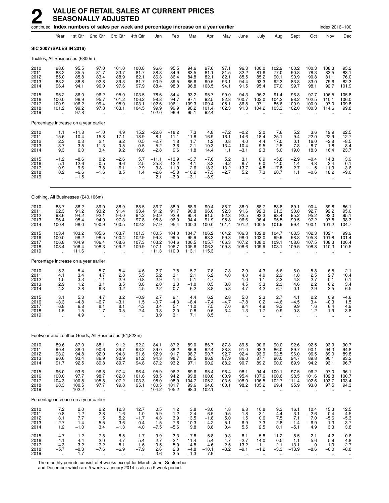|                                      |                                                     |                                           | continued Index numbers of sales per week and percentage increase on a year earlier |                                                          |                                                     |                                                                       |                                                 |                                             |                                              |                                                         |                                                        |                                                         |                                                         |                                                     |                                                        | Index 2016=100                              |                                                                    |
|--------------------------------------|-----------------------------------------------------|-------------------------------------------|-------------------------------------------------------------------------------------|----------------------------------------------------------|-----------------------------------------------------|-----------------------------------------------------------------------|-------------------------------------------------|---------------------------------------------|----------------------------------------------|---------------------------------------------------------|--------------------------------------------------------|---------------------------------------------------------|---------------------------------------------------------|-----------------------------------------------------|--------------------------------------------------------|---------------------------------------------|--------------------------------------------------------------------|
|                                      | Year                                                | 1st Qtr                                   | 2nd Qtr                                                                             | 3rd Qtr                                                  | 4th Qtr                                             | Jan                                                                   | Feb                                             | Mar                                         | Apr                                          | May                                                     | June                                                   | July                                                    | Aug                                                     | Sept                                                | Oct                                                    | Nov                                         | Dec                                                                |
|                                      | SIC 2007 (SALES IN 2016)                            |                                           |                                                                                     |                                                          |                                                     |                                                                       |                                                 |                                             |                                              |                                                         |                                                        |                                                         |                                                         |                                                     |                                                        |                                             |                                                                    |
|                                      | Textiles, All Businesses (£800m)                    |                                           |                                                                                     |                                                          |                                                     |                                                                       |                                                 |                                             |                                              |                                                         |                                                        |                                                         |                                                         |                                                     |                                                        |                                             |                                                                    |
| 2010<br>2011<br>2012<br>2013<br>2014 | 98.6<br>83.2<br>85.0<br>88.2<br>96.4                | 95.5<br>85.5<br>85.8<br>88.8<br>94.1      | 97.0<br>81.7<br>83.4<br>92.8<br>96.0                                                | 101.0<br>83.7<br>88.9<br>89.3<br>97.6                    | 100.8<br>81.7<br>82.1<br>81.7<br>97.9               | 96.6<br>88.8<br>86.3<br>90.9<br>88.4                                  | 95.5<br>84.9<br>86.4<br>89.5<br>98.0            | 94.6<br>83.5<br>84.8<br>86.6<br>96.8        | 97.6<br>81.1<br>82.1<br>90.5<br>103.5        | 97.1<br>81.5<br>82.1<br>93.1<br>94.1                    | 96.3<br>82.2<br>85.5<br>94.4<br>91.5                   | 100.0<br>81.6<br>85.2<br>93.3<br>95.4                   | 102.9<br>77.0<br>90.1<br>92.3<br>97.0                   | 100.2<br>90.8<br>90.9<br>83.8<br>99.7               | 100.3<br>78.3<br>90.8<br>83.0<br>98.1                  | 108.3<br>83.5<br>81.1<br>79.6<br>92.7       | 95.2<br>83.1<br>76.0<br>82.3<br>101.9                              |
| 2015<br>2016<br>2017<br>2018<br>2019 | 95.2<br>100.0<br>100.9<br>101.2                     | 86.0<br>96.9<br>106.2<br>99.2<br>97.8     | 96.2<br>95.7<br>99.4<br>97.8                                                        | 95.0<br>101.2<br>95.0<br>103.1<br>$\ddot{\phantom{a}}$   | 103.5<br>106.2<br>103.1<br>104.5                    | 78.6<br>98.8<br>102.6<br>99.9<br>102.0                                | 84.4<br>94.7<br>106.1<br>99.9<br>96.9           | 93.2<br>97.1<br>109.3<br>98.2<br>95.1       | 95.7<br>92.5<br>109.4<br>101.4<br>92.4       | 99.0<br>92.8<br>105.1<br>102.3                          | 94.3<br>100.7<br>86.8<br>91.3                          | 96.2<br>102.0<br>97.1<br>104.2                          | 91.4<br>104.2<br>85.6<br>103.3                          | 96.8<br>98.2<br>100.9<br>102.0                      | 97.7<br>102.5<br>100.9<br>100.3                        | 106.5<br>110.1<br>97.0<br>114.6             | 105.8<br>106.0<br>109.8<br>99.8                                    |
|                                      | Percentage increase on a year earlier               |                                           |                                                                                     |                                                          |                                                     |                                                                       |                                                 |                                             |                                              |                                                         |                                                        |                                                         |                                                         |                                                     |                                                        |                                             |                                                                    |
| 2010<br>2011<br>2012<br>2013<br>2014 | 1.1<br>$-15.6$<br>2.3<br>3.7<br>9.3                 | $-11.8$<br>$-10.4$<br>0.3<br>3.5<br>6.0   | $-1.0$<br>$-15.8$<br>2.1<br>11.3<br>3.4                                             | 4.9<br>$-17.1$<br>6.2<br>0.5<br>9.2                      | 15.2<br>$-18.9$<br>0.5<br>$-0.5$<br>19.8            | $-22.6$<br>$-8.1$<br>$-2.7$<br>5.2<br>$-2.8$                          | $-18.2$<br>$-11.1$<br>1.8<br>3.6<br>9.6         | $-11.8$<br>1.7<br>2.1<br>11.8               | 4.8<br>$-16.9$<br>1.2<br>10.3<br>14.4        | $-7.2$<br>$-16.1$<br>0.8<br>13.4<br>1.1                 | $-0.2$<br>$-14.6$<br>4.0<br>10.4<br>$-3.1$             | 2.0<br>$-18.4$<br>4.4<br>9.5<br>2.3                     | 7.6<br>$-25.1$<br>17.0<br>2.5<br>5.0                    | 5.2<br>$-9.4$<br>0.1<br>$-7.8$<br>19.0              | 3.6<br>$-22.0$<br>16.0<br>-8.7<br>18.3                 | 19.9<br>$-22.9$<br>$-2.8$<br>$-1.8$<br>16.4 | 22.5<br>$-12.7$<br>$-8.5$<br>8.4<br>23.7                           |
| 2015<br>2016<br>2017<br>2018<br>2019 | $-1.2$<br>5.1<br>0.9<br>0.2<br>$\ddot{\phantom{a}}$ | $-8.6$<br>12.6<br>9.6<br>$-6.6$<br>$-1.5$ | 0.2<br>$-0.5$<br>3.8<br>$-1.6$<br>$\ddot{\phantom{a}}$                              | $-2.6$<br>6.6<br>-6.1<br>8.5<br>ä.                       | 5.7<br>2.5<br>$-2.9$<br>1.4<br>$\ddot{\phantom{a}}$ | $-11.1$<br>25.8<br>3.8<br>$-2.6$<br>2.1                               | $-13.9$<br>12.2<br>11.9<br>$-5.8$<br>$-3.0$     | $-3.7$<br>4.1<br>12.6<br>$-10.2$<br>$-3.1$  | $-7.6$<br>$-3.3$<br>18.3<br>$-7.3$<br>$-8.9$ | 5.2<br>$-6.2$<br>13.2<br>$-2.7$<br>$\ddotsc$            | 3.1<br>6.7<br>$-13.7$<br>$5.2$<br>$\ddot{\phantom{a}}$ | 0.9<br>6.0<br>$-4.8$<br>7.3<br>$\ddot{\phantom{a}}$     | $-5.8$<br>14.0<br>$-17.8$<br>20.7                       | $-2.9$<br>1.4<br>2.7<br>1.1<br>$\ddot{\phantom{a}}$ | $-0.4$<br>4.8<br>$-1.5$<br>$-0.6$                      | 14.8<br>3.4<br>$-11.9$<br>18.2              | $3.9$<br>$0.1$<br>3.6<br>$-9.0$                                    |
|                                      | Clothing, All Businesses (£40,106m)                 |                                           |                                                                                     |                                                          |                                                     |                                                                       |                                                 |                                             |                                              |                                                         |                                                        |                                                         |                                                         |                                                     |                                                        |                                             |                                                                    |
| 2010<br>2011<br>2012<br>2013<br>2014 | 88.7<br>92.3<br>93.6<br>96.4<br>100.4               | 88.2<br>91.2<br>94.2<br>95.4<br>98.0      | 89.0<br>93.2<br>92.1<br>94.9<br>100.9                                               | 88.9<br>91.4<br>94.0<br>97.3<br>100.5                    | 88.5<br>93.4<br>94.2<br>97.8<br>102.2               | 86.7<br>91.2<br>93.9<br>95.8<br>97.9                                  | 88.9<br>91.7<br>92.9<br>96.0<br>95.4            | 88.9<br>90.8<br>95.4<br>94.4<br>100.3       | 90.4<br>96.0<br>91.5<br>91.9<br>100.0        | 88.7<br>92.3<br>92.3<br>95.8<br>101.4                   | 88.0<br>91.6<br>92.5<br>96.6<br>101.2                  | 88.7<br>92.3<br>93.3<br>96.4<br>100.5                   | 88.8<br>91.3<br>93.4<br>95.5<br>101.9                   | 89.1<br>90.8<br>95.2<br>99.5<br>99.4                | 90.4<br>92.7<br>95.2<br>97.2<br>100.1                  | 89.8<br>92.2<br>92.0<br>97.8<br>101.2       | 86.1<br>95.0<br>95.1<br>98.3<br>104.7                              |
| 2015<br>2016<br>2017<br>2018<br>2019 | 103.4<br>100.0<br>106.8<br>108.4                    | 103.2<br>98.2<br>104.9<br>106.4<br>111.6  | 105.6<br>98.5<br>106.4<br>108.3                                                     | 103.7<br>100.4<br>108.6<br>109.2<br>$\ddot{\phantom{a}}$ | 101.3<br>102.9<br>107.3<br>109.9                    | 100.5<br>99.8<br>103.2<br>107.1<br>111.3                              | 104.0<br>99.5<br>104.6<br>106.7<br>110.0        | 104.7<br>95.9<br>106.5<br>105.6<br>113.1    | 106.2<br>98.3<br>105.7<br>106.3<br>115.3     | 104.2<br>99.3<br>106.3<br>109.8                         | 106.3<br>98.0<br>107.2<br>108.6                        | 102.8<br>103.0<br>108.0<br>109.9                        | 104.7<br>99.9<br>109.1<br>108.1                         | 103.5<br>98.8<br>108.6<br>109.5                     | 102.3<br>105.8<br>107.5<br>108.8                       | 102.1<br>101.8<br>108.3<br>110.3            | 99.9<br>101.4<br>106.4<br>110.5                                    |
|                                      | Percentage increase on a year earlier               |                                           |                                                                                     |                                                          |                                                     |                                                                       |                                                 |                                             |                                              |                                                         |                                                        |                                                         |                                                         |                                                     |                                                        |                                             |                                                                    |
| 2010<br>2011<br>2012<br>2013<br>2014 | 5.3<br>4.1<br>1.5<br>2.9<br>4.2                     | 5.4<br>3.4<br>3.3<br>1.2<br>2.8           | 5.7<br>4.7<br>$-1.1$<br>3.1<br>6.3                                                  | 5.4<br>2.8<br>2.9<br>3.5<br>3.2                          | 4.6<br>5.5<br>0.8<br>3.8<br>4.5                     | 2.7<br>5.2<br>2.9<br>2.0<br>2.2                                       | 7.8<br>3.1<br>1.4<br>3.3<br>$-0.7$              | 5.7<br>2.1<br>5.1<br>$-1.0$<br>6.2          | 7.8<br>6.2<br>$-4.7$<br>0.5<br>8.8           | 7.3<br>4.0<br>3.8<br>5.8                                | 2.9<br>4.0<br>1.0<br>4.5<br>4.7                        | 4.3<br>4.0<br>1.1<br>3.3<br>4.2                         | 5.6<br>2.9<br>2.3<br>2.3<br>6.7                         | 6.0<br>1.8<br>4.8<br>4.6<br>$-0.1$                  | 5.8<br>$2.5$<br>$2.7$<br>2.2<br>2.9                    | 6.5<br>2.7<br>$-0.1$<br>6.2<br>3.5          | 2.1<br>10.4<br>0.1<br>3.4<br>6.5                                   |
| 2015<br>2016<br>2017<br>2018<br>2019 | 3.1<br>-3.3<br>6.8<br>1.5                           | 5.3<br>-4.8<br>6.8<br>1.5<br>4.9          | 4.7<br>$-6.7$<br>8.1<br>1.7<br>ä.                                                   | 3.2<br>-3.1<br>8.1<br>U.S<br>                            | $-0.9$<br>1.5<br>4.3<br>2.4                         | 2.7<br>$-0.7$<br>3.4<br>$\frac{3.8}{3.9}$                             | 9.1<br>$-4.3$<br>5.1<br>2.0<br>$\overline{3.1}$ | 4.4<br>$-8.4$<br>11.0<br>$\frac{-0.8}{7.1}$ | 6.2<br>$-7.4$<br>7.5<br>U.6<br>8.5           | 2.8<br>$-4.7$<br>7.0<br>3.4                             | 5.0<br>$-7.8$<br>9.4<br>1.3<br>ä.                      | 2.3<br>0.2<br>4.9<br>1./<br>ä.                          | 2.7<br>$-4.6$<br>9.3<br>-0.9                            | 4.1<br>$-4.5$<br>9.9<br>ს. გ<br>ä.                  | 2.2<br>3.4<br>1.6<br>1.2<br>                           | 0.9<br>$-0.3$<br>6.4<br>1.9<br>ä.           | -4.6<br>1.5<br>4.9<br>3.8                                          |
|                                      |                                                     |                                           | Footwear and Leather Goods, All Businesses (£4,823m)                                |                                                          |                                                     |                                                                       |                                                 |                                             |                                              |                                                         |                                                        |                                                         |                                                         |                                                     |                                                        |                                             |                                                                    |
| 2010<br>2011<br>2012<br>2013<br>2014 | 89.6<br>90.4<br>93.2<br>90.6<br>91.7                | 87.0<br>88.0<br>94.8<br>93.4<br>92.5      | 88.1<br>90.6<br>92.0<br>86.9<br>89.8                                                | 91.2<br>89.7<br>94.3<br>90.9<br>89.7                     | 92.2<br>93.2<br>91.6<br>91.2<br>94.8                | 84.1<br>89.0<br>92.9<br>94.3<br>87.2                                  | 87.2<br>88.2<br>91.7<br>98.7<br>93.2            | 89.0<br>86.9<br>98.7<br>88.5<br>97.1        | 86.7<br>92.4<br>90.7<br>86.9<br>90.2         | 87.8<br>88.3<br>92.7<br>87.9<br>88.2                    | 89.5<br>91.0<br>92.4<br>86.0<br>90.7                   | 90.6<br>93.3<br>93.9<br>87.1<br>89.2                    | 90.0<br>86.0<br>92.5<br>90.0<br>90.0                    | 92.6<br>89.7<br>96.0<br>94.7<br>89.9                | 92.5<br>90.1<br>96.5<br>89.8<br>94.2                   | 93.9<br>94.3<br>89.0<br>90.1<br>93.1        | 90.7<br>$94.8$<br>$89.8$<br>$93.2$<br>96.7                         |
| 2015<br>2016<br>2017<br>2018<br>2019 | 96.0<br>100.0<br>104.3<br>98.3<br>$\ddotsc$         | 93.6<br>97.7<br>100.8<br>100.5<br>102.2   | 96.8<br>98.7<br>105.8<br>97.7<br>$\ddotsc$                                          | 97.4<br>102.0<br>107.2<br>99.8<br>$\ddotsc$              | 96.4<br>101.6<br>103.3<br>95.1<br>$\ddotsc$         | 95.9<br>98.5<br>98.0<br>100.5<br>104.2                                | 96.2<br>94.2<br>98.9<br>101.7<br>105.2          | 89.6<br>99.8<br>104.7<br>99.6<br>98.3       | 95.4<br>100.6<br>105.2<br>94.6<br>102.1      | 96.4<br>100.9<br>103.5<br>100.1<br>$\ddot{\phantom{a}}$ | 98.1<br>95.4<br>108.0<br>98.2<br>$\ddot{\phantom{a}}$  | 94.4<br>107.6<br>106.5<br>105.2<br>$\ddot{\phantom{a}}$ | 100.1<br>100.6<br>102.7<br>99.4<br>$\ddot{\phantom{a}}$ | 97.5<br>98.5<br>111.4<br>95.9<br>$\ddotsc$          | 96.2<br>101.6<br>102.6<br>93.8<br>$\ddot{\phantom{a}}$ | 97.0<br>102.8<br>103.7<br>97.5<br>$\ddotsc$ | 96.1<br>100.7<br>103.4<br>94.3                                     |
|                                      | Percentage increase on a year earlier               |                                           |                                                                                     |                                                          |                                                     |                                                                       |                                                 |                                             |                                              |                                                         |                                                        |                                                         |                                                         |                                                     |                                                        |                                             |                                                                    |
| 2010<br>2011<br>2012<br>2013<br>2014 | 7.2<br>0.8<br>3.1<br>$-2.7$<br>1.2                  | 2.0<br>1.2<br>7.7<br>$-1.4$<br>$-1.0$     | 2.2<br>2.8<br>1.5<br>$-5.5$<br>3.4                                                  | 12.3<br>$-1.6$<br>5.2<br>$-3.6$<br>$-1.3$                | 12.7<br>1.0<br>$-1.7$<br>$-0.4$<br>4.0              | $\begin{array}{c} 0.5 \\ 5.9 \end{array}$<br>$4.3$<br>$1.5$<br>$-7.5$ | 1.2<br>1.2<br>$\frac{3.9}{7.6}$<br>$-5.6$       | 3.8<br>$-2.4$<br>13.5<br>$-10.3$<br>9.8     | $-3.0$<br>6.5<br>$-1.8$<br>$-4.2$<br>3.8     | 1.8<br>0.5<br>5.0<br>$-5.1$<br>0.4                      | 6.8<br>1.8<br>1.5<br>$-6.9$<br>5.5                     | 10.8<br>3.1<br>0.6<br>$-7.3$<br>2.5                     | 9.3<br>$-4.4$<br>7.5<br>$-2.8$<br>0.1                   | 16.1<br>$-3.1$<br>7.1<br>$-1.4$<br>$-5.1$           | 10.4<br>$-2.6$<br>7.0<br>$-6.9$<br>4.9                 | 15.3<br>0.4<br>$-5.6$<br>1.3<br>3.3         | $\frac{12.5}{4.5}$<br>$-5.\overline{3}$<br>$3.\overline{7}$<br>3.8 |
| 2015<br>2016<br>2017<br>2018<br>2019 | 4.7<br>4.1<br>4.3<br>$-5.7$<br>÷.                   | 1.2<br>4.4<br>3.2<br>$-0.3$<br>1.7        | 7.8<br>2.0<br>7.2<br>$-7.6$<br>à.                                                   | $8.5$<br>4.7<br>5.1<br>-6.9<br>$\ddotsc$                 | 1.7<br>5.4<br>1.6<br>$-7.9$<br>$\ddotsc$            | 9.9<br>2.7<br>$-0.5$<br>2.6<br>3.6                                    | 3.3<br>$-2.1$<br>5.0<br>$\frac{2.8}{3.5}$       | $-7.8$<br>11.4<br>4.8<br>$-4.8$<br>$-1.3$   | 5.8<br>5.4<br>4.6<br>$-10.1$<br>7.9          | 9.3<br>4.7<br>2.5<br>$-3.2$<br>$\ddot{\phantom{1}}$     | 8.1<br>$-2.7$<br>13.2<br>$-9.1$<br>$\ddotsc$           | 5.8<br>14.0<br>$-1.1$<br>$-1.2$<br>$\ddotsc$            | 11.2<br>0.5<br>2.1<br>$-3.3$<br>$\ddotsc$               | 8.5<br>1.1<br>13.1<br>$-13.9$<br>$\ddotsc$          | 2.1<br>5.6<br>1.0<br>$-8.6$<br>$\ddotsc$               | 4.2<br>5.9<br>1.0<br>$-6.0$<br>$\ddotsc$    | $-0.6$<br>4.8<br>2.7<br>$-8.8$                                     |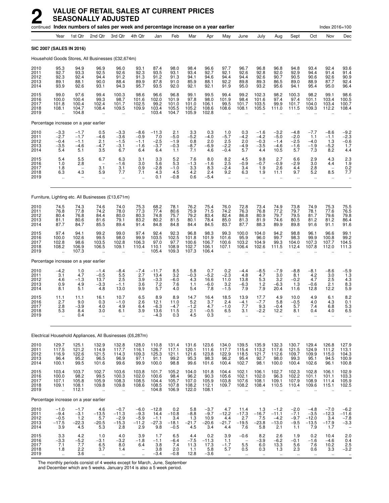|                                      |                                                     | continued Index numbers of sales per week and percentage increase on a year earlier |                                                                |                                               |                                                                          |                                                 |                                              |                                          |                                            |                                                     |                                                               |                                                     |                                                        |                                                            |                                               | Index 2016=100                                             |                                                     |
|--------------------------------------|-----------------------------------------------------|-------------------------------------------------------------------------------------|----------------------------------------------------------------|-----------------------------------------------|--------------------------------------------------------------------------|-------------------------------------------------|----------------------------------------------|------------------------------------------|--------------------------------------------|-----------------------------------------------------|---------------------------------------------------------------|-----------------------------------------------------|--------------------------------------------------------|------------------------------------------------------------|-----------------------------------------------|------------------------------------------------------------|-----------------------------------------------------|
|                                      | Year                                                | 1st Qtr                                                                             | 2nd Qtr                                                        | 3rd Qtr                                       | 4th Qtr                                                                  | Jan                                             | Feb                                          | Mar                                      | Apr                                        | May                                                 | June                                                          | July                                                | Aug                                                    | Sept                                                       | Oct                                           | Nov                                                        | Dec                                                 |
|                                      |                                                     | <b>SIC 2007 (SALES IN 2016)</b>                                                     |                                                                |                                               |                                                                          |                                                 |                                              |                                          |                                            |                                                     |                                                               |                                                     |                                                        |                                                            |                                               |                                                            |                                                     |
|                                      |                                                     | Household Goods Stores, All Businesses (£32,674m)                                   |                                                                |                                               |                                                                          |                                                 |                                              |                                          |                                            |                                                     |                                                               |                                                     |                                                        |                                                            |                                               |                                                            |                                                     |
| 2010<br>2011<br>2012<br>2013<br>2014 | 95.3<br>92.7<br>92.3<br>89.1<br>93.9                | 94.9<br>93.3<br>92.4<br>88.1<br>92.6                                                | 96.9<br>92.5<br>94.4<br>90.0<br>93.1                           | 96.0<br>92.6<br>91.2<br>88.4<br>94.3          | 93.1<br>92.3<br>91.3<br>89.9<br>95.7                                     | 87.4<br>93.5<br>91.2<br>87.8<br>93.5            | 98.0<br>93.1<br>91.3<br>91.0<br>92.0         | 98.4<br>93.4<br>94.1<br>85.9<br>92.1     | 96.6<br>92.7<br>94.6<br>88.1<br>92.1       | 97.7<br>92.1<br>94.4<br>92.2<br>91.9                | 96.7<br>92.6<br>94.4<br>89.8<br>95.0                          | 96.8<br>92.8<br>92.6<br>89.3<br>93.2                | 96.8<br>92.0<br>90.7<br>86.5<br>95.6                   | 94.8<br>92.9<br>90.5<br>89.0<br>94.1                       | 93.4<br>94.4<br>90.6<br>88.9<br>95.4          | 92.4<br>91.4<br>92.6<br>87.7<br>95.0                       | 93.6<br>91.4<br>90.9<br>92.4<br>96.4                |
| 2015<br>2016<br>2017<br>2018<br>2019 | 99.0<br>100.0<br>101.8<br>108.1                     | 97.6<br>100.4<br>100.4<br>104.7<br>104.8                                            | 99.4<br>99.3<br>102.4<br>108.4                                 | 100.3<br>98.7<br>101.7<br>109.5<br>ä,         | 98.6<br>101.6<br>102.5<br>109.9                                          | 96.6<br>102.0<br>99.2<br>103.4<br>103.4         | 96.8<br>101.9<br>101.0<br>105.5<br>104.7     | 99.1<br>97.8<br>101.0<br>105.2<br>105.9  | 99.5<br>98.0<br>106.1<br>108.6<br>102.8    | 99.4<br>101.9<br>99.5<br>108.6                      | 99.2<br>98.4<br>101.7<br>108.1                                | 102.3<br>101.6<br>103.5<br>105.5                    | 98.2<br>97.4<br>99.9<br>111.0                          | 100.3<br>97.4<br>101.7<br>111.5                            | 98.2<br>101.1<br>104.0<br>109.3               | 99.1<br>103.4<br>103.4<br>112.2                            | 98.6<br>100.5<br>100.7<br>108.4                     |
|                                      |                                                     | Percentage increase on a year earlier                                               |                                                                |                                               |                                                                          |                                                 |                                              |                                          |                                            |                                                     |                                                               |                                                     |                                                        |                                                            |                                               |                                                            |                                                     |
| 2010<br>2011<br>2012<br>2013<br>2014 | $-3.3$<br>$-2.7$<br>$-0.4$<br>$-3.5$<br>5.4         | $-1.7$<br>$-1.7$<br>$-1.1$<br>$-4.6$<br>5.1                                         | 0.5<br>$-4.6$<br>2.1<br>$-4.7$<br>3.5                          | $-3.3$<br>$-3.6$<br>$-1.5$<br>$-3.1$<br>6.7   | $-8.6$<br>$-0.9$<br>$-1.1$<br>$-1.6$<br>6.4                              | $-11.3$<br>7.0<br>$-2.5$<br>$-3.7$<br>6.4       | 2.1<br>$-5.0$<br>$-1.9$<br>$-0.3$<br>1.1     | $3.3 - 5.2$<br>0.8<br>$-8.7$<br>7.1      | 0.3<br>$-4.0$<br>2.0<br>$-6.9$<br>4.6      | 1.0<br>$-5.7$<br>2.5<br>$-2.2$<br>$-0.4$            | 0.3<br>$-4.2$<br>2.0<br>$-4.9$<br>5.7                         | $-1.6$<br>$-4.2$<br>$-0.3$<br>$-3.5$<br>4.4         | $-3.2$<br>$-5.0$<br>$-1.4$<br>$-4.6$<br>10.5           | $-4.8$<br>$-2.0$<br>$-2.5$<br>$-1.6$<br>5.7                | $-7.7$<br>1.1<br>$-4.0$<br>$-1.9$<br>7.3      | $-8.6$<br>$-1.1$<br>1.3<br>$-5.2$<br>8.2                   | $-9.2$<br>$-2.3$<br>$-0.6$<br>1.7<br>4.4            |
| 2015<br>2016<br>2017<br>2018<br>2019 | 5.4<br>1.0<br>1.8<br>6.3                            | 5.5<br>2.8<br>$\overline{\phantom{a}}$<br>4.3                                       | 6.7<br>$\qquad \qquad -$<br>3.1<br>5.9<br>$\ddot{\phantom{a}}$ | 6.3<br>$-1.6$<br>3.1<br>7.7<br>$\ddotsc$      | 3.1<br>3.0<br>0.9<br>7.1<br>$\ddot{\phantom{1}}$                         | 3.3<br>5.6<br>$-2.8$<br>4.3<br>0.1              | $\frac{5.2}{5.3}$<br>$-1.0$<br>4.5<br>$-0.8$ | 7.6<br>$-1.3$<br>3.3<br>4.2<br>0.6       | 8.0<br>$-1.6$<br>8.3<br>2.4<br>$-5.4$      | 8.2<br>2.5<br>$-2.4$<br>9.2<br>$\ddot{\phantom{a}}$ | 4.5<br>$-0.9$<br>3.4<br>6.3<br>$\ddot{\phantom{1}}$           | 9.8<br>$-0.7$<br>1.9<br>1.9<br>$\ddot{\phantom{a}}$ | 2.7<br>$-0.9$<br>2.6<br>11.1<br>ä,                     | 6.6<br>$-2.9$<br>4.4<br>9.7<br>ä,                          | 2.9<br>3.0<br>2.8<br>5.2<br>$\ddotsc$         | 4.3<br>4.4<br>$\overline{\phantom{a}}$<br>8.5<br>$\ddotsc$ | 2.3<br>1.9<br>0.2<br>7.7<br>$\ddot{\phantom{0}}$    |
|                                      |                                                     | Furniture, Lighting etc. All Businesses (£13,671m)                                  |                                                                |                                               |                                                                          |                                                 |                                              |                                          |                                            |                                                     |                                                               |                                                     |                                                        |                                                            |                                               |                                                            |                                                     |
| 2010<br>2011<br>2012<br>2013<br>2014 | 74.5<br>76.8<br>80.4<br>81.1<br>87.7                | 74.3<br>77.8<br>76.8<br>80.6<br>84.7                                                | 74.6<br>74.2<br>84.4<br>81.6<br>85.5                           | 74.0<br>78.0<br>80.0<br>79.1<br>89.4          | 75.3<br>77.3<br>80.3<br>83.2<br>91.4                                     | 68.2<br>77.4<br>74.8<br>80.2<br>84.8            | 78.1<br>80.6<br>75.7<br>81.5<br>84.8         | 76.2<br>75.9<br>79.2<br>80.1<br>84.4     | 75.4<br>71.5<br>83.4<br>78.4<br>84.5       | 76.0<br>74.2<br>82.4<br>85.0<br>83.7                | 72.8<br>76.3<br>86.8<br>81.3<br>87.7                          | 73.4<br>76.8<br>80.9<br>81.9<br>88.3                | 74.9<br>77.2<br>79.7<br>74.6<br>89.9                   | 73.8<br>79.7<br>79.5<br>80.5<br>89.8                       | 74.9<br>78.1<br>81.7<br>81.2<br>91.6          | 75.3<br>77.6<br>79.6<br>81.2<br>91.1                       | 75.5<br>76.5<br>79.8<br>86.4<br>91.6                |
| 2015<br>2016<br>2017<br>2018<br>2019 | 97.4<br>100.0<br>102.8<br>108.2<br>÷.               | 94.1<br>102.6<br>98.6<br>106.9<br>107.3                                             | 99.2<br>99.5<br>103.5<br>106.5                                 | 99.0<br>98.0<br>102.8<br>109.1                | 97.4<br>99.9<br>106.3<br>110.4                                           | 92.4<br>103.5<br>97.0<br>110.1<br>105.4         | 92.3<br>102.5<br>97.7<br>108.9<br>109.3      | 96.8<br>101.8<br>100.6<br>102.7<br>107.3 | 98.3<br>101.9<br>106.7<br>106.1<br>106.4   | 99.3<br>101.6<br>100.6<br>107.1                     | 100.0<br>95.9<br>103.2<br>106.4                               | 104.0<br>96.0<br>104.9<br>102.6                     | 94.2<br>99.7<br>99.3<br>111.5                          | 98.8<br>98.3<br>104.0<br>112.4                             | 96.1<br>99.9<br>107.3<br>107.8                | 96.6<br>100.8<br>107.7<br>112.0                            | 99.1<br>99.2<br>104.5<br>111.3                      |
|                                      |                                                     | Percentage increase on a year earlier                                               |                                                                |                                               |                                                                          |                                                 |                                              |                                          |                                            |                                                     |                                                               |                                                     |                                                        |                                                            |                                               |                                                            |                                                     |
| 2010<br>2011<br>2012<br>2013<br>2014 | $-4.2$<br>3.1<br>4.6<br>0.9<br>8.1                  | 1.0<br>4.7<br>$-1.3$<br>4.9<br>5.1                                                  | $-1.4$<br>$-0.5$<br>13.7<br>$-3.3$<br>4.8                      | $-8.4$<br>5.5<br>2.5<br>$-1.1$<br>13.0        | $-7.4$<br>2.7<br>3.9<br>3.6<br>9.9                                       | $-11.7$<br>13.4<br>$-3.3$<br>7.2<br>5.7         | 8.5<br>3.2<br>$-6.0$<br>7.6<br>4.0           | 5.8<br>$-0.3$<br>4.3<br>1.1<br>5.4       | 0.7<br>$-5.2$<br>16.6<br>$-6.0$<br>7.8     | 0.2<br>$-2.3$<br>11.0<br>3.2<br>$-1.5$              | $-4.4$<br>4.8<br>13.8<br>$-6.3$<br>7.9                        | $-8.5$<br>4.7<br>5.3<br>1.2<br>7.9                  | $-7.9$<br>3.0<br>3.2<br>$-6.3$<br>20.4                 | $-8.8$<br>8.1<br>$-0.2$<br>1.3<br>11.6                     | $-8.1$<br>$4.2\,$<br>4.7<br>$-0.6$<br>12.8    | $-8.6$<br>$3.0\,$<br>2.5<br>2.1<br>12.2                    | $-5.9$<br>$\overline{1.3}$<br>4.3<br>8.3<br>5.9     |
| 2015<br>2016<br>2017<br>2018<br>2019 | 11.1<br>2.7<br>2.8<br>5.3                           | 11.1<br>9.0<br>$-3.9$<br>8.4<br>0.4                                                 | 16.1<br>0.3<br>4.0<br>3.0<br>$\ddotsc$                         | 10.7<br>$-1.0$<br>4.9<br>6.1<br>$\ldots$      | 6.5<br>2.6<br>6.4<br>3.9                                                 | 8.9<br>12.1<br>$-6.3$<br>13.6<br>$-4.3$         | 8.9<br>11.0<br>$-4.7$<br>11.5<br>0.3         | 14.7<br>5.2<br>$-1.2$<br>2.1<br>4.5      | 16.4<br>3.7<br>4.7<br>$-0.5$<br>0.3        | 18.5<br>2.4<br>$-1.0$<br>6.5                        | 13.9<br>$-4.1$<br>7.7<br>3.1<br>Ω.                            | 17.7<br>$-7.7$<br>9.3<br>-2.2                       | 4.9<br>5.8<br>$-0.4$<br>12.2<br>$\ddot{\phantom{a}}$   | 10.0<br>$-0.5$<br>5.7<br>8.1<br>$\ddot{\phantom{0}}$       | 4.9<br>4.0<br>7.4<br>0.4<br>$\ldots$          | 6.1<br>4.3<br>6.8<br>4.0<br>                               | 8.2<br>0.1<br>5.3<br>6.5<br>$\ddotsc$               |
|                                      |                                                     | Electrical Household Appliances, All Businesses (£6,287m)                           |                                                                |                                               |                                                                          |                                                 |                                              |                                          |                                            |                                                     |                                                               |                                                     |                                                        |                                                            |                                               |                                                            |                                                     |
| 2010<br>2011<br>2012<br>2013<br>2014 | 129.7<br>117.5<br>116.9<br>96.4<br>100.1            | 125.1<br>121.2<br>122.6<br>95.2<br>99.5                                             | 132.9<br>$\frac{114.9}{121.5}$<br>96.5<br>101.6                | 132.8<br>117.7<br>114.3<br>96.9<br>99.6       | 128.0<br>116.1<br>109.3<br>97.1<br>99.9                                  | 110.8<br>$\frac{126.7}{125.3}$<br>91.1<br>100.0 | 131.4<br>117.1<br>121.1<br>99.2<br>98.8      | 131.6<br>120.1<br>121.6<br>95.3<br>99.6  | 123.6<br>111.6<br>123.8<br>98.3<br>101.6   | 134.0<br>117.7<br>122.9<br>96.2<br>100.4            | 139.5<br>115.4<br>118.5<br>95.4<br>102.7                      | 135.9<br>$\frac{13.2}{121.7}$<br>92.7<br>98.1       | 132.3<br>117.6<br>112.6<br>98.0<br>100.0               | 130.7<br>121.5<br>109.7<br>99.3<br>100.4                   | 129.4<br>124.9<br>109.9<br>95.1<br>102.6      | 126.8<br>111.2<br>115.0<br>94.5<br>96.1                    | 127.9<br>$\frac{113.1}{104.3}$<br>100.9<br>100.8    |
| 2015<br>2016<br>2017<br>2018<br>2019 | 103.4<br>100.0<br>107.1<br>109.1<br>$\ddotsc$       | 103.7<br>98.2<br>105.8<br>108.1<br>112.1                                            | 102.7<br>99.5<br>105.9<br>109.8<br>$\ddot{\phantom{a}}$        | 103.6<br>100.3<br>108.3<br>109.8<br>$\ddotsc$ | 103.8<br>102.0<br>108.5<br>108.6                                         | 101.7<br>100.6<br>104.4<br>108.5<br>104.8       | 105.2<br>98.4<br>105.7<br>107.8<br>106.9     | 104.0<br>96.2<br>107.0<br>108.2<br>122.0 | 101.8<br>90.3<br>105.9<br>112.1<br>108.1   | 104.4<br>105.6<br>103.8<br>109.7                    | 102.1<br>102.1<br>107.6<br>108.2                              | 106.1<br>102.0<br>108.1<br>108.4                    | 102.7<br>96.3<br>109.1<br>110.5                        | 102.3<br>102.2<br>107.9<br>110.4                           | 102.8<br>101.1<br>108.9<br>109.6              | 106.1<br>101.1<br>111.4<br>115.1                           | 102.9<br>103.3<br>105.9<br>102.5                    |
|                                      |                                                     | Percentage increase on a year earlier                                               |                                                                |                                               |                                                                          |                                                 |                                              |                                          |                                            |                                                     |                                                               |                                                     |                                                        |                                                            |                                               |                                                            |                                                     |
| 2010<br>2011<br>2012<br>2013<br>2014 | $-1.0$<br>$-9.4$<br>$-0.5$<br>$-17.5$<br>3.9        | $-1.7$<br>$-3.1$<br>1.2<br>$-22.3$<br>4.5                                           | 4.6<br>$-13.5$<br>5.7<br>$-20.5$<br>5.3                        | $-0.7$<br>$-11.3$<br>$-2.9$<br>$-15.3$<br>2.8 | $-6.0$<br>$-9.3$<br>$-5.9$<br>$-11.2$<br>2.9                             | $-12.8$<br>14.4<br>$-1.1$<br>$-27.3$<br>9.8     | 0.2<br>$-10.8$<br>3.4<br>$-18.1$<br>$-0.5$   | 5.8<br>$-8.8$<br>$1.3 - 21.7$<br>4.5     | $-3.7$<br>$-9.7$<br>10.9<br>$-20.6$<br>3.4 | 4.7<br>$-12.2$<br>$4.4\,$<br>$-21.7$<br>4.4         | 11.4<br>$-17.3$<br>2.7<br>$-19.5$<br>7.6                      | 1.3<br>$-16.7$<br>7.5<br>$-23.8$<br>5.8             | $-1.2$<br>$-11.1$<br>$-4.2$<br>$-13.0$<br>2.1          | $-2.0$<br>$-7.1$<br>$-9.7$<br>$-9.5$<br>1.1                | $-4.8$<br>$-3.5$<br>$-12.0$<br>$-13.5$<br>7.9 | $-7.0$<br>$-12.3$<br>$-17.9$<br>1.7                        | $-6.2$<br>$-11.6$<br>$-7.8$<br>$-3.3$               |
| 2015<br>2016<br>2017<br>2018<br>2019 | 3.3<br>$-3.3$<br>7.1<br>1.8<br>$\ddot{\phantom{1}}$ | 4.2<br>$-5.2$<br>7.7<br>2.2<br>3.6                                                  | 1.0<br>-3.1<br>6.5<br>3.7<br>$\sim$                            | 4.0<br>$-3.2$<br>8.0<br>1.4<br>$\ddotsc$      | 3.9<br>$-1.8$<br>6.4<br>$\overline{\phantom{0}}$<br>$\ddot{\phantom{1}}$ | 1.7<br>$-1.1$<br>3.8<br>3.8<br>$-3.4$           | 6.5<br>$-6.4$<br>7.4<br>2.0<br>$-0.8$        | 4.4<br>$-7.5$<br>11.3<br>1.1<br>12.8     | 0.2<br>$-11.3$<br>17.3<br>5.8<br>$-3.6$    | 3.9<br>1.1<br>$-1.7$<br>5.7<br>$\ddot{\phantom{1}}$ | $-0.6$<br>$\overline{\phantom{0}}$<br>5.5<br>0.5<br>$\ddotsc$ | 8.2<br>$-3.9$<br>6.0<br>0.3<br>$\ddot{\phantom{1}}$ | 2.6<br>$-6.2$<br>$13.\overline{3}$<br>1.3<br>$\ddotsc$ | 1.9<br>$-0.1$<br>5.6<br>2.3<br>$\mathcal{L}_{\mathcal{F}}$ | 0.2<br>$-1.6$<br>7.6<br>0.6<br>$\sim$         | 10.4<br>$-4.6$<br>10.2<br>3.3<br>$\ddot{\phantom{1}}$      | 2.0<br>0.4<br>2.5<br>$-3.2$<br>$\ddot{\phantom{0}}$ |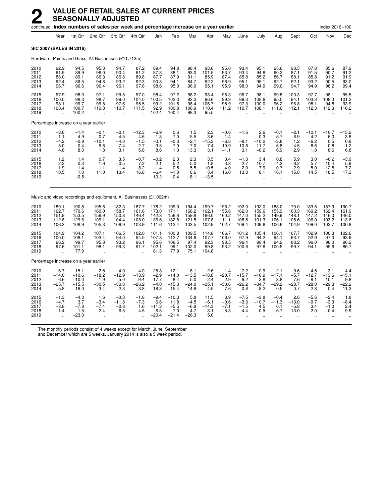| continued Index numbers of sales per week and percentage increase on a year earlier |                                                        |                                                     |                                                       |                                                            |                                                  |                                                   |                                                    |                                                   |                                                  |                                                           |                                                             |                                                    |                                                         |                                                          |                                                   | Index 2016=100                                       |                                                   |
|-------------------------------------------------------------------------------------|--------------------------------------------------------|-----------------------------------------------------|-------------------------------------------------------|------------------------------------------------------------|--------------------------------------------------|---------------------------------------------------|----------------------------------------------------|---------------------------------------------------|--------------------------------------------------|-----------------------------------------------------------|-------------------------------------------------------------|----------------------------------------------------|---------------------------------------------------------|----------------------------------------------------------|---------------------------------------------------|------------------------------------------------------|---------------------------------------------------|
|                                                                                     | Year                                                   | 1st Qtr                                             | 2nd Qtr                                               | 3rd Qtr                                                    | 4th Qtr                                          | Jan                                               | Feb                                                | Mar                                               | Apr                                              | May                                                       | June                                                        | July                                               | Aug                                                     | Sept                                                     | Oct                                               | Nov                                                  | Dec                                               |
| <b>SIC 2007 (SALES IN 2016)</b>                                                     |                                                        |                                                     |                                                       |                                                            |                                                  |                                                   |                                                    |                                                   |                                                  |                                                           |                                                             |                                                    |                                                         |                                                          |                                                   |                                                      |                                                   |
| Hardware, Paints and Glass, All Businesses (£11,713m)                               |                                                        |                                                     |                                                       |                                                            |                                                  |                                                   |                                                    |                                                   |                                                  |                                                           |                                                             |                                                    |                                                         |                                                          |                                                   |                                                      |                                                   |
| 2010<br>2011<br>2012<br>2013<br>2014                                                | 92.9<br>91.9<br>88.0<br>92.4<br>96.7                   | 94.5<br>89.9<br>89.1<br>89.5<br>96.6                | 95.3<br>96.0<br>86.3<br>94.8<br>96.4                  | 94.7<br>90.4<br>86.8<br>93.2<br>96.1                       | 87.2<br>91.2<br>89.8<br>92.3<br>97.6             | 89.4<br>87.8<br>87.7<br>90.8<br>98.6              | 94.8<br>88.1<br>87.9<br>94.1<br>95.0               | 98.4<br>93.0<br>91.1<br>84.7<br>96.0              | 98.0<br>101.5<br>85.9<br>92.2<br>95.1            | 95.0<br>93.7<br>87.4<br>96.9<br>95.9                      | 93.4<br>93.4<br>85.8<br>95.1<br>98.0                        | 95.1<br>94.8<br>85.2<br>95.1<br>94.9               | 95.6<br>90.2<br>86.7<br>92.7<br>99.0                    | 93.5<br>87.1<br>88.1<br>92.1<br>94.7                     | 87.8<br>91.5<br>85.8<br>93.2<br>94.9              | 85.6<br>90.7<br>91.2<br>90.5<br>98.2                 | 87.9<br>91.2<br>91.9<br>93.0<br>99.4              |
| 2015<br>2016<br>2017<br>2018<br>2019                                                | 97.9<br>100.0<br>98.1<br>108.4<br>ü.                   | 98.0<br>98.3<br>99.7<br>100.7<br>100.2              | 97.1<br>98.7<br>99.8<br>110.8<br>$\ddot{\phantom{a}}$ | 99.5<br>99.0<br>97.6<br>110.7                              | 97.0<br>104.0<br>95.5<br>111.5                   | 98.4<br>100.5<br>99.2<br>92.9<br>102.4            | 97.2<br>102.3<br>101.8<br>100.8<br>100.4           | 98.2<br>93.3<br>98.4<br>106.9<br>98.3             | 98.4<br>96.6<br>106.7<br>110.4<br>95.5           | 96.3<br>99.9<br>95.9<br>111.2                             | 96.7<br>99.3<br>97.3<br>110.7                               | 98.1<br>108.6<br>100.0<br>108.1                    | 99.8<br>95.5<br>96.2<br>111.6                           | 100.3<br>94.1<br>96.8<br>112.1                           | 97.7<br>103.3<br>98.1<br>112.3                    | 98.1<br>108.3<br>94.8<br>112.3                       | 95.5<br>101.2<br>93.9<br>110.2                    |
| Percentage increase on a year earlier                                               |                                                        |                                                     |                                                       |                                                            |                                                  |                                                   |                                                    |                                                   |                                                  |                                                           |                                                             |                                                    |                                                         |                                                          |                                                   |                                                      |                                                   |
| 2010<br>2011<br>2012<br>2013<br>2014                                                | $-3.6$<br>$-1.1$<br>$-4.2$<br>5.0<br>4.6               | $-1.4$<br>$-4.9$<br>$-0.9$<br>0.4<br>8.0            | $-0.1$<br>0.7<br>$-10.1$<br>9.8<br>1.8                | $-0.1$<br>$-4.5$<br>$-4.0$<br>7.4<br>3.1                   | $-12.3$<br>4.6<br>$-1.5$<br>2.7<br>5.8           | $-6.9$<br>$-1.8$<br>$-0.1$<br>3.5<br>8.6          | 0.6<br>$-7.0$<br>$-0.3$<br>7.0<br>1.0              | $1.5 - 5.5$<br>$-2.1$<br>$-7.0$<br>13.3           | 2.3<br>$3.\overline{6}$<br>$-15.3$<br>7.4<br>3.1 | $-0.6$<br>$-1.4$<br>$-6.8$<br>10.9<br>$-1.1$              | $-1.6$<br>$\overline{\phantom{a}}$<br>$-8.1$<br>10.8<br>3.1 | $^{2.6}_{-0.3}$<br>$-10.2$<br>11.7<br>$-0.2$       | $-0.1$<br>$-5.7$<br>$-3.8$<br>6.8<br>6.9                | $-2.1$<br>$-6.9$<br>1.2<br>$\frac{4.5}{2.9}$             | $-10.1$<br>4.2<br>$-6.2$<br>8.6<br>1.8            | $-10.7$<br>6.0<br>0.5<br>$-0.8$<br>8.6               | $^{-15.2}_{3.8}$<br>0.8<br>1.2<br>6.8             |
| 2015<br>2016<br>2017<br>2018<br>2019                                                | 1.2<br>2.2<br>$-1.9$<br>10.5                           | 1.4<br>0.3<br>1.4<br>1.0<br>$-0.5$                  | 0.7<br>1.6<br>1.1<br>11.0<br>$\ddot{\phantom{a}}$     | 3.5<br>$-0.5$<br>$-1.4$<br>13.4<br>$\ddot{\phantom{a}}$    | $-0.7$<br>7.2<br>$-8.2$<br>16.8                  | $-0.2$<br>2.1<br>$-1.4$<br>$-6.4$<br>10.2         | 2.3<br>5.2<br>$-0.5$<br>$-1.0$<br>$-0.4$           | 2.3<br>$-5.0$<br>5.5<br>8.6<br>$-8.1$             | 3.5<br>$-1.8$<br>10.5<br>3.4<br>$-13.5$          | 0.4<br>3.8<br>$-4.0$<br>16.0                              | $-1.3$<br>2.7<br>$-2.0$<br>13.8                             | 3.4<br>10.7<br>$-7.9$<br>8.1                       | 0.8<br>$-4.3$<br>0.7<br>16.1                            | 5.9<br>$-6.2$<br>2.9<br>15.8                             | 3.0<br>5.7<br>$-5.0$<br>14.5                      | $-0.2$<br>10.4<br>$-12.5$<br>18.5                    | $-3.9$<br>5.9<br>$-7.2$<br>17.3                   |
| Music and video recordings and equipment, All Businesses (£1,002m)                  |                                                        |                                                     |                                                       |                                                            |                                                  |                                                   |                                                    |                                                   |                                                  |                                                           |                                                             |                                                    |                                                         |                                                          |                                                   |                                                      |                                                   |
| 2010<br>2011<br>2012<br>2013<br>2014                                                | 189.1<br>162.7<br>151.9<br>112.8<br>106.3              | 190.8<br>170.6<br>153.5<br>129.6<br>108.9           | 195.6<br>160.0<br>156.9<br>109.1<br>105.3             | 182.3<br>158.7<br>150.8<br>104.4<br>106.9                  | 187.7<br>161.6<br>146.4<br>108.0<br>103.9        | 178.2<br>173.0<br>142.3<br>136.6<br>111.6         | 199.0<br>171.1<br>156.8<br>132.8<br>112.4          | 194.4<br>168.2<br>159.8<br>121.5<br>103.5         | 199.7<br>162.1<br>166.0<br>107.8<br>102.9        | 196.2<br>155.6<br>160.2<br>111.1<br>102.7                 | 192.0<br>162.0<br>147.0<br>108.5<br>109.4                   | 192.0<br>159.6<br>155.2<br>101.3<br>109.6          | 188.0<br>155.9<br>149.9<br>106.1<br>106.6               | 170.0<br>160.3<br>148.1<br>105.6<br>104.9                | 183.5<br>160.2<br>147.2<br>106.0<br>109.0         | 187.9<br>162.4<br>146.0<br>103.2<br>102.7            | 190.7<br>161.9<br>146.0<br>113.6<br>100.8         |
| 2015<br>2016<br>2017<br>2018<br>2019                                                | 104.9<br>100.0<br>96.2<br>97.6<br>$\ddot{\phantom{a}}$ | 104.2<br>108.1<br>99.7<br>101.1<br>77.9             | 107.1<br>103.4<br>95.8<br>98.1                        | 106.5<br>94.0<br>93.2<br>99.3<br>$\ddot{\phantom{a}}$      | 102.0<br>94.5<br>96.1<br>91.7                    | 101.1<br>107.8<br>95.6<br>102.1<br>81.3           | 100.8<br>112.7<br>106.5<br>99.1<br>77.9            | 109.5<br>104.6<br>97.4<br>102.0<br>75.1           | 114.8<br>107.7<br>92.3<br>99.8<br>104.8          | 106.7<br>106.0<br>98.5<br>93.2                            | 101.2<br>97.9<br>96.4<br>100.6                              | 105.4<br>94.2<br>98.4<br>97.6                      | 106.1<br>94.1<br>94.2<br>100.5                          | 107.7<br>93.7<br>88.2<br>99.7                            | 102.9<br>92.9<br>96.0<br>94.1                     | 100.3<br>97.0<br>96.0<br>95.6                        | 102.6<br>93.9<br>96.2<br>86.7                     |
| Percentage increase on a year earlier                                               |                                                        |                                                     |                                                       |                                                            |                                                  |                                                   |                                                    |                                                   |                                                  |                                                           |                                                             |                                                    |                                                         |                                                          |                                                   |                                                      |                                                   |
| 2010<br>2011<br>2012<br>2013<br>2014                                                | $-6.7$<br>$-14.0$<br>$-6.6$<br>$-25.7$<br>$-5.8$       | $-15.1$<br>$-10.6$<br>$-10.0$<br>$-15.5$<br>$-16.0$ | $-2.5$<br>$-18.2$<br>$-1.9$<br>$-30.5$<br>$-3.4$      | $-4.0$<br>$-12.9$<br>$-5.0$<br>$-30.8$<br>2.3              | $-4.0$<br>$-13.9$<br>$-9.4$<br>$-26.2$<br>$-3.8$ | $-25.8$<br>$-2.9$<br>$-17.7$<br>$-4.0$<br>$-18.3$ | $-12.1$<br>$-14.0$<br>$-8.4$<br>$-15.3$<br>$-15.4$ | $-8.1$<br>$-13.5$<br>$-5.0$<br>$-24.0$<br>$-14.8$ | 2.6<br>$-18.8$<br>2.4<br>$-35.1$<br>$-4.5$       | $-1.4$<br>$-20.7$<br>2.9<br>$-30.6$<br>$-7.6$             | $-7.2$<br>$-15.7$<br>$-9.2$<br>$-26.2$<br>0.8               | 0.9<br>$-16.9$<br>$-2.8$<br>$-34.7$<br>8.2         | $-2.1$<br>$-17.1$<br>$-3.8$<br>$-29.2$<br>0.5           | $-9.6$<br>$-5.7$<br>$-7.6$<br>$-28.7$<br>$-0.7$          | $-4.5$<br>$-12.7$<br>$-8.1$<br>$-28.0$<br>2.8     | $-3.1$<br>$-13.6$<br>$-10.1$<br>$-29.3$<br>$-0.4$    | $-4.4$<br>$-15.1$<br>$-9.8$<br>$-22.2$<br>$-11.3$ |
| 2015<br>2016<br>2017<br>2018<br>2019                                                | $-1.3$<br>$-4.7$<br>$-3.8$<br>1.4                      | $-4.3$<br>3.7<br>$-7.8$<br>1.5<br>$-23.0$           | 1.6<br>$-3.4$<br>$-7.4$<br>2.4<br>$\mathbf{r}$        | $-0.3$<br>$-11.8$<br>$-0.8$<br>6.5<br>$\ddot{\phantom{a}}$ | $-1.8$<br>$-7.3$<br>1.6<br>$-4.5$                | $-9.4$<br>6.6<br>$-11.3$<br>6.8<br>$-20.4$        | $-10.3$<br>11.8<br>$-5.5$<br>$-7.0$<br>$-21.4$     | 5.8<br>$-4.5$<br>$-6.9$<br>4.7<br>$-26.3$         | 11.5<br>$-6.1$<br>$-14.3$<br>8.1<br>5.0          | 3.9<br>$-0.6$<br>$-7.1$<br>$-5.3$<br>$\ddot{\phantom{a}}$ | $-7.5$<br>$-3.3$<br>$-1.5$<br>4.4<br>$\mathbf{r}$           | $-3.8$<br>$-10.7$<br>4.5<br>$-0.9$<br>$\mathbf{r}$ | $-0.4$<br>$-11.3$<br>0.1<br>6.7<br>$\ddot{\phantom{a}}$ | 2.6<br>$-13.0$<br>$-5.8$<br>13.0<br>$\ddot{\phantom{a}}$ | $-5.6$<br>$-9.7$<br>3.4<br>$-2.0$<br>$\mathbf{r}$ | $-2.4$<br>$-3.3$<br>$-1.0$<br>$-0.4$<br>$\mathbf{r}$ | 1.8<br>$-8.4$<br>2.4<br>$-9.9$                    |

The monthly periods consist of 4 weeks except for March, June, September

and December which are 5 weeks. January 2014 is also a 5 week period.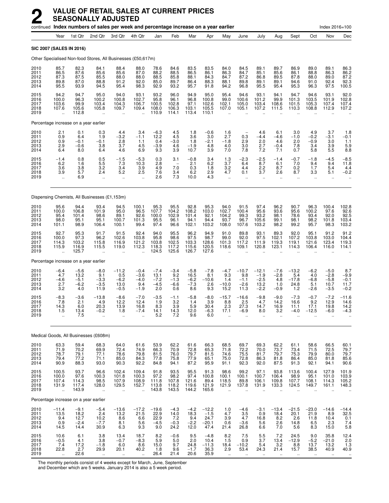|                                      |                                                         |                                           | continued Index numbers of sales per week and percentage increase on a year earlier |                                                         |                                                          |                                           |                                          |                                                      |                                              |                                                         |                                                          |                                               |                                                       |                                          |                                           | Index 2016=100                                           |                                           |
|--------------------------------------|---------------------------------------------------------|-------------------------------------------|-------------------------------------------------------------------------------------|---------------------------------------------------------|----------------------------------------------------------|-------------------------------------------|------------------------------------------|------------------------------------------------------|----------------------------------------------|---------------------------------------------------------|----------------------------------------------------------|-----------------------------------------------|-------------------------------------------------------|------------------------------------------|-------------------------------------------|----------------------------------------------------------|-------------------------------------------|
|                                      | Year                                                    | 1st Qtr                                   | 2nd Qtr                                                                             | 3rd Qtr                                                 | 4th Qtr                                                  | Jan                                       | Feb                                      | Mar                                                  | Apr                                          | May                                                     | June                                                     | July                                          | Aug                                                   | Sept                                     | Oct                                       | Nov                                                      | Dec                                       |
|                                      |                                                         | SIC 2007 (SALES IN 2016)                  |                                                                                     |                                                         |                                                          |                                           |                                          |                                                      |                                              |                                                         |                                                          |                                               |                                                       |                                          |                                           |                                                          |                                           |
|                                      |                                                         |                                           | Other Specialised Non-food Stores, All Businesses (£50,617m)                        |                                                         |                                                          |                                           |                                          |                                                      |                                              |                                                         |                                                          |                                               |                                                       |                                          |                                           |                                                          |                                           |
| 2010<br>2011<br>2012<br>2013<br>2014 | 85.7<br>86.5<br>87.3<br>89.8<br>95.5                    | 82.3<br>87.6<br>87.5<br>87.0<br>93.9      | 84.1<br>85.6<br>85.5<br>88.8<br>94.5                                                | 88.4<br>85.6<br>88.0<br>91.2<br>95.4                    | 88.0<br>87.0<br>88.0<br>92.0<br>98.3                     | 78.6<br>88.2<br>88.5<br>85.0<br>92.9      | 84.6<br>88.5<br>85.8<br>89.7<br>93.2     | 83.5<br>86.5<br>88.1<br>86.4<br>95.7                 | 83.5<br>86.1<br>84.3<br>88.3<br>91.8         | 84.0<br>86.3<br>84.7<br>88.1<br>94.2                    | 84.5<br>84.7<br>87.2<br>89.8<br>96.8                     | 89.1<br>85.1<br>86.8<br>89.1<br>95.5          | 89.7<br>85.6<br>89.5<br>89.1<br>95.4                  | 86.9<br>86.1<br>87.8<br>94.6<br>95.3     | 89.0<br>88.8<br>88.0<br>91.0<br>96.3      | 89.1<br>86.3<br>89.0<br>92.4<br>97.5                     | 86.3<br>86.2<br>87.2<br>92.3<br>100.5     |
| 2015<br>2016<br>2017<br>2018<br>2019 | 94.2<br>100.0<br>103.6<br>107.6<br>$\ddot{\phantom{a}}$ | 94.7<br>96.3<br>99.9<br>105.6<br>112.8    | 95.0<br>100.2<br>103.4<br>105.8<br>                                                 | 94.0<br>100.8<br>104.3<br>109.7<br>$\ddot{\phantom{a}}$ | 93.1<br>102.7<br>106.7<br>109.4<br>$\ddotsc$             | 93.2<br>95.8<br>100.5<br>108.0<br>110.9   | 96.0<br>96.1<br>102.8<br>106.3<br>114.1  | 94.9<br>96.8<br>97.1<br>103.1<br>113.4               | 95.0<br>100.8<br>102.6<br>105.5<br>110.1     | 95.4<br>99.0<br>102.1<br>107.0                          | 94.6<br>100.6<br>105.0<br>105.1                          | 93.1<br>101.2<br>103.4<br>107.2               | 94.1<br>99.9<br>108.6<br>111.5                        | 94.7<br>101.3<br>101.5<br>110.3          | 94.6<br>103.5<br>105.3<br>108.8           | 93.1<br>101.9<br>107.4<br>112.9                          | 92.0<br>102.8<br>107.4<br>107.2           |
|                                      |                                                         | Percentage increase on a year earlier     |                                                                                     |                                                         |                                                          |                                           |                                          |                                                      |                                              |                                                         |                                                          |                                               |                                                       |                                          |                                           |                                                          |                                           |
| 2010<br>2011<br>2012<br>2013<br>2014 | $^{2.1}_{0.9}$<br>0.9<br>2.9<br>6.4                     | 0.1<br>6.4<br>$-0.1$<br>$-0.6$<br>8.0     | 0.3<br>1.9<br>$-0.1$<br>3.8<br>6.4                                                  | 4.4<br>$-3.2$<br>2.8<br>3.7<br>4.6                      | 3.4<br>$-1.1$<br>1.1<br>4.5<br>6.9                       | -6.3<br>12.2<br>0.4<br>$-3.9$<br>9.3      | 4.5<br>4.5<br>$-3.0$<br>4.6<br>3.9       | 1.8<br>3.6<br>1.8<br>$-1.9$<br>10.7                  | $-0.6$<br>3.0<br>$-2.1$<br>4.8<br>3.9        | 1.6<br>2.7<br>$-1.8$<br>4.0<br>7.0                      | 0.3<br>2.9<br>3.0<br>7.8                                 | 4.6<br>$-4.4$<br>2.0<br>2.7<br>7.2            | 6.1<br>$-4.6$<br>4.6<br>$-0.4$<br>7.1                 | 3.0<br>$-1.0$<br>2.0<br>7.8<br>0.7       | 4.9<br>$-0.2$<br>$-0.9$<br>3.4<br>5.8     | 3.7<br>-3.1<br>3.0<br>3.9<br>5.5                         | 1.8<br>$-0.1$<br>1.1<br>5.9<br>8.8        |
| 2015<br>2016<br>2017<br>2018<br>2019 | $-1.4$<br>6.2<br>3.6<br>3.9<br>$\ddot{\phantom{1}}$     | 0.8<br>1.6<br>3.8<br>5.7<br>6.9           | 0.5<br>5.5<br>3.2<br>2.4<br>$\ddot{\phantom{a}}$                                    | $-1.5$<br>7.3<br>3.4<br>5.2<br>$\ddot{\phantom{1}}$     | $-5.3$<br>10.3<br>3.9<br>2.5<br>$\ddotsc$                | 0.3<br>2.8<br>4.9<br>7.6<br>2.6           | 3.1<br>7.0<br>3.4<br>7.3                 | $-0.8$<br>2.1<br>0.3<br>6.2<br>10.0                  | 3.4<br>6.2<br>1.8<br>2.9<br>4.3              | 1.3<br>3.7<br>3.2<br>4.7<br>$\ddotsc$                   | $-2.3$<br>6.4<br>4.4<br>0.1<br>$\ddotsc$                 | $-2.5$<br>8.7<br>2.2<br>3.7<br>$\ddotsc$      | $-1.4$<br>6.1<br>8.7<br>2.6<br>$\ldots$               | $-0.7$<br>7.0<br>0.2<br>8.7<br>$\ddotsc$ | $-1.8$<br>9.4<br>1.7<br>3.3<br>$\ddotsc$  | $-4.5$<br>9.4<br>5.4<br>5.1<br>$\ddotsc$                 | $-8.5$<br>11.8<br>4.4<br>$-0.2$           |
|                                      |                                                         |                                           | Dispensing Chemists, All Businesses (£1,153m)                                       |                                                         |                                                          |                                           |                                          |                                                      |                                              |                                                         |                                                          |                                               |                                                       |                                          |                                           |                                                          |                                           |
| 2010<br>2011<br>2012<br>2013<br>2014 | 95.6<br>100.0<br>95.4<br>98.0<br>101.1                  | 94.4<br>106.8<br>101.4<br>95.1<br>98.9    | 93.4<br>101.9<br>98.6<br>95.1<br>106.4                                              | 94.5<br>95.0<br>89.1<br>100.7<br>100.1                  | 100.1<br>96.5<br>92.6<br>101.3<br>99.4                   | 95.3<br>107.7<br>100.0<br>95.5<br>97.4    | 95.5<br>104.2<br>102.9<br>96.1<br>96.6   | 92.8<br>108.2<br>101.4<br>94.1<br>102.1              | 95.3<br>103.0<br>92.1<br>94.4<br>103.2       | 94.0<br>102.7<br>104.2<br>93.7<br>108.0                 | 91.5<br>100.4<br>99.3<br>96.7<br>107.6                   | 97.4<br>95.6<br>93.2<br>105.6<br>103.2        | 96.2<br>93.6<br>98.1<br>99.1<br>98.2                  | 90.7<br>95.6<br>78.6<br>98.1<br>99.2     | 96.3<br>100.2<br>93.4<br>98.2<br>95.7     | 100.4<br>97.6<br>92.0<br>101.8<br>98.3                   | 102.8<br>92.6<br>92.5<br>103.4<br>103.2   |
| 2015<br>2016<br>2017<br>2018<br>2019 | 92.7<br>100.0<br>114.3<br>115.9                         | 95.3<br>97.3<br>103.2<br>116.9<br>125.7   | 91.7<br>96.2<br>115.8<br>115.5<br>Ξ.                                                | 91.5<br>102.6<br>116.9<br>119.0                         | 92.4<br>103.8<br>121.2<br>112.3<br>$\ddot{\phantom{a}}$  | 94.0<br>95.8<br>103.8<br>118.3<br>124.5   | 95.5<br>98.6<br>102.5<br>117.2<br>125.6  | 96.2<br>97.5<br>103.3<br>115.6<br>126.7              | 94.9<br>98.7<br>128.6<br>120.5<br>127.6      | 91.0<br>99.0<br>101.3<br>118.6                          | 89.8<br>92.0<br>117.2<br>109.1                           | 93.1<br>97.5<br>111.9<br>120.8                | 89.3<br>102.1<br>119.3<br>123.1                       | 92.0<br>107.2<br>119.1<br>114.3          | 95.1<br>103.8<br>121.6<br>106.4           | 91.2<br>103.0<br>123.4<br>116.0                          | 91.2<br>104.4<br>119.3<br>114.1           |
|                                      |                                                         | Percentage increase on a year earlier     |                                                                                     |                                                         |                                                          |                                           |                                          |                                                      |                                              |                                                         |                                                          |                                               |                                                       |                                          |                                           |                                                          |                                           |
| 2010<br>2011<br>2012<br>2013<br>2014 | $-6.4$<br>4.7<br>$-4.6$<br>2.7<br>3.2                   | $-5.6$<br>13.2<br>$-5.1$<br>$-6.2$<br>4.0 | $-8.0$<br>9.1<br>$-3.3$<br>$-3.5$<br>11.9                                           | $-11.2$<br>0.5<br>$-6.2$<br>13.0<br>$-0.5$              | $-0.4$<br>$-3.6$<br>$-4.0$<br>9.4<br>$-1.9$              | $-7.4$<br>13.1<br>$-7.2$<br>$-4.5$<br>2.0 | $-3.4$<br>9.2<br>$-1.3$<br>$-6.6$<br>0.6 | $-5.8$<br>16.5<br>$-6.2$<br>$-7.3$<br>8.6            | $-7.8$<br>8.1<br>$-10.6$<br>2.6<br>9.3       | $-4.7$<br>9.3<br>1.4<br>$-10.0$<br>15.2                 | $-10.7$<br>9.8<br>$-1.1$<br>$-2.6$<br>11.3               | $-12.1$<br>$-1.9$<br>$-2.5$<br>13.2<br>$-2.2$ | $-7.6$<br>$-2.8$<br>4.8<br>1.0<br>$-0.9$              | $-13.2$<br>5.4<br>$-17.8$<br>24.8<br>1.2 | $-6.2$<br>4.0<br>$-6.8$<br>5.1<br>$-2.6$  | $-5.0$<br>$-2.8$<br>$-5.8$<br>10.7<br>$-3.5$             | 8.7<br>$-9.9$<br>$-0.1$<br>11.7<br>$-0.2$ |
| 2015<br>2016<br>2017<br>2018<br>2019 | $-8.3$<br>7.8<br>14.3<br>1.5<br>÷.                      | $-3.6$<br>2.1<br>6.0<br>13.4<br>$7.5\,$   | $-13.8$<br>4.9<br>20.3<br>$-0.2$<br>ä,                                              | $-8.6$<br>12.2<br>13.9<br>1.8<br>$\ddot{\phantom{a}}$   | $-7.0$<br>12.4<br>16.8<br>$-7.4$                         | $-3.5$<br>1.9<br>8.3<br>14.1<br>5.2       | $-1.1$<br>3.2<br>3.9<br>14.3<br>7.2      | $-5.8$<br>1.4<br>5.9<br>12.0<br>9.6                  | $-8.0$<br>3.9<br>30.4<br>$-6.3$<br>6.0       | $-15.7$<br>8.8<br>2.3<br>17.1<br>ä.                     | $-16.6$<br>2.5<br>27.3<br>$-6.9$<br>$\ddot{\phantom{a}}$ | $-9.8$<br>4.7<br>14.7<br>8.0<br>ä.            | $-9.0$<br>14.2<br>16.9<br>3.2<br>$\ddot{\phantom{a}}$ | $-7.3$<br>16.6<br>11.1<br>-4.0           | $-0.7$<br>9.2<br>17.1<br>$-12.5$          | $-7.2$<br>12.9<br>19.8<br>$-6.0$<br>$\ddot{\phantom{a}}$ | $-11.6$<br>14.6<br>14.2<br>$-4.3$         |
|                                      |                                                         |                                           | Medical Goods, All Businesses (£608m)                                               |                                                         |                                                          |                                           |                                          |                                                      |                                              |                                                         |                                                          |                                               |                                                       |                                          |                                           |                                                          |                                           |
| 2010<br>2011<br>2012<br>2013<br>2014 | 63.3<br>71.9<br>78.7<br>79.4<br>90.9                    | 59.4<br>70.2<br>79.1<br>77.2<br>88.3      | 68.3<br>69.9<br>77.1<br>71.1<br>93.0                                                | 64.0<br>72.4<br>78.6<br>85.0<br>90.3                    | 61.6<br>74.9<br>79.8<br>84.3<br>92.2                     | 53.9<br>66.3<br>81.5<br>77.8<br>84.8      | 62.2<br>70.9<br>76.0<br>75.8<br>94.1     | 61.6<br>72.8<br>79.7<br>77.9<br>87.2                 | 66.3<br>65.3<br>81.5<br>65.1<br>95.9         | 68.5<br>71.8<br>74.6<br>75.0<br>91.1                    | 69.7<br>72.2<br>75.5<br>72.8<br>92.3                     | 69.3<br>70.0<br>81.7<br>86.3<br>92.0          | 62.2<br>73.7<br>79.7<br>81.8<br>87.5                  | 61.1<br>73.4<br>75.3<br>86.4<br>91.3     | 58.6<br>71.5<br>79.9<br>85.0<br>92.1      | 66.5<br>72.5<br>80.0<br>81.8<br>94.1                     | 60.1<br>79.7<br>79.7<br>85.6<br>90.6      |
| 2015<br>2016<br>2017<br>2018<br>2019 | 100.5<br>100.0<br>107.4<br>131.9                        | 93.7<br>97.6<br>114.3<br>117.4<br>143.9   | 96.6<br>100.3<br>98.5<br>128.0<br>ä,                                                | 102.4<br>101.8<br>107.9<br>129.5<br>ä,                  | 109.4<br>100.3<br>108.9<br>152.7<br>$\ddot{\phantom{a}}$ | 91.8<br>97.2<br>111.8<br>113.8<br>143.8   | 93.5<br>98.2<br>107.8<br>118.2<br>143.5  | 95.5<br>97.4<br>121.6<br>119.6<br>144.2              | 91.3<br>100.8<br>89.4<br>121.9<br>165.6      | 98.6<br>100.1<br>118.5<br>121.9<br>$\ddot{\phantom{a}}$ | 99.2<br>100.1<br>89.8<br>137.8<br>$\ddotsc$              | 97.1<br>100.7<br>106.1<br>131.9<br>$\ddotsc$  | 93.8<br>106.4<br>109.8<br>133.3                       | 113.6<br>98.9<br>107.7<br>124.5          | 100.4<br>95.1<br>108.1<br>149.7           | 127.9<br>101.0<br>114.3<br>161.1                         | 101.9<br>103.9<br>105.2<br>148.3          |
|                                      |                                                         | Percentage increase on a year earlier     |                                                                                     |                                                         |                                                          |                                           |                                          |                                                      |                                              |                                                         |                                                          |                                               |                                                       |                                          |                                           |                                                          |                                           |
| 2010<br>2011<br>2012<br>2013<br>2014 | $-11.4$<br>13.5<br>9.4<br>0.9<br>14.5                   | $-9.1$<br>18.2<br>12.7<br>$-2.4$<br>14.4  | $-5.4$<br>2.4<br>10.2<br>$-7.7$<br>30.9                                             | $-13.6$<br>13.2<br>8.6<br>8.1<br>6.3                    | $-17.2$<br>21.5<br>$6.6$<br>5.6<br>9.3                   | $-19.6$<br>22.9<br>$22.9 - 4.5$<br>9.0    | $-4.3$<br>14.0<br>7.2<br>$-0.3$<br>24.2  | $-4.2$<br>$18.\overline{3}$<br>9.4<br>$-2.2$<br>12.0 | $-12.2$<br>$-1.5$<br>24.7<br>$-20.1$<br>47.4 | 1.0<br>4.7<br>3.9<br>0.6<br>21.4                        | $-4.6$<br>3.5<br>4.7<br>$-3.6$<br>26.8                   | $-3.1$<br>0.9<br>16.8<br>5.6<br>6.6           | $-13.4$<br>18.4<br>8.2<br>2.6<br>7.0                  | $-21.5$<br>20.1<br>2.6<br>14.8<br>5.6    | $-23.0$<br>21.9<br>11.8<br>6.5<br>8.3     | $-14.6$<br>8.9<br>10.4<br>2.3<br>15.0                    | -14.4<br>32.5<br>$\frac{0.1}{7.4}$<br>5.8 |
| 2015<br>2016<br>2017<br>2018<br>2019 | 10.6<br>$-0.5$<br>7.4<br>22.8<br>$\bar{\mathbf{a}}$     | 6.1<br>4.1<br>17.2<br>2.7<br>22.6         | 3.8<br>3.8<br>$-1.8$<br>29.9<br>$\ddotsc$                                           | 13.4<br>$-0.7$<br>6.0<br>20.1<br>à.                     | 18.7<br>$-8.3$<br>8.6<br>40.2<br>$\bar{\mathbf{a}}$      | 8.2<br>5.9<br>15.0<br>1.8<br>26.4         | $-0.6$<br>5.0<br>9.7<br>9.6<br>21.4      | 9.5<br>2.0<br>24.8<br>$-1.7$<br>20.6                 | $-4.8$<br>10.4<br>$-11.3$<br>36.3<br>35.9    | 8.2<br>1.5<br>18.4<br>2.9<br>$\ddot{\phantom{1}}$       | 7.5<br>0.9<br>$-10.2$<br>53.4<br>$\ddotsc$               | 5.5<br>3.7<br>5.4<br>24.3<br>$\ddotsc$        | 7.2<br>13.4<br>3.2<br>21.4<br>$\ddot{\phantom{a}}$    | 24.5<br>$-12.9$<br>8.8<br>15.7<br>à.     | 9.0<br>$-5.2$<br>13.7<br>38.5<br>$\ldots$ | 35.8<br>$-21.0$<br>13.2<br>40.9<br>$\ddotsc$             | 12.4<br>2.0<br>1.3<br>40.9                |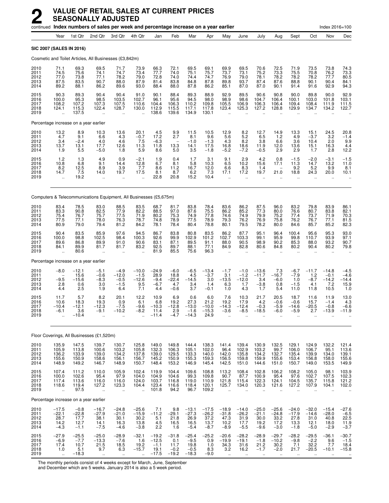|                                      |                                                          |                                             | continued Index numbers of sales per week and percentage increase on a year earlier |                                               |                                              |                                                 |                                             |                                                |                                              |                                                         |                                                         |                                                          |                                                         |                                                       |                                                          | Index 2016=100                               |                                                  |
|--------------------------------------|----------------------------------------------------------|---------------------------------------------|-------------------------------------------------------------------------------------|-----------------------------------------------|----------------------------------------------|-------------------------------------------------|---------------------------------------------|------------------------------------------------|----------------------------------------------|---------------------------------------------------------|---------------------------------------------------------|----------------------------------------------------------|---------------------------------------------------------|-------------------------------------------------------|----------------------------------------------------------|----------------------------------------------|--------------------------------------------------|
|                                      | Year                                                     | 1st Qtr                                     | 2nd Qtr                                                                             | 3rd Qtr                                       | 4th Qtr                                      | Jan                                             | Feb                                         | Mar                                            | Apr                                          | May                                                     | June                                                    | July                                                     | Aug                                                     | Sept                                                  | Oct                                                      | Nov                                          | Dec                                              |
| SIC 2007 (SALES IN 2016)             |                                                          |                                             |                                                                                     |                                               |                                              |                                                 |                                             |                                                |                                              |                                                         |                                                         |                                                          |                                                         |                                                       |                                                          |                                              |                                                  |
|                                      |                                                          |                                             | Cosmetic and Toilet Articles, All Businesses (£3,842m)                              |                                               |                                              |                                                 |                                             |                                                |                                              |                                                         |                                                         |                                                          |                                                         |                                                       |                                                          |                                              |                                                  |
| 2010<br>2011<br>2012<br>2013<br>2014 | 71.1<br>74.5<br>77.0<br>87.5<br>89.2                     | 69.3<br>75.6<br>73.8<br>83.5<br>88.1        | 69.5<br>74.1<br>77.1<br>90.7<br>86.2                                                | 71.7<br>74.7<br>78.2<br>88.0<br>89.6          | 73.9<br>73.4<br>79.0<br>87.9<br>93.0         | 66.3<br>77.7<br>72.8<br>81.4<br>88.4            | 72.1<br>74.0<br>74.0<br>83.8<br>88.0        | 69.5<br>75.1<br>74.4<br>84.8<br>87.8           | 69.1<br>75.7<br>74.7<br>87.8<br>86.2         | 69.9<br>73.7<br>76.9<br>89.8<br>85.1                    | 69.5<br>73.1<br>79.0<br>93.7<br>87.0                    | 70.6<br>75.2<br>78.1<br>87.4<br>87.0                     | 72.5<br>73.3<br>78.2<br>87.6<br>90.1                    | 71.9<br>75.5<br>78.2<br>88.8<br>91.4                  | 73.5<br>70.8<br>78.2<br>90.1<br>91.6                     | 73.8<br>76.2<br>77.7<br>90.4<br>92.9         | 74.3<br>73.3<br>80.5<br>84.1<br>94.3             |
| 2015<br>2016<br>2017<br>2018<br>2019 | 90.3<br>100.0<br>108.2<br>124.1<br>$\ddotsc$             | 89.3<br>95.3<br>107.2<br>115.3<br>137.5     | 90.4<br>98.5<br>107.3<br>122.4                                                      | 90.4<br>103.5<br>107.5<br>128.7               | 91.0<br>102.7<br>110.6<br>130.0              | 90.1<br>96.1<br>104.4<br>112.9<br>138.6         | 88.4<br>95.6<br>106.3<br>115.5<br>139.6     | 89.3<br>94.5<br>110.2<br>117.1<br>134.9        | 88.9<br>98.0<br>109.8<br>117.8<br>130.1      | 92.9<br>98.9<br>105.5<br>123.4                          | 89.5<br>98.6<br>106.9<br>125.3                          | 90.6<br>104.7<br>106.3<br>127.2                          | 90.8<br>106.4<br>106.4<br>128.8                         | 90.0<br>100.1<br>109.4<br>129.9                       | 89.8<br>103.0<br>108.4<br>134.7                          | 90.0<br>101.8<br>111.9<br>134.2              | 92.9<br>103.1<br>111.5<br>122.7                  |
|                                      |                                                          | Percentage increase on a year earlier       |                                                                                     |                                               |                                              |                                                 |                                             |                                                |                                              |                                                         |                                                         |                                                          |                                                         |                                                       |                                                          |                                              |                                                  |
| 2010<br>2011<br>2012<br>2013<br>2014 | 13.2<br>4.7<br>3.4<br>13.7<br>1.9                        | 8.9<br>9.1<br>$-2.4$<br>13.1<br>5.5         | 10.3<br>6.6<br>4.0<br>17.7<br>$-5.0$                                                | 13.6<br>4.3<br>4.6<br>12.6<br>1.8             | 20.1<br>$-0.7$<br>7.5<br>11.3<br>5.9         | 4.5<br>17.2<br>$-6.3$<br>11.8<br>8.6            | 9.9<br>2.7<br>13.3<br>5.0                   | 11.5<br>8.1<br>$-1.0$<br>14.1<br>3.5           | 10.5<br>9.6<br>$-1.3$<br>17.5<br>$-1.8$      | 12.9<br>5.6<br>4.3<br>16.8<br>$-5.2$                    | 8.2<br>5.2<br>8.2<br>18.6<br>$-7.2$                     | 12.7<br>6.5<br>3.8<br>11.9<br>$-0.5$                     | 14.9<br>1.2<br>6.6<br>12.0<br>2.9                       | 13.3<br>4.9<br>3.6<br>13.6<br>2.9                     | 15.1<br>$-3.7$<br>10.4<br>15.1<br>1.7                    | 24.5<br>3.2<br>2.0<br>16.3<br>2.8            | 20.8<br>$-1.4$<br>9.9<br>4.4<br>12.2             |
| 2015<br>2016<br>2017<br>2018<br>2019 | 1.2<br>10.8<br>8.2<br>14.7                               | 1.3<br>6.8<br>12.5<br>7.5<br>19.2           | 4.9<br>9.1<br>8.9<br>14.0<br>ä.                                                     | 0.9<br>14.4<br>3.9<br>19.7<br>÷.              | $-2.1$<br>12.8<br>7.7<br>17.5                | 1.9<br>6.7<br>8.6<br>8.1<br>22.8                | 0.4<br>8.1<br>11.2<br>8.7<br>20.8           | 1.7<br>5.8<br>16.7<br>6.2<br>15.2              | 3.1<br>10.3<br>12.0<br>7.3<br>10.4           | 9.1<br>6.5<br>6.6<br>17.1<br>$\ddot{\phantom{a}}$       | 2.9<br>10.2<br>8.3<br>17.2<br>ä,                        | 4.2<br>15.6<br>1.4<br>19.7<br>$\ddot{\phantom{a}}$       | 0.8<br>17.1<br>21.0<br>$\mathbf{r}$                     | $-1.5$<br>11.3<br>9.2<br>18.8<br>$\ddot{\phantom{1}}$ | $-2.0$<br>14.7<br>5.2<br>24.3<br>$\ddot{\phantom{a}}$    | $-3.1$<br>13.2<br>9.9<br>20.0<br>$\ddotsc$   | $-1.5$<br>11.0<br>8.1<br>10.1<br>$\ddotsc$       |
|                                      |                                                          |                                             | Computers & Telecommunications Equipment, All Businesses (£5,675m)                  |                                               |                                              |                                                 |                                             |                                                |                                              |                                                         |                                                         |                                                          |                                                         |                                                       |                                                          |                                              |                                                  |
| 2010<br>2011<br>2012<br>2013<br>2014 | 83.4<br>83.3<br>75.4<br>77.5<br>80.9                     | 78.5<br>90.8<br>76.7<br>77.1<br>79.0        | 83.0<br>82.5<br>75.7<br>78.0<br>79.4                                                | 88.5<br>77.9<br>77.5<br>76.3<br>81.2          | 83.5<br>82.2<br>71.9<br>78.7<br>84.2         | 68.7<br>88.5<br>80.2<br>74.8<br>78.1            | 81.7<br>97.0<br>75.3<br>78.9<br>78.4        | 83.8<br>87.6<br>74.9<br>77.5<br>80.4           | 78.4<br>75.5<br>77.8<br>78.9<br>78.8         | 83.6<br>86.2<br>74.6<br>79.3<br>80.1                    | 86.2<br>85.2<br>74.9<br>76.2<br>79.5                    | 87.5<br>77.3<br>79.9<br>76.9<br>78.2                     | 96.0<br>80.0<br>75.2<br>75.8<br>80.0                    | 83.2<br>76.6<br>77.4<br>76.2<br>84.6                  | 79.8<br>80.7<br>73.7<br>76.7<br>85.7                     | 83.9<br>83.8<br>71.9<br>77.1<br>85.2         | 86.1<br>82.1<br>70.3<br>81.5<br>82.3             |
| 2015<br>2016<br>2017<br>2018<br>2019 | 90.4<br>100.0<br>89.6<br>84.1<br>$\ddot{\phantom{a}}$    | 83.5<br>98.8<br>86.8<br>89.9<br>80.6        | 85.9<br>102.5<br>89.9<br>81.7                                                       | 97.6<br>98.4<br>91.0<br>81.7                  | 94.5<br>100.3<br>90.6<br>83.2                | 86.7<br>92.6<br>83.1<br>92.5<br>81.9            | 83.8<br>99.9<br>87.1<br>89.7<br>85.5        | 80.8<br>102.9<br>89.5<br>88.1<br>75.6          | 83.5<br>101.2<br>91.1<br>77.1<br>96.3        | 86.2<br>102.7<br>88.0<br>84.9                           | 87.7<br>103.3<br>90.5<br>82.8                           | 95.1<br>99.1<br>98.9<br>80.6                             | 96.4<br>95.9<br>90.2<br>84.8                            | 100.4<br>99.8<br>85.3<br>80.2                         | 95.6<br>110.7<br>88.0<br>90.4                            | 95.3<br>93.9<br>93.2<br>80.2                 | 93.0<br>97.1<br>90.7<br>79.8                     |
|                                      |                                                          | Percentage increase on a year earlier       |                                                                                     |                                               |                                              |                                                 |                                             |                                                |                                              |                                                         |                                                         |                                                          |                                                         |                                                       |                                                          |                                              |                                                  |
| 2010<br>2011<br>2012<br>2013<br>2014 | $-8.0$<br>$-9.5$<br>2.8<br>4.4                           | $-12.1$<br>15.6<br>$-15.6$<br>0.6<br>2.5    | $-5.1$<br>$-0.6$<br>-8.3<br>3.0<br>1.9                                              | $-4.9$<br>$-12.0$<br>$-0.5$<br>$-1.5$<br>6.4  | $-10.0$<br>$-1.5$<br>$-12.6$<br>9.5<br>7.1   | $-24.9$<br>28.9<br>$-9.4$<br>$-6.7$<br>4.4      | $-6.0$<br>18.8<br>$-22.4$<br>4.7<br>$-0.6$  | $-6.5$<br>4.5<br>$-14.5$<br>3.4<br>3.7         | $-13.4$<br>$-3.7$<br>3.0<br>1.4<br>$-0.1$    | $-1.7$<br>3.1<br>$-13.5$<br>6.3<br>1.0                  | $-1.0$<br>$-1.2$<br>$-12.0$<br>1.7<br>4.3               | $-13.6$<br>$-11.7$<br>3.4<br>$-3.8$<br>1.7               | 7.3<br>$-16.7$<br>$-6.0$<br>0.8<br>5.4                  | $-6.7$<br>$-7.9$<br>1.0<br>$-1.5$<br>11.0             | $-11.7$<br>1.2<br>$-8.7$<br>4.1<br>11.8                  | $-14.8$<br>$-0.1$<br>$-14.2$<br>7.2<br>10.5  | $-4.5$<br>$-4.6$<br>$-14.4$<br>15.9<br>1.0       |
| 2015<br>2016<br>2017<br>2018<br>2019 | 11.7<br>10.6<br>$-10.4$<br>$-6.1$<br>ä,                  | 5.7<br>18.3<br>$-12.1$<br>3.6<br>-10.4      | 8.2<br>19.3<br>$-12.3$<br>-9.1<br>$\ddot{\phantom{a}}$                              | 20.1<br>0.9<br>$-7.5$<br>$-10.2$<br>ä,        | 12.2<br>6.1<br>$-9.6$<br>$-8.2$<br>u,        | 10.9<br>6.8<br>$-10.3$<br>11.4<br>$-11.4$       | 6.9<br>19.2<br>$-12.8$<br>2.9<br>$-4.7$     | 0.6<br>27.3<br>$-13.0$<br>$-1.6$<br>$-14.3$    | 6.0<br>21.2<br>$-10.0$<br>$-15.3$<br>24.9    | 7.6<br>19.2<br>$-14.3$<br>$-3.6$                        | 10.3<br>17.9<br>$-12.4$<br>-8.5                         | 21.7<br>4.2<br>$-0.3$<br>$-18.5$                         | 20.5<br>$-0.6$<br>$-5.9$<br>$-6.0$                      | 18.7<br>$-0.6$<br>$-14.6$<br>-5.9                     | 11.6<br>15.7<br>$-20.5$<br>2.7                           | 11.9<br>$-1.4$<br>$-0.8$<br>$-13.9$          | 13.0<br>4.3<br>$-6.6$<br>$-11.9$                 |
|                                      |                                                          |                                             | Floor Coverings, All Businesses (£1,520m)                                           |                                               |                                              |                                                 |                                             |                                                |                                              |                                                         |                                                         |                                                          |                                                         |                                                       |                                                          |                                              |                                                  |
| 2010<br>2011<br>2012<br>2013<br>2014 | 135.9<br>105.9<br>136.2<br>155.6<br>148.9                | 147.5<br>113.8<br>133.9<br>150.9<br>149.2   | 139.7<br>100.6<br>139.0<br>158.6<br>146.7                                           | 130.7<br>103.2<br>134.2<br>156.1<br>148.9     | 125.8<br>105.8<br>137.8<br>156.7<br>150.7    | 149.0<br>132.3<br>139.0<br>145.2<br>148.4       | 149.8<br>106.3<br>129.5<br>150.9<br>153.2   | 144.4<br>105.1<br>133.3<br>155.3<br>146.9      | 138.3<br>102.0<br>140.0<br>159.3<br>145.4    | 141.4<br>96.4<br>142.0<br>156.5<br>142.5                | 139.4<br>102.9<br>135.8<br>159.8<br>151.0               | 130.9<br>103.2<br>134.2<br>159.9<br>144.6                | 132.5<br>99.7<br>132.7<br>155.6<br>151.0                | 129.1<br>106.0<br>135.4<br>153.4<br>150.7             | 124.9<br>106.7<br>139.9<br>156.8<br>149.0                | 132.2<br>95.1<br>134.0<br>158.0<br>153.5     | 121.4<br>113.6<br>139.1<br>155.6<br>149.9        |
| 2015<br>2016<br>2017<br>2018<br>2019 | 107.4<br>100.0<br>117.4<br>118.6<br>$\ddot{\phantom{a}}$ | 111.2<br>102.6<br>113.6<br>119.4<br>97.5    | 110.0<br>95.4<br>116.0<br>127.2<br>$\ddot{\phantom{a}}$                             | 105.9<br>97.9<br>116.0<br>123.3<br>$\sim$     | 102.4<br>104.0<br>124.0<br>104.4<br>u,       | 119.9<br>104.9<br>103.7<br>123.4<br>101.8       | 104.4<br>104.6<br>116.8<br>116.6<br>94.2    | 109.6<br>99.3<br>119.0<br>118.4<br>96.7        | 108.8<br>109.8<br>110.9<br>120.1<br>109.2    | 113.2<br>90.7<br>121.8<br>125.7<br>$\ddot{\phantom{a}}$ | 108.4<br>87.7<br>115.4<br>134.0<br>$\ddot{\phantom{a}}$ | 102.8<br>100.9<br>122.3<br>120.3<br>$\ddot{\phantom{a}}$ | 106.2<br>95.4<br>124.1<br>121.6<br>$\ddot{\phantom{a}}$ | 108.2<br>97.6<br>104.5<br>127.2<br>$\ddotsc$          | 105.0<br>102.7<br>135.7<br>107.9<br>$\ddot{\phantom{a}}$ | 98.1<br>107.5<br>115.8<br>104.1              | 103.9<br>102.3<br>121.2<br>102.0<br>$\mathbf{u}$ |
|                                      |                                                          | Percentage increase on a year earlier       |                                                                                     |                                               |                                              |                                                 |                                             |                                                |                                              |                                                         |                                                         |                                                          |                                                         |                                                       |                                                          |                                              |                                                  |
| 2010<br>2011<br>2012<br>2013<br>2014 | $-17.5$<br>$-22.1$<br>28.7<br>14.2<br>$-4.3$             | $-0.8$<br>$-22.8$<br>17.7<br>12.7<br>$-1.1$ | $-16.7$<br>$-27.9$<br>38.1<br>14.1<br>$-7.5$                                        | $-24.8$<br>$-21.0$<br>30.1<br>16.3<br>$-4.6$  | $-25.6$<br>$-15.9$<br>30.2<br>13.8<br>$-3.8$ | 7.1<br>$-11.2$<br>5.1<br>4.5<br>2.2             | 9.8<br>$-29.1$<br>21.8<br>16.5<br>1.6       | $-13.1$<br>$-27.3$<br>26.9<br>16.5<br>$-5.4$   | $-17.5$<br>$-26.2$<br>37.2<br>13.7<br>$-8.7$ | $-18.9$<br>$-31.8$<br>47.3<br>10.2<br>$-8.9$            | $-14.0$<br>$-26.2$<br>31.9<br>17.7<br>$-5.5$            | $-25.0$<br>$-21.1$<br>30.0<br>19.2<br>$-9.6$             | $-25.6$<br>$-24.8$<br>33.2<br>17.2<br>$-3.0$            | $-24.0$<br>$-17.9$<br>27.8<br>13.3<br>$-1.8$          | $-32.0$<br>$-14.6$<br>31.0<br>12.1<br>$-5.0$             | $-15.4$<br>$-28.0$<br>40.8<br>18.0<br>$-2.9$ | $-27.6$<br>$-6.5$<br>22.5<br>11.9<br>$-3.7$      |
| 2015<br>2016<br>2017<br>2018<br>2019 | $-27.9$<br>$-6.9$<br>17.4<br>1.0<br>$\sim$               | $-25.5$<br>$-7.7$<br>10.7<br>5.1<br>$-18.3$ | $-25.0$<br>$-13.3$<br>21.5<br>9.7                                                   | $-28.9$<br>$-7.6$<br>18.5<br>6.3<br>$\ddotsc$ | $-32.1$<br>1.6<br>19.2<br>$-15.7$            | $-19.2$<br>$-12.5$<br>$-1.1$<br>19.1<br>$-17.5$ | $-31.8$<br>0.1<br>11.7<br>$-0.2$<br>$-19.2$ | $-25.4$<br>$-9.5$<br>19.8<br>$-0.5$<br>$-18.3$ | $-25.2$<br>0.9<br>1.0<br>8.3<br>$-9.0$       | $-20.6$<br>$-19.9$<br>34.3<br>3.2<br>$\ldots$           | $-28.2$<br>$-19.1$<br>31.6<br>16.2<br>$\ddotsc$         | $-28.9$<br>$-1.8$<br>21.2<br>$-1.7$                      | $-29.7$<br>$-10.2$<br>30.2<br>$-2.0$<br>$\ddotsc$       | $-28.2$<br>$-9.8$<br>7.1<br>21.7                      | $-29.5$<br>$-2.2$<br>32.2<br>$-20.5$                     | $-36.1$<br>9.6<br>7.7<br>$-10.1$             | $-30.7$<br>$-1.5$<br>18.4<br>$-15.8$             |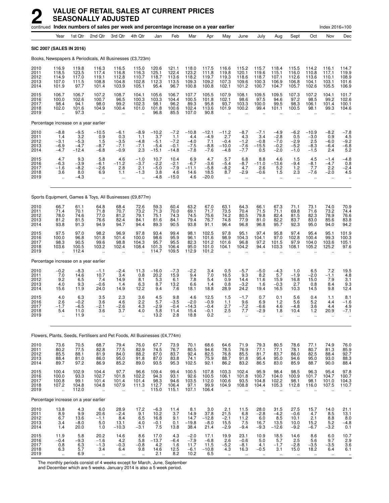|                                       |                                                          |                                              | continued Index numbers of sales per week and percentage increase on a year earlier |                                                     |                                                         |                                               |                                              |                                              |                                              |                                                          |                                                         |                                                      |                                                         |                                             |                                                      | Index 2016=100                                          |                                                          |
|---------------------------------------|----------------------------------------------------------|----------------------------------------------|-------------------------------------------------------------------------------------|-----------------------------------------------------|---------------------------------------------------------|-----------------------------------------------|----------------------------------------------|----------------------------------------------|----------------------------------------------|----------------------------------------------------------|---------------------------------------------------------|------------------------------------------------------|---------------------------------------------------------|---------------------------------------------|------------------------------------------------------|---------------------------------------------------------|----------------------------------------------------------|
|                                       | Year                                                     | 1st Qtr                                      | 2nd Qtr                                                                             | 3rd Qtr                                             | 4th Qtr                                                 | Jan                                           | Feb                                          | Mar                                          | Apr                                          | May                                                      | June                                                    | July                                                 | Aug                                                     | Sept                                        | Oct                                                  | Nov                                                     | Dec                                                      |
| <b>SIC 2007 (SALES IN 2016)</b>       |                                                          |                                              |                                                                                     |                                                     |                                                         |                                               |                                              |                                              |                                              |                                                          |                                                         |                                                      |                                                         |                                             |                                                      |                                                         |                                                          |
|                                       |                                                          |                                              | Books, Newspapers & Periodicals, All Businesses (£3,723m)                           |                                                     |                                                         |                                               |                                              |                                              |                                              |                                                          |                                                         |                                                      |                                                         |                                             |                                                      |                                                         |                                                          |
| 2010<br>2011<br>2012<br>2013<br>2014  | 116.9<br>118.5<br>114.9<br>107.0<br>101.9                | 119.8<br>123.5<br>117.0<br>111.5<br>97.7     | 116.3<br>117.4<br>119.1<br>108.8<br>101.4                                           | 116.5<br>116.8<br>112.8<br>104.8<br>103.9           | 115.0<br>116.3<br>110.7<br>102.8<br>105.1               | 120.6<br>125.1<br>118.7<br>112.3<br>95.4      | 121.1<br>122.4<br>113.6<br>113.5<br>96.7     | 118.0<br>123.2<br>118.2<br>109.3<br>100.8    | 117.5<br>111.8<br>119.7<br>109.2<br>100.8    | 116.6<br>119.8<br>119.3<br>107.3<br>102.1                | 115.2<br>120.1<br>118.6<br>109.6<br>101.2               | 115.7<br>119.6<br>118.7<br>100.3<br>100.7            | 118.4<br>115.1<br>107.1<br>106.9<br>104.7               | 115.5<br>116.0<br>112.6<br>106.8<br>105.7   | 114.2<br>110.8<br>113.6<br>104.1<br>102.6            | 116.1<br>117.1<br>110.1<br>103.1<br>105.5               | 114.7<br>119.9<br>108.9<br>101.6<br>106.9                |
| 2015<br>2016<br>2017<br>2018<br>2019  | 106.7<br>100.0<br>98.4<br>102.0<br>ă,                    | 106.7<br>102.6<br>94.1<br>101.6<br>97.3      | 107.2<br>100.7<br>98.0<br>104.9                                                     | 108.7<br>96.5<br>99.2<br>100.4<br>$\ddotsc$         | 104.1<br>100.3<br>102.3<br>101.0                        | 105.6<br>103.3<br>98.1<br>101.8<br>96.8       | 106.7<br>104.4<br>96.2<br>100.6<br>85.5      | 107.7<br>100.5<br>89.3<br>102.4<br>107.0     | 105.5<br>101.8<br>95.8<br>113.6<br>90.8      | 107.9<br>102.1<br>93.7<br>101.9                          | 108.1<br>98.6<br>103.3<br>100.2                         | 109.5<br>97.5<br>100.0<br>99.4                       | 109.5<br>94.6<br>99.5<br>101.1                          | 107.3<br>97.2<br>98.3<br>100.5              | 107.2<br>98.5<br>106.1<br>98.1                       | 104.1<br>99.2<br>101.4<br>99.3                          | 101.7<br>102.6<br>100.1<br>104.6                         |
|                                       |                                                          | Percentage increase on a year earlier        |                                                                                     |                                                     |                                                         |                                               |                                              |                                              |                                              |                                                          |                                                         |                                                      |                                                         |                                             |                                                      |                                                         |                                                          |
| 2010<br>2011<br>2012<br>2013<br>2014  | $-8.8$<br>1.4<br>$-3.1$<br>$-6.9$<br>$-4.7$              | $-9.5$<br>3.2<br>$-5.3$<br>$-4.7$<br>$-12.4$ | $-10.5$<br>0.9<br>1.5<br>$-8.7$<br>$-6.8$                                           | $-6.1$<br>0.3<br>$-3.5$<br>$-7.1$<br>$-0.9$         | $-8.9$<br>1.1<br>$-4.8$<br>$-7.1$<br>2.3                | $-10.2$<br>3.7<br>$-5.1$<br>$-5.4$<br>$-15.1$ | $-7.2$<br>1.1<br>$-7.2$<br>$-0.1$<br>$-14.8$ | $-10.8$<br>4.4<br>$-4.0$<br>$-7.5$<br>$-7.8$ | $-12.1$<br>$-4.9$<br>7.1<br>$-8.8$<br>$-7.6$ | $-11.2$<br>2.7<br>$-0.4$<br>$-10.0$<br>$-4.8$            | $-8.7$<br>4.3<br>$-1.2$<br>$-7.6$<br>$-7.7$             | $-7.1$<br>3.4<br>$-0.8$<br>$-15.5$<br>0.5            | $-4.9$<br>$-2.8$<br>$-7.0$<br>$-0.2$<br>$-2.0$          | $-6.2$<br>0.5<br>$-2.9$<br>$-5.2$<br>$-1.0$ | $-10.9$<br>$-3.0$<br>2.5<br>$-8.3$<br>$-1.5$         | $-8.2$<br>0.9<br>$-6.0$<br>$-6.4$<br>2.4                | $-7.8$<br>4.5<br>$-9.2$<br>$-6.8$<br>5.2                 |
| 2015<br>2016<br>2017<br>2018<br>2019  | 4.7<br>$-6.3$<br>$-1.6$<br>3.6<br>ä.                     | 9.3<br>$-3.9$<br>$-8.2$<br>8.0<br>$-4.3$     | 5.8<br>-6.1<br>$-2.6$<br>6.9<br>ä.                                                  | 4.6<br>$-11.2$<br>2.8<br>1.1<br>÷.                  | $-1.0$<br>$-3.7$<br>2.1<br>$-1.3$                       | 10.7<br>$-2.2$<br>$-5.0$<br>3.8<br>$-4.8$     | 10.4<br>$-2.1$<br>$-7.9$<br>4.6<br>$-15.0$   | 6.9<br>$-6.7$<br>$-11.1$<br>14.6<br>4.6      | 4.7<br>$-3.6$<br>$-5.8$<br>18.5<br>$-20.0$   | 5.7<br>$-5.4$<br>$-8.2$<br>8.7<br>$\ddotsc$              | 6.8<br>$-8.7$<br>4.7<br>$-2.9$<br>$\ddotsc$             | 8.8<br>$-11.0$<br>2.6<br>$-0.6$                      | 4.6<br>$-13.6$<br>5.2<br>1.5<br>$\ddot{\phantom{a}}$    | 1.5<br>$-9.4$<br>$1.2$<br>2.3<br>$\ddotsc$  | 4.5<br>$-8.1$<br>7.7<br>$-7.6$                       | $-1.4$<br>$-4.7$<br>2.2<br>-2.0<br>$\ddot{\phantom{a}}$ | $-4.8$<br>0.8<br>$-2.4$<br>4.5                           |
|                                       |                                                          |                                              | Sports Equipment, Games & Toys, All Businesses (£9,877m)                            |                                                     |                                                         |                                               |                                              |                                              |                                              |                                                          |                                                         |                                                      |                                                         |                                             |                                                      |                                                         |                                                          |
| 2010<br>2011<br>2012<br>2013<br>2014  | 66.7<br>71.4<br>78.0<br>81.2<br>93.8                     | 61.1<br>70.1<br>74.6<br>81.5<br>91.3         | 64.8<br>71.8<br>77.0<br>76.6<br>94.9                                                | 68.4<br>70.7<br>81.2<br>82.4<br>94.7                | 72.6<br>73.2<br>79.1<br>84.1<br>94.4                    | 59.3<br>71.3<br>75.1<br>81.6<br>89.3          | 60.4<br>70.0<br>74.3<br>84.1<br>90.5         | 63.2<br>69.1<br>74.5<br>79.4<br>93.8         | 67.0<br>71.7<br>75.6<br>76.7<br>91.1         | 63.1<br>73.5<br>74.2<br>74.8<br>96.4                     | 64.3<br>70.4<br>80.5<br>77.9<br>96.8                    | 66.1<br>71.5<br>79.8<br>81.0<br>96.8                 | 67.3<br>71.1<br>82.4<br>82.2<br>95.7                    | 71.1<br>69.8<br>81.5<br>83.7<br>92.3        | 73.1<br>71.6<br>82.3<br>83.0<br>95.0                 | 74.0<br>73.2<br>78.9<br>85.6<br>94.0                    | 70.9<br>74.4<br>76.6<br>83.8<br>94.2                     |
| 2015<br>2016<br>2017<br>2018<br>2019  | 97.5<br>100.0<br>98.3<br>103.6                           | 97.0<br>96.8<br>90.5<br>100.5<br>112.4       | 98.2<br>101.8<br>99.6<br>103.2                                                      | 96.9<br>101.4<br>98.8<br>102.4<br>$\ddotsc$         | 97.8<br>100.0<br>104.3<br>108.4                         | 93.4<br>98.6<br>95.7<br>101.3<br>114.7        | 99.4<br>95.9<br>95.5<br>106.4<br>109.5       | 98.1<br>96.1<br>82.3<br>95.0<br>112.9        | 102.5<br>101.6<br>101.2<br>101.0<br>101.2    | 97.8<br>98.9<br>101.6<br>104.1                           | 95.1<br>104.3<br>96.8<br>104.2<br>$\ddot{\phantom{a}}$  | 97.4<br>104.1<br>97.2<br>94.4                        | 95.8<br>97.0<br>101.5<br>103.3                          | 97.4<br>102.8<br>97.9<br>108.1              | 95.4<br>100.4<br>104.0<br>105.2                      | 95.1<br>99.3<br>103.6<br>125.2                          | 101.9<br>100.3<br>105.1<br>97.6                          |
| Percentage increase on a year earlier |                                                          |                                              |                                                                                     |                                                     |                                                         |                                               |                                              |                                              |                                              |                                                          |                                                         |                                                      |                                                         |                                             |                                                      |                                                         |                                                          |
| 2010<br>2011<br>2012<br>2013<br>2014  | $-0.2$<br>7.0<br>9.2<br>4.0<br>15.6                      | $-8.3$<br>14.6<br>6.5<br>9.3<br>11.9         | $-1.1$<br>10.7<br>7.4<br>$-0.6$<br>24.0                                             | $-2.4$<br>3.4<br>14.9<br>1.4<br>14.9                | 11.3<br>0.8<br>8.1<br>6.3<br>12.2                       | $-16.0$<br>20.2<br>5.3<br>8.7<br>9.4          | $-7.3$<br>15.9<br>6.1<br>13.2<br>7.6         | $-2.2$<br>9.4<br>7.8<br>6.6<br>18.1          | 3.4<br>7.0<br>5.4<br>1.4<br>18.8             | 0.5<br>16.5<br>0.9<br>0.8<br>28.9                        | $-5.7$<br>9.3<br>14.4<br>$-3.2$<br>24.2                 | $-5.0$<br>8.2<br>11.6<br>1.6<br>19.4                 | $-4.3$<br>5.7<br>15.9<br>$-0.3$<br>16.5                 | 1.0<br>$-1.9$<br>16.8<br>2.7<br>10.3        | 6.5<br>$-2.0$<br>15.0<br>0.8<br>14.5                 | 7.2<br>$-1.1$<br>7.9<br>8.4<br>9.8                      | 19.5<br>4.8<br>3.1<br>9.3<br>12.4                        |
| 2015<br>2016<br>2017<br>2018<br>2019  | 4.0<br>2.6<br>$-1.7$<br>5.4<br>$\ddot{\phantom{a}}$      | 6.3<br>$-0.2$<br>-6.5<br>11.0<br>11.9        | 3.5<br>3.6<br>-2.1<br>3.6<br>$\ddot{\phantom{a}}$                                   | 2.3<br>4.6<br>$-2.6$<br>3.7<br>$\ddot{\phantom{a}}$ | 3.6<br>2.2<br>4.3<br>4.0<br>$\ddot{\phantom{a}}$        | 4.5<br>5.7<br>$-2.9$<br>5.8<br>13.2           | 9.8<br>$-3.5$<br>$-0.4$<br>11.4<br>2.8       | 4.6<br>$-2.0$<br>$-14.3$<br>15.4<br>18.8     | 12.5<br>$-0.9$<br>$-0.4$<br>$-0.1$<br>0.2    | 1.5<br>1.1<br>2.7<br>2.5<br>$\ddot{\phantom{a}}$         | $-1.7$<br>9.6<br>$-7.2$<br>7.7                          | 0.7<br>6.9<br>$-6.6$<br>$-2.9$                       | 0.1<br>1.2<br>4.6<br>1.8                                | 5.6<br>5.6<br>$-4.8$<br>10.4                | 0.4<br>5.2<br>3.6<br>1.2                             | 1.1<br>4.4<br>4.4<br>20.9                               | 8.1<br>$-1.6$<br>4.9<br>$-7.1$                           |
|                                       |                                                          |                                              | Flowers, Plants, Seeds, Fertilisers and Pet Foods, All Businesses (£4,774m)         |                                                     |                                                         |                                               |                                              |                                              |                                              |                                                          |                                                         |                                                      |                                                         |                                             |                                                      |                                                         |                                                          |
| 2010<br>2011<br>2012<br>2013<br>2014  | 73.6<br>80.2<br>85.5<br>88.4<br>89.7                     | 70.5<br>77.5<br>88.1<br>81.0<br>97.2         | 68.7<br>82.8<br>81.9<br>86.0<br>86.9                                                | 79.4<br>77.5<br>84.0<br>95.0<br>85.2                | 76.0<br>82.9<br>88.2<br>91.8<br>89.0                    | 67.7<br>74.5<br>87.0<br>87.0<br>93.5          | 73.9<br>76.7<br>83.7<br>83.8<br>95.3         | 70.1<br>80.5<br>92.4<br>74.1<br>102.5        | 68.6<br>94.6<br>82.5<br>75.9<br>92.1         | 64.6<br>78.5<br>76.8<br>88.7<br>86.2                     | 71.9<br>76.9<br>85.5<br>91.8<br>83.2                    | 79.3<br>77.1<br>81.7<br>95.4<br>86.5                 | 80.5<br>77.1<br>83.7<br>95.0<br>83.0                    | 78.6<br>78.1<br>86.0<br>94.6<br>85.9        | 77.1<br>80.7<br>82.5<br>95.0<br>88.7                 | 74.9<br>81.3<br>88.4<br>93.0<br>90.0                    | 76.0<br>85.9<br>92.7<br>88.3<br>88.4                     |
| 2015<br>2016<br>2017<br>2018<br>2019  | 100.4<br>100.0<br>100.8<br>107.2<br>$\ddot{\phantom{a}}$ | 102.9<br>93.3<br>99.1<br>104.8<br>112.0      | 104.4<br>102.7<br>101.4<br>104.8<br>ä.                                              | 97.7<br>101.8<br>101.4<br>107.9<br>$\ddotsc$        | 96.6<br>102.2<br>101.4<br>111.3<br>$\ddot{\phantom{a}}$ | 109.4<br>94.3<br>98.3<br>112.7<br>115.0       | 99.4<br>93.1<br>94.6<br>106.4<br>115.1       | 100.5<br>92.6<br>103.5<br>97.1<br>107.1      | 107.8<br>100.5<br>112.0<br>99.9<br>106.4     | 103.3<br>106.1<br>100.6<br>104.9<br>$\ddot{\phantom{a}}$ | 102.4<br>101.8<br>93.5<br>108.8<br>$\ddot{\phantom{a}}$ | 95.9<br>100.7<br>104.8<br>104.4<br>$\ddotsc$         | 98.4<br>104.0<br>102.2<br>105.3<br>$\ddot{\phantom{a}}$ | 98.5<br>100.9<br>98.1<br>112.8<br>ä.        | 96.3<br>101.7<br>98.1<br>116.0                       | 95.4<br>104.7<br>101.0<br>107.5                         | 97.8<br>100.7<br>104.3<br>110.7                          |
| Percentage increase on a year earlier |                                                          |                                              |                                                                                     |                                                     |                                                         |                                               |                                              |                                              |                                              |                                                          |                                                         |                                                      |                                                         |                                             |                                                      |                                                         |                                                          |
| 2010<br>2011<br>2012<br>2013<br>2014  | 13.8<br>8.9<br>6.7<br>3.4<br>1.4                         | $\frac{4.3}{9.9}$<br>13.6<br>$-8.0$<br>20.0  | 6.0<br>20.6<br>$-1.1$<br>5.0<br>1.0                                                 | 28.9<br>$-2.4$<br>8.4<br>13.1<br>$-10.3$            | 17.2<br>9.1<br>6.5<br>4.0<br>$-3.1$                     | $-6.3$<br>10.2<br>16.8<br>$-0.1$<br>7.5       | 11.4<br>3.7<br>9.1<br>0.1<br>13.8            | 8.1<br>14.9<br>14.7<br>$-19.8$<br>38.4       | 3.0<br>37.8<br>$-12.8$<br>$-8.0$<br>21.4     | 2.1<br>21.5<br>$-2.1$<br>15.5<br>$-2.9$                  | 11.5<br>6.8<br>$\frac{11.2}{7.5}$<br>$-9.4$             | 28.0<br>$-2.8$<br>6.0<br>16.7<br>$-9.3$              | 31.5<br>$-4.2$<br>8.5<br>13.5<br>$-12.6$                | 27.5<br>$-0.6$<br>10.1<br>10.0<br>$-9.2$    | 15.7<br>4.7<br>2.1<br>15.2<br>$-6.7$                 | 14.0<br>8.5<br>8.8<br>5.2<br>$-3.2$                     | 21.1<br>13.1<br>8.0<br>$-4.8$<br>0.1                     |
| 2015<br>2016<br>2017<br>2018<br>2019  | 11.9<br>$-0.4$<br>$0.8\,$<br>6.3<br>$\ddotsc$            | 5.8<br>$-9.3$<br>$6.3$<br>5.7<br>6.9         | 20.2<br>$-1.6$<br>$-1.3$<br>3.4<br>$\ddotsc$                                        | 14.6<br>4.2<br>$-0.3$<br>6.4<br>$\ddotsc$           | 8.6<br>5.8<br>$-0.8$<br>9.8                             | 17.0<br>$-13.7$<br>4.2<br>14.6<br>2.1         | 4.3<br>$-6.4$<br>1.6<br>12.5<br>8.2          | $-2.0$<br>$-7.9$<br>11.7<br>$-6.1$<br>10.2   | 17.1<br>$-6.8$<br>11.5<br>$-10.8$<br>6.5     | 19.9<br>2.6<br>$-5.2$<br>4.3<br>$\ddot{\phantom{1}}$     | 23.1<br>$-0.6$<br>$-8.1$<br>16.3<br>$\ddotsc$           | 10.9<br>5.0<br>4.1<br>$-0.5$<br>$\ddot{\phantom{1}}$ | 18.5<br>5.7<br>$-1.7$<br>3.1<br>$\ldots$                | 14.6<br>2.5<br>$-2.8$<br>15.0<br>$\ldots$   | 8.6<br>5.6<br>$-3.5$<br>18.2<br>$\ddot{\phantom{1}}$ | 6.0<br>9.7<br>$-3.5$<br>6.4<br>$\ddotsc$                | $\frac{10.7}{2.9}$<br>3.6<br>6.1<br>$\ddot{\phantom{0}}$ |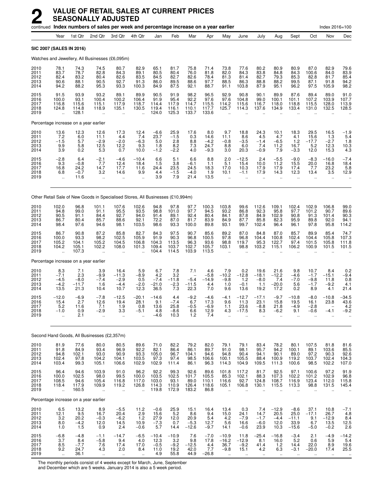|                                      |                                                         |                                             |                                                        | continued Index numbers of sales per week and percentage increase on a year earlier |                                                      |                                          |                                          |                                          |                                         |                                                         |                                                           |                                             |                                                        |                                              |                                                       | Index 2016=100                              |                                            |
|--------------------------------------|---------------------------------------------------------|---------------------------------------------|--------------------------------------------------------|-------------------------------------------------------------------------------------|------------------------------------------------------|------------------------------------------|------------------------------------------|------------------------------------------|-----------------------------------------|---------------------------------------------------------|-----------------------------------------------------------|---------------------------------------------|--------------------------------------------------------|----------------------------------------------|-------------------------------------------------------|---------------------------------------------|--------------------------------------------|
|                                      | Year                                                    | 1st Qtr                                     | 2nd Qtr                                                | 3rd Otr                                                                             | 4th Qtr                                              | Jan                                      | Feb                                      | Mar                                      | Apr                                     | May                                                     | June                                                      | July                                        | Aug                                                    | Sept                                         | Oct                                                   | Nov                                         | Dec                                        |
|                                      | SIC 2007 (SALES IN 2016)                                |                                             |                                                        |                                                                                     |                                                      |                                          |                                          |                                          |                                         |                                                         |                                                           |                                             |                                                        |                                              |                                                       |                                             |                                            |
|                                      |                                                         |                                             |                                                        | Watches and Jewellery, All Businesses (£6,095m)                                     |                                                      |                                          |                                          |                                          |                                         |                                                         |                                                           |                                             |                                                        |                                              |                                                       |                                             |                                            |
| 2010<br>2011<br>2012<br>2013<br>2014 | 78.1<br>83.7<br>82.4<br>90.6<br>94.2                    | 74.3<br>78.7<br>83.2<br>88.1<br>88.2        | 74.5<br>82.8<br>80.4<br>90.5<br>95.3                   | 80.7<br>84.3<br>82.6<br>92.7<br>93.3                                                | 82.9<br>89.1<br>83.5<br>91.3<br>100.3                | 65.1<br>80.5<br>84.5<br>86.0<br>84.9     | 81.7<br>80.4<br>82.7<br>89.5<br>87.5     | 75.8<br>76.0<br>82.6<br>88.6<br>92.1     | 71.4<br>81.8<br>78.4<br>97.7<br>88.7    | 73.8<br>82.0<br>81.3<br>88.5<br>91.1                    | 77.6<br>84.3<br>81.4<br>86.3<br>103.8                     | 80.2<br>83.8<br>82.7<br>88.8<br>87.9        | 80.9<br>84.8<br>79.3<br>88.2<br>95.1                   | 80.9<br>84.3<br>85.3<br>99.5<br>96.2         | 87.0<br>100.6<br>82.8<br>87.1<br>97.5                 | 82.9<br>84.0<br>81.7<br>91.8<br>105.9       | 79.6<br>83.9<br>85.4<br>94.2<br>98.2       |
| 2015<br>2016<br>2017<br>2018<br>2019 | 91.5<br>100.0<br>116.8<br>124.8<br>$\ddot{\phantom{a}}$ | 93.9<br>93.1<br>115.6<br>114.8<br>128.1     | 93.2<br>100.4<br>115.1<br>118.9<br>ä,                  | 89.1<br>100.2<br>117.9<br>135.1<br>ä,                                               | 89.9<br>106.4<br>118.7<br>130.5                      | 90.5<br>91.9<br>114.4<br>119.4<br>124.0  | 91.9<br>95.4<br>117.9<br>116.1<br>125.3  | 98.2<br>92.2<br>114.7<br>110.1<br>133.7  | 96.5<br>97.6<br>115.5<br>117.7<br>133.6 | 92.9<br>97.6<br>114.2<br>125.7<br>$\ddot{\phantom{a}}$  | 90.8<br>104.8<br>115.6<br>114.3                           | 90.1<br>99.0<br>116.7<br>137.6              | 89.9<br>100.1<br>118.0<br>134.9                        | 87.6<br>101.1<br>118.8<br>133.4              | 89.4<br>107.2<br>115.5<br>131.0                       | 89.0<br>103.9<br>128.0<br>132.5             | 91.0<br>107.7<br>113.9<br>128.5            |
|                                      | Percentage increase on a year earlier                   |                                             |                                                        |                                                                                     |                                                      |                                          |                                          |                                          |                                         |                                                         |                                                           |                                             |                                                        |                                              |                                                       |                                             |                                            |
| 2010<br>2011<br>2012<br>2013<br>2014 | 13.6<br>7.2<br>$-1.5$<br>9.9<br>3.9                     | 12.3<br>6.0<br>5.7<br>5.8<br>0.2            | 12.6<br>11.1<br>$-2.9$<br>12.5<br>5.3                  | 17.3<br>4.4<br>$-2.0$<br>12.2<br>0.7                                                | $^{12.4}_{7.4}$<br>$-6.3$<br>9.3<br>10.0             | $-6.6$<br>23.7<br>5.0<br>1.8<br>$-1.2$   | 25.9<br>$-1.5$<br>2.8<br>8.2<br>$-2.2$   | 17.6<br>0.3<br>8.8<br>7.3<br>4.0         | 8.0<br>14.6<br>$-4.2$<br>24.7<br>$-9.3$ | 9.7<br>11.1<br>$-0.8$<br>8.8<br>3.0                     | 18.8<br>8.6<br>$-3.5$<br>6.0<br>20.3                      | 24.3<br>4.5<br>$-1.4$<br>7.4<br>$-0.9$      | 10.1<br>4.7<br>$-6.5$<br>11.2<br>7.9                   | 18.3<br>4.1<br>1.2<br>16.7<br>$-3.3$         | 29.5<br>15.6<br>$-17.7$<br>5.2<br>12.0                | 16.5<br>1.3<br>$-2.7$<br>12.3<br>15.3       | $-1.9$<br>5.4<br>1.8<br>$10.3$<br>4.3      |
| 2015<br>2016<br>2017<br>2018<br>2019 | $-2.8$<br>9.3<br>16.8<br>6.8<br>$\ddot{\phantom{a}}$    | 6.4<br>$-0.8$<br>24.2<br>$-0.7$<br>11.6     | $-2.1$<br>7.7<br>14.7<br>3.2<br>$\ddotsc$              | $-4.6$<br>12.4<br>17.7<br>14.6<br>$\ddotsc$                                         | $-10.4$<br>18.4<br>11.6<br>9.9                       | 6.6<br>1.5<br>24.4<br>4.4<br>3.9         | 5.1<br>3.8<br>23.5<br>$-1.5$<br>7.9      | 6.6<br>$-6.1$<br>24.5<br>$-4.0$<br>21.4  | 8.8<br>1.1<br>18.3<br>1.9<br>13.5       | 2.0<br>5.1<br>17.0<br>10.1<br>$\ddot{\phantom{a}}$      | $-12.5$<br>15.4<br>10.3<br>$-1.1$<br>$\ddot{\phantom{a}}$ | 2.4<br>10.0<br>17.9<br>17.9<br>$\ddotsc$    | $-5.5$<br>11.2<br>17.9<br>14.3<br>$\ddot{\phantom{a}}$ | $-9.0$<br>15.5<br>17.4<br>12.3<br>$\ddotsc$  | $-8.3$<br>20.0<br>7.7<br>13.4<br>$\ddot{\phantom{a}}$ | $-16.0$<br>16.8<br>23.2<br>3.5<br>$\ddotsc$ | $-7.4$<br>18.4<br>5.8<br>12.9              |
|                                      |                                                         |                                             |                                                        | Other Retail Sale of New Goods in Specialised Stores, All Businesses (£10,994m)     |                                                      |                                          |                                          |                                          |                                         |                                                         |                                                           |                                             |                                                        |                                              |                                                       |                                             |                                            |
| 2010<br>2011<br>2012<br>2013<br>2014 | 102.0<br>94.8<br>90.5<br>86.7<br>98.4                   | 96.8<br>99.0<br>91.1<br>80.4<br>97.6        | 101.1<br>91.1<br>84.4<br>85.7<br>94.6                  | 107.6<br>95.5<br>92.7<br>88.6<br>98.1                                               | 102.6<br>93.5<br>94.0<br>92.1<br>103.5               | 94.8<br>98.8<br>91.4<br>72.2<br>98.6     | 97.8<br>101.0<br>89.1<br>87.0<br>93.3    | 97.7<br>97.7<br>92.4<br>81.7<br>100.0    | 100.3<br>94.5<br>80.4<br>83.9<br>89.8   | 103.8<br>93.2<br>84.1<br>84.9<br>93.1                   | 99.6<br>86.8<br>87.8<br>87.7<br>99.7                      | 112.6<br>92.3<br>84.9<br>85.8<br>102.4      | 109.1<br>95.8<br>102.9<br>82.3<br>96.4                 | 102.4<br>97.7<br>90.8<br>95.9<br>96.1        | 102.9<br>101.2<br>91.3<br>89.8<br>97.8                | 106.8<br>90.7<br>101.4<br>92.0<br>95.8      | 99.0<br>89.6<br>90.3<br>94.1<br>114.2      |
| 2015<br>2016<br>2017<br>2018<br>2019 | 86.7<br>100.0<br>105.2<br>104.2<br>$\ddot{\phantom{a}}$ | 90.8<br>93.3<br>104.1<br>105.1<br>107.3     | 87.2<br>98.2<br>105.2<br>102.2<br>$\ddot{\phantom{a}}$ | 85.8<br>102.5<br>104.5<br>108.0                                                     | 82.7<br>105.9<br>106.8<br>101.3                      | 84.3<br>91.9<br>104.3<br>109.4<br>104.4  | 97.5<br>90.3<br>113.5<br>103.7<br>114.5  | 90.7<br>96.8<br>96.3<br>102.7<br>103.9   | 85.6<br>100.5<br>93.6<br>105.7<br>113.5 | 89.2<br>97.8<br>98.8<br>103.1                           | 87.0<br>96.8<br>119.7<br>98.8                             | 84.8<br>104.4<br>95.3<br>103.2              | 87.0<br>100.8<br>122.7<br>115.1                        | 85.7<br>102.4<br>97.4<br>106.2               | 89.9<br>104.4<br>101.5<br>100.9                       | 85.4<br>105.8<br>105.8<br>101.5             | 74.7<br>107.3<br>111.8<br>101.5            |
|                                      | Percentage increase on a year earlier                   |                                             |                                                        |                                                                                     |                                                      |                                          |                                          |                                          |                                         |                                                         |                                                           |                                             |                                                        |                                              |                                                       |                                             |                                            |
| 2010<br>2011<br>2012<br>2013<br>2014 | 8.3<br>$-7.1$<br>$-4.5$<br>$-4.2$<br>13.5               | 7.1<br>2.3<br>$-8.0$<br>$-11.7$<br>21.3     | 3.9<br>$-9.9$<br>$-7.4$<br>1.6<br>10.4                 | 16.4<br>$-11.3$<br>$-2.9$<br>$-4.4$<br>10.7                                         | 5.9<br>$-8.9$<br>0.5<br>$-2.0$<br>12.3               | 6.7<br>4.2<br>$-7.4$<br>$-21.0$<br>36.5  | 7.8<br>3.2<br>$-11.8$<br>$-2.3$<br>7.3   | 7.1<br>$-5.4$<br>$-11.5$<br>22.3         | 4.6<br>$-5.8$<br>$-14.9$<br>4.4<br>7.0  | 7.9<br>$-10.2$<br>$-9.8$<br>1.0<br>9.6                  | 0.2<br>$-12.8$<br>1.2<br>$-0.1$<br>13.6                   | 19.6<br>$-18.1$<br>$-8.0$<br>1.1<br>19.2    | 21.6<br>$-12.2$<br>7.4<br>$-20.0$<br>17.2              | 9.8<br>$-4.6$<br>$-7.0$<br>5.6<br>0.2        | 10.7<br>$-1.7$<br>$-9.8$<br>$-1.7$<br>8.9             | 8.4<br>$-15.1$<br>11.8<br>$-9.2$<br>4.1     | 0.2<br>$-9.4$<br>0.8<br>4.1<br>21.4        |
| 2015<br>2016<br>2017<br>2018<br>2019 | $-12.0$<br>15.4<br>5.2<br>$-1.0$                        | $-6.9$<br>2.7<br>11.6<br>0.9<br>2.1         | $-7.8$<br>12.6<br>7.1<br>-2.9<br>                      | $-12.5$<br>19.4<br>1.9<br>3.3<br>$\ldots$                                           | $-20.1$<br>28.1<br>0.8<br>-5.1                       | $-14.6$<br>9.1<br>13.6<br>4.8<br>-4.6    | 4.4<br>$-7.4$<br>25.8<br>$-8.6$<br>10.3  | $-9.2$<br>6.7<br>$-0.5$<br>6.6<br>1.2    | $-4.6$<br>17.3<br>$-6.9$<br>12.9<br>7.4 | $-4.1$<br>9.6<br>1.1<br>4.3                             | $-12.7$<br>11.3<br>23.6<br>$-17.5$                        | $-17.1$<br>23.1<br>$-8.8$<br>8.3            | $-9.7$<br>15.8<br>21.8<br>-6.2                         | $-10.8$<br>19.5<br>$-4.9$<br>9.1             | $-8.0$<br>16.1<br>$-2.8$<br>$-0.6$                    | $-10.8$<br>23.8<br>-4.1                     | -34.5<br>43.6<br>4.2<br>-9.2               |
|                                      |                                                         |                                             | Second Hand Goods, All Businesses (£2,357m)            |                                                                                     |                                                      |                                          |                                          |                                          |                                         |                                                         |                                                           |                                             |                                                        |                                              |                                                       |                                             |                                            |
| 2010<br>2011<br>2012<br>2013<br>2014 | 81.9<br>91.8<br>94.8<br>102.4<br>103.4                  | 77.6<br>84.9<br>102.1<br>97.8<br>99.3       | 80.0<br>93.4<br>93.0<br>104.2<br>105.1                 | 80.5<br>96.9<br>90.9<br>104.1<br>106.6                                              | 89.6<br>92.2<br>93.3<br>103.5<br>102.9               | 71.0<br>82.1<br>105.0<br>97.3<br>102.9   | 82.2<br>86.4<br>96.7<br>97.4<br>111.4    | 79.2<br>86.1<br>104.1<br>98.5<br>86.1    | 82.0<br>89.7<br>94.6<br>106.6<br>96.3   | 79.1<br>91.0<br>94.8<br>100.1<br>114.3                  | 79.1<br>98.1<br>90.4<br>105.5<br>104.9                    | 83.4<br>95.7<br>94.1<br>88.4<br>109.5       | 78.2<br>94.2<br>90.1<br>100.9<br>111.3                 | 80.1<br>100.1<br>89.0<br>119.2<br>100.6      | 107.5<br>89.1<br>97.2<br>103.7<br>98.5                | 81.8<br>103.6<br>90.3<br>102.4<br>102.2     | 81.6<br>85.5<br>92.6<br>104.3<br>107.0     |
| 2015<br>2016<br>2017<br>2018<br>2019 | 96.4<br>100.0<br>108.5<br>118.4<br>ä,                   | 94.6<br>102.5<br>94.6<br>117.9<br>160.5     | 103.9<br>98.0<br>105.4<br>109.9<br>à.                  | 91.0<br>99.5<br>116.8<br>119.2<br>÷.                                                | 96.2<br>100.0<br>117.0<br>126.8<br>ä,                | 92.2<br>103.5<br>103.0<br>114.3<br>119.8 | 99.3<br>102.5<br>93.1<br>110.9<br>172.9  | 92.6<br>101.7<br>89.0<br>126.4<br>183.2  | 89.6<br>105.5<br>110.1<br>118.6<br>86.8 | 101.8<br>85.3<br>116.6<br>105.1<br>$\ddot{\phantom{a}}$ | 117.2<br>102.1<br>92.7<br>106.8<br>$\ddot{\phantom{a}}$   | 81.7<br>88.3<br>124.8<br>130.1<br>$\ddotsc$ | 92.5<br>107.3<br>108.7<br>115.5<br>ă,                  | 97.1<br>102.2<br>116.9<br>113.3<br>$\ddotsc$ | 100.6<br>101.2<br>123.4<br>98.8<br>$\ddotsc$          | 97.2<br>102.9<br>112.0<br>131.5             | 91.9<br>96.8<br>115.8<br>145.4             |
|                                      | Percentage increase on a year earlier                   |                                             |                                                        |                                                                                     |                                                      |                                          |                                          |                                          |                                         |                                                         |                                                           |                                             |                                                        |                                              |                                                       |                                             |                                            |
| 2010<br>2011<br>2012<br>2013<br>2014 | 6.5<br>12.1<br>$\overline{3.2}$<br>8.0<br>1.0           | 13.2<br>$\frac{9.5}{20.2}$<br>$-4.2$<br>1.5 | 8.9<br>16.7<br>$-0.3$<br>12.0<br>0.9                   | $-5.5$<br>20.4<br>$-6.2$<br>14.5<br>2.4                                             | 11.2<br>2.9<br>$\overline{1.2}$<br>10.9<br>$-0.6$    | $-0.6$<br>15.6<br>27.9<br>$-7.3$<br>5.7  | 25.9<br>5.2<br>12.0<br>0.7<br>14.4       | 15.1<br>8.6<br>20.9<br>$-5.3$<br>$-12.6$ | 16.4<br>9.4<br>5.4<br>12.7<br>$-9.7$    | 13.4<br>15.0<br>4.2<br>5.6<br>14.1                      | 0.3<br>24.1<br>$-7.9$<br>16.6<br>$-0.6$                   | 7.4<br>14.7<br>$-1.7$<br>$-6.0$<br>23.9     | $-12.9$<br>20.5<br>$-4.4$<br>12.0<br>10.3              | $-8.6$<br>25.0<br>$-11.1$<br>33.9<br>$-15.6$ | 37.1<br>$-17.1$<br>9.1<br>6.7<br>$-5.0$               | 10.8<br>26.7<br>$-12.9$<br>13.5<br>$-0.2$   | $-7.1$<br>4.8<br>8.4<br>12.5<br>2.6        |
| 2015<br>2016<br>2017<br>2018<br>2019 | $-6.8$<br>3.7<br>$\frac{8.5}{9.2}$<br>$\sim$            | $-4.8$<br>8.4<br>$-7.7$<br>24.7<br>36.1     | $-1.1$<br>$-5.8$<br>7.6<br>4.3<br>$\ddot{\phantom{1}}$ | $-14.7$<br>9.4<br>17.4<br>2.0<br>$\ddot{\phantom{1}}$                               | $-6.5$<br>4.0<br>17.0<br>8.4<br>$\ddot{\phantom{1}}$ | $-10.4$<br>12.3<br>$-0.5$<br>11.0<br>4.9 | $-10.9$<br>3.2<br>$-9.2$<br>19.2<br>55.8 | 7.6<br>9.8<br>$-12.5$<br>42.0<br>44.9    | $-7.0$<br>17.8<br>4.4<br>7.7<br>$-26.8$ | $-10.9$<br>$-16.2$<br>36.7<br>$-9.8$<br>$\sim$          | 11.8<br>$-12.9$<br>$-9.2$<br>15.1<br>$\ddotsc$            | $-25.4$<br>8.1<br>41.4<br>4.2<br>$\sim$     | $-16.8$<br>16.0<br>1.2<br>6.3<br>$\sim$                | $-3.4$<br>5.2<br>14.4<br>$-3.1$<br>$\ldots$  | 2.1<br>0.6<br>22.0<br>$-20.0$<br>$\ldots$             | $-4.9$<br>5.9<br>8.9<br>17.4<br>$\ddotsc$   | $-14.2$<br>5.4<br>19.6<br>25.5<br>$\ldots$ |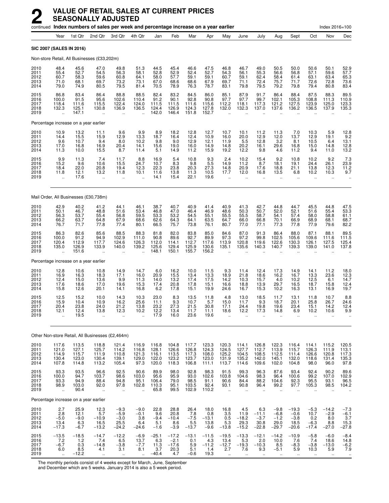|                                      |                                                         |                                                      | continued Index numbers of sales per week and percentage increase on a year earlier |                                                      |                                                         |                                           |                                             |                                           |                                                   |                                                           |                                                      |                                                          |                                                     |                                                     |                                                      | Index 2016=100                             |                                                 |
|--------------------------------------|---------------------------------------------------------|------------------------------------------------------|-------------------------------------------------------------------------------------|------------------------------------------------------|---------------------------------------------------------|-------------------------------------------|---------------------------------------------|-------------------------------------------|---------------------------------------------------|-----------------------------------------------------------|------------------------------------------------------|----------------------------------------------------------|-----------------------------------------------------|-----------------------------------------------------|------------------------------------------------------|--------------------------------------------|-------------------------------------------------|
|                                      | Year                                                    | 1st Otr                                              | 2nd Qtr                                                                             | 3rd Otr                                              | 4th Otr                                                 | Jan                                       | Feb                                         | Mar                                       | Apr                                               | May                                                       | June                                                 | July                                                     | Aug                                                 | Sept                                                | Oct                                                  | Nov                                        | Dec                                             |
|                                      | SIC 2007 (SALES IN 2016)                                |                                                      |                                                                                     |                                                      |                                                         |                                           |                                             |                                           |                                                   |                                                           |                                                      |                                                          |                                                     |                                                     |                                                      |                                            |                                                 |
|                                      |                                                         |                                                      | Non-store Retail, All Businesses (£33,202m)                                         |                                                      |                                                         |                                           |                                             |                                           |                                                   |                                                           |                                                      |                                                          |                                                     |                                                     |                                                      |                                            |                                                 |
| 2010<br>2011<br>2012<br>2013<br>2014 | 48.4<br>55.4<br>60.7<br>71.0<br>79.0                    | 45.6<br>52.7<br>58.3<br>68.1<br>74.9                 | 47.0<br>54.5<br>59.6<br>69.7<br>80.5                                                | 49.8<br>56.3<br>60.8<br>73.2<br>79.5                 | 51.3<br>58.1<br>64.1<br>73.1<br>81.4                    | 44.5<br>52.8<br>58.0<br>67.0<br>70.5      | 45.4<br>52.9<br>57.7<br>68.6<br>78.9        | 46.6<br>52.4<br>59.1<br>68.6<br>76.3      | 47.5<br>52.7<br>59.1<br>67.9<br>78.7              | 46.8<br>54.3<br>60.7<br>69.7<br>83.1                      | 46.7<br>56.1<br>59.1<br>71.1<br>79.8                 | 49.0<br>55.3<br>62.4<br>72.4<br>79.5                     | 50.5<br>56.6<br>58.4<br>75.7<br>79.2                | 50.0<br>56.8<br>61.4<br>71.7<br>79.8                | 50.6<br>57.1<br>63.1<br>72.6<br>79.4                 | 50.1<br>59.6<br>63.4<br>72.8<br>80.8       | 52.9<br>57.7<br>65.3<br>73.6<br>83.4            |
| 2015<br>2016<br>2017<br>2018<br>2019 | 86.8<br>100.0<br>118.4<br>132.3<br>$\ddot{\phantom{a}}$ | 83.4<br>91.5<br>111.6<br>125.1<br>147.1              | 86.4<br>95.6<br>115.5<br>130.8                                                      | 88.8<br>102.6<br>122.4<br>136.9                      | 88.5<br>110.4<br>124.0<br>136.5<br>$\ddot{\phantom{a}}$ | 82.4<br>91.2<br>111.5<br>124.4<br>142.0   | 83.2<br>90.1<br>111.5<br>126.9<br>146.4     | 84.5<br>92.8<br>111.6<br>124.3<br>151.8   | 86.0<br>90.8<br>115.6<br>127.8<br>152.7           | 85.1<br>97.7<br>112.2<br>132.0                            | 87.9<br>97.7<br>118.1<br>132.3                       | 91.7<br>99.7<br>117.3<br>137.0                           | 86.4<br>102.1<br>121.2<br>137.6                     | 88.4<br>105.3<br>127.5<br>136.2                     | 87.5<br>108.8<br>123.9<br>136.5                      | 88.3<br>111.3<br>125.0<br>137.9            | 89.5<br>110.9<br>123.3<br>135.3                 |
|                                      | Percentage increase on a year earlier                   |                                                      |                                                                                     |                                                      |                                                         |                                           |                                             |                                           |                                                   |                                                           |                                                      |                                                          |                                                     |                                                     |                                                      |                                            |                                                 |
| 2010<br>2011<br>2012<br>2013<br>2014 | 10.9<br>14.4<br>9.6<br>17.0<br>11.3                     | 13.2<br>15.5<br>10.7<br>16.8<br>10.0                 | 11.1<br>15.9<br>9.4<br>16.9<br>15.5                                                 | 9.6<br>12.9<br>8.0<br>20.4<br>8.7                    | $\frac{9.9}{13.3}$<br>10.2<br>14.1<br>11.4              | $8.9$<br>18.7<br>9.8<br>15.6<br>5.1       | 18.2<br>16.4<br>9.0<br>19.0<br>14.9         | 12.8<br>12.4<br>12.9<br>16.0<br>11.2      | 12.7<br>10.9<br>12.1<br>14.9<br>15.9              | 10.7<br>16.0<br>11.9<br>14.8<br>19.2                      | 10.1<br>20.0<br>5.5<br>20.2<br>12.2                  | 11.2<br>12.9<br>12.8<br>16.1<br>9.8                      | 11.3<br>12.0<br>3.2<br>29.6<br>4.6                  | 7.0<br>13.7<br>8.1<br>16.8<br>11.2                  | 10.3<br>12.9<br>10.5<br>15.0<br>9.4                  | 5.9<br>19.1<br>6.4<br>14.8<br>11.0         | 12.8<br>9.2<br>13.1<br>12.8<br>13.2             |
| 2015<br>2016<br>2017<br>2018<br>2019 | 9.9<br>15.2<br>18.4<br>11.8<br>$\ddotsc$                | 11.3<br>9.6<br>22.0<br>12.1<br>17.6                  | 7.4<br>10.6<br>20.8<br>13.2<br>$\ddotsc$                                            | 11.7<br>15.5<br>19.4<br>11.8<br>$\ddotsc$            | 8.8<br>24.7<br>12.3<br>10.1                             | 16.9<br>10.7<br>22.3<br>11.6<br>14.1      | 5.4<br>8.3<br>23.8<br>13.8<br>15.4          | 10.8<br>9.8<br>20.3<br>11.3<br>22.1       | $\frac{9.3}{5.5}$<br>27.3<br>10.5<br>19.6         | 2.4<br>14.9<br>14.8<br>17.7<br>$\ddot{\phantom{a}}$       | 10.2<br>11.2<br>20.9<br>12.0<br>$\ddot{\phantom{a}}$ | 15.4<br>8.7<br>17.6<br>16.8<br>$\ddot{\phantom{a}}$      | 9.2<br>18.1<br>18.8<br>13.5<br>$\ddot{\phantom{a}}$ | 10.8<br>19.1<br>21.1<br>6.8<br>$\ddot{\phantom{1}}$ | 10.2<br>24.4<br>13.8<br>10.2<br>$\ddot{\phantom{a}}$ | 9.2<br>26.1<br>12.3<br>10.3<br>$\ddotsc$   | $\frac{7.3}{23.9}$<br>11.2<br>9.7               |
|                                      |                                                         |                                                      | Mail Order, All Businesses (£30,738m)                                               |                                                      |                                                         |                                           |                                             |                                           |                                                   |                                                           |                                                      |                                                          |                                                     |                                                     |                                                      |                                            |                                                 |
| 2010<br>2011<br>2012<br>2013<br>2014 | 42.9<br>50.1<br>56.3<br>66.2<br>76.7                    | 40.2<br>46.7<br>53.7<br>63.7<br>71.7                 | 41.2<br>48.8<br>55.4<br>64.8<br>77.8                                                | 44.1<br>51.6<br>56.8<br>67.9<br>77.4                 | 46.1<br>53.4<br>59.5<br>68.6<br>80.1                    | 38.7<br>46.8<br>53.3<br>62.6<br>66.5      | 40.7<br>47.0<br>53.2<br>64.3<br>75.7        | 40.9<br>46.4<br>54.5<br>64.1<br>73.8      | 41.4<br>46.9<br>55.1<br>63.5<br>76.1              | 40.9<br>48.6<br>55.5<br>64.7<br>80.7                      | $41.3$<br>$50.3$<br>55.5<br>66.0<br>77.0             | 42.7<br>50.7<br>58.7<br>66.8<br>77.1                     | 44.8<br>52.0<br>54.1<br>70.1<br>77.3                | 44.7<br>52.1<br>57.4<br>66.9<br>77.8                | 45.5<br>51.6<br>58.0<br>68.9<br>77.9                 | 44.8<br>55.4<br>58.8<br>68.1<br>79.6       | 47.5<br>53.3<br>61.1<br>68.7<br>82.2            |
| 2015<br>2016<br>2017<br>2018<br>2019 | 86.3<br>100.0<br>120.4<br>135.0<br>$\ddot{\phantom{a}}$ | 82.6<br>91.2<br>112.9<br>126.9<br>151.6              | 85.6<br>94.9<br>117.7<br>133.9                                                      | 88.5<br>102.9<br>124.6<br>140.0                      | 88.3<br>111.0<br>126.3<br>139.2                         | 81.8<br>90.8<br>112.0<br>125.6<br>148.1   | 82.0<br>89.6<br>114.1<br>129.4<br>150.1     | 83.8<br>92.7<br>112.7<br>125.9<br>155.7   | 85.0<br>89.9<br>117.6<br>130.6<br>156.2           | 84.6<br>97.3<br>113.9<br>135.1                            | 87.0<br>97.2<br>120.8<br>135.6                       | 91.3<br>99.8<br>119.6<br>140.3                           | 86.4<br>102.5<br>122.6<br>140.7                     | 88.0<br>105.6<br>130.3<br>139.3                     | 87.1<br>109.6<br>126.1<br>139.0                      | 88.1<br>111.6<br>127.5<br>141.0            | 89.5<br>111.5<br>125.4<br>137.8                 |
|                                      | Percentage increase on a year earlier                   |                                                      |                                                                                     |                                                      |                                                         |                                           |                                             |                                           |                                                   |                                                           |                                                      |                                                          |                                                     |                                                     |                                                      |                                            |                                                 |
| 2010<br>2011<br>2012<br>2013<br>2014 | 12.8<br>16.9<br>12.4<br>17.6<br>15.8                    | 10.6<br>16.3<br>15.0<br>18.6<br>12.6                 | 10.8<br>18.3<br>13.6<br>17.0<br>20.1                                                | 14.9<br>17.1<br>9.9<br>19.6<br>14.1                  | 14.7<br>16.0<br>11.3<br>15.3<br>16.8                    | 6.0<br>20.9<br>14.0<br>17.4<br>6.2        | 16.2<br>15.5<br>13.2<br>20.8<br>17.8        | 10.0<br>13.4<br>17.4<br>17.8<br>15.1      | 11.5<br>$13.\overline{3}$<br>17.5<br>15.1<br>19.9 | 9.3<br>18.9<br>14.2<br>16.6<br>24.6                       | 11.4<br>21.8<br>10.3<br>18.8<br>16.7                 | 12.4<br>18.6<br>15.7<br>13.9<br>15.3                     | 17.3<br>16.2<br>4.0<br>29.7<br>10.2                 | 14.9<br>16.7<br>10.2<br>16.5<br>16.3                | 14.1<br>13.3<br>12.5<br>18.7<br>13.1                 | 11.2<br>23.6<br>6.1<br>15.8<br>16.9        | 18.0<br>12.3<br>14.7<br>12.4<br>19.7            |
| 2015<br>2016<br>2017<br>2018<br>2019 | 12.5<br>15.9<br>20.4<br>12.1<br>                        | 15.2<br>10.4<br>23.8<br>12.4<br>19.5                 | 10.0<br>10.9<br>24.0<br>13.8<br>$\ddotsc$                                           | 14.3<br>16.2<br>21.2<br>12.3<br>$\ddot{\phantom{0}}$ | 10.3<br>25.6<br>13.8<br>10.2                            | 23.0<br>11.1<br>23.2<br>12.2<br>17.9      | 8.3<br>9.3<br>27.3<br>13.4<br>16.0          | 13.5<br>10.7<br>21.5<br>11.7<br>23.6      | 11.8<br>5.7<br>30.8<br>11.1<br>19.6               | 4.8<br>15.0<br>17.1<br>18.6                               | 13.0<br>11.7<br>24.4<br>12.2                         | 18.5<br>9.3<br>19.8<br>17.3                              | 11.7<br>18.7<br>19.6<br>14.8                        | 13.1<br>20.1<br>23.4<br>6.9                         | 11.8<br>25.8<br>15.1<br>10.2<br>Ω.                   | 10.7<br>26.7<br>14.2<br>10.6               | 8.8<br>24.6<br>12.4<br>9.9                      |
|                                      |                                                         |                                                      | Other Non-store Retail, All Businesses (£2,464m)                                    |                                                      |                                                         |                                           |                                             |                                           |                                                   |                                                           |                                                      |                                                          |                                                     |                                                     |                                                      |                                            |                                                 |
| 2010<br>2011<br>2012<br>2013<br>2014 | 117.6<br>121.0<br>114.9<br>130.4<br>107.8               | 113.5<br>127.1<br>115.7<br>123.0<br>114.8            | 118.8<br>125.7<br>111.9<br>130.4<br>113.2                                           | 121.4<br>114.2<br>110.8<br>139.1<br>105.4            | 116.9<br>116.8<br>121.3<br>129.0<br>97.3                | 116.8<br>128.1<br>116.1<br>122.0<br>120.0 | 104.8<br>126.6<br>113.5<br>123.2<br>118.3   | 117.7<br>126.8<br>117.3<br>123.7<br>106.8 | 123.3<br>124.3<br>108.0<br>123.0<br>111.1         | 120.3<br>124.5<br>125.2<br>131.9<br>113.7                 | 114.1<br>127.7<br>104.5<br>135.2<br>114.6            | 126.8<br>112.7<br>108.5<br>142.0<br>109.6                | 122.3<br>113.9<br>112.5<br>145.1<br>102.0           | 116.4<br>115.7<br>111.4<br>132.0<br>104.8           | 114.1<br>126.3<br>126.6<br>118.6<br>98.0             | 115.2<br>111.9<br>120.8<br>131.4<br>96.0   | 120.5<br>$\frac{113.1}{117.3}$<br>135.3<br>97.8 |
| 2015<br>2016<br>2017<br>2018<br>2019 | 93.3<br>100.0<br>93.3<br>98.9<br>$\ddot{\phantom{a}}$   | 93.5<br>94.7<br>94.9<br>103.0<br>90.4                | 96.6<br>103.7<br>88.4<br>92.0                                                       | 92.5<br>98.6<br>94.8<br>97.8<br>$\ddot{\phantom{a}}$ | 90.6<br>103.0<br>95.1<br>102.8<br>$\ddot{\phantom{a}}$  | 89.9<br>95.6<br>106.4<br>110.3<br>65.8    | 98.0<br>95.9<br>79.0<br>95.1<br>99.5        | 92.8<br>93.0<br>98.5<br>103.5<br>102.9    | 98.3<br>102.6<br>91.1<br>92.4<br>110.2            | 91.5<br>103.8<br>90.6<br>93.1<br>$\ddot{\phantom{a}}$     | 99.3<br>104.6<br>84.4<br>90.8<br>$\ddotsc$           | 96.3<br>98.3<br>88.2<br>96.4<br>÷.                       | 87.6<br>96.4<br>104.6<br>99.2<br>ä.                 | 93.4<br>100.6<br>92.3<br>97.7<br>$\ddotsc$          | 92.4<br>99.2<br>95.5<br>105.3                        | 90.2<br>107.0<br>93.1<br>98.5              | 89.6<br>102.9<br>96.5<br>104.2                  |
|                                      | Percentage increase on a year earlier                   |                                                      |                                                                                     |                                                      |                                                         |                                           |                                             |                                           |                                                   |                                                           |                                                      |                                                          |                                                     |                                                     |                                                      |                                            |                                                 |
| 2010<br>2011<br>2012<br>2013<br>2014 | 2.7<br>2.8<br>$-5.0$<br>13.4<br>$-17.3$                 | 25.9<br>12.1<br>$-9.0$<br>6.3<br>$-6.7$              | 12.3<br>5.7<br>$-10.9$<br>16.5<br>$-13.2$                                           | $-9.3$<br>$-5.9$<br>$-3.0$<br>25.5<br>$-24.2$        | $-9.0$<br>$-0.1$<br>3.8<br>6.4<br>$-24.6$               | 22.8<br>9.6<br>$-9.4$<br>5.1<br>$-1.6$    | 28.8<br>20.8<br>$-10.4$<br>8.6<br>$-3.9$    | 26.4<br>7.8<br>$-7.5$<br>5.5<br>$-13.7$   | 18.0<br>0.8<br>$-13.1$<br>13.8<br>$-9.6$          | 16.8<br>3.5<br>0.5<br>5.3<br>$-13.8$                      | 4.5<br>11.9<br>$-18.2$<br>29.3<br>$-15.2$            | 6.3<br>$-11.1$<br>$-3.7$<br>30.8<br>$-22.8$              | $-9.8$<br>$-6.8$<br>$-1.2$<br>29.0<br>$-29.7$       | $-19.3$<br>$-0.6$<br>$-3.8$<br>18.5<br>$-20.6$      | $-5.3$<br>10.7<br>0.2<br>$-6.3$<br>$-17.4$           | $-14.2$<br>$-2.9$<br>8.0<br>8.8<br>$-27.0$ | $-7.3$<br>$-6.1$<br>3.7<br>15.3<br>$-27.8$      |
| 2015<br>2016<br>2017<br>2018<br>2019 | $-13.5$<br>$7.2 - 6.7$<br>6.0<br>$\bar{\mathbf{a}}$     | $-18.5$<br>1.2<br>$0.\overline{3}$<br>8.5<br>$-12.2$ | $-14.7$<br>7.4<br>$-14.8$<br>4.1<br>$\mathcal{L}_{\mathcal{A}}$                     | $-12.2$<br>6.5<br>$-3.8$<br>3.1<br>$\ddotsc$         | $-6.9$<br>13.7<br>$-7.7$<br>8.1<br>u,                   | $-25.1$<br>6.3<br>11.3<br>3.7<br>$-40.4$  | $-17.2$<br>$-2.1$<br>$-17.6$<br>20.3<br>4.7 | $-13.1$<br>0.1<br>5.9<br>5.1<br>$-0.6$    | $-11.5$<br>4.3<br>$-11.2$<br>1.4<br>19.3          | $-19.5$<br>13.4<br>$-12.7$<br>2.7<br>$\ddot{\phantom{1}}$ | $-13.3$<br>5.3<br>$-19.3$<br>7.6<br>$\ddotsc$        | $-12.1$<br>2.0<br>$-10.3$<br>9.3<br>$\ddot{\phantom{1}}$ | $-14.2$<br>10.0<br>8.5<br>$-5.1$<br>$\sim$          | $-10.9$<br>7.6<br>$-8.3$<br>5.9<br>$\sim$           | $-5.8$<br>7.4<br>$-3.8$<br>10.3<br>$\sim$            | $-6.0$<br>18.6<br>$-13.0$<br>5.9<br>$\sim$ | $-8.4$<br>14.8<br>$-6.2$<br>7.9<br>$\ddotsc$    |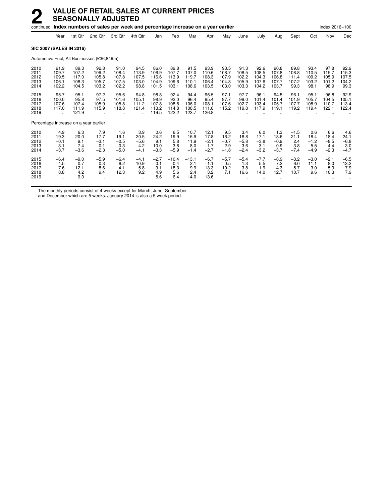|                                      |                                                         | continued Index numbers of sales per week and percentage increase on a year earlier |                                            |                                           |                                           |                                          |                                          |                                          |                                            |                                           |                                          |                                          |                                          |                                           |                                           | Index 2016=100                            |                                           |  |  |
|--------------------------------------|---------------------------------------------------------|-------------------------------------------------------------------------------------|--------------------------------------------|-------------------------------------------|-------------------------------------------|------------------------------------------|------------------------------------------|------------------------------------------|--------------------------------------------|-------------------------------------------|------------------------------------------|------------------------------------------|------------------------------------------|-------------------------------------------|-------------------------------------------|-------------------------------------------|-------------------------------------------|--|--|
|                                      | Year                                                    | 1st Qtr                                                                             | 2nd Qtr                                    | 3rd Qtr                                   | 4th Qtr                                   | Jan                                      | Feb                                      | Mar                                      | Apr                                        | May                                       | June                                     | July                                     | Aug                                      | Sept                                      | Oct                                       | Nov                                       | Dec                                       |  |  |
|                                      |                                                         | <b>SIC 2007 (SALES IN 2016)</b>                                                     |                                            |                                           |                                           |                                          |                                          |                                          |                                            |                                           |                                          |                                          |                                          |                                           |                                           |                                           |                                           |  |  |
|                                      |                                                         |                                                                                     | Automotive Fuel, All Businesses (£36,849m) |                                           |                                           |                                          |                                          |                                          |                                            |                                           |                                          |                                          |                                          |                                           |                                           |                                           |                                           |  |  |
| 2010<br>2011<br>2012<br>2013<br>2014 | 91.9<br>109.7<br>109.5<br>106.1<br>102.2                | 89.3<br>107.2<br>117.0<br>108.3<br>104.5                                            | 92.8<br>109.2<br>105.8<br>105.7<br>103.2   | 91.0<br>108.4<br>107.8<br>107.5<br>102.2  | 94.5<br>113.9<br>107.5<br>103.0<br>98.8   | 86.0<br>106.9<br>116.6<br>104.9<br>101.5 | 89.8<br>107.7<br>113.9<br>109.6<br>103.1 | 91.5<br>107.0<br>119.7<br>110.1<br>108.6 | 93.9<br>110.6<br>108.3<br>106.4<br>103.5   | 93.5<br>108.7<br>107.9<br>104.8<br>103.0  | 91.3<br>108.5<br>102.2<br>105.9<br>103.3 | 92.6<br>108.5<br>104.3<br>107.6<br>104.2 | 90.8<br>107.8<br>106.8<br>107.7<br>103.7 | 89.8<br>108.8<br>111.4<br>107.2<br>99.3   | 93.4<br>110.5<br>109.2<br>103.2<br>98.1   | 97.8<br>115.7<br>105.9<br>101.2<br>98.9   | 92.9<br>115.3<br>107.5<br>104.2<br>99.3   |  |  |
| 2015<br>2016<br>2017<br>2018<br>2019 | 95.7<br>100.0<br>107.6<br>117.0<br>$\ddot{\phantom{a}}$ | 95.1<br>95.8<br>107.4<br>111.9<br>121.9                                             | 97.2<br>97.5<br>105.9<br>115.9             | 95.6<br>101.6<br>105.8<br>118.8           | 94.8<br>105.1<br>111.2<br>121.4           | 98.8<br>98.9<br>107.8<br>113.2<br>119.5  | 92.4<br>92.0<br>108.8<br>114.8<br>122.2  | 94.4<br>96.4<br>106.0<br>108.5<br>123.7  | 96.5<br>95.4<br>108.1<br>111.6<br>126.8    | 97.1<br>97.7<br>107.6<br>115.2            | 97.7<br>99.0<br>102.7<br>119.8           | 96.1<br>101.4<br>103.4<br>117.9          | 94.5<br>101.4<br>105.7<br>119.1          | 96.1<br>101.9<br>107.7<br>119.2           | 95.1<br>105.7<br>108.9<br>119.4           | 96.8<br>104.5<br>110.7<br>122.1           | 92.9<br>105.1<br>113.4<br>122.4           |  |  |
|                                      |                                                         | Percentage increase on a year earlier                                               |                                            |                                           |                                           |                                          |                                          |                                          |                                            |                                           |                                          |                                          |                                          |                                           |                                           |                                           |                                           |  |  |
| 2010<br>2011<br>2012<br>2013<br>2014 | 4.9<br>19.3<br>$-0.1$<br>$-3.1$<br>$-3.7$               | 6.3<br>20.0<br>9.1<br>$-7.4$<br>$-3.6$                                              | 7.9<br>17.7<br>$-3.1$<br>$-0.1$<br>$-2.3$  | 1.6<br>19.1<br>$-0.5$<br>$-0.3$<br>$-5.0$ | 3.9<br>20.5<br>$-5.6$<br>$-4.2$<br>$-4.1$ | 0.6<br>24.2<br>9.1<br>$-10.0$<br>$-3.3$  | 6.5<br>19.9<br>5.8<br>$-3.8$<br>$-5.9$   | 10.7<br>16.9<br>11.9<br>$-8.0$<br>$-1.4$ | 12.1<br>17.8<br>$-2.1$<br>$-1.7$<br>$-2.7$ | 9.5<br>16.2<br>$-0.7$<br>$-2.9$<br>$-1.8$ | 3.4<br>18.8<br>$-5.8$<br>3.6<br>$-2.4$   | 6.0<br>17.1<br>$-3.8$<br>3.1<br>$-3.2$   | 1.3<br>18.6<br>$-0.9$<br>0.9<br>$-3.7$   | $-1.5$<br>21.1<br>2.4<br>$-3.8$<br>$-7.4$ | 0.6<br>18.4<br>$-1.2$<br>$-5.5$<br>$-4.9$ | 6.6<br>18.4<br>$-8.5$<br>$-4.4$<br>$-2.3$ | 4.6<br>24.1<br>$-6.8$<br>$-3.0$<br>$-4.7$ |  |  |
| 2015<br>2016<br>2017<br>2018<br>2019 | $-6.4$<br>4.5<br>7.6<br>8.8<br>$\ddot{\phantom{a}}$     | $-9.0$<br>0.7<br>12.1<br>4.2<br>9.0                                                 | $-5.9$<br>0.3<br>8.6<br>9.4                | $-6.4$<br>6.2<br>4.1<br>12.3              | $-4.1$<br>10.9<br>5.8<br>9.2              | $-2.7$<br>0.1<br>9.1<br>4.9<br>5.6       | $-10.4$<br>$-0.4$<br>18.3<br>5.6<br>6.4  | $-13.1$<br>2.1<br>9.9<br>2.4<br>14.0     | $-6.7$<br>$-1.1$<br>13.3<br>3.2<br>13.6    | $-5.7$<br>0.5<br>10.2<br>7.1              | $-5.4$<br>1.3<br>3.8<br>16.6             | $-7.7$<br>5.5<br>1.9<br>14.0             | $-8.9$<br>7.2<br>4.3<br>12.7             | $-3.2$<br>6.0<br>5.7<br>10.7              | $-3.0$<br>11.1<br>3.0<br>9.6              | $-2.1$<br>8.0<br>5.9<br>10.3              | $-6.5$<br>13.2<br>7.9<br>7.9              |  |  |

The monthly periods consist of 4 weeks except for March, June, September

and December which are 5 weeks. January 2014 is also a 5 week period.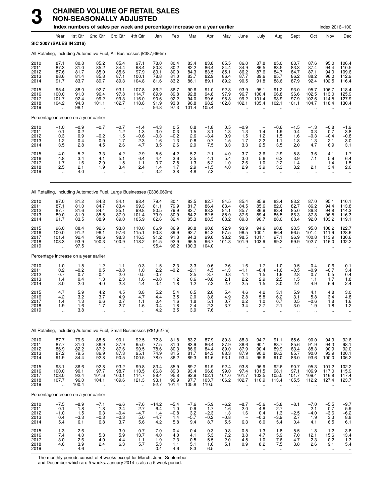### **CHAINED VOLUME OF RETAIL SALES NON-SEASONALLY ADJUSTED**

|                                      |                                                                        |                                       | <b>CHAINED VOLUME OF RETAIL SALES</b><br><b>NON-SEASONALLY ADJUSTED</b><br>Index numbers of sales per week and percentage increase on a year earlier |                                             |                                              |                                          |                                                         |                                       |                                             |                                                        |                                                            |                                          |                                        |                                                            |                                               | Index 2016=100                                   |                                                      |
|--------------------------------------|------------------------------------------------------------------------|---------------------------------------|------------------------------------------------------------------------------------------------------------------------------------------------------|---------------------------------------------|----------------------------------------------|------------------------------------------|---------------------------------------------------------|---------------------------------------|---------------------------------------------|--------------------------------------------------------|------------------------------------------------------------|------------------------------------------|----------------------------------------|------------------------------------------------------------|-----------------------------------------------|--------------------------------------------------|------------------------------------------------------|
|                                      | Year                                                                   | 1st Qtr                               | 2nd Qtr                                                                                                                                              | 3rd Qtr                                     | 4th Qtr                                      | Jan                                      | Feb                                                     | Mar                                   | Apr                                         | May                                                    | June                                                       | July                                     | Aug                                    | Sept                                                       | Oct                                           | Nov                                              | Dec                                                  |
|                                      | SIC 2007 (SALES IN 2016)                                               |                                       |                                                                                                                                                      |                                             |                                              |                                          |                                                         |                                       |                                             |                                                        |                                                            |                                          |                                        |                                                            |                                               |                                                  |                                                      |
|                                      | All Retailing, Including Automotive Fuel, All Businesses (£387,696m)   |                                       |                                                                                                                                                      |                                             |                                              |                                          |                                                         |                                       |                                             |                                                        |                                                            |                                          |                                        |                                                            |                                               |                                                  |                                                      |
| 2010<br>2011<br>2012<br>2013<br>2014 | 87.1<br>87.3<br>87.6<br>88.6<br>91.7                                   | 80.8<br>81.0<br>81.7<br>81.4<br>83.7  | 85.2<br>85.2<br>85.0<br>85.8<br>89.7                                                                                                                 | 85.4<br>84.4<br>85.6<br>87.1<br>89.3        | 97.1<br>98.4<br>97.9<br>100.1<br>104.8       | 78.0<br>80.3<br>80.1<br>78.8<br>81.6     | 80.4<br>80.2<br>80.0<br>81.0<br>83.2                    | 83.4<br>82.2<br>84.3<br>83.7<br>86.1  | 83.8<br>86.4<br>83.5<br>82.9<br>89.1        | 85.5<br>84.4<br>85.1<br>86.4<br>89.2                   | 86.0<br>84.9<br>86.2<br>87.7<br>90.5                       | 87.8<br>86.5<br>87.6<br>89.6<br>91.8     | 85.0<br>83.5<br>84.7<br>85.7<br>88.6   | 83.7<br>83.3<br>84.7<br>86.2<br>87.9                       | 87.6<br>87.4<br>87.1<br>88.2<br>92.4          | 95.0<br>94.4<br>94.0<br>96.0<br>102.5            | 106.4<br>110.5<br>109.6<br>112.9<br>116.4            |
| 2015<br>2016<br>2017<br>2018<br>2019 | 95.4<br>100.0<br>101.7<br>104.2<br>$\ddot{\phantom{a}}$                | 88.0<br>91.0<br>92.4<br>94.3<br>98.1  | 92.7<br>96.4<br>99.2<br>101.1                                                                                                                        | 93.1<br>97.8<br>99.3<br>102.7<br>$\ddotsc$  | 107.8<br>114.7<br>116.0<br>118.8<br>ä.       | 86.2<br>89.9<br>90.6<br>91.9<br>94.8     | 86.7<br>89.8<br>92.2<br>93.8<br>97.3                    | 90.6<br>92.8<br>94.0<br>96.8<br>101.4 | 91.0<br>94.8<br>99.6<br>98.2<br>105.4       | 92.8<br>97.9<br>98.8<br>102.8<br>$\ddot{\phantom{a}}$  | 93.9<br>96.7<br>99.2<br>102.1                              | 95.1<br>100.4<br>101.4<br>105.4          | 91.2<br>96.8<br>98.9<br>102.1          | 93.0<br>96.6<br>97.9<br>101.1                              | 95.7<br>102.5<br>102.6<br>104.7               | 106.7<br>113.0<br>114.5<br>118.4                 | 118.4<br>125.9<br>127.9<br>130.4                     |
|                                      | Percentage increase on a year earlier                                  |                                       |                                                                                                                                                      |                                             |                                              |                                          |                                                         |                                       |                                             |                                                        |                                                            |                                          |                                        |                                                            |                                               |                                                  |                                                      |
| 2010<br>2011<br>2012<br>2013<br>2014 | $-1.0$<br>0.1<br>0.3<br>1.2<br>3.5                                     | $-0.9$<br>0.2<br>0.9<br>$-0.4$<br>2.8 | $-0.7$<br>$-0.2$<br>0.9<br>4.5                                                                                                                       | $-0.7$<br>$-1.2$<br>1.5<br>1.7<br>2.6       | $-1.4$<br>1.3<br>$-0.6$<br>2.3<br>4.7        | -4.3<br>3.0<br>$-0.3$<br>$-1.6$<br>3.5   | 0.5<br>$-0.3$<br>$-0.2$<br>1.3<br>2.6                   | 0.8<br>$-1.5$<br>2.6<br>$-0.8$<br>2.9 | $-1.8$<br>3.1<br>$-3.4$<br>$-0.7$<br>7.5    | 0.5<br>$-1.3$<br>0.9<br>1.5<br>3.3                     | $-0.9$<br>$-1.3$<br>1.5<br>1.7<br>3.3                      | $-1.4$<br>1.2<br>2.2<br>2.5              | $-0.6$<br>$-1.9$<br>1.5<br>1.1<br>3.5  | $-1.5$<br>$-0.4$<br>1.6<br>1.8<br>2.0                      | $-1.3$<br>$-0.3$<br>$-0.3$<br>1.3<br>4.7      | $-0.8$<br>$-0.7$<br>$-0.4$<br>2.1<br>6.9         | -1.9<br>3.8<br>$-0.8$<br>3.0<br>3.1                  |
| 2015<br>2016<br>2017<br>2018<br>2019 | 4.0<br>4.8<br>1.7<br>2.5<br>$\ddot{\phantom{a}}$                       | 5.2<br>3.4<br>1.6<br>2.1<br>4.0       | 3.3<br>4.1<br>2.9<br>1.9                                                                                                                             | 4.2<br>5.1<br>1.5<br>3.4                    | 2.9<br>6.4<br>1.1<br>2.4<br>$\mathbf{r}$     | 5.6<br>4.4<br>0.7<br>1.4<br>3.2          | 4.2<br>3.6<br>2.8<br>1.7<br>3.8                         | 5.2<br>2.5<br>1.3<br>2.9<br>4.8       | 2.1<br>4.1<br>5.2<br>-1.5<br>7.3            | 4.0<br>5.4<br>1.0<br>4.0<br>$\mathbf{r}$               | 3.7<br>3.0<br>2.6<br>2.9                                   | 3.6<br>5.6<br>1.0<br>3.9                 | 2.9<br>6.2<br>2.2<br>3.3               | 5.8<br>3.9<br>1.4<br>3.2                                   | 3.6<br>7.1<br>$\overline{\phantom{a}}$<br>2.1 | 4.1<br>5.9<br>1.4<br>3.4<br>$\ddot{\phantom{a}}$ | 1.7<br>6.4<br>1.5<br>2.0                             |
|                                      | All Retailing, Including Automotive Fuel, Large Businesses (£306,069m) |                                       |                                                                                                                                                      |                                             |                                              |                                          |                                                         |                                       |                                             |                                                        |                                                            |                                          |                                        |                                                            |                                               |                                                  |                                                      |
| 2010<br>2011<br>2012<br>2013<br>2014 | 87.0<br>87.1<br>87.7<br>89.0<br>91.7                                   | 81.2<br>81.0<br>81.6<br>81.9<br>83.5  | 84.3<br>84.7<br>84.4<br>85.5<br>88.9                                                                                                                 | 84.1<br>83.4<br>85.1<br>87.0<br>89.0        | 98.4<br>99.3<br>99.8<br>101.4<br>105.9       | 79.4<br>81.1<br>80.5<br>79.9<br>82.6     | 80.1<br>79.9<br>79.9<br>80.9<br>82.4                    | 83.5<br>81.7<br>83.7<br>84.2<br>85.3  | 82.7<br>86.4<br>83.2<br>82.5<br>88.5        | 84.5<br>83.4<br>84.1<br>85.9<br>88.2                   | 85.4<br>84.5<br>85.7<br>87.6<br>89.8                       | 85.9<br>85.6<br>86.9<br>89.4<br>90.7     | 83.4<br>82.0<br>83.4<br>85.5<br>88.0   | 83.2<br>82.7<br>85.0<br>86.3<br>88.4                       | 87.0<br>86.2<br>86.8<br>87.8<br>92.0          | 95.1<br>94.4<br>94.8<br>96.5<br>103.2            | 110.1<br>113.8<br>114.3<br>116.3<br>119.1            |
| 2015<br>2016<br>2017<br>2018<br>2019 | 96.0<br>100.0<br>101.4<br>103.3                                        | 88.4<br>91.2<br>92.4<br>93.9<br>97.5  | 92.6<br>96.1<br>98.6<br>100.3                                                                                                                        | 93.0<br>97.6<br>98.3<br>100.9               | 110.0<br>115.1<br>116.3<br>118.2<br>ä.       | 86.9<br>90.8<br>91.2<br>91.5<br>95.4     | 86.9<br>89.9<br>91.3<br>92.9<br>96.2                    | 90.8<br>92.7<br>94.3<br>96.5<br>100.3 | 90.8<br>94.2<br>99.0<br>96.7<br>104.0       | 92.9<br>97.5<br>98.2<br>101.8                          | 93.9<br>96.5<br>98.5<br>101.9                              | 94.6<br>100.1<br>101.1<br>103.9          | 90.8<br>96.4<br>97.1<br>99.2           | 93.5<br>96.5<br>96.9<br>99.9                               | 95.8<br>101.4<br>100.8<br>102.7               | 108.2<br>111.9<br>113.9<br>116.0                 | 122.7<br>128.6<br>130.6<br>132.2                     |
|                                      | Percentage increase on a year earlier                                  |                                       |                                                                                                                                                      |                                             |                                              |                                          |                                                         |                                       |                                             |                                                        |                                                            |                                          |                                        |                                                            |                                               |                                                  |                                                      |
| 2010<br>2011<br>2012<br>2013<br>2014 | 1.0<br>0.2<br>0.7<br>1.4<br>3.0                                        | 1.5<br>$-0.2$<br>0.7<br>0.4<br>2.0    | 1.2<br>0.5<br>$-0.4$<br>1.3<br>4.0                                                                                                                   | 1.1<br>$-0.8$<br>2.0<br>2.3<br>2.3          | 0.3<br>1.0<br>0.5<br>1.6<br>4.4              | $-1.5$<br>2.2<br>$-0.7$<br>$-0.8$<br>3.4 | 2.3<br>$-0.2$<br>$\overline{\phantom{0}}$<br>1.2<br>1.8 | 3.3<br>-2.1<br>2.5<br>0.6<br>1.2      | $-0.6$<br>4.5<br>$-3.7$<br>$-0.8$<br>7.2    | 2.6<br>-1.3<br>0.8<br>2.1<br>2.7                       | 1.6<br>$-1.1$<br>1.4<br>2.2<br>2.5                         | 1.7<br>$-0.4$<br>1.5<br>2.9<br>1.5       | 1.0<br>-1.6<br>1.6<br>2.5<br>3.0       | 0.5<br>-0.5<br>2.8<br>1.5<br>2.4                           | 0.4<br>$-0.9$<br>0.7<br>1.1<br>4.9            | 0.6<br>-0.7<br>0.5<br>1.7<br>6.9                 | 0.1<br>3.4<br>0.4<br>1.8<br>2.4                      |
| 2015<br>2016<br>2017<br>2018<br>2019 | 4.7<br>4.2<br>1.4<br>1.9<br>$\mathcal{L}_{\mathbf{r}}$                 | 5.9<br>3.2<br>1.3<br>1.6<br>3.8       | 4.2<br>3.7<br>2.6<br>1.7<br>$\ddot{\phantom{a}}$                                                                                                     | 4.5<br>4.9<br>0.7<br>2.7<br>$\ddotsc$       | 3.8<br>4.7<br>1.1<br>1.6<br>$\ddotsc$        | 5.2<br>4.4<br>0.4<br>0.4<br>4.2          | 5.4<br>3.5<br>1.6<br>1.8<br>3.5                         | 6.5<br>2.0<br>1.8<br>2.4<br>3.9       | 2.6<br>3.8<br>5.1<br>$-2.3$<br>7.6          | 5.4<br>4.9<br>0.7<br>3.7<br>$\ddotsc$                  | 4.6<br>2.8<br>2.2<br>3.4<br>$\ddotsc$                      | 4.2<br>5.8<br>1.0<br>2.7<br>$\ddotsc$    | 3.1<br>6.2<br>0.7<br>2.1<br>$\ddotsc$  | 5.9<br>3.1<br>0.5<br>3.0<br>$\ddotsc$                      | 4.1<br>5.8<br>$-0.6$<br>1.9<br>$\ddotsc$      | 4.8<br>3.4<br>1.8<br>1.8<br>$\ddotsc$            | 3.0<br>4.8<br>1.6<br>1.2<br>$\ddotsc$                |
|                                      | All Retailing, Including Automotive Fuel, Small Businesses (£81,627m)  |                                       |                                                                                                                                                      |                                             |                                              |                                          |                                                         |                                       |                                             |                                                        |                                                            |                                          |                                        |                                                            |                                               |                                                  |                                                      |
| 2010<br>2011<br>2012<br>2013<br>2014 | 87.7<br>87.7<br>86.9<br>87.2<br>91.9                                   | 79.6<br>81.0<br>82.2<br>79.5<br>84.4  | 88.5<br>86.9<br>87.2<br>86.9<br>92.8                                                                                                                 | 90.1<br>87.9<br>87.6<br>87.3<br>90.5        | 92.5<br>95.0<br>90.5<br>95.1<br>100.5        | 72.8<br>77.5<br>78.6<br>74.9<br>78.0     | 81.8<br>81.0<br>80.3<br>81.5<br>86.2                    | 83.2<br>83.9<br>86.6<br>81.7<br>89.3  | 87.9<br>86.4<br>84.4<br>84.3<br>91.6        | 89.3<br>87.9<br>89.0<br>88.3<br>93.1                   | 88.3<br>86.6<br>87.9<br>87.9<br>93.4                       | 94.7<br>90.1<br>90.4<br>90.2<br>95.6     | 91.1<br>88.7<br>89.9<br>86.3<br>91.0   | 85.6<br>85.6<br>83.4<br>85.7<br>86.0                       | 90.0<br>91.9<br>88.3<br>90.0<br>93.6          | 94.9<br>94.3<br>90.9<br>93.9<br>100.0            | 92.6<br>98.1<br>92.0<br>100.1<br>106.2               |
| 2015<br>2016<br>2017<br>2018<br>2019 | 93.1<br>100.0<br>103.0<br>107.7<br>$\ddot{\phantom{a}}$                | 86.6<br>90.1<br>92.4<br>96.0<br>100.4 | 92.8<br>97.7<br>101.6<br>104.1<br>÷.                                                                                                                 | 93.2<br>98.7<br>103.1<br>109.6<br>$\ddotsc$ | 99.8<br>113.5<br>114.7<br>121.3<br>$\ddotsc$ | 83.4<br>86.8<br>88.4<br>93.1<br>92.7     | 85.9<br>89.3<br>95.8<br>96.9<br>101.4                   | 89.7<br>93.4<br>92.9<br>97.7<br>105.8 | 91.9<br>96.8<br>102.1<br>103.7<br>110.5     | 92.4<br>99.0<br>101.0<br>106.2<br>$\ddot{\phantom{a}}$ | 93.8<br>97.4<br>101.7<br>102.7                             | 96.9<br>101.5<br>102.5<br>110.9          | 92.6<br>98.1<br>105.5<br>113.4         | 90.7<br>97.1<br>101.7<br>105.5                             | 95.3<br>106.9<br>109.4<br>112.2               | 101.2<br>117.0<br>116.8<br>127.4                 | 102.2<br>115.9<br>117.4<br>123.7                     |
|                                      | Percentage increase on a year earlier                                  |                                       |                                                                                                                                                      |                                             |                                              |                                          |                                                         |                                       |                                             |                                                        |                                                            |                                          |                                        |                                                            |                                               |                                                  |                                                      |
| 2010<br>2011<br>2012<br>2013<br>2014 | $-7.5$<br>0.1<br>$-1.0$<br>0.4<br>5.4                                  | $-8.9$<br>1.8<br>1.5<br>$-3.3$<br>6.1 | $-7.1$<br>$-1.8$<br>0.3<br>$-0.3$<br>6.8                                                                                                             | $-6.6$<br>$-2.4$<br>$-0.4$<br>$-0.3$<br>3.7 | $-7.6$<br>2.7<br>$-4.7$<br>5.0<br>5.6        | $-14.2$<br>6.4<br>1.4<br>$-4.7$<br>4.2   | $-5.4$<br>$-1.0$<br>$-0.8$<br>1.4<br>5.8                | $-7.6$<br>0.9<br>3.2<br>$-5.7$<br>9.4 | $-5.9$<br>$-1.7$<br>$-2.3$<br>$-0.2$<br>8.7 | $-6.2$<br>$-1.6$<br>1.3<br>$-0.8$<br>5.5               | $-8.7$<br>$-2.0$<br>1.6<br>$\overline{\phantom{m}}$<br>6.3 | $-5.6$<br>$-4.8$<br>0.4<br>$-0.3$<br>6.0 | $-5.8$<br>$-2.7$<br>1.3<br>-3.9<br>5.4 | $-8.1$<br>$\overline{\phantom{a}}$<br>$-2.5$<br>2.7<br>0.4 | $-7.0$<br>2.1<br>$-4.0$<br>1.9<br>4.1         | $-5.5$<br>$-0.7$<br>$-3.6$<br>3.3<br>6.5         | $-9.7$<br>$-6.2$<br>$-6.2$<br>$8.8$<br>6.1           |
| 2015<br>2016<br>2017<br>2018<br>2019 | 1.3<br>7.4<br>3.0<br>4.6                                               | 2.6<br>4.0<br>$2.6\,$<br>3.9<br>4.6   | 5.3<br>4.0<br>2.4                                                                                                                                    | 3.0<br>5.9<br>4.4<br>6.3                    | $-0.7$<br>13.7<br>1.1<br>5.7                 | 7.0<br>4.0<br>1.9<br>5.3<br>$-0.4$       | $-0.4$<br>4.0<br>7.3<br>1.1<br>4.6                      | 0.4<br>4.1<br>$-0.5$<br>5.1<br>8.3    | 0.3<br>5.3<br>5.5<br>1.6<br>6.5             | $-0.8$<br>7.2<br>2.0<br>5.1                            | 0.5<br>3.8<br>4.5<br>0.9                                   | 1.3<br>4.7<br>1.0<br>8.2                 | 1.8<br>5.9<br>7.6<br>7.5               | 5.5<br>7.0<br>4.7<br>3.8                                   | 1.8<br>12.1<br>2.3<br>2.6                     | 1.2<br>15.6<br>$-0.2$<br>9.1                     | $-3.8$<br>13.4<br>$\frac{1}{1.3}$<br>5.4<br>$\ldots$ |

The monthly periods consist of 4 weeks except for March, June, September

and December which are 5 weeks. January 2014 is also a 5 week period.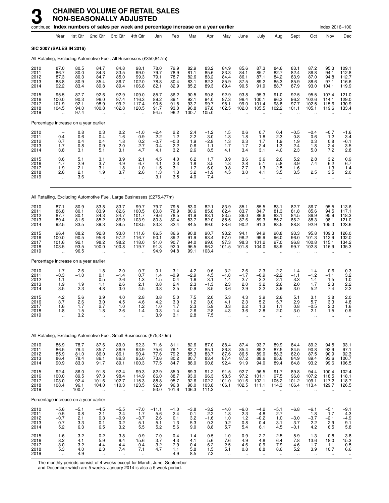|                                      |                                              |                                                                | continued Index numbers of sales per week and percentage increase on a year earlier |                                                       |                                                         |                                                      |                                                                      |                                          |                                             |                                                            |                                                        |                                             |                                                         |                                                  |                                       | Index 2016=100                                                |                                              |
|--------------------------------------|----------------------------------------------|----------------------------------------------------------------|-------------------------------------------------------------------------------------|-------------------------------------------------------|---------------------------------------------------------|------------------------------------------------------|----------------------------------------------------------------------|------------------------------------------|---------------------------------------------|------------------------------------------------------------|--------------------------------------------------------|---------------------------------------------|---------------------------------------------------------|--------------------------------------------------|---------------------------------------|---------------------------------------------------------------|----------------------------------------------|
|                                      | Year                                         | 1st Qtr                                                        | 2nd Qtr                                                                             | 3rd Qtr                                               | 4th Qtr                                                 | Jan                                                  | Feb                                                                  | Mar                                      | Apr                                         | May                                                        | June                                                   | July                                        | Aug                                                     | Sept                                             | Oct                                   | Nov                                                           | Dec                                          |
|                                      |                                              | <b>SIC 2007 (SALES IN 2016)</b>                                |                                                                                     |                                                       |                                                         |                                                      |                                                                      |                                          |                                             |                                                            |                                                        |                                             |                                                         |                                                  |                                       |                                                               |                                              |
|                                      |                                              |                                                                | All Retailing, Excluding Automotive Fuel, All Businesses (£350,847m)                |                                                       |                                                         |                                                      |                                                                      |                                          |                                             |                                                            |                                                        |                                             |                                                         |                                                  |                                       |                                                               |                                              |
| 2010<br>2011<br>2012<br>2013<br>2014 | 87.0<br>86.7<br>87.3<br>88.8<br>92.2         | 80.5<br>80.0<br>80.3<br>80.9<br>83.4                           | 84.7<br>84.3<br>84.7<br>85.4<br>89.8                                                | 84.8<br>83.5<br>85.0<br>86.7<br>89.4                  | 98.1<br>99.0<br>99.3<br>102.0<br>106.8                  | 78.0<br>79.7<br>79.1<br>78.8<br>82.1                 | 79.9<br>78.9<br>78.7<br>80.4<br>82.9                                 | 82.9<br>81.1<br>82.6<br>83.1<br>85.2     | 83.2<br>85.6<br>83.2<br>82.3<br>89.3        | 84.9<br>83.3<br>84.4<br>85.9<br>89.4                       | 85.6<br>84.1<br>86.1<br>87.5<br>90.5                   | 87.3<br>85.7<br>87.1<br>89.2<br>91.9        | 84.6<br>82.7<br>84.2<br>85.3<br>88.7                    | 83.1<br>82.4<br>83.9<br>85.9<br>87.9             | 87.2<br>86.8<br>87.0<br>88.6<br>93.0  | 95.3<br>94.1<br>94.8<br>97.1<br>104.1                         | 109.1<br>112.8<br>112.7<br>116.6<br>119.9    |
| 2015<br>2016<br>2017<br>2018<br>2019 | 95.5<br>100.0<br>101.9<br>104.5              | 87.7<br>90.3<br>92.1<br>94.0<br>97.4                           | 92.6<br>96.0<br>98.9<br>100.8                                                       | 92.9<br>97.4<br>99.2<br>102.8<br>$\ddot{\phantom{a}}$ | 109.0<br>116.3<br>117.4<br>120.5                        | 85.7<br>89.2<br>90.5<br>91.7<br>94.5                 | 86.2<br>89.1<br>91.8<br>93.0<br>96.2                                 | 90.5<br>92.1<br>93.7<br>96.8<br>100.7    | 90.8<br>94.0<br>99.7<br>97.8<br>105.0       | 92.9<br>97.3<br>98.1<br>102.5<br>$\sim$                    | 93.8<br>96.4<br>99.0<br>102.0<br>$\ddot{\phantom{a}}$  | 95.3<br>100.1<br>101.4<br>105.5             | 91.0<br>96.3<br>98.8<br>102.2<br>$\ddot{\phantom{a}}$   | 92.5<br>96.2<br>97.7<br>101.1                    | 95.5<br>102.6<br>102.5<br>105.1       | 107.4<br>114.1<br>115.6<br>119.6                              | 121.0<br>129.0<br>130.9<br>133.4             |
|                                      |                                              | Percentage increase on a year earlier                          |                                                                                     |                                                       |                                                         |                                                      |                                                                      |                                          |                                             |                                                            |                                                        |                                             |                                                         |                                                  |                                       |                                                               |                                              |
| 2010<br>2011<br>2012<br>2013<br>2014 | $-0.4$<br>0.7<br>1.7<br>3.8                  | $0.8 - 0.6$<br>0.4<br>0.8<br>3.1                               | 0.3<br>$-0.4$<br>0.4<br>0.9<br>5.1                                                  | $0.2 - 1.6$<br>1.8<br>2.0<br>3.1                      | $-1.0$<br>0.9<br>0.2<br>2.7<br>4.7                      | $-2.4$<br>2.2<br>$-0.7$<br>$-0.4$<br>4.1             | $2.2 - 1.2$<br>$-0.3$<br>$\frac{2.2}{3.2}$                           | $^{2.4}_{-2.2}$<br>1.9<br>0.6<br>2.6     | $-1.2$<br>3.0<br>$-2.8$<br>$-1.1$<br>8.5    | $1.5 - 1.8$<br>1.3<br>1.7<br>4.1                           | 0.6<br>$-1.8$<br>2.3<br>1.7<br>3.4                     | 0.7<br>$-1.8$<br>1.7<br>2.4<br>3.1          | 0.4<br>$-2.3$<br>1.9<br>$1.3$<br>4.0                    | $-0.5$<br>$-0.8$<br>1.9<br>2.4<br>2.3            | $-0.4$<br>$-0.6$<br>0.3<br>1.8<br>5.0 | $-0.7$<br>$-1.2$<br>0.8<br>$^{2.4}_{7.2}$                     | $-1.6$<br>3.4<br>$-0.1$<br>$\frac{3.5}{2.8}$ |
| 2015<br>2016<br>2017<br>2018<br>2019 | $\frac{3.6}{4.7}$<br>1.9<br>2.6<br>$\ddotsc$ | $\frac{5.1}{2.9}$<br>2.1<br>2.1<br>3.6                         | $\frac{3.1}{3.7}$<br>3.1<br>1.9<br>÷.                                               | $\frac{3.9}{4.9}$<br>1.8<br>3.7<br>÷.                 | $^{2.1}_{6.7}$<br>1.0<br>2.6                            | $\frac{4.5}{4.1}$<br>1.5<br>1.3<br>3.1               | $\frac{4.0}{3.3}$<br>3.1<br>$\frac{1.3}{3.5}$                        | $^{6.2}_{1.8}$<br>1.7<br>$3.2$<br>$4.0$  | 1.7<br>3.5<br>6.0<br>$-1.9$<br>7.4          | 3.9<br>4.8<br>0.8<br>4.5                                   | 3.6<br>2.8<br>2.7<br>3.0                               | $\frac{3.6}{5.1}$<br>1.3<br>4.1             | $\frac{2.6}{5.8}$<br>2.5<br>3.5                         | $\frac{5.2}{3.9}$<br>1.6<br>3.5                  | 2.8<br>7.4<br>2.5                     | $\begin{array}{c} 3.2 \\ 6.2 \end{array}$<br>1.3<br>3.5<br>ä. | 0.96.7<br>1.4<br>2.0                         |
|                                      |                                              |                                                                | All Retailing, Excluding Automotive Fuel, Large Businesses (£275,477m)              |                                                       |                                                         |                                                      |                                                                      |                                          |                                             |                                                            |                                                        |                                             |                                                         |                                                  |                                       |                                                               |                                              |
| 2010<br>2011<br>2012<br>2013<br>2014 | 87.1<br>86.8<br>87.7<br>89.4<br>92.5         | 80.9<br>80.1<br>80.1<br>81.6<br>83.5                           | 83.8<br>83.9<br>84.3<br>85.2<br>89.3                                                | 83.7<br>82.6<br>84.7<br>86.9<br>89.5                  | 99.7<br>100.5<br>101.7<br>103.9<br>108.5                | 79.7<br>80.8<br>79.6<br>$80.3$<br>$83.3$             | 79.5<br>78.9<br>78.5<br>80.4<br>82.4                                 | $83.0$<br>$80.6$<br>81.9<br>83.7<br>84.5 | 82.1<br>85.8<br>83.1<br>82.0<br>89.0        | 83.9<br>82.4<br>83.5<br>85.5<br>88.6                       | 85.1<br>83.7<br>86.0<br>87.6<br>90.2                   | 85.5<br>84.7<br>86.6<br>89.3<br>91.3        | 83.1<br>81.3<br>83.1<br>85.2<br>88.5                    | 82.7<br>81.8<br>84.5<br>86.2<br>88.8             | 86.7<br>85.6<br>86.9<br>88.3<br>92.9  | 95.5<br>94.5<br>95.9<br>98.1<br>105.3                         | 113.6<br>118.3<br>121.0<br>123.6             |
| 2015<br>2016<br>2017<br>2018<br>2019 | 96.4<br>100.0<br>101.6<br>103.5              | 88.2<br>90.5<br>92.1<br>93.5<br>96.5                           | 92.8<br>95.6<br>98.2<br>100.0                                                       | 93.0<br>97.2<br>98.2<br>100.8                         | 111.6<br>116.7<br>118.0<br>119.7                        | 86.5<br>90.1<br>91.0<br>91.3<br>94.9                 | 86.6<br>89.2<br>90.7<br>92.0<br>94.8                                 | 90.8<br>91.9<br>94.0<br>96.5<br>99.1     | 90.7<br>93.4<br>99.0<br>96.2<br>103.4       | 93.2<br>97.0<br>97.3<br>101.5                              | 94.1<br>96.2<br>98.3<br>101.8                          | 94.9<br>99.9<br>101.2<br>104.0              | 90.8<br>96.0<br>97.0<br>98.9                            | 93.3<br>96.0<br>96.8<br>99.7                     | 95.8<br>101.3<br>100.8<br>102.8       | 109.3<br>112.9<br>115.1<br>116.9                              | 126.0<br>132.0<br>134.2<br>135.3             |
|                                      |                                              | Percentage increase on a year earlier                          |                                                                                     |                                                       |                                                         |                                                      |                                                                      |                                          |                                             |                                                            |                                                        |                                             |                                                         |                                                  |                                       |                                                               |                                              |
| 2010<br>2011<br>2012<br>2013<br>2014 | 1.7<br>$-0.3$<br>1.1<br>1.9<br>3.5           | 2.6<br>$-1.0$<br>1.9<br>2.3                                    | 1.8<br>0.1<br>0.5<br>1.1<br>4.8                                                     | 2.0<br>$-1.4$<br>2.6<br>2.6<br>3.0                    | 0.7<br>0.7<br>1.3<br>2.1<br>4.5                         | 0.1<br>1.4<br>$-1.5$<br>0.8<br>3.8                   | 3.1<br>$-0.9$<br>$-0.4$<br>2.4<br>2.5                                | 4.2<br>$^{-2.9}_{1.6}$<br>2.3<br>0.9     | $-0.6$<br>4.5<br>$-3.1$<br>$-1.3$<br>8.5    | 3.2<br>$-1.8$<br>1.4<br>2.3<br>3.6                         | 2.6<br>$-1.7$<br>2.7<br>2.0<br>2.9                     | 2.3<br>$-0.9$<br>2.2<br>3.2<br>2.2          | 2.2<br>$^{-2.2}_{2.1}$<br>2.6<br>3.9                    | 1.4<br>$-1.1$<br>3.3<br>2.0<br>3.0               | 1.4<br>$-1.2$<br>1.4<br>1.7<br>5.2    | 0.6<br>$-1.1$<br>1.5<br>2.3<br>7.4                            | 0.3<br>$3.2$<br>$1.0$<br>2.2<br>2.2          |
| 2015<br>2016<br>2017<br>2018<br>2019 | 4.2<br>3.7<br>1.6<br>1.8<br>Ţ,               | 5.6<br>2.6<br>1.7<br>1.5<br>3.2                                | 3.9<br>3.0<br>2.7<br>1.8<br>Ω,                                                      | 4.0<br>4.5<br>1.0<br>2.6<br>                          | 2.8<br>4.6<br>1.2<br>1.4                                | 3.8<br>4.2<br>1.0<br>0.3<br>3.9                      | 5.0<br>3.0<br>1.7<br>1.4<br>3.1                                      | 7.5<br>$\frac{1.2}{2.3}$<br>2.6<br>2.8   | 2.0<br>3.0<br>5.9<br>$^{-2.8}_{7.5}$        | 5.3<br>4.1<br>0.3<br>4.3                                   | 4.3<br>$^{2.3}_{2.2}$<br>3.6                           | 3.9<br>5.2<br>1.3<br>2.8                    | 2.6<br>5.7<br>1.1<br>2.0                                | 5.1<br>2.9<br>0.8<br>3.0<br>$\ddot{\phantom{0}}$ | 3.1<br>5.7<br>$-0.5$<br>2.1           | 3.8<br>3.3<br>2.0<br>1.5<br>Ω.                                | 2.0<br>4.8<br>1.6<br>0.9                     |
|                                      |                                              |                                                                | All Retailing, Excluding Automotive Fuel, Small Businesses (£75,370m)               |                                                       |                                                         |                                                      |                                                                      |                                          |                                             |                                                            |                                                        |                                             |                                                         |                                                  |                                       |                                                               |                                              |
| 2010<br>2011<br>2012<br>2013<br>2014 | 86.9<br>86.5<br>85.9<br>86.4<br>90.9         | 78.7<br>79.4<br>81.0<br>78.4<br>83.3                           | 87.6<br>85.7<br>86.0<br>86.1<br>91.7                                                | 89.0<br>86.9<br>86.1<br>86.3<br>89.1                  | 92.3<br>93.9<br>90.4<br>95.0<br>100.3                   | 71.6<br>75.6<br>77.6<br>73.6<br>77.5                 | 81.1<br>79.1<br>79.2<br>80.2<br>84.7                                 | 82.6<br>82.7<br>85.3<br>80.7<br>88.0     | 87.0<br>85.1<br>83.7<br>83.4<br>90.8        | 88.4<br>86.8<br>87.6<br>87.4<br>92.4                       | 87.4<br>85.4<br>86.5<br>87.2<br>91.9                   | 93.7<br>89.2<br>89.0<br>88.6<br>94.0        | 89.9<br>87.5<br>88.3<br>85.6<br>89.4                    | 84.4<br>84.5<br>82.0<br>84.9<br>84.8             | 89.2<br>90.8<br>87.5<br>89.4<br>93.2  | 94.5<br>92.9<br>90.9<br>93.6<br>99.6                          | 93.1<br>97.1<br>92.3<br>100.7<br>106.5       |
| 2015<br>2016<br>2017<br>2018<br>2019 | 92.4<br>100.0<br>103.0<br>108.4<br>ä,        | 86.0<br>89.5<br>92.4<br>96.1<br>100.7                          | 91.8<br>97.3<br>101.6<br>104.0<br>ä,                                                | 92.4<br>98.4<br>102.7<br>110.3<br>÷.                  | 99.3<br>114.9<br>115.3<br>123.5<br>$\ddot{\phantom{a}}$ | 82.9<br>86.0<br>88.8<br>92.9<br>93.0                 | 85.0<br>88.7<br>95.7<br>96.8<br>101.6                                | 89.3<br>93.0<br>92.6<br>98.0<br>106.3    | 91.2<br>96.3<br>102.2<br>103.8<br>111.2     | 91.5<br>98.5<br>101.0<br>106.1<br>$\ddotsc$                | 92.7<br>97.2<br>101.6<br>102.5<br>$\ddot{\phantom{a}}$ | 96.5<br>101.1<br>102.1<br>111.1             | 91.7<br>97.5<br>105.2<br>114.3<br>÷.                    | 89.8<br>96.8<br>101.2<br>106.4<br>ä.             | 94.4<br>107.2<br>109.1<br>113.4<br>ä. | 100.4<br>118.5<br>117.2<br>129.7                              | 102.4<br>118.1<br>118.7<br>126.5             |
|                                      |                                              | Percentage increase on a year earlier                          |                                                                                     |                                                       |                                                         |                                                      |                                                                      |                                          |                                             |                                                            |                                                        |                                             |                                                         |                                                  |                                       |                                                               |                                              |
| 2010<br>2011<br>2012<br>2013<br>2014 | $-5.6$<br>$-0.5$<br>$-0.7$<br>0.7<br>5.2     | $-5.1$<br>0.8<br>$\frac{2.1}{-3.3}$<br>6.3                     | $-4.5$<br>$-2.1$<br>$0.3 \ 0.1$<br>6.5                                              | $-5.5$<br>$-2.4$<br>$^{-0.9}_{0.2}$<br>3.2            | $-7.0$<br>1.7<br>$-3.7$<br>5.1<br>5.5                   | $-11.1$<br>5.6<br>$^{2.6}_{-5.1}$<br>5.2             | $-1.0$<br>$-2.4$<br>$\begin{array}{c} 0.1 \\ 1.3 \end{array}$<br>5.6 | $-3.8$<br>0.1<br>$3.2 - 5.3$<br>9.0      | $-3.2$<br>$-2.2$<br>$-1.6$<br>$-0.3$<br>8.8 | $-4.0$<br>$-1.8$<br>$1.0 - 0.2$<br>5.7                     | $-6.0$<br>$-2.3$<br>1.2<br>0.8<br>5.4                  | $-4.2$<br>$-4.8$<br>$-0.2$<br>$-0.4$<br>6.1 | $-5.1$<br>$-2.7$<br>$1.0 - 3.1$<br>4.5                  | $-6.8$<br>$-3.0$<br>3.7<br>$-0.1$                | $-6.1$<br>1.8<br>$-3.7$<br>2.2<br>4.2 | $-5.1$<br>$-1.7$<br>$^{-2.1}_{2.9}$<br>6.5                    | $-9.1$<br>4.3<br>$-4.9$<br>9.1<br>5.8        |
| 2015<br>2016<br>2017<br>2018<br>2019 | 1.6<br>8.2<br>$\frac{3.0}{5.3}$              | 3.2<br>4.1<br>$\begin{array}{c} 3.2 \\ 4.0 \end{array}$<br>4.9 | 0.2<br>5.9<br>4.4<br>$2.3\,$                                                        | 3.8<br>6.4<br>$\frac{4.4}{7.4}$                       | $-0.9$<br>15.6<br>$0.4$<br>7.1                          | 7.0<br>3.7<br>$\frac{3.2}{4.7}$<br>$\qquad \qquad -$ | 0.4<br>4.3<br>$7.9$<br>$1.1$<br>4.9                                  | 1.4<br>4.1<br>$-0.4$<br>5.8<br>8.5       | 0.5<br>5.6<br>$6.2$<br>1.5<br>7.2           | $-1.0$<br>7.6<br>$\frac{2.5}{5.1}$<br>$\ddot{\phantom{1}}$ | 0.9<br>4.9<br>4.6<br>0.8                               | 2.7<br>4.8<br>$\substack{0.9 \\ 8.8}$       | 2.5<br>6.4<br>$\begin{array}{c} 7.9 \\ 8.6 \end{array}$ | 5.9<br>7.8<br>4.6<br>5.2                         | 1.3<br>13.6<br>1.7<br>3.9             | 0.8<br>18.0<br>$-1.1$<br>10.7                                 | $-3.8$<br>15.3<br>$0.5$<br>$6.6$             |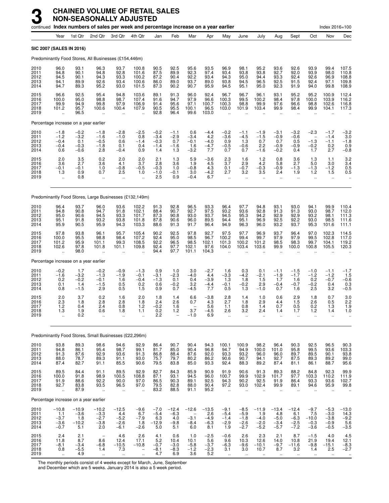|                                      |                                                       |                                             | continued Index numbers of sales per week and percentage increase on a year earlier |                                                       |                                                     |                                             |                                               |                                                                |                                              |                                                       |                                                |                                              |                                                  |                                                  |                                                               | Index 2016=100                                 |                                                                      |
|--------------------------------------|-------------------------------------------------------|---------------------------------------------|-------------------------------------------------------------------------------------|-------------------------------------------------------|-----------------------------------------------------|---------------------------------------------|-----------------------------------------------|----------------------------------------------------------------|----------------------------------------------|-------------------------------------------------------|------------------------------------------------|----------------------------------------------|--------------------------------------------------|--------------------------------------------------|---------------------------------------------------------------|------------------------------------------------|----------------------------------------------------------------------|
|                                      | Year                                                  | 1st Qtr                                     | 2nd Qtr                                                                             | 3rd Qtr                                               | 4th Qtr                                             | Jan                                         | Feb                                           | Mar                                                            | Apr                                          | May                                                   | June                                           | July                                         | Aug                                              | Sept                                             | Oct                                                           | Nov                                            | Dec                                                                  |
|                                      |                                                       | <b>SIC 2007 (SALES IN 2016)</b>             |                                                                                     |                                                       |                                                     |                                             |                                               |                                                                |                                              |                                                       |                                                |                                              |                                                  |                                                  |                                                               |                                                |                                                                      |
|                                      |                                                       |                                             | Predominantly Food Stores, All Businesses (£154,446m)                               |                                                       |                                                     |                                             |                                               |                                                                |                                              |                                                       |                                                |                                              |                                                  |                                                  |                                                               |                                                |                                                                      |
| 2010<br>2011<br>2012<br>2013<br>2014 | 96.0<br>94.8<br>94.5<br>94.1<br>94.7                  | 93.1<br>90.1<br>90.1<br>89.9<br>89.3        | 96.3<br>94.8<br>94.3<br>92.6<br>95.2                                                | 93.7<br>92.8<br>93.3<br>93.4<br>93.0                  | 100.8<br>101.6<br>100.2<br>100.6<br>101.5           | 90.5<br>87.5<br>87.2<br>86.0<br>87.3        | 92.5<br>89.9<br>90.4<br>89.0<br>90.2          | 95.6<br>92.3<br>92.2<br>93.7<br>90.7                           | 93.5<br>97.4<br>93.4<br>89.0<br>95.9         | 96.9<br>93.4<br>94.3<br>93.8<br>94.5                  | 98.1<br>93.8<br>95.0<br>94.5<br>95.1           | 95.2<br>93.8<br>94.4<br>96.5<br>95.0         | 93.6<br>92.7<br>93.3<br>92.5<br>92.3             | 92.6<br>92.0<br>92.4<br>91.5<br>91.9             | 93.9<br>93.9<br>92.6<br>92.4<br>94.0                          | 99.4<br>98.0<br>96.9<br>97.1<br>99.8           | 107.5<br>110.8<br>108.8<br>109.8<br>108.9                            |
| 2015<br>2016<br>2017<br>2018<br>2019 | 96.6<br>100.0<br>99.9<br>101.2                        | 92.5<br>95.0<br>94.9<br>95.7<br>96.5        | 95.4<br>98.8<br>99.8<br>100.6                                                       | 94.8<br>98.7<br>97.9<br>100.4                         | 103.6<br>107.4<br>106.9<br>107.9                    | 89.1<br>91.6<br>91.4<br>90.5<br>92.8        | 91.3<br>94.7<br>95.6<br>95.5<br>96.4          | 96.0<br>97.9<br>97.1<br>100.1<br>99.6                          | 92.4<br>96.6<br>100.7<br>96.5<br>103.0       | 96.7<br>100.3<br>100.3<br>103.0                       | 96.7<br>99.5<br>98.8<br>101.9                  | 96.1<br>100.2<br>99.9<br>103.4               | 93.1<br>98.4<br>97.6<br>99.9                     | 95.2<br>97.8<br>96.6<br>98.4                     | 95.2<br>100.0<br>98.8<br>99.9                                 | 100.9<br>103.9<br>102.6<br>104.1               | 112.4<br>116.2<br>116.8<br>117.3                                     |
|                                      |                                                       | Percentage increase on a year earlier       |                                                                                     |                                                       |                                                     |                                             |                                               |                                                                |                                              |                                                       |                                                |                                              |                                                  |                                                  |                                                               |                                                |                                                                      |
| 2010<br>2011<br>2012<br>2013<br>2014 | $-1.8$<br>$-1.2$<br>$-0.4$<br>$-0.4$<br>0.6           | $-0.2$<br>$-3.2$<br>0.1<br>$-0.3$<br>$-0.6$ | $-1.8$<br>$-1.6$<br>$-0.5$<br>$-1.8$<br>2.8                                         | $-2.8$<br>$-1.0$<br>0.6<br>0.1<br>$-0.4$              | $-2.5$<br>0.8<br>$-1.4$<br>0.4<br>0.9               | $-0.2$<br>$-3.4$<br>$-0.3$<br>$-1.4$<br>1.4 | $-1.1$<br>$-2.9$<br>0.7<br>$-1.6$<br>1.3      | 0.6<br>$-3.4$<br>$-0.1$<br>1.6<br>$-3.2$                       | $-4.4$<br>4.2<br>$-4.0$<br>$-4.7$<br>7.7     | $-0.2$<br>$-3.6$<br>0.9<br>$-0.5$<br>0.7              | $-1.1$<br>$-4.5$<br>1.3<br>$-0.6$<br>0.7       | $-1.9$<br>$-1.5$<br>0.7<br>2.2<br>$-1.6$     | $-3.1$<br>$-0.9$<br>0.7<br>$-0.9$<br>$-0.2$      | $-3.2$<br>$-0.6$<br>0.5<br>$-0.9$<br>0.4         | $-2.3$<br>$\overline{\phantom{0}}$<br>$-1.3$<br>$-0.2$<br>1.7 | $-1.7$<br>$-1.4$<br>$-1.1$<br>0.2<br>2.7       | $-3.2$<br>3.0<br>$-1.8$<br>0.9<br>$-0.8$                             |
| 2015<br>2016<br>2017<br>2018<br>2019 | 2.0<br>3.6<br>$-0.1$<br>1.3<br>$\ddot{\phantom{a}}$   | 3.5<br>2.7<br>$-0.1$<br>0.9<br>0.8          | 0.2<br>3.6<br>1.0<br>0.7<br>$\ddot{\phantom{a}}$                                    | 2.0<br>4.1<br>$-0.8$<br>2.5<br>$\ddot{\phantom{a}}$   | 2.0<br>3.7<br>$-0.5$<br>1.0<br>$\ddot{\phantom{a}}$ | 2.1<br>2.8<br>$-0.3$<br>$-1.0$<br>2.5       | 1.3<br>3.6<br>1.0<br>$-0.1$<br>0.9            | 5.9<br>1.9<br>$-0.8$<br>3.0<br>$-0.4$                          | $-3.6$<br>4.5<br>4.3<br>$-4.2$<br>6.7        | 2.3<br>3.7<br>0.1<br>2.7<br>$\ddot{\phantom{a}}$      | 1.6<br>2.9<br>$-0.7$<br>3.2<br>$\ddotsc$       | 1.2<br>4.2<br>$-0.3$<br>3.5<br>ä.            | 0.8<br>5.8<br>$-0.9$<br>2.4<br>$\ddotsc$         | 3.6<br>2.7<br>$-1.3$<br>1.9<br>ä.                | 1.3<br>5.0<br>$-1.3$<br>1.2<br>ä,                             | 1.1<br>3.0<br>$-1.2$<br>1.5<br>$\ddotsc$       | $\frac{3.2}{3.4}$<br>0.5<br>0.5                                      |
|                                      |                                                       |                                             | Predominantly Food Stores, Large Businesses (£132,149m)                             |                                                       |                                                     |                                             |                                               |                                                                |                                              |                                                       |                                                |                                              |                                                  |                                                  |                                                               |                                                |                                                                      |
| 2010<br>2011<br>2012<br>2013<br>2014 | 96.4<br>94.8<br>95.0<br>95.1<br>95.9                  | 93.7<br>90.8<br>90.6<br>91.8<br>90.5        | 96.0<br>94.7<br>94.5<br>93.2<br>95.9                                                | 93.6<br>91.8<br>93.3<br>93.8<br>94.3                  | 102.2<br>102.1<br>101.7<br>101.8<br>103.3           | 91.3<br>88.4<br>87.3<br>87.8<br>88.6        | 92.8<br>90.7<br>90.8<br>90.6<br>91.3          | 96.5<br>92.7<br>93.0<br>96.0<br>91.7                           | 93.3<br>97.5<br>93.7<br>89.5<br>96.4         | 96.4<br>93.2<br>94.5<br>94.4<br>94.9                  | 97.7<br>93.6<br>95.3<br>95.1<br>96.3           | 94.8<br>92.8<br>94.2<br>96.9<br>96.0         | 93.1<br>91.3<br>92.9<br>92.5<br>93.2             | 93.0<br>91.3<br>92.9<br>92.2<br>93.7             | 94.1<br>93.0<br>93.2<br>93.0<br>95.3                          | 99.9<br>98.7<br>98.1<br>98.5<br>101.6          | 110.4<br>112.0<br>111.3<br>111.6<br>111.1                            |
| 2015<br>2016<br>2017<br>2018<br>2019 | 97.8<br>100.0<br>101.2<br>102.6                       | 93.8<br>95.5<br>95.9<br>97.8<br>98.0        | 96.1<br>98.8<br>101.1<br>101.8<br>$\ddot{\phantom{a}}$                              | 95.7<br>98.4<br>99.3<br>101.1                         | 105.4<br>107.2<br>108.5<br>109.8                    | 90.2<br>92.4<br>92.2<br>92.4<br>94.4        | 92.5<br>95.0<br>96.5<br>97.7<br>97.7          | 97.8<br>98.5<br>98.5<br>102.1<br>101.1                         | 92.7<br>96.7<br>102.1<br>97.6<br>104.3       | 97.5<br>100.2<br>101.3<br>104.0                       | 97.7<br>99.4<br>100.2<br>103.4                 | 96.9<br>99.7<br>101.2<br>103.6               | 93.7<br>97.9<br>98.5<br>99.9                     | 96.4<br>97.9<br>98.3<br>100.0                    | 97.0<br>99.5<br>99.7<br>100.8                                 | 102.3<br>102.8<br>104.1<br>105.5               | 114.5<br>117.0<br>119.2<br>120.3                                     |
|                                      |                                                       | Percentage increase on a year earlier       |                                                                                     |                                                       |                                                     |                                             |                                               |                                                                |                                              |                                                       |                                                |                                              |                                                  |                                                  |                                                               |                                                |                                                                      |
| 2010<br>2011<br>2012<br>2013<br>2014 | $-0.2$<br>$-1.6$<br>0.2<br>0.1<br>0.8                 | 1.7<br>$-3.2$<br>$-0.2$<br>1.4<br>$-1.5$    | $-0.2$<br>$-1.3$<br>$-0.1$<br>$-1.5$<br>2.9                                         | $-0.9$<br>$-1.9$<br>1.6<br>0.5<br>0.5                 | $-1.3$<br>$-0.1$<br>$-0.4$<br>0.2<br>1.5            | 0.9<br>$-3.1$<br>$-1.3$<br>0.6<br>0.9       | 1.0<br>$-2.3$<br>0.1<br>$-0.2$<br>0.7         | 3.0<br>$-4.0$<br>0.4<br>3.2<br>$-4.5$                          | $-2.7$<br>4.4<br>$-3.9$<br>$-4.4$<br>7.7     | 1.6<br>$-3.3$<br>1.3<br>$-0.1$<br>0.5                 | 0.3<br>$-4.2$<br>1.8<br>$-0.2$<br>1.3          | 0.1<br>$-2.1$<br>1.5<br>2.9<br>$-1.0$        | $-1.1$<br>$-1.9$<br>1.7<br>$-0.4$<br>0.7         | $-1.5$<br>$-1.7$<br>1.6<br>$-0.7$<br>1.6         | $-1.0$<br>$-1.2$<br>0.2<br>$-0.2$<br>2.5                      | $-1.1$<br>$-1.2$<br>$-0.7$<br>0.4<br>3.2       | $-1.7$<br>1.5<br>$-0.6$<br>0.3<br>$-0.5$                             |
| 2015<br>2016<br>2017<br>2018<br>2019 | 2.0<br>2.3<br>1.2<br>1.3<br>$\ddotsc$                 | 3.7<br>1.8<br>0.4<br>1.9<br>0.2             | 0.2<br>2.8<br>2.4<br>0.6<br>$\ddotsc$                                               | 1.6<br>2.8<br>0.8<br>1.8<br>$\ddotsc$                 | 2.0<br>1.8<br>1.2<br>1.1<br>                        | 1.8<br>2.4<br>$-0.2$<br>0.2<br>2.2          | 1.4<br>2.6<br>1.6<br>1.2                      | 6.6<br>0.7<br>3.7<br>$-1.0$                                    | $-3.8$<br>4.3<br>5.6<br>-4.5<br>6.9          | 2.8<br>2.7<br>1.1<br>2.6                              | 1.4<br>1.8<br>0.8<br>3.2<br>ä.                 | 1.0<br>2.9<br>1.4<br>2.4<br>$\ddotsc$        | 0.6<br>4.4<br>0.7<br>1.4<br>$\ddot{\phantom{a}}$ | 2.9<br>1.5<br>0.5<br>1.7<br>$\ddot{\phantom{a}}$ | 1.8<br>2.6<br>0.2<br>1.2<br>$\ddotsc$                         | 0.7<br>0.5<br>1.3<br>1.4<br>Ω.                 | 3.0<br>2.2<br>1.9<br>1.0                                             |
|                                      |                                                       |                                             | Predominantly Food Stores, Small Businesses (£22,296m)                              |                                                       |                                                     |                                             |                                               |                                                                |                                              |                                                       |                                                |                                              |                                                  |                                                  |                                                               |                                                |                                                                      |
| 2010<br>2011<br>2012<br>2013<br>2014 | 93.8<br>94.8<br>91.3<br>88.0<br>87.4                  | 89.3<br>86.1<br>87.6<br>78.7<br>82.7        | 98.6<br>95.4<br>92.9<br>89.3<br>91.1                                                | 94.6<br>98.7<br>93.6<br>91.1<br>85.5                  | 92.9<br>99.1<br>91.3<br>93.0<br>90.6                | 86.4<br>81.7<br>86.8<br>75.7<br>79.5        | 90.7<br>85.0<br>88.4<br>79.7<br>83.8          | 90.4<br>90.4<br>87.6<br>80.2<br>85.0                           | 94.3<br>$96.\bar{8}$<br>92.0<br>86.2<br>93.3 | 100.1<br>94.7<br>93.3<br>90.6<br>92.4                 | 100.9<br>94.9<br>93.2<br>90.7<br>88.3          | 98.2<br>100.0<br>96.0<br>94.1<br>89.2        | 96.4<br>101.0<br>96.0<br>92.7<br>87.4            | 90.3<br>95.8<br>89.7<br>87.5<br>81.1             | 92.5<br>99.5<br>89.5<br>89.3<br>86.1                          | 96.5<br>93.6<br>90.1<br>89.2<br>88.7           | $\begin{array}{c} 90.3 \\ 103.3 \\ 93.8 \end{array}$<br>99.0<br>95.6 |
| 2015<br>2016<br>2017<br>2018<br>2019 | 89.5<br>100.0<br>91.9<br>92.7<br>$\ddot{\phantom{a}}$ | 84.4<br>91.8<br>88.6<br>83.8<br>87.9        | 91.1<br>98.9<br>92.2<br>93.5<br>μ,                                                  | 89.5<br>100.5<br>90.0<br>96.5<br>$\ddot{\phantom{a}}$ | 92.9<br>108.8<br>97.0<br>97.0<br>$\ddotsc$          | 82.7<br>87.1<br>86.5<br>79.5<br>83.2        | 84.3<br>93.1<br>90.3<br>82.8<br>88.5          | 85.9<br>94.5<br>89.1<br>88.0<br>91.1                           | 90.9<br>96.0<br>92.5<br>90.4<br>95.2         | 91.9<br>100.7<br>94.3<br>97.2<br>$\ddot{\phantom{a}}$ | 90.6<br>99.9<br>90.2<br>93.0<br>$\ddotsc$      | 91.3<br>102.9<br>92.5<br>102.4<br>$\ddotsc$  | 89.3<br>101.7<br>91.9<br>99.9                    | 88.2<br>97.7<br>86.4<br>89.1<br>$\ddotsc$        | 84.8<br>103.3<br>93.3<br>94.6                                 | 92.3<br>110.2<br>93.6<br>95.9                  | 99.9<br>111.9<br>102.7<br>99.8                                       |
|                                      |                                                       | Percentage increase on a year earlier       |                                                                                     |                                                       |                                                     |                                             |                                               |                                                                |                                              |                                                       |                                                |                                              |                                                  |                                                  |                                                               |                                                |                                                                      |
| 2010<br>2011<br>2012<br>2013<br>2014 | $-10.8$<br>1.1<br>$-3.7$<br>$-3.6$<br>$-0.7$          | $-10.9$<br>$-3.6$<br>1.8<br>$-10.2$<br>5.1  | $-10.2$<br>$-3.3$<br>$-2.7$<br>$-3.8$<br>2.0                                        | $-12.5$<br>4.4<br>$-5.2$<br>$-2.6$<br>$-6.1$          | $-9.6$<br>6.7<br>$-7.9$<br>1.8<br>$-2.6$            | $-7.0$<br>$-5.4$<br>6.3<br>$-12.9$<br>5.0   | $-12.4$<br>$-6.3$<br>$4.0\,$<br>$-9.8$<br>5.1 | $-12.6$<br>$\overline{\phantom{0}}$<br>$-3.1$<br>$-8.4$<br>6.0 | $-13.5$<br>2.6<br>$-4.9$<br>-6.3<br>8.1      | $-9.1$<br>$-5.4$<br>$-1.4$<br>$-2.9$<br>1.9           | $-8.5$<br>$-5.9$<br>$-1.8$<br>$-2.6$<br>$-2.7$ | $-11.9$<br>1.9<br>$-4.0$<br>$-2.0$<br>$-5.2$ | $-13.4$<br>4.8<br>$-5.0$<br>$-3.4$<br>$-5.7$     | $-12.4$<br>6.1<br>$-6.3$<br>$-2.5$<br>$-7.2$     | $-9.7$<br>7.5<br>$-10.0$<br>$-0.3$<br>$-3.6$                  | $-5.3$<br>$-3.0$<br>$-3.8$<br>$-0.9$<br>$-0.5$ | $-13.0$<br>$14.3$<br>$-9.2$<br>5.6<br>$-3.5$                         |
| 2015<br>2016<br>2017<br>2018<br>2019 | $^{2.4}_{11.8}$<br>$-8.1$<br>0.8<br>$\ddotsc$         | 2.1<br>8.7<br>$-3.4$<br>$-5.5$<br>4.9       | $\qquad \qquad -$<br>8.6<br>$-6.8$<br>1.4<br>$\ddot{\phantom{a}}$                   | 4.6<br>12.4<br>$-10.5$<br>7.3                         | 2.6<br>17.1<br>$-10.8$                              | 4.1<br>$\frac{5.2}{-0.7}$<br>$-8.1$<br>4.7  | 0.6<br>10.4<br>$-3.0$<br>$-8.3$<br>6.9        | 1.0<br>10.1<br>$-5.8$<br>$-1.2$<br>3.6                         | $-2.5$<br>5.6<br>$-3.7$<br>$-2.3$<br>5.2     | $-0.6$<br>9.6<br>$-6.3$<br>3.1<br>$\ddotsc$           | 2.6<br>10.3<br>$-9.6$<br>3.0                   | 2.3<br>12.6<br>$-10.1$<br>10.7               | 2.1<br>14.0<br>$-9.7$<br>8.7                     | 8.7<br>10.8<br>$-11.6$<br>3.2                    | $-1.5$<br>21.9<br>$-9.8$<br>1.4                               | 4.0<br>19.4<br>$-15.1$<br>2.5                  | 4.5<br>$12.1 - 8.3 - 2.7$                                            |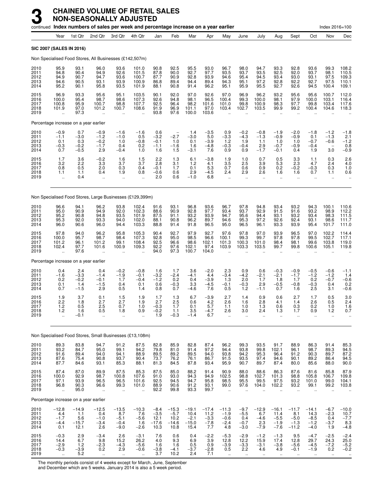|                                      |                                                         | continued Index numbers of sales per week and percentage increase on a year earlier |                                                     |                                              |                                                         |                                             |                                              |                                              |                                            |                                                       |                                                         |                                           |                                               |                                                     |                                               | Index 2016=100                               |                                                 |
|--------------------------------------|---------------------------------------------------------|-------------------------------------------------------------------------------------|-----------------------------------------------------|----------------------------------------------|---------------------------------------------------------|---------------------------------------------|----------------------------------------------|----------------------------------------------|--------------------------------------------|-------------------------------------------------------|---------------------------------------------------------|-------------------------------------------|-----------------------------------------------|-----------------------------------------------------|-----------------------------------------------|----------------------------------------------|-------------------------------------------------|
|                                      | Year                                                    | 1st Qtr                                                                             | 2nd Qtr                                             | 3rd Qtr                                      | 4th Qtr                                                 | Jan                                         | Feb                                          | Mar                                          | Apr                                        | May                                                   | June                                                    | July                                      | Aug                                           | Sept                                                | Oct                                           | Nov                                          | Dec                                             |
|                                      |                                                         | <b>SIC 2007 (SALES IN 2016)</b>                                                     |                                                     |                                              |                                                         |                                             |                                              |                                              |                                            |                                                       |                                                         |                                           |                                               |                                                     |                                               |                                              |                                                 |
|                                      |                                                         | Non Specialised Food Stores, All Businesses (£142,507m)                             |                                                     |                                              |                                                         |                                             |                                              |                                              |                                            |                                                       |                                                         |                                           |                                               |                                                     |                                               |                                              |                                                 |
| 2010<br>2011<br>2012<br>2013<br>2014 | 95.9<br>94.8<br>94.9<br>94.6<br>95.2                    | 93.1<br>90.4<br>90.7<br>90.5<br>90.1                                                | 96.0<br>94.9<br>94.7<br>93.1<br>95.8                | 93.6<br>92.6<br>93.6<br>93.9<br>93.5         | 101.0<br>101.5<br>100.7<br>100.9<br>101.9               | 90.8<br>87.8<br>87.7<br>86.8<br>88.1        | 92.5<br>90.0<br>90.9<br>89.4<br>90.8         | 95.5<br>92.7<br>92.8<br>94.4<br>91.4         | 93.0<br>97.7<br>93.9<br>89.4<br>96.2       | 96.7<br>93.5<br>94.6<br>94.3<br>95.1                  | 98.0<br>93.7<br>95.4<br>95.1<br>95.9                    | 94.7<br>93.5<br>94.5<br>97.2<br>95.5      | 93.3<br>92.5<br>93.4<br>92.8<br>92.7          | 92.8<br>92.0<br>93.0<br>92.2<br>92.6                | 93.6<br>93.7<br>93.1<br>92.7<br>94.5          | 99.3<br>98.1<br>97.5<br>97.5<br>100.4        | 108.2<br>110.5<br>109.3<br>110.1<br>109.1       |
| 2015<br>2016<br>2017<br>2018<br>2019 | 96.9<br>100.0<br>100.8<br>101.9                         | 93.3<br>95.4<br>95.9<br>97.0<br>97.3                                                | 95.6<br>98.7<br>100.7<br>101.2                      | 95.1<br>98.6<br>98.8<br>100.7                | 103.5<br>107.3<br>107.7<br>108.6                        | 90.1<br>92.6<br>92.5<br>91.9<br>93.8        | 92.0<br>94.8<br>96.4<br>96.9<br>97.6         | 97.0<br>98.1<br>98.2<br>101.1<br>100.0       | 92.6<br>96.5<br>101.6<br>97.0<br>103.6     | 97.0<br>100.4<br>101.0<br>103.4                       | 96.9<br>99.3<br>99.8<br>102.7                           | 96.2<br>100.0<br>100.9<br>103.5           | 93.2<br>98.1<br>98.3<br>99.9                  | 95.6<br>97.9<br>97.7<br>99.2                        | 95.6<br>100.0<br>99.8<br>100.4                | 100.7<br>103.1<br>103.4<br>104.6             | 112.0<br>116.4<br>117.6<br>118.3                |
|                                      |                                                         | Percentage increase on a year earlier                                               |                                                     |                                              |                                                         |                                             |                                              |                                              |                                            |                                                       |                                                         |                                           |                                               |                                                     |                                               |                                              |                                                 |
| 2010<br>2011<br>2012<br>2013<br>2014 | $-0.9$<br>$-1.1$<br>0.1<br>$-0.3$<br>0.7                | 0.7<br>$-3.0$<br>0.3<br>$-0.2$<br>$-0.5$                                            | $-0.9$<br>$-1.2$<br>$-0.2$<br>$-1.7$<br>2.9         | $-1.6$<br>$-1.0$<br>1.0<br>0.4<br>$-0.4$     | $-1.6$<br>0.5<br>$-0.8$<br>0.2<br>1.0                   | 0.6<br>$-3.2$<br>$-0.1$<br>$-1.1$<br>1.6    | $-2.7$<br>1.0<br>$-1.6$<br>1.5               | 1.4<br>$-3.0$<br>0.1<br>1.6<br>$-3.1$        | $-3.5$<br>5.0<br>$-3.9$<br>$-4.8$<br>7.6   | 0.9<br>$-3.3$<br>1.2<br>$-0.3$<br>0.9                 | $-0.2$<br>$-4.3$<br>1.9<br>$-0.4$<br>0.9                | $-0.8$<br>$-1.3$<br>1.1<br>2.9<br>$-1.7$  | $-1.9$<br>$-0.9$<br>1.0<br>$-0.7$<br>$-0.1$   | $-2.0$<br>$-0.9$<br>1.0<br>$-0.9$<br>0.4            | $-1.8$<br>0.1<br>$-0.7$<br>$-0.4$<br>1.9      | $-1.2$<br>$-1.3$<br>$-0.6$<br>3.0            | $-1.8$<br>2.1<br>$-1.2$<br>0.8<br>$-0.9$        |
| 2015<br>2016<br>2017<br>2018<br>2019 | 1.7<br>3.2<br>0.8<br>1.1<br>$\ddot{\phantom{a}}$        | 3.6<br>2.2<br>0.5<br>1.1<br>0.4                                                     | $-0.2$<br>3.3<br>2.0<br>0.4<br>$\ddot{\phantom{a}}$ | 1.6<br>3.7<br>0.3<br>1.9<br>$\ddotsc$        | $\frac{1.5}{3.7}$<br>0.4<br>0.8                         | 2.2<br>2.8<br>$-0.1$<br>$-0.6$<br>2.0       | 1.3<br>3.1<br>1.7<br>0.6<br>0.6              | 6.1<br>1.2<br>0.1<br>2.9<br>$-1.0$           | $-3.8$<br>4.1<br>5.3<br>$-4.5$<br>6.8      | 1.9<br>3.5<br>0.7<br>2.4<br>$\ddot{\phantom{a}}$      | 1.0<br>2.5<br>0.6<br>2.9<br>ä,                          | 0.7<br>3.9<br>0.9<br>2.6<br>$\ddotsc$     | 0.5<br>5.3<br>0.2<br>1.6<br>$\mathbf{r}$      | 3.3<br>2.3<br>$-0.2$<br>1.6<br>$\ddot{\phantom{a}}$ | 1.1<br>4.7<br>$-0.3$<br>0.7<br>ä.             | 0.3<br>2.4<br>0.3<br>1.1<br>$\ddotsc$        | $^{2.6}_{4.0}$<br>1.0<br>0.6                    |
|                                      |                                                         | Non Specialised Food Stores, Large Businesses (£129,399m)                           |                                                     |                                              |                                                         |                                             |                                              |                                              |                                            |                                                       |                                                         |                                           |                                               |                                                     |                                               |                                              |                                                 |
| 2010<br>2011<br>2012<br>2013<br>2014 | 96.6<br>95.0<br>95.2<br>95.3<br>96.0                    | 94.1<br>90.9<br>90.8<br>92.0<br>90.6                                                | 96.2<br>94.9<br>94.8<br>93.3<br>96.0                | 93.8<br>92.0<br>93.5<br>94.0<br>94.4         | 102.4<br>102.3<br>101.9<br>102.0<br>103.3               | 91.6<br>88.6<br>87.5<br>88.1<br>88.8        | 93.1<br>90.9<br>91.1<br>90.8<br>91.4         | 96.8<br>92.8<br>93.2<br>96.2<br>91.8         | 93.6<br>97.7<br>93.9<br>89.7<br>96.5       | 96.7<br>93.4<br>94.7<br>94.6<br>95.0                  | 97.8<br>93.7<br>95.6<br>95.3<br>96.5                    | 94.8<br>92.9<br>94.4<br>97.2<br>96.1      | 93.4<br>91.5<br>93.1<br>92.6<br>93.3          | 93.2<br>91.6<br>93.2<br>92.4<br>93.9                | 94.3<br>93.2<br>93.4<br>93.1<br>95.4          | 100.1<br>98.9<br>98.3<br>98.6<br>101.7       | 110.6<br>112.2<br>111.5<br>111.7<br>111.0       |
| 2015<br>2016<br>2017<br>2018<br>2019 | 97.8<br>100.0<br>101.2<br>102.4<br>$\ddot{\phantom{a}}$ | 94.0<br>95.7<br>96.1<br>97.7<br>97.6                                                | 96.2<br>98.7<br>101.2<br>101.6                      | 95.8<br>98.4<br>99.1<br>100.9                | 105.3<br>107.3<br>108.4<br>109.3                        | 90.4<br>92.8<br>92.5<br>92.2<br>94.0        | 92.7<br>95.0<br>96.6<br>97.6<br>97.3         | 97.9<br>98.5<br>98.6<br>102.1<br>100.7       | 92.7<br>96.6<br>102.1<br>97.4<br>104.0     | 97.6<br>100.1<br>101.3<br>103.9                       | 97.8<br>99.3<br>100.3<br>103.3                          | 97.0<br>99.7<br>101.0<br>103.5            | 93.9<br>97.8<br>98.4<br>99.7                  | 96.5<br>97.8<br>98.1<br>99.8                        | 97.0<br>99.5<br>99.6<br>100.6                 | 102.2<br>102.7<br>103.8<br>105.1             | 114.4<br>117.1<br>119.0<br>119.8                |
|                                      |                                                         | Percentage increase on a year earlier                                               |                                                     |                                              |                                                         |                                             |                                              |                                              |                                            |                                                       |                                                         |                                           |                                               |                                                     |                                               |                                              |                                                 |
| 2010<br>2011<br>2012<br>2013<br>2014 | 0.4<br>$-1.6$<br>0.2<br>0.1<br>0.7                      | 2.4<br>$-3.3$<br>$-0.2$<br>1.4<br>$-1.5$                                            | 0.4<br>$-1.4$<br>$-0.1$<br>$-1.5$<br>2.9            | $-0.2$<br>$-1.9$<br>1.7<br>0.4<br>0.5        | $-0.8$<br>$-0.1$<br>$-0.4$<br>0.1<br>1.4                | 1.6<br>$-3.2$<br>$-1.2$<br>0.6<br>0.8       | 1.7<br>$-2.4$<br>0.2<br>$-0.3$<br>0.7        | 3.6<br>$-4.1$<br>0.4<br>3.3<br>$-4.6$        | $-2.0$<br>4.4<br>$-3.9$<br>$-4.5$<br>7.6   | 2.3<br>$-3.4$<br>1.3<br>$-0.1$<br>0.5                 | 0.9<br>$-4.2$<br>2.0<br>$-0.3$<br>1.2                   | 0.6<br>$-2.1$<br>1.7<br>2.9<br>$-1.1$     | $-0.3$<br>$-2.1$<br>1.8<br>$-0.5$<br>0.7      | $-0.9$<br>$-1.7$<br>1.7<br>$-0.8$<br>1.6            | $-0.5$<br>$-1.2$<br>0.2<br>$-0.3$<br>2.5      | $-0.6$<br>$-1.2$<br>$-0.7$<br>0.4<br>3.1     | $-1.1$<br>1.4<br>$-0.6$<br>$0.2 - 0.6$          |
| 2015<br>2016<br>2017<br>2018<br>2019 | 1.9<br>2.2<br>1.2<br>$1.2$<br>ä,                        | 3.7<br>1.8<br>0.5<br>1.6<br>$-0.1$                                                  | 0.1<br>2.7<br>2.5<br>0.5<br>ä.                      | 1.5<br>2.7<br>0.7<br>1.8<br>                 | 1.9<br>1.9<br>1.0<br>0.9                                | 1.7<br>2.7<br>$-0.3$<br>$-0.2$<br>1.9       | 1.3<br>2.5<br>1.7<br>1.1<br>$-0.3$           | 6.7<br>0.6<br>0.1<br>3.5<br>$-1.4$           | $-3.9$<br>4.2<br>5.7<br>$-4.7$<br>6.7      | 2.7<br>2.6<br>1.1<br>2.6                              | 1.4<br>1.6<br>1.0<br>3.0                                | 0.9<br>2.8<br>1.3<br>2.4                  | 0.6<br>4.1<br>0.6<br>1.3<br>$\ddotsc$         | 2.7<br>1.4<br>0.3<br>1.7                            | 1.7<br>2.6<br>0.2<br>0.9<br>$\ddotsc$         | 0.5<br>0.5<br>1.0<br>1.2<br>ä.               | 3.0<br>2.4<br>1.6<br>0.7                        |
|                                      |                                                         | Non Specialised Food Stores, Small Businesses (£13,108m)                            |                                                     |                                              |                                                         |                                             |                                              |                                              |                                            |                                                       |                                                         |                                           |                                               |                                                     |                                               |                                              |                                                 |
| 2010<br>2011<br>2012<br>2013<br>2014 | 89.3<br>93.2<br>91.6<br>87.6<br>87.7                    | 83.8<br>84.7<br>89.4<br>75.4<br>84.6                                                | 94.7<br>95.0<br>94.0<br>90.8<br>93.1                | 91.2<br>99.1<br>94.1<br>93.7<br>85.3         | 87.5<br>94.2<br>88.9<br>90.4<br>88.1                    | 82.8<br>$\frac{79.8}{89.5}$<br>73.7<br>81.3 | 85.9<br>81.0<br>89.2<br>76.2<br>84.5         | 82.8<br>91.4<br>89.5<br>76.1<br>87.8         | 87.4<br>97.2<br>94.0<br>86.7<br>93.4       | 96.2<br>94.4<br>93.8<br>91.5<br>95.9                  | 99.3<br>93.8<br>94.2<br>93.5<br>90.7                    | 93.5<br>99.8<br>95.3<br>97.4<br>89.7      | 91.7<br>102.1<br>96.4<br>94.6<br>87.4         | 88.9<br>96.1<br>91.2<br>90.1<br>80.0                | 86.3<br>98.7<br>90.3<br>89.2<br>85.6          | 91.4<br>89.3<br>89.7<br>86.4<br>88.0         | 85.3<br>94.5<br>87.2<br>94.5<br>90.0            |
| 2015<br>2016<br>2017<br>2018<br>2019 | 87.4<br>100.0<br>97.1<br>96.8<br>$\ddotsc$              | 87.0<br>92.9<br>93.9<br>90.3<br>95.0                                                | 89.9<br>98.7<br>96.5<br>96.6                        | 87.5<br>100.8<br>96.5<br>99.3<br>$\ddotsc$   | 85.3<br>107.6<br>101.6<br>101.0<br>$\ddot{\phantom{1}}$ | 87.5<br>91.0<br>92.5<br>88.9<br>92.2        | 85.0<br>93.0<br>94.5<br>90.6<br>99.8         | 88.2<br>94.3<br>94.7<br>91.2<br>93.3         | 91.4<br>94.9<br>95.8<br>93.1<br>99.7       | 90.9<br>102.5<br>98.5<br>99.0<br>$\ddot{\phantom{a}}$ | 88.0<br>98.8<br>95.5<br>97.6                            | 88.6<br>102.7<br>99.5<br>104.0            | 86.3<br>101.3<br>97.5<br>102.2                | 87.6<br>98.8<br>93.2<br>93.2<br>$\ddotsc$           | 81.6<br>105.8<br>101.0<br>99.1                | 85.8<br>106.7<br>99.0<br>99.2                | $87.9$<br>$109.8$<br>$104.1$<br>103.8           |
|                                      |                                                         | Percentage increase on a year earlier                                               |                                                     |                                              |                                                         |                                             |                                              |                                              |                                            |                                                       |                                                         |                                           |                                               |                                                     |                                               |                                              |                                                 |
| 2010<br>2011<br>2012<br>2013<br>2014 | $-12.8$<br>4.4<br>$-1.7$<br>$-4.4$<br>0.1               | $-14.9$<br>1.1<br>5.6<br>$-15.7$<br>12.1                                            | $-12.5$<br>0.4<br>$-1.0$<br>$-3.4$<br>2.6           | $-13.5$<br>8.7<br>$-5.1$<br>$-0.4$<br>$-9.0$ | $-10.3$<br>7.6<br>$-5.6$<br>1.6<br>$-2.6$               | $-8.4$<br>$-3.5$<br>12.1<br>$-17.6$<br>10.3 | $-15.3$<br>$-5.7$<br>10.2<br>$-14.6$<br>10.8 | $-19.1$<br>10.4<br>$-2.1$<br>$-15.0$<br>15.4 | $-17.4$<br>11.2<br>$-3.3$<br>$-7.8$<br>7.7 | $-11.3$<br>$-1.9$<br>$-0.6$<br>$-2.4$<br>4.8          | $-9.7$<br>$-5.5$<br>0.4<br>$-0.7$<br>$-3.0$             | $-12.9$<br>6.7<br>$-4.6$<br>2.3<br>$-7.9$ | $-16.1$<br>11.4<br>$-5.5$<br>$-1.9$<br>$-7.6$ | $-11.7$<br>8.1<br>$-5.0$<br>$-1.3$<br>$-11.2$       | $-14.1$<br>14.3<br>$-8.5$<br>$-1.2$<br>$-4.0$ | $-6.7$<br>$-2.3$<br>0.4<br>$-3.7$<br>1.9     | $-10.0$<br>$\frac{10.7}{-7.7}$<br>8.3<br>$-4.8$ |
| 2015<br>2016<br>2017<br>2018<br>2019 | $-0.3$<br>14.4<br>$-2.9$<br>$-0.3$                      | 2.9<br>6.7<br>1.2<br>$-3.9$<br>5.2                                                  | $-3.4$<br>9.8<br>$-2.3$<br>0.2<br>$\ddotsc$         | 2.6<br>$15.2 - 4.3$<br>2.9                   | $-3.1$<br>26.2<br>$-5.6$<br>$-0.6$                      | 7.6<br>4.0<br>1.6<br>$-3.8$<br>3.7          | 0.6<br>9.3<br>1.6<br>$-4.1$<br>10.2          | 0.4<br>6.9<br>0.5<br>$-3.7$<br>2.4           | $-2.2$<br>3.9<br>0.9<br>$-2.8$<br>7.1      | $-5.3$<br>12.8<br>$-3.9$<br>0.5<br>$\ddotsc$          | $-2.9$<br>12.2<br>$-3.3$<br>2.2<br>$\ddot{\phantom{a}}$ | $-1.2$<br>15.9<br>$-3.1$<br>4.6           | $-1.3$<br>17.4<br>$-3.8$<br>4.9               | 9.5<br>12.8<br>$-5.6$<br>$-0.1$                     | $-4.7$<br>29.7<br>$-4.5$<br>$-1.9$            | $-2.5$<br>24.3<br>$-7.2$<br>0.2<br>$\ddotsc$ | $-2.4$<br>25.0<br>$-5.2$<br>-0.2                |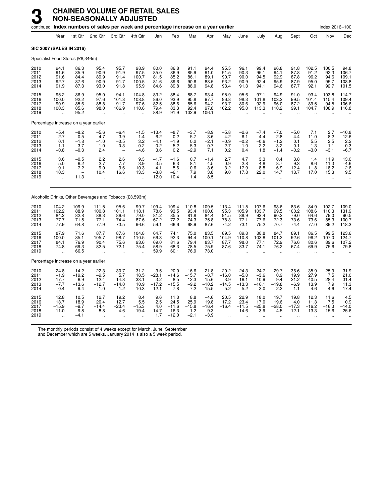|                                      |                                               |                                                             | continued Index numbers of sales per week and percentage increase on a year earlier |                                                             |                                             |                                                |                                                   |                                                   |                                                 |                                                       |                                                   |                                                   |                                               |                                             |                                           | Index 2016=100                          |                                                         |
|--------------------------------------|-----------------------------------------------|-------------------------------------------------------------|-------------------------------------------------------------------------------------|-------------------------------------------------------------|---------------------------------------------|------------------------------------------------|---------------------------------------------------|---------------------------------------------------|-------------------------------------------------|-------------------------------------------------------|---------------------------------------------------|---------------------------------------------------|-----------------------------------------------|---------------------------------------------|-------------------------------------------|-----------------------------------------|---------------------------------------------------------|
|                                      | Year                                          | 1st Qtr                                                     | 2nd Qtr                                                                             | 3rd Qtr                                                     | 4th Qtr                                     | Jan                                            | Feb                                               | Mar                                               | Apr                                             | May                                                   | June                                              | July                                              | Aug                                           | Sept                                        | Oct                                       | Nov                                     | Dec                                                     |
| SIC 2007 (SALES IN 2016)             |                                               |                                                             |                                                                                     |                                                             |                                             |                                                |                                                   |                                                   |                                                 |                                                       |                                                   |                                                   |                                               |                                             |                                           |                                         |                                                         |
|                                      |                                               | Specialist Food Stores (£8,346m)                            |                                                                                     |                                                             |                                             |                                                |                                                   |                                                   |                                                 |                                                       |                                                   |                                                   |                                               |                                             |                                           |                                         |                                                         |
| 2010<br>2011<br>2012<br>2013<br>2014 | 94.1<br>91.6<br>91.6<br>92.7<br>91.9          | 86.3<br>85.9<br>84.4<br>87.6<br>87.3                        | 95.4<br>90.9<br>89.9<br>90.9<br>93.0                                                | 95.7<br>91.9<br>91.4<br>91.7<br>91.8                        | 98.9<br>97.5<br>100.7<br>100.5<br>95.9      | 80.0<br>85.0<br>81.5<br>81.6<br>84.6           | 86.8<br>86.9<br>85.2<br>89.6<br>89.8              | 91.1<br>85.9<br>86.1<br>90.6<br>88.0              | 94.4<br>91.0<br>89.1<br>88.5<br>94.8            | 95.5<br>91.5<br>90.7<br>93.2<br>93.4                  | 96.1<br>90.3<br>90.0<br>90.9<br>91.3              | 99.4<br>95.1<br>94.5<br>92.4<br>94.1              | 96.8<br>94.1<br>92.9<br>95.9<br>94.6          | 91.8<br>87.8<br>87.8<br>87.9<br>87.7        | 102.5<br>91.2<br>96.2<br>95.0<br>92.1     | 100.5<br>92.3<br>94.6<br>95.7<br>92.7   | 94.8<br>106.7<br>109.1<br>108.8<br>101.5                |
| 2015<br>2016<br>2017<br>2018<br>2019 | 95.2<br>100.0<br>90.9<br>100.3                | 86.9<br>92.2<br>85.6<br>85.6<br>95.2                        | 95.0<br>97.6<br>88.8<br>98.0<br>J.                                                  | 94.1<br>101.3<br>91.7<br>106.9<br>$\ddot{\phantom{a}}$      | 104.8<br>108.8<br>97.6<br>110.6             | 83.2<br>86.0<br>82.5<br>79.4<br>88.9           | 88.4<br>93.9<br>88.6<br>83.3<br>91.9              | 88.7<br>95.8<br>85.6<br>92.4<br>102.9             | 93.4<br>97.7<br>94.2<br>97.8<br>106.1           | 95.9<br>96.8<br>93.7<br>102.2<br>$\ddot{\phantom{a}}$ | 95.6<br>98.3<br>80.6<br>95.0                      | 97.1<br>101.8<br>92.9<br>113.3                    | 94.9<br>103.2<br>96.0<br>110.2                | 91.0<br>99.5<br>87.2<br>99.1                | 93.4<br>101.4<br>89.5<br>104.7            | 103.8<br>115.4<br>94.5<br>108.9         | 114.7<br>109.4<br>106.6<br>116.8                        |
|                                      |                                               | Percentage increase on a year earlier                       |                                                                                     |                                                             |                                             |                                                |                                                   |                                                   |                                                 |                                                       |                                                   |                                                   |                                               |                                             |                                           |                                         |                                                         |
| 2010<br>2011<br>2012<br>2013<br>2014 | $-5.4$<br>$-2.7$<br>0.1<br>1.1<br>$-0.8$      | $-8.2$<br>$-0.5$<br>$-1.8$<br>3.7<br>$-0.3$                 | $-5.6$<br>$-4.7$<br>$-1.0$<br>1.0<br>2.4                                            | $-6.4$<br>$-3.9$<br>$-0.5$<br>0.3                           | $-1.5$<br>$-1.4$<br>3.2<br>$-0.2$<br>$-4.6$ | $-13.4$<br>6.2<br>$-4.1$<br>0.2<br>3.6         | $-8.7$<br>0.2<br>$-1.9$<br>5.2<br>0.2             | $-3.7$<br>$-5.7$<br>0.2<br>$\frac{5.3}{-2.9}$     | $-8.9$<br>$-3.6$<br>$-2.1$<br>$-0.7$<br>7.1     | $-5.8$<br>$-4.2$<br>$-0.9$<br>2.7<br>0.2              | $-2.6$<br>$-6.1$<br>$-0.2$<br>1.0<br>0.4          | $-7.4$<br>$-4.4$<br>$-0.6$<br>$-2.2$<br>1.8       | $-7.0$<br>$-2.8$<br>$-1.2$<br>3.2<br>$-1.4$   | $-5.0$<br>$-4.4$<br>0.1<br>0.1<br>$-0.2$    | 7.1<br>$-11.0$<br>5.5<br>$-1.3$<br>$-3.0$ | 2.7<br>$-8.2$<br>2.5<br>1.1<br>$-3.1$   | $-10.8$<br>12.6<br>$\overline{2.2}$<br>$-0.3$<br>$-6.7$ |
| 2015<br>2016<br>2017<br>2018<br>2019 | 3.6<br>5.0<br>$-9.1$<br>10.3                  | $-0.5$<br>6.2<br>$-7.2$<br>$\overline{\phantom{0}}$<br>11.3 | $2.2$<br>2.7<br>$-9.0$<br>10.4<br>$\ddotsc$                                         | $\frac{2.6}{7.7}$<br>$-9.6$<br>16.6<br>$\ddot{\phantom{a}}$ | 9.3<br>3.9<br>$-10.3$<br>13.3               | $-1.7$<br>3.5<br>$-4.1$<br>$-3.8$<br>12.0      | $-1.6$<br>6.3<br>$-5.6$<br>$-6.1$<br>10.4         | 0.7<br>8.1<br>$-10.6$<br>7.9<br>11.4              | $-1.4$<br>4.5<br>$-3.6$<br>3.8<br>8.5           | 2.7<br>0.9<br>$-3.2$<br>9.0<br>$\mathbf{r}$           | 4.7<br>2.8<br>$-17.9$<br>17.8                     | 3.3<br>4.8<br>$-8.8$<br>22.0                      | 0.4<br>8.7<br>$-6.9$<br>14.7                  | 3.8<br>9.3<br>$-12.4$<br>13.7               | 1.4<br>8.6<br>$-11.8$<br>17.0             | 11.9<br>11.3<br>$-18.2$<br>15.3         | 13.0<br>$-4.6$<br>$-2.6$<br>9.5                         |
|                                      |                                               |                                                             | Alcoholic Drinks, Other Beverages and Tobacco (£3,593m)                             |                                                             |                                             |                                                |                                                   |                                                   |                                                 |                                                       |                                                   |                                                   |                                               |                                             |                                           |                                         |                                                         |
| 2010<br>2011<br>2012<br>2013<br>2014 | 104.2<br>102.2<br>84.2<br>77.7<br>77.9        | 109.9<br>88.9<br>82.8<br>71.5<br>64.8                       | 111.5<br>100.8<br>88.3<br>77.1<br>77.9                                              | 95.6<br>101.1<br>86.6<br>74.4<br>73.5                       | 99.7<br>118.1<br>79.0<br>87.6<br>96.6       | 109.4<br>78.6<br>81.2<br>67.2<br>59.1          | 109.4<br>93.5<br>85.5<br>72.2<br>66.6             | 110.8<br>93.4<br>81.8<br>74.3<br>68.9             | 109.5<br>100.0<br>84.4<br>75.8<br>87.6          | 113.4<br>95.3<br>91.5<br>78.3<br>74.2                 | 111.5<br>105.9<br>88.9<br>77.1<br>73.1            | 107.6<br>103.7<br>92.4<br>77.6<br>75.2            | 98.6<br>99.5<br>90.2<br>72.3<br>70.7          | 83.6<br>100.2<br>79.0<br>73.6<br>74.4       | 84.9<br>108.6<br>64.6<br>73.6<br>77.0     | 102.7<br>110.3<br>79.0<br>85.3<br>89.2  | 109.0<br>131.9<br>$90.5$<br>100.7<br>118.3              |
| 2015<br>2016<br>2017<br>2018<br>2019 | 87.9<br>100.0<br>84.1<br>74.8                 | 71.6<br>85.1<br>76.9<br>69.3<br>66.5                        | 87.7<br>105.7<br>90.4<br>82.5                                                       | 87.6<br>98.7<br>75.6<br>72.1<br>$\ddot{\phantom{a}}$        | 104.8<br>110.5<br>93.6<br>75.4              | 64.7<br>66.3<br>69.0<br>58.9<br>59.9           | 74.1<br>92.3<br>81.6<br>68.3<br>60.1              | 75.0<br>94.4<br>79.4<br>78.5<br>76.9              | 83.5<br>100.1<br>83.7<br>75.9<br>73.0           | 89.5<br>104.9<br>87.7<br>87.6<br>$\ddot{\phantom{a}}$ | 89.8<br>110.8<br>98.0<br>83.7                     | 88.8<br>103.8<br>77.1<br>74.1                     | 84.7<br>101.2<br>72.9<br>76.2                 | 89.1<br>92.6<br>76.6<br>67.4                | 86.5<br>96.2<br>80.6<br>69.9              | 99.5<br>107.0<br>89.6<br>75.6           | 123.6<br>124.7<br>107.2<br>79.8                         |
|                                      |                                               | Percentage increase on a year earlier                       |                                                                                     |                                                             |                                             |                                                |                                                   |                                                   |                                                 |                                                       |                                                   |                                                   |                                               |                                             |                                           |                                         |                                                         |
| 2010<br>2011<br>2012<br>2013<br>2014 | $-24.8$<br>$-1.9$<br>$-17.7$<br>$-7.7$<br>0.4 | $-14.2$<br>$-19.2$<br>$-6.9$<br>$-13.6$<br>$-9.4$           | $-22.3$<br>$-9.5$<br>$-12.4$<br>$-12.7$<br>1.0                                      | $-30.7$<br>5.7<br>$-14.3$<br>$-14.0$<br>$-1.2$              | $-31.2$<br>18.5<br>$-33.1$<br>10.9<br>10.3  | $-3.5$<br>$-28.1$<br>3.2<br>$-17.2$<br>$-12.1$ | $-20.0$<br>$-14.6$<br>$-8.5$<br>$-15.5$<br>$-7.8$ | $-16.6$<br>$-15.7$<br>$-12.3$<br>$-9.2$<br>$-7.2$ | $-21.8$<br>$-8.7$<br>$-15.6$<br>$-10.2$<br>15.5 | $-20.2$<br>$-16.0$<br>$-3.9$<br>$-14.5$<br>$-5.2$     | $-24.3$<br>$-5.0$<br>$-16.1$<br>$-13.3$<br>$-5.2$ | $-24.7$<br>$-3.6$<br>$-10.9$<br>$-16.1$<br>$-3.0$ | $-29.7$<br>0.9<br>$-9.4$<br>$-19.8$<br>$-2.2$ | $-36.6$<br>19.9<br>$-21.2$<br>$-6.9$<br>1.1 | $-35.9$<br>27.9<br>$-40.5$<br>13.9<br>4.6 | $-25.9$<br>7.5<br>$-28.4$<br>7.9<br>4.6 | $-31.9$<br>21.0<br>$-31.4$<br>11.3<br>17.4              |
| 2015<br>2016<br>2017<br>2018<br>2019 | 12.8<br>13.7<br>$-15.9$<br>$-11.0$            | 10.5<br>18.9<br>$-9.7$<br>$-9.8$<br>$-4.1$                  | 12.7<br>20.4<br>$-14.4$<br>$-8.8$<br>$\ddotsc$                                      | 19.2<br>12.7<br>$-23.4$<br>$-4.6$                           | 8.4<br>5.5<br>$-15.3$<br>$-19.4$            | 9.6<br>2.5<br>4.0<br>$-14.7$<br>1.7            | 11.3<br>24.5<br>$-11.6$<br>$-16.3$<br>$-12.0$     | 8.8<br>25.9<br>$-15.8$<br>$-1.2$<br>$-2.1$        | $-4.6$<br>19.8<br>$-16.4$<br>$-9.3$<br>$-3.9$   | 20.5<br>17.2<br>$-16.4$                               | 22.9<br>23.4<br>$-11.5$<br>$-14.6$                | 18.0<br>17.0<br>$-25.8$<br>$-3.9$                 | 19.7<br>19.6<br>$-28.0$<br>4.5                | 19.8<br>4.0<br>$-17.3$<br>$-12.1$           | 12.3<br>11.3<br>$-16.2$<br>$-13.3$        | 11.6<br>7.5<br>$-16.3$<br>$-15.6$       | 4.5<br>$0.9 - 14.0$<br>$-25.6$                          |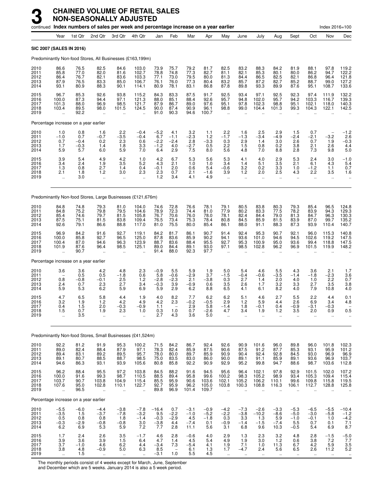|                                      |                                                         |                                        | continued Index numbers of sales per week and percentage increase on a year earlier |                                                        |                                                          |                                           |                                                             |                                           |                                          |                                                         |                                                        |                                                         |                                                        |                                                  |                                                          | Index 2016=100                                              |                                                            |
|--------------------------------------|---------------------------------------------------------|----------------------------------------|-------------------------------------------------------------------------------------|--------------------------------------------------------|----------------------------------------------------------|-------------------------------------------|-------------------------------------------------------------|-------------------------------------------|------------------------------------------|---------------------------------------------------------|--------------------------------------------------------|---------------------------------------------------------|--------------------------------------------------------|--------------------------------------------------|----------------------------------------------------------|-------------------------------------------------------------|------------------------------------------------------------|
|                                      | Year                                                    | 1st Qtr                                | 2nd Qtr                                                                             | 3rd Otr                                                | 4th Qtr                                                  | Jan                                       | Feb                                                         | Mar                                       | Apr                                      | May                                                     | June                                                   | July                                                    | Aug                                                    | Sept                                             | Oct                                                      | Nov                                                         | Dec                                                        |
| <b>SIC 2007 (SALES IN 2016)</b>      |                                                         |                                        |                                                                                     |                                                        |                                                          |                                           |                                                             |                                           |                                          |                                                         |                                                        |                                                         |                                                        |                                                  |                                                          |                                                             |                                                            |
|                                      |                                                         |                                        | Predominantly Non-food Stores, All Businesses (£163,199m)                           |                                                        |                                                          |                                           |                                                             |                                           |                                          |                                                         |                                                        |                                                         |                                                        |                                                  |                                                          |                                                             |                                                            |
| 2010<br>2011<br>2012<br>2013<br>2014 | 86.6<br>85.8<br>86.4<br>87.9<br>93.1                    | 76.5<br>77.0<br>76.7<br>76.5<br>80.9   | 82.5<br>82.0<br>82.1<br>83.3<br>88.3                                                | 84.6<br>81.6<br>83.6<br>85.0<br>90.1                   | 103.0<br>102.7<br>103.3<br>106.7<br>114.1                | 73.9<br>78.8<br>77.1<br>76.1<br>80.9      | 75.7<br>74.8<br>73.0<br>76.0<br>78.1                        | 79.2<br>77.3<br>79.5<br>77.3<br>83.1      | 81.7<br>82.7<br>80.0<br>80.4<br>86.8     | 82.5<br>81.1<br>81.3<br>83.2<br>87.8                    | 83.2<br>82.1<br>84.4<br>85.7<br>89.8                   | 88.3<br>85.3<br>86.5<br>87.2<br>93.3                    | 84.2<br>80.1<br>82.5<br>82.7<br>89.9                   | 81.9<br>80.0<br>82.1<br>85.2<br>87.6             | 88.1<br>86.2<br>86.8<br>88.7<br>95.1                     | 97.8<br>94.7<br>96.4<br>99.0<br>108.7                       | 119.2<br>122.2<br>121.8<br>127.2<br>133.6                  |
| 2015<br>2016<br>2017<br>2018<br>2019 | 96.7<br>100.0<br>101.3<br>103.4                         | 85.3<br>87.3<br>88.0<br>89.5<br>92.2   | 92.6<br>94.4<br>96.9<br>98.0<br>$\ddot{\phantom{a}}$                                | 93.8<br>97.1<br>98.5<br>101.5<br>$\ddot{\phantom{a}}$  | 115.2<br>121.3<br>121.7<br>124.5<br>$\ddot{\phantom{a}}$ | 84.3<br>88.0<br>87.9<br>90.0<br>91.0      | 83.3<br>85.1<br>86.7<br>87.4<br>90.3                        | 87.5<br>88.4<br>89.0<br>90.9<br>94.6      | 91.7<br>92.6<br>97.6<br>96.1<br>100.7    | 92.5<br>95.7<br>95.1<br>98.8<br>$\ddot{\phantom{a}}$    | 93.4<br>94.8<br>97.8<br>99.0<br>$\ddot{\phantom{a}}$   | 97.1<br>102.0<br>102.3<br>104.4<br>$\ddot{\phantom{a}}$ | 92.5<br>95.7<br>98.8<br>101.3<br>$\ddot{\phantom{a}}$  | 92.3<br>94.2<br>95.1<br>99.3                     | 97.4<br>103.3<br>102.1<br>104.3                          | 111.9<br>116.7<br>118.0<br>122.1<br>$\ddot{\phantom{a}}$    | 132.2<br>139.3<br>140.3<br>142.5                           |
|                                      |                                                         | Percentage increase on a year earlier  |                                                                                     |                                                        |                                                          |                                           |                                                             |                                           |                                          |                                                         |                                                        |                                                         |                                                        |                                                  |                                                          |                                                             |                                                            |
| 2010<br>2011<br>2012<br>2013<br>2014 | 1.0<br>$-1.0$<br>0.7<br>1.7<br>5.9                      | $0.8 \ 0.7$<br>$-0.4$<br>$-0.3$<br>5.7 | 1.6<br>$-0.7$<br>0.2<br>1.4<br>6.0                                                  | $^{2.2}_{-3.5}$<br>2.3<br>1.8<br>5.9                   | $-0.4$<br>$-0.4$<br>0.6<br>3.3<br>7.0                    | $-5.2$<br>6.7<br>$-2.2$<br>$-1.2$<br>6.4  | 4.1<br>$-1.1$<br>$-2.4$<br>4.0<br>2.9                       | 3.2<br>$-2.3$<br>2.8<br>$-2.7$<br>7.5     | 1.1<br>1.2<br>$-3.3$<br>0.5<br>8.0       | $2.2 - 1.7$<br>0.3<br>2.2<br>5.6                        | 1.6<br>$-1.3$<br>2.9<br>1.5<br>4.8                     | 2.5<br>$-3.4$<br>1.4<br>0.8<br>7.0                      | 2.9<br>$-4.9$<br>3.0<br>0.2<br>8.8                     | 1.5<br>$-2.4$<br>2.6<br>3.8<br>2.8               | 0.7<br>$-2.1$<br>0.7<br>2.1<br>7.3                       | $-3.2$<br>1.9<br>2.6<br>9.8                                 | $-1.2$<br>2.6<br>$-0.3$<br>4.4<br>5.0                      |
| 2015<br>2016<br>2017<br>2018<br>2019 | 3.9<br>3.4<br>1.3<br>2.1<br>$\ddot{\phantom{a}}$        | 5.4<br>2.4<br>0.8<br>1.8<br>3.0        | 4.9<br>1.9<br>2.7<br>1.2<br>ä,                                                      | $\frac{4.2}{3.5}$<br>1.4<br>3.0<br>$\ddotsc$           | 1.0<br>5.2<br>0.4<br>2.3<br>$\ddot{\phantom{a}}$         | 4.2<br>4.3<br>$-0.1$<br>2.3<br>1.2        | 6.7<br>2.1<br>2.0<br>0.7<br>3.4                             | 5.3<br>1.0<br>0.6<br>2.1<br>4.1           | 5.6<br>1.0<br>5.4<br>$-1.6$<br>4.9       | 5.3<br>3.4<br>$-0.6$<br>3.9<br>$\ddot{\phantom{a}}$     | 4.1<br>1.4<br>3.2<br>1.2<br>ä.                         | 4.0<br>5.1<br>0.2<br>2.0<br>$\ddotsc$                   | $\frac{2.9}{3.5}$<br>3.3<br>2.5<br>÷.                  | 5.3<br>2.1<br>1.0<br>4.3<br>$\ddot{\phantom{a}}$ | 2.4<br>6.1<br>$-1.2$<br>2.2<br>$\ddot{\phantom{a}}$      | 3.0<br>4.3<br>1.1<br>3.5<br>$\ddotsc$                       | $-1.0$<br>5.4<br>0.7<br>1.6                                |
|                                      |                                                         |                                        | Predominantly Non-food Stores, Large Businesses (£121,676m)                         |                                                        |                                                          |                                           |                                                             |                                           |                                          |                                                         |                                                        |                                                         |                                                        |                                                  |                                                          |                                                             |                                                            |
| 2010<br>2011<br>2012<br>2013<br>2014 | 84.8<br>84.8<br>85.4<br>87.5<br>92.6                    | 74.8<br>75.2<br>74.6<br>75.1<br>79.1   | 79.3<br>79.8<br>79.7<br>81.5<br>86.6                                                | 81.0<br>79.5<br>81.5<br>83.8<br>88.8                   | 104.0<br>104.6<br>105.8<br>109.4<br>117.0                | 74.6<br>78.9<br>76.7<br>76.5<br>81.0      | 72.8<br>72.3<br>70.6<br>73.4<br>75.5                        | 76.6<br>74.4<br>76.0<br>75.3<br>80.0      | 78.1<br>81.0<br>78.0<br>78.4<br>85.4     | 79.1<br>77.9<br>78.1<br>80.8<br>86.1                    | 80.5<br>80.2<br>82.4<br>84.5<br>88.0                   | 83.8<br>83.3<br>84.4<br>85.9<br>91.1                    | 80.3<br>77.5<br>79.0<br>81.5<br>88.3                   | 79.3<br>78.2<br>81.3<br>83.9<br>87.3             | 85.4<br>83.9<br>84.7<br>87.0<br>93.9                     | 96.5<br>94.3<br>96.3<br>99.7<br>110.4                       | 124.8<br>129.3<br>130.3<br>135.2<br>140.7                  |
| 2015<br>2016<br>2017<br>2018<br>2019 | 96.9<br>100.0<br>100.4<br>101.9                         | 84.2<br>85.8<br>87.0<br>87.6<br>90.7   | 91.6<br>92.7<br>94.6<br>96.4<br>$\ddot{\phantom{a}}$                                | 92.7<br>96.5<br>96.3<br>98.5                           | 119.1<br>125.0<br>123.9<br>125.1                         | 84.2<br>87.8<br>88.7<br>89.0<br>91.4      | 81.7<br>83.6<br>83.6<br>84.4<br>88.0                        | 86.1<br>85.9<br>88.4<br>89.1<br>92.3      | 90.7<br>90.2<br>95.5<br>93.0<br>97.7     | 91.4<br>94.1<br>92.7<br>97.1<br>$\ddot{\phantom{a}}$    | 92.4<br>93.6<br>95.3<br>98.5                           | 95.3<br>101.0<br>100.9<br>102.8                         | 90.7<br>94.6<br>95.0<br>96.2<br>$\ddot{\phantom{a}}$   | 92.1<br>94.5<br>93.6<br>96.9                     | 96.0<br>102.6<br>99.4<br>101.5                           | 115.3<br>119.2<br>118.8<br>119.9                            | 140.8<br>147.5<br>147.5<br>148.2                           |
|                                      |                                                         | Percentage increase on a year earlier  |                                                                                     |                                                        |                                                          |                                           |                                                             |                                           |                                          |                                                         |                                                        |                                                         |                                                        |                                                  |                                                          |                                                             |                                                            |
| 2010                                 | 3.6                                                     | 3.6                                    | 4.2                                                                                 | 4.8<br>$-1.8$                                          | 2.3                                                      | $-0.9$<br>5.8                             | 5.5                                                         | 5.9                                       | 1.9<br>3.7                               | 5.0<br>$-1.5$                                           | 5.4<br>$-0.4$                                          | 4.6                                                     | 5.5<br>$-3.5$                                          | 4.3<br>$-1.4$                                    | 3.6<br>$-1.8$                                            | 2.1                                                         | 1.7                                                        |
| 2011<br>2012<br>2013<br>2014         | 0.8<br>2.4<br>5.9                                       | 0.5<br>$-0.8$<br>0.7<br>5.3            | 0.5<br>$-0.1$<br>2.3<br>6.2                                                         | 2.5<br>2.7<br>5.9                                      | 0.6<br>1.2<br>3.4<br>6.9                                 | $-2.8$<br>$-0.3$<br>5.9                   | $-0.6$<br>$-2.3$<br>3.9<br>2.9                              | $-2.9$<br>2.1<br>$-0.9$<br>6.2            | $-3.8$<br>0.6<br>8.8                     | 0.3<br>3.5<br>6.5                                       | 2.7<br>2.6<br>4.1                                      | $-0.6$<br>1.4<br>1.7<br>6.1                             | 2.0<br>3.2<br>8.2                                      | 4.0<br>3.3<br>4.0                                | 1.0<br>2.7<br>7.9                                        | $-2.3$<br>2.2<br>3.5<br>10.8                                | 3.6<br>0.7<br>3.8<br>4.0                                   |
| 2015<br>2016<br>2017<br>2018<br>2019 | 4.7<br>3.2<br>0.4<br>1.5                                | 6.5<br>1.9<br>1.5<br>0.7<br>3.5        | 5.8<br>1.2<br>2.0<br>1.9<br>ä,                                                      | 4.4<br>4.2<br>$-0.3$<br>2.3<br>ä,                      | 1.9<br>4.9<br>$-0.9$<br>1.0<br>ä,                        | 4.0<br>4.2<br>1.1<br>0.3<br>2.7           | 8.2<br>2.3<br>1.0<br>4.3                                    | 7.7<br>$-0.2$<br>2.9<br>$\frac{0.7}{3.6}$ | 6.2<br>$-0.5$<br>5.8<br>–2.6<br>5.0      | 6.2<br>2.9<br>$-1.4$<br>4.7<br>$\ddot{\phantom{a}}$     | 5.1<br>1.2<br>1.8<br>3.4<br>$\ddot{\phantom{a}}$       | 4.6<br>5.9<br>$-0.1$<br>1.9<br>$\ddot{\phantom{a}}$     | 2.7<br>4.4<br>0.4<br>1.2<br>$\ddot{\phantom{1}}$       | 5.5<br>2.6<br>$-0.9$<br>3.5<br>ä.                | 2.2<br>6.9<br>$-3.1$<br>2.0<br>$\ddot{\phantom{1}}$      | 4.4<br>3.4<br>$-0.3$<br>0.9<br>ä.                           | 0.1<br>4.8<br>0.5                                          |
|                                      |                                                         |                                        | Predominantly Non-food Stores, Small Businesses (£41,524m)                          |                                                        |                                                          |                                           |                                                             |                                           |                                          |                                                         |                                                        |                                                         |                                                        |                                                  |                                                          |                                                             |                                                            |
| 2010<br>2011<br>2012<br>2013<br>2014 | 92.2<br>89.0<br>89.4<br>89.1<br>94.6                    | 81.2<br>82.4<br>83.1<br>80.7<br>86.3   | 91.9<br>88.4<br>89.2<br>88.5<br>93.1                                                | 95.3<br>87.9<br>89.5<br>88.7<br>93.9                   | 100.2<br>97.1<br>95.7<br>98.5<br>105.6                   | 71.5<br>78.3<br>78.0<br>75.0<br>80.8      | 84.2<br>82.4<br>80.0<br>83.5<br>85.8                        | 86.7<br>85.9<br>89.7<br>83.0<br>92.2      | 92.4<br>87.5<br>85.9<br>86.0<br>90.9     | 92.6<br>90.6<br>90.9<br>90.0<br>92.9                    | 90.9<br>87.5<br>90.4<br>89.1<br>95.2                   | 101.6<br>91.2<br>92.4<br>91.1<br>99.8                   | 96.0<br>87.7<br>92.8<br>85.9<br>94.7                   | 89.8<br>85.3<br>84.5<br>89.1<br>88.6             | 96.0<br>93.1<br>93.0<br>93.6<br>98.7                     | 101.8<br>95.9<br>96.9<br>96.9<br>103.6                      | 102.3<br>101.2<br>96.9<br>103.7<br>112.8                   |
| 2015<br>2016<br>2017<br>2018<br>2019 | 96.2<br>100.0<br>103.7<br>107.6<br>$\ddot{\phantom{a}}$ | 88.4<br>91.6<br>90.7<br>95.0<br>96.5   | 95.5<br>99.3<br>103.8<br>102.8<br>$\ddotsc$                                         | 97.2<br>98.7<br>104.9<br>110.1<br>$\ddot{\phantom{a}}$ | 103.8<br>110.5<br>115.4<br>122.7<br>$\ddotsc$            | 84.5<br>88.5<br>85.5<br>92.7<br>89.8      | 88.2<br>89.4<br>95.9<br>95.9<br>96.9                        | 91.6<br>95.8<br>90.6<br>96.2<br>101.4     | 94.5<br>99.6<br>103.6<br>105.0<br>109.7  | 95.6<br>100.2<br>102.1<br>103.8<br>$\ddot{\phantom{a}}$ | 96.4<br>98.3<br>105.2<br>100.3<br>$\ddot{\phantom{a}}$ | 102.1<br>105.2<br>106.2<br>108.8<br>ä.                  | 97.8<br>98.9<br>110.1<br>116.3<br>$\ddot{\phantom{a}}$ | 92.9<br>93.4<br>99.6<br>106.1                    | 101.5<br>105.3<br>109.8<br>112.7<br>$\ddot{\phantom{a}}$ | 102.0<br>109.4<br>115.8<br>128.8<br>÷.                      | $107.2$<br>$115.4$<br>$119.5$<br>125.8                     |
|                                      |                                                         | Percentage increase on a year earlier  |                                                                                     |                                                        |                                                          |                                           |                                                             |                                           |                                          |                                                         |                                                        |                                                         |                                                        |                                                  |                                                          |                                                             |                                                            |
| 2010<br>2011<br>2012<br>2013<br>2014 | $-5.5$<br>$-3.5$<br>$\frac{0.5}{-0.3}$<br>6.2           | $-6.0$<br>1.5<br>0.8<br>$-2.9$<br>6.9  | $-4.4$<br>$-3.7$<br>0.8<br>$-0.8$<br>5.3                                            | $-3.8$<br>$-7.8$<br>1.8<br>$-0.8$<br>5.9               | $-7.8$<br>$-3.2$<br>$-1.4$<br>$3.0\,$<br>7.2             | $-16.4$<br>9.5<br>$-0.3$<br>$-3.8$<br>7.7 | 0.7<br>$-2.2$<br>$-2.9$<br>4.4<br>2.8                       | $-3.1$<br>$-1.0$<br>$4.5 - 7.4$<br>11.1   | $-0.9$<br>$-5.2$<br>$-1.8$<br>0.1<br>5.6 | $-4.2$<br>$-2.2$<br>$_{-0.9}^{0.3}$<br>3.1              | $-7.3$<br>$-3.8$<br>3.3<br>$-1.4$<br>6.8               | $-2.6$<br>$-10.2$<br>$1.3 - 1.5$<br>9.6                 | $-3.3$<br>$-8.6$<br>$\frac{5.9}{-7.4}$<br>10.3         | $-5.3$<br>$-5.0$<br>$-1.0$<br>5.5<br>$-0.5$      | $-6.5$<br>$-3.0$<br>$-0.1$<br>0.7<br>5.4                 | $-5.5$<br>$-5.8$<br>1.0<br>0.1<br>6.9                       | $-10.4$<br>$-1.2$<br>$-4.2$<br>7.1<br>8.7                  |
| 2015<br>2016<br>2017<br>2018<br>2019 | 1.7<br>$\frac{3.9}{3.7}$<br>3.8<br>÷.                   | 2.4<br>3.6<br>$-1.0$<br>4.8<br>1.5     | 2.6<br>3.9<br>4.6<br>$-0.9$<br>$\ddot{\phantom{1}}$                                 | 3.5<br>1.5<br>$6.2$<br>5.0<br>$\ddotsc$                | $-1.7$<br>6.4<br>4.4<br>6.3<br>$\ddotsc$                 | 4.6<br>4.7<br>$-3.4$<br>8.5<br>$-3.1$     | 2.8<br>1.4<br>7.3<br>$\hspace{0.1mm}-\hspace{0.1mm}$<br>1.0 | $-0.6$<br>4.5<br>$-5.4$<br>6.1<br>5.5     | 4.0<br>5.4<br>4.1<br>1.3<br>4.5          | 2.9<br>4.9<br>$1.9$<br>$1.7$<br>$\ddotsc$               | 1.3<br>1.9<br>7.1<br>$-4.7$<br>$\ddot{\phantom{1}}$    | 2.3<br>3.0<br>1.0<br>2.4<br>$\ddot{\phantom{1}}$        | 3.2<br>1.2<br>11.3<br>$5.\overline{6}$<br>$\ddotsc$    | 4.8<br>0.6<br>6.7<br>6.5<br>$\ddot{\phantom{1}}$ | 2.8<br>3.8<br>4.2<br>2.6<br>$\ddot{\phantom{1}}$         | $-1.5$<br>7.2<br>$\frac{5.9}{11.2}$<br>$\ddot{\phantom{1}}$ | $-5.0$<br>7.7<br>$\frac{3.5}{5.2}$<br>$\ddot{\phantom{0}}$ |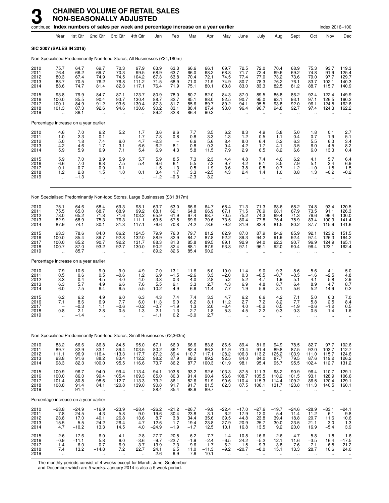|                                      |                                                                                 |                                                        |                                                         | continued Index numbers of sales per week and percentage increase on a year earlier |                                                          |                                              |                                                      |                                                |                                            |                                            |                                                                 |                                                     |                                                         |                                                      |                                            | Index 2016=100                           |                                           |
|--------------------------------------|---------------------------------------------------------------------------------|--------------------------------------------------------|---------------------------------------------------------|-------------------------------------------------------------------------------------|----------------------------------------------------------|----------------------------------------------|------------------------------------------------------|------------------------------------------------|--------------------------------------------|--------------------------------------------|-----------------------------------------------------------------|-----------------------------------------------------|---------------------------------------------------------|------------------------------------------------------|--------------------------------------------|------------------------------------------|-------------------------------------------|
|                                      | Year                                                                            | 1st Qtr                                                | 2nd Qtr                                                 | 3rd Qtr                                                                             | 4th Qtr                                                  | Jan                                          | Feb                                                  | Mar                                            | Apr                                        | May                                        | June                                                            | July                                                | Aug                                                     | Sept                                                 | Oct                                        | Nov                                      | Dec                                       |
|                                      | SIC 2007 (SALES IN 2016)                                                        |                                                        |                                                         |                                                                                     |                                                          |                                              |                                                      |                                                |                                            |                                            |                                                                 |                                                     |                                                         |                                                      |                                            |                                          |                                           |
|                                      |                                                                                 |                                                        |                                                         | Non Specialised Predominantly Non-food Stores, All Businesses (£34,180m)            |                                                          |                                              |                                                      |                                                |                                            |                                            |                                                                 |                                                     |                                                         |                                                      |                                            |                                          |                                           |
| 2010<br>2011<br>2012<br>2013<br>2014 | 75.7<br>76.4<br>80.3<br>83.7<br>88.6                                            | 64.7<br>66.2<br>67.4<br>70.5<br>74.7                   | 69.7<br>69.7<br>74.9<br>76.2<br>81.4                    | 70.3<br>70.3<br>74.5<br>76.8<br>82.3                                                | 97.9<br>99.5<br>104.2<br>111.2<br>117.1                  | 63.9<br>68.9<br>67.3<br>71.5<br>76.4         | 63.3<br>63.7<br>63.8<br>68.9<br>71.9                 | 66.6<br>66.0<br>70.4<br>71.0<br>75.1           | 66.1<br>68.2<br>72.1<br>71.9<br>80.1       | 69.7<br>68.8<br>74.5<br>74.9<br>80.8       | 72.5<br>71.7<br>77.4<br>80.7<br>83.0                            | 72.0<br>72.4<br>77.0<br>78.3<br>83.3                | 70.4<br>69.6<br>73.2<br>76.2<br>82.5                    | 68.9<br>69.2<br>73.6<br>76.1<br>81.2                 | 75.3<br>74.8<br>79.0<br>83.7<br>88.7       | 93.7<br>91.9<br>97.7<br>102.1<br>115.7   | 119.3<br>125.4<br>129.7<br>140.3<br>140.9 |
| 2015<br>2016<br>2017<br>2018<br>2019 | 93.8<br>100.0<br>100.1<br>101.3                                                 | 79.9<br>85.5<br>84.9<br>87.3<br>86.1                   | 84.7<br>90.4<br>91.2<br>92.6                            | 87.1<br>93.7<br>93.6<br>94.6<br>ä,                                                  | 123.7<br>130.4<br>130.4<br>130.6<br>$\ddot{\phantom{a}}$ | 80.9<br>88.7<br>87.3<br>90.2<br>89.2         | 78.0<br>82.7<br>81.7<br>83.1<br>82.8                 | 80.7<br>85.1<br>85.6<br>88.4<br>86.4           | 82.0<br>88.0<br>89.7<br>87.4<br>90.2       | 84.3<br>92.5<br>89.2<br>93.0               | 87.0<br>90.7<br>94.1<br>96.4                                    | 89.5<br>95.0<br>95.5<br>96.7                        | 85.8<br>93.1<br>93.8<br>94.8                            | 86.2<br>93.1<br>92.0<br>92.7<br>$\ddot{\phantom{a}}$ | 92.4<br>97.1<br>96.1<br>97.4               | 122.4<br>126.5<br>124.5<br>124.3         | 149.9<br>160.2<br>162.6<br>162.2          |
|                                      |                                                                                 | Percentage increase on a year earlier                  |                                                         |                                                                                     |                                                          |                                              |                                                      |                                                |                                            |                                            |                                                                 |                                                     |                                                         |                                                      |                                            |                                          |                                           |
| 2010<br>2011<br>2012<br>2013<br>2014 | $\begin{array}{c} 4.6 \\ 1.0 \end{array}$<br>5.0<br>4.2<br>5.9                  | $\frac{7.0}{2.3}$<br>1.8<br>4.6<br>5.9                 | $^{6.2}_{0.1}$<br>7.4<br>1.7<br>6.9                     | 5.2<br>6.0<br>3.1<br>7.1                                                            | $\frac{1.7}{1.7}$<br>4.7<br>6.6<br>5.4                   | $\frac{3.6}{7.8}$<br>$-2.3$<br>6.2<br>6.9    | 9.6<br>0.8<br>$\overline{\phantom{a}}$<br>8.1<br>4.3 | 7.7<br>$-0.8$<br>6.6<br>$0.8$<br>5.8           | $\frac{3.5}{3.3}$<br>5.6<br>$-0.3$<br>11.5 | $6.2 - 1.3$<br>8.4<br>0.4<br>7.9           | $8.3 - 1.2$<br>8.0<br>$^{4.2}_{2.9}$                            | $^{4.9}_{0.5}$<br>6.4<br>1.7<br>6.5                 | $5.8 - 1.1$<br>5.2<br>4.1<br>8.2                        | 5.0<br>0.4<br>6.3<br>3.5<br>6.6                      | $1.8 - 0.7$<br>5.5<br>6.0<br>6.0           | 0.1<br>$-1.9$<br>6.3<br>4.5<br>13.3      | $2.7$<br>5.1<br>3.4<br>$8.2$<br>$0.4$     |
| 2015<br>2016<br>2017<br>2018<br>2019 | $\begin{array}{c} 5.9 \\ 6.6 \end{array}$<br>0.1<br>1.2<br>$\ddot{\phantom{a}}$ | 7.0<br>7.0<br>$-0.7$<br>2.8<br>-1.3                    | $\begin{array}{c} 3.9 \\ 6.8 \end{array}$<br>0.9<br>1.5 | $\frac{5.9}{7.5}$<br>$-0.1$<br>1.0                                                  | 5.7<br>5.4<br>0.1                                        | $\frac{5.9}{9.6}$<br>$-1.5$<br>3.4<br>$-1.2$ | $8.5$<br>$6.1$<br>$-1.3$<br>1.7<br>$-0.3$            | $\frac{7.3}{5.5}$<br>0.5<br>$\frac{3.3}{-2.3}$ | $\frac{2.3}{7.3}$<br>1.9<br>$-2.5$<br>3.2  | $^{4.4}_{9.7}$<br>$-3.6$<br>4.3            | $^{4.8}_{4.2}$<br>3.8<br>2.4                                    | $^{7.4}_{6.1}$<br>0.5<br>1.4                        | 4.0<br>8.5<br>0.7<br>1.0                                | $6.2$<br>7.9<br>$-1.2$<br>0.8                        | 4.1<br>5.1<br>$-1.0$<br>1.3                | 5.7<br>3.4<br>$-1.5$<br>$-0.2$           | 6.46.9<br>1.5<br>$-0.2$                   |
|                                      |                                                                                 |                                                        |                                                         | Non Specialised Predominantly Non-food Stores, Large Businesses (£31,817m)          |                                                          |                                              |                                                      |                                                |                                            |                                            |                                                                 |                                                     |                                                         |                                                      |                                            |                                          |                                           |
| 2010<br>2011<br>2012<br>2013<br>2014 | 75.1<br>75.5<br>78.0<br>82.9<br>87.9                                            | 64.6<br>65.0<br>65.2<br>68.9<br>74.1                   | 68.4<br>68.7<br>71.8<br>75.3<br>80.1                    | 69.3<br>68.9<br>71.6<br>76.3<br>81.3                                                | 98.1<br>99.2<br>103.2<br>111.1<br>117.1                  | 63.7<br>68.1<br>65.9<br>69.5<br>76.6         | 63.0<br>62.1<br>61.9<br>67.5<br>70.8                 | 66.6<br>64.8<br>67.4<br>69.6<br>74.2           | 64.7<br>66.9<br>68.7<br>70.6<br>78.6       | 68.4<br>67.1<br>70.5<br>73.5<br>79.2       | 71.3<br>71.5<br>75.2<br>80.4<br>81.9                            | 71.3<br>70.9<br>74.3<br>77.8<br>82.4                | 68.6<br>68.1<br>69.4<br>75.4<br>81.5                    | 68.2<br>67.9<br>71.3<br>75.9<br>80.2                 | 74.8<br>73.5<br>76.6<br>83.4<br>87.7       | 93.4<br>91.1<br>96.4<br>100.9<br>115.9   | 120.5<br>126.3<br>130.0<br>141.4<br>141.6 |
| 2015<br>2016<br>2017<br>2018<br>2019 | 93.3<br>100.0<br>100.0<br>100.7                                                 | 78.6<br>85.4<br>85.2<br>87.0<br>85.7                   | 84.0<br>89.7<br>90.7<br>93.2                            | 86.2<br>92.8<br>92.2<br>92.7                                                        | 124.5<br>132.0<br>131.7<br>130.0                         | 79.9<br>88.9<br>88.3<br>90.2<br>89.2         | 76.0<br>82.9<br>81.3<br>82.4<br>82.6                 | 79.7<br>84.7<br>85.8<br>88.1<br>85.4           | 81.2<br>87.8<br>89.5<br>87.9<br>90.2       | 82.9<br>92.2<br>89.1<br>93.8               | 87.0<br>89.3<br>92.9<br>97.1                                    | 87.9<br>94.2<br>94.0<br>96.1                        | 84.9<br>91.9<br>92.3<br>92.0                            | 85.9<br>92.4<br>90.7<br>90.4                         | 92.1<br>97.4<br>96.9<br>96.4               | 123.2<br>126.3<br>124.9<br>123.1         | 151.5<br>164.2<br>165.1<br>162.4          |
|                                      |                                                                                 | Percentage increase on a year earlier                  |                                                         |                                                                                     |                                                          |                                              |                                                      |                                                |                                            |                                            |                                                                 |                                                     |                                                         |                                                      |                                            |                                          |                                           |
| 2010<br>2011<br>2012<br>2013<br>2014 | 7.9<br>$\frac{0.5}{3.3}$<br>6.3<br>6.0                                          | 10.6<br>0.6<br>0.4<br>5.7<br>7.5                       | 9.0<br>0.5<br>4.5<br>4.9<br>6.4                         | 9.0<br>$-0.6$<br>4.0<br>6.6<br>6.5                                                  | 4.9<br>$1.2$<br>$4.0$<br>7.6<br>5.5                      | 7.0<br>$-3.3$<br>5.5<br>10.2                 | 13.1<br>$-1.5$<br>$-0.3$<br>9.1<br>4.9               | 11.6<br>$-2.6$<br>4.0<br>3.3<br>6.6            | 5.0<br>$\frac{3.3}{2.8}$<br>2.7<br>11.4    | 10.0<br>$-2.0$<br>5.2<br>4.3<br>7.7        | 11.4<br>$\begin{array}{c} 0.3 \\ 5.2 \end{array}$<br>6.9<br>1.9 | 9.0<br>$-0.5$<br>4.7<br>4.8<br>5.9                  | 9.3<br>$-0.7$<br>1.9<br>8.7<br>8.1                      | 8.6<br>$-0.5$<br>5.1<br>6.4<br>5.6                   | 5.6<br>$-1.6$<br>4.1<br>8.9<br>5.2         | 4.1<br>$-2.5$<br>5.8<br>4.7<br>14.9      | 5.0<br>$^{4.8}_{2.9}$<br>8.7<br>0.2       |
| 2015<br>2016<br>2017<br>2018<br>2019 | 6.2<br>7.1<br>0.8<br>u,                                                         | 6.2<br>8.6<br>-0.3<br>2.1<br>$-1.4$                    | 4.9<br>6.9<br>1.1<br>2.8<br>$\ddotsc$                   | 6.0<br>7.7<br>-0.6<br>0.5<br>.,                                                     | 6.3<br>6.0<br>$-0.2$<br>-1.3                             | 4.3<br>11.3<br>$-0.7$<br>2.1<br>$-1.1$       | 7.4<br>9.0<br>$-1.9$<br>1.3<br>0.2                   | 7.4<br>6.2<br>1.3<br>2.7<br>$-3.0$             | 3.3<br>8.1<br>2.0<br>$-1.8$<br>2.7         | 4.7<br>11.2<br>$-3.4$<br>5.3               | 6.2<br>2.7<br>4.0<br>4.5                                        | 6.6<br>7.2<br>$-0.2$<br>2.2<br>$\ddot{\phantom{a}}$ | 4.2<br>8.2<br>0.5<br>-0.3                               | 7.1<br>7.7<br>-1.9<br>-0.3                           | 5.0<br>5.8<br>$-0.6$<br>-0.5               | 6.3<br>2.5<br>$-1.2$<br>-1.4             | 7.0<br>8.4<br>0.5<br>$-1.6$               |
|                                      |                                                                                 |                                                        |                                                         | Non Specialised Predominantly Non-food Stores, Small Businesses (£2,363m)           |                                                          |                                              |                                                      |                                                |                                            |                                            |                                                                 |                                                     |                                                         |                                                      |                                            |                                          |                                           |
| 2010<br>2011<br>2012<br>2013<br>2014 | 83.2<br>89.7<br>111.1<br>93.8<br>98.3                                           | 66.6<br>82.9<br>96.9<br>91.6<br>82.3                   | 86.8<br>83.1<br>116.4<br>88.2<br>100.0                  | 84.5<br>89.4<br>113.3<br>83.4<br>95.5                                               | 95.0<br>103.5<br>117.7<br>112.2<br>116.6                 | 67.1<br>80.2<br>87.2<br>98.2<br>73.7         | 66.0<br>86.1<br>89.4<br>87.9<br>86.2                 | 66.6<br>82.4<br>110.7<br>89.2<br>87.7          | 83.8<br>86.3<br>117.1<br>89.2<br>100.3     | 86.5<br>91.9<br>128.2<br>92.5<br>101.9     | 89.4<br>73.4<br>106.3<br>84.0<br>98.1                           | 81.6<br>91.4<br>113.2<br>84.0<br>95.4               | 94.9<br>89.8<br>125.2<br>87.7<br>95.7                   | 78.5<br>87.5<br>103.9<br>79.5<br>95.5                | 82.7<br>92.0<br>111.0<br>87.6<br>102.4     | 97.7<br>103.7<br>115.7<br>119.2<br>112.7 | 102.6<br>112.7<br>124.6<br>126.2<br>131.2 |
| 2015<br>2016<br>2017<br>2018<br>2019 | 100.9<br>100.0<br>101.4<br>108.8<br>$\ddot{\phantom{1}}$                        | 96.7<br>86.0<br>80.8<br>91.4<br>91.4                   | 94.0<br>99.4<br>98.6<br>84.1<br>$\ddot{\phantom{a}}$    | 99.4<br>105.4<br>112.7<br>120.8<br>$\ddot{\phantom{a}}$                             | 113.4<br>109.3<br>113.3<br>139.0<br>$\ddotsc$            | 94.1<br>85.0<br>73.2<br>90.8<br>88.4         | 103.8<br>80.3<br>86.1<br>91.7<br>85.4                | 93.2<br>91.4<br>82.6<br>91.7<br>98.6           | 92.6<br>90.4<br>91.9<br>81.5<br>89.7       | 103.3<br>96.6<br>90.6<br>82.3<br>$\ddotsc$ | 87.5<br>108.7<br>110.4<br>87.5<br>$\ddot{\phantom{a}}$          | 111.3<br>105.5<br>115.3<br>106.1                    | 98.2<br>110.2<br>114.4<br>131.7<br>$\ddot{\phantom{a}}$ | 90.9<br>101.5<br>109.2<br>123.8<br>$\ddotsc$         | 96.4<br>93.1<br>86.5<br>111.3              | 110.7<br>128.9<br>120.4<br>140.5         | 129.1<br>106.6<br>129.1<br>160.1          |
|                                      |                                                                                 | Percentage increase on a year earlier                  |                                                         |                                                                                     |                                                          |                                              |                                                      |                                                |                                            |                                            |                                                                 |                                                     |                                                         |                                                      |                                            |                                          |                                           |
| 2010<br>2011<br>2012<br>2013<br>2014 | $-23.8$<br>7.8<br>23.8<br>$-15.5$<br>4.7                                        | $-24.9$<br>24.5<br>17.0<br>$-5.5$<br>$-10.2$           | $-16.9$<br>$-4.3$<br>40.1<br>$-24.2$<br>13.3            | $-23.9$<br>5.8<br>26.8<br>$-26.4$<br>14.5                                           | -28.4<br>9.0<br>$13.6 - 4.7$<br>4.0                      | $-26.2$<br>19.6<br>8.7<br>12.6<br>$-24.9$    | $-21.2$<br>30.4<br>$3.8 - 1.7$<br>$-1.9$             | $-26.7$<br>23.8<br>34.4<br>$-19.4$<br>$-1.7$   | $-9.9$<br>3.1<br>$35.6 - 23.8$<br>12.5     | $-22.4$<br>6.2<br>39.5<br>27.9<br>10.1     | $-17.0$<br>$-17.9$<br>44.8<br>$-20.9$<br>16.8                   | $-27.6$<br>12.0<br>$23.8 - 25.7$<br>13.5            | $-19.7$<br>$-5.4$<br>$39.4 - 30.0$<br>9.2               | $-24.6$<br>11.4<br>18.8<br>$-23.5$<br>20.0           | $-28.9$<br>11.2<br>20.7<br>$-21.1$<br>16.9 | -33.1<br>6.1<br>11.6<br>3.0<br>$-5.4$    | -24.1<br>9.8<br>10.6<br>1.3<br>3.9        |
| 2015<br>2016<br>2017<br>2018<br>2019 | 2.6<br>-0.9<br>1.4<br>7.4<br>$\ddot{\phantom{a}}$                               | 17.6<br>$-11.1$<br>$-6.0$<br>13.2<br>$\qquad \qquad -$ | $-6.0$<br>5.8<br>$-0.7$<br>$-14.8$                      | 4.1<br>6.0<br>$6.9$<br>$7.2$                                                        | $-2.8$<br>$-3.6$<br>$\frac{3.7}{22.7}$                   | 27.7<br>$-9.7$<br>$-13.9$<br>24.1<br>$-2.6$  | 20.5<br>$-22.7$<br>$7.3$<br>6.5<br>$-6.9$            | 6.2<br>$-1.9$<br>$-9.6$<br>11.0<br>7.6         | $-7.7$<br>$-2.4$<br>1.7<br>$-11.3$<br>10.1 | 1.4<br>$-6.5$<br>$-6.2$<br>$-9.2$          | $-10.8$<br>24.2<br>1.5<br>$-20.7$                               | 16.6<br>$-5.2$<br>9.3<br>$-8.0$                     | 2.6<br>12.1<br>3.8<br>15.1                              | $-4.7$<br>11.6<br>7.6<br>13.3                        | $-5.8$<br>$-3.5$<br>$-7.1$<br>28.7         | $-1.8$<br>16.4<br>$-6.5$<br>16.6         | $-1.6$<br>$-17.5$<br>$^{21.2}_{24.0}$     |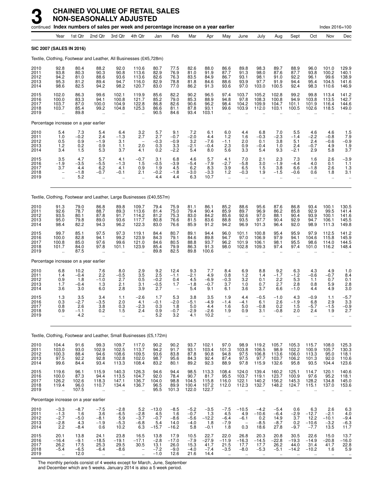|                                      |                                                          |                                          | continued Index numbers of sales per week and percentage increase on a year earlier |                                                          |                                                                |                                            |                                            |                                             |                                           |                                                         |                                                          |                                                          |                                            |                                               |                                             | Index 2016=100                             |                                           |
|--------------------------------------|----------------------------------------------------------|------------------------------------------|-------------------------------------------------------------------------------------|----------------------------------------------------------|----------------------------------------------------------------|--------------------------------------------|--------------------------------------------|---------------------------------------------|-------------------------------------------|---------------------------------------------------------|----------------------------------------------------------|----------------------------------------------------------|--------------------------------------------|-----------------------------------------------|---------------------------------------------|--------------------------------------------|-------------------------------------------|
|                                      | Year                                                     | 1st Qtr                                  | 2nd Qtr                                                                             | 3rd Qtr                                                  | 4th Qtr                                                        | Jan                                        | Feb                                        | Mar                                         | Apr                                       | May                                                     | June                                                     | July                                                     | Aug                                        | Sept                                          | Oct                                         | Nov                                        | Dec                                       |
| SIC 2007 (SALES IN 2016)             |                                                          |                                          |                                                                                     |                                                          |                                                                |                                            |                                            |                                             |                                           |                                                         |                                                          |                                                          |                                            |                                               |                                             |                                            |                                           |
|                                      |                                                          |                                          | Textile, Clothing, Footwear and Leather, All Businesses (£45,728m)                  |                                                          |                                                                |                                            |                                            |                                             |                                           |                                                         |                                                          |                                                          |                                            |                                               |                                             |                                            |                                           |
| 2010<br>2011<br>2012<br>2013<br>2014 | 92.8<br>93.8<br>94.2<br>95.3<br>98.6                     | 80.4<br>80.3<br>81.0<br>81.2<br>82.5     | 88.2<br>90.3<br>88.6<br>89.4<br>94.2                                                | 92.0<br>90.8<br>93.6<br>94.7<br>98.2                     | 110.6<br>113.6<br>113.6<br>116.0<br>120.7                      | 80.7<br>82.9<br>82.6<br>82.9<br>83.0       | 77.5<br>76.9<br>76.3<br>78.8<br>77.0       | 82.6<br>81.0<br>83.5<br>81.8<br>86.2        | 88.0<br>91.9<br>84.9<br>84.6<br>91.3      | 86.6<br>87.7<br>86.7<br>88.6<br>93.6                    | 89.8<br>91.3<br>93.1<br>93.9<br>97.0                     | 98.3<br>98.0<br>98.1<br>97.7<br>103.0                    | 89.7<br>87.6<br>91.0<br>91.9<br>100.5      | 88.9<br>87.7<br>92.2<br>94.4<br>92.4          | 96.0<br>93.8<br>96.1<br>95.4<br>98.3        | 101.0<br>100.2<br>99.6<br>104.5<br>110.6   | 129.9<br>140.1<br>138.9<br>141.6<br>146.9 |
| 2015<br>2016<br>2017<br>2018<br>2019 | 102.0<br>100.0<br>103.7<br>103.7<br>$\ddot{\phantom{a}}$ | 86.3<br>83.3<br>87.0<br>85.4<br>89.8     | 99.6<br>94.1<br>100.0<br>99.2<br>$\ddot{\phantom{a}}$                               | 102.1<br>100.8<br>104.9<br>104.8<br>ä,                   | 119.9<br>121.7<br>122.8<br>125.3                               | 85.6<br>85.2<br>86.8<br>86.6<br>90.5       | 82.2<br>79.0<br>82.6<br>81.1<br>84.6       | 90.2<br>85.3<br>90.6<br>87.8<br>93.4        | 96.5<br>88.9<br>96.2<br>93.1<br>103.1     | 97.4<br>94.8<br>98.4<br>99.6<br>$\ddot{\phantom{a}}$    | 103.7<br>97.8<br>104.2<br>103.9<br>$\ddot{\phantom{a}}$  | 105.2<br>108.3<br>109.9<br>112.0<br>$\ddot{\phantom{a}}$ | 102.8<br>100.8<br>104.7<br>103.1           | 99.2<br>94.9<br>101.1<br>100.5                | 99.8<br>103.8<br>101.9<br>102.6             | 113.4<br>113.5<br>116.4<br>118.5           | 141.2<br>142.7<br>144.6<br>149.0          |
|                                      |                                                          | Percentage increase on a year earlier    |                                                                                     |                                                          |                                                                |                                            |                                            |                                             |                                           |                                                         |                                                          |                                                          |                                            |                                               |                                             |                                            |                                           |
| 2010<br>2011<br>2012<br>2013<br>2014 | $5.4$<br>$1.0$<br>0.5<br>1.2<br>3.4                      | $7.3 - 0.2$<br>0.9<br>0.2<br>1.5         | 5.4<br>2.4<br>$-1.9$<br>0.9<br>5.3                                                  | 6.4<br>$-1.3$<br>3.1<br>1.1<br>3.7                       | $\frac{3.2}{2.7}$<br>$\overline{\phantom{0}}$<br>2.0<br>4.1    | $\frac{5.7}{2.7}$<br>$-0.3$<br>0.3<br>0.2  | 9.1<br>$-0.7$<br>$-0.9$<br>3.3<br>$-2.2$   | 7.2<br>$-2.0$<br>3.2<br>$-2.1$<br>5.4       | 6.1<br>4.4<br>$-7.6$<br>$-0.4$<br>8.0     | 6.0<br>1.2<br>$-1.1$<br>2.3<br>5.6                      | 4.4<br>1.6<br>2.0<br>0.9<br>3.3                          | 6.8<br>$-0.3$<br>0.1<br>$-0.4$<br>5.4                    | 7.0<br>$-2.3$<br>3.8<br>1.0<br>9.3         | 5.5<br>$-1.4$<br>5.1<br>2.4<br>$-2.1$         | 4.6<br>$-2.2$<br>2.4<br>$-0.7$<br>2.9       | 4.6<br>$-0.8$<br>$-0.6$<br>4.9<br>5.8      | $\frac{1.5}{7.9}$<br>$-0.9$<br>1.9<br>3.7 |
| 2015<br>2016<br>2017<br>2018<br>2019 | 3.5<br>$-1.9$<br>3.7<br>$\ddot{\phantom{a}}$             | 4.7<br>$-3.5$<br>4.4<br>$-1.8$<br>5.2    | 5.7<br>$-5.5$<br>6.2<br>$-0.7$                                                      | 4.1<br>$-1.3$<br>4.1<br>$-0.1$                           | $-0.7$<br>1.5<br>0.9<br>2.1                                    | 3.1<br>$-0.5$<br>1.9<br>$-0.2$<br>4.4      | 6.8<br>$-3.9$<br>4.5<br>$-1.8$<br>4.4      | 4.6<br>$-5.4$<br>6.2<br>$-3.0$<br>6.3       | 5.7<br>$-7.9$<br>8.3<br>$-3.3$<br>10.7    | 4.1<br>$-2.7$<br>3.9<br>1.2<br>$\ddot{\phantom{a}}$     | 7.0<br>$-5.8$<br>6.5<br>$-0.3$                           | 2.1<br>3.0<br>1.5<br>1.9<br>÷.                           | 2.3<br>$-1.9$<br>3.8<br>$-1.5$             | 7.3<br>$-4.4$<br>6.6<br>$-0.6$                | 1.6<br>4.0<br>$-1.8$<br>0.6<br>ä.           | 2.6<br>0.1<br>2.6<br>1.8<br>ä.             | $-3.9$<br>1.1<br>1.3<br>3.1               |
|                                      |                                                          |                                          | Textile, Clothing, Footwear and Leather, Large Businesses (£40,557m)                |                                                          |                                                                |                                            |                                            |                                             |                                           |                                                         |                                                          |                                                          |                                            |                                               |                                             |                                            |                                           |
| 2010<br>2011<br>2012<br>2013<br>2014 | 91.3<br>92.6<br>93.5<br>95.0<br>98.4                     | 79.0<br>78.7<br>80.1<br>79.8<br>82.2     | 86.8<br>88.7<br>87.8<br>89.0<br>94.3                                                | 89.8<br>89.3<br>91.7<br>93.6<br>96.2                     | 109.7<br>113.6<br>114.2<br>117.7<br>122.3                      | 79.4<br>81.4<br>81.2<br>80.8<br>83.0       | 75.9<br>75.0<br>75.3<br>76.6<br>76.6       | 81.1<br>79.4<br>83.0<br>81.5<br>85.9        | 86.1<br>90.4<br>84.2<br>83.6<br>91.2      | 85.2<br>85.9<br>85.6<br>88.8<br>94.2                    | 88.6<br>89.7<br>92.6<br>93.5<br>96.9                     | 95.6<br>96.9<br>97.0<br>97.7<br>101.3                    | 87.6<br>86.2<br>88.1<br>90.4<br>96.4       | 86.8<br>85.8<br>90.4<br>92.9<br>92.0          | 93.4<br>92.9<br>93.9<br>94.7<br>98.9        | 100.1<br>99.5<br>100.1<br>106.1<br>111.3   | 130.5<br>141.4<br>141.6<br>145.5<br>149.8 |
| 2015<br>2016<br>2017<br>2018<br>2019 | 99.7<br>100.0<br>100.8<br>101.7                          | 85.1<br>82.8<br>85.0<br>84.0<br>87.5     | 97.5<br>94.1<br>97.6<br>97.8                                                        | 97.3<br>99.2<br>99.6<br>101.1                            | 119.1<br>123.9<br>121.0<br>123.9                               | 84.4<br>84.3<br>84.6<br>85.4<br>89.8       | 80.7<br>79.1<br>80.5<br>79.9<br>82.5       | 89.1<br>84.6<br>88.8<br>86.3<br>89.8        | 94.4<br>89.8<br>93.7<br>91.3<br>100.6     | 96.0<br>94.7<br>96.2<br>98.0                            | 101.1<br>97.0<br>101.9<br>102.8                          | 100.8<br>106.9<br>106.1<br>109.3                         | 95.4<br>97.9<br>98.1<br>97.4               | 95.9<br>94.1<br>95.5<br>97.4                  | 97.9<br>104.6<br>98.6<br>101.0              | 112.5<br>115.8<br>114.0<br>116.2           | 141.2<br>145.9<br>144.5<br>148.4          |
|                                      |                                                          | Percentage increase on a year earlier    |                                                                                     |                                                          |                                                                |                                            |                                            |                                             |                                           |                                                         |                                                          |                                                          |                                            |                                               |                                             |                                            |                                           |
| 2010<br>2011<br>2012<br>2013<br>2014 | 6.8<br>1.4<br>0.9<br>1.7<br>3.6                          | 10.2<br>$-0.4$<br>1.8<br>$-0.4$<br>3.0   | 7.6<br>2.2<br>$-1.0$<br>1.3<br>6.0                                                  | 8.0<br>$-0.5$<br>2.7<br>2.1<br>2.8                       | 2.9<br>$\begin{array}{c} 3.5 \\ 0.5 \end{array}$<br>3.1<br>3.9 | 9.2<br>2.5<br>$-0.2$<br>$-0.5$<br>2.7      | 12.4<br>$-1.1$<br>0.4<br>1.7               | 9.3<br>$-2.1$<br>4.5<br>$-1.8$<br>5.4       | 7.7<br>4.9<br>$-6.9$<br>$-0.7$<br>9.1     | 8.4<br>0.8<br>$-0.3$<br>3.7<br>6.1                      | 6.9<br>1.2<br>3.2<br>1.0<br>3.6                          | 8.8<br>1.4<br>0.1<br>0.7<br>3.7                          | 9.2<br>$-1.7$<br>2.2<br>2.7<br>6.6         | 6.3<br>$-1.2$<br>5.3<br>2.8<br>$-1.0$         | 4.3<br>$-0.6$<br>1.1<br>0.8<br>4.4          | 4.9<br>$-0.7$<br>0.7<br>5.9<br>4.9         | 1.0<br>8.4<br>0.1<br>2.8<br>3.0           |
| 2015<br>2016<br>2017<br>2018<br>2019 | 1.3<br>0.3<br>0.8<br>0.9                                 | 3.5<br>$-2.7$<br>2.6<br>$-1.1$<br>4.2    | 3.4<br>$-3.5$<br>3.8<br>0.2<br>.,                                                   | 1.1<br>2.0<br>0.3<br>1.5<br>                             | $-2.6$<br>4.1<br>$-2.3$<br>2.4                                 | 1.7<br>$-0.1$<br>0.3<br>0.9<br>5.2         | 5.3<br>$-2.0$<br>1.8<br>$-0.7$<br>3.2      | 3.8<br>$-5.1$<br>5.0<br>-2.9<br>4.1         | 3.5<br>$-4.9$<br>4.4<br>-2.6<br>10.2      | 1.9<br>$-1.4$<br>1.6<br>1.9                             | 4.4<br>-4.1<br>5.0<br>0.9                                | $-0.5$<br>6.1<br>$-0.8$<br>3.1                           | $-1.0$<br>2.6<br>0.2<br>$-0.8$             | 4.3<br>$-1.9$<br>1.5<br>2.0                   | $-0.9$<br>6.8<br>$-5.7$<br>2.4<br>$\ddotsc$ | 1.1<br>2.9<br>$-1.5$<br>1.9                | $-5.7$<br>3.3<br>$-0.9$<br>2.7            |
|                                      |                                                          |                                          | Textile, Clothing, Footwear and Leather, Small Businesses (£5,172m)                 |                                                          |                                                                |                                            |                                            |                                             |                                           |                                                         |                                                          |                                                          |                                            |                                               |                                             |                                            |                                           |
| 2010<br>2011<br>2012<br>2013<br>2014 | 104.4<br>103.0<br>100.3<br>97.5<br>99.6                  | 91.6<br>93.0<br>88.4<br>92.2<br>84.4     | 99.3<br>102.9<br>94.6<br>92.8<br>93.4                                               | 109.7<br>102.5<br>108.6<br>102.8<br>113.3                | 117.0<br>113.7<br>109.5<br>102.0<br>108.4                      | 90.2<br>94.2<br>93.6<br>98.7<br>83.2       | 90.2<br>91.7<br>83.8<br>95.6<br>80.1       | 93.7<br>93.1<br>87.8<br>84.3<br>89.2        | 102.1<br>103.4<br>90.8<br>92.4<br>92.3    | 97.0<br>101.3<br>94.8<br>87.4<br>88.9                   | 98.9<br>103.8<br>97.5<br>97.5<br>97.8                    | 119.2<br>106.5<br>106.8<br>97.7<br>115.9                 | 105.7<br>98.9<br>113.6<br>103.7<br>132.6   | 105.3<br>102.2<br>106.0<br>106.2<br>95.8      | 115.7<br>100.9<br>113.3<br>101.3<br>93.5    | 108.0<br>105.7<br>95.0<br>92.0<br>104.4    | 125.3<br>130.3<br>118.1<br>110.6<br>123.6 |
| 2015<br>2016<br>2017<br>2018<br>2019 | 119.6<br>100.0<br>126.2<br>119.4<br>$\ddotsc$            | 96.1<br>87.3<br>102.6<br>96.0<br>107.5   | 115.9<br>94.4<br>118.3<br>110.7<br>$\ddot{\phantom{a}}$                             | 140.3<br>113.5<br>147.1<br>134.4<br>$\ddot{\phantom{a}}$ | 126.3<br>104.7<br>136.7<br>136.7<br>$\ddot{\phantom{a}}$       | 94.6<br>92.0<br>104.0<br>96.5<br>95.5      | 94.4<br>78.4<br>98.8<br>89.9<br>101.3      | 98.5<br>90.7<br>104.5<br>100.4<br>122.0     | 113.3<br>81.7<br>115.8<br>107.2<br>122.7  | 108.4<br>95.5<br>116.0<br>112.0<br>$\ddot{\phantom{a}}$ | 124.0<br>103.7<br>122.1<br>112.3<br>$\ddot{\phantom{a}}$ | 139.4<br>119.1<br>140.2<br>132.7<br>÷.                   | 160.2<br>123.7<br>156.2<br>148.2<br>÷.     | 125.1<br>100.9<br>145.3<br>124.7<br>$\ddotsc$ | 114.7<br>97.6<br>128.2<br>115.1<br>÷.       | 120.1<br>95.2<br>134.8<br>137.0            | 140.6<br>118.1<br>145.0<br>153.6          |
|                                      |                                                          | Percentage increase on a year earlier    |                                                                                     |                                                          |                                                                |                                            |                                            |                                             |                                           |                                                         |                                                          |                                                          |                                            |                                               |                                             |                                            |                                           |
| 2010<br>2011<br>2012<br>2013<br>2014 | $-3.3$<br>$-1.3$<br>$-2.7$<br>$-2.8$<br>2.2              | $-8.7$<br>1.6<br>$-5.0$<br>4.3<br>$-8.4$ | $-7.5$<br>3.6<br>$-8.1$<br>$-1.9$<br>0.6                                            | $-2.8$<br>$-6.5$<br>$\frac{5.9}{-5.3}$<br>10.2           | 5.2<br>$-2.8$<br>$-3.7$<br>$-6.8$<br>6.3                       | $-13.0$<br>4.5<br>$-0.7$<br>5.4<br>$-15.7$ | $-8.5$<br>1.6<br>$-8.6$<br>14.0<br>$-16.2$ | $-5.2$<br>$-0.7$<br>$-5.6$<br>$-4.0$<br>5.8 | $-3.5$<br>1.3<br>$-12.2$<br>1.8<br>$-0.1$ | $-7.5$<br>4.5<br>$-6.4$<br>$-7.9$<br>1.8                | $-10.5$<br>4.9<br>$-6.1$<br>$\overline{a}$<br>0.3        | $-4.2$<br>$-10.6$<br>0.2<br>$-8.5$<br>18.6               | $-5.4$<br>$-6.4$<br>14.9<br>$-8.7$<br>27.8 | 0.6<br>$-2.9$<br>3.7<br>0.2<br>$-9.7$         | 6.3<br>$-12.7$<br>12.2<br>$-10.6$<br>$-7.7$ | 2.6<br>$-2.1$<br>$-10.1$<br>$-3.2$<br>13.5 | 6.3<br>4.0<br>$-9.4$<br>$-6.3$<br>11.7    |
| 2015<br>2016<br>2017<br>2018<br>2019 | 20.1<br>$-16.4$<br>26.2<br>$-5.4$                        | 13.8<br>$-9.1$<br>17.5<br>$-6.5$<br>12.0 | 24.1<br>$-18.5$<br>25.3<br>$-6.4$                                                   | 23.8<br>$-19.1$<br>29.5<br>$-8.6$                        | 16.5<br>$-17.1$<br>30.5                                        | 13.8<br>$-2.8$<br>13.1<br>$-7.2$<br>$-1.0$ | 17.9<br>$-17.0$<br>26.0<br>$-9.0$<br>12.6  | 10.5<br>$-7.9$<br>15.3<br>$-4.0$<br>21.6    | 22.7<br>$-27.9$<br>41.7<br>$-7.4$<br>14.4 | 22.0<br>$-11.9$<br>21.5<br>$-3.5$                       | 26.8<br>$-16.3$<br>17.7<br>$-8.0$                        | 20.3<br>$-14.5$<br>17.7<br>$-5.3$                        | 20.8<br>$-22.8$<br>26.2<br>$-5.1$          | 30.5<br>$-19.3$<br>44.0<br>$-14.2$            | 22.6<br>$-14.9$<br>31.4<br>$-10.2$          | 15.0<br>$-20.8$<br>41.7<br>1.6             | 13.7<br>$-16.0$<br>22.8<br>5.9            |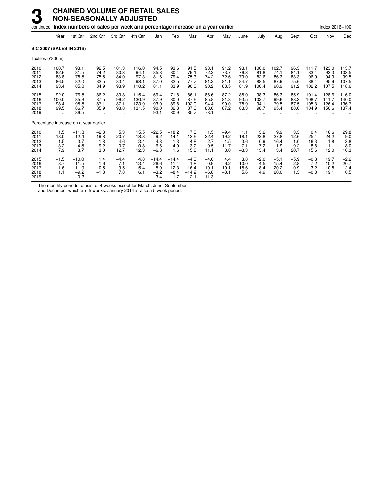| continued                             |                                            |                                             | Index numbers of sales per week and percentage increase on a year earlier |                                             |                                        |                                              |                                             |                                            |                                               |                                            |                                        |                                        |                                       |                                            |                                          | Index 2016=100                         |                                          |
|---------------------------------------|--------------------------------------------|---------------------------------------------|---------------------------------------------------------------------------|---------------------------------------------|----------------------------------------|----------------------------------------------|---------------------------------------------|--------------------------------------------|-----------------------------------------------|--------------------------------------------|----------------------------------------|----------------------------------------|---------------------------------------|--------------------------------------------|------------------------------------------|----------------------------------------|------------------------------------------|
|                                       | Year                                       | 1st Qtr                                     | 2nd Qtr                                                                   | 3rd Qtr                                     | 4th Qtr                                | Jan                                          | Feb                                         | Mar                                        | Apr                                           | May                                        | June                                   | July                                   | Aug                                   | Sept                                       | Oct                                      | Nov                                    | Dec                                      |
| <b>SIC 2007 (SALES IN 2016)</b>       |                                            |                                             |                                                                           |                                             |                                        |                                              |                                             |                                            |                                               |                                            |                                        |                                        |                                       |                                            |                                          |                                        |                                          |
| Textiles (£800m)                      |                                            |                                             |                                                                           |                                             |                                        |                                              |                                             |                                            |                                               |                                            |                                        |                                        |                                       |                                            |                                          |                                        |                                          |
| 2010<br>2011<br>2012<br>2013<br>2014  | 100.7<br>82.6<br>83.8<br>86.5<br>93.4      | 93.1<br>81.5<br>78.5<br>82.0<br>85.0        | 92.5<br>74.2<br>75.5<br>82.5<br>84.9                                      | 101.3<br>80.3<br>84.0<br>83.4<br>93.9       | 116.0<br>94.1<br>97.3<br>98.1<br>110.2 | 94.5<br>85.8<br>81.6<br>87.0<br>81.1         | 93.6<br>80.4<br>79.4<br>82.5<br>83.9        | 91.5<br>79.1<br>75.3<br>77.7<br>90.0       | 93.1<br>72.2<br>74.2<br>81.2<br>90.2          | 91.2<br>73.7<br>72.6<br>81.1<br>83.5       | 93.1<br>76.3<br>79.0<br>84.7<br>81.9   | 106.0<br>81.8<br>82.6<br>88.5<br>100.4 | 102.7<br>74.1<br>86.3<br>87.9<br>90.9 | 96.3<br>84.1<br>83.3<br>75.6<br>91.2       | 111.7<br>83.4<br>96.9<br>88.4<br>102.2   | 123.0<br>93.3<br>94.9<br>95.9<br>107.5 | 113.7<br>103.5<br>99.5<br>107.5<br>118.6 |
| 2015<br>2016<br>2017<br>2018<br>2019  | 92.0<br>100.0<br>98.4<br>99.5<br>$\ddotsc$ | 76.5<br>85.3<br>95.5<br>86.7<br>86.5        | 86.2<br>87.5<br>87.1<br>85.9                                              | 89.8<br>96.2<br>87.1<br>93.8                | 115.4<br>130.9<br>123.9<br>131.5<br>   | 69.4<br>87.9<br>93.0<br>90.0<br>93.1         | 71.8<br>80.0<br>89.8<br>82.3<br>80.9        | 86.1<br>87.6<br>102.0<br>87.6<br>85.7      | 86.6<br>85.8<br>94.4<br>88.0<br>78.1          | 87.2<br>81.8<br>90.0<br>87.2               | 85.0<br>93.5<br>78.9<br>83.3           | 98.3<br>102.7<br>94.1<br>98.7          | 86.3<br>99.6<br>79.5<br>95.4          | 85.9<br>88.3<br>87.5<br>88.6               | 101.4<br>108.7<br>105.3<br>104.9         | 128.6<br>141.7<br>126.4<br>150.6       | 116.0<br>140.0<br>136.7<br>137.4         |
| Percentage increase on a year earlier |                                            |                                             |                                                                           |                                             |                                        |                                              |                                             |                                            |                                               |                                            |                                        |                                        |                                       |                                            |                                          |                                        |                                          |
| 2010<br>2011<br>2012<br>2013<br>2014  | 1.5<br>$-18.0$<br>1.5<br>3.2<br>7.9        | $-11.8$<br>$-12.4$<br>$-3.7$<br>4.5<br>3.7  | $-2.3$<br>$-19.8$<br>1.8<br>9.2<br>3.0                                    | 5.3<br>$-20.7$<br>4.6<br>$-0.7$<br>12.7     | 15.5<br>$-18.8$<br>3.4<br>0.8<br>12.3  | $-22.5$<br>$-9.2$<br>$-4.8$<br>6.6<br>$-6.8$ | $-18.2$<br>$-14.1$<br>$-1.3$<br>4.0<br>1.6  | 7.3<br>$-13.6$<br>$-4.8$<br>3.2<br>15.8    | 1.5<br>$-22.4$<br>2.7<br>9.5<br>11.1          | $-9.4$<br>$-19.2$<br>$-1.5$<br>11.7<br>3.0 | 1.1<br>$-18.1$<br>3.6<br>7.1<br>$-3.3$ | 3.2<br>$-22.8$<br>0.9<br>7.2<br>13.4   | 9.9<br>$-27.8$<br>16.4<br>1.9<br>3.4  | 3.3<br>$-12.6$<br>$-1.0$<br>$-9.2$<br>20.7 | 0.4<br>$-25.4$<br>16.3<br>$-8.8$<br>15.6 | 16.6<br>$-24.2$<br>1.8<br>1.1<br>12.0  | 29.8<br>$-9.0$<br>$-3.8$<br>8.0<br>10.3  |
| 2015<br>2016<br>2017<br>2018<br>2019  | $-1.5$<br>8.7<br>$-1.6$<br>1.1             | $-10.0$<br>11.5<br>11.9<br>$-9.2$<br>$-0.2$ | 1.4<br>1.6<br>$-0.5$<br>$-1.3$<br>$\ddotsc$                               | $-4.4$<br>7.1<br>$-9.5$<br>7.8<br>$\ddotsc$ | 4.8<br>13.4<br>$-5.4$<br>6.1           | $-14.4$<br>26.6<br>5.9<br>$-3.2$<br>3.4      | $-14.4$<br>11.4<br>12.3<br>$-8.4$<br>$-1.7$ | $-4.3$<br>1.8<br>16.4<br>$-14.2$<br>$-2.1$ | $-4.0$<br>$-0.9$<br>10.1<br>$-6.8$<br>$-11.3$ | 4.4<br>$-6.2$<br>10.1<br>$-3.1$            | 3.8<br>10.0<br>$-15.6$<br>5.6          | $-2.0$<br>4.5<br>$-8.4$<br>4.9         | $-5.1$<br>15.4<br>$-20.2$<br>20.0     | $-5.9$<br>2.8<br>$-0.9$<br>1.3             | $-0.8$<br>7.2<br>$-3.2$<br>$-0.3$        | 19.7<br>10.2<br>$-10.8$<br>19.1        | $-2.2$<br>20.7<br>$-2.4$<br>0.5          |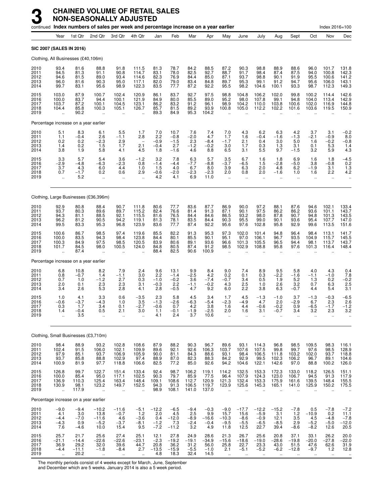|                                      |                                                          |                                            | continued Index numbers of sales per week and percentage increase on a year earlier |                                                          |                                                          |                                           |                                            |                                           |                                           |                                                         |                                                          |                                                          |                                                           |                                                          |                                                         | Index 2016=100                                          |                                             |
|--------------------------------------|----------------------------------------------------------|--------------------------------------------|-------------------------------------------------------------------------------------|----------------------------------------------------------|----------------------------------------------------------|-------------------------------------------|--------------------------------------------|-------------------------------------------|-------------------------------------------|---------------------------------------------------------|----------------------------------------------------------|----------------------------------------------------------|-----------------------------------------------------------|----------------------------------------------------------|---------------------------------------------------------|---------------------------------------------------------|---------------------------------------------|
|                                      | Year                                                     | 1st Qtr                                    | 2nd Qtr                                                                             | 3rd Qtr                                                  | 4th Qtr                                                  | Jan                                       | Feb                                        | Mar                                       | Apr                                       | May                                                     | June                                                     | July                                                     | Aug                                                       | Sept                                                     | Oct                                                     | Nov                                                     | Dec                                         |
|                                      |                                                          | SIC 2007 (SALES IN 2016)                   |                                                                                     |                                                          |                                                          |                                           |                                            |                                           |                                           |                                                         |                                                          |                                                          |                                                           |                                                          |                                                         |                                                         |                                             |
|                                      |                                                          | Clothing, All Businesses (£40,106m)        |                                                                                     |                                                          |                                                          |                                           |                                            |                                           |                                           |                                                         |                                                          |                                                          |                                                           |                                                          |                                                         |                                                         |                                             |
| 2010<br>2011<br>2012<br>2013<br>2014 | 93.4<br>94.5<br>94.6<br>96.0<br>99.7                     | 81.6<br>81.3<br>81.5<br>81.6<br>83.1       | 88.8<br>91.1<br>89.0<br>90.3<br>95.6                                                | 91.8<br>90.8<br>93.4<br>95.0<br>98.9                     | 111.5<br>114.7<br>114.6<br>117.1<br>122.3                | 81.3<br>83.1<br>82.3<br>82.0<br>83.5      | 78.7<br>78.0<br>76.9<br>79.0<br>77.7       | 84.2<br>82.5<br>84.4<br>83.4<br>87.2      | 88.5<br>92.7<br>85.0<br>84.8<br>92.2      | 87.2<br>88.7<br>87.1<br>89.7<br>95.5                    | 90.3<br>91.7<br>93.7<br>95.3<br>98.2                     | 98.8<br>98.4<br>98.8<br>99.1<br>104.6                    | 88.9<br>87.4<br>90.1<br>91.2<br>100.1                     | 88.6<br>87.5<br>91.9<br>94.7<br>93.3                     | 96.0<br>94.0<br>95.5<br>95.6<br>98.7                    | 101.7<br>100.8<br>100.6<br>106.0<br>112.3               | 131.8<br>142.3<br>141.2<br>143.1<br>149.3   |
| 2015<br>2016<br>2017<br>2018<br>2019 | 103.0<br>100.0<br>103.7<br>104.4<br>$\ddot{\phantom{a}}$ | 87.9<br>83.7<br>87.2<br>85.8<br>90.2       | 100.7<br>94.4<br>100.1<br>100.3<br>ă,                                               | 102.4<br>100.1<br>104.5<br>105.1<br>÷.                   | 120.9<br>121.9<br>123.1<br>126.7                         | 86.1<br>84.9<br>86.2<br>85.7<br>89.3      | 83.7<br>80.0<br>83.2<br>81.5<br>84.9       | 92.7<br>85.5<br>91.2<br>89.2<br>95.3      | 97.5<br>89.0<br>96.1<br>93.9<br>104.2     | 98.8<br>95.2<br>98.9<br>100.8                           | 104.8<br>98.0<br>104.2<br>105.0                          | 106.2<br>107.8<br>110.0<br>112.2                         | 102.0<br>99.1<br>103.8<br>102.2                           | 99.8<br>94.8<br>100.6<br>101.6                           | 100.2<br>104.0<br>102.0<br>103.6                        | 114.4<br>113.4<br>116.9<br>119.5                        | 142.6<br>142.9<br>144.8<br>150.9            |
|                                      |                                                          | Percentage increase on a year earlier      |                                                                                     |                                                          |                                                          |                                           |                                            |                                           |                                           |                                                         |                                                          |                                                          |                                                           |                                                          |                                                         |                                                         |                                             |
| 2010<br>2011<br>2012<br>2013<br>2014 | 5.1<br>1.1<br>0.2<br>1.4<br>3.8                          | 8.3<br>$-0.4$<br>0.2<br>0.2<br>1.9         | 6.1<br>2.6<br>$-2.3$<br>1.5<br>5.8                                                  | 5.5<br>$-1.1$<br>2.9<br>1.7<br>4.1                       | 1.7<br>2.8<br>$\overline{\phantom{a}}$<br>2.1<br>4.5     | 7.0<br>2.2<br>$-0.9$<br>$-0.4$<br>1.8     | 10.7<br>$-0.8$<br>$-1.5$<br>2.7<br>$-1.6$  | 7.6<br>$-2.0$<br>2.3<br>$-1.2$<br>4.6     | 7.4<br>4.7<br>$-8.4$<br>$-0.2$<br>8.8     | 7.0<br>1.7<br>$-1.7$<br>3.0<br>6.5                      | 4.3<br>1.6<br>2.1<br>1.7<br>3.1                          | 6.2<br>-0.4<br>0.4<br>0.3<br>5.5                         | 6.3<br>$-1.6$<br>3.0<br>1.3<br>9.7                        | 4.2<br>$-1.3$<br>5.0<br>3.1<br>$-1.5$                    | 3.7<br>$-2.1$<br>1.6<br>0.1<br>3.2                      | 3.1<br>$-0.9$<br>$-0.2$<br>5.3<br>5.9                   | $-0.2$<br>8.0<br>$-0.8$<br>1.4<br>4.3       |
| 2015<br>2016<br>2017<br>2018<br>2019 | 3.3<br>$-2.9$<br>3.7<br>0.7<br>$\ddot{\phantom{1}}$      | 5.7<br>$-4.8$<br>4.3<br>$-1.7$<br>5.2      | 5.4<br>-6.3<br>6.0<br>0.2<br>                                                       | 3.6<br>$-2.3$<br>4.4<br>0.6<br>$\ddotsc$                 | $-1.2$<br>0.8<br>1.0<br>2.9<br>$\ddot{\phantom{1}}$      | 3.2<br>$-1.4$<br>1.5<br>$-0.6$<br>4.2     | 7.8<br>$-4.4$<br>4.0<br>$-2.0$<br>4.1      | 6.3<br>$-7.7$<br>6.7<br>$-2.3$<br>6.9     | 5.7<br>$-8.8$<br>8.0<br>$-2.3$<br>11.0    | 3.5<br>$-3.7$<br>3.9<br>2.0<br>$\ddotsc$                | 6.7<br>$-6.5$<br>6.3<br>0.8<br>$\ddotsc$                 | 1.6<br>1.5<br>2.0<br>2.0<br>$\ddotsc$                    | 1.8<br>$-2.8$<br>4.8<br>$-1.6$<br>$\cdot$ .               | 6.9<br>$-5.0$<br>6.2<br>1.0<br>$\ddotsc$                 | 1.6<br>3.8<br>$-1.9$<br>1.6<br>$\ddotsc$                | 1.8<br>$-0.8$<br>3.1<br>2.2<br>$\ldots$                 | $-4.5$<br>0.2<br>1.3<br>4.2<br>$\ldots$     |
|                                      |                                                          |                                            | Clothing, Large Businesses (£36,396m)                                               |                                                          |                                                          |                                           |                                            |                                           |                                           |                                                         |                                                          |                                                          |                                                           |                                                          |                                                         |                                                         |                                             |
| 2010<br>2011<br>2012<br>2013<br>2014 | 92.9<br>93.7<br>94.3<br>96.2<br>99.5                     | 80.8<br>80.3<br>81.1<br>81.2<br>83.3       | 88.4<br>89.6<br>88.5<br>90.5<br>95.3                                                | 90.7<br>89.7<br>92.1<br>94.2<br>96.8                     | 111.8<br>115.2<br>115.5<br>119.1<br>123.9                | 80.6<br>82.4<br>81.6<br>81.3<br>83.6      | 77.7<br>76.6<br>76.5<br>78.1<br>77.7       | 83.6<br>81.4<br>84.4<br>83.5<br>87.4      | 87.7<br>91.3<br>84.6<br>84.4<br>92.2      | 86.9<br>87.1<br>86.5<br>90.3<br>95.6                    | 90.0<br>90.1<br>93.2<br>95.5<br>97.6                     | 97.2<br>97.5<br>98.0<br>99.0<br>102.8                    | 88.1<br>86.2<br>87.8<br>90.1<br>95.8                      | 87.6<br>86.2<br>90.7<br>93.6<br>92.9                     | 94.6<br>93.6<br>94.8<br>95.4<br>99.6                    | 102.1<br>101.1<br>101.3<br>107.7<br>113.5               | 133.4<br>143.7<br>143.5<br>147.0<br>151.6   |
| 2015<br>2016<br>2017<br>2018<br>2019 | 100.6<br>100.0<br>100.3<br>101.7                         | 86.7<br>83.5<br>84.9<br>84.5<br>87.4       | 98.5<br>94.3<br>97.5<br>98.0                                                        | 97.4<br>98.4<br>98.5<br>100.5                            | 119.6<br>123.8<br>120.5<br>124.0                         | 85.5<br>84.4<br>83.9<br>84.8<br>88.4      | 82.2<br>80.1<br>80.6<br>80.5<br>82.5       | 91.3<br>85.5<br>89.1<br>87.4<br>90.6      | 95.3<br>90.1<br>93.6<br>91.2<br>100.9     | 97.3<br>95.1<br>96.6<br>98.5                            | 102.0<br>97.0<br>101.3<br>102.9                          | 101.4<br>106.1<br>105.5<br>108.8                         | 94.8<br>96.7<br>96.5<br>95.8                              | 96.4<br>93.5<br>94.4<br>97.6                             | 98.4<br>104.9<br>98.1<br>101.3                          | 113.1<br>115.7<br>113.7<br>116.4                        | 141.7<br>145.5<br>143.7<br>148.4            |
|                                      |                                                          | Percentage increase on a year earlier      |                                                                                     |                                                          |                                                          |                                           |                                            |                                           |                                           |                                                         |                                                          |                                                          |                                                           |                                                          |                                                         |                                                         |                                             |
| 2010<br>2011<br>2012<br>2013<br>2014 | 6.8<br>0.8<br>0.7<br>2.0<br>3.4                          | 10.8<br>$-0.7$<br>1.0<br>0.1<br>2.6        | 8.2<br>1.4<br>$-1.2$<br>2.3<br>5.3                                                  | 7.9<br>$-1.1$<br>2.7<br>2.3<br>2.8                       | 2.4<br>3.0<br>0.3<br>3.1<br>4.1                          | 9.6<br>2.2<br>$-1.0$<br>$-0.3$<br>2.8     | 13.1<br>$-1.4$<br>$-0.2$<br>2.2<br>$-0.5$  | 9.9<br>$-2.5$<br>3.6<br>$-1.1$<br>4.7     | 8.4<br>4.2<br>$-7.4$<br>$-0.2$<br>9.2     | 9.0<br>0.2<br>$-0.7$<br>4.3<br>6.0                      | 7.4<br>0.1<br>3.4<br>2.5<br>2.2                          | 8.9<br>0.3<br>0.5<br>1.0<br>3.8                          | 9.5<br>$-2.2$<br>$\overline{1.9}$<br>2.6<br>6.3           | 5.8<br>$-1.6$<br>5.2<br>3.2<br>$-0.7$                    | 4.0<br>$-1.1$<br>1.3<br>0.7<br>4.4                      | 4.3<br>$-1.0$<br>0.2<br>6.3<br>5.4                      | 0.4<br>$7.8 - 0.2$<br>2.5<br>3.1            |
| 2015<br>2016<br>2017<br>2018<br>2019 | 1.0<br>$-0.6$<br>0.3<br>1.4<br>$\ddot{\phantom{a}}$      | 4.1<br>$-3.7$<br>1.7<br>$-0.4$<br>3.5      | 3.3<br>-4.3<br>3.4<br>0.5<br>ä,                                                     | 0.6<br>1.0<br>0.1<br>2.1<br>$\ddot{\phantom{a}}$         | $-3.5$<br>3.5<br>$-2.7$<br>3.0<br>$\ddot{\phantom{a}}$   | 2.3<br>$-1.3$<br>$-0.6$<br>1.1<br>4.1     | 5.8<br>$-2.6$<br>0.7<br>$-0.1$<br>2.4      | 4.5<br>$-6.3$<br>4.2<br>$-1.9$<br>3.7     | 3.4<br>$-5.4$<br>3.8<br>$-2.5$<br>10.6    | 1.7<br>$-2.3$<br>1.6<br>2.0<br>$\ddot{\phantom{a}}$     | 4.5<br>$-4.9$<br>4.4<br>1.6<br>$\ddot{\phantom{a}}$      | $-1.3$<br>4.7<br>$-0.6$<br>3.1<br>$\ddot{\phantom{a}}$   | $-1.0$<br>2.0<br>$-0.2$<br>$-0.7$<br>$\ddot{\phantom{a}}$ | 3.7<br>$-2.9$<br>0.9<br>3.4<br>$\ddot{\phantom{a}}$      | $-1.3$<br>6.7<br>$-6.5$<br>3.2<br>$\ddot{\phantom{a}}$  | $-0.3$<br>2.3<br>$-1.7$<br>2.3<br>$\mathbf{r}$          | $-6.5$<br>2.6<br>$-1.2$<br>3.2              |
|                                      |                                                          |                                            | Clothing, Small Businesses (£3,710m)                                                |                                                          |                                                          |                                           |                                            |                                           |                                           |                                                         |                                                          |                                                          |                                                           |                                                          |                                                         |                                                         |                                             |
| 2010<br>2011<br>2012<br>2013<br>2014 | 98.4<br>102.4<br>97.9<br>93.7<br>100.9                   | 88.9<br>91.5<br>85.1<br>85.8<br>81.9       | 93.2<br>106.0<br>93.7<br>88.8<br>97.7                                               | 102.8<br>102.1<br>106.9<br>102.9<br>118.8                | 108.6<br>109.9<br>105.9<br>97.4<br>106.6                 | 87.9<br>89.6<br>90.0<br>88.9<br>82.5      | 88.2<br>92.1<br>81.1<br>87.0<br>77.2       | 90.3<br>92.6<br>84.3<br>82.3<br>85.0      | 96.7<br>106.3<br>88.6<br>88.3<br>92.6     | 89.6<br>103.7<br>93.1<br>84.2<br>94.2                   | 93.1<br>107.6<br>98.4<br>92.9<br>104.6                   | 114.3<br>107.5<br>106.5<br>99.5<br>122.1                 | 96.8<br>99.8<br>111.8<br>102.3<br>142.6                   | 98.5<br>99.7<br>103.2<br>106.2<br>97.0                   | 109.5<br>$97.6$<br>102.0<br>96.7<br>88.8                | 98.3<br>98.5<br>93.7<br>89.1<br>100.2                   | 116.1<br>128.9<br>118.8<br>104.6<br>126.0   |
| 2015<br>2016<br>2017<br>2018<br>2019 | 126.8<br>100.0<br>136.9<br>130.9<br>$\ddotsc$            | 99.7<br>85.4<br>110.3<br>98.1<br>117.9     | 122.7<br>95.0<br>125.4<br>123.2<br>à.                                               | 151.4<br>117.1<br>163.4<br>149.7<br>$\ddot{\phantom{a}}$ | 133.4<br>102.5<br>148.4<br>152.5<br>$\ddot{\phantom{a}}$ | 92.4<br>90.3<br>109.1<br>94.3<br>98.9     | 98.7<br>79.7<br>108.6<br>91.3<br>108.1     | 106.2<br>85.9<br>112.7<br>106.5<br>141.0  | 119.1<br>77.5<br>120.9<br>119.7<br>137.0  | 114.2<br>96.4<br>121.3<br>123.9<br>$\ddot{\phantom{a}}$ | 132.5<br>107.9<br>132.4<br>125.6<br>$\ddot{\phantom{a}}$ | 153.3<br>124.3<br>153.3<br>145.3<br>$\ddot{\phantom{a}}$ | 172.3<br>123.0<br>175.9<br>165.1<br>$\ddot{\phantom{a}}$  | 133.0<br>106.7<br>161.6<br>141.0<br>$\ddot{\phantom{a}}$ | 118.2<br>94.5<br>139.5<br>125.9<br>$\ddot{\phantom{a}}$ | 126.5<br>91.3<br>148.4<br>150.2<br>$\ddot{\phantom{a}}$ | 151.1<br>117.9<br>155.5<br>175.5            |
|                                      |                                                          | Percentage increase on a year earlier      |                                                                                     |                                                          |                                                          |                                           |                                            |                                           |                                           |                                                         |                                                          |                                                          |                                                           |                                                          |                                                         |                                                         |                                             |
| 2010<br>2011<br>2012<br>2013<br>2014 | $-9.0$<br>4.1<br>$-4.4$<br>$-4.3$<br>7.6                 | $-9.4$<br>3.0<br>$-7.0$<br>0.9<br>$-4.6$   | $-10.2$<br>13.8<br>$-11.6$<br>$-5.2$<br>10.0                                        | $-11.6$<br>$-0.7$<br>4.6<br>$-3.7$<br>15.4               | $-5.1$<br>1.2<br>$-3.6$<br>$-8.1$<br>9.5                 | $-12.2$<br>2.0<br>0.4<br>$-1.2$<br>$-7.2$ | $-6.5$<br>4.5<br>$-12.0$<br>7.3<br>$-11.2$ | $-9.4$<br>2.5<br>$-8.9$<br>$-2.4$<br>3.2  | $-0.3$<br>9.9<br>$-16.6$<br>$-0.4$<br>4.9 | $-9.0$<br>15.7<br>$-10.3$<br>$-9.5$<br>11.8             | $-17.7$<br>15.6<br>$-8.6$<br>$-5.5$<br>12.5              | $-12.2$<br>$-5.9$<br>$-0.9$<br>$-6.5$<br>22.7            | $-15.2$<br>3.1<br>12.1<br>$-8.5$<br>39.4                  | $-7.8$<br>$1.2$<br>$\frac{3.5}{2.9}$<br>$-8.6$           | 0.5<br>$-10.9$<br>$4.5 - 5.2$<br>$-8.2$                 | $-7.8$<br>0.2<br>$-4.8$<br>$-5.0$<br>12.6               | $-7.2$<br>11.1<br>$-7.8$<br>$-12.0$<br>20.5 |
| 2015<br>2016<br>2017<br>2018<br>2019 | 25.7<br>$-21.1$<br>36.9<br>$-4.4$<br>$\sim$              | 21.7<br>$-14.4$<br>29.2<br>$-11.1$<br>20.2 | 25.6<br>$-22.6$<br>32.0<br>$-1.8$                                                   | 27.4<br>$-22.6$<br>39.6<br>$-8.4$                        | 25.1<br>$-23.1$<br>44.7<br>2.7                           | 12.1<br>$-2.3$<br>20.8<br>$-13.5$<br>4.8  | 27.8<br>$-19.2$<br>$36.2 - 15.9$<br>18.3   | 24.9<br>$-19.1$<br>31.2<br>$-5.5$<br>32.4 | 28.6<br>$-34.9$<br>56.0<br>$-1.0$<br>14.5 | 21.3<br>$-15.6$<br>25.8<br>2.1                          | 26.7<br>$-18.6$<br>22.7<br>$-5.1$                        | 25.6<br>$-19.0$<br>23.3<br>$-5.2$                        | 20.8<br>$-28.6$<br>43.0<br>$-6.2$                         | 37.1<br>$-19.8$<br>51.5<br>$-12.8$                       | 33.1<br>$-20.0$<br>47.6<br>$-9.7$                       | 26.2<br>$-27.8$<br>62.6<br>$1.2$                        | $20.0 - 22.0$<br>$31.9$<br>$12.8$           |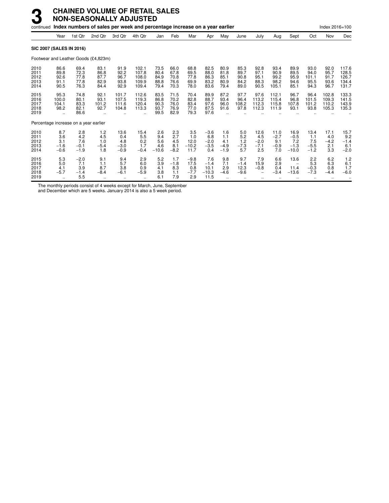| continued                            |                                             |                                       | Index numbers of sales per week and percentage increase on a year earlier |                                                     |                                           |                                      |                                      |                                        |                                          |                                       |                                      |                                               |                                        |                                                     |                                        | Index 2016=100                           |                                           |
|--------------------------------------|---------------------------------------------|---------------------------------------|---------------------------------------------------------------------------|-----------------------------------------------------|-------------------------------------------|--------------------------------------|--------------------------------------|----------------------------------------|------------------------------------------|---------------------------------------|--------------------------------------|-----------------------------------------------|----------------------------------------|-----------------------------------------------------|----------------------------------------|------------------------------------------|-------------------------------------------|
|                                      | Year                                        | 1st Qtr                               | 2nd Qtr                                                                   | 3rd Qtr                                             | 4th Qtr                                   | Jan                                  | Feb                                  | Mar                                    | Apr                                      | May                                   | June                                 | July                                          | Aug                                    | Sept                                                | Oct                                    | Nov                                      | Dec                                       |
| <b>SIC 2007 (SALES IN 2016)</b>      |                                             |                                       |                                                                           |                                                     |                                           |                                      |                                      |                                        |                                          |                                       |                                      |                                               |                                        |                                                     |                                        |                                          |                                           |
|                                      |                                             |                                       | Footwear and Leather Goods (£4,823m)                                      |                                                     |                                           |                                      |                                      |                                        |                                          |                                       |                                      |                                               |                                        |                                                     |                                        |                                          |                                           |
| 2010<br>2011<br>2012<br>2013<br>2014 | 86.6<br>89.8<br>92.6<br>91.1<br>90.5        | 69.4<br>72.3<br>77.8<br>77.8<br>76.3  | 83.1<br>86.8<br>87.7<br>82.9<br>84.4                                      | 91.9<br>92.2<br>96.7<br>93.8<br>92.9                | 102.1<br>107.8<br>108.0<br>109.9<br>109.4 | 73.5<br>80.4<br>84.9<br>88.8<br>79.4 | 66.0<br>67.8<br>70.8<br>76.6<br>70.3 | 68.8<br>69.5<br>77.8<br>69.9<br>78.0   | 82.5<br>88.0<br>86.3<br>83.2<br>83.6     | 80.9<br>81.8<br>85.1<br>80.9<br>79.4  | 85.3<br>89.7<br>90.8<br>84.2<br>89.0 | 92.8<br>97.1<br>95.1<br>88.3<br>90.5          | 93.4<br>90.9<br>99.2<br>98.2<br>105.1  | 89.9<br>89.5<br>95.9<br>94.6<br>85.1                | 93.0<br>94.0<br>101.1<br>95.5<br>94.3  | 92.0<br>95.7<br>91.7<br>93.6<br>96.7     | 117.6<br>128.5<br>126.7<br>134.4<br>131.7 |
| 2015<br>2016<br>2017<br>2018<br>2019 | 95.3<br>100.0<br>104.1<br>98.2<br>$\ddotsc$ | 74.8<br>80.1<br>83.3<br>82.1<br>86.6  | 92.1<br>93.1<br>101.2<br>92.7                                             | 101.7<br>107.5<br>111.6<br>104.8                    | 112.6<br>119.3<br>120.4<br>113.3<br>÷.    | 83.5<br>86.8<br>90.3<br>93.7<br>99.5 | 71.5<br>70.2<br>76.0<br>76.9<br>82.9 | 70.4<br>82.8<br>83.4<br>77.0<br>79.3   | 89.9<br>88.7<br>97.6<br>87.5<br>97.6     | 87.2<br>93.4<br>96.0<br>91.6          | 97.7<br>96.4<br>108.2<br>97.8        | 97.6<br>113.2<br>112.3<br>112.3               | 112.1<br>115.4<br>115.8<br>111.9       | 96.7<br>96.8<br>107.8<br>93.1                       | 96.4<br>101.5<br>101.2<br>93.8         | 102.8<br>109.3<br>110.2<br>105.3         | 133.3<br>141.5<br>143.9<br>135.3          |
|                                      |                                             | Percentage increase on a year earlier |                                                                           |                                                     |                                           |                                      |                                      |                                        |                                          |                                       |                                      |                                               |                                        |                                                     |                                        |                                          |                                           |
| 2010<br>2011<br>2012<br>2013<br>2014 | 8.7<br>3.6<br>3.1<br>$-1.6$<br>$-0.6$       | 2.8<br>4.2<br>7.6<br>$-0.1$<br>$-1.9$ | 1.2<br>4.5<br>1.0<br>$-5.4$<br>1.8                                        | 13.6<br>0.4<br>4.8<br>$-3.0$<br>$-0.9$              | 15.4<br>5.5<br>0.2<br>1.7<br>$-0.4$       | 2.6<br>9.4<br>5.6<br>4.6<br>$-10.6$  | 2.3<br>2.7<br>4.5<br>8.1<br>$-8.2$   | 3.5<br>1.0<br>12.0<br>$-10.2$<br>11.7  | $-3.6$<br>6.8<br>$-2.0$<br>$-3.5$<br>0.4 | 1.6<br>1.1<br>4.1<br>$-4.9$<br>$-1.9$ | 5.0<br>5.2<br>1.2<br>$-7.3$<br>5.7   | 12.6<br>4.5<br>$-2.0$<br>$-7.1$<br>2.5        | 11.0<br>$-2.7$<br>9.1<br>$-0.9$<br>7.0 | 16.9<br>$-0.5$<br>7.2<br>$-1.3$<br>$-10.0$          | 13.4<br>1.1<br>7.5<br>$-5.5$<br>$-1.2$ | 17.1<br>4.0<br>$-4.2$<br>2.1<br>3.3      | 15.7<br>9.2<br>$-1.4$<br>6.1<br>$-2.0$    |
| 2015<br>2016<br>2017<br>2018<br>2019 | 5.3<br>5.0<br>4.1<br>$-5.7$                 | $-2.0$<br>7.1<br>3.9<br>$-1.4$<br>5.5 | 9.1<br>1.1<br>8.7<br>$-8.4$                                               | 9.4<br>5.7<br>3.8<br>$-6.1$<br>$\ddot{\phantom{a}}$ | 2.9<br>6.0<br>0.9<br>$-5.9$               | 5.2<br>3.9<br>4.1<br>3.8<br>6.1      | 1.7<br>$-1.8$<br>8.3<br>1.1<br>7.9   | $-9.8$<br>17.5<br>0.8<br>$-7.7$<br>2.9 | 7.6<br>$-1.4$<br>10.1<br>$-10.3$<br>11.5 | 9.8<br>7.1<br>2.9<br>$-4.6$           | 9.7<br>$-1.4$<br>12.3<br>$-9.6$      | 7.9<br>15.9<br>$-0.8$<br>$\ddot{\phantom{a}}$ | 6.6<br>2.9<br>0.4<br>$-3.4$            | 13.6<br>$\overline{\phantom{a}}$<br>11.4<br>$-13.6$ | 2.2<br>5.3<br>$-0.3$<br>$-7.3$         | 6.2<br>6.3<br>0.8<br>$-4.4$<br>$\ddotsc$ | 1.2<br>6.1<br>1.7<br>$-6.0$               |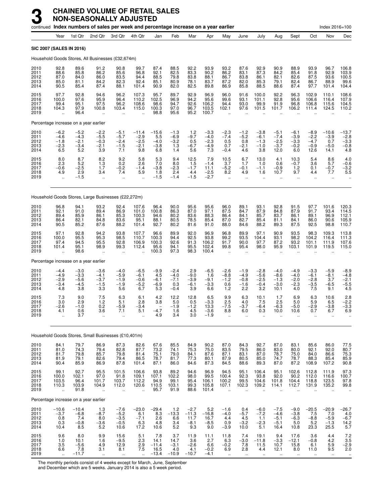|                                      |                                                                                 |                                                                      | continued Index numbers of sales per week and percentage increase on a year earlier |                                                         |                                                          |                                              |                                             |                                            |                                             |                                                      |                                                     |                                                        |                                                       |                                                        |                                                      | Index 2016=100                             |                                                         |
|--------------------------------------|---------------------------------------------------------------------------------|----------------------------------------------------------------------|-------------------------------------------------------------------------------------|---------------------------------------------------------|----------------------------------------------------------|----------------------------------------------|---------------------------------------------|--------------------------------------------|---------------------------------------------|------------------------------------------------------|-----------------------------------------------------|--------------------------------------------------------|-------------------------------------------------------|--------------------------------------------------------|------------------------------------------------------|--------------------------------------------|---------------------------------------------------------|
|                                      | Year                                                                            | 1st Qtr                                                              | 2nd Qtr                                                                             | 3rd Qtr                                                 | 4th Qtr                                                  | Jan                                          | Feb                                         | Mar                                        | Apr                                         | May                                                  | June                                                | July                                                   | Aug                                                   | Sept                                                   | Oct                                                  | Nov                                        | Dec                                                     |
|                                      |                                                                                 | SIC 2007 (SALES IN 2016)                                             |                                                                                     |                                                         |                                                          |                                              |                                             |                                            |                                             |                                                      |                                                     |                                                        |                                                       |                                                        |                                                      |                                            |                                                         |
|                                      |                                                                                 |                                                                      | Household Goods Stores, All Businesses (£32,674m)                                   |                                                         |                                                          |                                              |                                             |                                            |                                             |                                                      |                                                     |                                                        |                                                       |                                                        |                                                      |                                            |                                                         |
| 2010<br>2011<br>2012<br>2013<br>2014 | 92.8<br>88.6<br>87.0<br>85.0<br>90.5                                            | 89.6<br>85.8<br>84.0<br>81.1<br>85.4                                 | 91.2<br>86.2<br>86.0<br>84.2<br>87.4                                                | 90.8<br>85.6<br>83.5<br>82.3<br>88.1                    | 99.7<br>96.8<br>94.4<br>92.4<br>101.4                    | 87.4<br>92.1<br>88.5<br>85.1<br>90.9         | 88.5<br>82.5<br>79.8<br>80.9<br>82.0        | 92.2<br>83.3<br>83.8<br>78.1<br>82.5       | 93.9<br>90.2<br>88.1<br>83.7<br>89.8        | 93.2<br>86.2<br>86.7<br>87.2<br>86.9                 | 87.6<br>83.1<br>83.8<br>82.0<br>85.8                | 92.9<br>87.3<br>86.1<br>85.3<br>88.5                   | 90.9<br>84.2<br>82.1<br>79.1<br>88.6                  | 88.9<br>85.4<br>82.6<br>82.4<br>87.4                   | 93.9<br>91.8<br>87.5<br>86.7<br>97.7                 | 96.7<br>92.9<br>93.6<br>88.9<br>101.4      | 106.8<br>103.9<br>100.5<br>99.6<br>104.4                |
| 2015<br>2016<br>2017<br>2018<br>2019 | 97.7<br>100.0<br>99.4<br>104.3<br>$\sim$                                        | 92.8<br>97.6<br>95.1<br>97.9<br>96.4                                 | 94.6<br>95.9<br>97.5<br>100.8<br>$\ddot{\phantom{a}}$                               | 96.2<br>96.4<br>96.2<br>103.4<br>$\ddot{\phantom{1}}$   | 107.3<br>110.2<br>108.6<br>115.0<br>$\ddot{\phantom{a}}$ | 95.7<br>102.5<br>98.6<br>100.3<br>98.8       | 89.7<br>96.9<br>94.7<br>97.0<br>95.6        | 92.9<br>94.2<br>92.6<br>96.7<br>95.2       | 96.9<br>95.6<br>106.2<br>103.5<br>100.7     | 96.0<br>99.6<br>94.4<br>102.1<br>$\ddotsc$           | 91.6<br>93.1<br>93.0<br>97.6                        | 100.0<br>101.1<br>99.9<br>101.5                        | 92.2<br>92.8<br>91.9<br>101.7                         | 96.3<br>95.6<br>96.8<br>106.2                          | 102.9<br>106.6<br>106.8<br>111.4                     | 110.1<br>116.4<br>115.6<br>124.5           | 108.6<br>107.9<br>104.5<br>110.2                        |
|                                      |                                                                                 | Percentage increase on a year earlier                                |                                                                                     |                                                         |                                                          |                                              |                                             |                                            |                                             |                                                      |                                                     |                                                        |                                                       |                                                        |                                                      |                                            |                                                         |
| 2010<br>2011<br>2012<br>2013<br>2014 | $-6.2$<br>$-4.6$<br>$-1.8$<br>$-2.3$<br>6.5                                     | $-5.2$<br>$-4.3$<br>$-2.1$<br>$-3.4$<br>5.2                          | $-2.2$<br>$-5.5$<br>$-0.3$<br>$-2.1$<br>3.9                                         | $-5.1$<br>$-5.7$<br>$-2.4$<br>$-1.5$<br>7.1             | $-11.4$<br>$-2.9$<br>$-2.5$<br>$-2.1$<br>9.8             | $-15.6$<br>5.5<br>$-4.0$<br>$-3.8$<br>6.8    | $-1.3$<br>$-6.9$<br>$-3.2$<br>1.3<br>1.4    | $1.2 - 9.7$<br>0.5<br>$-6.7$<br>5.6        | $-3.3$<br>$-4.0$<br>$-2.3$<br>$-4.9$<br>7.3 | $-2.3 -7.4$<br>0.5<br>0.7<br>$-0.4$                  | $-1.2$<br>$-5.2$<br>0.8<br>$-2.1$<br>4.6            | $-3.8$<br>$-6.1$<br>$-1.3$<br>$-1.0$<br>3.8            | $-5.1$<br>$-7.4$<br>$-2.5$<br>$-3.7$<br>12.0          | $-6.1$<br>$-3.9$<br>$-3.3$<br>$-0.2$<br>6.0            | $-8.9$<br>$-2.2$<br>$-4.7$<br>$-0.9$<br>12.6         | $-10.6$<br>$-3.9$<br>0.7<br>$-5.0$<br>14.1 | $-13.7$<br>$-2.8$<br>$-3.3$<br>$-0.8$<br>4.8            |
| 2015<br>2016<br>2017<br>2018<br>2019 | $\begin{array}{c} 8.0 \\ 2.3 \end{array}$<br>$-0.6$<br>4.9                      | $\begin{array}{c} 8.7 \\ 5.2 \end{array}$<br>$-2.5$<br>2.9<br>$-1.5$ | 8.2<br>1.3<br>1.7<br>3.4<br>$\ddot{\phantom{a}}$                                    | $^{9.2}_{0.2}$<br>$-0.2$<br>7.4                         | 5.8<br>2.6<br>$-1.4$<br>5.9                              | $\frac{5.3}{7.0}$<br>$-3.8$<br>1.8<br>$-1.5$ | 9.4<br>8.0<br>$-2.3$<br>2.4<br>$-1.4$       | 12.5<br>1.5<br>$-1.7$<br>4.4<br>$-1.5$     | 7.9<br>$-1.4$<br>11.1<br>$-2.5$<br>$-2.7$   | 10.5<br>3.7<br>$-5.2$<br>8.2<br>$\ddot{\phantom{a}}$ | 6.7<br>1.7<br>$-0.1$<br>4.9<br>ä.                   | 13.0<br>1.0<br>$-1.1$<br>1.6                           | 4.1<br>0.6<br>$-0.9$<br>10.7<br>ä.                    | 10.3<br>$-0.7$<br>$1.2$<br>9.7<br>ä.                   | 5.4<br>3.6<br>0.1<br>4.4<br>$\mathbf{r}$             | 8.6<br>5.7<br>$-0.7$<br>7.7<br>$\ldots$    | 4.0<br>$-0.6$<br>$-3.2$<br>5.5                          |
|                                      |                                                                                 |                                                                      | Household Goods Stores, Large Businesses (£22,272m)                                 |                                                         |                                                          |                                              |                                             |                                            |                                             |                                                      |                                                     |                                                        |                                                       |                                                        |                                                      |                                            |                                                         |
| 2010<br>2011<br>2012<br>2013<br>2014 | 96.8<br>92.1<br>89.4<br>86.4<br>90.5                                            | 94.1<br>91.0<br>85.9<br>82.1<br>85.2                                 | 93.2<br>89.4<br>86.1<br>84.8<br>87.6                                                | 92.4<br>86.9<br>85.3<br>83.6<br>88.2                    | 107.6<br>101.0<br>100.3<br>95.1<br>101.4                 | 96.4<br>100.8<br>94.6<br>88.1<br>92.7        | 90.0<br>86.3<br>80.2<br>80.5<br>80.2        | 95.6<br>87.0<br>83.6<br>78.5<br>81.6       | 95.6<br>97.1<br>88.3<br>85.4<br>91.0        | 96.0<br>87.5<br>86.4<br>87.0<br>88.0                 | 89.1<br>84.7<br>84.1<br>82.7<br>84.6                | 93.1<br>87.9<br>85.7<br>85.4<br>88.2                   | 92.8<br>84.8<br>83.7<br>81.1<br>89.3                  | 91.5<br>87.9<br>86.1<br>84.1<br>87.5                   | 97.7<br>91.7<br>89.1<br>86.0<br>92.5                 | 101.6<br>93.4<br>96.9<br>90.6<br>98.8      | 120.3<br>114.5<br>112.1<br>105.9<br>110.7               |
| 2015<br>2016<br>2017<br>2018<br>2019 | 97.1<br>100.0<br>97.4<br>101.4                                                  | 92.8<br>95.5<br>94.5<br>95.1<br>98.6                                 | 94.2<br>95.3<br>95.5<br>98.9                                                        | 93.8<br>98.5<br>92.8<br>99.3                            | 107.7<br>110.7<br>106.9<br>112.4                         | 96.6<br>100.3<br>100.3<br>95.6<br>100.3      | 89.9<br>94.4<br>92.6<br>94.1<br>97.3        | 92.0<br>92.5<br>91.3<br>95.5<br>98.3       | 96.9<br>93.8<br>106.2<br>102.4<br>100.4     | 96.8<br>99.2<br>91.7<br>99.8                         | 89.9<br>93.5<br>90.0<br>95.4                        | 97.1<br>104.4<br>97.7<br>98.0                          | 90.9<br>93.1<br>87.2<br>95.9                          | 93.5<br>98.2<br>93.2<br>103.1                          | 98.3<br>104.2<br>101.1<br>101.9                      | 109.3<br>116.4<br>111.9<br>119.5           | 113.8<br>111.3<br>107.6<br>115.0                        |
|                                      |                                                                                 | Percentage increase on a year earlier                                |                                                                                     |                                                         |                                                          |                                              |                                             |                                            |                                             |                                                      |                                                     |                                                        |                                                       |                                                        |                                                      |                                            |                                                         |
| 2010<br>2011<br>2012<br>2013<br>2014 | $-4.4$<br>$-4.9$<br>$-2.9$<br>$-3.4$<br>4.8                                     | $-3.0$<br>$-3.3$<br>$-5.6$<br>$-4.5$<br>3.8                          | $-3.6$<br>$-4.1$<br>$-3.7$<br>$-1.5$<br>3.3                                         | $-4.0$<br>$-5.9$<br>$-1.9$<br>$-1.9$<br>5.6             | $-6.5$<br>$-6.1$<br>$-0.6$<br>$-5.2$<br>6.7              | $-9.9$<br>4.5<br>$-6.1$<br>$-6.9$<br>5.3     | $-2.4$<br>$-4.0$<br>$-7.1$<br>0.3<br>$-0.4$ | 2.9<br>$-9.0$<br>$-3.9$<br>$-6.1$<br>3.9   | $-6.5$<br>1.6<br>$-9.1$<br>$-3.3$<br>6.6    | $-2.6$<br>$-8.8$<br>$-1.2$<br>0.6<br>1.2             | $-1.9$<br>$-4.9$<br>$-0.8$<br>$-1.6$<br>2.2         | $-2.8$<br>$-5.6$<br>$-2.5$<br>$-0.4$<br>3.2            | $-4.0$<br>$-8.6$<br>$-1.3$<br>$-3.0$<br>10.1          | $-4.9$<br>$-4.0$<br>$-2.0$<br>$-2.3$<br>4.0            | $-3.3$<br>$-6.1$<br>$-2.8$<br>$-3.5$<br>7.5          | $-5.9$<br>$-8.1$<br>3.7<br>$-6.5$<br>9.1   | $-8.9$<br>$-4.8$<br>$-2.1$<br>$-5.5$<br>4.5             |
| 2015<br>2016<br>2017<br>2018<br>2019 | 7.3<br>3.0<br>$-2.6$<br>4.1                                                     | 9.0<br>2.9<br>$-1.0$<br>0.6<br>3.7                                   | 7.5<br>1.2<br>0.2<br>3.6                                                            | 6.3<br>5.1<br>$-5.9$<br>7.1<br>$\ddotsc$                | 6.1<br>2.8<br>$-3.4$<br>5.1                              | 4.2<br>3.8<br>-4.7<br>4.9                    | 12.2<br>5.0<br>$-1.9$<br>1.6<br>3.4         | 12.8<br>0.5<br>$-1.2$<br>4.5<br>3.0        | 6.5<br>$-3.3$<br>13.3<br>$-3.6$<br>$-1.9$   | 9.9<br>2.5<br>$-7.5$<br>8.8                          | 6.3<br>4.0<br>$-3.7$<br>6.0                         | 10.1<br>7.5<br>$-6.4$<br>0.3                           | 1.7<br>2.5<br>$-6.3$<br>10.0                          | 6.9<br>5.0<br>$-5.0$<br>10.6                           | 6.3<br>5.9<br>$-2.9$<br>0.7                          | 10.6<br>6.5<br>$-3.8$<br>6.7               | 2.8<br>$-2.2$<br>$-3.3$<br>6.9                          |
|                                      |                                                                                 |                                                                      | Household Goods Stores, Small Businesses (£10,401m)                                 |                                                         |                                                          |                                              |                                             |                                            |                                             |                                                      |                                                     |                                                        |                                                       |                                                        |                                                      |                                            |                                                         |
| 2010<br>2011<br>2012<br>2013<br>2014 | 84.1<br>$81.0$<br>$81.7$<br>81.9<br>90.4                                        | 79.7<br>74.3<br>79.8<br>79.1<br>85.9                                 | 86.9<br>79.4<br>85.7<br>82.6<br>86.9                                                | 87.3<br>82.8<br>79.8<br>79.4<br>87.8                    | 82.6<br>87.7<br>81.4<br>86.5<br>101.4                    | 67.6<br>73.2<br>75.1<br>78.7<br>87.1         | 85.5<br>74.1<br>79.0<br>81.7<br>86.0        | 84.9<br>75.3<br>84.1<br>77.3<br>84.6       | 90.2<br>75.0<br>87.6<br>80.1<br>87.3        | 87.0<br>83.5<br>87.1<br>87.9<br>84.5                 | 84.3<br>79.5<br>83.1<br>80.5<br>88.6                | 92.7<br>86.0<br>87.0<br>85.0<br>89.3                   | 87.0<br>83.0<br>78.7<br>74.7<br>87.0                  | 83.1<br>80.0<br>75.0<br>78.7<br>87.2                   | 85.6<br>92.1<br>84.0<br>88.3<br>108.9                | 86.0<br>92.0<br>86.6<br>85.4<br>107.2      | 77.5<br>80.7<br>75.3<br>85.9<br>90.8                    |
| 2015<br>2016<br>2017<br>2018<br>2019 | 99.1<br>100.0<br>103.5<br>110.3<br>$\ddot{\phantom{a}}$                         | 92.7<br>102.1<br>96.4<br>103.9<br>91.8                               | 95.5<br>97.0<br>101.7<br>104.9<br>μ,                                                | 101.5<br>91.8<br>103.7<br>112.0<br>$\ddot{\phantom{1}}$ | 106.6<br>109.1<br>112.2<br>120.6<br>$\ddotsc$            | 93.8<br>107.1<br>94.9<br>110.5<br>95.7       | 89.2<br>102.2<br>99.1<br>103.1<br>91.9      | 94.6<br>98.0<br>95.4<br>99.3<br>88.6       | 96.9<br>99.5<br>106.1<br>105.8<br>101.4     | 94.5<br>100.4<br>100.2<br>107.1<br>÷.                | 95.1<br>92.3<br>99.5<br>102.3<br>$\ddotsc$          | 106.4<br>93.8<br>104.6<br>109.2<br>$\ddotsc$           | 95.1<br>92.0<br>101.8<br>114.1                        | 102.6<br>90.2<br>104.4<br>112.7<br>$\ddotsc$           | 112.8<br>112.0<br>118.8<br>131.9                     | 111.9<br>116.6<br>123.5<br>135.2           | 97.3<br>97.8<br>99.8                                    |
|                                      |                                                                                 | Percentage increase on a year earlier                                |                                                                                     |                                                         |                                                          |                                              |                                             |                                            |                                             |                                                      |                                                     |                                                        |                                                       |                                                        |                                                      |                                            |                                                         |
| 2010<br>2011<br>2012<br>2013<br>2014 | $-10.6$<br>$-3.7$<br>0.8<br>0.3<br>10.4                                         | $-10.4$<br>$-6.8$<br>7.4<br>$-0.8$<br>8.5                            | 1.3<br>$-8.7$<br>8.0<br>$-3.6$<br>5.2                                               | $-7.6$<br>$-5.2$<br>$-3.5$<br>$-0.5$<br>10.6            | $-23.0$<br>6.1<br>$-7.1$<br>6.3<br>17.2                  | $-29.4$<br>8.3<br>2.6<br>4.8<br>10.6         | 1.2<br>$-13.3$<br>6.6<br>3.4<br>5.2         | $-2.7$<br>$-11.3$<br>11.7<br>$-8.1$<br>9.3 | 5.2<br>$-16.8$<br>16.7<br>$-8.5$<br>9.0     | $-1.6$<br>$-4.0$<br>4.4<br>0.9<br>$-3.9$             | 0.4<br>$-5.7$<br>4.5<br>$-3.2$<br>10.0              | $-6.0$<br>$-7.2$<br>1.1<br>$-2.3$<br>5.1               | $-7.5$<br>$-4.6$<br>$-5.1$<br>$-5.1$<br>16.4          | $-9.0$<br>$-3.8$<br>$-6.3$<br>5.0<br>10.8              | $-20.5$<br>7.5<br>$-8.8$<br>5.2<br>23.3              | $-20.9$<br>7.0<br>$-5.9$<br>$-1.3$<br>25.5 | $-26.7$<br>4.0<br>$-6.7$<br>14.2<br>5.7                 |
| 2015<br>2016<br>2017<br>2018<br>2019 | 9.6<br>1.0<br>$\begin{array}{c} 3.5 \\ 6.6 \end{array}$<br>$\ddot{\phantom{1}}$ | 8.0<br>10.1<br>$-5.6$<br>7.8<br>$-11.7$                              | 9.9<br>1.6<br>4.9<br>3.1<br>$\ddotsc$                                               | 15.6<br>$-9.5$<br>12.9<br>8.1<br>$\ddot{\phantom{1}}$   | 5.1<br>2.3<br>2.9<br>7.5                                 | 7.8<br>14.1<br>$-11.4$<br>16.5<br>$-13.4$    | 3.7<br>14.7<br>$-3.1$<br>4.0<br>$-10.9$     | 11.9<br>3.6<br>$-2.6$<br>4.1<br>$-10.7$    | 11.1<br>2.7<br>6.6<br>$-0.2$<br>$-4.1$      | 11.8<br>6.3<br>$-0.2$<br>6.9<br>$\ddot{\phantom{1}}$ | 7.4<br>$-3.0$<br>7.8<br>2.8<br>$\ddot{\phantom{1}}$ | 19.1<br>$-11.8$<br>11.5<br>4.4<br>$\ddot{\phantom{1}}$ | 9.4<br>$-3.3$<br>10.7<br>12.1<br>$\ddot{\phantom{1}}$ | 17.6<br>$-12.1$<br>15.8<br>8.0<br>$\ddot{\phantom{1}}$ | 3.6<br>$-0.8$<br>6.1<br>11.0<br>$\ddot{\phantom{1}}$ | 4.4<br>4.2<br>5.9<br>9.5<br>$\sim$         | $7.2$<br>$3.5$<br>$-2.9$<br>2.0<br>$\ddot{\phantom{1}}$ |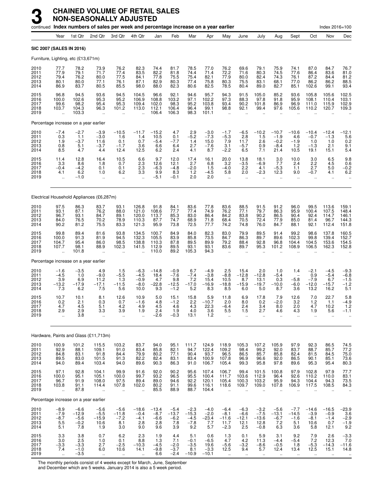|                                      |                                                                  |                                                       | continued Index numbers of sales per week and percentage increase on a year earlier |                                            |                                                          |                                           |                                              |                                              |                                             |                                                             |                                                      |                                                      |                                                        |                                                   |                                               | Index 2016=100                                         |                                                                           |
|--------------------------------------|------------------------------------------------------------------|-------------------------------------------------------|-------------------------------------------------------------------------------------|--------------------------------------------|----------------------------------------------------------|-------------------------------------------|----------------------------------------------|----------------------------------------------|---------------------------------------------|-------------------------------------------------------------|------------------------------------------------------|------------------------------------------------------|--------------------------------------------------------|---------------------------------------------------|-----------------------------------------------|--------------------------------------------------------|---------------------------------------------------------------------------|
|                                      | Year                                                             | 1st Qtr                                               | 2nd Qtr                                                                             | 3rd Qtr                                    | 4th Qtr                                                  | Jan                                       | Feb                                          | Mar                                          | Apr                                         | May                                                         | June                                                 | July                                                 | Aug                                                    | Sept                                              | Oct                                           | Nov                                                    | Dec                                                                       |
| <b>SIC 2007 (SALES IN 2016)</b>      |                                                                  |                                                       |                                                                                     |                                            |                                                          |                                           |                                              |                                              |                                             |                                                             |                                                      |                                                      |                                                        |                                                   |                                               |                                                        |                                                                           |
|                                      |                                                                  | Furniture, Lighting, etc (£13,671m)                   |                                                                                     |                                            |                                                          |                                           |                                              |                                              |                                             |                                                             |                                                      |                                                      |                                                        |                                                   |                                               |                                                        |                                                                           |
| 2010<br>2011<br>2012<br>2013<br>2014 | 77.7<br>77.9<br>79.4<br>80.1<br>86.9                             | 78.2<br>79.1<br>76.2<br>80.0<br>83.7                  | 73.9<br>71.7<br>80.0<br>77.1<br>80.5                                                | 76.2<br>77.4<br>77.5<br>76.1<br>85.5       | 82.3<br>83.5<br>84.1<br>87.1<br>98.0                     | 74.4<br>82.2<br>77.8<br>82.9<br>88.0      | 81.7<br>81.8<br>75.5<br>80.3<br>82.3         | 78.5<br>74.4<br>75.4<br>77.4<br>80.6         | 77.0<br>71.4<br>82.1<br>75.8<br>82.5        | 76.2<br>72.2<br>77.9<br>80.3<br>78.5                        | 69.6<br>71.6<br>80.0<br>75.5<br>80.4                 | 79.1<br>80.3<br>82.4<br>83.1<br>89.0                 | 75.9<br>74.5<br>74.3<br>68.1<br>82.7                   | 74.1<br>77.6<br>76.1<br>77.0<br>85.1              | 87.0<br>86.4<br>87.2<br>86.2<br>102.6         | 84.7<br>83.6<br>84.4<br>86.2<br>99.1                   | 76.7<br>81.0<br>$81.2$<br>$88.5$<br>93.4                                  |
| 2015<br>2016<br>2017<br>2018<br>2019 | 96.8<br>100.0<br>99.6<br>103.7<br>ă,                             | 94.5<br>102.6<br>98.2<br>104.3<br>103.3               | 93.6<br>95.3<br>95.4<br>96.3                                                        | 94.5<br>95.2<br>95.3<br>101.2              | 104.5<br>106.9<br>109.4<br>113.0<br>$\ddot{\phantom{a}}$ | 96.6<br>108.8<br>102.0<br>112.1<br>106.4  | 92.1<br>103.2<br>98.3<br>106.4<br>106.3      | 94.6<br>97.1<br>95.2<br>96.4<br>98.3         | 95.7<br>102.2<br>103.8<br>99.1<br>101.1     | 94.3<br>97.3<br>93.4<br>98.8<br>$\mathbf{r}$                | 91.5<br>88.3<br>90.2<br>92.1                         | 105.0<br>97.8<br>101.8<br>99.4                       | 85.2<br>91.8<br>86.9<br>97.6                           | 93.6<br>95.9<br>96.9<br>105.6                     | 105.8<br>108.1<br>111.0<br>110.2              | 105.6<br>110.4<br>115.9<br>120.7                       | 102.5<br>103.1<br>102.9<br>109.3                                          |
|                                      |                                                                  | Percentage increase on a year earlier                 |                                                                                     |                                            |                                                          |                                           |                                              |                                              |                                             |                                                             |                                                      |                                                      |                                                        |                                                   |                                               |                                                        |                                                                           |
| 2010<br>2011<br>2012<br>2013<br>2014 | $-7.4$<br>0.3<br>1.9<br>0.8<br>8.5                               | $-2.7$<br>1.1<br>$-3.7$<br>5.1<br>4.7                 | $-3.9$<br>$-3.0$<br>11.6<br>$-3.7$<br>4.4                                           | $-10.5$<br>1.6<br>0.1<br>$-1.7$<br>12.4    | $-11.7$<br>1.4<br>0.7<br>3.6<br>12.5                     | $-15.2$<br>10.5<br>$-5.4$<br>6.6<br>6.2   | 4.7<br>0.1<br>$-7.7$<br>6.4<br>2.4           | $2.9 - 5.2$<br>1.4<br>2.7<br>4.1             | $-3.0$<br>$-7.3$<br>15.0<br>$-7.6$<br>8.7   | $-1.7$<br>$-5.3$<br>7.9<br>3.1<br>$-2.2$                    | $-6.5$<br>2.8<br>11.7<br>$-5.7$<br>6.5               | $-10.2$<br>1.5<br>2.6<br>0.9<br>7.1                  | $-10.7$<br>$-1.9$<br>$-0.2$<br>$-8.4$<br>21.4          | $-10.6$<br>4.6<br>$-1.9$<br>$1.2$<br>10.5         | $-10.4$<br>$-0.7$<br>1.0<br>$-1.3$<br>19.1    | $-12.4$<br>$-1.3$<br>1.0<br>2.1<br>15.1                | $-12.1$<br>$\begin{array}{c} 5.6 \\ 0.2 \end{array}$<br>$\frac{9.1}{5.4}$ |
| 2015<br>2016<br>2017<br>2018<br>2019 | 11.4<br>3.3<br>$-0.4$<br>4.1<br>ă,                               | 12.8<br>8.6<br>$-4.2$<br>6.2<br>$-1.0$                | 16.4<br>1.8<br>0.1<br>1.0<br>$\ddotsc$                                              | 10.5<br>0.7<br>0.1<br>6.2<br>$\ldots$      | 6.6<br>2.3<br>2.3<br>3.3<br>$\ddot{\phantom{a}}$         | 9.7<br>12.6<br>$-6.3$<br>9.9<br>$-5.1$    | 12.0<br>12.1<br>$-4.8$<br>8.3<br>$-0.1$      | 17.4<br>2.7<br>$-2.0$<br>$1.2$<br>2.0        | 16.1<br>6.8<br>1.5<br>$-4.5$<br>2.0         | 20.0<br>3.2<br>$-4.0$<br>5.8<br>ä,                          | 13.8<br>$-3.5$<br>2.2<br>2.0<br>ä.                   | 18.1<br>$-6.9$<br>4.1<br>$-2.3$<br>ä.                | 3.0<br>7.7<br>$-5.3$<br>12.3<br>ä,                     | 10.0<br>2.4<br>1.1<br>9.0<br>$\ddot{\phantom{a}}$ | 3.0<br>2.2<br>2.7<br>$-0.7$<br>$\ddotsc$      | 6.5<br>4.5<br>5.0<br>4.1<br>$\ldots$                   | 9.8<br>0.6<br>$-0.2$<br>6.2<br>$\ddotsc$                                  |
|                                      |                                                                  |                                                       | Electrical Household Appliances (£6,287m)                                           |                                            |                                                          |                                           |                                              |                                              |                                             |                                                             |                                                      |                                                      |                                                        |                                                   |                                               |                                                        |                                                                           |
| 2010<br>2011<br>2012<br>2013<br>2014 | 97.5<br>93.1<br>96.7<br>84.0<br>90.2                             | 86.3<br>87.1<br>93.1<br>76.5<br>81.2                  | 83.7<br>76.2<br>84.7<br>70.2<br>75.5                                                | 93.1<br>88.0<br>89.1<br>78.9<br>83.3       | 126.8<br>121.0<br>120.0<br>110.3<br>121.3                | 91.8<br>108.6<br>113.7<br>87.7<br>95.9    | 84.1<br>77.7<br>85.3<br>74.7<br>73.8         | 83.6<br>77.4<br>83.0<br>68.9<br>72.5         | 77.8<br>74.9<br>86.4<br>71.8<br>77.7        | 83.6<br>76.2<br>84.2<br>68.4<br>74.2                        | 88.5<br>77.1<br>83.8<br>70.5<br>74.8                 | 91.5<br>79.7<br>90.2<br>72.4<br>76.0                 | 91.2<br>86.3<br>86.5<br>77.9<br>84.7                   | 96.0<br>95.9<br>90.4<br>85.0<br>88.1              | 99.5<br>100.4<br>92.4<br>81.4<br>92.1         | 113.6<br>107.5<br>114.7<br>96.7<br>112.4               | 159.1<br>148.4<br>146.1<br>144.3<br>151.8                                 |
| 2015<br>2016<br>2017<br>2018<br>2019 | 99.8<br>100.0<br>104.7<br>107.7<br>$\ddotsc$                     | 89.4<br>91.3<br>95.4<br>98.1<br>101.8                 | 81.6<br>81.9<br>86.0<br>88.9<br>$\ddot{\phantom{a}}$                                | 93.8<br>94.5<br>98.5<br>102.3<br>$\ddotsc$ | 134.5<br>132.3<br>138.8<br>141.5<br>$\ddot{\phantom{a}}$ | 100.7<br>105.5<br>110.3<br>112.9<br>110.0 | 84.9<br>83.9<br>87.8<br>89.5<br>89.2         | 84.0<br>85.8<br>89.5<br>93.1<br>105.3        | 82.3<br>73.5<br>89.9<br>93.1<br>94.3        | 83.0<br>84.7<br>79.2<br>83.6<br>$\ddot{\phantom{a}}$        | 79.9<br>86.3<br>88.4<br>89.7<br>$\ddot{\phantom{a}}$ | 89.5<br>89.7<br>92.8<br>95.3                         | 91.4<br>89.6<br>96.8<br>101.2<br>$\ddotsc$             | 99.2<br>102.3<br>104.4<br>108.9                   | 98.6<br>99.8<br>104.5<br>106.5                | 137.8<br>139.4<br>153.6<br>162.3                       | 160.5<br>152.7<br>154.5<br>152.8                                          |
|                                      |                                                                  | Percentage increase on a year earlier                 |                                                                                     |                                            |                                                          |                                           |                                              |                                              |                                             |                                                             |                                                      |                                                      |                                                        |                                                   |                                               |                                                        |                                                                           |
| 2010<br>2011<br>2012<br>2013<br>2014 | $-1.6$<br>$-4.5$<br>3.9<br>$-13.2$<br>7.3                        | $-3.5$<br>1.0<br>6.9<br>$-17.9$<br>6.2                | 4.9<br>$-9.0$<br>11.2<br>$-17.1$<br>7.5                                             | 1.5<br>$-5.5$<br>1.3<br>$-11.5$<br>5.6     | $-6.3$<br>$-4.5$<br>$-0.9$<br>$-8.0$<br>10.0             | $-14.8$<br>18.4<br>4.7<br>$-22.8$<br>9.3  | $-0.9$<br>$-7.6$<br>9.8<br>$-12.5$<br>$-1.2$ | 6.7<br>$-7.4$<br>7.2<br>$-17.0$<br>5.2       | $-4.9$<br>$-3.8$<br>15.4<br>$-16.9$<br>8.3  | 2.5<br>$-8.8$<br>10.5<br>$-18.8$<br>8.5                     | 15.4<br>$-12.8$<br>8.7<br>$-15.9$<br>6.0             | 2.0<br>$-12.8$<br>13.1<br>$-19.7$<br>5.0             | 1.0<br>$-5.4$<br>0.3<br>$-10.0$<br>8.7                 | 1.4<br>$-5.8$<br>$-6.0$<br>3.6                    | $-2.1$<br>0.9<br>$-7.9$<br>$-12.0$<br>13.2    | $-4.5$<br>$-5.4$<br>6.7<br>$-15.7$<br>16.2             | $-9.3$<br>$-6.8$<br>$-1.5$<br>$-1.2$<br>5.1                               |
| 2015<br>2016<br>2017<br>2018<br>2019 | 10.7<br>0.2<br>4.7<br>2.9<br>ă,                                  | 10.1<br>2.1<br>4.5<br>2.9<br>3.8                      | 8.1<br>0.3<br>5.1<br>3.3<br>$\ddot{\phantom{a}}$                                    | 12.6<br>0.7<br>4.2<br>3.9<br>ä,            | 10.9<br>$-1.6$<br>4.9<br>1.9<br>$\ddotsc$                | 5.0<br>4.8<br>4.5<br>2.4<br>$-2.6$        | 15.1<br>$-1.2$<br>4.6<br>1.9<br>$-0.3$       | 15.8<br>2.2<br>4.3<br>4.0<br>13.1            | 5.9<br>$-10.7$<br>22.3<br>$\frac{3.6}{1.2}$ | 11.8<br>2.0<br>$-6.4$<br>5.5<br>ä,                          | 6.9<br>8.0<br>2.4<br>1.5<br>$\ddot{\phantom{a}}$     | 17.8<br>0.2<br>3.4<br>2.7<br>ä.                      | 7.9<br>$-2.0$<br>8.0<br>4.6<br>$\mathbf{r}$            | 12.6<br>3.2<br>2.0<br>4.3<br>$\ddot{\phantom{a}}$ | 7.0<br>1.2<br>4.7<br>1.9<br>ä.                | 22.7<br>1.1<br>10.2<br>5.6<br>ä.                       | 5.8<br>$-4.9$<br>1.2<br>$-1.1$                                            |
|                                      |                                                                  |                                                       | Hardware, Paints and Glass (£11,713m)                                               |                                            |                                                          |                                           |                                              |                                              |                                             |                                                             |                                                      |                                                      |                                                        |                                                   |                                               |                                                        |                                                                           |
| 2010<br>2011<br>2012<br>2013<br>2014 | 100.9<br>92.9<br>84.8<br>89.5<br>94.0                            | 101.2<br>88.1<br>83.1<br>83.0<br>89.4                 | 115.5<br>109.1<br>91.8<br>101.5<br>103.4                                            | 103.2<br>91.0<br>84.4<br>91.3<br>94.0      | 83.7<br>$\frac{83.4}{79.9}$<br>82.2<br>89.6              | 94.0<br>85.8<br>80.2<br>82.4<br>90.3      | 95.1<br>82.1<br>77.1<br>83.1<br>86.3         | 111.7<br>94.7<br>90.4<br>83.4<br>91.0        | 124.9<br>122.4<br>93.7<br>100.9<br>106.7    | 118.9<br>109.2<br>96.5<br>107.8<br>105.4                    | 105.3<br>98.4<br>86.5<br>96.9<br>99.3                | 107.2<br>99.2<br>85.7<br>96.6<br>95.8                | 105.9<br>92.0<br>85.8<br>92.0<br>97.8                  | 97.9<br>83.7<br>82.4<br>86.5<br>89.6              | 92.3<br>88.7<br>81.5<br>90.1<br>95.3          | 86.5<br>85.7<br>84.5<br>85.1<br>95.4                   | 74.5<br>77.2<br>75.0<br>73.6<br>80.3                                      |
| 2015<br>2016<br>2017<br>2018<br>2019 | 97.1<br>100.0<br>96.7<br>103.8<br>$\ddotsc$                      | 92.8<br>95.1<br>91.9<br>91.1<br>87.8                  | 104.1<br>105.1<br>108.0<br>114.4<br>$\ddot{\phantom{a}}$                            | 99.9<br>100.0<br>97.5<br>107.8<br>ä,       | 91.6<br>99.7<br>89.4<br>102.0<br>÷.                      | 92.0<br>93.2<br>89.0<br>80.2<br>85.5      | 90.2<br>96.5<br>94.6<br>91.1<br>88.9         | 95.6<br>95.5<br>92.2<br>99.6<br>88.7         | 107.4<br>100.4<br>120.1<br>116.1<br>104.4   | 106.7<br>111.7<br>105.4<br>118.6<br>ä,                      | 99.4<br>103.6<br>100.3<br>109.7<br>$\ddotsc$         | 101.5<br>112.9<br>103.2<br>109.0<br>$\ddotsc$        | 100.8<br>96.4<br>95.9<br>107.8<br>$\ddot{\phantom{a}}$ | 97.9<br>92.6<br>94.3<br>106.9<br>$\ddotsc$        | 102.8<br>110.2<br>104.4<br>117.5<br>$\ddotsc$ | 97.9<br>110.0<br>94.3<br>108.5<br>$\ddot{\phantom{a}}$ | 77.7<br>83.1<br>73.5<br>84.3                                              |
|                                      |                                                                  | Percentage increase on a year earlier                 |                                                                                     |                                            |                                                          |                                           |                                              |                                              |                                             |                                                             |                                                      |                                                      |                                                        |                                                   |                                               |                                                        |                                                                           |
| 2010<br>2011<br>2012<br>2013<br>2014 | $-8.9$<br>$-7.9$<br>$-8.7$<br>5.5<br>5.1                         | $-6.6$<br>-12.9<br>$-5.6$<br>$-0.\overline{2}$<br>7.8 | $-5.6$<br>$-5.5$<br>$-15.9$<br>10.6<br>1.9                                          | $-5.6$<br>$-11.8$<br>$-7.2$<br>8.1<br>3.0  | $-18.6$<br>$-0.4$<br>$-4.1$<br>2.8<br>9.0                | $-13.4$<br>$-8.7$<br>$-6.6$<br>2.8<br>9.6 | $-5.4$<br>$-13.7$<br>$-6.2$<br>7.8<br>3.9    | $-2.3$<br>$-15.3$<br>$-4.5$<br>$-7.8$<br>9.2 | $-4.0$<br>$-2.0$<br>$-23.4$<br>7.7<br>5.7   | $-6.4$<br>$-8.1$<br>$-11.6$<br>11.7<br>$-2.3$               | $-6.3$<br>$-6.6$<br>$-12.1$<br>12.1<br>2.5           | $-3.2$<br>$-7.5$<br>$-13.6$<br>12.8<br>$-0.8$        | $-5.6$<br>$-13.1$<br>$-6.7$<br>7.2<br>6.3              | $-7.7$<br>$-14.5$<br>$-1.6$<br>5.1<br>3.6         | $-14.6$<br>$-3.9$<br>$-8.1$<br>10.6<br>5.8    | $-16.5$<br>$-0.9$<br>$-1.4$<br>0.7<br>12.1             | $-23.9$<br>3.6<br>$-2.9$<br>$-1.9$<br>9.2                                 |
| 2015<br>2016<br>2017<br>2018<br>2019 | $\begin{array}{c} 3.3 \\ 3.0 \end{array}$<br>$-3.3$<br>7.4<br>ä, | $\frac{3.8}{2.5}$<br>$-3.3$<br>$-1.0$<br>$-3.5$       | 0.7<br>1.0<br>2.7<br>6.0<br>à.                                                      | 6.2<br>0.1<br>$-2.5$<br>10.6<br>ä,         | 2.3<br>8.8<br>$-10.3$<br>14.1<br>÷.                      | 1.9<br>1.3<br>$-4.5$<br>$-9.8$<br>6.6     | 4.4<br>7.1<br>$-2.0$<br>$-3.7$<br>$-2.4$     | 5.1<br>$-0.1$<br>$-3.5$<br>8.1<br>$-10.9$    | 0.6<br>$-6.5$<br>19.6<br>$-3.3$<br>$-10.1$  | $\frac{1.3}{4.7}$<br>$-5.6$<br>12.5<br>$\ddot{\phantom{a}}$ | 0.1<br>4.2<br>$-3.2$<br>9.4<br>$\ddotsc$             | 5.9<br>11.3<br>$-8.6$<br>5.7<br>$\ddot{\phantom{1}}$ | 3.1<br>$-4.4$<br>$-0.5$<br>12.4<br>$\mathbf{r}$        | $\frac{9.2}{-5.4}$<br>1.8<br>13.4<br>$\ddotsc$    | 7.9<br>7.2<br>$-5.3$<br>12.5<br>$\ddotsc$     | 2.6<br>12.3<br>$-14.3$<br>15.1<br>$\ddotsc$            | $-3.3$<br>7.0<br>$-11.6$<br>14.8<br>$\ddotsc$                             |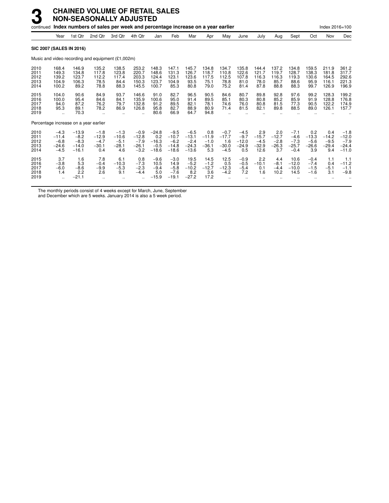|                                      |                                                  |                                                   | continued Index numbers of sales per week and percentage increase on a year earlier |                                               |                                                  |                                                |                                                   |                                                   |                                            |                                               |                                               |                                             |                                            |                                                 |                                            | Index 2016=100                             |                                                   |
|--------------------------------------|--------------------------------------------------|---------------------------------------------------|-------------------------------------------------------------------------------------|-----------------------------------------------|--------------------------------------------------|------------------------------------------------|---------------------------------------------------|---------------------------------------------------|--------------------------------------------|-----------------------------------------------|-----------------------------------------------|---------------------------------------------|--------------------------------------------|-------------------------------------------------|--------------------------------------------|--------------------------------------------|---------------------------------------------------|
|                                      | Year                                             | 1st Qtr                                           | 2nd Qtr                                                                             | 3rd Qtr                                       | 4th Qtr                                          | Jan                                            | Feb                                               | Mar                                               | Apr                                        | May                                           | June                                          | July                                        | Aug                                        | Sept                                            | Oct                                        | Nov                                        | Dec                                               |
|                                      |                                                  | <b>SIC 2007 (SALES IN 2016)</b>                   |                                                                                     |                                               |                                                  |                                                |                                                   |                                                   |                                            |                                               |                                               |                                             |                                            |                                                 |                                            |                                            |                                                   |
|                                      |                                                  |                                                   | Music and video recording and equipment (£1,002m)                                   |                                               |                                                  |                                                |                                                   |                                                   |                                            |                                               |                                               |                                             |                                            |                                                 |                                            |                                            |                                                   |
| 2010<br>2011<br>2012<br>2013<br>2014 | 168.4<br>149.3<br>139.2<br>104.9<br>100.2        | 146.9<br>134.8<br>123.7<br>106.3<br>89.2          | 135.2<br>117.8<br>112.2<br>78.5<br>78.8                                             | 138.5<br>123.8<br>117.4<br>84.4<br>88.3       | 253.2<br>220.7<br>203.3<br>150.3<br>145.5        | 148.3<br>148.6<br>124.4<br>123.7<br>100.7      | 147.1<br>131.3<br>123.1<br>104.9<br>85.3          | 145.7<br>126.7<br>123.6<br>93.5<br>80.8           | 134.8<br>118.7<br>117.5<br>75.1<br>79.0    | 134.7<br>110.8<br>112.5<br>78.8<br>75.2       | 135.8<br>122.6<br>107.8<br>81.0<br>81.4       | 144.4<br>121.7<br>116.3<br>78.0<br>87.8     | 137.2<br>119.7<br>116.3<br>85.7<br>88.8    | 134.8<br>128.7<br>119.3<br>88.6<br>88.3         | 159.5<br>138.3<br>130.6<br>95.9<br>99.7    | 211.9<br>181.8<br>164.5<br>116.1<br>126.9  | 361.2<br>317.7<br>292.6<br>221.3<br>196.9         |
| 2015<br>2016<br>2017<br>2018<br>2019 | 104.0<br>100.0<br>94.0<br>95.3                   | 90.6<br>95.4<br>87.2<br>89.1<br>70.3              | 84.9<br>84.6<br>76.2<br>78.2<br>$\ddot{\phantom{a}}$                                | 93.7<br>84.1<br>79.7<br>86.9                  | 146.6<br>135.9<br>132.8<br>126.8                 | 91.0<br>100.6<br>91.2<br>95.8<br>80.6          | 82.7<br>95.0<br>89.5<br>82.7<br>66.9              | 96.5<br>91.4<br>82.1<br>88.9<br>64.7              | 90.5<br>89.5<br>78.1<br>80.9<br>94.8       | 84.6<br>85.1<br>74.6<br>71.4                  | 80.7<br>80.3<br>76.0<br>81.5                  | 89.8<br>80.8<br>80.8<br>82.1                | 92.8<br>85.2<br>81.5<br>89.8               | 97.6<br>85.9<br>77.3<br>88.5                    | 99.2<br>91.9<br>90.5<br>89.0               | 128.3<br>128.8<br>122.2<br>126.1           | 199.2<br>176.8<br>174.9<br>157.7                  |
|                                      |                                                  | Percentage increase on a year earlier             |                                                                                     |                                               |                                                  |                                                |                                                   |                                                   |                                            |                                               |                                               |                                             |                                            |                                                 |                                            |                                            |                                                   |
| 2010<br>2011<br>2012<br>2013<br>2014 | $-4.3$<br>$-11.4$<br>$-6.8$<br>$-24.6$<br>$-4.5$ | $-13.9$<br>$-8.2$<br>$-8.3$<br>$-14.0$<br>$-16.1$ | $-1.8$<br>$-12.9$<br>$-4.7$<br>$-30.1$<br>0.4                                       | $-1.3$<br>$-10.6$<br>$-5.1$<br>$-28.1$<br>4.6 | $-0.9$<br>$-12.8$<br>$-7.9$<br>$-26.1$<br>$-3.2$ | $-24.8$<br>0.2<br>$-16.3$<br>$-0.5$<br>$-18.6$ | $-9.5$<br>$-10.7$<br>$-6.2$<br>$-14.8$<br>$-18.6$ | $-6.5$<br>$-13.1$<br>$-2.4$<br>$-24.3$<br>$-13.6$ | 0.8<br>$-11.9$<br>$-1.0$<br>$-36.1$<br>5.3 | $-0.7$<br>$-17.7$<br>1.6<br>$-30.0$<br>$-4.5$ | $-4.5$<br>$-9.7$<br>$-12.0$<br>$-24.9$<br>0.5 | 2.9<br>$-15.7$<br>$-4.5$<br>$-32.9$<br>12.6 | 2.0<br>$-12.7$<br>$-2.8$<br>$-26.3$<br>3.7 | $-7.1$<br>$-4.6$<br>$-7.3$<br>$-25.7$<br>$-0.4$ | 0.2<br>$-13.3$<br>$-5.6$<br>$-26.6$<br>3.9 | 0.4<br>$-14.2$<br>$-9.5$<br>$-29.4$<br>9.4 | $-1.8$<br>$-12.0$<br>$-7.9$<br>$-24.4$<br>$-11.0$ |
| 2015<br>2016<br>2017<br>2018<br>2019 | 3.7<br>$-3.8$<br>$-6.0$<br>1.4                   | 1.6<br>5.3<br>$-8.6$<br>2.2<br>$-21.1$            | 7.8<br>$-0.4$<br>$-9.9$<br>2.6                                                      | 6.1<br>$-10.3$<br>$-5.3$<br>9.1               | 0.8<br>$-7.3$<br>$-2.3$<br>$-4.4$                | $-9.6$<br>10.5<br>$-9.4$<br>5.0<br>$-15.9$     | $-3.0$<br>14.9<br>$-5.8$<br>$-7.6$<br>$-19.1$     | 19.5<br>$-5.2$<br>$-10.2$<br>8.2<br>$-27.2$       | 14.5<br>$-1.2$<br>$-12.7$<br>3.6<br>17.2   | 12.5<br>0.5<br>$-12.3$<br>$-4.2$              | $-0.9$<br>$-0.5$<br>$-5.4$<br>7.2             | 2.2<br>$-10.1$<br>0.1<br>1.6                | 4.4<br>$-8.1$<br>$-4.4$<br>10.2            | 10.6<br>$-12.0$<br>$-10.0$<br>14.5              | $-0.4$<br>$-7.4$<br>$-1.5$<br>$-1.6$       | 1.1<br>0.4<br>$-5.1$<br>3.1                | 1.1<br>$-11.2$<br>$-1.1$<br>$-9.8$                |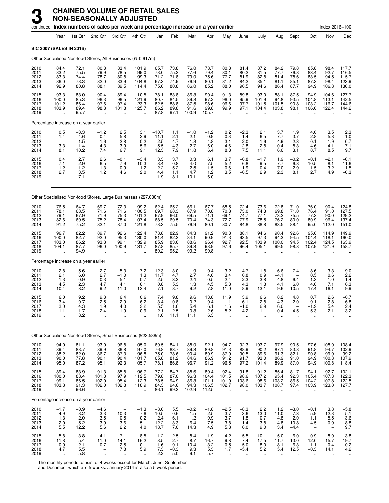|                                      |                                                              |                                              | continued Index numbers of sales per week and percentage increase on a year earlier |                                                             |                                              |                                             |                                       |                                        |                                          |                                                        |                                                       |                                                                       |                                              |                                                      |                                                         | Index 2016=100                                                                          |                                                         |
|--------------------------------------|--------------------------------------------------------------|----------------------------------------------|-------------------------------------------------------------------------------------|-------------------------------------------------------------|----------------------------------------------|---------------------------------------------|---------------------------------------|----------------------------------------|------------------------------------------|--------------------------------------------------------|-------------------------------------------------------|-----------------------------------------------------------------------|----------------------------------------------|------------------------------------------------------|---------------------------------------------------------|-----------------------------------------------------------------------------------------|---------------------------------------------------------|
|                                      | Year                                                         | 1st Qtr                                      | 2nd Qtr                                                                             | 3rd Qtr                                                     | 4th Qtr                                      | Jan                                         | Feb                                   | Mar                                    | Apr                                      | May                                                    | June                                                  | July                                                                  | Aug                                          | Sept                                                 | Oct                                                     | Nov                                                                                     | Dec                                                     |
| <b>SIC 2007 (SALES IN 2016)</b>      |                                                              |                                              |                                                                                     |                                                             |                                              |                                             |                                       |                                        |                                          |                                                        |                                                       |                                                                       |                                              |                                                      |                                                         |                                                                                         |                                                         |
|                                      |                                                              |                                              | Other Specialised Non-food Stores, All Businesses (£50,617m)                        |                                                             |                                              |                                             |                                       |                                        |                                          |                                                        |                                                       |                                                                       |                                              |                                                      |                                                         |                                                                                         |                                                         |
| 2010<br>2011<br>2012<br>2013<br>2014 | 84.4<br>83.2<br>83.3<br>86.0<br>92.9                         | 72.1<br>75.5<br>74.4<br>73.3<br>80.8         | 80.3<br>79.9<br>78.7<br>82.0<br>88.1                                                | 83.4<br>78.5<br>80.8<br>83.9<br>89.5                        | 101.9<br>99.0<br>99.3<br>104.8<br>114.4      | 65.7<br>73.0<br>71.2<br>67.3<br>75.6        | 73.8<br>75.3<br>71.8<br>74.9<br>80.8  | 76.0<br>77.6<br>79.0<br>76.9<br>86.0   | 78.7<br>79.4<br>75.6<br>80.1<br>85.2     | 80.3<br>80.1<br>77.7<br>81.2<br>88.0                   | 81.4<br>80.2<br>81.9<br>84.2<br>90.5                  | 87.2<br>81.5<br>82.8<br>85.1<br>94.6                                  | 84.2<br>77.7<br>81.4<br>81.1<br>86.4         | 79.8<br>76.8<br>78.6<br>85.1<br>87.7                 | 85.8<br>83.4<br>83.5<br>87.3<br>94.9                    | 98.4<br>92.7<br>94.5<br>98.4<br>106.8                                                   | 117.7<br>116.5<br>115.7<br>123.9<br>136.0               |
| 2015<br>2016<br>2017<br>2018<br>2019 | 93.3<br>100.0<br>101.2<br>103.9                              | 83.0<br>85.3<br>86.4<br>89.4<br>95.7         | 90.4<br>96.3<br>97.6<br>98.8<br>$\ddot{\phantom{a}}$                                | 89.4<br>96.5<br>97.4<br>101.8<br>$\ddot{\phantom{a}}$       | 110.5<br>121.9<br>123.3<br>125.7<br>ä,       | 78.1<br>80.7<br>82.5<br>86.2<br>87.8        | 83.8<br>84.5<br>88.8<br>89.8<br>97.1  | 86.3<br>89.8<br>87.5<br>91.6<br>100.9  | 90.4<br>97.2<br>98.6<br>99.8<br>105.7    | 91.3<br>96.0<br>96.6<br>99.9<br>$\ddot{\phantom{a}}$   | 89.8<br>95.9<br>97.7<br>97.1<br>$\ddot{\phantom{a}}$  | 93.0<br>101.9<br>101.5<br>104.4                                       | 88.1<br>94.8<br>101.5<br>103.8               | 87.5<br>93.5<br>90.8<br>98.1<br>$\ddot{\phantom{a}}$ | 94.9<br>104.8<br>103.2<br>106.0<br>$\sim$               | 104.6<br>113.1<br>116.7<br>122.4<br>$\ddot{\phantom{a}}$                                | 127.7<br>142.5<br>144.6<br>144.2                        |
|                                      |                                                              | Percentage increase on a year earlier        |                                                                                     |                                                             |                                              |                                             |                                       |                                        |                                          |                                                        |                                                       |                                                                       |                                              |                                                      |                                                         |                                                                                         |                                                         |
| 2010<br>2011<br>2012<br>2013<br>2014 | $0.5 - 1.4$<br>$\overline{\phantom{0}}$<br>$\frac{3.3}{8.1}$ | $-3.3$<br>4.6<br>$-1.5$<br>$-1.4$<br>10.2    | $-1.2$<br>$-0.4$<br>$-1.6$<br>4.3<br>7.4                                            | $^{2.5}_{-5.8}$<br>2.8<br>$\frac{3.9}{6.7}$                 | 3.1<br>$-2.9$<br>0.2<br>5.6<br>9.1           | $-10.7$<br>11.1<br>$-2.5$<br>$-5.5$<br>12.3 | 1.1<br>2.1<br>$-4.7$<br>4.3<br>7.9    | $-1.0$<br>2.1<br>1.8<br>$-2.7$<br>11.8 | $^{-1.2}_{0.9}$<br>$-4.8$<br>6.0<br>6.4  | $_{-0.3}^{0.2}$<br>$-3.1$<br>4.6<br>8.3                | $-2.3 - 1.4$<br>2.0<br>$^{2.8}_{7.5}$                 | $^{2.1}_{-6.5}$<br>1.6<br>2.8<br>11.1                                 | $\frac{3.7}{-7.7}$<br>4.9<br>$-0.4$<br>6.6   | $1.9 - 3.7$<br>2.3<br>8.3<br>3.1                     | 4.0<br>$-2.8$<br>0.1<br>4.6<br>8.7                      | $\begin{array}{c} 3.5 \\ -5.8 \end{array}$<br>1.9<br>4.1<br>8.5                         | $^{2.3}_{-1.0}$<br>$-0.7$<br>$7.1$<br>9.7               |
| 2015<br>2016<br>2017<br>2018<br>2019 | $0.4$<br>7.1<br>1.2<br>2.7<br>$\ddot{\phantom{a}}$           | 2.7<br>$\overline{2.9}$<br>1.2<br>3.5<br>7.1 | $^{2.6}_{6.5}$<br>1.3<br>1.2<br>$\ddot{\phantom{a}}$                                | $-0.1$<br>7.9<br>0.9<br>4.6                                 | $-3.4$<br>10.3<br>1.2<br>2.0<br>$\ddotsc$    | $\frac{3.3}{3.4}$<br>2.2<br>4.4<br>1.9      | 3.7<br>0.8<br>5.2<br>1.1<br>8.1       | $0.3$<br>4.0<br>$-2.5$<br>4.7<br>10.1  | 6.1<br>7.5<br>1.5<br>$1.2$<br>6.0        | $\frac{3.7}{5.2}$<br>0.6<br>3.5                        | $^{-0.8}_{6.8}$<br>1.9<br>$-0.5$                      | $-1.7$<br>9.5<br>$-0.4$<br>2.9<br>ä.                                  | $\frac{1.9}{7.7}$<br>7.0<br>2.3<br>$\ddotsc$ | $-0.2$<br>$6.\overline{8}$<br>$-2.9$<br>8.1          | $\frac{-0.1}{10.5}$<br>$-1.5$<br>2.7                    | $-2.1$<br>8.1<br>3.2<br>4.9<br>$\ddotsc$                                                | $-6.1$<br>11.6<br>1.5<br>$-0.3$                         |
|                                      |                                                              |                                              | Other Specialised Non-food Stores, Large Businesses (£27,030m)                      |                                                             |                                              |                                             |                                       |                                        |                                          |                                                        |                                                       |                                                                       |                                              |                                                      |                                                         |                                                                                         |                                                         |
| 2010<br>2011<br>2012<br>2013<br>2014 | 76.5<br>78.1<br>79.1<br>82.6<br>91.2                         | 64.7<br>68.5<br>67.9<br>69.5<br>75.2         | 69.7<br>71.6<br>71.9<br>75.2<br>82.1                                                | 72.3<br>71.6<br>75.3<br>78.4<br>87.0                        | 99.2<br>100.5<br>101.2<br>107.4<br>121.8     | 62.4<br>69.7<br>67.9<br>68.5<br>73.3        | 65.2<br>68.3<br>66.0<br>69.5<br>75.5  | 66.1<br>67.9<br>69.5<br>70.4<br>76.9   | 67.7<br>70.8<br>71.1<br>74.3<br>80.1     | 68.5<br>70.8<br>69.1<br>72.7<br>80.7                   | 72.4<br>73.0<br>74.7<br>77.9<br>84.8                  | 73.6<br>74.3<br>77.1<br>78.5<br>88.8                                  | 72.8<br>69.8<br>73.2<br>76.2<br>83.5         | 71.0<br>71.0<br>75.5<br>80.0<br>88.4                 | 76.0<br>76.4<br>77.3<br>80.9<br>95.0                    | 90.4<br>91.0<br>90.0<br>96.4<br>112.0                                                   | 124.8<br>127.5<br>129.2<br>137.4<br>151.0               |
| 2015<br>2016<br>2017<br>2018<br>2019 | 96.7<br>100.0<br>103.0<br>104.1                              | 82.2<br>82.7<br>86.2<br>87.7<br>94.9         | 89.7<br>92.0<br>93.8<br>96.0                                                        | 92.6<br>95.3<br>99.1<br>100.9                               | 122.4<br>130.0<br>132.9<br>131.7             | 78.8<br>81.4<br>85.9<br>87.8<br>89.2        | 82.9<br>82.3<br>83.6<br>85.7<br>95.2  | 84.3<br>84.1<br>88.6<br>89.3<br>99.2   | 91.2<br>90.9<br>96.4<br>93.9<br>99.8     | 90.3<br>91.3<br>92.7<br>97.6                           | 88.1<br>93.5<br>92.5<br>96.4                          | 94.6<br>97.3<br>103.9<br>105.1                                        | 90.4<br>94.3<br>100.0<br>99.5                | 92.6<br>94.5<br>94.5<br>98.8                         | 95.6<br>104.4<br>102.4<br>107.9                         | 114.9<br>118.1<br>124.5<br>121.9                                                        | 149.9<br>160.0<br>163.9<br>158.7                        |
|                                      |                                                              | Percentage increase on a year earlier        |                                                                                     |                                                             |                                              |                                             |                                       |                                        |                                          |                                                        |                                                       |                                                                       |                                              |                                                      |                                                         |                                                                                         |                                                         |
| 2010<br>2011<br>2012<br>2013<br>2014 | 2.8<br>2.1<br>1.3<br>4.5<br>10.4                             | $-5.6$<br>6.0<br>$-0.9$<br>2.3<br>8.2        | 2.7<br>2.7<br>0.3<br>4.7<br>9.2                                                     | 5.3<br>$-1.0$<br>5.1<br>4.1<br>11.0                         | 7.2<br>$^{1.3}_{0.7}$<br>6.1<br>13.4         | $-12.3$<br>11.7<br>$-2.5$<br>0.8<br>7.1     | $-3.0$<br>4.7<br>$-3.3$<br>5.3<br>8.7 | $-1.9$<br>2.7<br>2.4<br>1.3<br>9.2     | $-0.4$<br>4.6<br>0.5<br>4.5<br>7.8       | 3.2<br>3.4<br>$-2.4$<br>5.3<br>11.0                    | 4.7<br>0.8<br>2.3<br>4.3<br>8.9                       | 1.8<br>0.9<br>3.8<br>1.8<br>13.1                                      | 6.6<br>$-4.1$<br>4.8<br>4.1<br>9.6           | 7.4<br>6.4<br>6.0<br>10.5                            | 8.6<br>0.5<br>1.3<br>4.6<br>17.4                        | 3.3<br>0.6<br>$-1.0$<br>7.1<br>16.1                                                     | 9.0<br>$2.2$<br>1.4<br>6.3<br>9.9                       |
| 2015<br>2016<br>2017<br>2018<br>2019 | 6.0<br>3.4<br>3.0<br>1.1<br>$\ddotsc$                        | 9.2<br>0.7<br>4.3<br>1.7<br>8.2              | 9.3<br>2.5<br>1.9<br>2.4<br>$\ddot{\phantom{a}}$                                    | 6.4<br>2.9<br>4.0<br>1.9                                    | 0.6<br>$6.2$<br>2.2<br>-0.9                  | 7.4<br>3.4<br>5.5<br>2.1<br>1.6             | 9.8<br>$-0.8$<br>1.6<br>2.5<br>11.1   | 9.6<br>$-0.2$<br>5.4<br>0.8<br>11.1    | 13.8<br>-0.4<br>6.1<br>-2.6<br>6.3       | 11.9<br>1.1<br>1.6<br>5.2<br>П,                        | 3.9<br>6.1<br>$-1.0$<br>4.2<br>ä,                     | 6.6<br>2.8<br>6.9<br>1.1<br>ä.                                        | 8.2<br>4.3<br>6.0<br>-0.4<br>                | 4.8<br>2.0<br>4.5                                    | 0.7<br>9.1<br>$-1.9$<br>5.3                             | 2.6<br>2.8<br>5.4<br>-2.1                                                               | $-0.7$<br>6.8<br>2.4<br>-3.2                            |
|                                      |                                                              |                                              | Other Specialised Non-food Stores, Small Businesses (£23,588m)                      |                                                             |                                              |                                             |                                       |                                        |                                          |                                                        |                                                       |                                                                       |                                              |                                                      |                                                         |                                                                                         |                                                         |
| 2010<br>2011<br>2012<br>2013<br>2014 | 94.0<br>89.4<br>88.2<br>90.0<br>95.0                         | 81.1<br>83.7<br>82.0<br>77.8<br>87.2         | 93.0<br>89.9<br>86.7<br>90.1<br>95.1                                                | 96.8<br>86.8<br>87.3<br>90.4<br>92.3                        | 105.0<br>97.0<br>96.8<br>101.7<br>105.7      | 69.5<br>76.8<br>75.0<br>65.8<br>78.1        | 84.1<br>83.7<br>78.6<br>81.2<br>86.8  | 88.0<br>89.3<br>90.4<br>84.6<br>96.7   | 92.1<br>89.8<br>80.9<br>86.9<br>91.2     | 94.7<br>91.3<br>87.9<br>91.2<br>96.5                   | 92.3<br>88.9<br>90.5<br>91.7<br>97.2                  | 103.7<br>$\begin{array}{c} 90.2 \\ 89.6 \end{array}$<br>93.0<br>101.4 | 97.9<br>87.1<br>91.3<br>86.9<br>89.9         | 90.5<br>83.8<br>82.1<br>91.0<br>87.0                 | 97.6<br>91.8<br>90.8<br>94.9<br>94.9                    | 108.0<br>94.7<br>99.9<br>100.8<br>100.8                                                 | 108.4<br>102.9<br>99.2<br>107.9<br>118.4                |
| 2015<br>2016<br>2017<br>2018<br>2019 | 89.4<br>100.0<br>99.1<br>103.8<br>$\ddot{\phantom{a}}$       | 83.9<br>88.4<br>86.5<br>91.3<br>96.6         | 91.3<br>101.3<br>102.0<br>102.0<br>$\mathbf{r}$                                     | 85.8<br>97.9<br>95.4<br>102.8<br>ä.                         | 96.7<br>112.5<br>112.3<br>118.9<br>$\ddotsc$ | 77.2<br>79.8<br>78.5<br>84.3<br>86.1        | 84.7<br>87.0<br>94.9<br>94.6<br>99.3  | 88.6<br>96.3<br>86.3<br>94.3<br>102.9  | 89.4<br>104.4<br>101.1<br>106.5<br>112.5 | 92.4<br>101.5<br>101.0<br>102.7<br>$\bar{\mathbf{r}}$  | 91.8<br>98.6<br>103.6<br>98.0<br>$\ddot{\phantom{a}}$ | 91.2<br>107.2<br>98.6<br>103.7<br>$\ddot{\phantom{a}}$                | 85.4<br>95.4<br>103.2<br>108.7<br>$\ddotsc$  | 81.7<br>92.3<br>86.5<br>97.4<br>$\ddotsc$            | 94.1<br>105.4<br>104.2<br>103.9<br>$\ddot{\phantom{a}}$ | 92.7<br>107.3<br>107.8<br>123.0<br>$\mathbf{r}$                                         | 102.1<br>122.3<br>122.5<br>127.7                        |
|                                      |                                                              | Percentage increase on a year earlier        |                                                                                     |                                                             |                                              |                                             |                                       |                                        |                                          |                                                        |                                                       |                                                                       |                                              |                                                      |                                                         |                                                                                         |                                                         |
| 2010<br>2011<br>2012<br>2013<br>2014 | $-1.7$<br>$-4.9$<br>$^{-1.3}_{2.0}$<br>5.5                   | $-0.9$<br>3.2<br>$-2.0$<br>$-5.2$<br>12.2    | $-4.6$<br>$-3.3$<br>$-3.5$<br>3.9<br>5.6                                            | $-10.3$<br>$\begin{array}{c} 0.5 \\ 3.6 \end{array}$<br>2.2 | $-1.3$<br>$-7.6$<br>$^{-0.2}_{5.1}$<br>4.0   | $-8.6$<br>10.5<br>$-2.4$<br>-12.2<br>18.7   | 5.5<br>$-0.6$<br>$-6.1$<br>3.3<br>7.0 | $-0.2$<br>1.5<br>$1.2 - 6.4$<br>14.3   | $-1.8$<br>$-2.5$<br>$-9.9$<br>7.5<br>4.9 | $-2.5$<br>$-3.7$<br>$-3.7$<br>3.8<br>5.8               | $-8.3$<br>$-3.6$<br>1.8<br>1.4<br>6.0                 | 2.2<br>$-13.0$<br>$-0.7$<br>3.8<br>9.0                                | 1.2<br>$-11.0$<br>$4.8 - 4.8$<br>3.4         | $-3.0$<br>$-7.3$<br>$^{-2.0}_{10.8}$<br>$-4.4$       | $-0.1$<br>$-5.9$<br>$-1.1$<br>4.5                       | 3.8<br>$-12.3$<br>$\begin{array}{c} 5.5 \\ 0.9 \end{array}$<br>$\overline{\phantom{a}}$ | $-5.8$<br>$-5.1$<br>$-3.6$<br>$8.8$<br>9.7              |
| 2015<br>2016<br>2017<br>2018<br>2019 | $-5.8$<br>11.8<br>$-0.9$<br>4.7<br>$\ddot{\phantom{1}}$      | $-3.8$<br>5.4<br>$-2.1$<br>5.5<br>5.8        | $-4.1$<br>11.0<br>0.7<br>$\hspace{1.0cm} - \hspace{1.0cm}$<br>$\ddot{\phantom{1}}$  | $-7.1$<br>14.1<br>$-2.5$<br>7.8<br>$\ddot{\phantom{1}}$     | $-8.5$<br>16.2<br>$-0.1$<br>5.9<br>$\ddotsc$ | $-1.2$<br>3.5<br>$-1.6$<br>7.3<br>2.2       | $-2.5$<br>2.7<br>9.1<br>$-0.3$<br>5.0 | $-8.4$<br>8.7<br>$-10.4$<br>9.3<br>9.1 | $-1.9$<br>16.7<br>$-3.2$<br>5.3<br>5.7   | $-4.2$<br>9.8<br>$-0.5$<br>1.7<br>$\ddot{\phantom{1}}$ | $-5.5$<br>7.4<br>5.0<br>$-5.4$<br>$\ddotsc$           | $-10.1$<br>17.5<br>$-8.0$<br>5.2<br>$\ddot{\phantom{1}}$              | $-5.0$<br>11.7<br>8.1<br>5.4<br>$\ddotsc$    | $-6.0$<br>13.0<br>$-6.3$<br>12.5<br>                 | $-0.9$<br>12.0<br>$-1.1$<br>$-0.3$<br>$\ddotsc$         | $-8.0$<br>15.7<br>0.4<br>14.1<br>$\ddot{\phantom{1}}$                                   | $-13.8$<br>19.7<br>$0.2$<br>4.2<br>$\ddot{\phantom{1}}$ |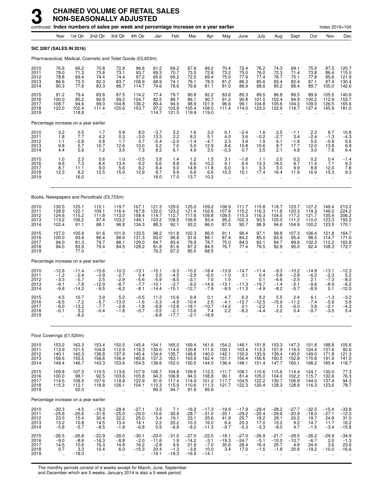|                                      |                                                          |                                                  | continued Index numbers of sales per week and percentage increase on a year earlier |                                                          |                                                          |                                                 |                                                 |                                                  |                                                |                                                   |                                                      |                                                             |                                                        |                                                           |                                              | Index 2016=100                                     |                                               |
|--------------------------------------|----------------------------------------------------------|--------------------------------------------------|-------------------------------------------------------------------------------------|----------------------------------------------------------|----------------------------------------------------------|-------------------------------------------------|-------------------------------------------------|--------------------------------------------------|------------------------------------------------|---------------------------------------------------|------------------------------------------------------|-------------------------------------------------------------|--------------------------------------------------------|-----------------------------------------------------------|----------------------------------------------|----------------------------------------------------|-----------------------------------------------|
|                                      | Year                                                     | 1st Qtr                                          | 2nd Qtr                                                                             | 3rd Qtr                                                  | 4th Qtr                                                  | Jan                                             | Feb                                             | Mar                                              | Apr                                            | May                                               | June                                                 | July                                                        | Aug                                                    | Sept                                                      | Oct                                          | Nov                                                | Dec                                           |
|                                      |                                                          | <b>SIC 2007 (SALES IN 2016)</b>                  |                                                                                     |                                                          |                                                          |                                                 |                                                 |                                                  |                                                |                                                   |                                                      |                                                             |                                                        |                                                           |                                              |                                                    |                                               |
|                                      |                                                          |                                                  | Pharmaceutical, Medical, Cosmetic and Toilet Goods (£5,603m)                        |                                                          |                                                          |                                                 |                                                 |                                                  |                                                |                                                   |                                                      |                                                             |                                                        |                                                           |                                              |                                                    |                                               |
| 2010<br>2011<br>2012<br>2013<br>2014 | 76.6<br>78.0<br>78.8<br>86.6<br>90.3                     | 66.2<br>71.3<br>69.4<br>73.3<br>77.6             | 70.8<br>73.8<br>74.4<br>82.3<br>83.3                                                | 72.9<br>73.1<br>74.4<br>83.7<br>86.7                     | 96.6<br>93.7<br>97.2<br>106.9<br>114.7                   | 61.2<br>69.3<br>65.6<br>68.9<br>74.6            | 69.2<br>70.7<br>69.2<br>74.1<br>78.6            | 67.9<br>73.5<br>72.5<br>76.1<br>79.8             | 69.2<br>72.8<br>69.4<br>78.3<br>81.1           | 70.4<br>73.2<br>75.0<br>81.2<br>81.0              | 72.4<br>75.0<br>77.9<br>86.3<br>86.9                 | 76.2<br>76.0<br>77.4<br>85.6<br>88.6                        | 74.3<br>72.3<br>76.7<br>83.4<br>85.2                   | 69.1<br>71.4<br>70.1<br>82.4<br>86.4                      | 75.5<br>73.8<br>77.8<br>87.1<br>89.7         | 87.5<br>86.4<br>85.6<br>97.4<br>105.0              | 120.7<br>115.5<br>121.9<br>130.4<br>142.6     |
| 2015<br>2016<br>2017<br>2018<br>2019 | 91.2<br>100.0<br>108.7<br>122.0<br>$\ddot{\phantom{a}}$  | 79.4<br>85.2<br>94.6<br>102.4<br>118.8           | 83.8<br>90.9<br>99.0<br>111.4<br>$\ddotsc$                                          | 87.5<br>99.2<br>104.8<br>120.6<br>$\ddot{\phantom{a}}$   | 114.2<br>124.7<br>136.2<br>153.7<br>$\ddot{\phantom{a}}$ | 77.4<br>82.5<br>89.4<br>97.2<br>114.7           | 79.7<br>86.7<br>94.5<br>103.9<br>121.5          | 80.8<br>86.1<br>98.9<br>105.4<br>119.9           | 82.2<br>90.7<br>101.3<br>108.0<br>119.0        | 83.6<br>91.2<br>96.6<br>111.4                     | 85.3<br>90.8<br>99.1<br>114.0                        | 89.5<br>101.5<br>104.8<br>123.0                             | 86.8<br>102.4<br>105.6<br>122.9                        | 86.5<br>94.9<br>104.3<br>116.7                            | 89.9<br>100.2<br>109.0<br>127.4              | 105.5<br>112.9<br>126.5<br>145.9                   | 140.6<br>153.7<br>165.6<br>181.0              |
|                                      |                                                          | Percentage increase on a year earlier            |                                                                                     |                                                          |                                                          |                                                 |                                                 |                                                  |                                                |                                                   |                                                      |                                                             |                                                        |                                                           |                                              |                                                    |                                               |
| 2010<br>2011<br>2012<br>2013<br>2014 | 3.2<br>1.8<br>1.1<br>9.8<br>4.4                          | $0.5$<br>7.7<br>$-2.8$<br>5.7<br>5.9             | 1.7<br>4.2<br>0.8<br>10.7<br>1.2                                                    | 0.9<br>0.3<br>1.7<br>12.6<br>3.5                         | 8.0<br>$-3.0$<br>3.7<br>10.0<br>7.3                      | $-3.7$<br>13.3<br>$-5.4$<br>5.2<br>8.2          | 3.2<br>2.2<br>$-2.0$<br>7.0<br>6.1              | 1.6<br>8.2<br>$-1.4$<br>5.0<br>4.9               | 3.2<br>5.1<br>$-4.7$<br>12.9<br>3.5            | 6.1<br>4.0<br>2.3<br>8.4<br>$-0.3$                | $-2.4$<br>3.6<br>3.9<br>10.8<br>0.7                  | 1.6<br>$-0.2$<br>1.9<br>10.6<br>3.5                         | 2.5<br>$-2.7$<br>6.1<br>8.7<br>2.1                     | $-1.1$<br>3.4<br>$-1.9$<br>17.7<br>4.8                    | 2.3<br>$-2.4$<br>5.5<br>12.0<br>3.0          | 8.7<br>$-1.3$<br>$-0.9$<br>13.8<br>7.8             | $10.8 - 4.3$<br>5.6<br>6.9<br>9.4             |
| 2015<br>2016<br>2017<br>2018<br>2019 | 1.0<br>9.6<br>8.7<br>12.3                                | $^{2.3}_{7.3}$<br>11.1<br>8.2<br>16.0            | 0.6<br>8.4<br>9.0<br>12.5<br>$\ddot{\phantom{a}}$                                   | 1.0<br>13.4<br>5.6<br>15.0<br>$\ddot{\phantom{a}}$       | $-0.5$<br>9.2<br>9.2<br>12.9<br>$\ddot{\phantom{a}}$     | 3.8<br>6.6<br>8.4<br>8.7<br>18.0                | 1.4<br>8.8<br>9.0<br>9.9<br>17.0                | 1.2<br>6.6<br>14.8<br>6.6<br>13.7                | 1.5<br>10.2<br>11.8<br>6.6<br>10.2             | 3.1<br>9.1<br>6.0<br>15.3<br>$\ddot{\phantom{a}}$ | $-1.8$<br>6.4<br>9.1<br>15.1<br>$\ddot{\phantom{a}}$ | 1.1<br>13.3<br>3.3<br>17.4<br>$\ddot{\phantom{a}}$          | 2.0<br>18.0<br>3.0<br>16.4<br>ä.                       | $0.2$<br>9.7<br>9.9<br>11.9<br>$\ddot{\phantom{a}}$       | 0.2<br>11.4<br>8.8<br>16.9<br>ä.             | 0.4<br>7.1<br>12.0<br>15.3<br>$\ddot{\phantom{a}}$ | $-1.4$<br>9.3<br>7.8<br>9.3<br>$\ddotsc$      |
|                                      |                                                          |                                                  | Books, Newspapers and Periodicals (£3,723m)                                         |                                                          |                                                          |                                                 |                                                 |                                                  |                                                |                                                   |                                                      |                                                             |                                                        |                                                           |                                              |                                                    |                                               |
| 2010<br>2011<br>2012<br>2013<br>2014 | 130.5<br>128.9<br>124.6<br>113.2<br>102.4                | 125.1<br>122.1<br>115.2<br>106.2<br>91.1         | 110.1<br>109.1<br>111.8<br>97.4<br>88.1                                             | 119.7<br>116.4<br>113.0<br>103.2<br>96.8                 | 167.1<br>167.8<br>158.4<br>146.1<br>134.3                | 121.3<br>122.0<br>114.7<br>103.2<br>88.3        | 129.0<br>123.2<br>112.7<br>108.5<br>92.1        | 125.0<br>121.4<br>117.6<br>106.8<br>93.2         | 109.2<br>102.6<br>109.8<br>93.4<br>86.0        | 108.9<br>107.9<br>109.5<br>95.2<br>87.0           | 111.7<br>115.2<br>115.3<br>102.3<br>90.7             | 115.8<br>116.3<br>116.3<br>93.5<br>88.9                     | 118.7<br>111.8<br>104.5<br>103.0<br>94.6               | 123.7<br>120.3<br>117.2<br>111.2<br>104.9                 | 127.2<br>119.3<br>121.7<br>110.0<br>100.2    | 149.4<br>146.0<br>135.4<br>123.3<br>123.5          | 213.2<br>224.2<br>206.2<br>193.3<br>170.1     |
| 2015<br>2016<br>2017<br>2018<br>2019 | 107.0<br>100.0<br>94.0<br>94.0<br>÷.                     | 100.9<br>93.6<br>81.3<br>83.9<br>77.0            | 91.6<br>86.4<br>79.7<br>79.4<br>$\ddot{\phantom{a}}$                                | 101.9<br>88.6<br>86.1<br>84.5                            | 133.5<br>131.3<br>129.0<br>128.2                         | 98.2<br>93.0<br>84.7<br>81.8<br>76.2            | 101.8<br>96.8<br>83.4<br>81.6<br>67.2           | 102.3<br>91.6<br>76.9<br>87.3<br>85.5            | 86.0<br>88.1<br>78.7<br>84.5<br>68.5           | 91.1<br>87.4<br>75.0<br>76.7                      | 96.4<br>84.2<br>84.3<br>77.4                         | 97.1<br>85.0<br>83.1<br>79.5                                | 99.8<br>83.9<br>84.7<br>82.8                           | 107.3<br>95.4<br>89.6<br>90.0                             | 106.4<br>98.5<br>102.3<br>92.4               | 121.8<br>114.7<br>112.2<br>108.3                   | 164.7<br>171.0<br>163.8<br>172.7              |
|                                      |                                                          | Percentage increase on a year earlier            |                                                                                     |                                                          |                                                          |                                                 |                                                 |                                                  |                                                |                                                   |                                                      |                                                             |                                                        |                                                           |                                              |                                                    |                                               |
| 2010<br>2011<br>2012<br>2013<br>2014 | $-12.6$<br>$-1.2$<br>$-3.3$<br>$-9.1$<br>$-9.6$          | $-11.4$<br>$-2.4$<br>$-5.7$<br>$-7.8$<br>$-14.2$ | $-15.6$<br>$-0.9$<br>2.5<br>$-12.9$<br>$-9.5$                                       | $-10.3$<br>$-2.7$<br>$-2.9$<br>$-8.7$<br>$-6.2$          | $-13.1$<br>0.4<br>$-5.6$<br>$-7.7$<br>$-8.1$             | $-15.1$<br>0.5<br>$-5.9$<br>$-10.1$<br>$-14.4$  | $-9.3$<br>$-4.5$<br>$-8.5$<br>$-3.7$<br>$-15.1$ | $-10.2$<br>$-2.9$<br>$-3.1$<br>$-9.2$<br>$-12.7$ | $-18.4$<br>$-6.0$<br>7.0<br>$-14.9$<br>$-7.9$  | $-13.9$<br>$-1.0$<br>1.5<br>$-13.1$<br>$-8.5$     | $-14.7$<br>3.1<br>$-11.3$<br>$-11.3$                 | $-11.4$<br>0.4<br>0.1<br>$-19.7$<br>$-4.9$                  | $-9.3$<br>$-5.8$<br>$-6.6$<br>$-1.4$<br>$-8.2$         | $-10.2$<br>$-2.8$<br>$-2.5$<br>$-5.1$<br>$-5.7$           | $-14.8$<br>$-6.2$<br>2.1<br>$-9.6$<br>$-8.9$ | $-13.1$<br>$-2.3$<br>$-7.3$<br>$-8.9$<br>0.1       | $-12.3$<br>5.2<br>$-8.0$<br>$-6.2$<br>$-12.0$ |
| 2015<br>2016<br>2017<br>2018<br>2019 | 4.5<br>$-6.5$<br>$-6.0$<br>$-0.1$                        | 10.7<br>$-7.2$<br>$-13.2$<br>3.2<br>$-8.2$       | 3.9<br>$-5.7$<br>$-7.7$<br>$-0.4$<br>$\ddotsc$                                      | 5.2<br>$-13.0$<br>$-2.8$<br>$-1.8$                       | $-0.5$<br>$-1.6$<br>$-1.8$<br>-0.7                       | 11.2<br>$-5.3$<br>$-8.8$<br>$-3.5$<br>-6.8      | 10.6<br>$-4.9$<br>$-13.8$<br>$-2.1$<br>$-17.7$  | 9.8<br>$-10.4$<br>$-16.1$<br>13.6<br>$-2.1$      | 0.1<br>2.5<br>$-10.7$<br>7.4<br>$-18.9$        | 4.7<br>$-4.1$<br>$-14.2$<br>2.2                   | 6.3<br>$-12.7$<br>0.1<br>-8.2                        | 9.2<br>$-12.5$<br>$-2.2$<br>-4.4                            | 5.5<br>$-15.9$<br>1.0<br>-2.2                          | 2.4<br>$-11.2$<br>$-6.0$<br>0.4                           | 6.1<br>$-7.4$<br>3.8<br>-9.7                 | $-1.3$<br>$-5.9$<br>$-2.1$<br>$-3.5$               | $-3.2$<br>3.8<br>$-4.2$<br>5.4                |
|                                      | Floor Coverings (£1,520m)                                |                                                  |                                                                                     |                                                          |                                                          |                                                 |                                                 |                                                  |                                                |                                                   |                                                      |                                                             |                                                        |                                                           |                                              |                                                    |                                               |
| 2010<br>2011<br>2012<br>2013<br>2014 | 153.2<br>113.9<br>140.1<br>158.6<br>149.4                | 163.3<br>121.5<br>140.3<br>155.5<br>146.7        | 153.4<br>104.9<br>136.8<br>156.6<br>143.3                                           | 150.5<br>112.9<br>137.9<br>156.4<br>153.6                | 145.4<br>116.3<br>145.4<br>165.8<br>154.5                | 154.1<br>130.0<br>134.4<br>137.3<br>138.6       | 165.0<br>114.0<br>135.7<br>163.1<br>152.0       | 169.4<br>120.8<br>148.6<br>163.9<br>150.5        | 161.6<br>111.5<br>140.0<br>162.4<br>144.0      | 154.2<br>100.1<br>142.1<br>151.1<br>136.4         | 146.1<br>103.4<br>130.0<br>156.4<br>148.1            | 151.8<br>113.3<br>133.9<br>156.6<br>151.4                   | 153.3<br>107.9<br>139.4<br>160.5<br>147.7              | 147.3<br>116.5<br>140.0<br>152.8<br>160.1                 | 151.8<br>124.4<br>149.0<br>170.8<br>168.2    | 188.8<br>137.6<br>171.8<br>191.9<br>185.4          | 105.6<br>92.6<br>121.3<br>141.0<br>118.7      |
| 2015<br>2016<br>2017<br>2018<br>2019 | 109.8<br>100.0<br>114.5<br>115.3<br>$\ddot{\phantom{1}}$ | 107.3<br>98.1<br>108.5<br>112.1<br>92.0          | 110.5<br>92.5<br>107.6<br>118.8<br>$\ddotsc$                                        | 113.6<br>103.6<br>118.9<br>126.1<br>$\ddot{\phantom{a}}$ | 107.9<br>105.8<br>122.9<br>104.1                         | 106.7<br>94.3<br>91.6<br>110.3<br>89.3          | 104.8<br>106.8<br>117.4<br>115.9<br>94.7        | 109.9<br>94.3<br>114.9<br>110.6<br>91.9          | 112.3<br>108.8<br>101.2<br>111.3<br>95.6       | 111.7<br>90.1<br>117.7<br>121.7                   | 108.1<br>81.4<br>104.5<br>122.3                      | 110.6<br>105.0<br>122.2<br>120.4                            | 115.6<br>104.0<br>130.7<br>128.3                       | 114.4<br>102.2<br>106.9<br>128.9                          | 124.1<br>115.7<br>144.0<br>116.3             | 130.0<br>132.6<br>137.4<br>123.6                   | 77.3<br>76.3<br>94.3<br>78.7                  |
|                                      |                                                          | Percentage increase on a year earlier            |                                                                                     |                                                          |                                                          |                                                 |                                                 |                                                  |                                                |                                                   |                                                      |                                                             |                                                        |                                                           |                                              |                                                    |                                               |
| 2010<br>2011<br>2012<br>2013<br>2014 | $-20.3$<br>$-25.6$<br>23.0<br>13.2<br>$-5.8$             | $-4.5$<br>$-25.6$<br>15.4<br>10.8<br>$-5.7$      | $-18.3$<br>$-31.6$<br>30.4<br>14.5<br>$-8.5$                                        | $-28.4$<br>$-25.0$<br>22.2<br>13.4<br>$-1.8$             | $-27.1$<br>$-20.0$<br>25.0<br>14.1<br>$-6.8$             | 3.5<br>$-15.6$<br>3.4<br>2.2<br>0.9             | 7.1<br>$-30.9$<br>19.1<br>20.2<br>$-6.8$        | $-16.3$<br>$-28.7$<br>23.1<br>10.3<br>$-8.2$     | $-17.3$<br>$-31.0$<br>25.6<br>16.0<br>$-11.3$  | $-19.9$<br>$-35.1$<br>41.9<br>6.4<br>$-9.7$       | $-17.9$<br>$-29.2$<br>25.7<br>20.3<br>$-5.3$         | $-29.4$<br>$-25.4$<br>18.2<br>17.0<br>$-3.3$                | $-28.2$<br>$-29.6$<br>29.1<br>15.2<br>$-8.0$           | $-27.7$<br>$-20.9$<br>20.2<br>9.2<br>4.7                  | $-32.5$<br>$-18.0$<br>19.7<br>14.7<br>$-1.5$ | $-15.4$<br>$-27.1$<br>24.8<br>11.7<br>$-3.4$       | $-33.9$<br>$-12.3$<br>31.0<br>16.2<br>$-15.8$ |
| 2015<br>2016<br>2017<br>2018<br>2019 | $-26.5$<br>$-9.0$<br>14.5<br>0.7<br>$\sim$               | $-26.8$<br>$-8.6$<br>10.6<br>3.3<br>$-18.0$      | $-22.9$<br>$-16.3$<br>16.3<br>10.4<br>à.                                            | $-26.0$<br>$-8.8$<br>14.8<br>6.0<br>$\ddotsc$            | $-30.1$<br>$-2.0$<br>16.2<br>$-15.3$                     | $-23.0$<br>$-11.6$<br>$-2.8$<br>20.4<br>$-19.1$ | $-31.0$<br>1.9<br>9.9<br>$-1.3$<br>$-18.3$      | $-27.0$<br>$-14.2$<br>21.9<br>$-3.8$<br>$-16.9$  | $-22.0$<br>$-3.1$<br>$-7.0$<br>10.0<br>$-14.1$ | $-18.1$<br>$-19.3$<br>30.6<br>3.4<br>à.           | $-27.0$<br>$-24.7$<br>28.4<br>17.0<br>$\ddotsc$      | $-26.9$<br>$-5.1$<br>16.4<br>$-1.5$<br>$\ddot{\phantom{a}}$ | $-21.7$<br>$-10.0$<br>25.7<br>$-1.8$<br>$\mathbf{r}$ . | $-28.5$<br>$-10.7$<br>4.6<br>20.6<br>$\ddot{\phantom{a}}$ | $-26.2$<br>$-6.7$<br>24.4<br>$-19.2$         | $-29.9$<br>2.0<br>3.6<br>$-10.0$                   | $-34.9$<br>$-1.3$<br>23.6<br>$-16.6$          |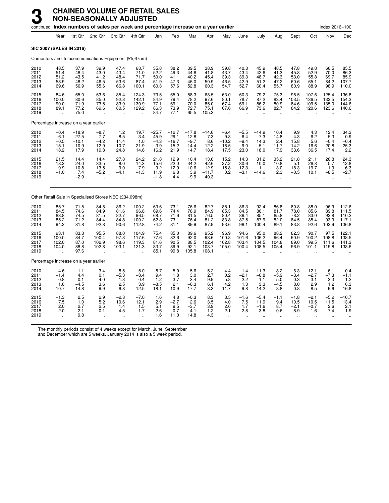|                                      |                                                                |                                            | continued Index numbers of sales per week and percentage increase on a year earlier |                                                       |                                                          |                                           |                                            |                                           |                                            |                                                        |                                                           |                                                         |                                                       |                                                          |                                        | Index 2016=100                                       |                                           |
|--------------------------------------|----------------------------------------------------------------|--------------------------------------------|-------------------------------------------------------------------------------------|-------------------------------------------------------|----------------------------------------------------------|-------------------------------------------|--------------------------------------------|-------------------------------------------|--------------------------------------------|--------------------------------------------------------|-----------------------------------------------------------|---------------------------------------------------------|-------------------------------------------------------|----------------------------------------------------------|----------------------------------------|------------------------------------------------------|-------------------------------------------|
|                                      | Year                                                           | 1st Qtr                                    | 2nd Qtr                                                                             | 3rd Qtr                                               | 4th Qtr                                                  | Jan                                       | Feb                                        | Mar                                       | Apr                                        | May                                                    | June                                                      | July                                                    | Aug                                                   | Sept                                                     | Oct                                    | Nov                                                  | Dec                                       |
|                                      | <b>SIC 2007 (SALES IN 2016)</b>                                |                                            |                                                                                     |                                                       |                                                          |                                           |                                            |                                           |                                            |                                                        |                                                           |                                                         |                                                       |                                                          |                                        |                                                      |                                           |
|                                      |                                                                |                                            | Computers and Telecommunications Equipment (£5,675m)                                |                                                       |                                                          |                                           |                                            |                                           |                                            |                                                        |                                                           |                                                         |                                                       |                                                          |                                        |                                                      |                                           |
| 2010<br>2011<br>2012<br>2013<br>2014 | 48.5<br>51.4<br>51.2<br>58.9<br>69.6                           | 37.9<br>48.4<br>43.5<br>48.2<br>56.9       | 39.9<br>43.0<br>41.2<br>46.5<br>55.6                                                | 47.4<br>43.4<br>48.4<br>53.6<br>66.8                  | 68.7<br>71.0<br>71.7<br>87.4<br>100.1                    | 35.8<br>52.2<br>50.0<br>51.9<br>60.3      | 38.2<br>49.3<br>41.1<br>47.3<br>57.6       | 39.5<br>44.6<br>40.2<br>46.0<br>52.8      | 38.9<br>41.8<br>45.4<br>50.9<br>60.3       | 39.8<br>43.7<br>39.3<br>46.5<br>54.7                   | 40.8<br>43.4<br>39.3<br>42.9<br>52.7                      | 45.9<br>42.6<br>48.7<br>51.2<br>60.4                    | 48.5<br>41.3<br>42.3<br>47.2<br>55.7                  | 47.8<br>45.8<br>53.0<br>60.6<br>80.9                     | 49.8<br>52.9<br>55.8<br>65.1<br>88.9   | 66.5<br>70.0<br>69.7<br>84.2<br>98.9                 | 85.5<br>86.3<br>107.7<br>110.0            |
| 2015<br>2016<br>2017<br>2018<br>2019 | 84.6<br>100.0<br>90.0<br>89.1<br>ä,                            | 65.0<br>80.6<br>71.9<br>77.2<br>75.0       | 63.6<br>85.0<br>73.5<br>69.6<br>ä.                                                  | 85.4<br>92.3<br>83.9<br>80.5<br>$\ddot{\phantom{a}}$  | 124.3<br>142.1<br>130.9<br>129.2<br>$\ddot{\phantom{a}}$ | 73.5<br>84.9<br>77.1<br>86.3<br>84.7      | 65.0<br>79.4<br>69.1<br>73.9<br>77.1       | 58.3<br>78.2<br>70.0<br>72.7<br>65.5      | 68.5<br>97.6<br>85.0<br>75.1<br>105.3      | 63.0<br>80.1<br>67.4<br>67.6<br>$\ddot{\phantom{a}}$   | 60.3<br>78.7<br>69.1<br>66.9<br>$\ddotsc$                 | 79.2<br>87.2<br>86.2<br>73.6<br>÷.                      | 75.3<br>83.4<br>80.9<br>82.7<br>$\ddot{\phantom{a}}$  | 98.5<br>103.5<br>84.6<br>84.2                            | 107.6<br>136.5<br>109.5<br>120.6       | 125.4<br>132.5<br>135.0<br>123.6                     | 136.8<br>154.3<br>144.6<br>140.6          |
|                                      | Percentage increase on a year earlier                          |                                            |                                                                                     |                                                       |                                                          |                                           |                                            |                                           |                                            |                                                        |                                                           |                                                         |                                                       |                                                          |                                        |                                                      |                                           |
| 2010<br>2011<br>2012<br>2013<br>2014 | $^{-0.4}_{6.1}$<br>$-0.5$<br>15.1<br>18.2                      | $-18.9$<br>27.5<br>$-10.1$<br>10.9<br>17.9 | $-8.7$<br>7.7<br>$-4.2$<br>12.9<br>19.8                                             | $1.2 - 8.5$<br>11.4<br>10.7<br>24.8                   | 19.7<br>3.4<br>1.0<br>21.9<br>14.6                       | $-25.7$<br>45.9<br>$-4.3$<br>3.9<br>16.2  | $-12.7$<br>29.1<br>$-16.7$<br>15.2<br>21.9 | $-17.8$<br>12.8<br>$-9.7$<br>14.4<br>14.7 | $^{-14.6}_{7.3}$<br>8.6<br>12.2<br>18.4    | $-6.4$<br>9.8<br>$-10.2$<br>18.5<br>17.5               | $-5.5$<br>6.4<br>$-9.4$<br>9.0<br>23.0                    | $-14.9$<br>$-7.3$<br>14.3<br>5.1<br>18.0                | 10.4<br>$-14.8$<br>2.4<br>11.7<br>17.9                | $^{9.9}_{-4.3}$<br>15.8<br>14.2<br>33.6                  | $^{4.3}_{6.2}$<br>5.6<br>16.6<br>36.5  | 12.4<br>5.3<br>$-0.4$<br>20.8<br>17.4                | $34.3$<br>$0.9$<br>$-0.4$<br>25.3<br>2.2  |
| 2015<br>2016<br>2017<br>2018<br>2019 | 21.5<br>18.2<br>$-9.9$<br>$-1.0$                               | 14.4<br>24.0<br>$-10.8$<br>7.4<br>$-2.9$   | 14.4<br>33.5<br>$-13.5$<br>$-5.2$<br>$\ddot{\phantom{a}}$                           | 27.8<br>8.0<br>$-9.0$<br>$-4.1$                       | 24.2<br>14.3<br>$-7.9$<br>$-1.3$<br>$\ddot{\phantom{a}}$ | 21.8<br>15.6<br>$-9.2$<br>11.9<br>$-1.8$  | 12.9<br>22.0<br>$-12.9$<br>6.8<br>4.4      | 10.4<br>34.2<br>$-10.6$<br>3.9<br>$-9.9$  | 13.6<br>42.6<br>$-12.9$<br>$-11.7$<br>40.3 | 15.2<br>27.2<br>$-15.8$<br>0.2<br>$\ddot{\phantom{a}}$ | 14.3<br>30.6<br>$-12.3$<br>$-3.1$<br>$\ddot{\phantom{a}}$ | 31.2<br>10.0<br>$-1.1$<br>$-14.6$                       | 35.2<br>10.8<br>$-3.0$<br>2.3<br>$\ddot{\phantom{a}}$ | 21.8<br>5.1<br>$-18.3$<br>$-0.5$<br>$\ddot{\phantom{a}}$ | 21.1<br>26.8<br>$-19.7$<br>10.1<br>ä.  | 26.8<br>5.7<br>1.9<br>$-8.5$<br>$\ddot{\phantom{a}}$ | 24.3<br>12.8<br>$-6.3$<br>$-2.7$          |
|                                      |                                                                |                                            | Other Retail Sale in Specialised Stores NEC (£34,098m)                              |                                                       |                                                          |                                           |                                            |                                           |                                            |                                                        |                                                           |                                                         |                                                       |                                                          |                                        |                                                      |                                           |
| 2010<br>2011<br>2012<br>2013<br>2014 | 85.7<br>84.5<br>83.8<br>85.2<br>94.2                           | 71.5<br>74.6<br>74.5<br>71.2<br>81.8       | 84.8<br>84.9<br>81.5<br>84.4<br>92.8                                                | 86.2<br>81.6<br>82.7<br>84.8<br>90.6                  | 100.2<br>96.8<br>96.5<br>100.2<br>112.8                  | 63.6<br>69.6<br>68.7<br>62.8<br>74.2      | 73.1<br>74.4<br>71.6<br>73.1<br>81.1       | 76.6<br>78.9<br>81.5<br>76.4<br>89.9      | 82.7<br>84.9<br>76.5<br>81.2<br>87.9       | 85.1<br>85.3<br>80.4<br>83.8<br>93.6                   | 86.3<br>84.5<br>86.4<br>87.5<br>96.1                      | 92.4<br>86.1<br>85.1<br>87.9<br>100.4                   | 86.8<br>81.7<br>85.8<br>82.0<br>89.1                  | 80.8<br>78.0<br>78.2<br>84.5<br>83.8                     | 88.0<br>85.6<br>83.0<br>85.4<br>92.6   | 96.9<br>89.8<br>92.8<br>93.9<br>102.9                | 112.6<br>111.5<br>110.2<br>117.1<br>136.8 |
| 2015<br>2016<br>2017<br>2018<br>2019 | $\begin{array}{c} 93.1 \\ 100.0 \end{array}$<br>102.0<br>104.0 | 83.8<br>84.7<br>87.0<br>88.8<br>97.6       | 95.5<br>100.4<br>102.9<br>102.8<br>$\ddot{\phantom{a}}$                             | 88.0<br>97.3<br>98.6<br>103.1<br>$\ddot{\phantom{a}}$ | 104.9<br>117.6<br>119.3<br>121.3                         | 75.4<br>77.6<br>81.6<br>83.7<br>85.1      | 85.0<br>82.6<br>90.5<br>89.9<br>99.8       | 89.6<br>92.0<br>88.5<br>92.1<br>105.8     | 95.2<br>98.6<br>102.4<br>103.7<br>108.1    | 96.9<br>100.8<br>102.8<br>105.0                        | 94.6<br>101.6<br>103.4<br>100.4                           | 95.0<br>106.2<br>104.5<br>108.5                         | 88.2<br>96.4<br>104.8<br>105.4                        | 82.3<br>90.9<br>89.0<br>96.9                             | 90.7<br>100.2<br>99.5<br>101.1         | 97.5<br>108.8<br>111.6<br>119.8                      | 122.1<br>138.5<br>141.3<br>138.6          |
|                                      | Percentage increase on a year earlier                          |                                            |                                                                                     |                                                       |                                                          |                                           |                                            |                                           |                                            |                                                        |                                                           |                                                         |                                                       |                                                          |                                        |                                                      |                                           |
| 2010<br>2011<br>2012<br>2013<br>2014 | $4.6 - 1.4$<br>$-0.8$<br>1.6<br>10.7                           | 1.1<br>4.4<br>$-0.1$<br>$-4.5$<br>14.8     | 3.4<br>0.1<br>$-4.0$<br>3.6<br>9.9                                                  | 8.5<br>$-5.3$<br>1.3<br>2.5<br>6.8                    | 5.0<br>$-3.4$<br>$-0.4$<br>3.9<br>12.5                   | $-8.7$<br>9.4<br>$-1.2$<br>$-8.5$<br>18.1 | 5.0<br>1.8<br>$-3.7$<br>2.1<br>10.9        | 5.6<br>3.0<br>3.4<br>$-6.3$<br>17.7       | 5.2<br>2.7<br>$-9.9$<br>6.1<br>8.3         | 4.4<br>0.2<br>$-5.8$<br>4.2<br>11.7                    | 1.4<br>$-2.1$<br>2.2<br>1.3<br>9.8                        | 11.3<br>$-6.8$<br>$-1.1$<br>3.3<br>14.2                 | 8.2<br>$-5.9$<br>5.0<br>$-4.5$<br>8.8                 | 6.3<br>$-3.4$<br>0.3<br>8.0<br>$-0.8$                    | 12.1<br>$-2.7$<br>$-3.1$<br>2.9<br>8.5 | 6.1<br>$-7.3$<br>3.3<br>1.2<br>9.6                   | 0.4<br>$-1.1$<br>$-1.2$<br>6.3<br>16.8    |
| 2015<br>2016<br>2017<br>2018<br>2019 | $-1.3$<br>7.5<br>2.0<br>2.0                                    | 2.5<br>1.0<br>2.7<br>2.1<br>9.8            | 2.9<br>$\frac{5.2}{2.5}$<br>$-0.1$<br>$\ddot{\phantom{a}}$                          | $-2.8$<br>10.6<br>1.4<br>4.5<br>$\ddot{\phantom{1}}$  | $-7.0$<br>12.1<br>1.5<br>1.7<br>$\ddotsc$                | 1.6<br>2.9<br>5.1<br>2.6<br>1.6           | 4.8<br>$-2.7$<br>9.5<br>$-0.7$<br>11.0     | $-0.3$<br>2.6<br>$-3.7$<br>4.1<br>14.8    | 8.3<br>$\frac{3.5}{3.9}$<br>1.2<br>4.3     | 3.5<br>4.0<br>2.0<br>2.1<br>$\ddot{\phantom{a}}$       | $-1.6$<br>7.5<br>1.7<br>$-2.8$<br>ä.                      | $-5.4$<br>11.9<br>$-1.6$<br>3.8<br>$\ddot{\phantom{a}}$ | $-1.1$<br>9.4<br>8.7<br>0.6<br>ä.                     | $-1.8$<br>10.5<br>$-2.1$<br>8.9<br>$\ddotsc$             | $-2.1$<br>10.5<br>$-0.7$<br>1.6<br>ä.  | $-5.2$<br>11.5<br>2.6<br>7.4<br>$\ddot{\phantom{a}}$ | $-10.7$<br>13.4<br>2.1<br>$-1.9$          |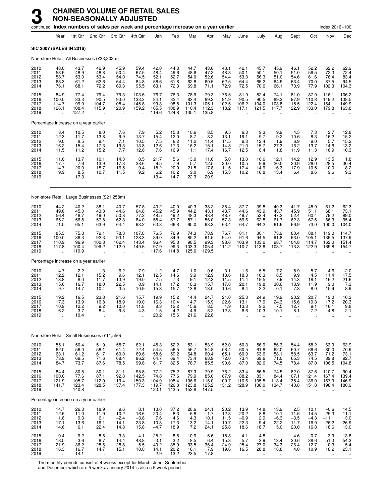|                                      |                                                         |                                                                   | continued Index numbers of sales per week and percentage increase on a year earlier |                                                        |                                                              |                                          |                                             |                                         |                                         |                                             |                                             |                                                     |                                                  |                                                                   |                                                                  | Index 2016=100                                      |                                              |
|--------------------------------------|---------------------------------------------------------|-------------------------------------------------------------------|-------------------------------------------------------------------------------------|--------------------------------------------------------|--------------------------------------------------------------|------------------------------------------|---------------------------------------------|-----------------------------------------|-----------------------------------------|---------------------------------------------|---------------------------------------------|-----------------------------------------------------|--------------------------------------------------|-------------------------------------------------------------------|------------------------------------------------------------------|-----------------------------------------------------|----------------------------------------------|
|                                      | Year                                                    | 1st Qtr                                                           | 2nd Qtr                                                                             | 3rd Qtr                                                | 4th Qtr                                                      | Jan                                      | Feb                                         | Mar                                     | Apr                                     | May                                         | June                                        | July                                                | Aug                                              | Sept                                                              | Oct                                                              | Nov                                                 | Dec                                          |
|                                      |                                                         | <b>SIC 2007 (SALES IN 2016)</b>                                   |                                                                                     |                                                        |                                                              |                                          |                                             |                                         |                                         |                                             |                                             |                                                     |                                                  |                                                                   |                                                                  |                                                     |                                              |
|                                      |                                                         |                                                                   | Non-store Retail, All Businesses (£33,202m)                                         |                                                        |                                                              |                                          |                                             |                                         |                                         |                                             |                                             |                                                     |                                                  |                                                                   |                                                                  |                                                     |                                              |
| 2010<br>2011<br>2012<br>2013<br>2014 | 48.0<br>53.9<br>58.7<br>68.3<br>76.1                    | 43.7<br>48.9<br>53.0<br>61.2<br>68.1                              | 42.9<br>48.8<br>53.4<br>62.6<br>72.2                                                | 45.9<br>50.4<br>54.0<br>64.4<br>69.3                   | 59.4<br>67.5<br>74.5<br>84.8<br>95.5                         | 42.0<br>48.4<br>52.1<br>58.6<br>63.1     | 44.3<br>49.6<br>52.7<br>61.8<br>72.3        | 44.7<br>48.6<br>54.0<br>62.8<br>69.8    | 43.6<br>47.2<br>52.6<br>60.5<br>71.1    | 43.1<br>48.8<br>54.4<br>62.5<br>72.9        | 42.1<br>50.1<br>53.3<br>64.4<br>72.5        | 45.7<br>50.1<br>56.3<br>65.2<br>70.6                | 45.9<br>50.1<br>51.0<br>64.9<br>66.1             | 46.1<br>51.0<br>54.6<br>63.4<br>70.9                              | 52.2<br>56.5<br>61.6<br>70.0<br>77.9                             | 62.2<br>72.3<br>76.4<br>87.5<br>102.3               | 62.9<br>72.4<br>83.4<br>94.5<br>104.3        |
| 2015<br>2016<br>2017<br>2018<br>2019 | 84.9<br>100.0<br>114.7<br>126.1<br>ä,                   | 77.4<br>83.3<br>99.9<br>108.4<br>127.2                            | 79.4<br>90.5<br>104.7<br>115.9                                                      | 79.3<br>93.0<br>108.4<br>120.9<br>ä,                   | 103.6<br>133.3<br>145.8<br>159.2<br>$\ddot{\phantom{a}}$     | 76.7<br>84.1<br>99.3<br>105.5<br>119.6   | 76.3<br>82.4<br>98.8<br>108.9<br>124.8      | 78.9<br>83.4<br>101.3<br>110.4<br>135.1 | 79.3<br>89.2<br>105.1<br>112.3<br>135.8 | 76.5<br>91.9<br>102.5<br>118.2<br>$\sim$    | 81.9<br>90.5<br>106.2<br>117.1              | 82.4<br>90.5<br>104.0<br>121.5                      | 74.1<br>89.3<br>103.8<br>117.7                   | 81.0<br>97.9<br>115.5<br>122.9                                    | 87.9<br>110.8<br>122.4<br>133.0                                  | 116.1<br>149.2<br>164.1<br>179.8                    | 106.2<br>138.5<br>149.9<br>163.8             |
|                                      |                                                         | Percentage increase on a year earlier                             |                                                                                     |                                                        |                                                              |                                          |                                             |                                         |                                         |                                             |                                             |                                                     |                                                  |                                                                   |                                                                  |                                                     |                                              |
| 2010<br>2011<br>2012<br>2013<br>2014 | $8.4$<br>12.3<br>9.0<br>16.2<br>11.5                    | $10.5$<br>11.7<br>8.5<br>15.4<br>11.2                             | 8.0<br>13.8<br>9.4<br>17.3<br>15.2                                                  | 7.6<br>9.9<br>7.1<br>$^{19.3}_{7.7}$                   | $7.9$<br>13.7<br>10.5<br>13.8<br>12.6                        | $5.2$<br>15.4<br>7.5<br>12.6<br>7.6      | 15.8<br>12.0<br>6.2<br>17.3<br>16.9         | 10.6<br>8.7<br>11.2<br>16.2<br>11.1     | $8.5$<br>$8.2$<br>11.4<br>15.1<br>17.4  | $\frac{9.5}{13.1}$<br>11.5<br>14.8<br>16.7  | $6.3$<br>19.1<br>6.3<br>21.0<br>12.5        | $\frac{9.3}{9.7}$<br>12.4<br>15.7<br>8.4            | $\frac{9.9}{9.2}$<br>1.9<br>27.3<br>1.8          | $\begin{array}{c} 4.5 \\ 10.6 \end{array}$<br>6.9<br>16.2<br>11.9 | $\begin{array}{c} 7.3 \\ 8.3 \end{array}$<br>9.0<br>13.7<br>11.3 | 2.7<br>16.2<br>5.7<br>14.6<br>16.9                  | 12.8<br>15.2<br>15.2<br>$13.2$<br>$10.3$     |
| 2015<br>2016<br>2017<br>2018<br>2019 | $11.6$<br>17.7<br>14.7<br>9.9<br>ă,                     | $^{13.7}_{7.6}$<br>20.0<br>8.5<br>17.3                            | 10.1<br>13.9<br>15.7<br>10.7                                                        | 14.3<br>17.3<br>16.5<br>11.5                           | $\frac{8.5}{28.6}$<br>9.4<br>9.2<br>÷.                       | 21.7<br>9.5<br>18.2<br>6.2<br>13.4       | $\frac{5.6}{7.9}$<br>20.0<br>$10.2$<br>14.7 | $13.0$<br>5.7<br>21.5<br>9.0<br>22.3    | 11.6<br>12.5<br>17.8<br>6.9<br>20.9     | $\frac{5.0}{20.0}$<br>11.5<br>15.3          | 13.0<br>10.5<br>17.4<br>10.2                | 16.6<br>9.9<br>14.9<br>16.8                         | 12.1<br>20.5<br>16.3<br>13.4                     | 14.2<br>20.9<br>17.9<br>6.4                                       | 12.9<br>26.0<br>10.5<br>8.6                                      | 13.5<br>28.5<br>10.0<br>9.6                         | $\frac{1.8}{30.4}$<br>8.2<br>9.3             |
|                                      |                                                         |                                                                   | Non-store Retail, Large Businesses (£21,258m)                                       |                                                        |                                                              |                                          |                                             |                                         |                                         |                                             |                                             |                                                     |                                                  |                                                                   |                                                                  |                                                     |                                              |
| 2010<br>2011<br>2012<br>2013<br>2014 | 44.2<br>49.6<br>56.4<br>65.2<br>71.5                    | 40.2<br>45.0<br>48.7<br>56.8<br>65.1                              | 38.1<br>43.8<br>49.0<br>57.8<br>63.9                                                | 40.7<br>44.6<br>50.8<br>62.3<br>64.4                   | 57.8<br>64.8<br>77.2<br>84.0<br>93.2                         | 40.2<br>45.2<br>48.5<br>55.4<br>63.8     | 40.0<br>45.9<br>49.2<br>57.7<br>66.8        | 40.3<br>44.2<br>48.3<br>57.1<br>65.0    | 38.2<br>43.1<br>48.4<br>56.0<br>63.3    | 38.4<br>43.7<br>48.7<br>57.3<br>63.4        | 37.7<br>44.6<br>49.7<br>59.6<br>64.7        | 39.8<br>43.9<br>52.4<br>62.8<br>64.2                | $40.3$<br>$43.7$<br>47.2<br>61.7<br>61.6         | 41.7<br>45.9<br>52.4<br>62.3<br>66.9                              | 48.9<br>51.1<br>60.4<br>67.6<br>73.0                             | 61.2<br>68.1<br>79.2<br>86.3<br>100.0               | 62.3<br>73.1<br>89.0<br>95.4<br>104.0        |
| 2015<br>2016<br>2017<br>2018<br>2019 | 85.3<br>100.0<br>110.9<br>117.8                         | 75.8<br>86.3<br>96.9<br>100.4<br>119.9                            | 79.1<br>92.3<br>100.8<br>109.2<br>Ω.                                                | 78.3<br>93.1<br>102.4<br>112.0                         | 107.8<br>128.3<br>143.4<br>149.6                             | 76.5<br>89.0<br>96.4<br>97.9<br>117.6    | 76.9<br>84.9<br>95.3<br>99.3<br>114.8       | 74.3<br>85.2<br>98.5<br>103.3<br>125.6  | 78.9<br>91.5<br>99.3<br>105.4<br>129.5  | 76.7<br>94.0<br>98.6<br>111.2               | 81.1<br>91.6<br>103.9<br>110.7              | 80.1<br>94.5<br>103.2<br>113.8                      | 73.9<br>91.8<br>98.7<br>108.7                    | 80.4<br>93.0<br>104.8<br>113.3                                    | 88.1<br>105.1<br>114.7<br>122.9                                  | 119.0<br>139.5<br>162.0<br>169.8                    | 114.7<br>137.9<br>151.4<br>154.7             |
|                                      |                                                         | Percentage increase on a year earlier                             |                                                                                     |                                                        |                                                              |                                          |                                             |                                         |                                         |                                             |                                             |                                                     |                                                  |                                                                   |                                                                  |                                                     |                                              |
| 2010<br>2011<br>2012<br>2013<br>2014 | 4.7<br>12.2<br>13.8<br>15.6<br>9.7                      | 2.2<br>12.1<br>8.0<br>16.7<br>14.7                                | 1.3<br>15.2<br>11.7<br>18.0<br>10.4                                                 | 6.2<br>9.6<br>13.9<br>22.5<br>3.5                      | 7.9<br>12.1<br>19.0<br>8.9<br>10.9                           | $1.2$<br>$^{12.5}_{7.5}$<br>14.1<br>15.3 | 4.7<br>$^{14.6}_{7.3}$<br>17.2<br>15.7      | 1.0<br>9.9<br>9.1<br>18.3<br>13.8       | $-0.6$<br>12.9<br>12.3<br>15.7<br>13.0  | 3.1<br>13.6<br>11.5<br>17.8<br>10.6         | 1.6<br>18.3<br>11.4<br>20.1<br>8.4          | 5.5<br>10.3<br>19.5<br>19.8<br>2.2                  | 7.2<br>$\frac{8.5}{7.9}$<br>30.6<br>$-0.1$       | 5.9<br>9.9<br>14.3<br>18.9<br>7.3                                 | 5.7<br>4.5<br>18.1<br>11.9<br>8.0                                | 4.6<br>11.4<br>16.2<br>9.0<br>15.9                  | 12.0<br>17.5<br>21.6<br>7.3<br>8.9           |
| 2015<br>2016<br>2017<br>2018<br>2019 | 19.2<br>17.3<br>10.9<br>6.2                             | 16.5<br>13.9<br>12.2<br>3.7<br>19.4                               | 23.8<br>16.8<br>9.2<br>8.4<br>Ω.                                                    | 21.6<br>18.9<br>10.0<br>9.3<br>$\ddotsc$               | 15.7<br>19.0<br>11.8<br>4.3                                  | 19.9<br>16.3<br>8.3<br>1.5<br>20.2       | 15.2<br>10.4<br>12.2<br>4.2<br>15.6         | 14.4<br>14.7<br>15.6<br>4.9<br>21.6     | 24.7<br>15.9<br>8.5<br>6.2<br>22.8      | 21.0<br>22.6<br>4.9<br>12.8                 | 25.3<br>13.1<br>13.3<br>6.6                 | 24.9<br>17.9<br>9.2<br>10.3<br>$\ddot{\phantom{a}}$ | 19.9<br>24.3<br>7.5<br>10.1                      | 20.2<br>15.6<br>12.7<br>8.1                                       | 20.7<br>19.3<br>9.1<br>7.2<br>ä.                                 | 19.0<br>17.2<br>16.1<br>4.8<br>$\ddot{\phantom{a}}$ | 10.3<br>20.3<br>9.8<br>2.1                   |
|                                      |                                                         |                                                                   | Non-store Retail, Small Businesses (£11,550)                                        |                                                        |                                                              |                                          |                                             |                                         |                                         |                                             |                                             |                                                     |                                                  |                                                                   |                                                                  |                                                     |                                              |
| 2010<br>2011<br>2012<br>2013<br>2014 | 55.1<br>62.0<br>63.1<br>73.9<br>84.7                    | 50.4<br>56.0<br>61.2<br>69.5<br>73.7                              | 51.9<br>58.1<br>61.7<br>71.6<br>87.6                                                | 55.7<br>61.4<br>60.0<br>68.4<br>78.5                   | 62.1<br>72.4<br>69.6<br>86.2<br>99.8                         | 45.3<br>54.5<br>58.6<br>64.7<br>61.7     | 52.2<br>56.5<br>59.2<br>69.4<br>82.5        | 53.1<br>56.7<br>64.8<br>73.4<br>78.7    | 53.9<br>54.8<br>60.4<br>68.9<br>85.5    | 52.0<br>58.4<br>65.1<br>72.0<br>90.6        | 50.3<br>$60.5$<br>$60.0$<br>73.4<br>87.0    | 56.9<br>61.8<br>63.6<br>69.6<br>82.6                | 56.3<br>62.0<br>58.1<br>71.0<br>74.5             | 54.4<br>60.7<br>58.5<br>65.3<br>78.4                              | 58.2<br>66.6<br>63.7<br>74.5<br>87.0                             | 63.9<br>80.0<br>71.2<br>89.8<br>106.5               | 63.9<br>70.9<br>73.1<br>92.7<br>104.8        |
| 2015<br>2016<br>2017<br>2018<br>2019 | 84.4<br>100.0<br>121.9<br>141.7<br>$\ddot{\phantom{1}}$ | 80.5<br>77.6<br>105.7<br>123.4<br>140.8                           | 80.1<br>87.1<br>112.0<br>128.5<br>à.                                                | 81.1<br>92.8<br>119.4<br>137.4<br>$\ddot{\phantom{1}}$ | 95.8<br>142.5<br>150.3<br>177.3<br>$\ddot{\phantom{a}}$      | 77.2<br>74.8<br>104.9<br>119.7<br>123.1  | 75.2<br>77.6<br>105.4<br>126.8<br>143.5     | 87.3<br>79.9<br>106.6<br>123.8<br>152.8 | 79.9<br>85.0<br>116.0<br>125.2<br>147.5 | 76.2<br>87.9<br>109.7<br>131.2<br>$\ddotsc$ | 83.4<br>88.2<br>110.6<br>128.9              | 86.5<br>$83.1$<br>105.5<br>136.0                    | 74.5<br>84.4<br>113.4<br>134.7                   | 82.0<br>107.1<br>135.4<br>140.8                                   | 87.6<br>121.4<br>136.9<br>151.8                                  | 110.7<br>167.4<br>167.9<br>198.4                    | 90.4<br>139.4<br>146.9<br>180.9              |
|                                      |                                                         | Percentage increase on a year earlier                             |                                                                                     |                                                        |                                                              |                                          |                                             |                                         |                                         |                                             |                                             |                                                     |                                                  |                                                                   |                                                                  |                                                     |                                              |
| 2010<br>2011<br>2012<br>2013<br>2014 | 14.7<br>12.6<br>$1.8$<br>17.1<br>14.6                   | 26.3<br>11.0<br>$\begin{array}{c} 9.3 \\ 13.6 \end{array}$<br>6.1 | 18.9<br>11.9<br>6.1<br>16.1<br>22.4                                                 | 9.6<br>10.2<br>$-2.4$<br>14.1<br>14.8                  | 8.1<br>16.6<br>$\frac{-3.8}{23.8}$<br>15.8                   | 13.0<br>20.4<br>$7.6$<br>10.3<br>$-4.7$  | 37.2<br>8.3<br>4.6<br>17.3<br>18.9          | 28.6<br>6.8<br>14.3<br>13.2<br>7.2      | 24.1<br>1.7<br>10.1<br>14.1<br>24.1     | 20.2<br>12.3<br>$11.5$<br>$10.7$<br>25.8    | 13.9<br>20.2<br>$\frac{-0.9}{22.3}$<br>18.6 | 14.8<br>8.8<br>2.9<br>9.4<br>18.7                   | 13.9<br>10.1<br>$-6.3$<br>22.2<br>5.0            | 2.5<br>11.6<br>$-3.5$<br>11.7<br>20.0                             | 10.1<br>14.5<br>$-4.3$<br>16.9<br>16.8                           | $-0.6$<br>25.3<br>$-11.1$<br>26.2<br>18.6           | $14.5$<br>11.1<br>$\frac{3.0}{26.9}$<br>13.0 |
| 2015<br>2016<br>2017<br>2018<br>2019 | $-0.4$<br>18.5<br>21.9<br>16.3                          | 9.2<br>$-3.6$<br>36.2<br>16.7<br>14.1                             | $-8.6$<br>8.7<br>28.6<br>14.7                                                       | 3.3<br>14.4<br>28.8<br>15.1                            | $-4.1$<br>48.8<br>$\begin{array}{c} 5.5 \\ 18.0 \end{array}$ | 25.2<br>$-3.1$<br>40.2<br>14.1<br>2.9    | $-8.8$<br>3.2<br>35.9<br>20.2<br>13.2       | 10.9<br>$-8.5$<br>33.5<br>16.1<br>23.5  | $-6.6$<br>6.4<br>36.4<br>7.9<br>17.8    | $-15.8$<br>15.3<br>24.9<br>19.6             | $-4.1$<br>5.7<br>25.4<br>16.5               | 4.8<br>$-3.9$<br>27.0<br>28.8                       | $\overline{\phantom{a}}$<br>13.4<br>34.3<br>18.8 | 4.6<br>30.6<br>26.4<br>4.0                                        | 0.7<br>38.6<br>12.7<br>10.9                                      | 3.9<br>51.3<br>0.3<br>18.2                          | $-13.8$<br>54.3<br>5.4<br>23.1               |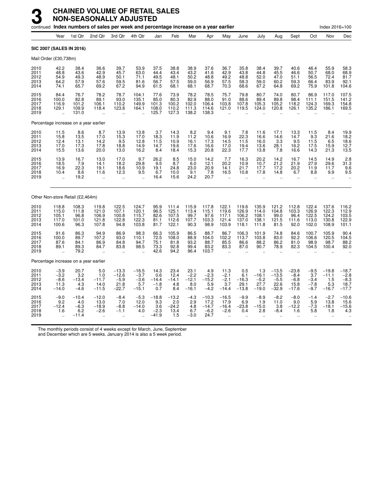|                                      |                                                         |                                            | continued Index numbers of sales per week and percentage increase on a year earlier |                                                      |                                               |                                            |                                           |                                             |                                              |                                                     |                                           |                                             |                                                 |                                                         |                                                     | Index 2016=100                                      |                                                |
|--------------------------------------|---------------------------------------------------------|--------------------------------------------|-------------------------------------------------------------------------------------|------------------------------------------------------|-----------------------------------------------|--------------------------------------------|-------------------------------------------|---------------------------------------------|----------------------------------------------|-----------------------------------------------------|-------------------------------------------|---------------------------------------------|-------------------------------------------------|---------------------------------------------------------|-----------------------------------------------------|-----------------------------------------------------|------------------------------------------------|
|                                      | Year                                                    | 1st Qtr                                    | 2nd Qtr                                                                             | 3rd Qtr                                              | 4th Qtr                                       | Jan                                        | Feb                                       | Mar                                         | Apr                                          | May                                                 | June                                      | July                                        | Aug                                             | Sept                                                    | Oct                                                 | Nov                                                 | Dec                                            |
|                                      | <b>SIC 2007 (SALES IN 2016)</b>                         |                                            |                                                                                     |                                                      |                                               |                                            |                                           |                                             |                                              |                                                     |                                           |                                             |                                                 |                                                         |                                                     |                                                     |                                                |
| Mail Order (£30,738m)                |                                                         |                                            |                                                                                     |                                                      |                                               |                                            |                                           |                                             |                                              |                                                     |                                           |                                             |                                                 |                                                         |                                                     |                                                     |                                                |
| 2010<br>2011<br>2012<br>2013<br>2014 | 42.2<br>48.8<br>54.9<br>64.2<br>74.1                    | 38.4<br>43.6<br>49.3<br>57.9<br>65.7       | 36.6<br>42.9<br>48.9<br>57.6<br>69.2                                                | 39.7<br>45.7<br>50.1<br>59.5<br>67.2                 | 53.9<br>63.0<br>71.1<br>81.6<br>94.9          | 37.5<br>44.4<br>49.5<br>56.7<br>61.5       | 38.8<br>43.4<br>48.1<br>57.5<br>68.1      | 38.9<br>43.2<br>50.2<br>59.0<br>68.1        | 37.6<br>41.6<br>48.8<br>56.9<br>68.7         | 36.7<br>42.9<br>49.2<br>57.5<br>70.3                | 35.8<br>43.8<br>48.8<br>58.3<br>68.6      | 38.4<br>44.8<br>52.0<br>59.0<br>67.2        | 39.7<br>45.5<br>47.0<br>60.2<br>64.8            | 40.6<br>46.6<br>51.1<br>59.3<br>69.2                    | 46.4<br>50.7<br>56.5<br>66.4<br>75.9                | 55.9<br>68.0<br>72.4<br>83.9<br>101.8               | 58.3<br>68.9<br>81.7<br>92.1<br>104.6          |
| 2015<br>2016<br>2017<br>2018<br>2019 | 84.4<br>100.0<br>116.9<br>129.1<br>$\ddotsc$            | 76.7<br>82.8<br>101.2<br>109.9<br>131.0    | 78.2<br>89.1<br>106.1<br>118.4<br>.,                                                | 78.7<br>93.0<br>110.2<br>123.8                       | 104.1<br>135.1<br>149.9<br>164.1              | 77.6<br>85.0<br>101.3<br>108.0<br>125.7    | 73.9<br>80.3<br>100.2<br>110.2<br>127.3   | 78.2<br>82.9<br>102.0<br>111.3<br>138.2     | 78.5<br>88.0<br>106.4<br>114.6<br>138.3      | 75.7<br>91.0<br>103.8<br>121.0                      | 79.8<br>88.6<br>107.8<br>119.5            | 80.7<br>89.4<br>105.3<br>124.0              | 74.0<br>89.8<br>105.2<br>120.8                  | 80.7<br>98.4<br>118.2<br>126.1                          | 86.9<br>111.1<br>124.3<br>135.2                     | 117.0<br>151.5<br>169.3<br>186.1                    | 107.5<br>141.2<br>154.8<br>169.5               |
|                                      |                                                         | Percentage increase on a year earlier      |                                                                                     |                                                      |                                               |                                            |                                           |                                             |                                              |                                                     |                                           |                                             |                                                 |                                                         |                                                     |                                                     |                                                |
| 2010<br>2011<br>2012<br>2013<br>2014 | 11.5<br>15.8<br>12.4<br>17.0<br>15.5                    | 8.6<br>13.5<br>13.1<br>17.3<br>13.6        | 8.7<br>17.0<br>14.2<br>17.8<br>20.0                                                 | 13.9<br>15.3<br>9.5<br>18.8<br>13.0                  | 13.8<br>17.0<br>12.8<br>14.9<br>16.2          | 3.7<br>18.3<br>11.5<br>14.7<br>8.4         | 14.3<br>11.9<br>10.9<br>19.6<br>18.4      | 8.2<br>11.2<br>16.1<br>17.6<br>15.3         | 9.4<br>10.6<br>17.3<br>16.6<br>20.8          | 9.1<br>16.9<br>14.5<br>17.0<br>22.3                 | 7.8<br>22.3<br>11.5<br>19.4<br>17.7       | 11.6<br>16.6<br>16.0<br>13.6<br>13.8        | 17.1<br>14.6<br>3.3<br>28.1<br>7.8              | 13.3<br>14.7<br>9.5<br>16.2<br>16.6                     | 11.5<br>9.3<br>11.5<br>17.5<br>14.3                 | 8.4<br>21.6<br>6.5<br>15.9<br>21.3                  | 19.9<br>18.2<br>18.6<br>12.7<br>13.5           |
| 2015<br>2016<br>2017<br>2018<br>2019 | 13.9<br>18.5<br>16.9<br>10.4                            | 16.7<br>7.9<br>22.3<br>8.6<br>19.2         | 13.0<br>14.1<br>19.1<br>11.6<br>$\ddot{\phantom{a}}$                                | 17.0<br>18.2<br>18.6<br>12.3                         | 9.7<br>29.8<br>10.9<br>9.5                    | 26.2<br>9.5<br>19.1<br>6.7<br>16.4         | 8.5<br>8.7<br>24.8<br>10.0<br>15.6        | 15.0<br>6.0<br>23.0<br>9.1<br>24.2          | 14.2<br>12.1<br>20.9<br>7.8<br>20.7          | 7.7<br>20.2<br>14.1<br>16.5<br>$\ddot{\phantom{a}}$ | 16.3<br>10.9<br>21.7<br>10.8              | 20.2<br>10.7<br>17.7<br>17.8                | 14.2<br>21.2<br>17.2<br>14.8                    | 16.7<br>21.9<br>20.2<br>6.7                             | 14.5<br>27.9<br>11.9<br>8.8<br>$\ddot{\phantom{a}}$ | 14.9<br>29.6<br>11.7<br>9.9<br>$\ddot{\phantom{a}}$ | $\frac{2.8}{31.3}$<br>9.6<br>9.5               |
|                                      |                                                         | Other Non-store Retail (£2,464m)           |                                                                                     |                                                      |                                               |                                            |                                           |                                             |                                              |                                                     |                                           |                                             |                                                 |                                                         |                                                     |                                                     |                                                |
| 2010<br>2011<br>2012<br>2013<br>2014 | 118.8<br>115.0<br>105.1<br>117.0<br>100.6               | 108.3<br>111.8<br>96.8<br>101.0<br>96.3    | 119.8<br>121.0<br>106.9<br>121.8<br>107.8                                           | 122.5<br>107.1<br>100.8<br>122.8<br>94.8             | 124.7<br>120.1<br>115.7<br>122.3<br>103.8     | 95.9<br>96.5<br>82.6<br>81.1<br>81.7       | 111.4<br>125.1<br>107.5<br>112.6<br>122.1 | 115.9<br>113.4<br>99.7<br>107.7<br>90.3     | 117.8<br>115.1<br>97.6<br>103.3<br>98.9      | 122.1<br>119.6<br>117.1<br>121.4<br>103.9           | 119.6<br>126.9<br>106.2<br>137.0<br>118.1 | 135.9<br>114.0<br>108.1<br>138.1<br>111.8   | 121.2<br>104.8<br>99.0<br>121.5<br>81.5         | 112.8<br>103.3<br>96.4<br>111.6<br>92.0                 | 122.4<br>126.9<br>122.5<br>113.0<br>102.0           | 137.6<br>122.3<br>124.2<br>130.8<br>108.9           | 116.2<br>112.9<br>103.5<br>122.9<br>101.1      |
| 2015<br>2016<br>2017<br>2018<br>2019 | 91.6<br>100.0<br>87.6<br>89.1                           | 86.3<br>89.7<br>84.1<br>89.3<br>79.2       | 94.9<br>107.2<br>86.9<br>84.7<br>$\ddot{\phantom{a}}$                               | 86.9<br>93.0<br>84.8<br>83.8<br>$\ddot{\phantom{a}}$ | 98.3<br>110.1<br>94.7<br>98.5                 | 66.3<br>72.5<br>75.1<br>73.3<br>42.6       | 105.9<br>108.0<br>81.8<br>92.8<br>94.2    | 86.5<br>88.9<br>93.2<br>99.4<br>96.4        | 88.7<br>104.0<br>88.7<br>83.2<br>103.7       | 86.7<br>102.2<br>85.5<br>83.3                       | 106.3<br>113.7<br>86.6<br>87.0            | 101.9<br>103.8<br>88.2<br>90.7              | 74.8<br>83.0<br>86.2<br>78.9                    | 84.6<br>92.2<br>81.0<br>82.3                            | 100.7<br>106.6<br>98.9<br>104.5                     | 105.9<br>120.5<br>98.7<br>100.4                     | 90.4<br>104.5<br>88.2<br>92.0                  |
|                                      |                                                         | Percentage increase on a year earlier      |                                                                                     |                                                      |                                               |                                            |                                           |                                             |                                              |                                                     |                                           |                                             |                                                 |                                                         |                                                     |                                                     |                                                |
| 2010<br>2011<br>2012<br>2013<br>2014 | $-3.9$<br>$-3.2$<br>$-8.6$<br>11.3<br>$-14.0$           | 20.7<br>3.2<br>$-13.4$<br>4.3<br>$-4.6$    | 5.0<br>1.0<br>$-11.7$<br>14.0<br>$-11.5$                                            | $-13.3$<br>$-12.6$<br>$-5.9$<br>21.8<br>$-22.7$      | $-16.5$<br>$-3.7$<br>$-3.6$<br>5.7<br>$-15.1$ | 14.3<br>0.6<br>$-14.4$<br>$-1.8$<br>0.7    | 23.4<br>12.4<br>$-14.1$<br>4.8<br>8.4     | 23.1<br>$-2.2$<br>$-12.1$<br>8.0<br>$-16.1$ | 4.9<br>$-2.3$<br>$-15.2$<br>5.9<br>$-4.2$    | 11.3<br>$-2.1$<br>$-2.1$<br>3.7<br>$-14.4$          | 0.5<br>6.1<br>$-16.3$<br>29.1<br>$-13.8$  | 1.3<br>$-16.1$<br>$-5.2$<br>27.7<br>$-19.0$ | $-13.5$<br>$-13.5$<br>$-5.5$<br>22.6<br>$-32.9$ | $-23.8$<br>$-8.4$<br>$-6.8$<br>15.8<br>$-17.6$          | $-9.5$<br>3.7<br>$-3.4$<br>$-7.8$<br>$-9.7$         | $-19.8$<br>$-11.1$<br>1.5<br>5.3<br>$-16.7$         | $-18.7$<br>$-2.8$<br>$-8.3$<br>18.7<br>$-17.7$ |
| 2015<br>2016<br>2017<br>2018<br>2019 | $-9.0$<br>9.2<br>$-12.4$<br>1.6<br>$\ddot{\phantom{a}}$ | $-10.4$<br>4.0<br>$-6.3$<br>6.2<br>$-11.4$ | $-12.0$<br>13.0<br>$-18.9$<br>$-2.6$<br>ă.                                          | $-8.4$<br>7.0<br>$-8.8$<br>$-1.1$<br>$\mathbf{r}$    | $-5.3$<br>12.0<br>$-14.0$<br>4.0              | $-18.8$<br>9.3<br>3.6<br>$-2.3$<br>$-41.9$ | $-13.2$<br>2.0<br>$-24.2$<br>13.4<br>1.5  | $-4.3$<br>2.9<br>4.8<br>6.7<br>$-3.0$       | $-10.3$<br>17.2<br>$-14.7$<br>$-6.2$<br>24.7 | $-16.5$<br>17.9<br>$-16.4$<br>$-2.6$                | $-9.9$<br>6.9<br>$-23.8$<br>0.4           | $-8.9$<br>1.9<br>$-15.0$<br>2.8             | $-8.2$<br>11.0<br>3.8<br>$-8.4$                 | $-8.0$<br>9.0<br>$-12.2$<br>1.6<br>$\ddot{\phantom{a}}$ | $-1.4$<br>5.9<br>$-7.3$<br>5.8                      | $-2.7$<br>13.8<br>$-18.1$<br>1.8                    | $-10.6$<br>15.6<br>$-15.6$<br>4.3              |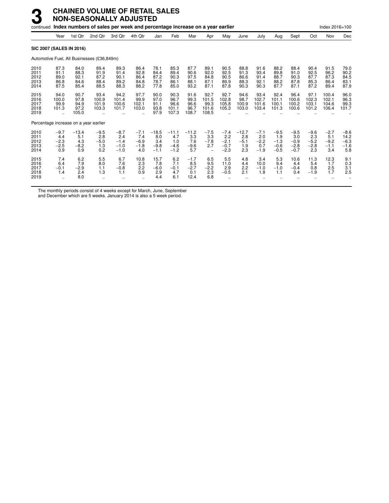|                                      |                                          |                                        | continued Index numbers of sales per week and percentage increase on a year earlier |                                             |                                          |                                           |                                           |                                        |                                                            |                                             |                                        |                                          |                                             |                                             |                                          | Index 2016=100                           |                                           |
|--------------------------------------|------------------------------------------|----------------------------------------|-------------------------------------------------------------------------------------|---------------------------------------------|------------------------------------------|-------------------------------------------|-------------------------------------------|----------------------------------------|------------------------------------------------------------|---------------------------------------------|----------------------------------------|------------------------------------------|---------------------------------------------|---------------------------------------------|------------------------------------------|------------------------------------------|-------------------------------------------|
|                                      | Year                                     | 1st Qtr                                | 2nd Qtr                                                                             | 3rd Qtr                                     | 4th Qtr                                  | Jan                                       | Feb                                       | Mar                                    | Apr                                                        | May                                         | June                                   | July                                     | Aug                                         | Sept                                        | Oct                                      | Nov                                      | Dec                                       |
| <b>SIC 2007 (SALES IN 2016)</b>      |                                          |                                        |                                                                                     |                                             |                                          |                                           |                                           |                                        |                                                            |                                             |                                        |                                          |                                             |                                             |                                          |                                          |                                           |
|                                      |                                          |                                        | Automotive Fuel, All Businesses (£36,849m)                                          |                                             |                                          |                                           |                                           |                                        |                                                            |                                             |                                        |                                          |                                             |                                             |                                          |                                          |                                           |
| 2010<br>2011<br>2012<br>2013<br>2014 | 87.3<br>91.1<br>89.0<br>86.8<br>87.5     | 84.0<br>88.3<br>92.1<br>84.6<br>85.4   | 89.4<br>91.9<br>87.2<br>88.4<br>88.5                                                | 89.3<br>91.4<br>90.1<br>89.2<br>88.3        | 86.4<br>92.8<br>86.4<br>84.8<br>88.2     | 78.1<br>84.4<br>87.2<br>78.7<br>77.8      | 85.3<br>89.4<br>90.3<br>86.1<br>85.0      | 87.7<br>90.6<br>97.5<br>88.1<br>93.2   | 89.1<br>92.0<br>84.8<br>87.1<br>87.1                       | 90.5<br>92.5<br>90.5<br>89.9<br>87.8        | 88.8<br>91.3<br>86.6<br>88.3<br>90.3   | 91.6<br>93.4<br>91.4<br>92.1<br>90.3     | 88.2<br>89.8<br>88.7<br>88.2<br>87.7        | 88.4<br>91.0<br>90.3<br>87.8<br>87.1        | 90.4<br>92.5<br>87.7<br>85.3<br>87.2     | 91.5<br>96.2<br>87.3<br>86.4<br>89.4     | 79.0<br>90.2<br>84.5<br>83.1<br>87.9      |
| 2015<br>2016<br>2017<br>2018<br>2019 | 94.0<br>100.0<br>99.9<br>101.3           | 90.7<br>97.8<br>94.9<br>97.2<br>105.0  | 93.4<br>100.9<br>101.9<br>103.3                                                     | 94.2<br>101.4<br>100.6<br>101.7             | 97.7<br>99.9<br>102.1<br>103.0           | 90.0<br>97.0<br>91.1<br>93.8<br>97.9      | 90.3<br>96.7<br>96.6<br>101.1<br>107.3    | 91.6<br>99.3<br>96.6<br>96.7<br>108.7  | 92.7<br>101.5<br>99.3<br>101.6<br>108.5                    | 92.7<br>102.8<br>105.8<br>105.3             | 94.6<br>98.7<br>100.9<br>103.0         | 93.4<br>102.7<br>101.6<br>103.4          | 92.4<br>101.1<br>100.1<br>101.3             | 96.4<br>100.6<br>100.2<br>100.6             | 97.1<br>102.3<br>103.1<br>101.2          | 100.4<br>102.1<br>104.6<br>106.4         | 96.0<br>96.3<br>99.3<br>101.7             |
|                                      |                                          | Percentage increase on a year earlier  |                                                                                     |                                             |                                          |                                           |                                           |                                        |                                                            |                                             |                                        |                                          |                                             |                                             |                                          |                                          |                                           |
| 2010<br>2011<br>2012<br>2013<br>2014 | $-9.7$<br>4.4<br>$-2.3$<br>$-2.5$<br>0.9 | $-13.4$<br>5.1<br>4.3<br>$-8.2$<br>0.9 | $-9.5$<br>2.8<br>$-5.0$<br>1.3<br>0.2                                               | $-8.7$<br>2.4<br>$-1.4$<br>$-1.0$<br>$-1.0$ | $-7.1$<br>7.4<br>$-6.9$<br>$-1.8$<br>4.0 | $-18.5$<br>8.0<br>3.4<br>$-9.8$<br>$-1.1$ | $-11.1$<br>4.7<br>1.0<br>$-4.6$<br>$-1.2$ | $-11.2$<br>3.3<br>7.6<br>$-9.6$<br>5.7 | $-7.5$<br>3.3<br>$-7.8$<br>2.7<br>$\overline{\phantom{0}}$ | $-7.4$<br>2.2<br>$-2.1$<br>$-0.7$<br>$-2.3$ | $-12.7$<br>2.8<br>$-5.1$<br>1.9<br>2.3 | $-7.1$<br>2.0<br>$-2.2$<br>0.7<br>$-1.9$ | $-9.5$<br>1.9<br>$-1.3$<br>$-0.6$<br>$-0.5$ | $-9.5$<br>3.0<br>$-0.9$<br>$-2.8$<br>$-0.7$ | $-9.6$<br>2.3<br>$-5.2$<br>$-2.8$<br>2.3 | $-2.7$<br>5.1<br>$-9.2$<br>$-1.1$<br>3.4 | $-8.6$<br>14.2<br>$-6.3$<br>$-1.6$<br>5.8 |
| 2015<br>2016<br>2017<br>2018<br>2019 | 7.4<br>6.4<br>$-0.1$<br>1.4<br>$\ddotsc$ | 6.2<br>7.9<br>$-2.9$<br>2.4<br>8.0     | 5.5<br>8.0<br>1.1<br>1.3                                                            | 6.7<br>7.6<br>$-0.8$<br>1.1                 | 10.8<br>2.3<br>2.2<br>0.9                | 15.7<br>7.8<br>$-6.0$<br>2.9<br>4.4       | 6.2<br>7.1<br>$-0.1$<br>4.7<br>6.1        | $-1.7$<br>8.5<br>$-2.7$<br>0.1<br>12.4 | 6.5<br>9.5<br>$-2.2$<br>2.3<br>6.8                         | 5.5<br>11.0<br>2.9<br>$-0.5$                | 4.8<br>4.4<br>2.2<br>2.1               | 3.4<br>10.0<br>$-1.0$<br>1.8             | 5.3<br>9.4<br>$-1.0$<br>1.1                 | 10.6<br>4.4<br>$-0.4$<br>0.4                | 11.3<br>5.4<br>0.8<br>$-1.9$             | 12.3<br>1.7<br>2.5<br>1.7                | 9.1<br>0.3<br>3.1<br>2.5                  |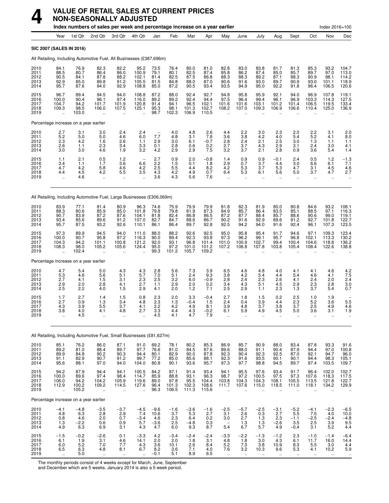

# **VALUE OF RETAIL SALES AT CURRENT PRICES NON-SEASONALLY ADJUSTED**

|                                      |                                                         |                                        | Index numbers of sales per week and percentage increase on a year earlier |                                                  |                                                                       |                                               |                                        |                                        |                                         |                                                        |                                                        |                                           |                                                      |                                             |                                       | Index 2016=100                                           |                                           |
|--------------------------------------|---------------------------------------------------------|----------------------------------------|---------------------------------------------------------------------------|--------------------------------------------------|-----------------------------------------------------------------------|-----------------------------------------------|----------------------------------------|----------------------------------------|-----------------------------------------|--------------------------------------------------------|--------------------------------------------------------|-------------------------------------------|------------------------------------------------------|---------------------------------------------|---------------------------------------|----------------------------------------------------------|-------------------------------------------|
|                                      | Year                                                    | 1st Qtr                                | 2nd Qtr                                                                   | 3rd Qtr                                          | 4th Qtr                                                               | Jan                                           | Feb                                    | Mar                                    | Apr                                     | May                                                    | June                                                   | July                                      | Aug                                                  | Sept                                        | Oct                                   | Nov                                                      | Dec                                       |
|                                      | SIC 2007 (SALES IN 2016)                                |                                        |                                                                           |                                                  |                                                                       |                                               |                                        |                                        |                                         |                                                        |                                                        |                                           |                                                      |                                             |                                       |                                                          |                                           |
|                                      |                                                         |                                        | All Retailing, Including Automotive Fuel, All Businesses (£387,696m)      |                                                  |                                                                       |                                               |                                        |                                        |                                         |                                                        |                                                        |                                           |                                                      |                                             |                                       |                                                          |                                           |
| 2010<br>2011<br>2012<br>2013<br>2014 | 84.1<br>88.5<br>90.5<br>92.9<br>95.7                    | 76.9<br>80.7<br>84.1<br>85.0<br>87.6   | 82.3<br>86.4<br>87.8<br>89.8<br>94.0                                      | 82.2<br>86.0<br>88.2<br>91.2<br>92.9             | 95.2<br>100.9<br>102.1<br>105.5<br>108.8                              | 73.5<br>79.1<br>81.4<br>81.5<br>85.0          | 76.4<br>80.1<br>82.5<br>84.8<br>87.2   | 80.0<br>82.5<br>87.5<br>88.0<br>90.5   | 81.0<br>87.4<br>86.8<br>87.0<br>93.4    | 82.8<br>85.8<br>88.3<br>90.6<br>93.5                   | 83.0<br>86.2<br>88.3<br>91.6<br>94.9                   | 83.8<br>87.4<br>89.2<br>93.0<br>95.0      | 81.7<br>85.0<br>87.1<br>89.7<br>92.2                 | 81.3<br>85.7<br>88.3<br>90.9<br>91.8        | 85.3<br>89.7<br>90.9<br>93.0<br>96.4  | 93.2<br>97.0<br>98.1<br>101.1<br>106.5                   | 104.7<br>113.0<br>114.2<br>118.9<br>120.6 |
| 2015<br>2016<br>2017<br>2018<br>2019 | 96.7<br>100.0<br>104.7<br>109.3                         | 89.4<br>90.4<br>94.2<br>98.5<br>103.0  | 94.5<br>96.1<br>101.7<br>106.0<br>ä,                                      | 94.0<br>97.4<br>101.9<br>107.5<br>ä.             | 108.8<br>116.0<br>120.8<br>125.1<br>$\ddot{\phantom{a}}$              | 87.2<br>89.2<br>91.4<br>95.3<br>98.7          | 88.0<br>89.2<br>94.1<br>98.1<br>102.3  | 92.4<br>92.4<br>96.5<br>101.3<br>106.9 | 92.7<br>94.4<br>102.1<br>102.7<br>110.5 | 94.8<br>97.5<br>101.6<br>108.2<br>$\ddot{\phantom{a}}$ | 95.8<br>96.4<br>101.6<br>107.0                         | 95.9<br>99.4<br>103.1<br>109.3            | 92.1<br>96.1<br>101.2<br>106.9                       | 94.0<br>96.9<br>101.4<br>106.6              | 96.9<br>103.3<br>106.5<br>110.4       | 107.8<br>114.3<br>119.5<br>125.0                         | 119.1<br>127.5<br>133.4<br>136.9          |
|                                      | Percentage increase on a year earlier                   |                                        |                                                                           |                                                  |                                                                       |                                               |                                        |                                        |                                         |                                                        |                                                        |                                           |                                                      |                                             |                                       |                                                          |                                           |
| 2010<br>2011<br>2012<br>2013<br>2014 | 2.7<br>5.2<br>2.3<br>2.6<br>3.0                         | 3.1<br>5.0<br>4.2<br>1.1<br>3.0        | 3.0<br>5.0<br>1.6<br>2.3<br>4.6                                           | 2.4<br>4.6<br>2.6<br>3.4<br>1.9                  | 2.4<br>6.0<br>1.1<br>3.3<br>3.2                                       | $\qquad \qquad -$<br>7.7<br>2.9<br>0.1<br>4.2 | 4.0<br>4.8<br>3.0<br>2.8<br>2.9        | 4.8<br>3.1<br>6.1<br>0.6<br>2.9        | 2.6<br>7.8<br>$-0.7$<br>0.2<br>7.5      | 4.4<br>3.6<br>2.8<br>2.7<br>3.2                        | 2.2<br>3.8<br>2.4<br>3.7<br>3.7                        | 3.0<br>4.2<br>2.1<br>4.3<br>2.1           | 2.3<br>4.0<br>2.5<br>2.9<br>2.8                      | 2.0<br>5.4<br>3.0<br>3.1<br>0.9             | 2.2<br>5.2<br>1.3<br>2.4<br>3.6       | 3.1<br>4.1<br>1.1<br>3.0<br>5.4                          | 2.0<br>8.0<br>1.1<br>4.1<br>1.4           |
| 2015<br>2016<br>2017<br>2018<br>2019 | 1.1<br>3.4<br>4.7<br>4.4<br>ä.                          | 2.1<br>1.1<br>4.2<br>4.5<br>4.6        | 0.5<br>1.7<br>5.8<br>4.2<br>$\mathbf{r}$                                  | 1.2<br>3.6<br>4.6<br>5.5<br>$\ddot{\phantom{0}}$ | $\overline{\phantom{a}}$<br>6.6<br>4.2<br>3.5<br>$\ddot{\phantom{0}}$ | 2.7<br>2.2<br>2.5<br>4.3<br>3.6               | 0.9<br>1.5<br>5.5<br>4.2<br>4.3        | 2.0<br>0.1<br>4.4<br>4.9<br>5.6        | $-0.8$<br>1.8<br>8.2<br>0.7<br>7.6      | 1.4<br>2.9<br>4.2<br>6.4<br>$\ddotsc$                  | 0.9<br>0.7<br>5.3<br>5.3<br>$\ddotsc$                  | 0.9<br>3.7<br>3.7<br>6.1<br>$\ddotsc$     | $-0.1$<br>4.4<br>5.3<br>5.6<br>$\ddotsc$             | 2.4<br>3.0<br>4.7<br>5.0<br>$\ldots$        | 0.5<br>6.6<br>3.1<br>3.7<br>$\ddotsc$ | 1.2<br>6.1<br>4.5<br>4.7<br>$\ddot{\phantom{a}}$         | $-1.3$<br>7.1<br>4.6<br>2.7               |
|                                      |                                                         |                                        | All Retailing, Including Automotive Fuel, Large Businesses (£306,069m)    |                                                  |                                                                       |                                               |                                        |                                        |                                         |                                                        |                                                        |                                           |                                                      |                                             |                                       |                                                          |                                           |
| 2010<br>2011<br>2012<br>2013<br>2014 | 83.9<br>88.3<br>90.7<br>93.4<br>95.7                    | 77.1<br>80.6<br>83.9<br>85.6<br>87.5   | 81.4<br>85.9<br>87.2<br>89.6<br>93.2                                      | 80.9<br>85.0<br>87.6<br>91.2<br>92.6             | 96.3<br>101.8<br>104.1<br>107.0<br>110.1                              | 74.6<br>79.8<br>81.8<br>82.7<br>86.1          | 75.9<br>79.8<br>82.4<br>84.7<br>86.4   | 79.9<br>81.9<br>86.8<br>88.6<br>89.7   | 79.9<br>87.3<br>86.5<br>86.7<br>92.8    | 81.8<br>84.9<br>87.2<br>90.2<br>92.5                   | 82.3<br>85.7<br>87.7<br>91.6<br>94.2                   | 81.9<br>86.4<br>88.4<br>92.9<br>94.0      | 80.0<br>83.5<br>85.7<br>89.6<br>91.6                 | 80.8<br>85.1<br>88.6<br>91.2<br>92.4        | 84.6<br>88.5<br>90.6<br>92.7<br>96.1  | 93.2<br>97.1<br>99.0<br>101.8<br>107.3                   | 108.1<br>116.3<br>119.1<br>122.7<br>123.5 |
| 2015<br>2016<br>2017<br>2018<br>2019 | 97.3<br>100.0<br>104.3<br>108.3                         | 89.9<br>90.7<br>94.2<br>98.0<br>102.4  | 94.5<br>95.8<br>101.1<br>105.2<br>$\ddot{\phantom{a}}$                    | 94.0<br>97.2<br>100.8<br>105.6<br>ä.             | 111.0<br>116.3<br>121.2<br>124.4<br>$\ddot{\phantom{a}}$              | 88.0<br>90.0<br>92.0<br>95.0<br>99.3          | 88.2<br>89.4<br>93.1<br>97.2<br>101.2  | 92.6<br>92.3<br>96.8<br>101.0<br>105.7 | 92.5<br>93.8<br>101.4<br>101.2<br>109.2 | 95.0<br>97.3<br>101.0<br>107.2<br>$\ddot{\phantom{a}}$ | 95.8<br>96.2<br>100.9<br>106.8<br>$\ddot{\phantom{a}}$ | 95.4<br>99.1<br>102.7<br>107.8            | 91.7<br>95.7<br>99.4<br>103.8<br>$\ddotsc$           | 94.6<br>96.8<br>100.4<br>105.4<br>$\ddotsc$ | 97.1<br>102.1<br>104.6<br>108.4       | 109.3<br>113.3<br>118.8<br>122.6<br>$\ddot{\phantom{a}}$ | 123.4<br>130.2<br>136.2<br>138.8          |
|                                      | Percentage increase on a year earlier                   |                                        |                                                                           |                                                  |                                                                       |                                               |                                        |                                        |                                         |                                                        |                                                        |                                           |                                                      |                                             |                                       |                                                          |                                           |
| 2010<br>2011<br>2012<br>2013<br>2014 | 4.7<br>5.3<br>2.7<br>2.9<br>2.5                         | 5.4<br>4.6<br>4.1<br>2.0<br>2.2        | 5.0<br>5.6<br>1.5<br>2.8<br>4.0                                           | 4.3<br>5.1<br>3.1<br>4.1<br>1.5                  | 4.3<br>5.7<br>2.3<br>2.7<br>2.9                                       | 2.8<br>7.0<br>2.5<br>1.1<br>4.1               | 5.6<br>5.1<br>3.2<br>2.9<br>2.0        | 7.3<br>2.4<br>6.0<br>2.0<br>1.2        | 3.9<br>9.3<br>$-0.9$<br>0.2<br>7.1      | 6.5<br>3.8<br>2.8<br>3.4<br>2.5                        | 4.6<br>4.2<br>2.4<br>4.3<br>2.9                        | 4.8<br>5.4<br>2.3<br>5.1<br>1.1           | 4.0<br>4.4<br>2.6<br>4.5<br>2.3                      | 4.1<br>5.4<br>4.1<br>2.9<br>1.3             | 4.1<br>4.6<br>2.4<br>2.3<br>3.7       | 4.6<br>4.1<br>2.0<br>2.8<br>5.4                          | 4.2<br>7.5<br>2.4<br>3.0<br>0.7           |
| 2015<br>2016<br>2017<br>2018<br>2019 | 1.7<br>2.7<br>4.3<br>3.8<br>$\ddot{\phantom{1}}$        | 2.7<br>0.9<br>3.9<br>4.0<br>4.5        | 1.4<br>1.3<br>5.5<br>4.1<br>$\mathbf{r}$                                  | 1.5<br>3.4<br>3.7<br>4.8                         | 0.8<br>4.8<br>4.1<br>2.7<br>$\ddot{\phantom{a}}$                      | 2.3<br>2.3<br>2.2<br>3.3<br>4.5               | 2.0<br>1.3<br>4.2<br>4.4<br>4.1        | 3.3<br>$-0.4$<br>4.9<br>4.3<br>4.7     | $-0.4$<br>1.5<br>8.1<br>$-0.2$<br>7.9   | 2.7<br>2.4<br>3.9<br>6.1                               | 1.8<br>0.4<br>4.8<br>5.9                               | 1.5<br>3.9<br>3.7<br>4.9                  | 0.2<br>4.4<br>3.8<br>4.5                             | 2.5<br>2.3<br>3.7<br>5.0                    | 1.0<br>5.2<br>2.5<br>3.6              | 1.9<br>3.6<br>4.9<br>3.1                                 | 5.5<br>4.6<br>1.9                         |
|                                      |                                                         |                                        | All Retailing, Including Automotive Fuel, Small Businesses (£81,627m)     |                                                  |                                                                       |                                               |                                        |                                        |                                         |                                                        |                                                        |                                           |                                                      |                                             |                                       |                                                          |                                           |
| 2010<br>2011<br>2012<br>2013<br>2014 | 85.1<br>$89.2$<br>$89.9$<br>91.1<br>95.6                | 76.2<br>81.0<br>84.8<br>82.9<br>88.1   | 86.0<br>88.4<br>90.2<br>90.7<br>97.0                                      | 87.1<br>89.7<br>90.3<br>91.2<br>94.0             | 91.0<br>97.7<br>94.4<br>99.7<br>104.0                                 | 69.2<br>76.6<br>80.1<br>77.2<br>80.8          | 78.1<br>81.0<br>82.9<br>85.0<br>90.1   | 80.2<br>84.5<br>90.0<br>85.6<br>93.6   | 85.3<br>87.6<br>87.8<br>88.1<br>95.7    | 86.9<br>89.6<br>92.3<br>92.3<br>97.3                   | 85.7<br>88.0<br>90.4<br>91.6<br>97.7                   | 90.9<br>91.1<br>92.3<br>93.5<br>98.8      | 88.0<br>90.4<br>92.5<br>90.1<br>94.5                 | 83.4<br>87.9<br>87.0<br>90.1<br>89.7        | 87.8<br>94.4<br>92.1<br>94.4<br>97.4  | 93.3<br>97.0<br>94.7<br>98.3<br>103.5                    | 91.6<br>100.8<br>96.0<br>105.1<br>109.7   |
| 2015<br>2016<br>2017<br>2018<br>2019 | 94.2<br>100.0<br>106.0<br>112.9<br>$\ddot{\phantom{a}}$ | 87.9<br>89.6<br>94.2<br>100.2<br>105.2 | 94.4<br>97.4<br>104.2<br>109.2<br>$\ldots$                                | 94.1<br>98.4<br>105.9<br>114.5<br>               | 100.5<br>114.7<br>119.6<br>127.6<br>$\ddotsc$                         | 84.2<br>85.9<br>89.0<br>96.4<br>96.3          | 87.1<br>88.8<br>97.8<br>101.3<br>106.5 | 91.4<br>93.1<br>95.5<br>102.3<br>111.3 | 93.4<br>96.3<br>104.4<br>108.6<br>115.6 | 94.1<br>98.7<br>103.8<br>111.7                         | 95.5<br>97.2<br>104.3<br>107.6                         | 97.6<br>100.5<br>104.3<br>115.0           | 93.4<br>97.5<br>108.1<br>118.5                       | 91.7<br>97.3<br>105.5<br>111.0              | 96.4<br>107.6<br>113.5<br>118.1       | 102.0<br>118.3<br>121.8<br>134.2                         | 102.7<br>117.5<br>122.7<br>129.9          |
|                                      | Percentage increase on a year earlier                   |                                        |                                                                           |                                                  |                                                                       |                                               |                                        |                                        |                                         |                                                        |                                                        |                                           |                                                      |                                             |                                       |                                                          |                                           |
| 2010<br>2011<br>2012<br>2013<br>2014 | $-4.1$<br>4.8<br>0.8<br>1.3<br>4.9                      | $-4.8$<br>6.3<br>4.6<br>$-2.2$<br>6.3  | $-3.5$<br>2.8<br>2.0<br>0.6<br>6.9                                        | $-3.7$<br>2.9<br>0.7<br>0.9<br>3.1               | $-4.5$<br>7.4<br>$-3.4$<br>5.7<br>4.3                                 | $-9.6$<br>10.6<br>4.6<br>$-3.6$<br>4.7        | $-1.6$<br>3.7<br>$^{2.3}_{2.5}$<br>6.0 | $-3.6$<br>5.3<br>6.4<br>$-4.8$<br>9.3  | $-1.6$<br>2.7<br>0.2<br>0.3<br>8.7      | $-2.5$<br>3.1<br>3.0<br>$\qquad \qquad -$<br>5.4       | $-5.7$<br>2.6<br>2.7<br>1.3<br>6.7                     | $-2.5$<br>0.3<br>$\frac{1.3}{1.3}$<br>5.7 | $-3.1$<br>2.7<br>$2.3\,$<br>$-2.\overline{6}$<br>4.9 | $-5.2$<br>5.5<br>$-1.1$<br>3.5<br>$-0.4$    | $-4.1$<br>7.5<br>$-2.5$<br>2.5<br>3.1 | $-2.3$<br>4.0<br>$-2.4$<br>3.9<br>5.2                    | $-6.5$<br>10.0<br>$-4.8$<br>9.5<br>4.4    |
| 2015<br>2016<br>2017<br>2018<br>2019 | $-1.5$<br>6.1<br>6.0<br>6.5                             | $-0.2$<br>1.9<br>5.2<br>6.3<br>5.0     | $-2.6$<br>3.1<br>7.0<br>4.8<br>$\ddot{\phantom{a}}$                       | 0.1<br>4.6<br>7.7<br>8.1                         | $-3.3$<br>14.1<br>4.3<br>6.7                                          | 4.2<br>2.0<br>3.6<br>8.2<br>$-0.1$            | $-3.4$<br>2.0<br>10.1<br>3.6<br>5.1    | $-2.4$<br>1.8<br>2.6<br>7.1<br>8.9     | $-2.4$<br>3.1<br>8.4<br>4.0<br>6.5      | $-3.3$<br>4.8<br>5.2<br>7.6<br>ä.                      | $-2.2$<br>1.8<br>7.3<br>3.2                            | $-1.3$<br>3.0<br>3.8<br>10.3              | $-1.2$<br>4.3<br>10.9<br>9.6                         | 2.3<br>6.1<br>8.3<br>5.3                    | $-1.0$<br>11.7<br>5.5<br>4.1          | $-1.4$<br>16.0<br>3.0<br>10.2                            | $-6.4$<br>14.4<br>4.4<br>5.9              |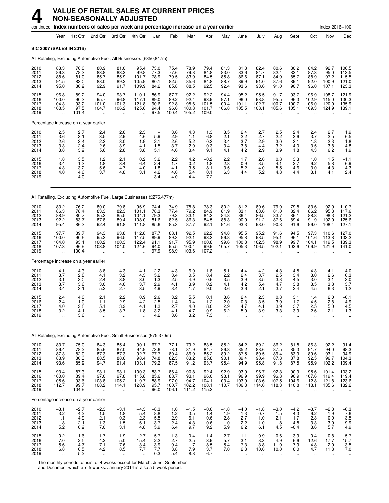## **4 VALUE OF RETAIL SALES AT CURRENT PRICES NON-SEASONALLY ADJUSTED**

|                                      |                                                         | continued Index numbers of sales per week and percentage increase on a year earlier |                                       |                                                                 |                                                             |                                                      |                                           |                                        |                                           |                                                        |                                                        |                                       |                                             |                                                        |                                                         | Index 2016=100                                           |                                             |
|--------------------------------------|---------------------------------------------------------|-------------------------------------------------------------------------------------|---------------------------------------|-----------------------------------------------------------------|-------------------------------------------------------------|------------------------------------------------------|-------------------------------------------|----------------------------------------|-------------------------------------------|--------------------------------------------------------|--------------------------------------------------------|---------------------------------------|---------------------------------------------|--------------------------------------------------------|---------------------------------------------------------|----------------------------------------------------------|---------------------------------------------|
|                                      | Year                                                    | 1st Qtr                                                                             | 2nd Qtr                               | 3rd Qtr                                                         | 4th Qtr                                                     | Jan                                                  | Feb                                       | Mar                                    | Apr                                       | May                                                    | June                                                   | July                                  | Aug                                         | Sept                                                   | Oct                                                     | Nov                                                      | Dec                                         |
| SIC 2007 (SALES IN 2016)             |                                                         |                                                                                     |                                       |                                                                 |                                                             |                                                      |                                           |                                        |                                           |                                                        |                                                        |                                       |                                             |                                                        |                                                         |                                                          |                                             |
|                                      |                                                         | All Retailing, Excluding Automotive Fuel, All Businesses (£350,847m)                |                                       |                                                                 |                                                             |                                                      |                                           |                                        |                                           |                                                        |                                                        |                                       |                                             |                                                        |                                                         |                                                          |                                             |
| 2010<br>2011<br>2012<br>2013<br>2014 | 83.3<br>86.3<br>88.6<br>91.5<br>95.0                    | 76.0<br>78.3<br>81.0<br>83.0<br>86.2                                                | 80.9<br>83.8<br>85.7<br>88.0<br>92.9  | 81.0<br>83.3<br>85.9<br>89.2<br>91.7                            | 95.4<br>99.8<br>101.7<br>105.9<br>109.9                     | 73.0<br>77.3<br>78.9<br>80.1<br>84.2                 | 75.4<br>77.6<br>79.5<br>82.5<br>85.8      | 78.9<br>79.8<br>83.9<br>85.6<br>88.5   | 79.4<br>84.8<br>84.5<br>84.8<br>92.5      | 81.3<br>83.0<br>85.8<br>88.7<br>92.4                   | 81.8<br>83.6<br>86.6<br>89.9<br>93.6                   | 82.4<br>84.7<br>87.1<br>91.0<br>93.6  | 80.6<br>82.4<br>84.9<br>87.6<br>91.0        | 80.2<br>83.1<br>85.7<br>89.1<br>90.7                   | 84.2<br>87.3<br>88.9<br>92.0<br>96.0                    | 92.7<br>95.0<br>97.2<br>100.9<br>107.1                   | 106.5<br>113.5<br>115.5<br>121.0<br>123.3   |
| 2015<br>2016<br>2017<br>2018<br>2019 | 96.8<br>100.0<br>104.3<br>108.5                         | 89.2<br>90.3<br>93.2<br>97.5<br>101.4                                               | 94.0<br>95.7<br>101.0<br>104.7        | 93.7<br>96.8<br>101.3<br>106.2                                  | 110.1<br>117.1<br>121.8<br>125.6                            | 86.9<br>89.0<br>90.6<br>94.4<br>97.5                 | 87.7<br>89.2<br>92.8<br>96.6<br>100.4     | 92.2<br>92.4<br>95.6<br>100.8<br>105.2 | 92.2<br>93.9<br>101.5<br>101.7<br>109.0   | 94.4<br>97.1<br>100.4<br>106.8                         | 95.2<br>96.0<br>101.1<br>105.5                         | 95.5<br>98.8<br>102.7<br>108.1        | 91.7<br>95.5<br>100.7<br>105.6              | 93.7<br>96.3<br>100.7<br>105.1                         | 96.9<br>102.9<br>106.0<br>109.3                         | 108.7<br>115.0<br>120.0<br>124.9                         | 121.9<br>130.3<br>135.9<br>139.1            |
|                                      |                                                         | Percentage increase on a year earlier                                               |                                       |                                                                 |                                                             |                                                      |                                           |                                        |                                           |                                                        |                                                        |                                       |                                             |                                                        |                                                         |                                                          |                                             |
| 2010<br>2011<br>2012<br>2013<br>2014 | 2.5<br>3.6<br>2.6<br>3.3<br>3.8                         | 2.7<br>3.1<br>3.4<br>2.4<br>3.9                                                     | 2.4<br>3.5<br>2.3<br>2.6<br>5.6       | 2.6<br>2.9<br>3.0<br>3.9<br>2.8                                 | 2.3<br>4.6<br>1.9<br>4.1<br>3.8                             | $\overline{\phantom{a}}$<br>5.9<br>2.1<br>1.5<br>5.1 | 3.6<br>2.9<br>2.6<br>3.7<br>4.0           | 4.3<br>1.1<br>5.2<br>2.0<br>3.4        | 1.3<br>6.8<br>$-0.3$<br>0.3<br>9.1        | 3.5<br>2.1<br>3.4<br>3.4<br>4.1                        | 2.4<br>2.2<br>3.7<br>3.8<br>4.2                        | 2.7<br>2.7<br>2.9<br>4.4<br>2.9       | 2.5<br>2.2<br>3.0<br>3.2<br>3.9             | 2.4<br>3.6<br>3.1<br>4.0<br>1.8                        | 2.4<br>3.7<br>1.8<br>3.5<br>4.3                         | 2.7<br>2.5<br>2.3<br>3.8<br>6.2                          | 1.9<br>6.5<br>1.8<br>$^{4.8}_{1.9}$         |
| 2015<br>2016<br>2017<br>2018<br>2019 | 1.8<br>3.4<br>4.3<br>4.0<br>$\ddot{\phantom{1}}$        | 3.5<br>1.3<br>3.2<br>4.6<br>4.0                                                     | 1.2<br>1.8<br>5.6<br>3.7<br>ä.        | 2.1<br>3.4<br>4.7<br>4.8<br>$\ddotsc$                           | 0.2<br>6.4<br>4.0<br>3.1<br>$\ddot{\phantom{1}}$            | 3.2<br>2.4<br>1.8<br>4.2<br>3.4                      | 2.2<br>1.7<br>4.1<br>4.0<br>4.0           | 4.2<br>0.2<br>3.5<br>5.4<br>4.4        | $-0.2$<br>1.8<br>8.1<br>0.1<br>7.2        | 2.2<br>2.8<br>3.5<br>6.3<br>$\ddotsc$                  | 1.7<br>0.9<br>5.2<br>4.4<br>ä.                         | 2.0<br>3.5<br>4.0<br>5.2<br>.,        | 0.8<br>4.1<br>5.5<br>4.8<br>$\ddotsc$       | 3.3<br>2.7<br>4.6<br>4.4<br>$\ddotsc$                  | 1.0<br>6.2<br>3.0<br>3.1<br>ä.                          | 1.5<br>5.8<br>4.3<br>4.1<br>$\ddotsc$                    | $-1.1$<br>6.9<br>4.3<br>2.4                 |
|                                      |                                                         | All Retailing, Excluding Automotive Fuel, Large Businesses (£275,477m)              |                                       |                                                                 |                                                             |                                                      |                                           |                                        |                                           |                                                        |                                                        |                                       |                                             |                                                        |                                                         |                                                          |                                             |
| 2010<br>2011<br>2012<br>2013<br>2014 | 83.2<br>86.3<br>88.9<br>92.2<br>95.4                    | 76.2<br>78.4<br>80.7<br>83.7<br>86.3                                                | 80.0<br>83.3<br>85.3<br>87.8<br>92.4  | 79.8<br>82.3<br>85.5<br>89.4<br>91.8                            | 96.9<br>101.1<br>104.1<br>108.0<br>111.8                    | 74.4<br>78.3<br>79.3<br>81.6<br>85.6                 | 74.9<br>77.4<br>79.3<br>82.5<br>85.3      | 78.8<br>79.2<br>83.1<br>86.3<br>87.7   | 78.3<br>84.9<br>84.3<br>84.5<br>92.1      | 80.2<br>81.9<br>84.8<br>88.3<br>91.6                   | 81.2<br>83.1<br>86.4<br>90.0<br>93.3                   | 80.6<br>83.6<br>86.5<br>91.2<br>93.0  | 79.0<br>81.0<br>83.7<br>87.6<br>90.8        | 79.8<br>82.4<br>86.1<br>89.4<br>91.6                   | 83.6<br>86.2<br>88.8<br>91.9<br>96.0                    | 92.9<br>95.3<br>98.3<br>102.0<br>108.4                   | 110.7<br>117.6<br>121.2<br>125.6<br>127.1   |
| 2015<br>2016<br>2017<br>2018<br>2019 | 97.7<br>100.0<br>104.0<br>107.3                         | 89.7<br>90.6<br>93.1<br>96.9<br>100.4                                               | 94.3<br>95.3<br>100.2<br>103.8        | 93.8<br>96.5<br>100.3<br>104.0                                  | 112.8<br>117.5<br>122.4<br>124.6                            | 87.7<br>89.9<br>91.1<br>94.0<br>97.9                 | 88.1<br>89.3<br>91.7<br>95.5<br>98.9      | 92.5<br>92.1<br>95.9<br>100.4<br>103.6 | 92.2<br>93.3<br>100.8<br>99.9<br>107.2    | 94.8<br>96.8<br>99.6<br>105.7                          | 95.5<br>95.8<br>100.3<br>105.3                         | 95.2<br>98.5<br>102.5<br>106.5        | 91.6<br>95.1<br>98.9<br>102.1               | 94.5<br>96.1<br>99.7<br>103.6                          | 97.3<br>101.6<br>104.1<br>106.9                         | 110.6<br>113.8<br>119.5<br>121.9                         | 127.0<br>133.2<br>139.3<br>141.0            |
|                                      |                                                         | Percentage increase on a year earlier                                               |                                       |                                                                 |                                                             |                                                      |                                           |                                        |                                           |                                                        |                                                        |                                       |                                             |                                                        |                                                         |                                                          |                                             |
| 2010<br>2011<br>2012<br>2013<br>2014 | 4.1<br>3.7<br>3.1<br>3.7<br>3.4                         | 4.3<br>2.8<br>3.0<br>3.6<br>3.1                                                     | 3.8<br>4.1<br>2.4<br>3.0<br>5.2       | 4.3<br>3.2<br>3.8<br>4.6<br>2.7                                 | 4.1<br>4.3<br>3.0<br>3.7<br>3.5                             | 2.2<br>5.2<br>1.3<br>2.9<br>4.9                      | 4.3<br>3.4<br>2.5<br>4.1<br>3.4           | 6.0<br>0.5<br>4.9<br>3.9<br>1.7        | 1.8<br>8.4<br>-0.6<br>0.2<br>9.0          | 5.1<br>2.2<br>3.5<br>4.1<br>3.6                        | 4.4<br>2.4<br>3.9<br>4.2<br>3.6                        | 4.2<br>3.7<br>3.5<br>5.4<br>2.1       | 4.3<br>2.5<br>3.3<br>4.7<br>3.7             | 4.5<br>3.4<br>4.5<br>3.8<br>2.4                        | 4.3<br>3.0<br>3.0<br>3.5<br>4.5                         | 4.1<br>2.6<br>3.1<br>3.8<br>6.3                          | 4.0<br>6.3<br>3.0<br>3.7<br>1.2             |
| 2015<br>2016<br>2017<br>2018<br>2019 | 2.4<br>2.4<br>4.0<br>3.2<br>$\ddotsc$                   | 4.0<br>1.0<br>2.8<br>4.1<br>3.6                                                     | 2.1<br>1.1<br>5.1<br>3.5<br>ä.        | 2.2<br>2.9<br>3.9<br>3.7<br>$\ddotsc$                           | 0.9<br>4.2<br>4.1<br>1.8<br>ä,                              | 2.6<br>2.5<br>1.3<br>3.2<br>4.2                      | 3.2<br>1.4<br>2.7<br>4.1<br>3.6           | 5.5<br>-0.4<br>4.0<br>4.7<br>3.2       | 0.1<br>1.2<br>8.0<br>$-0.9$<br>7.3        | 3.6<br>2.0<br>2.9<br>6.2<br>$\ldots$                   | 2.4<br>0.3<br>4.7<br>5.0<br>$\mathbf{r}$               | 2.3<br>3.5<br>4.1<br>3.9<br>          | 0.8<br>3.9<br>3.9<br>3.3<br>$\ddotsc$       | 3.1<br>1.7<br>3.7<br>3.9<br>$\ddotsc$                  | 1.4<br>4.5<br>2.5<br>2.6<br>$\ddot{\phantom{a}}$        | 2.0<br>2.8<br>5.0<br>2.1<br>$\ddotsc$                    | $-0.1$<br>4.9<br>4.5<br>1.3<br>$\ddotsc$    |
|                                      |                                                         | All Retailing, Excluding Automotive Fuel, Small Businesses (£75,370m)               |                                       |                                                                 |                                                             |                                                      |                                           |                                        |                                           |                                                        |                                                        |                                       |                                             |                                                        |                                                         |                                                          |                                             |
| 2010<br>2011<br>2012<br>2013<br>2014 | 83.7<br>86.4<br>87.3<br>88.9<br>93.6                    | 75.0<br>78.2<br>82.0<br>80.3<br>85.9                                                | 84.3<br>85.6<br>87.3<br>88.5<br>94.7  | 85.4<br>87.0<br>87.3<br>88.6<br>91.4                            | 90.1<br>94.9<br>92.7<br>98.4<br>103.1                       | 67.7<br>73.6<br>77.7<br>74.8<br>79.2                 | 77.1<br>78.1<br>80.4<br>82.3<br>87.5      | 79.2<br>81.9<br>86.9<br>83.2<br>91.2   | 83.5<br>84.7<br>85.2<br>85.8<br>93.7      | 85.2<br>86.8<br>89.2<br>90.1<br>95.4                   | 84.2<br>85.2<br>87.5<br>89.4<br>94.9                   | 89.2<br>88.6<br>89.5<br>90.4<br>95.8  | 86.2<br>87.5<br>89.4<br>87.8<br>91.8        | 81.8<br>85.3<br>83.9<br>87.8<br>87.5                   | 86.3<br>91.7<br>89.6<br>92.5<br>95.9                    | 92.2<br>94.0<br>93.1<br>96.7<br>102.2                    | 91.4<br>98.3<br>94.9<br>104.3<br>109.4      |
| 2015<br>2016<br>2017<br>2018<br>2019 | 93.4<br>100.0<br>105.6<br>112.7<br>$\ddot{\phantom{a}}$ | 87.3<br>89.4<br>93.6<br>99.7<br>104.9                                               | 93.1<br>97.0<br>103.8<br>108.2<br>ä,  | 93.1<br>97.8<br>105.2<br>114.1<br>$\ddot{\phantom{a}}$          | 100.3<br>115.8<br>119.7<br>128.9<br>$\ddot{\phantom{a}}$    | 83.7<br>85.6<br>88.9<br>95.7<br>96.0                 | 86.4<br>88.7<br>97.0<br>100.7<br>106.1    | 90.8<br>93.1<br>94.7<br>102.2<br>111.2 | 92.4<br>96.0<br>104.1<br>108.1<br>115.3   | 92.9<br>98.1<br>103.4<br>110.7<br>$\ddot{\phantom{a}}$ | 93.9<br>96.9<br>103.9<br>106.3<br>$\ddot{\phantom{a}}$ | 96.7<br>99.9<br>103.6<br>114.0<br>ă,  | 92.3<br>96.8<br>107.5<br>118.3<br>$\ddotsc$ | 90.9<br>96.9<br>104.6<br>110.8<br>$\ddot{\phantom{a}}$ | 95.6<br>107.6<br>112.8<br>118.1<br>$\ddot{\phantom{a}}$ | 101.4<br>119.4<br>121.8<br>135.6<br>$\ddot{\phantom{a}}$ | 103.2<br>119.4<br>123.6<br>132.2            |
|                                      |                                                         | Percentage increase on a year earlier                                               |                                       |                                                                 |                                                             |                                                      |                                           |                                        |                                           |                                                        |                                                        |                                       |                                             |                                                        |                                                         |                                                          |                                             |
| 2010<br>2011<br>2012<br>2013<br>2014 | $-3.1$<br>$3.2\,$<br>1.1<br>1.8<br>5.2                  | $-2.7$<br>4.2<br>4.9<br>$-2.1$<br>6.9                                               | $-2.3$<br>1.5<br>2.1<br>1.3<br>7.0    | -3.1<br>1.8<br>$\begin{array}{c} 0.3 \\ 1.5 \end{array}$<br>3.1 | $-4.3$<br>5.4<br>$-2.3$<br>6.1<br>4.8                       | $-8.3$<br>8.8<br>$\frac{5.5}{-3.7}$<br>5.9           | 1.0<br>1.2<br>2.9<br>2.4<br>6.4           | $-1.5$<br>3.5<br>6.1<br>-4.3<br>9.7    | $-0.6$<br>1.4<br>0.6<br>0.6<br>9.2        | $-1.8$<br>1.9<br>2.8<br>1.0<br>5.9                     | $-4.0$<br>1.3<br>2.7<br>2.2<br>6.2                     | $-1.8$<br>$-0.7$<br>1.0<br>1.0<br>6.1 | $-3.0$<br>1.5<br>2.1<br>$-1.8$<br>4.5       | $-4.2$<br>$4.3\,$<br>$-1.7$<br>4.8<br>$-0.4$           | $-3.7$<br>6.2<br>$-2.3$<br>3.3<br>3.6                   | $-2.3$<br>1.9<br>$-0.9$<br>3.9<br>5.7                    | $-6.3$<br>$7.6$<br>$-3.5$<br>$9.9$<br>$4.9$ |
| 2015<br>2016<br>2017<br>2018<br>2019 | $-0.2$<br>$7.0$<br>5.6<br>6.8<br>$\sim$                 | 1.6<br>2.5<br>4.7<br>6.5<br>$5.2\,$                                                 | $-1.7$<br>4.2<br>7.1<br>4.2<br>$\sim$ | 1.9<br>$5.0$<br>7.6<br>8.5<br>$\ddotsc$                         | $-2.7$<br>15.4<br>$\frac{3.4}{7.7}$<br>$\ddot{\phantom{a}}$ | 5.7<br>2.2<br>$\frac{3.9}{7.7}$<br>0.3               | $-1.3$<br>2.7<br>$\frac{9.4}{3.8}$<br>5.4 | $-0.4$<br>2.5<br>1.7<br>7.9<br>8.8     | $-1.4$<br>3.9<br>$\frac{8.5}{3.7}$<br>6.7 | $-2.7$<br>5.7<br>5.4<br>7.0<br>$\ddotsc$               | $-1.1$<br>3.1<br>7.3<br>2.3<br>$\mathbf{r}$            | 0.9<br>3.3<br>3.8<br>10.0             | 0.6<br>4.9<br>11.0<br>10.0                  | 3.9<br>6.6<br>7.9<br>6.0<br>$\ddotsc$                  | $-0.4$<br>12.6<br>4.8<br>4.7<br>$\ddotsc$               | $-0.8$<br>17.7<br>2.0<br>11.3<br>$\ddotsc$               | $-5.7$<br>15.7<br>$\frac{3.5}{7.0}$         |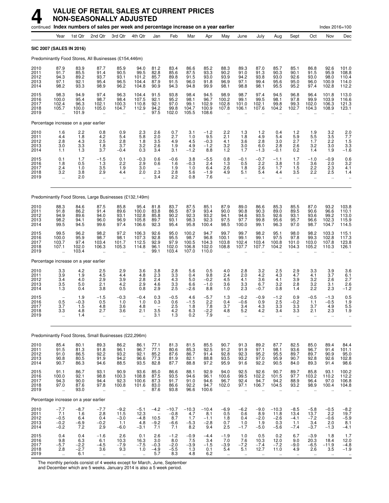|                                      |                                                         |                                            | continued Index numbers of sales per week and percentage increase on a year earlier |                                                        |                                           |                                                             |                                           |                                           |                                           |                                                        |                                                        |                                                        |                                                       |                                                      |                                              | Index 2016=100                                         |                                           |
|--------------------------------------|---------------------------------------------------------|--------------------------------------------|-------------------------------------------------------------------------------------|--------------------------------------------------------|-------------------------------------------|-------------------------------------------------------------|-------------------------------------------|-------------------------------------------|-------------------------------------------|--------------------------------------------------------|--------------------------------------------------------|--------------------------------------------------------|-------------------------------------------------------|------------------------------------------------------|----------------------------------------------|--------------------------------------------------------|-------------------------------------------|
|                                      | Year                                                    | 1st Qtr                                    | 2nd Qtr                                                                             | 3rd Qtr                                                | 4th Qtr                                   | Jan                                                         | Feb                                       | Mar                                       | Apr                                       | May                                                    | June                                                   | July                                                   | Aug                                                   | Sept                                                 | Oct                                          | Nov                                                    | Dec                                       |
|                                      | <b>SIC 2007 (SALES IN 2016)</b>                         |                                            |                                                                                     |                                                        |                                           |                                                             |                                           |                                           |                                           |                                                        |                                                        |                                                        |                                                       |                                                      |                                              |                                                        |                                           |
|                                      |                                                         |                                            | Predominantly Food Stores, All Businesses (£154,446m)                               |                                                        |                                           |                                                             |                                           |                                           |                                           |                                                        |                                                        |                                                        |                                                       |                                                      |                                              |                                                        |                                           |
| 2010<br>2011<br>2012<br>2013<br>2014 | 87.9<br>91.7<br>94.3<br>97.1<br>98.2                    | 83.9<br>85.5<br>89.2<br>92.1<br>93.3       | 87.7<br>91.4<br>93.7<br>95.4<br>98.9                                                | 85.9<br>90.5<br>93.1<br>96.5<br>96.2                   | 94.0<br>99.5<br>101.2<br>104.4<br>104.8   | 81.2<br>82.8<br>85.7<br>87.9<br>90.9                        | 83.4<br>85.6<br>89.8<br>91.5<br>94.3      | 86.6<br>87.5<br>91.5<br>96.0<br>94.8      | 85.2<br>93.3<br>93.0<br>91.8<br>99.9      | 88.3<br>90.2<br>93.9<br>96.9<br>98.1                   | 89.3<br>91.0<br>94.2<br>97.1<br>98.8                   | 87.0<br>91.3<br>93.8<br>99.4<br>98.1                   | 85.7<br>90.3<br>93.0<br>95.6<br>95.5                  | 85.1<br>90.1<br>92.6<br>95.0<br>95.2                 | 86.8<br>91.5<br>93.0<br>96.0<br>97.4         | 92.6<br>95.9<br>98.0<br>100.9<br>102.8                 | 101.0<br>108.8<br>110.4<br>114.0<br>112.2 |
| 2015<br>2016<br>2017<br>2018<br>2019 | 98.3<br>100.0<br>102.4<br>105.7<br>$\ddot{\phantom{a}}$ | 94.9<br>95.4<br>96.3<br>100.0<br>101.9     | 97.4<br>98.7<br>102.1<br>105.0<br>$\ddot{\phantom{a}}$                              | 96.3<br>98.4<br>100.3<br>104.7<br>$\ddot{\phantom{a}}$ | 104.4<br>107.5<br>110.8<br>112.9          | 91.5<br>92.1<br>92.1<br>94.2<br>97.5                        | 93.8<br>95.2<br>97.0<br>99.8<br>102.0     | 98.4<br>98.1<br>99.1<br>104.7<br>105.5    | 94.5<br>96.7<br>102.9<br>100.9<br>108.6   | 98.9<br>100.2<br>102.8<br>107.8<br>$\sim$              | 98.7<br>99.1<br>101.0<br>106.1<br>$\ddot{\phantom{a}}$ | 97.4<br>99.5<br>102.1<br>107.6<br>$\ddot{\phantom{a}}$ | 94.5<br>98.1<br>99.8<br>104.2                         | 96.8<br>97.8<br>99.3<br>102.7                        | 96.4<br>99.9<br>102.0<br>104.3               | 101.8<br>103.9<br>106.3<br>108.9                       | 113.0<br>116.6<br>121.3<br>123.1          |
|                                      |                                                         | Percentage increase on a year earlier      |                                                                                     |                                                        |                                           |                                                             |                                           |                                           |                                           |                                                        |                                                        |                                                        |                                                       |                                                      |                                              |                                                        |                                           |
| 2010<br>2011<br>2012<br>2013<br>2014 | $\frac{1.6}{4.4}$<br>2.8<br>3.0<br>1.1                  | $^{2.2}_{1.8}$<br>4.3<br>$\frac{3.3}{1.3}$ | 0.8<br>4.2<br>2.5<br>1.8<br>3.7                                                     | $0.9$<br>5.4<br>2.8<br>3.7<br>$-0.4$                   | $\frac{2.3}{5.8}$<br>1.8<br>3.2<br>0.3    | $^{2.6}_{2.0}$<br>3.5<br>2.6<br>3.4                         | $0.7$<br>$2.7$<br>4.9<br>1.9<br>3.1       | $\frac{3.1}{1.0}$<br>4.5<br>4.9<br>$-1.2$ | $-1.2$<br>9.5<br>$-0.3$<br>$-1.2$<br>8.8  | $^{2.2}_{2.1}$<br>4.1<br>3.2<br>1.2                    | 1.3<br>1.8<br>3.6<br>3.0<br>1.7                        | 1.2<br>4.9<br>2.8<br>6.0<br>$-1.3$                     | 0.4<br>5.4<br>3.0<br>2.8<br>$-0.1$                    | $\frac{1.2}{5.9}$<br>2.7<br>2.6<br>0.2               | $\frac{1.9}{5.5}$<br>1.7<br>3.2<br>1.4       | $\frac{3.2}{3.5}$<br>2.2<br>3.0<br>1.9                 | $2.0$<br>7.7<br>1.5<br>$3.3 - 1.6$        |
| 2015<br>2016<br>2017<br>2018<br>2019 | 0.1<br>1.8<br>2.4<br>3.2<br>$\ddot{\phantom{a}}$        | 1.7<br>0.5<br>1.0<br>3.8<br>2.0            | $^{-1.5}_{-1.3}$<br>3.5<br>2.9<br>$\ddotsc$                                         | $0.1$<br>$2.2$<br>1.9<br>4.4<br>$\ddot{\phantom{a}}$   | $-0.3$<br>2.9<br>3.0<br>2.0               | 0.6<br>0.6<br>2.3<br>3.4                                    | $-0.6$<br>1.6<br>1.9<br>2.8<br>2.2        | 3.8<br>$-0.3$<br>1.0<br>5.6<br>0.8        | $-5.5$<br>2.4<br>6.4<br>$-1.9$<br>7.6     | 0.8<br>1.3<br>2.6<br>4.9<br>$\ddot{\phantom{a}}$       | $-0.1$<br>0.5<br>1.8<br>5.1                            | $-0.7$<br>2.2<br>2.6<br>5.4<br>$\ddot{\phantom{a}}$    | $-1.1$<br>3.8<br>1.7<br>4.4                           | 1.7<br>1.0<br>1.5<br>3.5                             | $-1.0$<br>3.6<br>2.2<br>2.2<br>ä.            | $-0.9$<br>2.0<br>2.3<br>2.5<br>$\ddot{\phantom{a}}$    | $0.6$<br>$3.2$<br>4.1<br>1.4              |
|                                      |                                                         |                                            | Predominantly Food Stores, Large Businesses (£132,149m)                             |                                                        |                                           |                                                             |                                           |                                           |                                           |                                                        |                                                        |                                                        |                                                       |                                                      |                                              |                                                        |                                           |
| 2010<br>2011<br>2012<br>2013<br>2014 | 88.3<br>91.8<br>94.9<br>98.2<br>99.5                    | 84.6<br>86.2<br>89.6<br>94.1<br>94.5       | 87.5<br>91.4<br>94.0<br>96.0<br>99.6                                                | 85.8<br>89.6<br>93.1<br>96.9<br>97.4                   | 95.4<br>100.0<br>102.8<br>105.8<br>106.6  | 81.8<br>83.8<br>85.8<br>89.7<br>92.3                        | 83.7<br>86.5<br>90.2<br>93.1<br>95.4      | 87.5<br>87.9<br>92.3<br>98.3<br>95.8      | 85.1<br>93.4<br>93.2<br>92.3<br>100.4     | 87.9<br>90.0<br>94.1<br>97.5<br>98.5                   | $89.0$<br>$90.8$<br>94.6<br>97.7<br>100.0              | 86.6<br>90.3<br>93.5<br>99.8<br>99.1                   | 85.3<br>89.0<br>92.6<br>95.6<br>96.3                  | 85.5<br>89.5<br>93.1<br>95.7<br>97.0                 | 87.0<br>90.6<br>93.6<br>96.6<br>98.7         | 93.2<br>96.6<br>99.2<br>102.3<br>104.7                 | 103.8<br>110.1<br>113.0<br>115.9<br>114.5 |
| 2015<br>2016<br>2017<br>2018<br>2019 | 99.5<br>100.0<br>103.7<br>107.1                         | 96.2<br>95.9<br>97.4<br>102.0<br>103.4     | 98.2<br>98.7<br>103.4<br>106.3                                                      | 97.2<br>98.1<br>101.7<br>105.3                         | 106.3<br>107.3<br>112.5<br>114.8          | 92.6<br>92.8<br>92.9<br>96.1<br>99.1                        | 95.0<br>95.5<br>97.9<br>102.0<br>103.4    | 100.2<br>98.7<br>100.5<br>106.8<br>107.0  | 94.7<br>96.8<br>104.3<br>102.0<br>110.0   | 99.7<br>100.1<br>103.8<br>108.8                        | 99.7<br>99.1<br>102.4<br>107.7                         | 98.2<br>99.1<br>103.4<br>107.7                         | 95.1<br>97.5<br>100.8<br>104.2                        | 98.0<br>97.8<br>101.0<br>104.3                       | 98.2<br>99.3<br>103.0<br>105.2               | 103.3<br>102.8<br>107.8<br>110.3                       | 115.1<br>117.3<br>123.8<br>126.1          |
|                                      |                                                         | Percentage increase on a year earlier      |                                                                                     |                                                        |                                           |                                                             |                                           |                                           |                                           |                                                        |                                                        |                                                        |                                                       |                                                      |                                              |                                                        |                                           |
| 2010<br>2011<br>2012<br>2013<br>2014 | 3.3<br>3.9<br>3.4<br>3.5<br>1.3                         | 4.2<br>1.9<br>4.0<br>5.0<br>0.4            | 2.5<br>4.5<br>2.9<br>2.1<br>3.8                                                     | 2.9<br>4.4<br>3.9<br>4.2<br>0.5                        | 3.6<br>4.8<br>2.8<br>2.9<br>0.8           | 3.8<br>2.3<br>2.4<br>4.6<br>2.9                             | 2.8<br>3.3<br>4.3<br>3.3<br>2.5           | 5.6<br>0.4<br>5.0<br>6.6<br>$-2.6$        | 0.5<br>9.8<br>$-0.2$<br>$-1.0$<br>8.8     | 4.0<br>2.4<br>4.5<br>3.6<br>1.0                        | 2.8<br>2.0<br>4.1<br>3.3<br>2.3                        | 3.2<br>4.2<br>3.6<br>6.7<br>$-0.7$                     | 2.5<br>4.3<br>4.1<br>3.2<br>0.8                       | 2.9<br>4.7<br>3.9<br>2.8<br>1.4                      | 3.3<br>4.1<br>3.2<br>3.2<br>2.2              | 3.9<br>3.7<br>2.6<br>3.1<br>2.3                        | 3.6<br>$6.1$<br>2.7<br>2.6<br>$-1.2$      |
| 2015<br>2016<br>2017<br>2018<br>2019 | $\frac{0.5}{3.7}$<br>3.3<br>$\ddotsc$                   | 1.9<br>$-0.3$<br>1.5<br>4.8<br>1.4         | $-1.5$<br>0.5<br>4.8<br>2.7<br>                                                     | $-0.3$<br>1.0<br>3.6<br>3.6<br>$\ddot{\phantom{1}}$    | $-0.4$<br>1.0<br>4.8<br>2.1               | 0.3<br>0.3<br>3.5<br>3.1                                    | $-0.5$<br>0.6<br>2.5<br>$^{4.2}_{1.3}$    | 4.6<br>$-1.5$<br>1.8<br>6.3<br>0.2        | $-5.7$<br>2.2<br>7.8<br>–2.2<br>7.9       | 1.3<br>0.4<br>3.7<br>4.8<br>$\ddot{\phantom{a}}$       | $-0.2$<br>$-0.6$<br>3.4<br>5.2<br>$\ddotsc$            | $-0.9$<br>0.9<br>4.3<br>4.2<br>.,                      | $-1.2$<br>2.5<br>$\overline{3.3}$<br>3.4<br>.,        | 0.9<br>$-0.2$<br>3.3<br>3.3                          | $-0.5$<br>1.1<br>3.7<br>2.1                  | $-1.3$<br>$-0.5$<br>4.9<br>2.3                         | 0.5<br>$\frac{1.9}{5.5}$<br>1.9           |
|                                      |                                                         |                                            | Predominantly Food Stores, Small Businesses (£22,296m)                              |                                                        |                                           |                                                             |                                           |                                           |                                           |                                                        |                                                        |                                                        |                                                       |                                                      |                                              |                                                        |                                           |
| 2010<br>2011<br>2012<br>2013<br>2014 | 85.4<br>$91.5$<br>$91.0$<br>90.8<br>90.7                | 80.1<br>81.3<br>86.5<br>80.5<br>86.3       | 89.3<br>91.8<br>92.2<br>91.9<br>94.6                                                | 86.2<br>96.1<br>93.2<br>94.2<br>88.5                   | 86.1<br>96.7<br>92.1<br>96.6<br>93.5      | 77.1<br>77.1<br>85.2<br>77.3<br>82.8                        | 81.3<br>80.6<br>87.6<br>81.9<br>87.7      | 81.5<br>85.3<br>86.7<br>82.1<br>88.8      | 85.5<br>92.5<br>91.4<br>88.8<br>97.2      | 90.7<br>91.2<br>92.8<br>93.5<br>95.9                   | 91.3<br>91.9<br>92.3<br>93.2<br>91.6                   | 89.2<br>97.1<br>95.2<br>97.0<br>92.2                   | 87.7<br>98.1<br>95.5<br>95.9<br>90.5                  | 82.5<br>93.6<br>89.7<br>90.7<br>84.0                 | 85.0<br>96.7<br>89.7<br>92.8<br>89.3         | 89.4<br>91.4<br>90.9<br>92.6<br>91.4                   | 84.4<br>101.1<br>95.0<br>102.8<br>98.6    |
| 2015<br>2016<br>2017<br>2018<br>2019 | 91.1<br>100.0<br>94.3<br>97.0<br>÷.                     | 86.7<br>92.1<br>90.0<br>87.6<br>93.0       | 93.1<br>98.8<br>94.4<br>97.8<br>$\ddot{\phantom{a}}$                                | 90.9<br>100.3<br>92.3<br>100.8<br>$\ddot{\phantom{a}}$ | 93.6<br>108.8<br>100.6<br>101.6<br>ä.     | 85.0<br>87.5<br>87.3<br>83.0<br>87.6                        | 86.6<br>93.5<br>91.7<br>86.6<br>93.8      | 88.1<br>94.6<br>91.0<br>92.2<br>96.6      | 92.9<br>96.1<br>94.6<br>94.7<br>100.6     | 94.0<br>100.6<br>96.7<br>102.0<br>$\ddot{\phantom{a}}$ | 92.5<br>99.5<br>92.4<br>97.1<br>$\mathbf{r}$           | 92.6<br>102.2<br>94.7<br>106.7<br>$\ddot{\phantom{a}}$ | 90.7<br>101.5<br>94.2<br>104.5<br>ä.                  | 89.7<br>97.7<br>88.9<br>93.2<br>$\ddot{\phantom{a}}$ | 85.8<br>103.2<br>96.4<br>98.9<br>$\ddotsc$   | 93.1<br>110.2<br>97.0<br>100.4<br>$\ddot{\phantom{a}}$ | 100.2<br>112.2<br>106.8<br>104.8          |
|                                      |                                                         | Percentage increase on a year earlier      |                                                                                     |                                                        |                                           |                                                             |                                           |                                           |                                           |                                                        |                                                        |                                                        |                                                       |                                                      |                                              |                                                        |                                           |
| 2010<br>2011<br>2012<br>2013<br>2014 | $-7.7$<br>7.1<br>$^{-0.5}_{-0.2}$<br>$-0.2$             | $-8.7$<br>1.6<br>6.4<br>$-6.9$<br>7.2      | $-7.7$<br>2.8<br>0.4<br>$-0.2$<br>2.9                                               | $-9.2$<br>11.5<br>$-3.0$<br>1.1<br>$-6.0$              | $-5.1$<br>12.3<br>$-4.8$<br>4.8<br>$-3.1$ | $-4.2$<br>$\overline{\phantom{0}}$<br>10.5<br>$-9.2$<br>7.1 | $-10.7$<br>$-0.8$<br>8.7<br>$-6.6$<br>7.1 | $-10.3$<br>4.7<br>1.7<br>$-5.3$<br>8.2    | $-10.4$<br>8.1<br>$-1.1$<br>$-2.8$<br>9.4 | $-6.9$<br>0.5<br>$^{1.8}_{0.7}$<br>2.5                 | $-6.2$<br>0.6<br>0.4<br>1.0<br>$-1.7$                  | $-9.0$<br>8.9<br>$-2.0$<br>1.9<br>$-5.0$               | $-10.3$<br>11.8<br>$^{-2.6}_{0.3}$<br>$-5.6$          | $-8.5$<br>13.4<br>$-4.1$<br>1.1<br>$-7.4$            | $-5.8$<br>13.7<br>$-7.2$<br>3.4<br>$-3.7$    | $-0.5$<br>2.2<br>$^{-0.6}_{2.0}$<br>$-1.3$             | $-8.2$<br>19.7<br>$-5.9$<br>8.1<br>$-4.1$ |
| 2015<br>2016<br>2017<br>2018<br>2019 | 0.4<br>9.8<br>$-5.7$<br>2.8<br>$\ddot{\phantom{1}}$     | 0.4<br>6.3<br>$-2.2$<br>$-2.7$<br>6.1      | $-1.6$<br>6.1<br>$\frac{-4.5}{3.6}$<br>$\ddot{\phantom{1}}$                         | 2.6<br>10.3<br>$-7.9$<br>9.3<br>$\ddotsc$              | 0.1<br>16.3<br>$-7.5$<br>1.0              | 2.6<br>3.0<br>$-0.3$<br>$-4.9$<br>5.7                       | $-1.2$<br>8.0<br>$-2.0$<br>$-5.5$<br>8.3  | $-0.9$<br>7.5<br>$-3.9$<br>1.3<br>4.8     | $-4.4$<br>3.4<br>$-1.5$<br>0.1<br>6.2     | $-1.9$<br>7.0<br>$-3.9$<br>5.4<br>$\ddotsc$            | 1.0<br>7.6<br>$-7.2$<br>5.1<br>$\cdot$                 | 0.5<br>10.3<br>$-7.4$<br>12.7                          | 0.2<br>12.0<br>$-7.2$<br>11.0<br>$\ddot{\phantom{a}}$ | 6.7<br>9.0<br>$-9.0$<br>4.9<br>$\cdot$ .             | $-3.9$<br>20.3<br>$-6.5$<br>2.6<br>$\ddotsc$ | 1.8<br>18.4<br>$-11.9$<br>3.5<br>$\ddot{\phantom{1}}$  | 1.7<br>12.0<br>$-4.8$<br>$-1.9$           |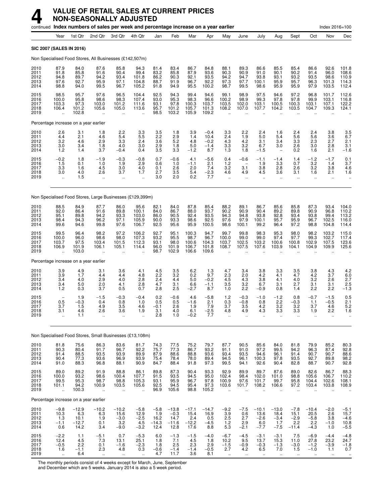|                                      |                                                     |                                             | continued Index numbers of sales per week and percentage increase on a year earlier |                                                        |                                              |                                          |                                              |                                           |                                           |                                                         |                                                                   |                                                         |                                                     |                                                      |                                                            | Index 2016=100                                      |                                            |
|--------------------------------------|-----------------------------------------------------|---------------------------------------------|-------------------------------------------------------------------------------------|--------------------------------------------------------|----------------------------------------------|------------------------------------------|----------------------------------------------|-------------------------------------------|-------------------------------------------|---------------------------------------------------------|-------------------------------------------------------------------|---------------------------------------------------------|-----------------------------------------------------|------------------------------------------------------|------------------------------------------------------------|-----------------------------------------------------|--------------------------------------------|
|                                      | Year                                                | 1st Qtr                                     | 2nd Qtr                                                                             | 3rd Qtr                                                | 4th Qtr                                      | Jan                                      | Feb                                          | Mar                                       | Apr                                       | May                                                     | June                                                              | July                                                    | Aug                                                 | Sept                                                 | Oct                                                        | Nov                                                 | Dec                                        |
|                                      |                                                     | SIC 2007 (SALES IN 2016)                    |                                                                                     |                                                        |                                              |                                          |                                              |                                           |                                           |                                                         |                                                                   |                                                         |                                                     |                                                      |                                                            |                                                     |                                            |
|                                      |                                                     |                                             | Non Specialised Food Stores, All Businesses (£142,507m)                             |                                                        |                                              |                                          |                                              |                                           |                                           |                                                         |                                                                   |                                                         |                                                     |                                                      |                                                            |                                                     |                                            |
| 2010<br>2011<br>2012<br>2013<br>2014 | 87.9<br>91.8<br>94.8<br>97.6<br>98.8                | 84.0<br>85.8<br>89.7<br>92.7<br>94.0        | 87.6<br>91.6<br>94.2<br>95.9<br>99.5                                                | 85.8<br>90.4<br>93.4<br>97.1<br>96.7                   | 94.3<br>99.4<br>101.8<br>104.8<br>105.2      | 81.4<br>83.2<br>86.2<br>88.7<br>91.8     | 83.4<br>85.8<br>90.3<br>91.9<br>94.9         | 86.7<br>87.9<br>92.1<br>96.7<br>95.5      | 84.8<br>93.6<br>93.5<br>92.2<br>100.2     | 88.1<br>90.3<br>94.2<br>97.3<br>98.7                    | 89.3<br>90.9<br>94.7<br>97.7<br>99.5                              | 86.6<br>91.0<br>93.8<br>100.1<br>98.6                   | 85.5<br>90.1<br>93.1<br>95.9<br>95.9                | 85.4<br>90.2<br>93.2<br>95.7<br>95.9                 | 86.6<br>91.4<br>93.5<br>96.3<br>97.9                       | 92.6<br>96.0<br>98.6<br>101.3<br>103.5              | 101.8<br>108.6<br>110.9<br>114.3<br>112.4  |
| 2015<br>2016<br>2017<br>2018<br>2019 | 98.5<br>100.0<br>103.3<br>106.4                     | 95.7<br>95.8<br>97.3<br>101.2<br>102.8      | 97.6<br>98.6<br>103.0<br>105.6                                                      | 96.5<br>98.3<br>101.2<br>105.0<br>ä.                   | 104.4<br>107.4<br>111.6<br>113.6             | 92.5<br>93.0<br>93.1<br>95.7<br>98.5     | 94.3<br>95.3<br>97.8<br>101.2<br>103.2       | 99.4<br>98.3<br>100.3<br>105.7<br>105.9   | 94.6<br>96.6<br>103.7<br>101.3<br>109.2   | 99.1<br>100.2<br>103.5<br>108.2                         | 98.9<br>98.9<br>102.0<br>107.0                                    | 97.5<br>99.3<br>103.1<br>107.7                          | 94.6<br>97.8<br>100.5<br>104.2                      | 97.2<br>97.8<br>100.3<br>103.5                       | 96.8<br>99.9<br>103.1<br>104.7                             | 101.7<br>103.1<br>107.1<br>109.3                    | 112.6<br>116.8<br>122.2<br>124.1           |
|                                      |                                                     | Percentage increase on a year earlier       |                                                                                     |                                                        |                                              |                                          |                                              |                                           |                                           |                                                         |                                                                   |                                                         |                                                     |                                                      |                                                            |                                                     |                                            |
| 2010<br>2011<br>2012<br>2013<br>2014 | $^{2.6}_{4.4}$<br>3.2<br>3.0<br>1.2                 | 3.1<br>2.1<br>4.6<br>3.4<br>1.4             | 1.8<br>4.6<br>2.9<br>1.8<br>3.7                                                     | 2.2<br>5.4<br>3.3<br>4.0<br>$-0.4$                     | $\frac{3.3}{5.5}$<br>2.4<br>3.0<br>0.4       | $\frac{3.5}{2.2}$<br>3.6<br>2.9<br>3.5   | 1.8<br>2.9<br>5.2<br>1.8<br>3.3              | 3.9<br>1.4<br>4.8<br>5.0<br>$-1.2$        | $-0.4$<br>10.4<br>$-0.2$<br>$-1.4$<br>8.7 | 3.3<br>2.4<br>4.3<br>3.3<br>1.3                         | 2.2<br>1.9<br>4.2<br>3.2<br>1.8                                   | 2.4<br>5.0<br>3.1<br>6.7<br>$-1.5$                      | 1.6<br>5.4<br>3.4<br>3.0                            | 2.4<br>5.6<br>3.3<br>2.6<br>0.2                      | 2.4<br>5.6<br>2.3<br>3.0<br>1.6                            | 3.8<br>3.6<br>2.7<br>2.8<br>2.1                     | $\frac{3.5}{6.7}$<br>2.1<br>3.1<br>$-1.6$  |
| 2015<br>2016<br>2017<br>2018<br>2019 | $-0.2$<br>1.5<br>3.3<br>3.0<br>$\ddot{\phantom{a}}$ | 1.8<br>0.1<br>1.6<br>4.0<br>1.5             | -1.9<br>1.0<br>4.5<br>2.6<br>$\ddot{\phantom{a}}$                                   | $-0.3$<br>1.9<br>3.0<br>3.7<br>$\ddot{\phantom{a}}$    | $-0.8$<br>2.9<br>4.0<br>1.7                  | 0.7<br>0.6<br>0.1<br>2.7<br>3.0          | $-0.6$<br>1.0<br>2.6<br>3.5<br>2.0           | 4.1<br>$-1.1$<br>2.0<br>5.4<br>0.2        | $-5.6$<br>2.1<br>7.4<br>$-2.3$<br>7.7     | 0.4<br>1.2<br>3.2<br>4.6<br>$\ddot{\phantom{a}}$        | $-0.6$<br>$\qquad \qquad -$<br>3.1<br>4.9<br>$\ddot{\phantom{a}}$ | $-1.1$<br>1.9<br>3.8<br>4.5<br>$\ddot{\phantom{a}}$     | $-1.4$<br>3.3<br>2.8<br>3.6<br>$\ddot{\phantom{a}}$ | 1.4<br>0.7<br>2.6<br>3.1<br>$\ddot{\phantom{a}}$     | $-1.2$<br>$3.2\,$<br>3.2<br>1.6<br>$\ddot{\phantom{a}}$    | $-1.7$<br>1.4<br>3.8<br>2.1<br>$\ddot{\phantom{a}}$ | $\frac{0.1}{3.7}$<br>4.6<br>1.6            |
|                                      |                                                     |                                             | Non Specialised Food Stores, Large Businesses (£129,399m)                           |                                                        |                                              |                                          |                                              |                                           |                                           |                                                         |                                                                   |                                                         |                                                     |                                                      |                                                            |                                                     |                                            |
| 2010<br>2011<br>2012<br>2013<br>2014 | 88.5<br>92.0<br>95.1<br>98.4<br>99.6                | 84.9<br>86.4<br>89.8<br>94.3<br>94.6        | 87.7<br>91.6<br>94.2<br>96.2<br>99.8                                                | 86.0<br>89.8<br>93.3<br>97.1<br>97.6                   | 95.6<br>100.1<br>103.0<br>105.9<br>106.7     | 82.1<br>84.0<br>86.0<br>90.0<br>92.5     | 84.0<br>86.7<br>90.5<br>93.3<br>95.6         | 87.8<br>88.0<br>92.4<br>98.6<br>95.9      | 85.4<br>93.7<br>93.5<br>92.5<br>100.5     | 88.2<br>90.2<br>94.3<br>97.6<br>98.6                    | 89.1<br>90.9<br>94.8<br>97.9<br>100.1                             | 86.7<br>90.4<br>93.8<br>100.1<br>99.2                   | 85.6<br>89.2<br>92.8<br>95.7<br>96.4                | 85.8<br>89.8<br>93.4<br>95.9<br>97.2                 | 87.3<br>90.9<br>93.8<br>96.7<br>98.8                       | 93.4<br>96.8<br>99.4<br>102.5<br>104.8              | 104.0<br>110.2<br>113.2<br>116.0<br>114.4  |
| 2015<br>2016<br>2017<br>2018<br>2019 | 99.5<br>100.0<br>103.7<br>106.9                     | 96.4<br>96.0<br>97.5<br>101.9<br>103.0      | 98.2<br>98.6<br>103.4<br>106.1<br>Ω.                                                | 97.2<br>98.0<br>101.5<br>105.1<br>$\ddot{\phantom{a}}$ | 106.2<br>107.3<br>112.3<br>114.4             | 92.7<br>93.2<br>93.1<br>96.0<br>98.7     | 95.1<br>95.5<br>98.0<br>101.9<br>102.9       | 100.3<br>98.7<br>100.6<br>106.7<br>106.6  | 94.7<br>96.7<br>104.3<br>101.8<br>109.6   | 99.7<br>100.0<br>103.7<br>108.7                         | 99.8<br>99.0<br>102.5<br>107.5                                    | 98.3<br>99.0<br>103.2<br>107.6                          | 95.3<br>97.4<br>100.6<br>103.9                      | 98.0<br>97.7<br>100.8<br>104.1                       | 98.2<br>99.3<br>102.9<br>104.9                             | 103.2<br>102.7<br>107.5<br>109.9                    | 115.0<br>117.4<br>123.6<br>125.6           |
|                                      |                                                     | Percentage increase on a year earlier       |                                                                                     |                                                        |                                              |                                          |                                              |                                           |                                           |                                                         |                                                                   |                                                         |                                                     |                                                      |                                                            |                                                     |                                            |
| 2010<br>2011<br>2012<br>2013<br>2014 | 3.9<br>3.9<br>3.4<br>3.4<br>1.2                     | 4.9<br>1.7<br>4.0<br>5.0<br>0.3             | 3.1<br>4.4<br>2.9<br>2.0<br>3.7                                                     | 3.6<br>4.4<br>4.0<br>4.1<br>0.5                        | 4.1<br>4.8<br>2.8<br>2.8<br>0.7              | 4.5<br>2.2<br>2.4<br>4.7<br>2.8          | 3.5<br>3.2<br>4.4<br>3.1<br>2.5              | 6.2<br>0.2<br>5.0<br>6.6<br>$-2.7$        | 1.3<br>9.7<br>$-0.2$<br>$-1.1$<br>8.7     | 4.7<br>2.3<br>4.5<br>3.5<br>1.0                         | 3.4<br>2.0<br>4.3<br>3.2<br>2.2                                   | 3.8<br>4.2<br>3.8<br>6.7<br>$-0.9$                      | 3.3<br>4.1<br>4.1<br>3.1<br>0.8                     | 3.5<br>4.7<br>4.0<br>2.7<br>1.4                      | 3.8<br>4.2<br>3.2<br>3.1<br>2.2                            | 4.3<br>3.7<br>2.6<br>3.1<br>2.2                     | 4.2<br>$6.0$<br>2.7<br>2.5<br>$-1.3$       |
| 2015<br>2016<br>2017<br>2018<br>2019 | $\qquad \qquad -$<br>0.5<br>3.7<br>3.1              | 1.9<br>$-0.3$<br>1.5<br>4.b<br>1.1          | $-1.5$<br>0.4<br>4.9<br>2.6                                                         | $-0.3$<br>0.8<br>3.5<br>3.b<br>$\ldots$                | $-0.4$<br>1.0<br>4.6<br>1.9                  | 0.2<br>0.5<br>$-0.1$<br>3.1<br>2.8       | $-0.6$<br>0.5<br>2.6<br>4.U<br>1.0           | 4.6<br>$-1.6$<br>1.9<br>6.1<br>$-0.2$     | $-5.8$<br>2.1<br>7.9<br>-2.5<br>7.7       | 1.2<br>0.3<br>3.7<br>4.8                                | $-0.3$<br>$-0.8$<br>3.5<br>4.Y                                    | $-1.0$<br>0.8<br>4.2<br>4.3                             | $-1.2$<br>2.2<br>3.2<br>3.3                         | 0.8<br>$-0.3$<br>3.2<br>3.3                          | $-0.7$<br>1.1<br>3.7<br>1.9<br>ä.                          | $-1.5$<br>$-0.5$<br>4.6<br>2.2<br>ä.                | 0.5<br>2.1<br>5.2<br>1.6                   |
|                                      |                                                     |                                             |                                                                                     |                                                        |                                              |                                          |                                              |                                           |                                           |                                                         |                                                                   |                                                         |                                                     |                                                      |                                                            |                                                     |                                            |
| 2010                                 | 81.8                                                | 75.6                                        | Non Specialised Food Stores, Small Businesses (£13,108m)<br>86.3                    | 83.6                                                   | 81.7                                         | 74.3                                     | 77.5                                         | 75.2                                      | 79.7                                      | 87.7                                                    | 90.5                                                              | 85.6                                                    | 84.0                                                | 81.8                                                 | 79.9                                                       | 85.2                                                |                                            |
| 2011<br>2012<br>2013<br>2014         | 90.3<br>91.4<br>90.4<br>91.0                        | 80.4<br>88.5<br>77.3<br>88.3                | 91.7<br>93.5<br>93.6<br>96.8                                                        | 96.7<br>93.9<br>96.9<br>88.1                           | 92.2<br>89.9<br>93.9<br>90.9                 | 75.7<br>87.9<br>75.4<br>84.7             | 77.3<br>88.6<br>78.4<br>88.4                 | 86.7<br>88.8<br>78.0<br>91.8              | 93.2<br>93.6<br>89.4<br>97.3              | 91.1<br>93.4<br>94.5<br>99.5                            | 91.0<br>93.5<br>96.1<br>94.1                                      | 97.2<br>94.6<br>100.3<br>92.6                           | 99.5<br>96.1<br>97.8<br>90.4                        | 94.2<br>91.4<br>93.5<br>82.8                         | 96.3<br>90.7<br>92.7<br>88.7                               | 87.4<br>90.7<br>89.8<br>90.7                        | 80.3<br>92.8<br>88.6<br>98.2<br>92.8       |
| 2015<br>2016<br>2017<br>2018<br>2019 | 89.0<br>100.0<br>99.5<br>101.1<br>ä,                | 89.2<br>93.2<br>95.3<br>94.2<br>100.3       | 91.9<br>98.6<br>98.7<br>100.9<br>ä,                                                 | 88.8<br>100.4<br>98.8<br>103.5<br>u,                   | 86.1<br>107.7<br>105.3<br>105.6              | 89.8<br>91.5<br>93.1<br>92.5<br>96.9     | 87.3<br>93.5<br>95.9<br>94.5<br>105.6        | 90.4<br>94.5<br>96.7<br>95.4<br>98.8      | 93.3<br>95.0<br>97.8<br>97.3<br>105.2     | 92.9<br>102.4<br>100.9<br>103.6                         | 89.9<br>98.4<br>97.6<br>101.7                                     | 89.7<br>102.0<br>101.7<br>108.2                         | 87.6<br>101.0<br>99.7<br>106.6                      | 89.0<br>98.8<br>95.8<br>97.2<br>$\ddot{\phantom{a}}$ | 82.6<br>105.6<br>104.4<br>103.4                            | 86.7<br>106.7<br>102.6<br>103.8                     | 88.3<br>110.2<br>108.1<br>108.9            |
|                                      |                                                     | Percentage increase on a year earlier       |                                                                                     |                                                        |                                              |                                          |                                              |                                           |                                           |                                                         |                                                                   |                                                         |                                                     |                                                      |                                                            |                                                     |                                            |
| 2010<br>2011<br>2012<br>2013<br>2014 | $-9.8$<br>10.3<br>1.3<br>$-1.1$<br>0.6              | $^{-12.9}_{6.3}$<br>10.1<br>$-12.7$<br>14.2 | $-10.2$<br>6.3<br>1.9<br>0.1<br>3.4                                                 | $-10.2$<br>15.6<br>$-3.0$<br>3.2<br>$-9.0$             | $-5.8$<br>12.9<br>$-2.5$<br>4.5<br>$-3.2$    | $-5.8$<br>1.9<br>16.2<br>$-14.3$<br>12.4 | $-13.8$<br>$-0.3$<br>14.7<br>$-11.6$<br>12.8 | $-17.1$<br>15.4<br>2.4<br>$-12.2$<br>17.6 | $-14.7$<br>16.9<br>$0.5 - 4.5$<br>8.8     | $-9.2$<br>3.9<br>$2.5$<br>1.2<br>5.3                    | $-7.5$<br>0.6<br>2.7<br>2.9<br>$-2.1$                             | $-10.1$<br>13.6<br>$-2.6$<br>6.0<br>$-7.7$              | $-13.0$<br>18.4<br>$-3.4$<br>1.7<br>$-7.5$          | $-7.8$<br>15.1<br>$-2.9$<br>2.2<br>$-11.4$           | $-10.4$<br>20.5<br>$-5.8$<br>2.2<br>$-4.3$                 | $-2.0$<br>2.6<br>3.8<br>$-1.0$<br>1.0               | $-5.1$<br>15.7<br>$-4.6$<br>10.8<br>$-5.5$ |
| 2015<br>2016<br>2017<br>2018<br>2019 | $-2.2$<br>12.4<br>$-0.5$<br>1.6<br>÷.               | 1.1<br>4.5<br>$2.2\,$<br>$-1.1$<br>6.4      | $-5.1$<br>7.3<br>0.1<br>2.3<br>$\ddot{\phantom{1}}$                                 | 0.7<br>13.1<br>$-1.6$<br>4.8<br>$\ddot{\phantom{1}}$   | $-5.3$<br>25.1<br>$-2.3$<br>0.3<br>$\ddotsc$ | 6.0<br>1.8<br>1.8<br>$-0.6$<br>4.7       | $-1.3$<br>7.1<br>2.5<br>$-1.4$<br>11.7       | $-1.5$<br>4.5<br>2.3<br>$-1.4$<br>3.6     | $-4.0$<br>1.8<br>$^{2.9}_{-0.5}$<br>8.1   | $-6.7$<br>10.2<br>$-1.5$<br>2.7<br>$\ddot{\phantom{1}}$ | $-4.5$<br>9.5<br>$-0.9$<br>4.2<br>$\ddotsc$                       | $-3.1$<br>13.7<br>$-0.3$<br>6.5<br>$\ddot{\phantom{1}}$ | $-3.1$<br>15.3<br>$-1.3$<br>7.0<br>$\ddotsc$        | 7.5<br>11.0<br>$-3.0$<br>1.5<br>$\ddotsc$            | $-6.9$<br>27.8<br>$-1.2$<br>$-1.0$<br>$\ddot{\phantom{1}}$ | $-4.4$<br>23.2<br>$-3.9$<br>1.1<br>$\mathbf{u}$     | $-4.8$<br>24.7<br>$^{-1.8}_{0.7}$          |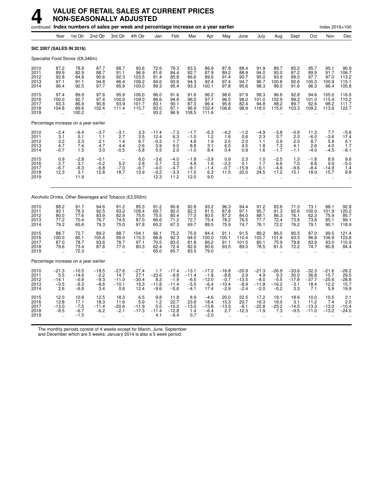## **4 VALUE OF RETAIL SALES AT CURRENT PRICES NON-SEASONALLY ADJUSTED**

|                                       |                                                           |                                                  | continued Index numbers of sales per week and percentage increase on a year earlier |                                                        |                                                                   |                                            |                                                 |                                                  |                                                |                                                       |                                               |                                             |                                             |                                             |                                           | Index 2016=100                            |                                                 |
|---------------------------------------|-----------------------------------------------------------|--------------------------------------------------|-------------------------------------------------------------------------------------|--------------------------------------------------------|-------------------------------------------------------------------|--------------------------------------------|-------------------------------------------------|--------------------------------------------------|------------------------------------------------|-------------------------------------------------------|-----------------------------------------------|---------------------------------------------|---------------------------------------------|---------------------------------------------|-------------------------------------------|-------------------------------------------|-------------------------------------------------|
|                                       | Year                                                      | 1st Qtr                                          | 2nd Qtr                                                                             | 3rd Qtr                                                | 4th Qtr                                                           | Jan                                        | Feb                                             | Mar                                              | Apr                                            | May                                                   | June                                          | July                                        | Aug                                         | Sept                                        | Oct                                       | Nov                                       | Dec                                             |
| SIC 2007 (SALES IN 2016)              |                                                           |                                                  |                                                                                     |                                                        |                                                                   |                                            |                                                 |                                                  |                                                |                                                       |                                               |                                             |                                             |                                             |                                           |                                           |                                                 |
| Specialist Food Stores (£8,346m)      |                                                           |                                                  |                                                                                     |                                                        |                                                                   |                                            |                                                 |                                                  |                                                |                                                       |                                               |                                             |                                             |                                             |                                           |                                           |                                                 |
| 2010<br>2011<br>2012<br>2013<br>2014  | 87.2<br>89.9<br>92.8<br>97.1<br>96.4                      | 78.9<br>82.9<br>84.8<br>91.1<br>92.5             | 87.7<br>88.7<br>90.6<br>94.8<br>97.7                                                | 88.7<br>91.1<br>92.3<br>96.4<br>95.9                   | 93.6<br>96.9<br>103.5<br>106.2<br>100.0                           | 72.6<br>81.6<br>81.4<br>84.6<br>89.3       | 79.3<br>84.4<br>85.8<br>93.6<br>95.4            | 83.5<br>82.7<br>86.6<br>94.3<br>93.3             | 86.9<br>87.9<br>89.6<br>92.4<br>100.1          | 87.8<br>89.2<br>91.4<br>97.4<br>97.8                  | 88.4<br>88.9<br>90.7<br>94.7<br>95.6          | 91.9<br>94.0<br>95.0<br>96.7<br>98.3        | 89.7<br>93.0<br>93.9<br>100.8<br>99.0       | 85.2<br>87.2<br>89.0<br>92.6<br>91.6        | 95.7<br>89.9<br>97.7<br>100.3<br>96.3     | 95.1<br>91.7<br>97.0<br>100.9<br>96.4     | 90.9<br>106.7<br>$\frac{113.2}{115.1}$<br>105.8 |
| 2015<br>2016<br>2017<br>2018<br>2019  | 97.4<br>100.0<br>93.3<br>104.8<br>$\ddot{\phantom{a}}$    | 89.9<br>92.7<br>86.9<br>89.6<br>100.2            | 97.6<br>97.4<br>90.8<br>102.4                                                       | 95.9<br>100.9<br>93.9<br>111.4<br>$\ddot{\phantom{a}}$ | 106.0<br>109.0<br>101.7<br>115.7<br>$\ddot{\phantom{a}}$          | 86.0<br>86.6<br>83.1<br>83.0<br>93.2       | 91.6<br>94.6<br>90.1<br>87.1<br>96.9            | 91.6<br>96.0<br>87.3<br>96.9<br>108.5            | 96.2<br>97.7<br>96.4<br>102.4<br>111.6         | 98.6<br>96.5<br>95.8<br>106.8<br>$\ddot{\phantom{a}}$ | 97.9<br>98.0<br>82.4<br>98.9                  | 99.3<br>101.0<br>94.8<br>118.0              | 96.6<br>102.9<br>98.2<br>115.0              | 92.8<br>99.2<br>89.7<br>103.3               | 94.6<br>101.0<br>92.6<br>109.2            | 105.0<br>115.4<br>98.2<br>113.6           | 116.0<br>110.2<br>111.7<br>122.7                |
| Percentage increase on a year earlier |                                                           |                                                  |                                                                                     |                                                        |                                                                   |                                            |                                                 |                                                  |                                                |                                                       |                                               |                                             |                                             |                                             |                                           |                                           |                                                 |
| 2010<br>2011<br>2012<br>2013<br>2014  | $\frac{-2.4}{3.1}$<br>3.2<br>4.7<br>$-0.7$                | $-6.4$<br>5.1<br>2.3<br>7.4<br>1.5               | -3.7<br>$1.1$<br>2.1<br>4.7<br>3.0                                                  | $-3.1$<br>2.7<br>1.4<br>4.4<br>$-0.5$                  | $\begin{array}{c} 3.3 \\ 3.5 \end{array}$<br>6.7<br>2.6<br>$-5.8$ | $-11.4$<br>12.4<br>$-0.3$<br>3.9<br>5.5    | $-7.3$<br>$6.\overline{3}$<br>1.7<br>9.0<br>2.0 | $-1.7$<br>$-1.0$<br>4.8<br>8.8<br>$-1.0$         | $-6.3$<br>1.2<br>1.9<br>3.1<br>8.4             | $-4.2$<br>1.6<br>2.5<br>6.5<br>0.4                    | $-1.0$<br>0.6<br>2.0<br>4.5<br>0.9            | $-4.9$<br>2.3<br>1.1<br>1.8<br>1.6          | $-3.8$<br>3.7<br>0.9<br>7.3<br>$-1.7$       | $-0.9$<br>2.3<br>2.0<br>4.1<br>$-1.1$       | 11.3<br>$-6.0$<br>8.7<br>2.6<br>$-4.0$    | 7.7<br>$-3.6$<br>5.9<br>4.0<br>$-4.5$     | $-5.6$<br>17.4<br>6.1<br>1.7<br>$-8.1$          |
| 2015<br>2016<br>2017<br>2018<br>2019  | 0.9<br>2.7<br>$-6.7$<br>12.3<br>$\ddot{\phantom{a}}$      | $-2.8$<br>3.1<br>$-6.3$<br>3.1<br>11.9           | $-0.1$<br>$-0.2$<br>$-6.8$<br>12.8                                                  | $\overline{\phantom{a}}$<br>5.2<br>$-7.0$<br>18.7      | 6.0<br>2.8<br>$-6.7$<br>13.9                                      | $-3.6$<br>0.7<br>$-4.0$<br>$-0.2$<br>12.3  | $-4.0$<br>3.3<br>$-4.7$<br>$-3.3$<br>11.2       | $-1.8$<br>4.8<br>$-9.1$<br>11.0<br>12.0          | $-3.9$<br>1.6<br>$-1.4$<br>6.3<br>9.0          | 0.9<br>$-2.2$<br>$-0.7$<br>11.5                       | 2.3<br>0.1<br>$-15.9$<br>20.0                 | 1.0<br>1.7<br>$-6.1$<br>24.5                | $-2.5$<br>6.6<br>$-4.6$<br>17.2             | 1.3<br>7.0<br>$-9.6$<br>15.1                | $-1.8$<br>6.8<br>$-8.4$<br>18.0           | 8.9<br>9.9<br>$-14.9$<br>15.7             | 9.6<br>$-5.0$<br>1.4<br>9.8                     |
|                                       |                                                           |                                                  | Alcoholic Drinks, Other Beverages and Tobacco (£3,593m)                             |                                                        |                                                                   |                                            |                                                 |                                                  |                                                |                                                       |                                               |                                             |                                             |                                             |                                           |                                           |                                                 |
| 2010<br>2011<br>2012<br>2013<br>2014  | 88.2<br>93.1<br>80.0<br>77.2<br>79.2                      | 91.7<br>78.3<br>77.6<br>70.4<br>65.6             | 94.6<br>92.5<br>83.9<br>76.7<br>79.3                                                | 81.2<br>93.2<br>82.9<br>74.5<br>75.0                   | 85.3<br>108.4<br>75.5<br>87.0<br>97.8                             | 91.2<br>69.7<br>75.5<br>66.6<br>60.2       | 90.8<br>82.0<br>80.4<br>71.2<br>67.3            | 92.8<br>82.3<br>77.0<br>72.7<br>69.7             | 93.2<br>91.5<br>80.5<br>75.4<br>88.5           | 96.3<br>87.8<br>87.2<br>78.2<br>75.9                  | 94.4<br>97.1<br>84.0<br>76.5<br>74.7          | 91.2<br>95.7<br>88.1<br>77.7<br>76.1        | 83.6<br>91.3<br>86.3<br>72.4<br>72.2        | 71.3<br>92.6<br>76.1<br>73.8<br>76.2        | 73.1<br>100.0<br>62.3<br>73.8<br>79.1     | 88.1<br>101.9<br>75.9<br>85.1<br>90.1     | $92.8$<br>120.2<br>85.7<br>99.1<br>118.9        |
| 2015<br>2016<br>2017<br>2018<br>2019  | 88.7<br>100.0<br>87.0<br>79.6                             | 72.7<br>85.1<br>78.7<br>73.4<br>72.3             | 89.2<br>105.6<br>93.6<br>87.8                                                       | 88.7<br>99.0<br>78.7<br>77.0<br>$\ddot{\phantom{a}}$   | 104.1<br>110.3<br>97.1<br>80.3                                    | 66.1<br>66.8<br>70.5<br>62.4<br>65.0       | 75.2<br>92.3<br>83.0<br>72.4<br>65.7            | 75.9<br>94.0<br>81.8<br>82.9<br>83.5             | 84.4<br>100.0<br>86.2<br>80.6<br>79.0          | 91.1<br>105.1<br>91.1<br>93.5                         | 91.5<br>110.4<br>101.5<br>89.0                | 89.2<br>103.7<br>80.1<br>78.5               | 86.0<br>101.6<br>75.9<br>81.5               | 90.5<br>93.3<br>79.8<br>72.2                | 87.0<br>96.8<br>83.9<br>74.7              | 99.5<br>106.9<br>93.0<br>80.8             | 121.4<br>123.8<br>110.9<br>84.4                 |
| Percentage increase on a year earlier |                                                           |                                                  |                                                                                     |                                                        |                                                                   |                                            |                                                 |                                                  |                                                |                                                       |                                               |                                             |                                             |                                             |                                           |                                           |                                                 |
| 2010<br>2011<br>2012<br>2013<br>2014  | $-21.3$<br>5.5<br>$-14.1$<br>$-3.5$<br>2.6                | $-10.5$<br>$-14.6$<br>$-0.9$<br>$-9.3$<br>$-6.8$ | $-18.5$<br>$-2.2$<br>$-9.3$<br>$-8.6$<br>3.4                                        | $-27.6$<br>14.7<br>$-11.0$<br>$-10.1$<br>0.6           | $-27.4$<br>27.1<br>$-30.4$<br>15.3<br>12.4                        | 1.7<br>$-23.6$<br>8.3<br>$-11.8$<br>$-9.6$ | $-17.4$<br>$-9.8$<br>$-1.9$<br>-11.4<br>$-5.6$  | $-13.1$<br>$-11.4$<br>$-6.5$<br>$-5.5$<br>$-4.1$ | $-17.2$<br>$-1.8$<br>$-12.0$<br>$-6.4$<br>17.4 | $-16.8$<br>$-8.8$<br>$-0.7$<br>$-10.4$<br>$-2.9$      | $-20.9$<br>2.9<br>$-13.5$<br>$-8.9$<br>$-2.4$ | $-21.3$<br>4.9<br>$-8.0$<br>-11.8<br>$-2.0$ | $-26.9$<br>9.3<br>$-5.5$<br>-16.2<br>$-0.2$ | $-33.6$<br>30.0<br>$-17.8$<br>$-3.1$<br>3.3 | $-32.3$<br>36.8<br>$-37.7$<br>18.4<br>7.1 | $-21.6$<br>15.7<br>$-25.6$<br>12.2<br>5.9 | $-28.2$<br>29.5<br>-28.8<br>15.7<br>19.9        |
| 2015<br>2016<br>2017<br>2018<br>2019  | 12.0<br>12.8<br>$-13.0$<br>$-8.5$<br>$\ddot{\phantom{a}}$ | 10.8<br>17.1<br>$-7.5$<br>$-6.7$<br>$-1.5$       | 12.5<br>18.3<br>$-11.4$<br>$-6.2$                                                   | 18.3<br>11.6<br>$-20.6$<br>$-2.1$<br>$\ddotsc$         | 6.5<br>5.9<br>$-11.9$<br>$-17.3$                                  | 9.8<br>1.2<br>5.5<br>$-11.4$<br>4.1        | 11.8<br>22.7<br>$-10.0$<br>$-12.8$<br>$-9.4$    | 8.9<br>23.8<br>$-13.0$<br>1.4<br>0.7             | $-4.6$<br>18.4<br>$-13.8$<br>$-6.4$<br>$-2.0$  | 20.0<br>15.3<br>$-13.3$<br>2.7                        | 22.5<br>20.7<br>$-8.1$<br>$-12.3$             | 17.2<br>16.3<br>$-22.8$<br>$-1.9$           | 19.1<br>18.0<br>$-25.2$<br>7.3              | 18.6<br>3.1<br>$-14.5$<br>$-9.5$            | 10.0<br>11.2<br>$-13.3$<br>$-11.0$        | 10.5<br>7.4<br>$-13.0$<br>$-13.2$         | 2.1<br>2.0<br>$-10.4$<br>$-24.0$                |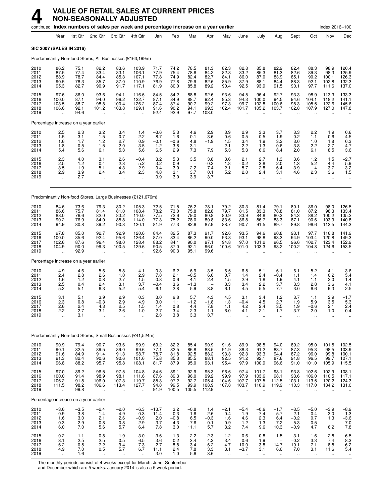|                                      |                                                         |                                            |                                                        | continued Index numbers of sales per week and percentage increase on a year earlier |                                                          |                                              |                                                                |                                                    |                                                         |                                                       |                                                        |                                                          |                                                                 |                                                                |                                                          | Index 2016=100                                             |                                                     |
|--------------------------------------|---------------------------------------------------------|--------------------------------------------|--------------------------------------------------------|-------------------------------------------------------------------------------------|----------------------------------------------------------|----------------------------------------------|----------------------------------------------------------------|----------------------------------------------------|---------------------------------------------------------|-------------------------------------------------------|--------------------------------------------------------|----------------------------------------------------------|-----------------------------------------------------------------|----------------------------------------------------------------|----------------------------------------------------------|------------------------------------------------------------|-----------------------------------------------------|
|                                      | Year                                                    | 1st Qtr                                    | 2nd Qtr                                                | 3rd Otr                                                                             | 4th Qtr                                                  | Jan                                          | Feb                                                            | Mar                                                | Apr                                                     | May                                                   | June                                                   | July                                                     | Aug                                                             | Sept                                                           | Oct                                                      | Nov                                                        | Dec                                                 |
|                                      | SIC 2007 (SALES IN 2016)                                |                                            |                                                        |                                                                                     |                                                          |                                              |                                                                |                                                    |                                                         |                                                       |                                                        |                                                          |                                                                 |                                                                |                                                          |                                                            |                                                     |
|                                      |                                                         |                                            |                                                        | Predominantly Non-food Stores, All Businesses (£163,199m)                           |                                                          |                                              |                                                                |                                                    |                                                         |                                                       |                                                        |                                                          |                                                                 |                                                                |                                                          |                                                            |                                                     |
| 2010<br>2011<br>2012<br>2013<br>2014 | 86.2<br>87.5<br>88.9<br>90.5<br>95.3                    | 75.1<br>77.4<br>78.7<br>78.3<br>82.7       | 82.2<br>83.4<br>84.4<br>85.7<br>90.9                   | 83.6<br>83.1<br>85.3<br>87.0<br>91.7                                                | 103.9<br>106.1<br>107.1<br>110.9<br>117.1                | 71.7<br>77.9<br>77.8<br>76.9<br>81.9         | 74.2<br>75.4<br>74.9<br>77.8<br>80.0                           | 78.5<br>78.6<br>82.4<br>79.9<br>85.8               | 81.3<br>84.2<br>82.7<br>82.6<br>89.2                    | 82.3<br>82.8<br>84.1<br>85.9<br>90.4                  | 82.8<br>83.2<br>86.0<br>87.9<br>92.5                   | 85.8<br>85.3<br>87.0<br>88.1<br>93.9                     | 82.9<br>81.3<br>83.9<br>84.4<br>91.5                            | 82.4<br>82.6<br>85.1<br>88.3<br>90.1                           | 88.3<br>89.3<br>90.2<br>92.1<br>97.7                     | 98.9<br>98.3<br>100.1<br>102.8<br>111.6                    | 120.4<br>125.9<br>126.3<br>132.3<br>137.0           |
| 2015<br>2016<br>2017<br>2018<br>2019 | 97.6<br>100.0<br>103.5<br>106.6<br>$\ddot{\phantom{a}}$ | 86.0<br>87.1<br>88.7<br>92.1<br>94.6       | 93.6<br>94.0<br>98.8<br>101.2<br>$\ddot{\phantom{a}}$  | 94.1<br>96.2<br>100.4<br>103.8<br>$\ddotsc$                                         | 116.6<br>122.7<br>126.2<br>129.1<br>$\ddot{\phantom{a}}$ | 84.5<br>87.1<br>87.4<br>91.6<br>92.4         | 84.2<br>84.9<br>87.4<br>90.2<br>92.9                           | 88.8<br>88.7<br>90.7<br>94.1<br>97.7               | 92.6<br>92.4<br>99.2<br>99.3<br>103.0                   | 93.6<br>95.3<br>97.3<br>102.4<br>$\ddot{\phantom{a}}$ | 94.5<br>94.3<br>99.7<br>101.7                          | 96.4<br>100.0<br>102.8<br>105.2<br>$\ddot{\phantom{a}}$  | 92.7<br>94.5<br>100.6<br>103.7                                  | 93.3<br>94.6<br>98.3<br>102.8                                  | 98.9<br>104.1<br>105.5<br>107.9                          | 113.3<br>118.2<br>122.6<br>127.0                           | 133.3<br>141.1<br>145.6<br>147.8                    |
|                                      |                                                         | Percentage increase on a year earlier      |                                                        |                                                                                     |                                                          |                                              |                                                                |                                                    |                                                         |                                                       |                                                        |                                                          |                                                                 |                                                                |                                                          |                                                            |                                                     |
| 2010<br>2011<br>2012<br>2013<br>2014 | $^{2.5}_{1.5}$<br>1.6<br>1.8<br>5.4                     | $\frac{2.3}{3.1}$<br>1.7<br>$-0.5$<br>5.6  | $\frac{3.2}{1.5}$<br>1.2<br>1.5<br>6.1                 | $3.4 - 0.7$<br>2.7<br>2.0<br>5.3                                                    | 1.4<br>2.2<br>0.9<br>3.5<br>5.6                          | $-3.6$<br>8.7<br>$-0.1$<br>$-1.2$<br>6.5     | 5.3<br>1.6<br>$-0.6$<br>3.8<br>2.9                             | 4.6<br>0.1<br>4.8<br>$-3.1$<br>7.3                 | $\frac{2.9}{3.6}$<br>$-1.9$<br>7.9                      | 3.9<br>0.6<br>1.5<br>2.1<br>5.3                       | $^{2.9}_{0.5}$<br>3.4<br>2.2<br>5.3                    | $3.3 - 0.5$<br>1.9<br>1.3<br>6.6                         | 3.7<br>$-1.9$<br>3.2<br>0.6<br>8.4                              | $\begin{array}{c} 3.3 \\ 0.2 \end{array}$<br>3.0<br>3.8<br>2.0 | 2.2<br>1.1<br>1.0<br>2.2<br>6.1                          | 1.9<br>$-0.6$<br>1.8<br>2.7<br>8.5                         | $0.6$<br>4.5<br>0.3<br>4.7<br>3.6                   |
| 2015<br>2016<br>2017<br>2018<br>2019 | $^{2.3}_{2.5}$<br>3.5<br>2.9<br>$\ddotsc$               | 4.0<br>1.2<br>1.9<br>3.9<br>2.7            | 3.1<br>0.4<br>5.1<br>2.4                               | $^{2.6}_{2.3}$<br>4.3<br>3.4<br>$\ddotsc$                                           | $-0.4$<br>5.2<br>2.9<br>2.3                              | $\frac{3.2}{3.2}$<br>0.4<br>4.8<br>0.9       | $\begin{array}{c} 5.3 \\ 0.9 \end{array}$<br>3.0<br>3.1<br>3.0 | 3.5<br>$\qquad \qquad -$<br>2.2<br>3.7<br>3.9      | 3.8<br>$-0.2$<br>7.4<br>0.1<br>3.7                      | 3.6<br>1.8<br>2.1<br>5.2<br>$\ddot{\phantom{1}}$      | 2.1<br>$-0.2$<br>5.7<br>2.0<br>$\ddot{\phantom{a}}$    | 2.7<br>3.8<br>2.8<br>2.4<br>$\ddot{\phantom{a}}$         | $\frac{1.3}{2.0}$<br>6.4<br>3.1<br>$\mathbf{r}$                 | $\frac{3.6}{1.3}$<br>3.9<br>4.6<br>$\ddotsc$                   | $1.2$<br>5.2<br>1.4<br>2.3                               | 1.5<br>4.4<br>3.7<br>3.6<br>$\mathbf{r}$                   | $-2.7$<br>5.9<br>$\frac{3.2}{1.5}$                  |
|                                      |                                                         |                                            |                                                        | Predominantly Non-food Stores, Large Businesses (£121,676m)                         |                                                          |                                              |                                                                |                                                    |                                                         |                                                       |                                                        |                                                          |                                                                 |                                                                |                                                          |                                                            |                                                     |
| 2010<br>2011<br>2012<br>2013<br>2014 | 84.6<br>86.6<br>88.0<br>90.2<br>94.9                    | 73.6<br>75.7<br>76.6<br>76.9<br>80.8       | 79.3<br>81.4<br>82.0<br>84.0<br>89.2                   | 80.2<br>81.0<br>83.2<br>85.8<br>90.3                                                | 105.3<br>108.4<br>110.0<br>114.0<br>120.1                | 72.5<br>78.2<br>77.5<br>77.3<br>81.9         | 71.5<br>73.0<br>72.6<br>75.2<br>77.3                           | 76.2<br>75.8<br>79.0<br>78.0<br>82.6               | 78.1<br>82.8<br>80.8<br>80.8<br>87.9                    | 79.2<br>79.7<br>80.9<br>83.6<br>88.7                  | $80.3$<br>$81.5$<br>83.9<br>86.8<br>90.7               | 81.4<br>83.3<br>84.8<br>86.7<br>91.5                     | 79.1<br>78.8<br>80.3<br>83.3<br>89.7                            | 80.1<br>81.0<br>84.3<br>87.1<br>89.8                           | 86.0<br>87.2<br>88.2<br>90.6<br>96.6                     | 98.0<br>98.3<br>100.2<br>103.9<br>113.5                    | 126.5<br>133.4<br>135.2<br>140.8<br>144.3           |
| 2015<br>2016<br>2017<br>2018<br>2019 | 97.8<br>100.0<br>102.6<br>104.9                         | 85.0<br>85.6<br>87.6<br>90.0<br>92.9       | 92.7<br>92.4<br>96.4<br>99.3                           | 92.9<br>95.6<br>98.0<br>100.5                                                       | 120.6<br>126.4<br>128.4<br>129.6                         | 84.4<br>87.0<br>88.2<br>90.5<br>92.6         | 82.5<br>83.4<br>84.1<br>87.0<br>90.3                           | 87.3<br>86.2<br>90.0<br>92.1<br>95.1               | 91.7<br>90.0<br>97.1<br>96.0<br>99.6                    | 92.6<br>93.8<br>94.8<br>100.6                         | 93.5<br>93.1<br>97.0<br>101.0                          | 94.6<br>98.8<br>101.2<br>103.3                           | 90.8<br>93.3<br>96.5<br>98.2                                    | 93.1<br>94.9<br>96.6<br>100.2                                  | 97.7<br>103.4<br>102.7<br>104.8                          | 116.8<br>120.8<br>123.4<br>124.6                           | 141.9<br>149.3<br>152.9<br>153.5                    |
|                                      |                                                         | Percentage increase on a year earlier      |                                                        |                                                                                     |                                                          |                                              |                                                                |                                                    |                                                         |                                                       |                                                        |                                                          |                                                                 |                                                                |                                                          |                                                            |                                                     |
| 2010<br>2011<br>2012<br>2013<br>2014 | 4.9<br>2.4<br>1.6<br>2.5<br>5.2                         | 4.6<br>2.8<br>1.2<br>0.4<br>5.1            | 5.6<br>2.6<br>0.8<br>2.4<br>6.3                        | 5.8<br>1.0<br>2.7<br>3.1<br>5.2                                                     | 4.1<br>$^{2.9}_{1.5}$<br>3.7<br>5.4                      | 0.3<br>7.8<br>$-0.8$<br>$-0.4$<br>6.1        | 6.2<br>2.1<br>$-0.6$<br>3.6<br>2.8                             | 6.9<br>$-0.5$<br>4.1<br>$-1.3$<br>5.9              | 3.5<br>6.0<br>$-2.4$<br>$\overline{\phantom{a}}$<br>8.8 | 6.5<br>0.7<br>1.5<br>3.3<br>6.1                       | 6.5<br>1.4<br>2.9<br>3.4<br>4.5                        | 5.1<br>2.4<br>1.8<br>2.2<br>5.5                          | 6.1<br>$-0.4$<br>1.9<br>3.7<br>7.7                              | 6.1<br>1.1<br>4.1<br>3.3<br>3.0                                | 5.2<br>1.4<br>1.1<br>2.8<br>6.6                          | 4.1<br>0.2<br>2.0<br>3.6<br>9.3                            | $3.6$<br>$5.4$<br>$1.4$<br>4.1<br>2.5               |
| 2015<br>2016<br>2017<br>2018<br>2019 | 3.1<br>2.3<br>2.6<br>2.2                                | 5.1<br>0.8<br>2.4<br>2.7<br>3.1            | 3.9<br>$-0.3$<br>4.3<br>3.1                            | 2.9<br>2.9<br>2.5<br>2.6<br>                                                        | 0.3<br>4.9<br>1.5<br>1.0                                 | 3.0<br>3.0<br>1.4<br>2.7<br>2.3              | 6.8<br>1.1<br>0.8<br>3.4<br>3.8                                | 5.7<br>$-1.2$<br>4.4<br>$\frac{2.3}{3.3}$          | 4.3<br>$-1.8$<br>7.8<br>$-1.1$<br>3.7                   | 4.5<br>1.3<br>1.1<br>6.0                              | 3.1<br>$-0.4$<br>4.2<br>4.1                            | 3.4<br>4.5<br>2.4<br>2.1                                 | 1.2<br>2.7<br>3.5<br>1.7                                        | 3.7<br>1.9<br>1.9<br>3.7                                       | 1.1<br>5.9<br>$-0.6$<br>2.0                              | 2.9<br>3.5<br>2.1<br>1.0                                   | $-1.7$<br>5.3<br>2.4<br>0.4                         |
|                                      |                                                         |                                            |                                                        | Predominantly Non-food Stores, Small Businesses (£41,524m)                          |                                                          |                                              |                                                                |                                                    |                                                         |                                                       |                                                        |                                                          |                                                                 |                                                                |                                                          |                                                            |                                                     |
| 2010<br>2011<br>2012<br>2013<br>2014 | 90.9<br>90.1<br>91.6<br>91.3<br>96.8                    | 79.4<br>82.5<br>84.9<br>82.4<br>88.2       | 90.7<br>89.5<br>91.4<br>90.6<br>95.7                   | 93.6<br>89.0<br>91.3<br>90.6<br>95.8                                                | 99.9<br>99.6<br>98.7<br>101.6<br>108.1                   | 69.2<br>77.1<br>78.7<br>75.8<br>81.7         | 82.2<br>$82.5$<br>$81.8$<br>85.3<br>87.9                       | 85.4<br>86.8<br>92.5<br>85.5<br>95.0               | 90.9<br>88.5<br>88.2<br>88.1<br>93.1                    | 91.6<br>$91.9$<br>$93.3$<br>92.5<br>95.4              | 89.9<br>88.3<br>92.3<br>91.2<br>97.9                   | 98.5<br>91.2<br>93.3<br>92.1<br>100.9                    | 94.0<br>88.7<br>94.4<br>87.6<br>96.6                            | 89.2<br>87.3<br>87.2<br>91.8<br>91.0                           | 95.0<br>95.3<br>96.0<br>96.5<br>101.0                    | 101.5<br>98.5<br>99.8<br>99.7<br>105.9                     | 102.5<br>103.9<br>100.1<br>107.1<br>115.5           |
| 2015<br>2016<br>2017<br>2018<br>2019 | 97.0<br>100.0<br>106.2<br>111.5<br>$\ddotsc$            | 89.2<br>91.4<br>91.8<br>98.2<br>99.8       | 96.5<br>98.9<br>106.0<br>106.6<br>$\ddot{\phantom{a}}$ | 97.5<br>98.1<br>107.3<br>113.4<br>÷.                                                | 104.8<br>111.6<br>119.7<br>127.7<br>$\ddotsc$            | 84.6<br>87.6<br>85.3<br>94.8<br>91.9         | 89.1<br>89.3<br>97.2<br>99.5<br>100.5                          | 92.9<br>96.0<br>92.7<br>99.9<br>105.5              | 95.3<br>99.2<br>105.4<br>108.9<br>112.9                 | 96.6<br>99.9<br>104.6<br>107.8<br>ä,                  | 97.4<br>97.9<br>107.7<br>103.7<br>$\ddot{\phantom{a}}$ | 101.7<br>103.6<br>107.5<br>110.9<br>$\ddot{\phantom{a}}$ | 98.1<br>98.1<br>112.5<br>119.9<br>$\ddot{\phantom{a}}$          | 93.8<br>93.6<br>103.1<br>110.3<br>$\ddotsc$                    | 102.6<br>106.0<br>113.5<br>117.0<br>$\ddot{\phantom{a}}$ | 102.9<br>110.5<br>120.2<br>134.2<br>$\ddot{\phantom{a}}$   | 108.1<br>117.1<br>124.3<br>131.0                    |
|                                      |                                                         | Percentage increase on a year earlier      |                                                        |                                                                                     |                                                          |                                              |                                                                |                                                    |                                                         |                                                       |                                                        |                                                          |                                                                 |                                                                |                                                          |                                                            |                                                     |
| 2010<br>2011<br>2012<br>2013<br>2014 | $^{-3.6}_{-0.9}$<br>1.6<br>$-0.3$<br>6.0                | $\frac{-3.5}{3.8}$<br>3.0<br>$-2.9$<br>7.0 | $-2.4$<br>$-1.4$<br>2.1<br>$-0.8$<br>5.6               | $-2.0$<br>$-4.9$<br>2.6<br>$-0.8$<br>5.7                                            | $-6.3$<br>$-0.3$<br>$^{-0.9}_{2.9}$<br>6.4               | $-13.7$<br>11.4<br>$\frac{2.0}{-3.7}$<br>7.8 | 3.2<br>0.3<br>$-0.8$<br>4.3<br>3.0                             | $-0.8$<br>1.6<br>$-7.6$<br>11.1                    | 1.4<br>$-2.6$<br>$-0.3$<br>$-0.1$<br>5.7                | $-2.1$<br>0.4<br>1.6<br>$-0.9$<br>3.2                 | $-5.4$<br>$-1.9$<br>4.6<br>$-1.2$<br>7.4               | $-0.6$<br>$-7.4$<br>$^{2.3}_{-1.3}$<br>9.6               | $-1.7$<br>$-5.7$<br>$-6.4$ <sub>-7.2</sub><br>10.3              | $-3.5$<br>$-2.1$<br>$-0.2$<br>5.3<br>$-0.9$                    | $-5.0$<br>0.4<br>0.7<br>0.5<br>4.7                       | $-3.9$<br>$-3.0$<br>1.3<br>$\overline{\phantom{a}}$<br>6.2 | $-8.9$<br>1.3<br>$-3.6$<br>7.0<br>7.0<br>7.8        |
| 2015<br>2016<br>2017<br>2018<br>2019 | 0.2<br>3.1<br>$6.2$<br>4.9<br>$\ddot{\phantom{1}}$      | 1.1<br>2.5<br>$0.5$<br>7.0<br>1.6          | 0.8<br>2.5<br>$7.2 \ 0.5$<br>$\ddot{\phantom{1}}$      | 1.9<br>0.5<br>$\frac{9.4}{5.7}$<br>$\ddotsc$                                        | $-3.0$<br>6.5<br>$7.3$<br>6.7<br>$\ddot{\phantom{1}}$    | 3.6<br>3.6<br>$-2.7$<br>11.1<br>$-3.0$       | 1.3<br>0.2<br>$\frac{8.8}{2.4}$<br>1.0                         | $-2.2$<br>$\overline{3.4}$<br>$-3.4$<br>7.8<br>5.6 | $^{2.3}_{4.2}$<br>$6.2$<br>$3.3$<br>3.6                 | 1.2<br>3.4<br>4.7<br>3.1<br>$\ddotsc$                 | $-0.6$<br>0.6<br>10.0<br>$-3.7$<br>$\ddotsc$           | 0.8<br>1.9<br>3.8<br>3.1<br>$\ldots$                     | 1.5<br>$\qquad \qquad -$<br>14.7<br>6.6<br>$\ddot{\phantom{1}}$ | 3.1<br>$-0.2$<br>10.1<br>7.0<br>$\ddot{\phantom{1}}$           | 1.6<br>3.3<br>7.1<br>3.1<br>$\ddot{\phantom{1}}$         | $-2.8$<br>7.4<br>8.8<br>11.6<br>$\ddotsc$                  | $-6.5$<br>8.3<br>6.2<br>5.4<br>$\ddot{\phantom{1}}$ |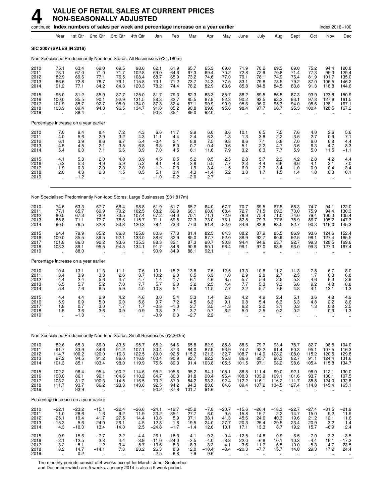## **4 VALUE OF RETAIL SALES AT CURRENT PRICES NON-SEASONALLY ADJUSTED**

|                                      |                                                            |                                              |                                                      | continued Index numbers of sales per week and percentage increase on a year earlier |                                                                |                                              |                                            |                                              |                                           |                                                       |                                                      |                                            |                                                  |                                              |                                            | Index 2016=100                           |                                           |
|--------------------------------------|------------------------------------------------------------|----------------------------------------------|------------------------------------------------------|-------------------------------------------------------------------------------------|----------------------------------------------------------------|----------------------------------------------|--------------------------------------------|----------------------------------------------|-------------------------------------------|-------------------------------------------------------|------------------------------------------------------|--------------------------------------------|--------------------------------------------------|----------------------------------------------|--------------------------------------------|------------------------------------------|-------------------------------------------|
|                                      | Year                                                       | 1st Qtr                                      | 2nd Qtr                                              | 3rd Qtr                                                                             | 4th Qtr                                                        | Jan                                          | Feb                                        | Mar                                          | Apr                                       | May                                                   | June                                                 | July                                       | Aug                                              | Sept                                         | Oct                                        | Nov                                      | Dec                                       |
| <b>SIC 2007 (SALES IN 2016)</b>      |                                                            |                                              |                                                      |                                                                                     |                                                                |                                              |                                            |                                              |                                           |                                                       |                                                      |                                            |                                                  |                                              |                                            |                                          |                                           |
|                                      |                                                            |                                              |                                                      | Non Specialised Predominantly Non-food Stores, All Businesses (£34,180m)            |                                                                |                                              |                                            |                                              |                                           |                                                       |                                                      |                                            |                                                  |                                              |                                            |                                          |                                           |
| 2010<br>2011<br>2012<br>2013<br>2014 | 75.1<br>78.1<br>82.9<br>86.6<br>91.2                       | 63.4<br>67.0<br>69.6<br>72.8<br>77.1         | 69.0<br>71.0<br>77.1<br>78.7<br>84.2                 | 69.5<br>71.7<br>76.5<br>79.1<br>84.3                                                | 98.6<br>102.8<br>108.4<br>115.8<br>120.3                       | 62.1<br>69.0<br>68.7<br>73.1<br>78.2         | 61.9<br>64.6<br>65.9<br>71.2<br>74.4       | 65.7<br>67.3<br>73.2<br>73.7<br>78.2         | 65.3<br>69.4<br>74.6<br>74.3<br>82.9      | 69.0<br>70.2<br>77.0<br>77.5<br>83.6                  | 71.9<br>72.8<br>79.1<br>83.1<br>85.8                 | 70.2<br>72.9<br>78.1<br>79.8<br>84.8       | 69.3<br>70.8<br>74.9<br>78.5<br>84.5             | 69.0<br>71.4<br>76.4<br>79.2<br>83.8         | 75.2<br>77.3<br>81.9<br>87.0<br>91.3       | 94.4<br>95.3<br>101.7<br>106.5<br>118.8  | 120.8<br>129.4<br>135.0<br>146.2<br>144.6 |
| 2015<br>2016<br>2017<br>2018<br>2019 | 95.0<br>100.0<br>101.9<br>103.9                            | 81.2<br>85.5<br>85.7<br>89.4<br>88.4         | 85.9<br>90.1<br>92.7<br>94.8<br>$\ddot{\phantom{a}}$ | 87.7<br>92.9<br>95.0<br>96.5<br>ä,                                                  | 125.0<br>131.5<br>134.0<br>134.7<br>$\ddot{\phantom{a}}$       | 81.7<br>88.3<br>87.3<br>91.8<br>90.8         | 79.3<br>82.7<br>82.4<br>85.2<br>85.1       | 82.3<br>85.5<br>87.1<br>90.8<br>89.0         | 83.3<br>87.9<br>90.9<br>89.6<br>92.0      | 85.7<br>92.3<br>90.9<br>95.6<br>$\ddot{\phantom{a}}$  | 88.2<br>90.2<br>95.6<br>98.4<br>$\ddot{\phantom{a}}$ | 89.5<br>93.5<br>96.0<br>97.7<br>$\ddotsc$  | 86.5<br>92.2<br>95.3<br>96.7<br>$\ddotsc$        | 87.3<br>93.1<br>94.0<br>95.3                 | 93.9<br>97.8<br>98.6<br>100.4              | 123.8<br>127.6<br>128.1<br>128.5         | 150.9<br>161.5<br>167.1<br>167.2          |
|                                      |                                                            | Percentage increase on a year earlier        |                                                      |                                                                                     |                                                                |                                              |                                            |                                              |                                           |                                                       |                                                      |                                            |                                                  |                                              |                                            |                                          |                                           |
| 2010<br>2011<br>2012<br>2013<br>2014 | $7.0$<br>4.0<br>6.1<br>4.5<br>5.4                          | $\frac{9.4}{5.6}$<br>3.9<br>4.5<br>6.0       | 8.4<br>2.9<br>8.6<br>2.1<br>7.1                      | $\frac{7.2}{3.2}$<br>6.7<br>3.5<br>6.6                                              | $\begin{array}{c} 4.3 \\ 4.3 \end{array}$<br>5.4<br>6.8<br>3.9 | 6.6<br>11.1<br>$-0.4$<br>6.3<br>7.0          | 11.7<br>4.4<br>2.1<br>8.0<br>4.5           | $\frac{9.9}{2.4}$<br>8.8<br>0.7<br>6.1       | $6.0$<br>$6.3$<br>7.5<br>$-0.4$<br>11.6   | 8.6<br>1.8<br>9.8<br>0.6<br>7.9                       | 10.1<br>1.3<br>8.6<br>5.1<br>3.2                     | 6.5<br>3.8<br>7.1<br>2.2<br>6.3            | $\frac{7.5}{2.2}$<br>5.8<br>4.7<br>7.7           | $\frac{7.6}{3.5}$<br>7.0<br>3.6<br>5.9       | $^{4.0}_{2.7}$<br>6.0<br>6.3<br>5.0        | $^{2.6}_{0.9}$<br>6.8<br>4.7<br>11.5     | $\frac{5.6}{7.1}$<br>4.4<br>8.3<br>$-1.1$ |
| 2015<br>2016<br>2017<br>2018<br>2019 | $\frac{4.1}{5.3}$<br>1.9<br>2.0<br>$\ddot{\phantom{a}}$    | $\frac{5.3}{5.3}$<br>0.3<br>4.3<br>$-1.2$    | 2.0<br>4.9<br>2.9<br>2.3                             | $\substack{4.0 \\ 5.9}$<br>2.3<br>1.5                                               | $\frac{3.9}{5.2}$<br>2.0<br>0.5                                | 4.5<br>8.1<br>$-1.2$<br>5.1<br>$-1.0$        | $6.5$<br>$4.3$<br>$-0.3$<br>3.4<br>$-0.2$  | 5.2<br>3.8<br>1.9<br>4.3<br>$-2.0$           | 0.5<br>5.5<br>3.4<br>$-1.4$<br>2.7        | $2.5$<br>7.7<br>$-1.5$<br>5.2<br>$\ddotsc$            | $^{2.8}_{2.3}$<br>6.0<br>3.0<br>ä.                   | 5.7<br>4.4<br>2.7<br>1.7<br>ä.             | 2.3<br>6.6<br>3.4<br>1.5<br>ä.                   | 4.2<br>6.6<br>1.0<br>1.4<br>ä.               | 2.8<br>4.1<br>0.9<br>1.8<br>ä.             | 4.2<br>3.1<br>0.4<br>0.3<br>ä.           | $\frac{4.4}{7.0}$<br>3.4<br>0.1           |
|                                      |                                                            |                                              |                                                      | Non Specialised Predominantly Non-food Stores, Large Businesses (£31,817m)          |                                                                |                                              |                                            |                                              |                                           |                                                       |                                                      |                                            |                                                  |                                              |                                            |                                          |                                           |
| 2010<br>2011<br>2012<br>2013<br>2014 | 74.6<br>77.1<br>80.5<br>85.8<br>90.5                       | 63.3<br>65.7<br>67.3<br>71.1<br>76.5         | 67.7<br>69.9<br>73.9<br>77.7<br>82.8                 | 68.4<br>70.2<br>73.5<br>78.6<br>83.3                                                | 98.8<br>102.5<br>107.4<br>115.7<br>120.3                       | 61.9<br>68.2<br>67.2<br>71.1<br>78.4         | 61.7<br>62.9<br>64.0<br>69.8<br>73.3       | 65.7<br>66.1<br>70.1<br>72.3<br>77.3         | 64.0<br>68.0<br>71.1<br>73.0<br>81.4      | 67.7<br>68.4<br>72.9<br>76.1<br>82.0                  | 70.7<br>72.7<br>76.9<br>82.8<br>84.6                 | 69.5<br>71.5<br>75.4<br>79.3<br>83.8       | 67.5<br>69.3<br>71.0<br>77.6<br>83.5             | 68.3<br>70.0<br>74.0<br>78.9<br>82.7         | 74.7<br>75.9<br>79.4<br>86.7<br>90.3       | 94.1<br>94.4<br>100.3<br>105.2<br>119.0  | 122.0<br>130.3<br>135.4<br>147.3<br>145.3 |
| 2015<br>2016<br>2017<br>2018<br>2019 | 94.4<br>100.0<br>101.8<br>103.3                            | 79.9<br>85.5<br>86.0<br>89.1<br>88.0         | 85.2<br>89.5<br>92.2<br>95.5                         | 86.8<br>92.1<br>93.6<br>94.5                                                        | 125.8<br>133.0<br>135.3<br>134.1                               | 80.8<br>88.6<br>88.3<br>91.7<br>90.9         | 77.3<br>82.9<br>82.1<br>84.6<br>84.9       | 81.4<br>85.0<br>87.3<br>90.6<br>88.1         | 82.5<br>87.7<br>90.7<br>90.1<br>92.1      | 84.3<br>92.0<br>90.8<br>96.4                          | 88.2<br>88.9<br>94.4<br>99.1                         | 87.9<br>92.7<br>94.6<br>97.0               | 85.5<br>90.9<br>93.7<br>93.9                     | 86.9<br>92.5<br>92.7<br>93.0                 | 93.6<br>98.1<br>99.3<br>99.3               | 124.6<br>127.4<br>128.5<br>127.3         | 152.4<br>165.5<br>169.6<br>167.4          |
|                                      |                                                            | Percentage increase on a year earlier        |                                                      |                                                                                     |                                                                |                                              |                                            |                                              |                                           |                                                       |                                                      |                                            |                                                  |                                              |                                            |                                          |                                           |
| 2010<br>2011<br>2012<br>2013<br>2014 | 10.4<br>3.4<br>4.4<br>6.5<br>5.4                           | 13.1<br>3.9<br>2.4<br>5.7<br>7.6             | 11.3<br>3.3<br>5.6<br>5.2<br>6.5                     | 11.1<br>$^{2.6}_{4.7}$<br>7.0<br>5.9                                                | 7.6<br>3.7<br>4.7<br>7.7<br>4.0                                | 10.1<br>10.2<br>$-1.4$<br>5.7<br>10.3        | 15.2<br>2.0<br>1.7<br>9.0<br>5.1           | 13.8<br>0.5<br>6.1<br>3.2<br>6.9             | 7.5<br>6.3<br>4.6<br>2.5<br>11.5          | 12.5<br>1.0<br>6.5<br>4.4<br>7.7                      | 13.3<br>$2.9$<br>5.7<br>7.7<br>2.2                   | 10.8<br>$^{2.8}_{5.4}$<br>5.3<br>5.7       | 11.2<br>2.7<br>2.5<br>9.3<br>7.6                 | 11.3<br>2.5<br>5.8<br>6.6<br>4.8             | 7.8<br>1.7<br>4.6<br>9.2<br>4.1            | 6.7<br>0.3<br>6.3<br>4.8<br>13.1         | 8.0<br>6.8<br>3.9<br>8.8<br>$-1.3$        |
| 2015<br>2016<br>2017<br>2018<br>2019 | 4.4<br>5.9<br>1.8<br>1.5                                   | 4.4<br>6.9<br>0.7<br>3.6<br>$-1.3$           | 2.9<br>5.0<br>3.0<br>3.6                             | 4.2<br>6.0<br>1.7<br>0.9<br>                                                        | 4.6<br>5.8<br>1.7<br>$-0.9$                                    | 3.0<br>9.7<br>$-0.3$<br>3.8<br>$-0.9$        | 5.4<br>7.2<br>$-1.0$<br>3.1<br>0.3         | 5.3<br>4.5<br>2.7<br>3.7<br>$-2.7$           | 1.4<br>6.3<br>3.5<br>-0.7<br>2.2          | 2.8<br>9.1<br>$-1.3$<br>6.2                           | 4.2<br>0.8<br>6.2<br>5.0                             | 4.9<br>5.4<br>2.0<br>2.5                   | 2.4<br>6.3<br>3.1<br>0.2<br>$\ddot{\phantom{0}}$ | 5.1<br>6.3<br>0.3<br>0.2                     | 3.6<br>4.8<br>1.3                          | 4.8<br>2.2<br>0.8<br>$-0.9$              | 4.9<br>8.6<br>2.5<br>$-1.3$               |
|                                      |                                                            |                                              |                                                      | Non Specialised Predominantly Non-food Stores, Small Businesses (£2,363m)           |                                                                |                                              |                                            |                                              |                                           |                                                       |                                                      |                                            |                                                  |                                              |                                            |                                          |                                           |
| 2010<br>2011<br>2012<br>2013<br>2014 | 82.6<br>$91.7$<br>114.7<br>97.2<br>101.3                   | 65.3<br>83.9<br>100.2<br>94.5<br>85.1        | 86.0<br>84.6<br>120.0<br>91.2<br>103.4               | 83.5<br>91.2<br>116.3<br>86.0<br>98.0                                               | 95.7<br>107.1<br>122.5<br>116.9<br>119.9                       | 65.2<br>80.4<br>89.0<br>100.4<br>75.5        | 64.6<br>87.3<br>92.5<br>90.9<br>89.3       | 65.8<br>84.0<br>115.2<br>92.7<br>91.4        | 82.9<br>87.9<br>121.3<br>92.2<br>103.8    | 85.8<br>93.9<br>132.7<br>95.8<br>105.5                | 88.6<br>74.7<br>108.7<br>86.6<br>101.5               | 79.7<br>92.2<br>114.9<br>85.7<br>97.1      | 93.4<br>91.4<br>128.2<br>90.3<br>98.2            | 78.7<br>90.3<br>108.0<br>82.7<br>98.6        | 82.7<br>95.1<br>115.2<br>91.1<br>105.4     | 98.5<br>107.5<br>120.5<br>124.4<br>115.8 | 104.0<br>116.3<br>129.8<br>131.6<br>134.7 |
| 2015<br>2016<br>2017<br>2018<br>2019 | 102.2<br>100.0<br>103.2<br>111.7<br>$\ddotsc$              | 98.4<br>86.1<br>81.7<br>93.7<br>93.9         | 95.4<br>99.1<br>100.3<br>86.2<br>à.                  | 100.2<br>104.6<br>114.5<br>123.3<br>$\ddotsc$                                       | 114.6<br>110.2<br>116.5<br>143.6<br>$\ddot{\phantom{a}}$       | 95.2<br>84.7<br>73.2<br>92.5<br>90.2         | 105.6<br>80.3<br>87.0<br>94.2<br>87.8      | 95.2<br>91.8<br>84.2<br>94.3<br>101.7        | 94.1<br>90.4<br>93.3<br>83.6<br>91.6      | 105.1<br>96.4<br>92.4<br>84.6<br>$\ddot{\phantom{a}}$ | 88.8<br>108.3<br>112.2<br>89.4<br>$\ddotsc$          | 111.4<br>103.9<br>116.1<br>107.2<br>÷.     | 99.0<br>109.1<br>116.2<br>134.5<br>÷.            | 92.1<br>101.6<br>111.7<br>127.4<br>$\ddotsc$ | 98.0<br>93.7<br>88.8<br>114.8<br>÷.        | 112.1<br>130.1<br>124.0<br>145.4         | 130.0<br>107.5<br>132.8<br>165.1          |
|                                      |                                                            | Percentage increase on a year earlier        |                                                      |                                                                                     |                                                                |                                              |                                            |                                              |                                           |                                                       |                                                      |                                            |                                                  |                                              |                                            |                                          |                                           |
| 2010<br>2011<br>2012<br>2013<br>2014 | $-22.1$<br>11.0<br>25.1<br>$-15.3$<br>4.3                  | $-23.2$<br>28.6<br>19.4<br>$-5.6$<br>$-10.0$ | $-15.1$<br>$-1.6$<br>41.7<br>$-24.0$<br>13.4         | $-22.4$<br>9.2<br>27.5<br>$-26.1$<br>14.0                                           | $-26.6$<br>11.9<br>14.4<br>$-4.5$<br>2.5                       | $-24.1$<br>23.2<br>10.8<br>12.8<br>$-24.8$   | $-19.7$<br>35.1<br>5.9<br>$-1.8$<br>$-1.7$ | $-25.2$<br>27.7<br>37.1<br>$-19.5$<br>$-1.4$ | $-7.8$<br>6.0<br>38.1<br>$-24.0$<br>12.6  | $-20.7$<br>9.5<br>41.3<br>$-27.7$<br>10.1             | $-15.6$<br>$-15.8$<br>45.6<br>$-20.3$<br>17.1        | $-26.4$<br>15.7<br>24.6<br>$-25.4$<br>13.3 | $-18.3$<br>$-2.2$<br>40.3<br>$-29.5$<br>8.7      | $-22.7$<br>14.7<br>19.6<br>$-23.4$<br>19.2   | $-27.4$<br>15.0<br>21.2<br>$-20.9$<br>15.7 | $-31.5$<br>9.2<br>12.1<br>3.2<br>$-6.9$  | $-21.9$<br>11.9<br>11.6<br>1.4<br>2.4     |
| 2015<br>2016<br>2017<br>2018<br>2019 | 0.9<br>$-2.1$<br>$\begin{array}{c} 3.2 \\ 8.2 \end{array}$ | 15.6<br>$-12.5$<br>$-5.1$<br>14.7<br>0.2     | $-7.7$<br>3.8<br>1.2<br>$-14.1$                      | 2.2<br>4.4<br>9.4<br>7.8                                                            | $-4.4$<br>$-3.9$<br>5.7<br>23.2                                | 26.1<br>$-11.0$<br>$-13.6$<br>26.3<br>$-2.5$ | 18.3<br>$-24.0$<br>8.3<br>8.3<br>$-6.8$    | 4.1<br>$-3.5$<br>$-8.3$<br>12.0<br>7.9       | $-9.3$<br>$-4.0$<br>3.2<br>$-10.4$<br>9.6 | $-0.4$<br>$-8.3$<br>$-4.1$<br>$-8.4$                  | $-12.5$<br>22.0<br>3.6<br>$-20.3$                    | 14.8<br>$-6.8$<br>11.7<br>$-7.7$           | 0.9<br>10.1<br>6.5<br>15.7                       | $-6.5$<br>10.3<br>10.0<br>14.0               | $-7.0$<br>$-4.4$<br>$-5.3$<br>29.3         | $-3.2$<br>16.1<br>$-4.7$<br>17.2         | $-3.5$<br>$-17.3$<br>23.5<br>24.4         |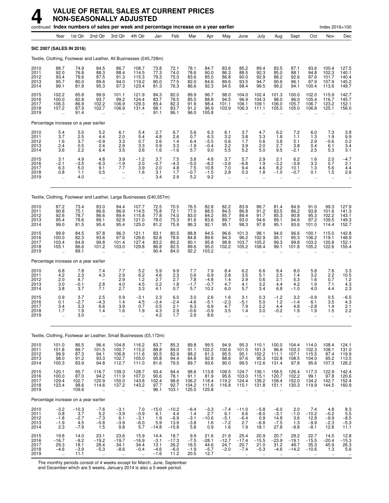|                                      |                                                           |                                           | continued Index numbers of sales per week and percentage increase on a year earlier |                                                      |                                                           |                                            |                                             |                                          |                                           |                                                         |                                                |                                                  |                                                        |                                                         |                                                        | Index 2016=100                              |                                                        |
|--------------------------------------|-----------------------------------------------------------|-------------------------------------------|-------------------------------------------------------------------------------------|------------------------------------------------------|-----------------------------------------------------------|--------------------------------------------|---------------------------------------------|------------------------------------------|-------------------------------------------|---------------------------------------------------------|------------------------------------------------|--------------------------------------------------|--------------------------------------------------------|---------------------------------------------------------|--------------------------------------------------------|---------------------------------------------|--------------------------------------------------------|
|                                      | Year                                                      | 1st Qtr                                   | 2nd Qtr                                                                             | 3rd Qtr                                              | 4th Qtr                                                   | Jan                                        | Feb                                         | Mar                                      | Apr                                       | May                                                     | June                                           | July                                             | Aug                                                    | Sept                                                    | Oct                                                    | Nov                                         | Dec                                                    |
|                                      |                                                           | <b>SIC 2007 (SALES IN 2016)</b>           |                                                                                     |                                                      |                                                           |                                            |                                             |                                          |                                           |                                                         |                                                |                                                  |                                                        |                                                         |                                                        |                                             |                                                        |
|                                      |                                                           |                                           | Textile, Clothing, Footwear and Leather, All Businesses (£45,728m)                  |                                                      |                                                           |                                            |                                             |                                          |                                           |                                                         |                                                |                                                  |                                                        |                                                         |                                                        |                                             |                                                        |
| 2010<br>2011<br>2012<br>2013<br>2014 | 88.7<br>92.0<br>93.4<br>95.7<br>99.1                      | 74.9<br>76.8<br>79.6<br>80.0<br>81.8      | 84.5<br>88.3<br>87.5<br>89.6<br>95.3                                                | 86.7<br>88.4<br>91.3<br>94.0<br>97.3                 | 108.7<br>114.5<br>115.3<br>119.2<br>123.4                 | 73.8<br>77.3<br>79.3<br>80.0<br>81.3       | 72.1<br>74.0<br>75.0<br>77.5<br>76.3        | 78.1<br>78.6<br>83.6<br>82.0<br>86.6     | 84.7<br>90.0<br>85.0<br>84.6<br>92.3      | 83.6<br>86.3<br>86.8<br>89.6<br>94.5                    | 85.2<br>88.5<br>90.0<br>93.5<br>98.4           | 89.4<br>92.3<br>92.9<br>94.7<br>99.5             | 83.5<br>85.0<br>88.2<br>90.6<br>99.2                   | 87.1<br>88.1<br>92.6<br>96.1<br>94.1                    | 93.6<br>94.8<br>97.6<br>97.9<br>100.4                  | 100.4<br>102.3<br>101.7<br>107.9<br>113.6   | 127.5<br>140.1<br>140.4<br>145.2<br>149.7              |
| 2015<br>2016<br>2017<br>2018<br>2019 | 102.2<br>100.0<br>106.3<br>107.2                          | 85.8<br>82.8<br>86.9<br>87.9<br>91.4      | 99.9<br>93.7<br>102.2<br>102.7                                                      | 101.1<br>99.2<br>106.9<br>106.9                      | 121.9<br>124.4<br>129.3<br>131.4                          | 84.3<br>83.7<br>85.4<br>88.1<br>91.1       | 82.0<br>78.5<br>82.3<br>83.7<br>86.1        | 89.9<br>85.5<br>91.9<br>91.2<br>96.0     | 96.7<br>88.8<br>98.4<br>96.9<br>105.8     | 98.0<br>94.5<br>101.1<br>103.9                          | 104.0<br>96.9<br>106.1<br>106.3                | 102.4<br>104.3<br>109.1<br>111.1                 | 101.3<br>98.0<br>106.0<br>105.0                        | 100.0<br>96.0<br>105.7<br>105.0                         | 102.0<br>105.4<br>106.7<br>106.8                       | 115.9<br>116.7<br>123.2<br>125.1            | 142.7<br>145.7<br>152.1<br>156.0                       |
|                                      |                                                           | Percentage increase on a year earlier     |                                                                                     |                                                      |                                                           |                                            |                                             |                                          |                                           |                                                         |                                                |                                                  |                                                        |                                                         |                                                        |                                             |                                                        |
| 2010<br>2011<br>2012<br>2013<br>2014 | $\frac{5.4}{3.7}$<br>1.6<br>2.4<br>3.6                    | 5.0<br>2.5<br>3.7<br>0.5<br>2.2           | 5.2<br>4.4<br>$-0.9$<br>2.4<br>6.4                                                  | 6.1<br>2.0<br>3.3<br>2.9<br>3.5                      | 5.4<br>5.4<br>0.7<br>3.3<br>3.6                           | 2.7<br>4.8<br>2.6<br>0.9<br>1.6            | 6.7<br>2.6<br>1.4<br>3.3<br>$-1.6$          | 5.6<br>0.7<br>6.4<br>$-1.9$<br>5.7       | 6.3<br>6.3<br>$-5.5$<br>$-0.4$<br>9.0     | 6.1<br>3.2<br>0.6<br>3.2<br>5.5                         | 3.7<br>3.8<br>1.7<br>3.9<br>5.2                | 4.7<br>3.3<br>0.6<br>2.0<br>5.0                  | 6.2<br>1.8<br>3.8<br>2.7<br>9.5                        | 7.2<br>1.1<br>5.1<br>3.8<br>$-2.1$                      | 6.0<br>1.3<br>2.9<br>0.4<br>2.5                        | 7.3<br>1.9<br>$-0.6$<br>6.1<br>5.3          | $\frac{3.8}{9.9}$<br>0.2<br>3.4<br>3.1                 |
| 2015<br>2016<br>2017<br>2018<br>2019 | 3.1<br>$-2.1$<br>6.3<br>0.8<br>$\ddot{\phantom{a}}$       | 4.9<br>$-3.5$<br>5.0<br>1.1<br>4.0        | 4.8<br>$-6.3$<br>9.1<br>0.5                                                         | 3.9<br>$-1.9$<br>7.7<br>$\overline{\phantom{0}}$<br> | $-1.2$<br>2.0<br>3.9<br>1.6<br>$\ddot{\phantom{a}}$       | 3.7<br>$-0.7$<br>2.0<br>3.1<br>3.4         | 7.5<br>$-4.3$<br>4.8<br>1.7<br>2.9          | 3.8<br>$-5.0$<br>7.5<br>$-0.7$<br>5.2    | 4.8<br>$-8.2$<br>10.8<br>$-1.5$<br>9.2    | 3.7<br>$-3.6$<br>7.0<br>2.8<br>$\ddot{\phantom{a}}$     | 5.7<br>$-6.8$<br>9.4<br>0.3<br>ä.              | 2.9<br>1.9<br>4.6<br>1.8<br>$\ddot{\phantom{a}}$ | 2.1<br>$-3.2$<br>8.2<br>$-1.0$<br>$\ddot{\phantom{a}}$ | 6.2<br>$-3.9$<br>10.1<br>$-0.7$<br>$\ddot{\phantom{a}}$ | 1.6<br>3.3<br>1.3<br>0.1<br>$\ddot{\phantom{a}}$       | 2.0<br>0.7<br>5.6<br>1.5<br>$\ldots$        | $-4.7$<br>2.1<br>4.4<br>2.6                            |
|                                      |                                                           |                                           | Textile, Clothing, Footwear and Leather, Large Businesses (£40,557m)                |                                                      |                                                           |                                            |                                             |                                          |                                           |                                                         |                                                |                                                  |                                                        |                                                         |                                                        |                                             |                                                        |
| 2010<br>2011<br>2012<br>2013<br>2014 | 87.2<br>90.8<br>92.6<br>95.4<br>99.0                      | 73.4<br>75.1<br>78.7<br>78.6<br>81.5      | 83.0<br>86.6<br>86.6<br>89.1<br>95.4                                                | 84.4<br>86.9<br>89.4<br>92.9<br>95.4                 | 107.7<br>114.5<br>115.8<br>121.0<br>125.0                 | 72.5<br>75.8<br>77.8<br>78.0<br>81.2       | 70.5<br>72.1<br>74.0<br>75.3<br>75.9        | 76.5<br>77.0<br>83.0<br>81.6<br>86.3     | 82.8<br>88.5<br>84.2<br>83.6<br>92.1      | 82.2<br>84.5<br>85.7<br>89.7<br>95.1                    | 83.9<br>86.8<br>89.4<br>93.0<br>98.3           | 86.7<br>91.2<br>91.7<br>94.6<br>97.8             | 81.4<br>83.5<br>85.3<br>89.1<br>95.1                   | 84.9<br>86.2<br>90.8<br>94.6<br>93.6                    | 91.0<br>93.8<br>95.3<br>97.2<br>101.0                  | 99.3<br>101.6<br>102.2<br>109.5<br>114.4    | 127.9<br>141.3<br>143.1<br>149.3<br>152.7              |
| 2015<br>2016<br>2017<br>2018<br>2019 | 99.9<br>100.0<br>103.4<br>105.1                           | 84.5<br>82.3<br>84.9<br>86.6<br>89.1      | 97.8<br>93.6<br>99.8<br>101.2<br>$\ddot{\phantom{a}}$                               | 96.3<br>97.6<br>101.4<br>103.0                       | 121.1<br>126.6<br>127.4<br>129.8                          | 83.1<br>82.8<br>83.2<br>86.8<br>90.4       | 80.5<br>78.6<br>80.2<br>82.5<br>84.0        | 88.8<br>84.8<br>90.1<br>89.6<br>92.2     | 94.5<br>89.6<br>95.8<br>95.0<br>103.2     | 96.6<br>94.3<br>98.8<br>102.2                           | 101.3<br>96.2<br>103.7<br>105.2                | 98.1<br>102.9<br>105.2<br>108.4                  | 94.0<br>95.1<br>99.3<br>99.1                           | 96.6<br>95.3<br>99.8<br>101.8                           | 100.1<br>106.2<br>103.2<br>105.2                       | 115.0<br>119.1<br>120.8<br>122.6            | 142.8<br>148.9<br>152.1<br>155.4                       |
|                                      |                                                           | Percentage increase on a year earlier     |                                                                                     |                                                      |                                                           |                                            |                                             |                                          |                                           |                                                         |                                                |                                                  |                                                        |                                                         |                                                        |                                             |                                                        |
| 2010<br>2011<br>2012<br>2013<br>2014 | 6.8<br>4.2<br>2.0<br>3.0<br>3.8                           | 7.8<br>2.3<br>4.7<br>$-0.1$<br>3.7        | 7.4<br>4.3<br>2.8<br>7.1                                                            | 7.7<br>2.9<br>2.9<br>4.0<br>2.7                      | 5.2<br>6.2<br>1.2<br>4.5<br>3.3                           | 5.9<br>4.6<br>2.7<br>0.2<br>4.1            | 9.9<br>2.3<br>2.7<br>1.8<br>0.7             | 7.7<br>0.6<br>7.8<br>$-1.7$<br>5.7       | 7.9<br>6.9<br>$-4.8$<br>$-0.7$<br>10.2    | 8.4<br>2.8<br>1.4<br>4.7<br>6.0                         | 6.2<br>3.5<br>2.9<br>4.1<br>5.7                | 6.6<br>5.1<br>0.6<br>3.2<br>3.4                  | 8.4<br>2.5<br>2.1<br>4.4<br>6.8                        | 8.0<br>1.4<br>5.3<br>4.2<br>$-1.0$                      | 5.8<br>3.2<br>1.6<br>1.9<br>4.0                        | 7.6<br>$^{2.2}_{0.7}$<br>7.1<br>4.4         | 3.3<br>$10.5$<br>1.2<br>$\frac{4.3}{2.3}$              |
| 2015<br>2016<br>2017<br>2018<br>2019 | 0.9<br>0.1<br>3.4<br>1.7<br>ă,                            | 3.7<br>$-2.7$<br>3.3<br>1.9<br>3.0        | 2.5<br>$-4.3$<br>6.6<br>1.4                                                         | 0.9<br>1.4<br>3.9<br>1.6<br>                         | $-3.1$<br>4.5<br>0.7<br>1.9                               | 2.3<br>$-0.4$<br>0.5<br>4.3<br>4.2         | 6.0<br>$-2.4$<br>2.1<br>$^{2.9}_{1.7}$      | 3.0<br>$-4.6$<br>6.3<br>$-0.6$<br>2.9    | 2.6<br>$-5.1$<br>6.9<br>$-0.9$<br>8.6     | 1.6<br>$-2.3$<br>4.7<br>3.5                             | 3.1<br>$-5.1$<br>7.9<br>1.4                    | 0.3<br>5.0<br>2.2<br>3.0                         | $-1.2$<br>$1.2$<br>4.4<br>-0.2                         | 3.2<br>$-1.4$<br>4.8<br>1.9                             | $-0.9$<br>6.1<br>$-2.8$<br>1.9<br>$\ddot{\phantom{a}}$ | 0.5<br>3.5<br>1.4<br>1.5                    | $-6.5$<br>4.3<br>2.1<br>2.2                            |
|                                      |                                                           |                                           | Textile, Clothing, Footwear an Leather, Small Businesses (£5,172m)                  |                                                      |                                                           |                                            |                                             |                                          |                                           |                                                         |                                                |                                                  |                                                        |                                                         |                                                        |                                             |                                                        |
| 2010<br>2011<br>2012<br>2013<br>2014 | 101.0<br>101.8<br>99.9<br>98.0<br>100.3                   | 86.5<br>89.7<br>87.3<br>91.2<br>83.9      | 96.4<br>101.5<br>94.1<br>93.3<br>94.8                                               | 104.8<br>100.7<br>106.8<br>102.7<br>112.7            | 116.2<br>115.2<br>111.6<br>105.0<br>111.0                 | 83.7<br>88.8<br>90.5<br>95.8<br>81.6       | 85.3<br>89.0<br>82.9<br>94.4<br>79.5        | 89.8<br>91.1<br>88.2<br>84.8<br>89.7     | 99.5<br>102.2<br>91.3<br>92.8<br>93.6     | 94.9<br>100.6<br>95.5<br>88.6<br>90.0                   | 95.3<br>101.5<br>95.1<br>97.6<br>99.5          | 110.1<br>101.3<br>102.2<br>95.3<br>112.6         | 100.0<br>96.8<br>111.1<br>102.8<br>131.4               | 104.4<br>103.3<br>107.1<br>108.5<br>97.8                | 114.0<br>102.3<br>115.5<br>104.0<br>95.6               | 108.4<br>108.1<br>97.4<br>95.2<br>107.3     | $124.1$<br>$131.0$<br>$119.9$<br>113.5<br>126.2        |
| 2015<br>2016<br>2017<br>2018<br>2019 | 120.1<br>100.0<br>129.4<br>123.4<br>$\ddotsc$             | 95.7<br>87.0<br>102.7<br>98.6<br>109.6    | 116.7<br>94.2<br>120.9<br>114.6<br>$\ddot{\phantom{a}}$                             | 139.3<br>111.9<br>150.0<br>137.2<br>$\ddotsc$        | 128.7<br>107.0<br>143.8<br>143.2<br>$\ddot{\phantom{1}}$  | 93.4<br>90.6<br>102.4<br>97.7<br>96.1      | 94.4<br>78.1<br>98.6<br>92.7<br>103.1       | 98.6<br>91.1<br>106.2<br>104.2<br>125.5  | 113.8<br>81.9<br>118.4<br>111.6<br>125.8  | 109.5<br>95.6<br>119.2<br>116.8<br>$\ddot{\phantom{a}}$ | 124.7<br>103.0<br>124.4<br>115.1               | 136.1<br>115.1<br>139.2<br>131.8                 | 158.5<br>120.7<br>158.4<br>151.1                       | 126.4<br>102.2<br>152.0<br>130.3                        | 117.3<br>99.1<br>134.2<br>119.9                        | 122.9<br>97.8<br>142.7<br>144.5             | 142.4<br>120.6<br>152.4<br>160.9                       |
|                                      |                                                           | Percentage increase on a year earlier     |                                                                                     |                                                      |                                                           |                                            |                                             |                                          |                                           |                                                         |                                                |                                                  |                                                        |                                                         |                                                        |                                             |                                                        |
| 2010<br>2011<br>2012<br>2013<br>2014 | $^{-3.2}_{0.8}$<br>$-1.8$<br>$-1.9$<br>2.3                | $-10.3$<br>3.7<br>$-2.7$<br>4.5<br>$-7.9$ | $-7.6$<br>5.2<br>$-7.3$<br>$-0.8$<br>1.5                                            | $-3.1$<br>$-3.9$<br>6.1<br>$-3.9$<br>9.8             | 7.0<br>$-0.9$<br>$-3.1$<br>$-6.0$<br>5.7                  | $-15.0$<br>6.1<br>1.9<br>5.9<br>$-14.8$    | $-10.2$<br>4.4<br>$-6.9$<br>13.9<br>$-15.8$ | $-6.4$<br>1.4<br>$-3.1$<br>$-3.8$<br>5.8 | $-3.3$<br>2.7<br>$-10.6$<br>1.6<br>0.9    | $-7.4$<br>6.1<br>$-5.1$<br>$-7.2$<br>1.6                | $-11.0$<br>6.6<br>$-6.4$<br>2.7<br>1.9         | $-5.8$<br>$-8.0$<br>0.9<br>$-6.8$<br>18.1        | $-6.0$<br>$-3.1$<br>14.8<br>$-7.5$<br>27.8             | 2.0<br>$-1.0$<br>3.6<br>1.3<br>$-9.8$                   | 7.4<br>$-10.2$<br>12.8<br>$-9.9$<br>$-8.1$             | 4.8<br>$-0.2$<br>$-9.9$<br>$-2.3$<br>12.8   | $8.3$<br>$5.5$<br>$-8.5$<br>$-5.3$<br>11.1             |
| 2015<br>2016<br>2017<br>2018<br>2019 | 19.8<br>$-16.7$<br>29.3<br>$-4.6$<br>$\ddot{\phantom{a}}$ | 14.0<br>$-9.2$<br>18.1<br>$-3.9$<br>11.1  | 23.1<br>$-19.2$<br>28.4<br>$-5.3$<br>$\ddotsc$                                      | 23.6<br>$-19.7$<br>34.1<br>$-8.6$<br>$\ddotsc$       | 15.9<br>$-16.9$<br>34.4<br>$-0.4$<br>$\ddot{\phantom{1}}$ | 14.4<br>$-3.1$<br>13.1<br>$-4.6$<br>$-1.6$ | 18.7<br>$-17.3$<br>26.2<br>$-6.0$<br>11.2   | 9.9<br>$-7.5$<br>16.5<br>$-1.9$<br>20.5  | 21.6<br>$-28.1$<br>44.6<br>$-5.7$<br>12.7 | 21.6<br>$-12.7$<br>24.7<br>$-2.0$<br>$\ddotsc$          | 25.4<br>$-17.4$<br>20.7<br>$-7.4$<br>$\ddotsc$ | 20.9<br>$-15.5$<br>21.0<br>$-5.3$<br>$\ddotsc$   | 20.7<br>$-23.9$<br>31.2<br>$-4.6$<br>$\ldots$          | 29.2<br>$-19.1$<br>48.7<br>$-14.2$<br>$\cdot$ .         | 22.7<br>$-15.5$<br>35.3<br>$-10.6$<br>$\cdot$ .        | 14.5<br>$-20.4$<br>45.9<br>1.3<br>$\ddotsc$ | $12.8$<br>$-15.3$<br>$26.3$<br>5.6<br>$\bullet\bullet$ |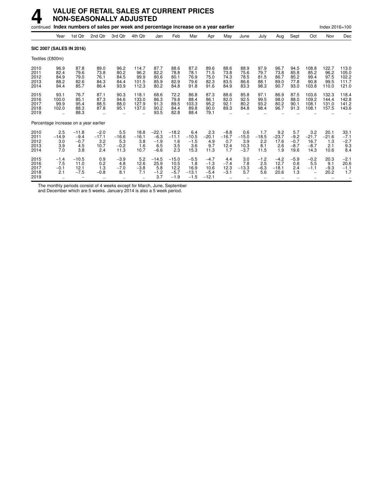## **4 VALUE OF RETAIL SALES AT CURRENT PRICES NON-SEASONALLY ADJUSTED**

|                                                      |                                                       |                                                      | continued Index numbers of sales per week and percentage increase on a year earlier |                                                      |                                                           |                                                      |                                                      |                                                      |                                                      |                                                      |                                                      |                                                      |                                                      |                                                      |                                                          | Index 2016=100                                           |                                                             |
|------------------------------------------------------|-------------------------------------------------------|------------------------------------------------------|-------------------------------------------------------------------------------------|------------------------------------------------------|-----------------------------------------------------------|------------------------------------------------------|------------------------------------------------------|------------------------------------------------------|------------------------------------------------------|------------------------------------------------------|------------------------------------------------------|------------------------------------------------------|------------------------------------------------------|------------------------------------------------------|----------------------------------------------------------|----------------------------------------------------------|-------------------------------------------------------------|
|                                                      | Year                                                  | 1st Qtr                                              | 2nd Qtr                                                                             | 3rd Qtr                                              | 4th Qtr                                                   | Jan                                                  | Feb                                                  | Mar                                                  | Apr                                                  | May                                                  | June                                                 | July                                                 | Aug                                                  | Sept                                                 | Oct                                                      | Nov                                                      | Dec                                                         |
| <b>SIC 2007 (SALES IN 2016)</b>                      |                                                       |                                                      |                                                                                     |                                                      |                                                           |                                                      |                                                      |                                                      |                                                      |                                                      |                                                      |                                                      |                                                      |                                                      |                                                          |                                                          |                                                             |
| Textiles (£800m)                                     |                                                       |                                                      |                                                                                     |                                                      |                                                           |                                                      |                                                      |                                                      |                                                      |                                                      |                                                      |                                                      |                                                      |                                                      |                                                          |                                                          |                                                             |
| 2010<br>2011<br>2012<br>2013<br>2014<br>2015<br>2016 | 96.9<br>82.4<br>84.9<br>88.2<br>94.4<br>93.1<br>100.0 | 87.8<br>79.6<br>79.0<br>82.6<br>85.7<br>76.7<br>85.1 | 89.0<br>73.8<br>76.1<br>84.3<br>86.4<br>87.1<br>87.3                                | 96.2<br>80.2<br>84.5<br>84.4<br>93.9<br>90.3<br>94.6 | 114.7<br>96.2<br>99.9<br>101.5<br>112.3<br>118.1<br>133.0 | 87.7<br>82.2<br>80.6<br>85.9<br>80.2<br>68.6<br>86.3 | 88.6<br>78.8<br>80.1<br>82.9<br>84.8<br>72.2<br>79.8 | 87.2<br>78.1<br>76.9<br>79.6<br>91.8<br>86.8<br>88.4 | 89.6<br>71.5<br>75.0<br>82.3<br>91.6<br>87.3<br>86.1 | 88.6<br>73.8<br>74.3<br>83.5<br>84.9<br>88.6<br>82.0 | 88.9<br>75.6<br>78.5<br>86.6<br>83.3<br>85.8<br>92.5 | 97.9<br>79.7<br>81.5<br>88.1<br>98.3<br>97.1<br>99.5 | 96.7<br>73.8<br>86.7<br>89.0<br>90.7<br>86.9<br>98.0 | 94.5<br>85.8<br>85.2<br>77.8<br>93.0<br>87.5<br>88.0 | 108.8<br>85.2<br>99.4<br>90.8<br>103.8<br>103.6<br>109.2 | 122.7<br>96.2<br>97.5<br>99.5<br>110.0<br>132.3<br>144.4 | 113.0<br>105.0<br>102.2<br>111.7<br>121.0<br>118.4<br>142.8 |
| 2017<br>2018<br>2019                                 | 99.9<br>102.0<br>٠.                                   | 95.4<br>88.3<br>88.3                                 | 88.5<br>87.8                                                                        | 88.0<br>95.1                                         | 127.9<br>137.0                                            | 91.3<br>90.2<br>93.5                                 | 89.5<br>84.4<br>82.8                                 | 103.3<br>89.8<br>88.4                                | 95.2<br>90.0<br>79.1                                 | 92.1<br>89.3                                         | 80.2<br>84.8                                         | 93.2<br>98.4                                         | 80.2<br>96.7                                         | 90.1<br>91.3                                         | 108.1<br>108.1                                           | 131.0<br>157.5                                           | 141.2<br>143.6                                              |
|                                                      |                                                       | Percentage increase on a year earlier                |                                                                                     |                                                      |                                                           |                                                      |                                                      |                                                      |                                                      |                                                      |                                                      |                                                      |                                                      |                                                      |                                                          |                                                          |                                                             |
| 2010<br>2011<br>2012<br>2013<br>2014                 | 2.5<br>$-14.9$<br>3.0<br>3.9<br>7.0                   | $-11.8$<br>$-9.4$<br>$-0.7$<br>4.5<br>3.8            | $-2.0$<br>$-17.1$<br>3.2<br>10.7<br>2.4                                             | 5.5<br>$-16.6$<br>5.3<br>$-0.2$<br>11.3              | 18.8<br>$-16.1$<br>3.8<br>1.6<br>10.7                     | $-22.1$<br>$-6.3$<br>$-1.9$<br>6.5<br>$-6.6$         | $-18.2$<br>$-11.1$<br>1.6<br>3.5<br>2.3              | 6.4<br>$-10.5$<br>$-1.5$<br>3.6<br>15.3              | 2.3<br>$-20.1$<br>4.9<br>9.7<br>11.3                 | $-8.8$<br>$-16.7$<br>0.7<br>12.4<br>1.7              | 0.6<br>$-15.0$<br>3.9<br>10.3<br>$-3.7$              | 1.7<br>$-18.5$<br>2.2<br>8.1<br>11.5                 | 9.2<br>$-23.7$<br>17.6<br>2.6<br>1.9                 | 5.7<br>$-9.2$<br>$-0.7$<br>$-8.7$<br>19.6            | 3.2<br>$-21.7$<br>16.7<br>$-8.7$<br>14.3                 | 20.1<br>$-21.6$<br>1.3<br>2.1<br>10.6                    | 33.1<br>$-7.1$<br>$-2.7$<br>9.3<br>8.4                      |
| 2015<br>2016<br>2017<br>2018<br>2019                 | $-1.4$<br>7.5<br>$-0.1$<br>2.1<br>٠.                  | $-10.5$<br>11.0<br>12.1<br>$-7.5$                    | 0.9<br>0.2<br>1.3<br>$-0.8$<br>$\ddot{\phantom{a}}$                                 | $-3.9$<br>4.8<br>$-7.0$<br>8.1<br>$\ddotsc$          | 5.2<br>12.6<br>$-3.8$<br>7.1                              | $-14.5$<br>25.9<br>5.8<br>$-1.2$<br>3.7              | $-15.0$<br>10.5<br>12.2<br>$-5.7$<br>$-1.9$          | $-5.5$<br>1.8<br>16.9<br>$-13.1$<br>$-1.5$           | $-4.7$<br>$-1.3$<br>10.6<br>$-5.4$<br>$-12.1$        | 4.4<br>$-7.4$<br>12.3<br>$-3.1$                      | 3.0<br>7.8<br>$-13.3$<br>5.7<br>$\ddotsc$            | $-1.2$<br>2.5<br>$-6.3$<br>5.6<br>                   | $-4.2$<br>12.7<br>$-18.1$<br>20.6                    | $-5.9$<br>0.6<br>2.4<br>1.3                          | $-0.2$<br>5.5<br>$-1.1$                                  | 20.3<br>9.1<br>$-9.3$<br>20.2                            | $-2.1$<br>20.6<br>$-1.1$<br>1.7                             |

The monthly periods consist of 4 weeks except for March, June, September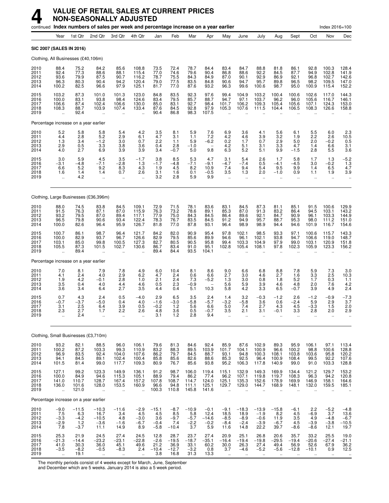|                                      |                                                          |                                           | continued Index numbers of sales per week and percentage increase on a year earlier |                                                           |                                                     |                                           |                                            |                                           |                                            |                                                     |                                                     |                                                           |                                                        |                                                   |                                          | Index 2016=100                                      |                                                                 |
|--------------------------------------|----------------------------------------------------------|-------------------------------------------|-------------------------------------------------------------------------------------|-----------------------------------------------------------|-----------------------------------------------------|-------------------------------------------|--------------------------------------------|-------------------------------------------|--------------------------------------------|-----------------------------------------------------|-----------------------------------------------------|-----------------------------------------------------------|--------------------------------------------------------|---------------------------------------------------|------------------------------------------|-----------------------------------------------------|-----------------------------------------------------------------|
|                                      | Year                                                     | 1st Qtr                                   | 2nd Qtr                                                                             | 3rd Qtr                                                   | 4th Qtr                                             | Jan                                       | Feb                                        | Mar                                       | Apr                                        | May                                                 | June                                                | July                                                      | Aug                                                    | Sept                                              | Oct                                      | Nov                                                 | Dec                                                             |
|                                      | SIC 2007 (SALES IN 2016)                                 |                                           |                                                                                     |                                                           |                                                     |                                           |                                            |                                           |                                            |                                                     |                                                     |                                                           |                                                        |                                                   |                                          |                                                     |                                                                 |
|                                      |                                                          | Clothing, All Businesses (£40,106m)       |                                                                                     |                                                           |                                                     |                                           |                                            |                                           |                                            |                                                     |                                                     |                                                           |                                                        |                                                   |                                          |                                                     |                                                                 |
| 2010<br>2011<br>2012<br>2013<br>2014 | 88.4<br>92.4<br>93.6<br>96.3<br>100.2                    | 75.2<br>77.3<br>79.9<br>80.3<br>82.5      | 84.2<br>88.6<br>87.5<br>90.4<br>96.6                                                | 85.6<br>88.1<br>90.7<br>94.2<br>97.9                      | 108.8<br>115.4<br>116.2<br>120.4<br>125.1           | 73.5<br>77.0<br>78.7<br>79.0<br>81.7      | 72.4<br>74.6<br>75.5<br>77.5<br>77.0       | 78.7<br>79.6<br>84.3<br>83.5<br>87.6      | 84.4<br>90.4<br>84.9<br>84.8<br>93.2       | 83.4<br>86.8<br>87.0<br>90.6<br>96.3                | 84.7<br>88.6<br>90.1<br>94.7<br>99.6                | 88.8<br>92.2<br>92.9<br>95.7<br>100.6                     | 81.8<br>84.5<br>86.9<br>89.8<br>98.7                   | 86.1<br>87.7<br>92.1<br>96.5<br>95.0              | 92.8<br>94.9<br>96.8<br>98.2<br>100.9    | 100.3<br>102.8<br>102.7<br>109.5<br>115.4           | 128.4<br>141.9<br>$142.6$<br>$147.0$<br>152.2                   |
| 2015<br>2016<br>2017<br>2018<br>2019 | 103.2<br>100.0<br>106.6<br>108.3<br>$\ddot{\phantom{a}}$ | 87.3<br>83.1<br>87.4<br>88.7<br>92.4      | 101.0<br>93.8<br>102.4<br>103.9                                                     | 101.3<br>98.4<br>106.6<br>107.4<br>$\ddotsc$              | 123.0<br>124.6<br>130.0<br>133.4                    | 84.8<br>83.4<br>85.0<br>87.6<br>90.4      | 83.5<br>79.5<br>83.1<br>84.5<br>86.8       | 92.3<br>85.7<br>92.7<br>92.8<br>98.3      | 97.6<br>88.7<br>98.4<br>97.9<br>107.5      | 99.4<br>94.7<br>101.7<br>105.3                      | 104.9<br>97.1<br>106.2<br>107.6                     | 103.2<br>103.7<br>109.3<br>111.5                          | 100.4<br>96.2<br>105.4<br>104.4                        | 100.6<br>96.0<br>105.6<br>106.5                   | 102.6<br>105.6<br>107.1<br>108.3         | 117.0<br>116.7<br>124.3<br>126.6                    | 144.3<br>146.1<br>153.0<br>158.8                                |
|                                      |                                                          | Percentage increase on a year earlier     |                                                                                     |                                                           |                                                     |                                           |                                            |                                           |                                            |                                                     |                                                     |                                                           |                                                        |                                                   |                                          |                                                     |                                                                 |
| 2010<br>2011<br>2012<br>2013<br>2014 | $\frac{5.2}{4.4}$<br>1.3<br>2.9<br>4.0                   | 5.8<br>2.8<br>3.4<br>0.5<br>2.7           | 5.8<br>5.2<br>$-1.2$<br>3.3<br>6.9                                                  | 5.4<br>2.9<br>3.0<br>3.8<br>3.9                           | 4.2<br>6.1<br>0.7<br>3.6<br>3.9                     | $\frac{3.5}{4.7}$<br>2.2<br>0.4<br>3.4    | 8.1<br>3.1<br>1.1<br>2.8<br>$-0.7$         | 5.9<br>1.1<br>5.9<br>$-1.0$<br>5.0        | 7.6<br>7.2<br>$-6.2$<br>9.8                | $6.9$<br>$4.2$<br>0.2<br>4.2<br>6.3                 | 3.6<br>4.6<br>1.7<br>5.1<br>5.2                     | 4.1<br>$\frac{3.9}{0.7}$<br>3.1<br>5.1                    | 5.6<br>$\frac{3.2}{2.9}$<br>3.3<br>9.9                 | 6.1<br>1.9<br>5.0<br>4.7<br>$-1.5$                | $\frac{5.5}{2.2}$<br>2.0<br>1.4<br>2.8   | 6.0<br>2.6<br>$-0.2$<br>6.6<br>5.5                  | $\begin{array}{c} 2.3 \\ 10.5 \\ 0.5 \end{array}$<br>3.1<br>3.6 |
| 2015<br>2016<br>2017<br>2018<br>2019 | 3.0<br>$-3.1$<br>6.6<br>1.6<br>÷.                        | 5.9<br>$-4.8$<br>5.2<br>1.4<br>4.2        | 4.5<br>$-7.1$<br>9.2<br>1.4<br>$\ddot{\phantom{a}}$                                 | 3.5<br>$-2.8$<br>8.3<br>0.7<br>÷.                         | $-1.7$<br>1.3<br>4.3<br>2.6<br>$\ddot{\phantom{a}}$ | 3.8<br>$-1.7$<br>1.9<br>3.1<br>3.2        | 8.5<br>$-4.8$<br>4.5<br>1.6<br>2.8         | $\frac{5.3}{-7.1}$<br>8.2<br>0.1<br>5.9   | 4.7<br>$-9.1$<br>10.9<br>$-0.5$<br>9.9     | 3.1<br>$-4.7$<br>7.4<br>3.5<br>$\ddot{\phantom{a}}$ | 5.4<br>$-7.4$<br>9.4<br>1.3<br>$\ddot{\phantom{a}}$ | 2.6<br>0.5<br>5.4<br>2.0<br>$\ddot{\phantom{a}}$          | 1.7<br>$-4.1$<br>9.5<br>$-1.0$<br>$\ddot{\phantom{a}}$ | $5.8 - 4.5$<br>9.9<br>0.9<br>$\ddot{\phantom{a}}$ | 1.7<br>3.0<br>1.4<br>1.1<br>$\ddotsc$    | 1.3<br>$-0.2$<br>6.5<br>1.9<br>$\ddot{\phantom{a}}$ | $-5.2$<br>1.3<br>4.7<br>3.9                                     |
|                                      |                                                          |                                           | Clothing, Large Businesses (£36,396m)                                               |                                                           |                                                     |                                           |                                            |                                           |                                            |                                                     |                                                     |                                                           |                                                        |                                                   |                                          |                                                     |                                                                 |
| 2010<br>2011<br>2012<br>2013<br>2014 | 88.0<br>91.5<br>93.2<br>96.5<br>100.0                    | 74.5<br>76.3<br>79.5<br>79.8<br>82.6      | 83.8<br>87.1<br>87.0<br>90.6<br>96.4                                                | 84.5<br>87.0<br>89.4<br>93.4<br>95.9                      | 109.1<br>115.9<br>117.1<br>122.4<br>126.7           | 72.9<br>76.3<br>77.9<br>78.3<br>81.8      | 71.5<br>73.2<br>75.0<br>76.7<br>77.0       | 78.1<br>78.6<br>84.3<br>83.5<br>87.8      | 83.6<br>89.1<br>84.5<br>84.5<br>93.1       | 83.1<br>85.3<br>86.4<br>91.2<br>96.4                | 84.5<br>87.0<br>89.6<br>94.9<br>98.9                | 87.3<br>91.3<br>92.1<br>95.7<br>98.9                      | 81.1<br>83.2<br>84.7<br>88.7<br>94.4                   | 85.1<br>86.4<br>90.9<br>95.3<br>94.6              | 91.5<br>94.5<br>96.1<br>98.0<br>101.9    | 100.6<br>103.1<br>103.3<br>111.2<br>116.7           | 129.9<br>143.2<br>144.9<br>151.0<br>154.6                       |
| 2015<br>2016<br>2017<br>2018<br>2019 | 100.7<br>100.0<br>103.1<br>105.5                         | 86.1<br>82.9<br>85.0<br>87.3<br>89.4      | 98.7<br>93.7<br>99.8<br>101.5                                                       | 96.4<br>96.7<br>100.5<br>102.7                            | 121.7<br>126.6<br>127.3<br>130.6                    | 84.2<br>82.9<br>82.7<br>86.7<br>89.4      | 82.0<br>79.5<br>80.5<br>83.4<br>84.4       | 90.9<br>85.6<br>90.5<br>91.0<br>93.5      | 95.4<br>89.9<br>95.8<br>95.1<br>104.1      | 97.8<br>94.6<br>99.4<br>102.8                       | 102.1<br>96.1<br>103.3<br>105.4                     | 98.5<br>102.1<br>104.9<br>108.1                           | 93.3<br>93.8<br>97.9<br>97.8                           | 97.1<br>94.7<br>99.0<br>102.3                     | 100.6<br>106.6<br>103.1<br>105.9         | 115.7<br>119.0<br>120.9<br>123.3                    | 143.3<br>148.7<br>151.8<br>156.2                                |
|                                      |                                                          | Percentage increase on a year earlier     |                                                                                     |                                                           |                                                     |                                           |                                            |                                           |                                            |                                                     |                                                     |                                                           |                                                        |                                                   |                                          |                                                     |                                                                 |
| 2010<br>2011<br>2012<br>2013<br>2014 | 7.0<br>4.1<br>1.9<br>3.5<br>3.6                          | 8.1<br>2.4<br>4.2<br>0.4<br>3.4           | 7.9<br>4.0<br>$-0.1$<br>4.0<br>6.4                                                  | 7.8<br>2.9<br>2.8<br>4.4<br>2.7                           | 4.9<br>6.2<br>1.0<br>4.6<br>3.5                     | 6.0<br>4.7<br>2.1<br>0.5<br>4.4           | 10.4<br>2.4<br>2.4<br>2.3<br>0.4           | 8.1<br>0.6<br>7.3<br>$-0.9$<br>5.1        | 8.6<br>6.6<br>$-5.2$<br>10.3               | 9.0<br>2.7<br>1.3<br>5.6<br>5.8                     | 6.6<br>3.0<br>3.0<br>5.9<br>4.2                     | 6.8<br>4.6<br>0.8<br>3.9<br>3.3                           | 8.8<br>2.7<br>1.8<br>4.6<br>6.5                        | 7.8<br>1.6<br>5.2<br>4.8<br>$-0.7$                | 5.9<br>3.3<br>1.7<br>2.0<br>3.9          | 7.3<br>2.5<br>0.3<br>7.6<br>4.9                     | 3.0<br>10.3<br>1.1<br>4.2<br>2.4                                |
| 2015<br>2016<br>2017<br>2018<br>2019 | 0.7<br>$-0.7$<br>3.1<br>2.3                              | 4.3<br>$-3.7$<br>2.5<br>2.7<br>2.4        | 2.4<br>$-5.0$<br>6.4<br>1.7<br>ä.                                                   | 0.5<br>0.4<br>3.9<br>2.2<br>                              | $-4.0$<br>4.0<br>0.5<br>2.6                         | 2.9<br>$-1.6$<br>$-0.2$<br>4.8<br>3.1     | 6.5<br>$-3.0$<br>1.2<br>3.6<br>1.2         | 3.5<br>$-5.8$<br>5.6<br>U.5<br>2.8        | 2.4<br>$-5.7$<br>6.6<br>-v.7<br>9.4        | 1.4<br>$-3.2$<br>5.0<br>3.5                         | 3.2<br>$-5.8$<br>7.4<br>2.1                         | $-0.3$<br>3.6<br>2.7<br>3.1                               | $-1.2$<br>0.6<br>4.3<br>-v. 1                          | 2.6<br>$-2.4$<br>4.5<br>3.3                       | $-1.2$<br>5.9<br>$-3.3$<br>2.8           | $-0.9$<br>2.9<br>1.5<br>2.0                         | $-7.3$<br>3.7<br>2.0<br>2.9                                     |
|                                      |                                                          |                                           | Clothing, Small Businesses (£3,710m)                                                |                                                           |                                                     |                                           |                                            |                                           |                                            |                                                     |                                                     |                                                           |                                                        |                                                   |                                          |                                                     |                                                                 |
| 2010                                 | 93.2                                                     | 82.1                                      | 88.5                                                                                | 96.0                                                      | 106.1                                               | 79.6                                      | 81.3                                       | 84.6                                      | 92.4                                       | 85.9                                                | 87.6                                                | 102.9                                                     | 89.3                                                   | 95.9                                              | 106.1                                    | 97.1                                                |                                                                 |
| 2011<br>2012<br>2013<br>2014         | 100.2<br>96.9<br>94.1<br>101.5                           | 87.2<br>83.5<br>84.5<br>81.4              | 103.3<br>92.4<br>89.1<br>99.0                                                       | 99.3<br>104.0<br>102.4<br>117.7                           | 110.9<br>107.6<br>100.4<br>109.3                    | 83.2<br>86.2<br>85.8<br>80.9              | 88.3<br>79.7<br>85.6<br>76.7               | 89.5<br>84.5<br>82.6<br>85.6              | 103.9<br>88.7<br>88.6<br>93.8              | 101.7<br>93.1<br>85.3<br>95.2                       | 104.1<br>94.8<br>92.5<br>106.3                      | 100.9<br>100.3<br>96.4<br>117.8                           | 96.6<br>108.1<br>100.9<br>140.9                        | 100.2<br>103.8<br>108.4<br>99.0                   | 98.8<br>103.6<br>99.5<br>91.0            | 100.6<br>95.8<br>92.2<br>103.3                      | 113.4<br>128.8<br>120.2<br>107.6<br>128.8                       |
| 2015<br>2016<br>2017<br>2018<br>2019 | 127.1<br>100.0<br>141.0<br>136.0<br>$\ddotsc$            | 99.2<br>84.9<br>110.7<br>101.6<br>121.0   | 123.3<br>94.6<br>128.7<br>128.0<br>$\ddotsc$                                        | 149.9<br>115.3<br>167.4<br>153.5<br>                      | 136.1<br>105.1<br>157.2<br>160.9                    | 91.2<br>88.9<br>107.8<br>96.6<br>100.3    | 98.7<br>79.4<br>108.7<br>94.8<br>110.8     | 106.0<br>86.2<br>114.7<br>111.1<br>145.8  | 119.4<br>77.4<br>124.0<br>125.1<br>141.6   | 115.1<br>96.2<br>125.1<br>129.7                     | 132.9<br>107.1<br>135.3<br>129.0                    | 149.3<br>119.8<br>152.6<br>144.7                          | 169.9<br>119.7<br>178.9<br>168.9                       | 134.4<br>108.3<br>169.9<br>148.1                  | 121.2<br>96.3<br>146.9<br>132.0          | 129.7<br>94.2<br>158.1<br>159.5                     | 153.2<br>120.8<br>164.6<br>185.1                                |
|                                      |                                                          | Percentage increase on a year earlier     |                                                                                     |                                                           |                                                     |                                           |                                            |                                           |                                            |                                                     |                                                     |                                                           |                                                        |                                                   |                                          |                                                     |                                                                 |
| 2010<br>2011<br>2012<br>2013<br>2014 | $-9.0$<br>7.5<br>-3.3<br>$-2.9$<br>7.8                   | $-11.5$<br>6.3<br>$-4.2$<br>$1.2 - 3.7$   | $-10.3$<br>16.7<br>$-10.5$<br>$-3.6$<br>11.1                                        | $-11.6$<br>3.4<br>4.8<br>$-1.6$<br>14.9                   | $-2.9$<br>4.5<br>$-3.0$<br>$-6.7$<br>8.9            | $-15.1$<br>4.5<br>3.6<br>$-0.4$<br>$-5.8$ | $-8.7$<br>8.5<br>$-9.7$<br>7.4<br>$-10.4$  | $-10.9$<br>5.8<br>$-5.7$<br>$-2.2$<br>3.7 | $-0.1$<br>12.4<br>$-14.6$<br>$-0.2$<br>5.9 | $-9.1$<br>18.5<br>$-8.5$<br>$-8.4$<br>11.6          | $-18.3$<br>18.9<br>$-8.9$<br>$-2.4$<br>14.8         | $-13.9$<br>$-1.9$<br>$-0.6$<br>$-3.9$<br>22.2             | $-15.8$<br>8.2<br>11.9<br>$-6.7$<br>39.7               | $-6.1$<br>4.5<br>3.5<br>4.5<br>$-8.6$             | 2.2<br>$-6.9$<br>4.9<br>$-3.9$<br>$-8.6$ | $-5.2$<br>3.7<br>$-4.8$<br>$-3.8$<br>12.1           | $-4.8$<br>13.6<br>$-6.7$<br>$-10.5$<br>19.7                     |
| 2015<br>2016<br>2017<br>2018<br>2019 | 25.3<br>$-21.3$<br>41.0<br>$-3.5$<br>à.                  | 21.9<br>$-14.4$<br>30.3<br>$-8.2$<br>19.1 | 24.5<br>$-23.2$<br>36.0<br>$-0.5$<br>à.                                             | 27.4<br>$-23.1$<br>45.1<br>$-8.3$<br>$\ddot{\phantom{a}}$ | 24.5<br>$-22.8$<br>49.6<br>2.4                      | 12.8<br>$-2.6$<br>21.2<br>$-10.4$<br>3.8  | 28.7<br>$-19.5$<br>36.9<br>$-12.7$<br>16.8 | 23.7<br>$-18.7$<br>33.1<br>$-3.2$<br>31.3 | 27.4<br>$-35.1$<br>60.2<br>0.8<br>13.3     | 20.9<br>$-16.4$<br>30.0<br>3.7<br>à.                | 25.1<br>$-19.4$<br>26.3<br>$-4.6$<br>ä.             | 26.8<br>$-19.8$<br>27.4<br>$-5.2$<br>$\ddot{\phantom{1}}$ | 20.6<br>$-29.5$<br>49.4<br>$-5.6$<br>$\mathbf{r}$      | 35.7<br>$-19.4$<br>56.9<br>$-12.8$<br>$\ddotsc$   | 33.2<br>$-20.6$<br>52.6<br>$-10.1$       | 25.5<br>$-27.4$<br>67.9<br>0.9                      | 19.0<br>$-21.1$<br>36.2<br>12.5                                 |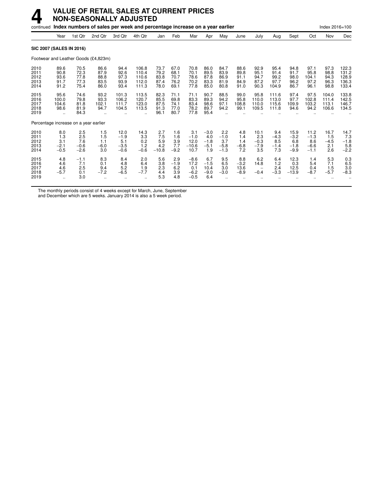# **4 VALUE OF RETAIL SALES AT CURRENT PRICES NON-SEASONALLY ADJUSTED**

|                                       |                                                        |                                       | continued Index numbers of sales per week and percentage increase on a year earlier |                                           |                                                          |                                      |                                      |                                           |                                          |                                                     |                                      |                                        |                                       |                                           |                                           | Index 2016=100                       |                                           |
|---------------------------------------|--------------------------------------------------------|---------------------------------------|-------------------------------------------------------------------------------------|-------------------------------------------|----------------------------------------------------------|--------------------------------------|--------------------------------------|-------------------------------------------|------------------------------------------|-----------------------------------------------------|--------------------------------------|----------------------------------------|---------------------------------------|-------------------------------------------|-------------------------------------------|--------------------------------------|-------------------------------------------|
|                                       | Year                                                   | 1st Qtr                               | 2nd Qtr                                                                             | 3rd Qtr                                   | 4th Qtr                                                  | Jan                                  | Feb                                  | Mar                                       | Apr                                      | May                                                 | June                                 | July                                   | Aug                                   | Sept                                      | Oct                                       | Nov                                  | Dec                                       |
| <b>SIC 2007 (SALES IN 2016)</b>       |                                                        |                                       |                                                                                     |                                           |                                                          |                                      |                                      |                                           |                                          |                                                     |                                      |                                        |                                       |                                           |                                           |                                      |                                           |
|                                       |                                                        |                                       | Footwear and Leather Goods (£4,823m)                                                |                                           |                                                          |                                      |                                      |                                           |                                          |                                                     |                                      |                                        |                                       |                                           |                                           |                                      |                                           |
| 2010<br>2011<br>2012<br>2013<br>2014  | 89.6<br>90.8<br>93.6<br>91.7<br>91.2                   | 70.5<br>72.3<br>77.8<br>77.3<br>75.4  | 86.6<br>87.9<br>88.8<br>83.5<br>86.0                                                | 94.4<br>92.6<br>97.3<br>93.9<br>93.4      | 106.8<br>110.4<br>110.6<br>112.0<br>111.3                | 73.7<br>79.2<br>83.8<br>87.4<br>78.0 | 67.0<br>68.1<br>70.7<br>76.2<br>69.1 | 70.8<br>70.1<br>78.6<br>70.2<br>77.8      | 86.0<br>89.5<br>87.8<br>83.3<br>85.0     | 84.7<br>83.9<br>86.9<br>81.9<br>80.8                | 88.6<br>89.8<br>91.1<br>84.9<br>91.0 | 92.9<br>95.1<br>94.7<br>87.2<br>90.3   | 95.4<br>91.4<br>99.2<br>97.7<br>104.9 | 94.8<br>91.7<br>98.0<br>96.2<br>86.7      | 97.1<br>95.8<br>104.1<br>97.2<br>96.1     | 97.3<br>98.8<br>94.3<br>96.3<br>98.8 | 122.3<br>131.2<br>128.9<br>136.3<br>133.4 |
| 2015<br>2016<br>2017<br>2018<br>2019  | 95.6<br>100.0<br>104.6<br>98.6<br>$\ddot{\phantom{a}}$ | 74.6<br>79.8<br>81.8<br>81.9<br>84.3  | 93.2<br>93.3<br>102.1<br>94.7                                                       | 101.3<br>106.2<br>111.7<br>104.5          | 113.5<br>120.7<br>123.0<br>113.5<br>$\ddot{\phantom{0}}$ | 82.3<br>85.5<br>87.5<br>91.3<br>96.1 | 71.1<br>69.8<br>74.1<br>77.0<br>80.7 | 71.1<br>83.3<br>83.4<br>78.2<br>77.8      | 90.7<br>89.3<br>98.6<br>89.7<br>95.4     | 88.5<br>94.2<br>97.1<br>94.2                        | 99.0<br>95.8<br>108.8<br>99.1        | 95.8<br>110.0<br>110.0<br>109.5        | 111.6<br>113.0<br>115.6<br>111.8      | 97.4<br>97.7<br>109.9<br>94.6             | 97.5<br>102.8<br>103.2<br>94.2            | 104.0<br>111.4<br>113.1<br>106.6     | 133.8<br>142.5<br>146.7<br>134.5          |
| Percentage increase on a year earlier |                                                        |                                       |                                                                                     |                                           |                                                          |                                      |                                      |                                           |                                          |                                                     |                                      |                                        |                                       |                                           |                                           |                                      |                                           |
| 2010<br>2011<br>2012<br>2013<br>2014  | 8.0<br>1.3<br>3.1<br>$-2.1$<br>$-0.5$                  | 2.5<br>2.5<br>7.6<br>$-0.6$<br>$-2.6$ | 1.5<br>1.5<br>1.1<br>$-6.0$<br>3.0                                                  | 12.0<br>$-1.9$<br>5.1<br>$-3.5$<br>$-0.6$ | 14.3<br>3.3<br>0.2<br>1.2<br>$-0.6$                      | 2.7<br>7.5<br>5.9<br>4.2<br>$-10.8$  | 1.6<br>1.6<br>3.9<br>7.7<br>$-9.2$   | 3.1<br>$-1.0$<br>12.0<br>$-10.6$<br>10.7  | $-3.0$<br>4.0<br>$-1.8$<br>$-5.1$<br>1.9 | 2.2<br>$-1.0$<br>3.7<br>$-5.8$<br>$-1.3$            | 4.8<br>1.4<br>1.4<br>$-6.8$<br>7.2   | 10.1<br>2.3<br>$-0.3$<br>$-7.9$<br>3.5 | 9.4<br>$-4.3$<br>8.5<br>$-1.4$<br>7.3 | 15.9<br>$-3.2$<br>6.8<br>$-1.8$<br>$-9.9$ | 11.2<br>$-1.3$<br>8.6<br>$-6.6$<br>$-1.1$ | 16.7<br>1.5<br>$-4.5$<br>2.1<br>2.6  | 14.7<br>7.3<br>$-1.8$<br>$5.8 - 2.2$      |
| 2015<br>2016<br>2017<br>2018<br>2019  | 4.8<br>4.6<br>4.6<br>$-5.7$<br>$\ddot{\phantom{0}}$    | $-1.1$<br>7.1<br>2.5<br>0.1<br>3.0    | 8.3<br>0.1<br>9.4<br>$-7.2$<br>$\ddotsc$                                            | 8.4<br>4.8<br>5.2<br>$-6.5$               | 2.0<br>6.4<br>1.9<br>$-7.7$                              | 5.6<br>3.8<br>2.3<br>4.4<br>5.3      | 2.9<br>$-1.9$<br>6.2<br>3.9<br>4.8   | $-8.6$<br>17.2<br>0.1<br>$-6.2$<br>$-0.5$ | 6.7<br>$-1.5$<br>10.4<br>$-9.0$<br>6.4   | 9.5<br>6.5<br>3.0<br>$-3.0$<br>$\ddot{\phantom{a}}$ | 8.8<br>$-3.2$<br>13.6<br>$-8.9$      | 6.2<br>14.8<br>$-0.4$                  | 6.4<br>1.2<br>2.4<br>$-3.3$           | 12.3<br>0.3<br>12.5<br>$-13.9$            | 1.4<br>5.4<br>0.4<br>$-8.7$               | 5.3<br>7.1<br>1.5<br>$-5.7$          | 0.3<br>6.5<br>3.0<br>$-8.3$               |

The monthly periods consist of 4 weeks except for March, June, September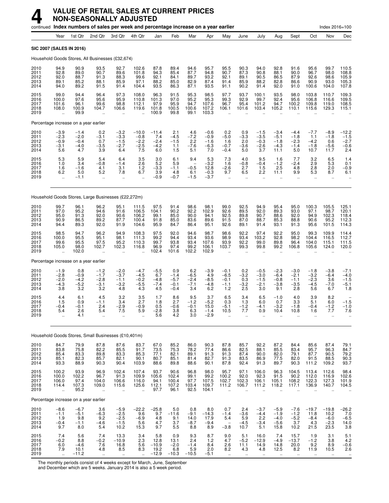|                                      |                                                        | continued Index numbers of sales per week and percentage increase on a year earlier |                                                     |                                                        |                                              |                                           |                                             |                                          |                                             |                                             |                                                     |                                                        |                                                      |                                                     |                                                      | Index 2016=100                                    |                                                         |
|--------------------------------------|--------------------------------------------------------|-------------------------------------------------------------------------------------|-----------------------------------------------------|--------------------------------------------------------|----------------------------------------------|-------------------------------------------|---------------------------------------------|------------------------------------------|---------------------------------------------|---------------------------------------------|-----------------------------------------------------|--------------------------------------------------------|------------------------------------------------------|-----------------------------------------------------|------------------------------------------------------|---------------------------------------------------|---------------------------------------------------------|
|                                      | Year                                                   | 1st Qtr                                                                             | 2nd Qtr                                             | 3rd Qtr                                                | 4th Qtr                                      | Jan                                       | Feb                                         | Mar                                      | Apr                                         | May                                         | June                                                | July                                                   | Aug                                                  | Sept                                                | Oct                                                  | Nov                                               | Dec                                                     |
|                                      |                                                        | <b>SIC 2007 (SALES IN 2016)</b>                                                     |                                                     |                                                        |                                              |                                           |                                             |                                          |                                             |                                             |                                                     |                                                        |                                                      |                                                     |                                                      |                                                   |                                                         |
|                                      |                                                        | Household Goods Stores, All Businesses (£32,674)                                    |                                                     |                                                        |                                              |                                           |                                             |                                          |                                             |                                             |                                                     |                                                        |                                                      |                                                     |                                                      |                                                   |                                                         |
| 2010<br>2011<br>2012<br>2013<br>2014 | 94.9<br>92.8<br>92.0<br>89.1<br>94.0                   | 90.9<br>89.0<br>88.7<br>85.2<br>89.2                                                | 93.5<br>90.7<br>91.3<br>88.1<br>91.5                | 92.7<br>89.6<br>88.3<br>85.9<br>91.4                   | 102.6<br>101.8<br>99.6<br>97.1<br>104.4      | 87.8<br>94.3<br>92.1<br>88.2<br>93.5      | 89.4<br>85.4<br>84.1<br>85.0<br>86.3        | 94.6<br>87.7<br>89.7<br>82.9<br>87.1     | 95.7<br>94.8<br>93.2<br>87.4<br>93.5        | 95.5<br>90.7<br>92.1<br>91.4<br>91.1        | 90.3<br>87.3<br>89.1<br>85.9<br>90.2                | 94.0<br>90.8<br>90.5<br>88.2<br>91.4                   | 92.8<br>88.1<br>86.5<br>82.8<br>92.0                 | 91.6<br>90.0<br>87.9<br>86.6<br>91.0                | 95.6<br>96.7<br>92.6<br>90.9<br>100.6                | 99.7<br>98.0<br>98.6<br>93.0<br>104.0             | 110.5<br>108.8<br>105.9<br>105.3<br>107.8               |
| 2015<br>2016<br>2017<br>2018<br>2019 | 99.0<br>100.0<br>101.6<br>108.0                        | 94.4<br>97.6<br>96.1<br>100.9<br>99.9                                               | 96.4<br>95.6<br>99.6<br>104.7                       | 97.3<br>95.9<br>98.8<br>106.6                          | 108.0<br>110.8<br>112.1<br>119.6             | 96.3<br>101.3<br>97.9<br>101.8<br>100.9   | 91.5<br>97.0<br>95.9<br>100.5<br>99.8       | 95.3<br>95.2<br>94.7<br>100.6<br>99.1    | 98.5<br>95.3<br>107.6<br>107.2<br>103.3     | 97.7<br>99.3<br>96.7<br>106.1               | 93.7<br>92.9<br>95.4<br>101.6                       | 100.1<br>99.7<br>101.2<br>103.4                        | 93.5<br>92.4<br>94.7<br>105.2                        | 98.0<br>95.6<br>100.2<br>110.1                      | 103.8<br>106.8<br>109.8<br>115.6                     | 110.7<br>116.6<br>119.0<br>129.3                  | 109.3<br>109.5<br>108.5<br>115.1                        |
|                                      |                                                        | Percentage increase on a year earlier                                               |                                                     |                                                        |                                              |                                           |                                             |                                          |                                             |                                             |                                                     |                                                        |                                                      |                                                     |                                                      |                                                   |                                                         |
| 2010<br>2011<br>2012<br>2013<br>2014 | $-3.9$<br>$-2.\overline{3}$<br>$-0.9$<br>$-3.1$<br>5.6 | $-1.4$<br>$-2.0$<br>$-0.4$<br>$-4.0$<br>4.7                                         | 0.2<br>-3.1<br>0.7<br>$-3.5$<br>3.9                 | $-3.2$<br>$-3.3$<br>$-1.5$<br>$-2.7$<br>6.4            | $-10.0$<br>$-0.8$<br>$-2.2$<br>$-2.5$<br>7.5 | $-11.4$<br>7.4<br>$-2.4$<br>$-4.2$<br>6.0 | 2.1<br>$-4.5$<br>$-1.5$<br>1.1<br>1.5       | 4.6<br>$-7.2$<br>2.2<br>$-7.6$<br>5.1    | $-0.6$<br>$-0.9$<br>$-1.6$<br>$-6.3$<br>7.0 | 0.2<br>$-5.0$<br>1.6<br>$-0.7$<br>$-0.4$    | 0.9<br>$-3.3$<br>2.0<br>$-3.6$<br>5.0               | $-1.5$<br>$-3.5$<br>$-0.3$<br>$-2.6$<br>3.7            | $-3.4$<br>$-5.1$<br>$-1.8$<br>$-4.3$<br>11.1         | $-4.4$<br>$-1.8$<br>$-2.3$<br>$-1.4$<br>5.0         | $-7.7$<br>1.1<br>$-4.2$<br>$-1.8$<br>10.7            | $-8.9$<br>$-1.8$<br>0.6<br>$-5.6$<br>11.7         | $-12.2$<br>$-1.5$<br>$-2.7$<br>$-0.6$<br>2.4            |
| 2015<br>2016<br>2017<br>2018<br>2019 | 5.3<br>1.0<br>1.6<br>6.2<br>$\ddot{\phantom{a}}$       | 5.9<br>3.4<br>$-1.6$<br>5.0<br>$-1.1$                                               | 5.4<br>$-0.8$<br>4.1<br>5.2<br>$\ddot{\phantom{a}}$ | 6.4<br>$-1.4$<br>3.1<br>7.8<br>$\ddot{\phantom{a}}$    | 3.5<br>2.6<br>1.2<br>6.7                     | 3.0<br>5.2<br>$-3.3$<br>3.9<br>$-0.9$     | 6.1<br>5.9<br>$-1.1$<br>4.8<br>$-0.7$       | 9.4<br>$-0.5$<br>6.1<br>$-1.5$           | 5.3<br>$-3.2$<br>12.8<br>$-0.3$<br>$-3.7$   | 7.3<br>1.6<br>$-2.6$<br>9.7<br>$\ddotsc$    | 4.0<br>$-0.8$<br>2.7<br>6.5<br>$\ddot{\phantom{a}}$ | 9.5<br>$-0.4$<br>1.5<br>2.2<br>$\ddot{\phantom{a}}$    | 1.6<br>$-1.2$<br>2.5<br>11.1<br>$\ddot{\phantom{a}}$ | 7.7<br>$-2.4$<br>4.8<br>9.9<br>$\ddot{\phantom{a}}$ | 3.2<br>2.9<br>2.8<br>5.3<br>$\ddot{\phantom{a}}$     | $6.5$<br>$5.3$<br>2.0<br>8.7<br>$\ddotsc$         | $^{1.4}_{0.1}$<br>$-0.9$<br>6.1                         |
|                                      |                                                        | Household Goods Stores, Large Businesses (£22,272m)                                 |                                                     |                                                        |                                              |                                           |                                             |                                          |                                             |                                             |                                                     |                                                        |                                                      |                                                     |                                                      |                                                   |                                                         |
| 2010<br>2011<br>2012<br>2013<br>2014 | 99.7<br>97.0<br>95.0<br>90.9<br>94.4                   | 96.1<br>95.2<br>91.3<br>86.5<br>89.3                                                | 96.2<br>94.6<br>92.0<br>89.2<br>92.0                | 95.1<br>91.6<br>90.6<br>87.7<br>91.9                   | 111.5<br>106.5<br>106.2<br>100.4<br>104.6    | 97.5<br>104.1<br>99.1<br>91.8<br>95.9     | 91.4<br>90.2<br>85.0<br>85.0<br>84.7        | 98.6<br>92.2<br>90.0<br>83.6<br>86.4     | 98.1<br>102.9<br>94.1<br>89.6<br>95.1       | 99.0<br>92.6<br>92.5<br>91.5<br>92.6        | 92.5<br>89.5<br>89.8<br>87.0<br>89.1                | 94.9<br>92.0<br>90.7<br>88.7<br>91.4                   | 95.4<br>89.3<br>88.6<br>85.3<br>93.1                 | 95.0<br>93.0<br>92.0<br>88.8<br>91.3                | 100.3<br>97.1<br>94.9<br>90.6<br>95.6                | 105.5<br>98.7<br>102.3<br>95.2<br>101.5           | 125.1<br>120.1<br>118.4<br>112.3<br>114.3               |
| 2015<br>2016<br>2017<br>2018<br>2019 | 98.5<br>100.0<br>99.6<br>105.0                         | 94.7<br>95.5<br>95.5<br>98.0<br>102.0                                               | 96.2<br>95.1<br>97.5<br>102.7                       | 94.9<br>98.1<br>95.2<br>102.3<br>$\ddot{\phantom{a}}$  | 108.3<br>111.3<br>110.3<br>116.8             | 97.5<br>99.2<br>99.7<br>96.9<br>102.4     | 92.0<br>94.4<br>93.8<br>97.4<br>101.6       | 94.6<br>93.4<br>93.4<br>99.2<br>102.2    | 98.7<br>93.6<br>107.6<br>106.1<br>102.9     | 98.6<br>98.9<br>93.9<br>103.7               | 92.2<br>93.4<br>92.2<br>99.3                        | 97.4<br>103.2<br>99.0<br>99.8                          | 92.2<br>92.8<br>89.8<br>99.2                         | 95.0<br>98.2<br>96.4<br>106.8                       | 99.3<br>104.4<br>104.0<br>105.6                      | 109.9<br>116.5<br>115.1<br>124.0                  | 114.4<br>112.7<br>111.5<br>120.0                        |
|                                      |                                                        | Percentage increase on a year earlier                                               |                                                     |                                                        |                                              |                                           |                                             |                                          |                                             |                                             |                                                     |                                                        |                                                      |                                                     |                                                      |                                                   |                                                         |
| 2010<br>2011<br>2012<br>2013<br>2014 | $-1.9$<br>$-2.8$<br>$-2.0$<br>$-4.3$<br>3.8            | 0.8<br>$-0.9$<br>$-4.2$<br>$-5.2$<br>3.2                                            | $-1.2$<br>$-1.7$<br>$-2.8$<br>$-3.1$<br>3.2         | $-2.0$<br>$-3.7$<br>$-1.1$<br>$-3.2$<br>4.8            | $-4.7$<br>$-4.5$<br>$-0.2$<br>$-5.5$<br>4.3  | $-5.5$<br>6.7<br>$-4.8$<br>$-7.4$<br>4.5  | 0.9<br>$-1.4$<br>$-5.7$<br>$-0.1$<br>$-0.4$ | 6.2<br>$-6.5$<br>$-2.4$<br>$-7.1$<br>3.4 | $-3.9$<br>4.9<br>$-8.5$<br>$-4.8$<br>6.2    | $-0.1$<br>$-6.5$<br>$-0.1$<br>$-1.1$<br>1.2 | 0.2<br>$-3.2$<br>0.3<br>$-3.2$<br>2.5               | $-0.5$<br>$-3.0$<br>$-1.5$<br>$-2.1$<br>3.0            | $-2.3$<br>$-6.4$<br>$-0.8$<br>$-3.8$<br>9.1          | $-3.0$<br>$-2.1$<br>$-1.1$<br>$-3.5$<br>2.8         | $-1.8$<br>$-3.2$<br>$-2.3$<br>$-4.5$<br>5.6          | $-3.8$<br>$-6.4$<br>3.6<br>$-7.0$<br>6.7          | $-7.1$<br>$-4.0$<br>$-1.5$<br>$-5.1$<br>1.8             |
| 2015<br>2016<br>2017<br>2018<br>2019 | 4.4<br>1.5<br>$-0.4$<br>5.4                            | 6.1<br>0.9<br>$-0.1$<br>2.6<br>4.1                                                  | 4.5<br>$-1.1$<br>2.4<br>5.4                         | 3.2<br>3.4<br>$-2.9$<br>7.5<br>$\ddotsc$               | 3.5<br>2.7<br>$-0.9$<br>5.9                  | 1.7<br>1.8<br>0.5<br>-2.8<br>5.6          | 8.6<br>2.7<br>$-0.6$<br>$\frac{3.8}{4.2}$   | 9.5<br>$-1.2$<br>$-0.1$<br>6.3<br>3.0    | 3.7<br>$-5.2$<br>15.0<br>$-1.4$<br>$-2.9$   | 6.5<br>0.3<br>$-5.1$<br>10.5                | 3.4<br>1.3<br>$-1.2$<br>$\frac{1}{2}$               | 6.5<br>6.0<br>$-4.1$<br>0.9                            | $-1.0$<br>0.7<br>$-3.2$<br>10.4                      | 4.0<br>3.3<br>$-1.8$<br>10.8                        | 3.9<br>5.1<br>$-0.4$<br>1.6<br>ä.                    | 8.2<br>6.0<br>$-1.2$<br>$\iota$ .<br>$\ddotsc$    | $-1.5$<br>$-1.0$<br>7.6                                 |
|                                      |                                                        | Household Goods Stores, Small Businesses (£10,401m)                                 |                                                     |                                                        |                                              |                                           |                                             |                                          |                                             |                                             |                                                     |                                                        |                                                      |                                                     |                                                      |                                                   |                                                         |
| 2010                                 | 84.7                                                   | 79.9                                                                                | 87.8                                                | 87.6                                                   | 83.7                                         | 67.0                                      | 85.2                                        | 86.0                                     | 90.3                                        | 87.8                                        | 85.7                                                | 92.2                                                   | 87.2                                                 | 84.4                                                | 85.6                                                 | 87.4                                              |                                                         |
| 2011<br>2012<br>2013<br>2014         | 83.8<br>85.4<br>85.1<br>93.3                           | 75.8<br>83.3<br>82.3<br>88.9                                                        | $82.2$<br>$89.8$<br>85.7<br>90.3                    | 85.5<br>83.3<br>82.1<br>90.4                           | 91.7<br>85.3<br>90.1<br>103.9                | 73.5<br>77.1<br>80.7<br>88.6              | 75.3<br>82.1<br>85.1<br>89.8                | 78.2<br>89.1<br>81.4<br>88.6             | 77.4<br>91.3<br>82.7<br>90.1                | 86.6<br>91.3<br>91.3<br>87.8                | 82.5<br>87.4<br>83.5<br>92.4                        | 88.1<br>90.0<br>86.9<br>91.3                           | 85.5<br>82.0<br>77.5<br>89.7                         | 83.4<br>79.1<br>82.0<br>90.3                        | 95.7<br>87.7<br>91.5<br>111.2                        | 96.3<br>90.5<br>88.5<br>109.2                     | 79.1<br>84.7<br>79.2<br>90.3<br>93.7                    |
| 2015<br>2016<br>2017<br>2018<br>2019 | 100.2<br>100.0<br>106.0<br>114.4<br>ä,                 | 93.9<br>102.2<br>97.4<br>107.3<br>95.2                                              | 96.9<br>96.7<br>104.0<br>109.0<br>à.                | 102.4<br>91.3<br>106.6<br>115.6<br>u,                  | 107.4<br>109.9<br>116.0<br>125.6             | 93.7<br>105.6<br>94.1<br>112.1<br>97.7    | 90.6<br>102.4<br>100.4<br>107.2<br>96.1     | 96.8<br>99.1<br>97.7<br>103.4<br>92.5    | 98.0<br>99.2<br>107.5<br>109.7<br>104.1     | 95.7<br>100.2<br>102.7<br>111.2<br>ä,       | 97.1<br>92.0<br>102.3<br>106.7                      | 106.0<br>92.3<br>106.1<br>111.2                        | 96.3<br>91.5<br>105.1<br>118.2                       | 104.5<br>90.2<br>108.2<br>117.1                     | 113.4<br>112.0<br>122.3<br>136.9                     | 112.6<br>116.9<br>127.3<br>140.7                  | $98.4$<br>$102.6$<br>$101.9$<br>104.5                   |
|                                      |                                                        | Percentage increase on a year earlier                                               |                                                     |                                                        |                                              |                                           |                                             |                                          |                                             |                                             |                                                     |                                                        |                                                      |                                                     |                                                      |                                                   |                                                         |
| 2010<br>2011<br>2012<br>2013<br>2014 | $-8.6$<br>$-1.1$<br>1.9<br>$-0.4$<br>9.7               | $-6.7$<br>$-5.1$<br>9.8<br>$-1.1$<br>8.0                                            | 3.6<br>$-6.3$<br>9.2<br>-4.6<br>5.4                 | $-5.9$<br>$-2.5$<br>$-2.5$<br>$-1.5$<br>10.2           | $-22.2$<br>9.6<br>$-6.9$<br>5.6<br>15.3      | $-25.8$<br>9.7<br>4.8<br>4.7<br>9.7       | 5.0<br>$-11.6$<br>9.1<br>3.7<br>5.5         | 0.8<br>$-9.1$<br>14.0<br>$-8.7$<br>8.8   | 8.0<br>$-14.3$<br>17.9<br>$-9.4$<br>8.9     | 0.7<br>$-1.4$<br>5.4<br>$-3.8$              | 2.4<br>$-3.6$<br>5.9<br>$-4.5$<br>10.7              | $-3.7$<br>$-4.4$<br>2.2<br>$-3.4$<br>5.1               | $-5.9$<br>$-1.9$<br>$-4.0$<br>$-5.6$<br>15.8         | $-7.6$<br>$-1.2$<br>$-5.2$<br>3.7<br>10.2           | $-19.7$<br>11.8<br>$-8.4$<br>4.3<br>21.5             | $-19.8$<br>10.2<br>$-6.0$<br>$-2.3$<br>23.5       | $-26.2$<br>7.0<br>$-6.5$<br>14.0<br>3.8                 |
| 2015<br>2016<br>2017<br>2018<br>2019 | 7.4<br>$-0.2$<br>$6.0\,$<br>7.9                        | 5.6<br>8.8<br>$-4.6$<br>10.1<br>$-11.2$                                             | 7.4<br>$-0.2$<br>7.6<br>4.8<br>à.                   | 13.3<br>$-10.9$<br>16.8<br>8.5<br>$\ddot{\phantom{1}}$ | 3.4<br>2.3<br>5.6<br>8.3                     | 5.8<br>12.8<br>$-10.9$<br>19.2<br>$-12.9$ | 0.9<br>13.1<br>$-2.0$<br>6.8<br>$-10.3$     | 9.3<br>2.4<br>$-1.4$<br>5.9<br>$-10.5$   | 8.7<br>$1.2$<br>8.4<br>2.0<br>$-5.1$        | 9.0<br>4.7<br>2.6<br>8.2<br>à.              | 5.1<br>$-5.2$<br>11.1<br>4.3<br>$\ddotsc$           | 16.0<br>$-12.9$<br>14.9<br>4.8<br>$\ddot{\phantom{1}}$ | 7.4<br>$-4.9$<br>14.8<br>12.5<br>$\ddotsc$           | 15.7<br>$-13.7$<br>20.0<br>8.2<br>$\ddotsc$         | 1.9<br>$-1.2$<br>9.2<br>11.9<br>$\ddot{\phantom{a}}$ | 3.1<br>3.8<br>8.9<br>10.5<br>$\ddot{\phantom{1}}$ | $5.1$<br>$4.2$<br>$-0.6$<br>2.6<br>$\ddot{\phantom{1}}$ |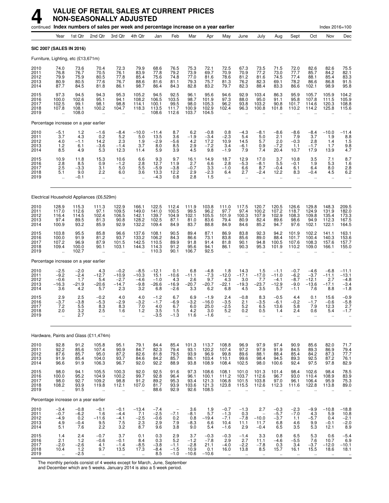|                                      |                                                            |                                           | continued Index numbers of sales per week and percentage increase on a year earlier |                                                        |                                               |                                             |                                            |                                            |                                            |                                                       |                                                      |                                                              |                                               |                                                      |                                               | Index 2016=100                                         |                                                  |
|--------------------------------------|------------------------------------------------------------|-------------------------------------------|-------------------------------------------------------------------------------------|--------------------------------------------------------|-----------------------------------------------|---------------------------------------------|--------------------------------------------|--------------------------------------------|--------------------------------------------|-------------------------------------------------------|------------------------------------------------------|--------------------------------------------------------------|-----------------------------------------------|------------------------------------------------------|-----------------------------------------------|--------------------------------------------------------|--------------------------------------------------|
|                                      | Year                                                       | 1st Qtr                                   | 2nd Qtr                                                                             | 3rd Otr                                                | 4th Qtr                                       | Jan                                         | Feb                                        | Mar                                        | Apr                                        | May                                                   | June                                                 | July                                                         | Aug                                           | Sept                                                 | Oct                                           | Nov                                                    | Dec                                              |
|                                      | SIC 2007 (SALES IN 2016)                                   |                                           |                                                                                     |                                                        |                                               |                                             |                                            |                                            |                                            |                                                       |                                                      |                                                              |                                               |                                                      |                                               |                                                        |                                                  |
|                                      |                                                            | Furniture, Lighting, etc (£13,671m)       |                                                                                     |                                                        |                                               |                                             |                                            |                                            |                                            |                                                       |                                                      |                                                              |                                               |                                                      |                                               |                                                        |                                                  |
| 2010<br>2011<br>2012<br>2013<br>2014 | 74.0<br>76.8<br>79.9<br>80.9<br>87.7                       | 73.6<br>76.7<br>75.9<br>80.5<br>84.5      | 70.4<br>70.5<br>80.5<br>77.6<br>81.8                                                | 72.3<br>76.1<br>77.8<br>76.7<br>86.1                   | 79.9<br>83.9<br>85.4<br>88.6<br>98.7          | 68.6<br>77.8<br>75.6<br>81.6<br>86.4        | 76.5<br>79.2<br>74.8<br>81.1<br>84.3       | 75.3<br>73.9<br>77.0<br>79.3<br>82.8       | 72.1<br>69.7<br>81.6<br>75.7<br>83.2       | 72.5<br>70.9<br>78.6<br>81.3<br>79.7                  | 67.3<br>70.9<br>81.2<br>76.2<br>82.3                 | 73.5<br>77.2<br>81.6<br>82.3<br>88.4                         | 71.5<br>73.0<br>74.5<br>69.1<br>83.3          | 72.0<br>77.7<br>77.4<br>78.2<br>86.6                 | 82.6<br>85.7<br>88.1<br>86.6<br>102.1         | 82.6<br>84.2<br>85.4<br>86.8<br>98.9                   | 75.5<br>82.1<br>83.3<br>91.5<br>95.8             |
| 2015<br>2016<br>2017<br>2018<br>2019 | 97.3<br>100.0<br>102.5<br>107.8                            | 94.5<br>102.6<br>99.1<br>108.1<br>108.0   | 94.3<br>95.1<br>98.1<br>100.2                                                       | 95.3<br>94.1<br>98.8<br>104.7<br>$\ddotsc$             | 105.2<br>108.2<br>114.1<br>118.3              | 94.5<br>106.5<br>100.1<br>113.5<br>108.6    | 92.5<br>103.5<br>99.5<br>111.7<br>112.6    | 96.1<br>98.7<br>98.0<br>100.9<br>103.7     | 95.6<br>101.9<br>105.3<br>102.9<br>104.5   | 94.6<br>97.3<br>96.2<br>102.4<br>$\ddot{\phantom{a}}$ | 92.9<br>88.0<br>93.8<br>96.3                         | 103.4<br>95.0<br>103.2<br>100.8                              | 86.3<br>91.1<br>90.8<br>101.8                 | 95.9<br>95.8<br>101.7<br>110.2                       | 105.7<br>107.8<br>114.6<br>114.2              | 105.9<br>111.5<br>120.3<br>125.8                       | 104.2<br>105.9<br>108.8<br>115.6                 |
|                                      |                                                            | Percentage increase on a year earlier     |                                                                                     |                                                        |                                               |                                             |                                            |                                            |                                            |                                                       |                                                      |                                                              |                                               |                                                      |                                               |                                                        |                                                  |
| 2010<br>2011<br>2012<br>2013<br>2014 | $-5.1$<br>3.7<br>4.0<br>1.2<br>8.5                         | $\frac{1.2}{4.3}$<br>$-1.1$<br>6.1<br>4.9 | $-1.6$<br>0.2<br>14.2<br>$-3.6$<br>5.3                                              | -8.4<br>5.2<br>2.3<br>$-1.4$<br>12.3                   | $-10.0$<br>5.0<br>1.9<br>3.7<br>11.4          | $-11.4$<br>13.5<br>$-2.9$<br>8.0<br>5.9     | 8.7<br>3.6<br>$-5.6$<br>8.5<br>3.9         | 6.2<br>$-1.9$<br>4.2<br>2.9<br>4.5         | $-0.8$<br>$-3.4$<br>17.2<br>$-7.2$<br>9.8  | 0.8<br>$-2.3$<br>10.9<br>3.4<br>$-1.9$                | $-4.3$<br>5.4<br>14.5<br>$-6.1$<br>7.9               | $-8.1$<br>5.0<br>5.7<br>0.9<br>7.4                           | $-8.6$<br>2.1<br>2.0<br>$-7.2$<br>20.4        | $-8.6$<br>7.9<br>$-0.3$<br>1.1<br>10.7               | -8.4<br>3.7<br>2.8<br>$-1.7$<br>17.9          | $-10.0$<br>1.9<br>1.4<br>1.7<br>13.9                   | $-11.4$<br>$8.8$<br>1.5<br>$\frac{9.8}{4.7}$     |
| 2015<br>2016<br>2017<br>2018<br>2019 | 10.9<br>2.8<br>2.5<br>5.1<br>$\ddot{\phantom{a}}$          | 11.8<br>8.5<br>$-3.3$<br>9.0<br>$-0.1$    | 15.3<br>0.9<br>3.1<br>2.2<br>$\ddot{\phantom{a}}$                                   | 10.6<br>$-1.2$<br>5.0<br>6.0<br>$\ddotsc$              | 6.6<br>2.8<br>5.5<br>3.6                      | 9.3<br>12.7<br>$-5.9$<br>13.3<br>$-4.3$     | 9.7<br>11.9<br>$-3.8$<br>12.2<br>0.8       | 16.1<br>2.7<br>$-0.7$<br>2.9<br>2.8        | 14.9<br>6.6<br>3.3<br>$-2.3$<br>1.5        | 18.7<br>2.8<br>$-1.0$<br>6.4<br>$\ddot{\phantom{a}}$  | 12.9<br>$-5.3$<br>6.6<br>2.7<br>$\ddot{\phantom{a}}$ | 17.0<br>$-8.1$<br>8.7<br>$-2.4$                              | 3.7<br>5.5<br>$-0.4$<br>12.2<br>$\mathbf{a}$  | 10.8<br>$-0.1$<br>6.1<br>8.3<br>$\ddot{\phantom{a}}$ | $\frac{3.5}{1.9}$<br>6.4<br>$-0.4$            | 7.1<br>5.3<br>8.0<br>4.5<br>$\ddotsc$                  | $8.7$<br>1.6<br>2.8<br>6.2                       |
|                                      |                                                            |                                           | Electrical Household Appliances (£6,529m)                                           |                                                        |                                               |                                             |                                            |                                            |                                            |                                                       |                                                      |                                                              |                                               |                                                      |                                               |                                                        |                                                  |
| 2010<br>2011<br>2012<br>2013<br>2014 | 128.9<br>117.0<br>116.4<br>97.4<br>100.9                   | 115.3<br>112.6<br>114.5<br>89.5<br>93.2   | 111.3<br>97.1<br>102.4<br>81.3<br>85.9                                              | 122.9<br>109.5<br>106.5<br>90.8<br>92.9                | 166.1<br>149.0<br>142.1<br>128.2<br>132.2     | 122.5<br>141.0<br>139.7<br>102.5<br>109.4   | 112.4<br>100.5<br>104.9<br>87.1<br>84.9    | 111.9<br>99.5<br>102.1<br>81.0<br>83.7     | 103.8<br>96.2<br>105.5<br>83.6<br>88.8     | 111.0<br>97.7<br>101.9<br>79.4<br>84.9                | 117.5<br>97.4<br>100.3<br>80.9<br>84.6               | 120.7<br>100.2<br>107.9<br>82.4<br>85.2                      | 120.5<br>107.2<br>102.9<br>89.6<br>94.7       | 126.6<br>118.7<br>108.3<br>98.6<br>97.6              | 129.8<br>124.9<br>109.8<br>94.9<br>102.1      | 148.3<br>131.9<br>135.4<br>112.3<br>122.1              | 209.5<br>182.0<br>173.3<br>167.5<br>164.5        |
| 2015<br>2016<br>2017<br>2018<br>2019 | 103.8<br>100.0<br>107.2<br>109.4                           | 95.5<br>91.9<br>96.9<br>100.0<br>102.7    | 85.8<br>81.2<br>87.9<br>90.1                                                        | 96.6<br>93.7<br>101.5<br>103.1<br>$\ddot{\phantom{a}}$ | 137.6<br>133.2<br>142.5<br>144.3              | 108.1<br>106.2<br>110.5<br>114.3<br>110.3   | 90.5<br>84.3<br>89.9<br>91.2<br>90.1       | 89.4<br>86.6<br>91.8<br>95.6<br>106.7      | 87.1<br>73.1<br>91.4<br>94.1<br>92.5       | 86.9<br>83.8<br>81.8<br>86.1                          | 83.8<br>85.6<br>90.1<br>90.3                         | 92.3<br>89.0<br>94.8<br>95.3                                 | 94.2<br>88.4<br>100.5<br>101.9                | 101.9<br>101.7<br>107.6<br>110.2                     | 102.2<br>100.4<br>108.3<br>109.0              | 141.1<br>140.3<br>157.6<br>166.1                       | 163.1<br>153.6<br>157.7<br>155.0                 |
|                                      |                                                            | Percentage increase on a year earlier     |                                                                                     |                                                        |                                               |                                             |                                            |                                            |                                            |                                                       |                                                      |                                                              |                                               |                                                      |                                               |                                                        |                                                  |
| 2010<br>2011<br>2012<br>2013<br>2014 | $-2.5$<br>$-9.2$<br>$-0.6$<br>$-16.3$<br>3.6               | $-2.0$<br>$-2.4$<br>1.7<br>$-21.9$<br>4.2 | 4.3<br>$-12.7$<br>5.4<br>$-20.6$<br>5.7                                             | $-0.2$<br>$-10.9$<br>$-2.7$<br>$-14.7$<br>2.3          | $-8.5$<br>$-10.3$<br>$-4.6$<br>$-9.8$<br>3.2  | $-12.1$<br>15.1<br>$-1.0$<br>$-26.6$<br>6.8 | 0.1<br>$-10.6$<br>4.3<br>$-16.9$<br>$-2.6$ | 6.8<br>$-11.1$<br>2.6<br>$-20.7$<br>3.3    | $-4.8$<br>$-7.3$<br>9.7<br>$-20.7$<br>6.2  | 1.8<br>$-12.0$<br>4.3<br>$-22.1$<br>6.8               | 14.3<br>$-17.1$<br>3.0<br>$-19.3$<br>4.5             | 1.5<br>$-17.0$<br>7.7<br>$-23.7$<br>3.5                      | $-1.1$<br>$-11.0$<br>$-4.1$<br>$-12.9$<br>5.7 | $-0.7$<br>$-6.2$<br>$-8.7$<br>$-9.0$<br>$-1.1$       | $-4.6$<br>$-3.7$<br>$-12.1$<br>$-13.6$<br>7.6 | $-6.8$<br>$-11.1$<br>2.7<br>$-17.1$<br>8.8             | $-11.1$<br>$-13.1$<br>$-4.8$<br>$-3.4$<br>$-1.8$ |
| 2015<br>2016<br>2017<br>2018<br>2019 | 2.9<br>-3.7<br>7.2<br>2.0                                  | 2.5<br>$-3.8$<br>5.5<br>3.2<br>2.7        | $-0.2$<br>$-5.3$<br>8.3<br>2.5                                                      | 4.0<br>$-2.9$<br>8.3<br>1.6<br>                        | 4.0<br>$-3.2$<br>7.0<br>1.2                   | $-1.2$<br>$-1.7$<br>4.0<br>3.5<br>$-3.5$    | 6.7<br>$-6.9$<br>6.7<br>1.5<br>$-1.3$      | 6.9<br>$-3.2$<br>6.0<br>4.2<br>11.6        | $-1.9$<br>$-16.0$<br>25.0<br>3.0<br>$-1.6$ | 2.4<br>$-3.5$<br>$-2.5$<br>5.2                        | $-0.8$<br>2.1<br>5.2<br>U.2<br>ä.                    | 8.3<br>$-3.5$<br>6.5<br>U.5                                  | $-0.5$<br>$-6.1$<br>13.6<br>1.4<br>$\ddotsc$  | 4.4<br>$-0.2$<br>5.8<br>2.4<br>$\ddotsc$             | 0.1<br>$-1.7$<br>7.9<br>V.b<br>$\ddotsc$      | 15.6<br>-0.6<br>12.3<br>5.4                            | $-0.9$<br>$-5.8$<br>2.7                          |
|                                      |                                                            |                                           | Hardware, Paints and Glass (£11,474m)                                               |                                                        |                                               |                                             |                                            |                                            |                                            |                                                       |                                                      |                                                              |                                               |                                                      |                                               |                                                        |                                                  |
| 2010<br>2011<br>2012<br>2013<br>2014 | 92.8<br>92.2<br>87.6<br>91.9<br>96.6                       | 91.2<br>85.6<br>85.7<br>85.4<br>91.9      | 105.8<br>107.4<br>95.0<br>104.0<br>106.3                                            | 95.1<br>90.9<br>87.2<br>93.7<br>96.7                   | 79.1<br>84.7<br>82.6<br>84.6<br>92.0          | 84.4<br>82.3<br>81.8<br>84.2<br>92.2        | 85.4<br>79.4<br>79.5<br>85.7<br>88.9       | 101.3<br>93.1<br>93.9<br>86.1<br>93.8      | 113.7<br>120.2<br>96.9<br>103.4<br>108.9   | 108.8<br>107.4<br>99.8<br>110.1<br>108.4              | 96.9<br>97.2<br>89.6<br>99.6<br>102.5                | 97.9<br>97.9<br>88.1<br>98.4<br>98.0                         | 97.4<br>91.9<br>88.4<br>94.5<br>100.6         | 90.9<br>84.5<br>85.4<br>89.3<br>92.4                 | 85.6<br>89.3<br>84.2<br>92.5<br>97.5          | 82.0<br>86.9<br>87.3<br>87.2<br>97.8                   | 71.7<br>79.4<br>77.7<br>76.1<br>82.9             |
| 2015<br>2016<br>2017<br>2018<br>2019 | 98.0<br>100.0<br>98.0<br>108.2<br>$\ddot{\phantom{a}}$     | 94.1<br>95.2<br>92.7<br>93.9<br>91.5      | 105.5<br>104.9<br>109.2<br>119.8<br>$\ddotsc$                                       | 100.3<br>100.2<br>98.8<br>112.1<br>                    | 92.0<br>99.7<br>91.2<br>107.0                 | 92.5<br>92.8<br>89.2<br>81.7<br>88.6        | 91.6<br>96.4<br>95.3<br>93.9<br>92.9       | 97.3<br>96.1<br>93.4<br>103.6<br>92.6      | 108.6<br>100.1<br>121.3<br>121.3<br>108.5  | 108.1<br>111.2<br>106.8<br>123.8                      | 101.0<br>103.7<br>101.5<br>115.5                     | 101.3<br>112.6<br>103.8<br>112.6                             | 101.4<br>96.7<br>97.0<br>112.3                | 98.4<br>93.0<br>96.1<br>111.6                        | 102.6<br>110.4<br>106.4<br>122.8              | 98.4<br>108.9<br>95.9<br>113.8                         | 78.5<br>83.9<br>75.3<br>89.0<br>$\cdot$          |
|                                      |                                                            | Percentage increase on a year earlier     |                                                                                     |                                                        |                                               |                                             |                                            |                                            |                                            |                                                       |                                                      |                                                              |                                               |                                                      |                                               |                                                        |                                                  |
| 2010<br>2011<br>2012<br>2013<br>2014 | $-3.4$<br>$-0.7$<br>$-4.9$<br>4.9<br>5.1                   | $-0.8$<br>$-6.2$<br>0.2<br>$-0.4$<br>7.6  | $-0.1$<br>1.6<br>$-11.6$<br>9.5<br>2.2                                              | $-0.1$<br>$-4.4$<br>-4.1<br>7.5<br>3.2                 | $-13.4$<br>7.1<br>$-2.5$<br>$\frac{2.3}{8.7}$ | $-7.4$<br>$-2.5$<br>$-0.6$<br>2.9<br>9.6    | $-7.1$<br>0.2<br>7.9<br>3.8                | 3.6<br>$-8.1$<br>0.8<br>$-8.3$<br>9.0      | 1.9<br>5.7<br>$-19.4$<br>6.6<br>5.4        | $-0.7$<br>$-1.3$<br>$-7.1$<br>10.4<br>$-1.6$          | $-1.3$<br>0.3<br>$-7.8$<br>11.1<br>2.9               | 2.7<br>$\overline{\phantom{a}}$<br>$-10.0$<br>11.7<br>$-0.4$ | $-0.3$<br>$-5.7$<br>$-3.7$<br>6.8<br>6.5      | $-2.3$<br>$-7.0$<br>1.1<br>4.6<br>3.5                | $-9.9$<br>4.3<br>$-5.7$<br>9.9<br>5.3         | $-10.8$<br>5.9<br>0.4<br>$-0.1$<br>12.1                | $-18.8$<br>10.8<br>$-2.1$<br>$-2.0$<br>8.9       |
| 2015<br>2016<br>2017<br>2018<br>2019 | 1.4<br>2.1<br>$-2.0$<br>10.4<br>$\mathcal{L}_{\mathbf{r}}$ | 2.4<br>1.2<br>$-2.6$<br>1.2<br>$-2.5$     | $-0.7$<br>$-0.6$<br>4.1<br>9.7<br>$\sim$                                            | 3.7<br>$-0.1$<br>$-1.4$<br>13.5<br>$\ldots$            | 0.1<br>8.4<br>$-8.5$<br>17.3                  | 0.3<br>0.3<br>$-3.8$<br>$-8.4$<br>8.5       | 2.9<br>5.2<br>$-1.1$<br>$-1.5$<br>$-1.0$   | 3.7<br>$-1.2$<br>$-2.8$<br>10.9<br>$-10.6$ | $-0.3$<br>$-7.8$<br>21.1<br>0.1<br>$-10.6$ | $-0.3$<br>2.9<br>$-4.0$<br>16.0<br>$\mathbf{r}$ .     | $-1.4$<br>2.7<br>$-2.2$<br>13.8<br>$\ddotsc$         | 3.3<br>11.1<br>$-7.8$<br>8.5<br>$\ldots$                     | 0.8<br>$-4.6$<br>0.3<br>15.7<br>$\ldots$      | 6.5<br>$-5.5$<br>3.4<br>16.1<br>$\ddotsc$            | 5.3<br>7.6<br>$-3.7$<br>15.5<br>$\ddotsc$     | 0.6<br>10.7<br>$-12.0$<br>18.6<br>$\ddot{\phantom{1}}$ | $-5.4$<br>6.9<br>$-10.1$<br>18.1                 |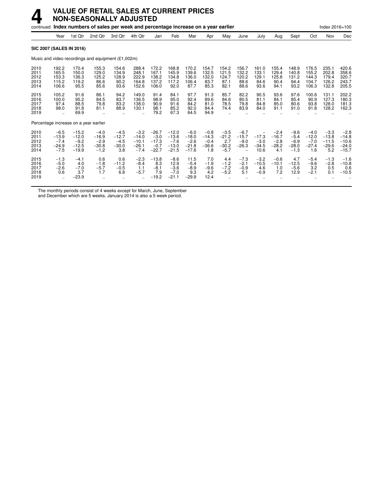|                                      |                                                  |                                                    | continued Index numbers of sales per week and percentage increase on a year earlier |                                               |                                                   |                                                   |                                                    |                                                   |                                               |                                               |                                         |                                         |                                               |                                                 |                                               | Index 2016=100                                 |                                                    |
|--------------------------------------|--------------------------------------------------|----------------------------------------------------|-------------------------------------------------------------------------------------|-----------------------------------------------|---------------------------------------------------|---------------------------------------------------|----------------------------------------------------|---------------------------------------------------|-----------------------------------------------|-----------------------------------------------|-----------------------------------------|-----------------------------------------|-----------------------------------------------|-------------------------------------------------|-----------------------------------------------|------------------------------------------------|----------------------------------------------------|
|                                      | Year                                             | 1st Qtr                                            | 2nd Qtr                                                                             | 3rd Qtr                                       | 4th Qtr                                           | Jan                                               | Feb                                                | Mar                                               | Apr                                           | May                                           | June                                    | July                                    | Aug                                           | Sept                                            | Oct                                           | Nov                                            | Dec                                                |
|                                      | <b>SIC 2007 (SALES IN 2016)</b>                  |                                                    |                                                                                     |                                               |                                                   |                                                   |                                                    |                                                   |                                               |                                               |                                         |                                         |                                               |                                                 |                                               |                                                |                                                    |
|                                      |                                                  |                                                    | Music and video recordings and equipment (£1,002m)                                  |                                               |                                                   |                                                   |                                                    |                                                   |                                               |                                               |                                         |                                         |                                               |                                                 |                                               |                                                |                                                    |
| 2010<br>2011<br>2012<br>2013<br>2014 | 192.2<br>165.5<br>153.3<br>115.2<br>106.6        | 170.4<br>150.0<br>136.3<br>119.2<br>95.5           | 155.3<br>129.0<br>125.2<br>86.6<br>85.6                                             | 154.6<br>134.9<br>128.9<br>90.2<br>93.6       | 288.4<br>248.1<br>222.9<br>164.8<br>152.6         | 172.2<br>167.1<br>138.2<br>137.2<br>106.0         | 168.8<br>145.9<br>134.8<br>117.2<br>92.0           | 170.2<br>139.6<br>136.0<br>106.4<br>87.7          | 154.7<br>132.5<br>132.0<br>83.7<br>85.3       | 154.2<br>121.5<br>124.7<br>87.1<br>82.1       | 156.7<br>132.2<br>120.2<br>88.6<br>88.6 | 161.0<br>133.1<br>129.1<br>84.6<br>93.6 | 155.4<br>129.4<br>125.8<br>90.4<br>94.1       | 148.9<br>140.8<br>131.2<br>94.4<br>93.2         | 176.5<br>155.2<br>144.3<br>104.7<br>106.3     | 235.1<br>202.8<br>179.4<br>126.2<br>132.8      | 420.6<br>358.6<br>320.7<br>243.7<br>205.5          |
| 2015<br>2016<br>2017<br>2018<br>2019 | 105.2<br>100.0<br>97.4<br>98.0<br>$\ddotsc$      | 91.6<br>95.2<br>88.5<br>91.8<br>69.9               | 86.1<br>84.5<br>79.8<br>81.1                                                        | 94.2<br>83.7<br>83.2<br>88.9                  | 149.0<br>136.5<br>138.0<br>130.1<br>$\ddotsc$     | 91.4<br>98.9<br>90.9<br>98.1<br>79.2              | 84.1<br>95.0<br>91.6<br>85.2<br>67.3               | 97.7<br>92.4<br>84.2<br>92.0<br>64.5              | 91.3<br>89.6<br>81.0<br>84.4<br>94.9          | 85.7<br>84.6<br>78.5<br>74.4                  | 82.2<br>80.5<br>79.8<br>83.9            | 90.5<br>81.1<br>84.8<br>84.0            | 93.6<br>84.1<br>85.0<br>91.1                  | 97.6<br>85.4<br>80.6<br>91.0                    | 100.6<br>90.9<br>93.8<br>91.8                 | 131.1<br>127.3<br>128.0<br>128.2               | 202.2<br>180.3<br>181.3<br>162.3                   |
|                                      | Percentage increase on a year earlier            |                                                    |                                                                                     |                                               |                                                   |                                                   |                                                    |                                                   |                                               |                                               |                                         |                                         |                                               |                                                 |                                               |                                                |                                                    |
| 2010<br>2011<br>2012<br>2013<br>2014 | $-6.5$<br>$-13.9$<br>$-7.4$<br>$-24.9$<br>$-7.5$ | $-15.2$<br>$-12.0$<br>$-9.2$<br>$-12.5$<br>$-19.9$ | $-4.0$<br>$-16.9$<br>$-2.9$<br>$-30.8$<br>$-1.2$                                    | $-4.5$<br>$-12.7$<br>$-4.5$<br>$-30.0$<br>3.8 | $-3.2$<br>$-14.0$<br>$-10.1$<br>$-26.1$<br>$-7.4$ | $-26.7$<br>$-3.0$<br>$-17.3$<br>$-0.7$<br>$-22.7$ | $-12.0$<br>$-13.6$<br>$-7.6$<br>$-13.0$<br>$-21.5$ | $-6.0$<br>$-18.0$<br>$-2.6$<br>$-21.8$<br>$-17.6$ | $-0.8$<br>$-14.3$<br>$-0.4$<br>$-36.6$<br>1.8 | $-3.5$<br>$-21.2$<br>2.7<br>$-30.2$<br>$-5.7$ | $-6.7$<br>$-15.7$<br>$-9.0$<br>$-26.3$  | $-17.3$<br>$-3.0$<br>$-34.5$<br>10.6    | $-2.4$<br>$-16.7$<br>$-2.8$<br>$-28.2$<br>4.1 | $-9.6$<br>$-5.4$<br>$-6.9$<br>$-28.0$<br>$-1.3$ | $-4.0$<br>$-12.0$<br>$-7.0$<br>$-27.4$<br>1.6 | $-3.3$<br>$-13.8$<br>$-11.5$<br>$-29.6$<br>5.2 | $-2.8$<br>$-14.8$<br>$-10.6$<br>$-24.0$<br>$-15.7$ |
| 2015<br>2016<br>2017<br>2018<br>2019 | $-1.3$<br>$-5.0$<br>$-2.6$<br>0.6<br>$\ddotsc$   | $-4.1$<br>4.0<br>$-7.0$<br>3.7<br>$-23.9$          | 0.6<br>$-1.8$<br>$-5.7$<br>1.7                                                      | 0.6<br>$-11.2$<br>$-0.5$<br>6.8               | $-2.3$<br>$-8.4$<br>1.1<br>$-5.7$                 | $-13.8$<br>8.3<br>$-8.1$<br>7.9<br>$-19.2$        | $-8.6$<br>12.9<br>$-3.6$<br>$-7.0$<br>$-21.1$      | 11.5<br>$-5.4$<br>$-8.9$<br>9.3<br>$-29.9$        | 7.0<br>$-1.9$<br>$-9.6$<br>4.2<br>12.4        | 4.4<br>$-1.2$<br>$-7.2$<br>$-5.2$             | $-7.3$<br>$-2.1$<br>$-0.9$<br>5.1       | $-3.2$<br>$-10.5$<br>4.6<br>$-0.9$      | $-0.6$<br>$-10.1$<br>1.0<br>7.2               | 4.7<br>$-12.5$<br>$-5.6$<br>12.9                | $-5.4$<br>$-9.6$<br>3.2<br>$-2.1$             | $-1.3$<br>$-2.8$<br>0.5<br>0.1                 | $-1.6$<br>$-10.8$<br>0.6<br>$-10.5$                |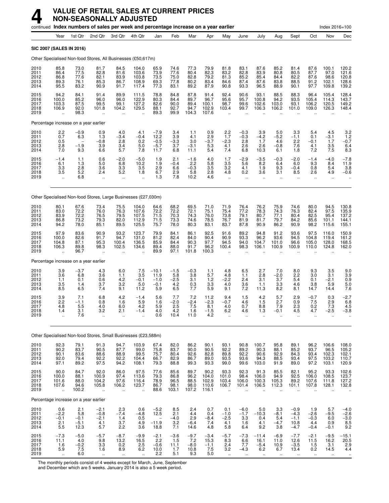|                                      |                                                             |                                               |                                                     | continued Index numbers of sales per week and percentage increase on a year earlier |                                                                   |                                              |                                           |                                        |                                          |                                                         |                                                        |                                                          |                                                        |                                                       |                                                         | Index 2016=100                                        |                                                                             |
|--------------------------------------|-------------------------------------------------------------|-----------------------------------------------|-----------------------------------------------------|-------------------------------------------------------------------------------------|-------------------------------------------------------------------|----------------------------------------------|-------------------------------------------|----------------------------------------|------------------------------------------|---------------------------------------------------------|--------------------------------------------------------|----------------------------------------------------------|--------------------------------------------------------|-------------------------------------------------------|---------------------------------------------------------|-------------------------------------------------------|-----------------------------------------------------------------------------|
|                                      | Year                                                        | 1st Qtr                                       | 2nd Qtr                                             | 3rd Otr                                                                             | 4th Qtr                                                           | Jan                                          | Feb                                       | Mar                                    | Apr                                      | May                                                     | June                                                   | July                                                     | Aug                                                    | Sept                                                  | Oct                                                     | Nov                                                   | Dec                                                                         |
|                                      |                                                             | <b>SIC 2007 (SALES IN 2016)</b>               |                                                     |                                                                                     |                                                                   |                                              |                                           |                                        |                                          |                                                         |                                                        |                                                          |                                                        |                                                       |                                                         |                                                       |                                                                             |
|                                      |                                                             |                                               |                                                     | Other Specialised Non-food Stores, All Businesses (£50,617m)                        |                                                                   |                                              |                                           |                                        |                                          |                                                         |                                                        |                                                          |                                                        |                                                       |                                                         |                                                       |                                                                             |
| 2010<br>2011<br>2012<br>2013<br>2014 | 85.8<br>86.4<br>86.8<br>89.3<br>95.5                        | 73.0<br>77.5<br>77.6<br>76.1<br>83.2          | 81.7<br>82.8<br>82.1<br>85.3<br>90.9                | 84.5<br>81.6<br>83.9<br>86.7<br>91.7                                                | 104.0<br>103.6<br>103.8<br>108.9<br>117.4                         | 65.9<br>73.9<br>73.5<br>69.3<br>77.3         | 74.6<br>77.6<br>75.0<br>77.8<br>83.1      | 77.3<br>80.4<br>82.8<br>80.2<br>89.2   | 79.9<br>82.3<br>79.2<br>83.4<br>87.9     | 81.8<br>83.2<br>81.3<br>84.6<br>90.8                    | 83.1<br>82.8<br>85.2<br>87.4<br>93.3                   | 87.6<br>83.9<br>85.4<br>87.6<br>96.5                     | 85.2<br>80.8<br>84.4<br>83.8<br>88.9                   | 81.4<br>80.5<br>82.2<br>88.5<br>90.1                  | 87.6<br>87.7<br>87.6<br>91.2<br>97.7                    | 100.1<br>97.0<br>98.6<br>102.1<br>109.8               | 120.2<br>121.6<br>120.8<br>128.6<br>139.2                                   |
| 2015<br>2016<br>2017<br>2018<br>2019 | 94.2<br>100.0<br>103.3<br>106.9                             | 84.1<br>85.2<br>87.5<br>92.0<br>98.3          | 91.4<br>96.0<br>99.5<br>101.8                       | 89.9<br>96.0<br>99.1<br>104.2                                                       | 111.5<br>122.9<br>127.2<br>129.5                                  | 78.8<br>80.3<br>82.6<br>88.1<br>89.3         | 84.8<br>84.4<br>90.0<br>92.7<br>99.9      | 87.8<br>89.7<br>89.4<br>94.7<br>104.3  | 91.4<br>96.7<br>100.1<br>102.9<br>107.6  | 92.4<br>95.6<br>98.7<br>103.4<br>$\mathbf{r}$           | 90.6<br>95.7<br>99.6<br>99.7                           | 93.1<br>100.8<br>102.6<br>106.3                          | 88.5<br>94.2<br>103.0<br>106.2                         | 88.3<br>93.5<br>93.1<br>101.0                         | 96.4<br>105.4<br>106.2<br>109.0                         | 105.4<br>114.3<br>120.5<br>126.3                      | 128.4<br>143.7<br>149.2<br>148.4                                            |
|                                      |                                                             | Percentage increase on a year earlier         |                                                     |                                                                                     |                                                                   |                                              |                                           |                                        |                                          |                                                         |                                                        |                                                          |                                                        |                                                       |                                                         |                                                       |                                                                             |
| 2010<br>2011<br>2012<br>2013<br>2014 | $^{2.2}_{0.7}$<br>0.5<br>2.8<br>7.0                         | $-0.9$<br>6.3<br>$-1.9$<br>9.3                | 0.9<br>1.3<br>$-0.8$<br>3.9<br>6.6                  | 4.0<br>$-3.4$<br>2.8<br>3.4<br>5.7                                                  | 4.1<br>$-0.4$<br>0.2<br>5.0<br>7.8                                | $-7.9$<br>12.2<br>$-0.5$<br>$-5.7$<br>11.7   | $\frac{3.4}{3.9}$<br>$-3.3$<br>3.7<br>6.8 | 1.1<br>4.1<br>3.0<br>$-3.1$<br>11.1    | $0.9$<br>$2.9$<br>$-3.7$<br>5.3<br>5.4   | $2.2$<br>1.7<br>$-2.3$<br>4.1<br>7.4                    | $-0.3$<br>$-0.3$<br>2.8<br>2.6<br>6.8                  | $3.9 - 4.2$<br>1.7<br>2.6<br>10.3                        | 5.0<br>$-5.2$<br>4.6<br>$-0.8$<br>6.1                  | 3.3<br>$-1.1$<br>2.2<br>7.6<br>1.8                    | 5.4<br>0.1<br>$-0.1$<br>4.1<br>7.2                      | 4.5<br>$-3.1$<br>1.7<br>3.5<br>7.5                    | $3.2$<br>$1.2$<br>$-0.7$<br>$6.4 \ 8.3$                                     |
| 2015<br>2016<br>2017<br>2018<br>2019 | $-1.4$<br>6.1<br>3.3<br>3.5<br>$\ddot{\phantom{a}}$         | 1.1<br>1.3<br>2.8<br>5.2<br>6.8               | 0.6<br>5.0<br>3.6<br>2.4                            | $^{-2.0}_{6.8}$<br>3.3<br>5.2<br>$\ddotsc$                                          | $-5.0$<br>10.2<br>3.5<br>1.8<br>$\ddot{\phantom{a}}$              | 1.9<br>1.9<br>2.9<br>6.7<br>1.3              | 2.1<br>$-0.4$<br>6.6<br>2.9<br>7.8        | $-1.6$<br>2.2<br>$-0.3$<br>5.8<br>10.2 | 4.0<br>5.8<br>3.5<br>2.8<br>4.6          | 1.7<br>3.5<br>3.2<br>4.8<br>$\ddot{\phantom{a}}$        | $-2.9$<br>5.6<br>4.1<br>0.2<br>$\ddot{\phantom{a}}$    | $-3.5$<br>8.2<br>1.9<br>3.6<br>$\ddot{\phantom{a}}$      | $-0.3$<br>6.4<br>9.3<br>3.1<br>$\ddot{\phantom{a}}$    | $-2.0$<br>6.0<br>$-0.4$<br>8.5                        | $-1.4$<br>9.3<br>0.8<br>2.6                             | $-4.0$<br>8.4<br>5.4<br>4.9                           | $-7.8$<br>11.9<br>3.8<br>$-0.6$                                             |
|                                      |                                                             |                                               |                                                     | Other Specialised Non-food Stores, Large Businesses (£27,030m)                      |                                                                   |                                              |                                           |                                        |                                          |                                                         |                                                        |                                                          |                                                        |                                                       |                                                         |                                                       |                                                                             |
| 2010<br>2011<br>2012<br>2013<br>2014 | 80.1<br>83.0<br>83.9<br>86.8<br>94.2                        | 67.6<br>72.2<br>72.2<br>73.2<br>78.0          | 73.4<br>76.0<br>76.5<br>79.3<br>85.1                | 75.5<br>76.3<br>79.5<br>82.0<br>89.5                                                | 104.0<br>107.6<br>107.5<br>112.9<br>125.5                         | 64.6<br>72.2<br>71.5<br>71.5<br>75.7         | 68.2<br>72.2<br>70.3<br>73.3<br>78.0      | 69.5<br>72.1<br>74.3<br>74.6<br>80.3   | 71.0<br>75.1<br>76.0<br>78.5<br>83.1     | 71.9<br>75.4<br>73.8<br>76.7<br>83.7                    | 76.4<br>77.2<br>79.1<br>81.9<br>87.8                   | 76.2<br>78.3<br>80.7<br>81.7<br>90.9                     | 75.9<br>74.3<br>77.1<br>79.7<br>86.2                   | 74.6<br>76.3<br>80.4<br>84.2<br>90.9                  | 80.0<br>82.4<br>82.5<br>85.6<br>98.2                    | 94.5<br>97.5<br>95.4<br>101.1<br>115.6                | 130.8<br>135.9<br>137.2<br>144.1<br>155.1                                   |
| 2015<br>2016<br>2017<br>2018<br>2019 | 97.9<br>100.0<br>104.8<br>106.3                             | 83.6<br>82.6<br>87.1<br>89.8<br>96.7          | 90.9<br>91.7<br>95.3<br>98.3                        | 93.2<br>94.7<br>100.4<br>102.5                                                      | 123.7<br>131.0<br>136.5<br>134.6                                  | 79.9<br>81.2<br>85.9<br>89.4<br>89.9         | 84.1<br>82.4<br>84.4<br>88.0<br>97.1      | 86.1<br>84.0<br>90.3<br>91.7<br>101.8  | 92.5<br>90.4<br>97.7<br>96.2<br>100.3    | 91.6<br>90.9<br>94.5<br>100.4                           | 89.2<br>93.3<br>94.0<br>98.3                           | 94.8<br>96.2<br>104.7<br>106.1                           | 91.2<br>93.6<br>101.0<br>100.9                         | 93.6<br>94.5<br>96.6<br>100.9                         | 97.5<br>104.8<br>105.0<br>110.0                         | 116.0<br>119.4<br>128.0<br>124.8                      | 150.9<br>161.2<br>168.5<br>162.0                                            |
|                                      |                                                             | Percentage increase on a year earlier         |                                                     |                                                                                     |                                                                   |                                              |                                           |                                        |                                          |                                                         |                                                        |                                                          |                                                        |                                                       |                                                         |                                                       |                                                                             |
| 2010<br>2011<br>2012<br>2013<br>2014 | 3.9<br>3.6<br>1.1<br>3.5<br>8.5                             | $-3.7$<br>6.8<br>0.1<br>1.4<br>6.5            | 4.3<br>3.6<br>0.6<br>3.7<br>7.4                     | 6.0<br>1.1<br>4.2<br>3.2<br>9.1                                                     | 7.5<br>3.5<br>$-0.1$<br>5.0<br>11.2                               | $-10.1$<br>11.9<br>$-1.0$<br>$-0.1$<br>5.9   | $-1.5$<br>5.8<br>$-2.5$<br>4.2<br>6.5     | $-0.3$<br>3.8<br>3.1<br>0.3<br>7.7     | 1.1<br>5.7<br>$1.2$<br>3.3<br>5.9        | 4.8<br>4.8<br>$-2.2$<br>4.0<br>9.1                      | 6.5<br>1.1<br>2.4<br>3.6<br>7.2                        | 2.7<br>2.8<br>3.1<br>1.1<br>11.3                         | 7.0<br>$-2.0$<br>3.7<br>3.3<br>8.2                     | 8.0<br>2.2<br>5.4<br>4.6<br>8.1                       | 9.3<br>3.0<br>0.1<br>3.8<br>14.7                        | 3.5<br>3.1<br>$-2.1$<br>5.9<br>14.4                   | 9.0<br>3.9<br>0.9<br>5.0<br>7.6                                             |
| 2015<br>2016<br>2017<br>2018<br>2019 | 3.9<br>2.2<br>4.8<br>1.4                                    | 7.1<br>$-1.1$<br>5.5<br>3.1<br>7.6            | 6.8<br>0.8<br>4.0<br>3.2<br>.,                      | 4.2<br>1.6<br>6.0<br>2.1<br>                                                        | $-1.4$<br>5.9<br>4.2<br>$-1.4$                                    | 5.6<br>1.6<br>5.9<br>4.0<br>0.6              | 7.7<br>$-2.0$<br>2.5<br>$^{4.2}_{10.4}$   | 7.2<br>$-2.4$<br>7.5<br>1.6<br>11.0    | 11.2<br>$-2.3$<br>8.1<br>$-1.5$<br>4.2   | 9.4<br>$-0.7$<br>4.0<br>6.2                             | 1.5<br>4.6<br>0.7<br>4.6                               | 4.2<br>1.5<br>8.8<br>1.3                                 | 5.7<br>2.7<br>7.9<br>-0.1                              | 2.9<br>0.9<br>2.3<br>4.5                              | $-0.7$<br>7.5<br>0.2<br>4.7                             | 0.3<br>2.9<br>7.3<br>-2.5                             | $-2.7$<br>6.8<br>4.5<br>-3.8                                                |
|                                      |                                                             |                                               |                                                     | Other Specialised Non-food Stores, Small Businesses (£23,588m)                      |                                                                   |                                              |                                           |                                        |                                          |                                                         |                                                        |                                                          |                                                        |                                                       |                                                         |                                                       |                                                                             |
| 2010<br>2011<br>2012<br>2013<br>2014 | 92.3<br>90.2<br>90.1<br>92.0<br>97.1                        | 79.1<br>83.7<br>83.6<br>79.4<br>89.2          | 91.3<br>90.5<br>88.6<br>92.2<br>97.5                | 94.7<br>87.7<br>88.9<br>92.2<br>94.2                                                | 103.9<br>99.0<br>99.5<br>104.4<br>108.1                           | 67.4<br>75.8<br>75.7<br>66.7<br>79.3         | 82.0<br>83.7<br>80.4<br>82.9<br>88.8      | 86.2<br>90.0<br>92.6<br>86.7<br>99.3   | 90.1<br>90.5<br>82.8<br>89.0<br>93.3     | 93.1<br>92.2<br>89.8<br>93.5<br>99.0                    | 90.8<br>89.2<br>92.2<br>93.6<br>99.6                   | 100.7<br>90.3<br>90.6<br>94.3<br>103.0                   | 95.8<br>88.1<br>92.9<br>88.5<br>91.9                   | 89.1<br>85.2<br>84.3<br>93.4<br>89.0                  | 96.2<br>93.7<br>93.4<br>97.5<br>97.2                    | 106.6<br>$96.5$<br>102.3<br>103.2<br>103.1            | $\begin{array}{c} 108.0 \\ 105.2 \\ 102.1 \\ 110.7 \\ \end{array}$<br>120.9 |
| 2015<br>2016<br>2017<br>2018<br>2019 | 90.0<br>100.0<br>101.6<br>107.6<br>ü.                       | 84.7<br>88.1<br>88.0<br>94.6<br>100.2         | 92.0<br>100.9<br>104.2<br>105.8<br>ä,               | 86.0<br>97.4<br>97.6<br>106.2<br>ä,                                                 | 97.5<br>113.6<br>116.4<br>123.7<br>÷.                             | 77.6<br>79.3<br>78.9<br>86.7<br>88.6         | 85.6<br>86.8<br>96.5<br>98.1<br>103.1     | 89.7<br>96.2<br>88.5<br>98.0<br>107.2  | 90.2<br>104.0<br>102.9<br>110.6<br>116.1 | 93.3<br>101.0<br>103.4<br>106.7<br>$\ddot{\phantom{a}}$ | 92.3<br>98.4<br>106.0<br>101.4<br>$\ddotsc$            | 91.3<br>106.0<br>100.3<br>106.5<br>$\ddot{\phantom{a}}$  | 85.5<br>94.9<br>105.3<br>112.3<br>$\ddot{\phantom{a}}$ | 82.1<br>92.5<br>89.2<br>101.1<br>$\ddot{\phantom{a}}$ | 95.2<br>106.0<br>107.6<br>107.8<br>$\ddot{\phantom{a}}$ | 93.3<br>108.5<br>111.8<br>128.1                       | 102.6<br>123.7<br>127.2<br>132.8                                            |
|                                      |                                                             | Percentage increase on a year earlier         |                                                     |                                                                                     |                                                                   |                                              |                                           |                                        |                                          |                                                         |                                                        |                                                          |                                                        |                                                       |                                                         |                                                       |                                                                             |
| 2010<br>2011<br>2012<br>2013<br>2014 | 0.6<br>$-2.2$<br>$-0.1$<br>2.1<br>5.5                       | $\frac{2.1}{5.8}$<br>$-0.1$<br>$-5.1$<br>12.3 | $-2.1$<br>$-0.8$<br>$-2.1$<br>4.1<br>5.7            | 2.3<br>$-7.4$<br>1.4<br>3.7<br>2.2                                                  | 0.6<br>$-4.8$<br>$\begin{array}{c} 0.5 \\ 4.9 \end{array}$<br>3.6 | $-5.2$<br>12.5<br>$-11.\overline{9}$<br>18.8 | 8.5<br>2.1<br>$-4.0$<br>3.2<br>7.1        | 2.4<br>4.4<br>2.9<br>$-6.4$<br>14.6    | 0.7<br>0.4<br>$-8.4$<br>7.4<br>4.8       | 0.1<br>$-1.0$<br>$-2.5$<br>4.1<br>5.8                   | $-6.0$<br>$-1.7$<br>3.3<br>1.6<br>6.4                  | 5.0<br>$-10.3$<br>0.4<br>4.1<br>9.2                      | 3.3<br>$-8.1$<br>5.4<br>$-4.7$<br>3.8                  | $-0.9$<br>$-4.3$<br>$-1.1$<br>10.8<br>$-4.7$          | 1.9<br>$-2.6$<br>$-0.3$<br>4.4<br>$-0.4$                | 5.7<br>$-9.5$<br>6.0<br>0.9<br>$-0.1$                 | $-4.0$<br>$-2.6$<br>$-3.0$<br>$8.5$<br>9.2                                  |
| 2015<br>2016<br>2017<br>2018<br>2019 | $-7.3$<br>11.1<br>$\frac{1.6}{5.9}$<br>$\ddot{\phantom{a}}$ | $-5.0$<br>4.0<br>$-0.2$<br>7.5<br>6.0         | $-5.7$<br>9.8<br>3.3<br>1.6<br>$\ddot{\phantom{1}}$ | $-8.7$<br>13.2<br>0.2<br>8.9<br>$\ddotsc$                                           | $-9.9$<br>16.5<br>$^{2.5}_{6.2}$<br>$\ddotsc$                     | $-2.1$<br>2.2<br>$-0.6$<br>10.0<br>2.2       | $-3.6$<br>1.5<br>11.1<br>1.7<br>5.1       | $-9.7$<br>7.2<br>$-8.0$<br>10.8<br>9.3 | $-3.4$<br>15.3<br>$-1.1$<br>7.5<br>5.0   | $-5.7$<br>8.3<br>$\frac{2.4}{3.2}$<br>$\ddotsc$         | $-7.3$<br>6.6<br>7.7<br>$-4.3$<br>$\ddot{\phantom{1}}$ | $-11.4$<br>16.1<br>$-5.4$<br>6.2<br>$\ddot{\phantom{1}}$ | $-6.9$<br>11.0<br>10.9<br>6.7<br>$\ddot{\phantom{1}}$  | $-7.7$<br>12.6<br>$-3.5$<br>13.4<br>$\ddotsc$         | $-2.1$<br>11.5<br>1.5<br>0.2<br>$\ddot{\phantom{1}}$    | $-9.5$<br>16.2<br>3.1<br>14.5<br>$\ddot{\phantom{1}}$ | $-15.1$<br>20.5<br>$2.9$<br>4.4<br>$\ddot{\phantom{1}}$                     |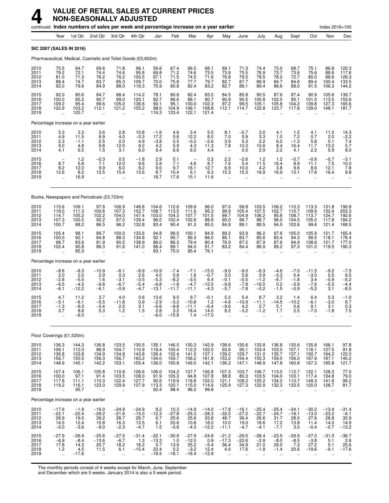|                                      |                                                    |                                              | continued Index numbers of sales per week and percentage increase on a year earlier |                                                        |                                                          |                                               |                                              |                                                 |                                               |                                                         |                                                       |                                                    |                                                      |                                                      |                                              | Index 2016=100                               |                                                     |
|--------------------------------------|----------------------------------------------------|----------------------------------------------|-------------------------------------------------------------------------------------|--------------------------------------------------------|----------------------------------------------------------|-----------------------------------------------|----------------------------------------------|-------------------------------------------------|-----------------------------------------------|---------------------------------------------------------|-------------------------------------------------------|----------------------------------------------------|------------------------------------------------------|------------------------------------------------------|----------------------------------------------|----------------------------------------------|-----------------------------------------------------|
|                                      | Year                                               | 1st Qtr                                      | 2nd Qtr                                                                             | 3rd Qtr                                                | 4th Qtr                                                  | Jan                                           | Feb                                          | Mar                                             | Apr                                           | May                                                     | June                                                  | July                                               | Aug                                                  | Sept                                                 | Oct                                          | Nov                                          | Dec                                                 |
|                                      | SIC 2007 (SALES IN 2016)                           |                                              |                                                                                     |                                                        |                                                          |                                               |                                              |                                                 |                                               |                                                         |                                                       |                                                    |                                                      |                                                      |                                              |                                              |                                                     |
|                                      |                                                    |                                              | Pharmaceutical, Medical, Cosmetic and Toilet Goods (£5,602m)                        |                                                        |                                                          |                                               |                                              |                                                 |                                               |                                                         |                                                       |                                                    |                                                      |                                                      |                                              |                                              |                                                     |
| 2010<br>2011<br>2012<br>2013<br>2014 | 75.5<br>79.2<br>81.0<br>88.4<br>92.0               | 64.7<br>72.1<br>71.3<br>74.7<br>79.6         | 69.6<br>74.4<br>76.2<br>83.7<br>84.9                                                | 71.8<br>74.6<br>76.2<br>85.3<br>88.0                   | 96.1<br>95.8<br>100.5<br>109.7<br>116.3                  | 59.6<br>69.8<br>67.1<br>70.0<br>75.9          | 67.4<br>71.2<br>71.5<br>75.8<br>80.8         | 66.5<br>74.6<br>74.5<br>77.7<br>82.4            | 68.1<br>73.5<br>71.6<br>79.7<br>83.2          | 69.1<br>73.9<br>76.8<br>82.7<br>82.7                    | 71.3<br>75.5<br>79.5<br>87.7<br>88.1                  | 74.4<br>76.9<br>78.5<br>86.9<br>89.4               | 73.0<br>73.7<br>78.2<br>84.7<br>86.6                 | 68.7<br>73.6<br>72.7<br>84.6<br>88.0                 | 75.1<br>75.6<br>80.0<br>89.4<br>91.5         | 86.8<br>88.6<br>88.6<br>100.4<br>106.3       | 120.3<br>117.6<br>126.3<br>133.5<br>144.2           |
| 2015<br>2016<br>2017<br>2018<br>2019 | 92.0<br>100.0<br>109.2<br>122.9                    | 80.6<br>85.2<br>95.4<br>103.2<br>120.7       | 84.7<br>90.7<br>99.6<br>112.1                                                       | 88.4<br>99.0<br>105.0<br>121.2<br>$\ddot{\phantom{1}}$ | 114.2<br>125.1<br>136.6<br>155.2                         | 78.1<br>82.7<br>90.1<br>98.0<br>116.3         | 80.8<br>86.6<br>95.1<br>104.9<br>123.4       | 82.4<br>86.1<br>100.0<br>106.1<br>122.1         | 83.5<br>90.7<br>102.3<br>108.8<br>121.4       | 84.5<br>90.9<br>97.2<br>112.1                           | 85.8<br>90.5<br>99.5<br>114.7                         | 90.5<br>100.8<br>105.1<br>122.8                    | 87.6<br>102.0<br>105.8<br>123.7                      | 87.4<br>95.1<br>104.2<br>117.8                       | 90.9<br>101.0<br>109.8<br>129.0              | 105.6<br>113.5<br>127.3<br>148.1             | 139.7<br>153.6<br>165.6<br>181.7                    |
|                                      |                                                    | Percentage increase on a year earlier        |                                                                                     |                                                        |                                                          |                                               |                                              |                                                 |                                               |                                                         |                                                       |                                                    |                                                      |                                                      |                                              |                                              |                                                     |
| 2010<br>2011<br>2012<br>2013<br>2014 | $\frac{5.3}{4.9}$<br>2.3<br>9.0<br>4.1             | $^{2.3}_{11.5}$<br>$-1.1$<br>4.8<br>6.5      | 3.6<br>6.9<br>2.5<br>9.8<br>1.5                                                     | 2.8<br>4.0<br>2.0<br>12.0<br>3.1                       | 10.8<br>$-0.3$<br>4.9<br>9.2<br>6.0                      | $-1.6$<br>17.2<br>$-3.8$<br>4.2<br>8.4        | 4.6<br>5.6<br>0.5<br>5.9<br>6.6              | 3.4<br>12.2<br>$-0.2$<br>4.3<br>6.0             | 5.0<br>8.0<br>$-2.6$<br>11.3<br>4.4           | 8.1<br>7.0<br>3.9<br>7.8<br>$\overline{\phantom{a}}$    | $-0.7$<br>5.9<br>5.3<br>10.3<br>0.5                   | 3.0<br>3.3<br>2.2<br>10.6<br>2.9                   | 4.1<br>1.0<br>6.0<br>8.4<br>2.2                      | $\frac{1.5}{7.2}$<br>$-1.3$<br>16.4<br>4.1           | 4.1<br>0.7<br>5.8<br>11.7<br>2.3             | 11.0<br>2.0<br>0.1<br>13.2<br>5.9            | $14.3 - 2.2$<br>7.4<br>5.7<br>8.0                   |
| 2015<br>2016<br>2017<br>2018<br>2019 | $8.\bar{7}$<br>9.2<br>12.6<br>$\ddot{\phantom{a}}$ | $1.2$<br>5.8<br>12.0<br>8.2<br>16.9          | $-0.3$<br>7.1<br>9.9<br>12.5<br>$\ddot{\phantom{a}}$                                | 0.5<br>12.0<br>6.0<br>15.4<br>$\ddot{\phantom{a}}$     | $-1.8$<br>9.6<br>9.2<br>13.6                             | 2.9<br>5.9<br>9.0<br>8.7<br>18.7              | 0.1<br>7.1<br>9.7<br>10.4<br>17.6            | 4.6<br>16.1<br>6.1<br>15.1                      | 0.3<br>8.7<br>12.7<br>6.3<br>11.6             | 2.2<br>7.6<br>6.9<br>15.3<br>$\ddot{\phantom{a}}$       | $-2.6$<br>5.4<br>10.0<br>15.3<br>$\ddot{\phantom{a}}$ | 1.2<br>11.5<br>4.2<br>16.9<br>$\ddot{\phantom{a}}$ | $1.2$<br>16.4<br>3.8<br>16.9<br>$\ddot{\phantom{a}}$ | $-0.7$<br>8.9<br>9.6<br>13.1<br>$\ddot{\phantom{a}}$ | $-0.6$<br>11.1<br>8.6<br>17.6<br>÷.          | $-0.7$<br>7.5<br>12.1<br>16.4<br>$\ldots$    | $\frac{-3.1}{10.0}$<br>7.8<br>9.8                   |
|                                      |                                                    |                                              | Books, Newspapers and Periodicals (£3,723m)                                         |                                                        |                                                          |                                               |                                              |                                                 |                                               |                                                         |                                                       |                                                    |                                                      |                                                      |                                              |                                              |                                                     |
| 2010<br>2011<br>2012<br>2013<br>2014 | 115.6<br>118.0<br>114.7<br>107.3<br>100.7          | 109.1<br>111.3<br>105.2<br>100.5<br>88.2     | 97.8<br>100.6<br>102.2<br>92.2<br>86.5                                              | 106.9<br>107.3<br>104.0<br>97.0<br>96.2                | 148.8<br>152.7<br>147.4<br>139.4<br>132.8                | 104.6<br>108.7<br>103.0<br>96.0<br>83.4       | 112.6<br>113.5<br>104.3<br>102.4<br>90.4     | 109.9<br>111.6<br>107.7<br>102.6<br>91.3        | 96.0<br>95.3<br>101.5<br>88.8<br>85.0         | 97.0<br>99.9<br>99.7<br>90.0<br>84.8                    | 99.8<br>105.4<br>104.9<br>96.7<br>89.1                | 103.5<br>107.5<br>106.2<br>88.7<br>88.5            | 106.2<br>102.7<br>95.8<br>96.0<br>94.5               | 110.3<br>110.7<br>108.7<br>104.5<br>103.6            | 113.3<br>109.9<br>113.7<br>105.0<br>99.6     | 131.8<br>132.4<br>124.7<br>117.8<br>121.4    | 190.8<br>203.3<br>192.6<br>184.2<br>168.5           |
| 2015<br>2016<br>2017<br>2018<br>2019 | 105.4<br>100.0<br>98.7<br>102.4                    | 98.1<br>92.1<br>83.6<br>90.8<br>85.3         | 89.7<br>84.8<br>81.9<br>86.3<br>$\ddot{\phantom{a}}$                                | 100.0<br>88.3<br>90.5<br>91.6                          | 133.6<br>134.8<br>138.9<br>141.0                         | 94.8<br>92.1<br>86.0<br>88.4<br>83.1          | 99.0<br>95.7<br>86.3<br>89.1<br>75.0         | 100.1<br>89.3<br>79.4<br>94.0<br>95.4           | 84.9<br>86.0<br>80.4<br>91.7<br>76.1          | 89.2<br>85.1<br>76.9<br>83.2<br>$\ddot{\phantom{a}}$    | 93.9<br>83.7<br>87.2<br>84.4                          | 96.2<br>85.6<br>87.9<br>86.9                       | 97.6<br>83.4<br>87.6<br>89.2                         | 105.0<br>94.3<br>94.9<br>97.3                        | 105.9<br>99.5<br>108.6<br>101.0              | 121.7<br>118.1<br>121.7<br>119.5             | 165.4<br>176.4<br>177.0<br>190.3                    |
|                                      |                                                    | Percentage increase on a year earlier        |                                                                                     |                                                        |                                                          |                                               |                                              |                                                 |                                               |                                                         |                                                       |                                                    |                                                      |                                                      |                                              |                                              |                                                     |
| 2010<br>2011<br>2012<br>2013<br>2014 | $-8.6$<br>2.0<br>$-2.8$<br>$-6.5$<br>$-6.1$        | $-8.3$<br>2.0<br>$-5.5$<br>$-4.5$<br>$-12.2$ | $-10.9$<br>2.9<br>1.6<br>$-9.8$<br>$-6.1$                                           | $-6.1$<br>0.3<br>$-3.1$<br>$-6.7$<br>$-0.9$            | $-8.9$<br>2.6<br>$-3.5$<br>$-5.4$<br>$-4.7$              | $-10.9$<br>4.0<br>$-5.3$<br>$-6.8$<br>$-13.1$ | $-7.4$<br>0.8<br>$-8.2$<br>$-1.8$<br>$-11.7$ | $-7.1$<br>1.6<br>$-3.5$<br>$-4.7$<br>$-11.1$    | $-15.0$<br>$-0.7$<br>6.4<br>$-12.5$<br>$-4.3$ | $-9.0$<br>3.0<br>$-0.1$<br>$-9.8$<br>$-5.7$             | $-9.0$<br>5.6<br>$-0.5$<br>$-7.8$<br>$-7.8$           | $-6.3$<br>3.9<br>$-1.2$<br>$-16.5$<br>$-0.2$       | $-4.6$<br>$-3.3$<br>$-6.7$<br>0.2<br>$-1.5$          | $-7.0$<br>0.4<br>$-1.8$<br>$-3.9$<br>$-0.9$          | $-11.5$<br>$-3.0$<br>3.4<br>$-7.6$<br>$-5.2$ | $-9.2$<br>0.5<br>$-5.9$<br>$-5.5$<br>3.1     | $-7.5$<br>6.5<br>$-5.2$<br>$-4.4$<br>$-8.5$         |
| 2015<br>2016<br>2017<br>2018<br>2019 | 4.7<br>$-5.1$<br>$-1.3$<br>3.7                     | 11.2<br>$-6.1$<br>$-9.3$<br>8.6<br>$-6.0$    | 3.7<br>$-5.5$<br>$-3.4$<br>5.3<br>$\ddotsc$                                         | 4.0<br>$-11.8$<br>2.5<br>1.2<br>$\ddotsc$              | 0.6<br>0.9<br>3.1<br>1.5                                 | 13.6<br>$-2.9$<br>$-6.6$<br>2.8<br>$-6.0$     | 9.5<br>$-3.3$<br>$-9.8$<br>3.2<br>$-15.8$    | 9.7<br>$-10.8$<br>$-11.1$<br>18.4<br>1.4        | $-0.1$<br>1.2<br>$-6.4$<br>14.0<br>$-17.0$    | 5.2<br>$-4.6$<br>$-9.6$<br>8.2                          | 5.4<br>$-10.9$<br>4.2<br>-3.2                         | 8.7<br>$-11.1$<br>2.7<br>$-1.2$                    | 3.2<br>$-14.5$<br>5.1<br>1.7                         | 1.4<br>$-10.2$<br>0.6<br>2.5<br>$\ddot{\phantom{a}}$ | 6.4<br>$-6.1$<br>9.1<br>$-7.0$               | 0.3<br>$-3.0$<br>3.1<br>$-1.8$               | $-1.9$<br>6.7<br>0.3<br>7.5                         |
|                                      | Floor Coverings (£1,520m)                          |                                              |                                                                                     |                                                        |                                                          |                                               |                                              |                                                 |                                               |                                                         |                                                       |                                                    |                                                      |                                                      |                                              |                                              |                                                     |
| 2010<br>2011<br>2012<br>2013<br>2014 | 136.3<br>106.1<br>136.8<br>156.7<br>148.9          | 144.3<br>112.0<br>133.8<br>150.5<br>145.1    | 136.8<br>96.9<br>134.9<br>156.3<br>142.2                                            | 133.5<br>104.7<br>134.8<br>156.7<br>153.1              | 130.5<br>110.9<br>143.8<br>163.2<br>155.4                | 135.1<br>118.4<br>126.4<br>134.0<br>136.0     | 146.0<br>105.4<br>132.4<br>159.7<br>150.8    | 150.3<br>112.2<br>141.0<br>156.2<br>149.5       | 142.9<br>102.5<br>137.1<br>161.8<br>142.1     | 138.6<br>93.6<br>139.2<br>153.2<br>136.2                | 130.6<br>95.1<br>129.7<br>154.4<br>147.1              | 133.8<br>103.4<br>131.0<br>155.3<br>148.9          | 136.8<br>103.0<br>135.7<br>159.0<br>147.8            | 130.6<br>107.1<br>137.1<br>156.0<br>160.8            | 135.8<br>118.1<br>150.7<br>167.9<br>167.3    | 166.1<br>127.5<br>164.2<br>187.1<br>185.8    | $97.8$<br>$91.8$<br>$122.0$<br>140.2<br>121.7       |
| 2015<br>2016<br>2017<br>2018<br>2019 | 107.4<br>100.0<br>117.8<br>119.2<br>÷.             | 106.1<br>97.1<br>111.1<br>116.1<br>95.7      | 105.8<br>91.4<br>110.3<br>123.0<br>$\ddot{\phantom{a}}$                             | 110.9<br>103.5<br>122.4<br>129.9<br>$\ddotsc$          | 106.6<br>108.0<br>127.7<br>107.9<br>$\ddot{\phantom{a}}$ | 106.0<br>91.9<br>92.6<br>113.3<br>92.4        | 104.2<br>105.3<br>119.9<br>120.1<br>98.4     | 107.7<br>94.8<br>118.8<br>115.0<br>96.2         | 106.8<br>107.8<br>102.0<br>114.6<br>99.8      | 107.3<br>88.8<br>121.1<br>125.9<br>$\ddot{\phantom{a}}$ | 103.7<br>80.3<br>108.2<br>127.3                       | 106.7<br>103.5<br>125.2<br>122.9                   | 113.0<br>104.0<br>134.2<br>132.3                     | 112.7<br>103.1<br>110.7<br>133.5                     | 122.1<br>117.4<br>149.3<br>120.0             | 128.3<br>134.8<br>141.6<br>128.7             | 77.0<br>79.0<br>99.2<br>81.7<br>$\ldots$            |
|                                      |                                                    | Percentage increase on a year earlier        |                                                                                     |                                                        |                                                          |                                               |                                              |                                                 |                                               |                                                         |                                                       |                                                    |                                                      |                                                      |                                              |                                              |                                                     |
| 2010<br>2011<br>2012<br>2013<br>2014 | $-17.6$<br>$-22.1$<br>28.9<br>14.5<br>$-5.0$       | $-1.9$<br>$-22.4$<br>19.5<br>12.4<br>$-3.6$  | $-16.0$<br>$-29.2$<br>39.2<br>15.8<br>$-9.0$                                        | $-24.9$<br>$-21.6$<br>28.7<br>16.3<br>$-2.3$           | $-24.9$<br>$-15.0$<br>29.7<br>13.5<br>$-4.7$             | 8.2<br>$-12.3$<br>6.7<br>6.1<br>1.5           | 10.3<br>$-27.8$<br>25.6<br>20.6<br>$-5.6$    | $-14.9$<br>$-25.3$<br>25.6<br>10.8<br>$-4.3$    | $-14.0$<br>$-28.3$<br>33.8<br>18.0<br>$-12.2$ | $-17.8$<br>$-32.5$<br>48.7<br>10.0<br>$-11.1$           | $-16.1$<br>$-27.2$<br>36.4<br>19.0<br>$-4.7$          | $-25.4$<br>$-22.7$<br>26.6<br>18.6<br>$-4.1$       | $-25.4$<br>$-24.7$<br>31.7<br>17.2<br>$-7.1$         | $-24.1$<br>$-18.1$<br>28.0<br>13.8<br>3.0            | $-30.2$<br>$-13.0$<br>27.6<br>11.4<br>$-0.4$ | $-13.4$<br>$-23.2$<br>28.8<br>14.0<br>$-0.7$ | $-31.4$<br>$-6.1$<br>$\frac{32.9}{14.9}$<br>$-13.2$ |
| 2015<br>2016<br>2017<br>2018<br>2019 | $-27.9$<br>$-6.9$<br>17.8<br>$1.2$                 | $-26.9$<br>$-8.4$<br>14.3<br>4.5<br>$-17.6$  | $-25.6$<br>$-13.6$<br>20.7<br>11.5                                                  | $-27.5$<br>$-6.7$<br>18.2<br>6.1                       | $-31.4$<br>1.3<br>18.2<br>$-15.4$                        | $-22.1$<br>$-13.3$<br>0.7<br>22.4<br>$-18.5$  | $-30.9$<br>1.0<br>13.9<br>0.2<br>$-18.1$     | $-27.9$<br>$-12.0$<br>25.2<br>$-3.2$<br>$-16.4$ | $-24.8$<br>0.9<br>$-5.4$<br>12.4<br>$-12.9$   | $-21.2$<br>$-17.3$<br>36.4<br>4.0                       | $-29.5$<br>$-22.6$<br>34.8<br>17.6                    | $-28.4$<br>$-2.9$<br>21.0<br>$-1.8$                | $-23.5$<br>$-8.0$<br>29.0<br>$-1.4$                  | $-29.9$<br>$-8.5$<br>7.3<br>20.6                     | $-27.0$<br>$-3.8$<br>27.2<br>$-19.6$         | $-31.0$<br>5.1<br>5.1<br>$-9.1$              | $-36.7$<br>$\frac{2.6}{25.6}$<br>$-17.6$            |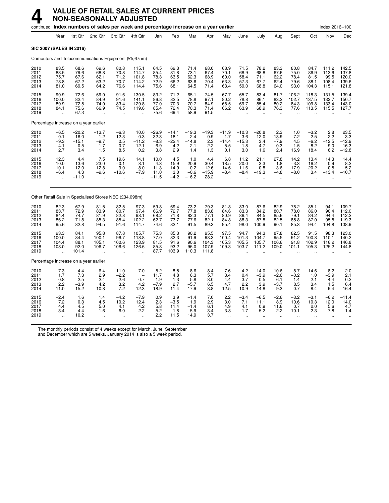|                                       |                                                           |                                             | continued Index numbers of sales per week and percentage increase on a year earlier |                                                             |                                                       |                                            |                                                |                                             |                                            |                                                          |                                                      |                                                      |                                                         |                                               |                                        | Index 2016=100                           |                                           |
|---------------------------------------|-----------------------------------------------------------|---------------------------------------------|-------------------------------------------------------------------------------------|-------------------------------------------------------------|-------------------------------------------------------|--------------------------------------------|------------------------------------------------|---------------------------------------------|--------------------------------------------|----------------------------------------------------------|------------------------------------------------------|------------------------------------------------------|---------------------------------------------------------|-----------------------------------------------|----------------------------------------|------------------------------------------|-------------------------------------------|
|                                       | Year                                                      | 1st Qtr                                     | 2nd Qtr                                                                             | 3rd Qtr                                                     | 4th Qtr                                               | Jan                                        | Feb                                            | Mar                                         | Apr                                        | May                                                      | June                                                 | July                                                 | Aug                                                     | Sept                                          | Oct                                    | Nov                                      | Dec                                       |
| <b>SIC 2007 (SALES IN 2016)</b>       |                                                           |                                             |                                                                                     |                                                             |                                                       |                                            |                                                |                                             |                                            |                                                          |                                                      |                                                      |                                                         |                                               |                                        |                                          |                                           |
|                                       |                                                           |                                             | Computers and Telecommunications Equipment (£5,675m)                                |                                                             |                                                       |                                            |                                                |                                             |                                            |                                                          |                                                      |                                                      |                                                         |                                               |                                        |                                          |                                           |
| 2010<br>2011<br>2012<br>2013<br>2014  | 83.5<br>83.5<br>75.7<br>78.8<br>81.0                      | 68.6<br>79.6<br>67.6<br>67.2<br>69.5        | 69.6<br>68.8<br>62.1<br>63.2<br>64.2                                                | 80.8<br>70.8<br>71.2<br>70.7<br>76.6                        | 115.1<br>114.7<br>101.8<br>114.2<br>114.4             | 64.5<br>85.4<br>78.3<br>72.9<br>75.6       | 69.3<br>81.8<br>63.5<br>66.2<br>68.1           | 71.4<br>73.1<br>62.3<br>63.6<br>64.5        | 68.0<br>67.4<br>68.9<br>70.4<br>71.4       | 68.9<br>70.1<br>60.0<br>63.3<br>63.4                     | 71.5<br>68.9<br>58.4<br>57.3<br>59.0                 | 78.2<br>68.8<br>71.1<br>67.7<br>68.8                 | 83.3<br>67.6<br>62.2<br>62.4<br>64.0                    | 80.8<br>75.0<br>78.4<br>79.6<br>93.0          | 84.7<br>86.9<br>81.5<br>88.1<br>104.3  | 111.2<br>113.6<br>99.5<br>108.4<br>115.1 | 142.5<br>137.8<br>120.0<br>139.6<br>121.8 |
| 2015<br>2016<br>2017<br>2018<br>2019  | 90.9<br>100.0<br>89.9<br>84.1<br>ä,                       | 72.6<br>82.4<br>72.5<br>75.6<br>67.3        | 69.0<br>84.9<br>74.0<br>66.9<br>$\ddot{\phantom{a}}$                                | 91.6<br>91.6<br>83.4<br>74.5<br>ä,                          | 130.5<br>141.1<br>129.8<br>119.6                      | 83.2<br>86.8<br>77.0<br>85.4<br>75.6       | 71.2<br>82.5<br>70.3<br>72.4<br>69.4           | 65.1<br>78.8<br>70.7<br>70.3<br>58.9        | 74.5<br>97.1<br>84.9<br>71.4<br>91.5       | 67.7<br>80.2<br>68.5<br>66.2<br>$\ddotsc$                | 65.7<br>78.8<br>69.7<br>63.9<br>$\ddot{\phantom{a}}$ | 83.4<br>86.1<br>85.4<br>68.9<br>$\ddot{\phantom{a}}$ | 81.7<br>83.2<br>80.2<br>76.3                            | 106.2<br>102.7<br>84.3<br>77.6                | 118.3<br>137.5<br>109.8<br>113.5       | 131.5<br>132.7<br>133.4<br>115.5         | 139.4<br>150.7<br>143.0<br>127.7          |
| Percentage increase on a year earlier |                                                           |                                             |                                                                                     |                                                             |                                                       |                                            |                                                |                                             |                                            |                                                          |                                                      |                                                      |                                                         |                                               |                                        |                                          |                                           |
| 2010<br>2011<br>2012<br>2013<br>2014  | $-6.5$<br>$-0.1$<br>$-9.3$<br>4.1<br>2.7                  | $-20.2$<br>16.0<br>$-15.1$<br>$-0.5$<br>3.4 | $-13.7$<br>$-1.2$<br>$-9.7$<br>1.7<br>1.5                                           | $-6.3$<br>$-12.3$<br>0.5<br>$-0.7$<br>8.5                   | 10.0<br>$-0.3$<br>$-11.2$<br>12.1<br>0.2              | $-26.9$<br>32.3<br>$-8.3$<br>$-6.9$<br>3.8 | $-14.1$<br>18.1<br>$-22.4$<br>4.2<br>2.9       | $-19.3$<br>2.4<br>$-14.8$<br>2.1<br>1.4     | $-19.3$<br>$-0.9$<br>$2.3\,$<br>2.2<br>1.3 | $-11.9$<br>1.7<br>$-14.4$<br>5.5<br>0.1                  | $-10.3$<br>$-3.6$<br>$-15.3$<br>$-1.8$<br>3.0        | $-20.8$<br>$-12.0$<br>3.4<br>$-4.7$<br>1.6           | 2.3<br>$-18.9$<br>$-7.9$<br>0.3<br>2.4                  | 1.0<br>$-7.2$<br>4.5<br>1.5<br>16.9           | $-3.2$<br>2.5<br>$-6.2$<br>8.2<br>18.4 | 2.8<br>2.2<br>$-12.5$<br>9.0<br>6.2      | $23.5 - 3.3$<br>$-12.9$<br>$16.3 - 12.8$  |
| 2015<br>2016<br>2017<br>2018<br>2019  | 12.3<br>10.0<br>$-10.1$<br>$-6.4$<br>$\ddot{\phantom{0}}$ | 4.4<br>13.6<br>$-12.0$<br>4.3<br>$-11.0$    | 7.5<br>23.0<br>$-12.8$<br>$-9.6$<br>$\ddot{\phantom{a}}$                            | 19.6<br>$-0.1$<br>$-9.0$<br>$-10.6$<br>$\ddot{\phantom{a}}$ | 14.1<br>8.1<br>$-8.0$<br>$-7.9$<br>$\mathbf{r}$       | 10.0<br>4.3<br>$-11.3$<br>11.0<br>$-11.5$  | 4.5<br>15.9<br>$-14.9$<br>3.0<br>$-4.2$        | 1.0<br>20.9<br>$-10.2$<br>$-0.6$<br>$-16.2$ | 4.4<br>30.4<br>$-12.6$<br>$-15.9$<br>28.2  | 6.8<br>18.5<br>$-14.6$<br>$-3.4$<br>$\ddot{\phantom{a}}$ | 11.2<br>20.0<br>$-11.6$<br>$-8.4$<br>$\sim$          | 21.1<br>3.3<br>$-0.8$<br>$-19.3$<br>$\sim$           | 27.8<br>1.8<br>$-3.6$<br>$-4.8$<br>$\ddot{\phantom{a}}$ | 14.2<br>$-3.3$<br>$-17.9$<br>$-8.0$<br>$\sim$ | 13.4<br>16.2<br>$-20.2$<br>3.4         | 14.3<br>0.9<br>0.5<br>$-13.4$            | 14.4<br>8.2<br>$-5.2$<br>$-10.7$          |
|                                       |                                                           |                                             | Other Retail Sale in Specialised Stores NEC (£34,098m)                              |                                                             |                                                       |                                            |                                                |                                             |                                            |                                                          |                                                      |                                                      |                                                         |                                               |                                        |                                          |                                           |
| 2010<br>2011<br>2012<br>2013<br>2014  | 82.3<br>83.7<br>84.4<br>86.2<br>95.6                      | 67.9<br>72.9<br>74.7<br>71.8<br>82.8        | 81.5<br>83.9<br>81.9<br>85.3<br>94.5                                                | 82.5<br>80.7<br>82.8<br>85.4<br>91.6                        | 97.3<br>97.4<br>98.1<br>102.2<br>114.7                | 59.8<br>66.9<br>68.2<br>62.7<br>74.6       | 69.4<br>72.7<br>71.8<br>73.7<br>82.1           | 73.2<br>77.8<br>82.3<br>77.6<br>91.5        | 79.3<br>83.8<br>77.1<br>82.1<br>89.3       | 81.8<br>84.6<br>80.9<br>84.8<br>95.4                     | 83.0<br>83.3<br>86.4<br>88.3<br>98.0                 | 87.6<br>84.2<br>84.5<br>87.8<br>100.9                | 82.9<br>80.7<br>85.6<br>82.5<br>90.1                    | 78.2<br>78.0<br>79.1<br>85.8<br>85.3          | 85.1<br>86.0<br>84.2<br>87.0<br>94.4   | 94.1<br>90.4<br>94.4<br>95.8<br>104.8    | 109.7<br>112.0<br>112.2<br>119.3<br>138.9 |
| 2015<br>2016<br>2017<br>2018<br>2019  | 93.3<br>100.0<br>104.4<br>108.0                           | 84.1<br>84.4<br>88.1<br>92.0<br>101.4       | 95.8<br>100.1<br>105.1<br>106.7<br>$\ddot{\phantom{a}}$                             | 87.8<br>96.7<br>100.6<br>106.6<br>$\ddot{\phantom{a}}$      | 105.7<br>118.8<br>123.9<br>126.6                      | 75.3<br>77.0<br>81.5<br>85.8<br>87.7       | 85.3<br>82.3<br>91.6<br>93.2<br>103.9          | 90.2<br>91.9<br>90.6<br>96.0<br>110.3       | 95.5<br>98.3<br>104.3<br>107.9<br>111.8    | 97.5<br>100.4<br>105.3<br>109.3                          | 94.7<br>101.3<br>105.5<br>103.7                      | 94.3<br>104.7<br>105.7<br>111.2                      | 87.8<br>95.5<br>106.6<br>109.0                          | 82.5<br>91.2<br>91.8<br>101.1                 | 91.5<br>100.8<br>102.9<br>105.3        | 98.3<br>110.1<br>116.2<br>125.2          | 123.0<br>140.2<br>146.8<br>144.8          |
| Percentage increase on a year earlier |                                                           |                                             |                                                                                     |                                                             |                                                       |                                            |                                                |                                             |                                            |                                                          |                                                      |                                                      |                                                         |                                               |                                        |                                          |                                           |
| 2010<br>2011<br>2012<br>2013<br>2014  | 7.3<br>1.7<br>0.8<br>2.2<br>11.0                          | 4.4<br>$\frac{7.3}{2.5}$<br>$-3.9$<br>15.2  | 6.4<br>2.9<br>$-2.4$<br>4.2<br>10.8                                                 | 11.0<br>$-2.2$<br>2.6<br>3.2<br>7.2                         | 7.0<br>$\overline{\phantom{a}}$<br>0.7<br>4.2<br>12.3 | $-5.2$<br>11.7<br>1.9<br>$-7.9$<br>18.9    | 8.5<br>4.8<br>$-1.\overline{3}$<br>2.7<br>11.4 | 8.6<br>6.3<br>5.8<br>$-5.7$<br>17.9         | 8.4<br>5.7<br>$-8.0$<br>6.5<br>8.8         | 7.6<br>3.4<br>$-4.4$<br>4.7<br>12.5                      | 4.2<br>0.4<br>3.7<br>2.2<br>10.9                     | 14.0<br>$-3.9$<br>0.5<br>3.9<br>14.8                 | 10.6<br>$-2.6$<br>6.1<br>$-3.7$<br>9.3                  | 8.7<br>$-0.2$<br>1.4<br>8.5<br>$-0.7$         | 14.6<br>1.0<br>$-2.1$<br>3.4<br>8.4    | 8.2<br>$-3.9$<br>4.4<br>1.5<br>9.4       | 2.0<br>$^{2.1}_{0.2}$<br>6.4<br>16.4      |
| 2015<br>2016<br>2017<br>2018<br>2019  | $-2.4$<br>7.2<br>4.4<br>3.4                               | 1.6<br>0.3<br>4.5<br>4.4<br>10.2            | 1.4<br>4.5<br>5.0<br>1.6                                                            | $-4.2$<br>10.2<br>4.1<br>6.0                                | $-7.9$<br>12.4<br>4.2<br>2.2                          | 0.9<br>2.3<br>5.8<br>5.2<br>2.2            | 3.9<br>$-3.5$<br>11.4<br>1.8<br>11.5           | $-1.4$<br>1.9<br>$-1.4$<br>5.9<br>14.9      | 7.0<br>2.9<br>6.1<br>3.4<br>3.7            | 2.2<br>3.0<br>4.9<br>3.8                                 | $-3.4$<br>7.1<br>4.1<br>$-1.7$                       | $-6.5$<br>11.1<br>0.9<br>5.2                         | $-2.6$<br>8.9<br>11.6<br>2.2                            | $-3.2$<br>10.6<br>0.7<br>10.1                 | $-3.1$<br>10.3<br>2.0<br>2.3           | $-6.2$<br>12.0<br>5.6<br>7.8             | $-11.4$<br>14.0<br>4.7<br>$-1.4$          |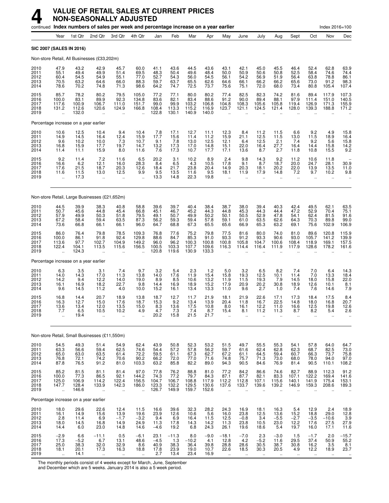|                                      |                                                                                    |                                         | continued Index numbers of sales per week and percentage increase on a year earlier |                                                        |                                                      |                                                 |                                         |                                            |                                         |                                              |                                                        |                                                          |                                                            |                                                     |                                                                   | Index 2016=100                               |                                         |
|--------------------------------------|------------------------------------------------------------------------------------|-----------------------------------------|-------------------------------------------------------------------------------------|--------------------------------------------------------|------------------------------------------------------|-------------------------------------------------|-----------------------------------------|--------------------------------------------|-----------------------------------------|----------------------------------------------|--------------------------------------------------------|----------------------------------------------------------|------------------------------------------------------------|-----------------------------------------------------|-------------------------------------------------------------------|----------------------------------------------|-----------------------------------------|
|                                      | Year                                                                               | 1st Qtr                                 | 2nd Qtr                                                                             | 3rd Qtr                                                | 4th Qtr                                              | Jan                                             | Feb                                     | Mar                                        | Apr                                     | May                                          | June                                                   | July                                                     | Aug                                                        | Sept                                                | Oct                                                               | Nov                                          | Dec                                     |
| <b>SIC 2007 (SALES IN 2016)</b>      |                                                                                    |                                         |                                                                                     |                                                        |                                                      |                                                 |                                         |                                            |                                         |                                              |                                                        |                                                          |                                                            |                                                     |                                                                   |                                              |                                         |
|                                      |                                                                                    |                                         | Non-store Retail, All Businesses (£33,202m)                                         |                                                        |                                                      |                                                 |                                         |                                            |                                         |                                              |                                                        |                                                          |                                                            |                                                     |                                                                   |                                              |                                         |
| 2010<br>2011<br>2012<br>2013<br>2014 | 47.9<br>55.1<br>60.4<br>70.5<br>78.6                                               | 43.2<br>49.4<br>54.5<br>63.2<br>70.2    | 42.9<br>49.9<br>54.9<br>64.6<br>74.8                                                | 45.7<br>51.4<br>55.1<br>66.0<br>71.3                   | 60.0<br>69.5<br>77.0<br>88.3<br>98.6                 | 41.1<br>48.3<br>52.7<br>59.7<br>64.2            | 43.6<br>50.4<br>54.3<br>63.7<br>74.7    | 44.5<br>49.6<br>56.0<br>65.5<br>72.5       | 43.6<br>48.4<br>54.5<br>62.6<br>73.7    | 43.1<br>50.0<br>56.1<br>64.6<br>75.6         | 42.1<br>50.9<br>54.2<br>66.1<br>75.1                   | 45.0<br>50.6<br>56.9<br>66.2<br>72.0                     | 45.5<br>50.8<br>51.9<br>66.2<br>68.0                       | 46.4<br>52.5<br>56.4<br>65.6<br>73.4                | 52.4<br>58.4<br>63.8<br>73.0<br>80.8                              | 62.8<br>74.6<br>78.8<br>91.2<br>105.4        | 63.9<br>74.4<br>86.1<br>98.3<br>107.4   |
| 2015<br>2016<br>2017<br>2018<br>2019 | 85.7<br>100.0<br>117.6<br>131.2<br>$\ddot{\phantom{a}}$                            | 78.2<br>83.1<br>100.9<br>112.6<br>132.0 | 80.2<br>89.9<br>106.7<br>120.6<br>$\ddot{\phantom{a}}$                              | 79.5<br>92.3<br>111.0<br>124.9<br>$\ddot{\phantom{a}}$ | 105.0<br>134.8<br>151.7<br>166.8                     | 77.2<br>83.6<br>99.0<br>108.4<br>122.8          | 77.1<br>82.1<br>99.9<br>113.3<br>130.1  | 80.0<br>83.4<br>103.2<br>115.2<br>140.9    | 80.2<br>88.6<br>106.8<br>116.9<br>140.0 | 77.4<br>91.2<br>104.8<br>123.7               | 82.5<br>90.0<br>108.3<br>121.1                         | 82.3<br>89.4<br>105.6<br>124.5                           | 74.2<br>88.1<br>105.8<br>121.4                             | 81.6<br>97.9<br>119.4<br>128.0                      | 89.4<br>111.4<br>126.9<br>139.3                                   | 117.9<br>151.0<br>171.3<br>188.8             | 107.3<br>140.5<br>155.9<br>171.2        |
|                                      |                                                                                    | Percentage increase on a year earlier   |                                                                                     |                                                        |                                                      |                                                 |                                         |                                            |                                         |                                              |                                                        |                                                          |                                                            |                                                     |                                                                   |                                              |                                         |
| 2010<br>2011<br>2012<br>2013<br>2014 | 10.6<br>14.9<br>9.6<br>16.8<br>11.4                                                | 12.5<br>14.5<br>10.2<br>15.9<br>11.1    | 10.4<br>16.4<br>10.0<br>17.7<br>15.9                                                | 9.4<br>12.4<br>7.3<br>19.7<br>8.0                      | 10.4<br>15.9<br>10.7<br>14.7<br>11.6                 | $7.8$<br>17.7<br>9.1<br>13.2<br>7.6             | 17.1<br>15.6<br>7.8<br>17.3<br>17.3     | 12.7<br>11.4<br>13.0<br>17.0<br>10.7       | 11.1<br>11.2<br>12.5<br>14.8<br>17.7    | 12.3<br>15.9<br>12.1<br>15.1<br>17.1         | $8.4$<br>21.1<br>6.4<br>22.0<br>13.6                   | 11.2<br>12.5<br>12.5<br>16.4<br>8.7                      | 11.5<br>11.5<br>2.1<br>27.7<br>2.7                         | 6.6<br>13.0<br>7.4<br>16.4<br>11.8                  | $\begin{array}{c} 9.2 \\ 11.5 \end{array}$<br>9.2<br>14.4<br>10.8 | 4.9<br>18.9<br>5.6<br>15.8<br>15.5           | 15.8<br>16.4<br>15.8<br>$^{14.2}_{9.2}$ |
| 2015<br>2016<br>2017<br>2018<br>2019 | $\begin{array}{c} 9.2 \\ 16.6 \end{array}$<br>17.6<br>11.6<br>$\ddot{\phantom{a}}$ | 11.4<br>6.2<br>21.5<br>11.5<br>17.3     | 7.2<br>12.1<br>18.7<br>13.0<br>$\sim$                                               | 11.6<br>16.0<br>20.3<br>12.5<br>÷.                     | $6.5$<br>28.3<br>12.6<br>9.9<br>$\ddot{\phantom{a}}$ | 20.2<br>$8.\overline{4}$<br>18.4<br>9.5<br>13.3 | 3.1<br>6.5<br>21.7<br>13.5<br>14.8      | $\frac{10.2}{4.3}$<br>23.8<br>11.6<br>22.3 | 8.9<br>10.5<br>20.4<br>9.5<br>19.8      | 17.8<br>14.9<br>18.1<br>$\ddotsc$            | 9.8<br>9.1<br>20.3<br>11.9<br>$\ddot{\phantom{a}}$     | 14.3<br>8.7<br>18.1<br>17.9<br>$\ddot{\phantom{a}}$      | $\frac{9.2}{18.7}$<br>20.2<br>14.8<br>$\ddot{\phantom{a}}$ | 11.2<br>20.0<br>22.0<br>7.2<br>$\ddot{\phantom{a}}$ | 10.6<br>24.7<br>13.9<br>9.7<br>÷.                                 | 11.8<br>28.1<br>13.5<br>10.2<br>$\mathbf{r}$ | 30.9<br>11.0<br>9.8                     |
|                                      |                                                                                    |                                         | Non-store Retail, Large Businesses (£21,652m)                                       |                                                        |                                                      |                                                 |                                         |                                            |                                         |                                              |                                                        |                                                          |                                                            |                                                     |                                                                   |                                              |                                         |
| 2010<br>2011<br>2012<br>2013<br>2014 | 44.5<br>50.7<br>57.9<br>67.2<br>73.6                                               | 39.9<br>45.6<br>49.9<br>58.4<br>66.8    | 38.3<br>44.8<br>50.3<br>59.4<br>66.1                                                | 40.8<br>45.4<br>51.8<br>63.5<br>66.1                   | 58.8<br>66.8<br>79.5<br>87.3<br>96.0                 | 39.6<br>45.1<br>49.1<br>56.2<br>64.7            | 39.7<br>46.7<br>50.7<br>59.3<br>68.8    | 40.4<br>45.2<br>49.9<br>59.4<br>67.3       | 38.4<br>44.3<br>50.2<br>57.8<br>65.5    | 38.7<br>44.8<br>50.1<br>59.1<br>65.6         | 38.0<br>45.3<br>50.5<br>61.0<br>66.9                   | 39.4<br>44.3<br>52.9<br>63.5<br>65.3                     | 40.3<br>44.4<br>47.8<br>62.6<br>63.2                       | 42.4<br>47.2<br>54.1<br>64.3<br>69.1                | 49.5<br>52.9<br>62.4<br>70.3<br>75.6                              | 62.1<br>70.4<br>81.5<br>89.8<br>102.9        | 63.5<br>75.1<br>91.6<br>$99.0$<br>106.9 |
| 2015<br>2016<br>2017<br>2018<br>2019 | 86.0<br>100.0<br>113.6<br>122.4<br>ă,                                              | 76.4<br>86.1<br>97.7<br>104.1<br>124.3  | 79.8<br>91.8<br>102.7<br>113.5<br>$\ddot{\phantom{a}}$                              | 78.5<br>92.4<br>104.9<br>115.6                         | 109.3<br>129.8<br>149.2<br>156.5                     | 76.8<br>88.6<br>96.0<br>100.5<br>120.8          | 77.6<br>84.7<br>96.2<br>103.3<br>119.6  | 75.2<br>85.3<br>100.3<br>107.7<br>130.9    | 79.8<br>91.0<br>100.8<br>109.6<br>133.3 | 77.5<br>93.3<br>100.8<br>116.3               | 81.6<br>91.2<br>105.8<br>114.4                         | 80.0<br>93.3<br>104.7<br>116.4                           | 74.0<br>90.6<br>100.6<br>111.9                             | 81.0<br>93.0<br>108.4<br>117.9                      | 89.6<br>105.7<br>118.9<br>128.6                                   | 120.8<br>141.2<br>169.1<br>178.2             | 115.9<br>139.9<br>157.5<br>161.6        |
|                                      |                                                                                    | Percentage increase on a year earlier   |                                                                                     |                                                        |                                                      |                                                 |                                         |                                            |                                         |                                              |                                                        |                                                          |                                                            |                                                     |                                                                   |                                              |                                         |
| 2010<br>2011<br>2012<br>2013<br>2014 | 6.3<br>14.0<br>14.2<br>16.1<br>9.6                                                 | 3.5<br>14.3<br>9.4<br>16.9<br>14.5      | 3.1<br>17.0<br>12.2<br>18.2<br>11.2                                                 | 7.4<br>11.3<br>14.0<br>22.7<br>4.0                     | 9.7<br>13.8<br>19.0<br>9.8<br>10.0                   | 3.2<br>14.0<br>8.9<br>14.4<br>15.2              | 5.4<br>17.6<br>8.5<br>16.9<br>16.1      | 2.3<br>11.9<br>10.6<br>18.9<br>13.4        | 1.2<br>15.4<br>13.2<br>15.2<br>13.3     | 5.0<br>15.8<br>11.9<br>17.9<br>11.0          | 3.2<br>19.3<br>11.5<br>20.9<br>9.6                     | 6.5<br>12.5<br>19.3<br>20.2<br>2.7                       | 8.2<br>10.1<br>7.9<br>30.8<br>1.0                          | 7.4<br>11.4<br>14.5<br>18.9<br>7.4                  | 7.0<br>7.0<br>18.0<br>12.6<br>7.6                                 | 6.4<br>13.3<br>15.8<br>10.1<br>14.6          | 14.3<br>18.4<br>22.0<br>8.1<br>7.9      |
| 2015<br>2016<br>2017<br>2018<br>2019 | 16.8<br>16.3<br>13.6<br>$\frac{1}{2}$                                              | 14.4<br>12.7<br>13.4<br>6.5<br>19.4     | 20.7<br>15.0<br>12.0<br>10.5<br>ä,                                                  | 18.9<br>17.6<br>13.5<br>10.2<br>ä,                     | 13.8<br>18.7<br>15.0<br>4.9                          | 18.7<br>15.3<br>8.3<br>4.7<br>20.2              | 12.7<br>9.2<br>13.6<br>7.3<br>15.8      | 11.7<br>13.4<br>17.5<br>$7.4$<br>21.5      | 21.9<br>13.9<br>10.8<br>8.7<br>21.7     | 18.1<br>20.4<br>8.0<br>15.4                  | 21.9<br>11.8<br>16.1<br>8.1<br>$\ddot{\phantom{a}}$    | 22.6<br>16.7<br>12.2<br>11.2<br>$\ddot{\phantom{a}}$     | 17.1<br>22.5<br>11.0<br>11.3                               | 17.3<br>14.8<br>16.6<br>8.7                         | 18.4<br>18.0<br>12.5<br>8.2<br>ä.                                 | 17.5<br>16.8<br>19.8<br>5.4<br>$\ddotsc$     | 8.4<br>20.7<br>12.6<br>2.6              |
|                                      |                                                                                    |                                         | Non-store Retail, Small Businesses (£11,550m)                                       |                                                        |                                                      |                                                 |                                         |                                            |                                         |                                              |                                                        |                                                          |                                                            |                                                     |                                                                   |                                              |                                         |
| 2010<br>2011<br>2012<br>2013<br>2014 | 54.5<br>63.3<br>65.0<br>76.8<br>87.8                                               | 49.3<br>56.6<br>63.0<br>72.1<br>76.5    | 51.4<br>59.4<br>63.5<br>74.2<br>91.2                                                | 54.9<br>62.5<br>61.4<br>70.6<br>81.0                   | 62.4<br>74.6<br>72.2<br>90.2<br>103.3                | 43.9<br>54.4<br>59.5<br>66.2<br>63.2            | 50.8<br>57.2<br>61.1<br>72.0<br>85.8    | 52.3<br>57.8<br>67.3<br>77.0<br>82.2       | 53.2<br>56.2<br>62.7<br>71.6<br>89.0    | 51.5<br>59.7<br>67.2<br>74.8<br>94.3         | 49.7<br>61.6<br>61.1<br>75.7<br>90.5                   | 55.5<br>62.4<br>64.5<br>71.3<br>84.6                     | 55.3<br>62.8<br>59.4<br>73.0<br>76.9                       | 54.1<br>62.3<br>60.7<br>68.0<br>81.4                | 57.8<br>68.7<br>66.3<br>78.0<br>90.5                              | 64.0<br>82.5<br>73.7<br>94.0<br>110.1        | 64.7<br>73.0<br>75.8<br>97.0<br>108.2   |
| 2015<br>2016<br>2017<br>2018<br>2019 | 85.2<br>100.0<br>125.0<br>147.7<br>ä,                                              | 81.5<br>77.3<br>106.9<br>128.4<br>146.6 | 81.1<br>86.5<br>114.2<br>133.9<br>$\ddot{\phantom{a}}$                              | 81.4<br>92.1<br>122.4<br>142.3<br>ä,                   | 97.0<br>144.2<br>156.5<br>186.0<br>÷.                | 77.8<br>74.3<br>104.7<br>123.3<br>126.7         | 76.2<br>77.2<br>106.7<br>132.2<br>149.9 | 88.8<br>79.7<br>108.8<br>129.5<br>159.7    | 81.0<br>84.3<br>117.9<br>130.6<br>152.6 | 77.2<br>87.1<br>112.2<br>137.6<br>à.         | 84.2<br>87.7<br>112.8<br>133.7<br>$\ddot{\phantom{a}}$ | 86.6<br>$82.1$<br>107.1<br>139.6<br>$\ddot{\phantom{a}}$ | 74.6<br>83.3<br>115.6<br>139.2<br>$\ddot{\phantom{a}}$     | 82.7<br>107.1<br>140.1<br>146.9<br>$\ddotsc$        | 88.9<br>122.2<br>141.9<br>159.3                                   | 112.3<br>169.4<br>175.4<br>208.6             | $91.2$<br>$141.6$<br>$153.1$<br>189.3   |
|                                      |                                                                                    | Percentage increase on a year earlier   |                                                                                     |                                                        |                                                      |                                                 |                                         |                                            |                                         |                                              |                                                        |                                                          |                                                            |                                                     |                                                                   |                                              |                                         |
| 2010<br>2011<br>2012<br>2013<br>2014 | 18.0<br>16.1<br>$^{2.8}_{18.0}$<br>14.4                                            | 29.6<br>14.9<br>11.4<br>14.5<br>6.0     | 22.6<br>15.6<br>6.9<br>16.8<br>23.0                                                 | 12.4<br>13.9<br>$-1.7$<br>14.9<br>14.8                 | 11.5<br>19.6<br>$-3.2$<br>24.9<br>14.6               | 16.6<br>23.9<br>9.4<br>11.3<br>$-4.6$           | 39.6<br>12.6<br>$6.9$<br>17.8<br>19.2   | 32.3<br>10.6<br>16.4<br>14.3<br>6.8        | 28.2<br>5.6<br>11.5<br>14.2<br>24.3     | 24.3<br>16.0<br>$12.5$<br>11.3<br>26.1       | 16.9<br>23.8<br>$^{-0.8}_{23.8}$<br>19.6               | 18.1<br>12.5<br>3.4<br>10.5<br>18.6                      | 16.3<br>13.6<br>$^{-5.5}_{23.0}$<br>5.4                    | 5.4<br>15.2<br>$-2.7$<br>12.2<br>19.7               | 12.9<br>18.8<br>$-3.5$<br>17.6<br>16.0                            | 2.4<br>29.0<br>$-10.6$<br>27.5<br>17.1       | 18.9<br>12.8<br>3.9<br>27.9<br>11.6     |
| 2015<br>2016<br>2017<br>2018<br>2019 | $-2.9$<br>17.3<br>25.0<br>18.1<br>$\ddotsc$                                        | 6.6<br>$-5.2$<br>38.3<br>20.1<br>14.1   | $-11.1$<br>6.7<br>32.0<br>17.3<br>$\ddotsc$                                         | 0.5<br>13.1<br>32.9<br>16.3<br>$\ddot{\phantom{0}}$    | $-6.1$<br>48.6<br>8.6<br>18.8<br>$\ddotsc$           | 23.1<br>$-4.5$<br>40.9<br>17.8<br>2.7           | $-11.3$<br>1.3<br>38.3<br>23.9<br>13.4  | 8.0<br>$-10.2$<br>36.4<br>19.0<br>23.4     | $-9.0$<br>4.1<br>39.8<br>10.7<br>16.9   | $-18.1$<br>12.8<br>28.8<br>22.6<br>$\ddotsc$ | $-7.0$<br>4.2<br>28.6<br>18.5<br>$\ddot{\phantom{1}}$  | 2.3<br>$-5.2$<br>30.5<br>30.3                            | $-3.0$<br>11.6<br>38.7<br>20.5<br>$\ddotsc$                | 1.5<br>29.5<br>30.8<br>4.9<br>$\ldots$              | $-1.7$<br>37.4<br>16.2<br>12.2<br>$\ddot{\phantom{1}}$            | 2.0<br>50.9<br>3.5<br>18.9<br>$\ddotsc$      | $-15.7$<br>55.2<br>$8.1$<br>23.7        |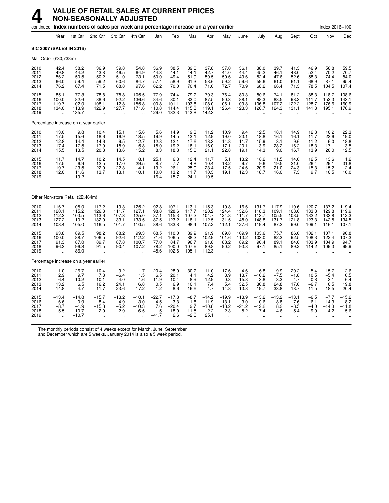|                                       |                                                         |                                                | continued Index numbers of sales per week and percentage increase on a year earlier |                                                      |                                                         |                                                |                                             |                                           |                                              |                                                       |                                                     |                                             |                                               |                                                     |                                                       | Index 2016=100                                       |                                                                |
|---------------------------------------|---------------------------------------------------------|------------------------------------------------|-------------------------------------------------------------------------------------|------------------------------------------------------|---------------------------------------------------------|------------------------------------------------|---------------------------------------------|-------------------------------------------|----------------------------------------------|-------------------------------------------------------|-----------------------------------------------------|---------------------------------------------|-----------------------------------------------|-----------------------------------------------------|-------------------------------------------------------|------------------------------------------------------|----------------------------------------------------------------|
|                                       | Year                                                    | 1st Qtr                                        | 2nd Qtr                                                                             | 3rd Qtr                                              | 4th Qtr                                                 | Jan                                            | Feb                                         | Mar                                       | Apr                                          | May                                                   | June                                                | July                                        | Aug                                           | Sept                                                | Oct                                                   | Nov                                                  | Dec                                                            |
| SIC 2007 (SALES IN 2016)              |                                                         |                                                |                                                                                     |                                                      |                                                         |                                                |                                             |                                           |                                              |                                                       |                                                     |                                             |                                               |                                                     |                                                       |                                                      |                                                                |
| Mail Order (£30,738m)                 |                                                         |                                                |                                                                                     |                                                      |                                                         |                                                |                                             |                                           |                                              |                                                       |                                                     |                                             |                                               |                                                     |                                                       |                                                      |                                                                |
| 2010<br>2011<br>2012<br>2013<br>2014  | 42.4<br>49.8<br>56.2<br>66.0<br>76.2                    | 38.2<br>44.2<br>50.5<br>59.4<br>67.4           | 36.9<br>43.8<br>50.2<br>59.2<br>71.5                                                | 39.8<br>46.5<br>51.0<br>60.6<br>68.8                 | 54.8<br>64.9<br>73.1<br>84.7<br>97.6                    | 36.9<br>44.3<br>50.0<br>57.4<br>62.2           | 38.5<br>44.1<br>49.4<br>58.9<br>70.0        | 39.0<br>44.1<br>51.9<br>61.3<br>70.4      | 37.8<br>42.7<br>50.5<br>58.6<br>71.0         | 37.0<br>44.0<br>50.6<br>59.2<br>72.7                  | 36.1<br>44.4<br>49.6<br>59.6<br>70.9                | 38.0<br>45.2<br>52.4<br>59.6<br>68.2        | 39.7<br>46.1<br>47.6<br>61.0<br>66.4          | 41.3<br>48.0<br>52.6<br>61.1<br>71.3                | 46.9<br>52.4<br>58.3<br>68.9<br>78.5                  | 56.8<br>70.2<br>74.4<br>87.1<br>104.5                | 59.5<br>70.7<br>$84.0$<br>95.4<br>107.4                        |
| 2015<br>2016<br>2017<br>2018<br>2019  | 85.1<br>100.0<br>119.7<br>134.0<br>$\ddot{\phantom{a}}$ | 77.3<br>82.6<br>102.0<br>113.9<br>135.7        | 78.8<br>88.6<br>108.1<br>122.9                                                      | 78.8<br>92.2<br>112.8<br>127.7<br>$\ddotsc$          | 105.5<br>136.6<br>155.8<br>171.6                        | 77.9<br>84.6<br>100.8<br>110.8<br>129.0        | 74.4<br>80.1<br>101.1<br>114.4<br>132.3     | 79.2<br>83.0<br>103.8<br>115.8<br>143.8   | 79.3<br>87.5<br>108.0<br>119.1<br>142.3      | 76.4<br>90.3<br>106.1<br>126.4                        | 80.3<br>88.1<br>109.8<br>123.3                      | 80.6<br>88.3<br>106.8<br>126.7              | 74.1<br>88.5<br>107.2<br>124.3                | 81.2<br>98.3<br>122.2<br>131.1                      | 88.3<br>111.7<br>128.7<br>141.3                       | 118.7<br>153.3<br>176.6<br>195.1                     | 108.6<br>143.1<br>160.9<br>176.9                               |
| Percentage increase on a year earlier |                                                         |                                                |                                                                                     |                                                      |                                                         |                                                |                                             |                                           |                                              |                                                       |                                                     |                                             |                                               |                                                     |                                                       |                                                      |                                                                |
| 2010<br>2011<br>2012<br>2013<br>2014  | 13.0<br>17.5<br>12.8<br>17.4<br>15.5                    | 9.8<br>15.6<br>14.4<br>17.5<br>13.5            | 10.4<br>18.6<br>14.6<br>17.9<br>20.8                                                | 15.1<br>16.9<br>9.5<br>18.9<br>13.6                  | 15.6<br>18.5<br>12.7<br>15.8<br>15.2                    | 5.6<br>19.9<br>12.8<br>15.0<br>8.3             | 14.9<br>14.5<br>12.1<br>19.2<br>18.8        | 9.3<br>13.1<br>17.6<br>18.1<br>15.0       | 11.2<br>12.9<br>18.3<br>16.0<br>21.1         | 10.9<br>19.0<br>14.8<br>17.1<br>22.8                  | 9.4<br>23.1<br>11.7<br>20.1<br>19.1                 | 12.5<br>18.8<br>15.9<br>13.9<br>14.3        | 18.1<br>16.1<br>3.1<br>28.2<br>9.0            | 14.9<br>16.1<br>9.6<br>16.2<br>16.7                 | 12.8<br>11.7<br>11.2<br>18.3<br>13.9                  | 10.2<br>23.6<br>6.0<br>17.1<br>20.0                  | 22.3<br>19.0<br>$\frac{18.8}{13.5}$<br>12.5                    |
| 2015<br>2016<br>2017<br>2018<br>2019  | 11.7<br>17.5<br>19.7<br>12.0<br>$\ddot{\phantom{a}}$    | 14.7<br>6.9<br>23.5<br>11.6<br>19.2            | 10.2<br>12.5<br>22.0<br>13.7                                                        | 14.5<br>17.0<br>22.3<br>13.1<br>$\ddot{\phantom{a}}$ | 8.1<br>29.5<br>14.1<br>10.1                             | 25.1<br>8.7<br>19.2<br>10.0<br>16.4            | $6.3$<br>7.7<br>26.1<br>13.2<br>15.7        | 12.4<br>4.8<br>25.0<br>11.7<br>24.1       | 11.7<br>10.4<br>23.4<br>10.3<br>19.5         | 5.1<br>18.2<br>17.5<br>19.1<br>$\ddot{\phantom{a}}$   | 13.2<br>9.7<br>24.6<br>12.3<br>$\ddot{\phantom{a}}$ | 18.2<br>9.6<br>20.9<br>18.7                 | 11.5<br>19.5<br>21.0<br>16.0                  | 14.0<br>21.0<br>24.3<br>7.3<br>$\ddot{\phantom{a}}$ | 12.5<br>26.4<br>15.3<br>9.7<br>$\ddot{\phantom{a}}$   | 13.6<br>29.1<br>15.2<br>10.5<br>$\ddot{\phantom{a}}$ | $\frac{1.2}{31.8}$<br>12.4<br>10.0                             |
| Other Non-store Retail (£2,464m)      |                                                         |                                                |                                                                                     |                                                      |                                                         |                                                |                                             |                                           |                                              |                                                       |                                                     |                                             |                                               |                                                     |                                                       |                                                      |                                                                |
| 2010<br>2011<br>2012<br>2013<br>2014  | 116.7<br>120.1<br>112.3<br>127.2<br>108.4               | 105.0<br>115.2<br>103.5<br>110.2<br>105.0      | 117.2<br>126.3<br>113.6<br>132.0<br>116.5                                           | 119.3<br>111.7<br>107.3<br>133.1<br>101.7            | 125.2<br>127.1<br>125.0<br>133.5<br>110.5               | 92.8<br>98.8<br>87.1<br>87.5<br>88.6           | 107.1<br>128.6<br>115.3<br>123.2<br>133.8   | 113.1<br>117.7<br>107.2<br>118.1<br>98.4  | 115.3<br>120.2<br>104.7<br>112.5<br>107.2    | 119.8<br>124.4<br>124.8<br>131.5<br>112.1             | 116.6<br>132.6<br>111.7<br>148.0<br>127.6           | 131.7<br>118.3<br>113.7<br>148.8<br>119.4   | 117.9<br>109.1<br>105.5<br>131.7<br>87.2      | 110.6<br>108.6<br>103.5<br>121.8<br>99.0            | 120.7<br>$\frac{1}{133.3}$<br>132.2<br>123.3<br>109.1 | 137.2<br>129.8<br>133.8<br>142.5<br>116.1            | 119.4<br>119.9<br>112.3<br>134.5<br>107.1                      |
| 2015<br>2016<br>2017<br>2018<br>2019  | 93.8<br>100.0<br>91.3<br>96.3<br>$\ddot{\phantom{a}}$   | 89.5<br>88.7<br>87.0<br>96.3<br>86.0           | 98.2<br>106.5<br>89.7<br>91.5                                                       | 88.2<br>92.6<br>87.8<br>90.4<br>$\ddot{\phantom{a}}$ | 99.3<br>112.2<br>100.7<br>107.2<br>$\ddot{\phantom{a}}$ | 68.5<br>71.6<br>77.0<br>78.2<br>45.6           | 110.0<br>106.5<br>84.7<br>100.0<br>102.6    | 89.9<br>88.2<br>96.7<br>107.9<br>105.1    | 91.9<br>102.9<br>91.8<br>89.8<br>112.3       | 89.8<br>101.6<br>88.2<br>90.2<br>$\ddot{\phantom{a}}$ | 109.9<br>113.2<br>89.2<br>93.8                      | 103.6<br>103.0<br>90.4<br>97.1              | 75.7<br>82.3<br>89.1<br>85.1                  | 86.0<br>92.5<br>84.6<br>89.2                        | 102.1<br>108.3<br>103.9<br>114.2                      | 107.1<br>122.4<br>104.9<br>109.3                     | 90.8<br>107.3<br>94.7<br>99.9                                  |
| Percentage increase on a year earlier |                                                         |                                                |                                                                                     |                                                      |                                                         |                                                |                                             |                                           |                                              |                                                       |                                                     |                                             |                                               |                                                     |                                                       |                                                      |                                                                |
| 2010<br>2011<br>2012<br>2013<br>2014  | 1.0<br>2.9<br>$-6.4$<br>13.2<br>$-14.8$                 | 26.7<br>9.7<br>$-10.2$<br>6.5<br>$-4.7$        | 10.4<br>7.8<br>$-10.1$<br>16.2<br>$-11.7$                                           | $-9.2$<br>$-6.4$<br>$-4.0$<br>24.1<br>$-23.6$        | $-11.7$<br>1.5<br>$-1.6$<br>6.8<br>$-17.2$              | 20.4<br>6.5<br>$-11.9$<br>0.5<br>1.2           | 28.0<br>20.1<br>$-10.4$<br>6.9<br>8.6       | 30.2<br>4.1<br>$-8.9$<br>10.1<br>$-16.6$  | 11.0<br>4.2<br>$-12.9$<br>7.4<br>$-4.7$      | 17.6<br>3.9<br>0.3<br>5.4<br>$-14.8$                  | 4.6<br>13.7<br>$-15.8$<br>32.5<br>$-13.8$           | 6.8<br>$-10.2$<br>$-3.8$<br>30.8<br>$-19.7$ | $-9.9$<br>$-7.5$<br>$-3.3$<br>24.8<br>$-33.8$ | $-20.2$<br>$-1.8$<br>$-4.7$<br>17.6<br>$-18.7$      | $-5.4$<br>10.5<br>$-0.8$<br>$-6.7$<br>$-11.5$         | $-15.7$<br>$-5.4$<br>3.1<br>6.5<br>$-18.5$           | $-12.6$<br>0.5<br>$-6.4$<br>19.8<br>$-20.4$                    |
| 2015<br>2016<br>2017<br>2018<br>2019  | $-13.4$<br>6.6<br>$-8.7$<br>5.5<br>ä,                   | $-14.8$<br>$-0.9$<br>$-1.9$<br>10.7<br>$-10.7$ | $-15.7$<br>8.4<br>$-15.8$<br>2.0                                                    | $-13.2$<br>$4.9 - 5.2$<br>2.9<br>$\ddotsc$           | $-10.1$<br>13.0<br>$-10.3$<br>6.5                       | $-22.7$<br>$\frac{4.5}{7.6}$<br>1.5<br>$-41.7$ | $-17.8$<br>$-3.3$<br>$-20.4$<br>18.0<br>2.6 | $-8.7$<br>$-1.8$<br>9.7<br>11.5<br>$-2.6$ | $-14.2$<br>11.9<br>$-10.8$<br>$-2.2$<br>25.1 | $-19.9$<br>13.1<br>$-13.2$<br>2.3                     | $-13.9$<br>3.0<br>$-21.2$<br>5.2                    | $-13.2$<br>$-0.6$<br>$-12.2$<br>7.4         | $-13.2$<br>8.8<br>8.2<br>$-4.6$               | $-13.1$<br>7.6<br>$-8.5$<br>5.4                     | $-6.5$<br>6.1<br>$-4.0$<br>9.9                        | $-7.7$<br>14.3<br>$-14.3$<br>4.2                     | $-15.2$<br>$\begin{array}{r} 18.2 \\ -11.8 \\ 5.6 \end{array}$ |

The monthly periods consist of 4 weeks except for March, June, September

and December which are 5 weeks. January 2014 is also a 5 week period.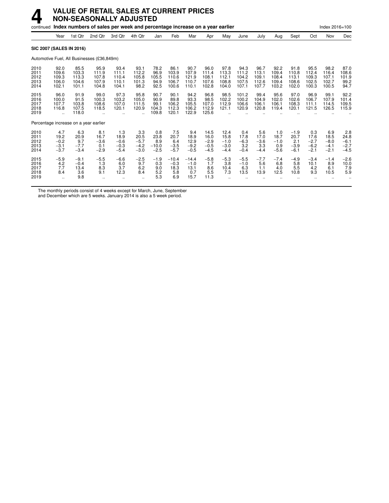|                                      |                                           |                                          | continued Index numbers of sales per week and percentage increase on a year earlier |                                           |                                           |                                         |                                          |                                          |                                            |                                            |                                          |                                          |                                          |                                           |                                           | Index 2016=100                            |                                           |
|--------------------------------------|-------------------------------------------|------------------------------------------|-------------------------------------------------------------------------------------|-------------------------------------------|-------------------------------------------|-----------------------------------------|------------------------------------------|------------------------------------------|--------------------------------------------|--------------------------------------------|------------------------------------------|------------------------------------------|------------------------------------------|-------------------------------------------|-------------------------------------------|-------------------------------------------|-------------------------------------------|
|                                      | Year                                      | 1st Qtr                                  | 2nd Qtr                                                                             | 3rd Qtr                                   | 4th Qtr                                   | Jan                                     | Feb                                      | Mar                                      | Apr                                        | May                                        | June                                     | July                                     | Aug                                      | Sept                                      | Oct                                       | Nov                                       | Dec                                       |
|                                      |                                           | <b>SIC 2007 (SALES IN 2016)</b>          |                                                                                     |                                           |                                           |                                         |                                          |                                          |                                            |                                            |                                          |                                          |                                          |                                           |                                           |                                           |                                           |
|                                      |                                           |                                          | Automotive Fuel, All Businesses (£36,849m)                                          |                                           |                                           |                                         |                                          |                                          |                                            |                                            |                                          |                                          |                                          |                                           |                                           |                                           |                                           |
| 2010<br>2011<br>2012<br>2013<br>2014 | 92.0<br>109.6<br>109.3<br>106.0<br>102.1  | 85.5<br>103.3<br>113.3<br>104.6<br>101.1 | 95.9<br>111.9<br>107.8<br>107.9<br>104.8                                            | 93.4<br>111.1<br>110.4<br>110.1<br>104.1  | 93.1<br>112.2<br>105.8<br>101.3<br>98.2   | 78.2<br>96.9<br>105.5<br>94.9<br>92.5   | 86.1<br>103.9<br>110.6<br>106.7<br>100.6 | 90.7<br>107.9<br>121.9<br>110.7<br>110.1 | 96.0<br>111.4<br>108.1<br>107.6<br>102.8   | 97.8<br>113.3<br>112.1<br>108.8<br>104.0   | 94.3<br>111.2<br>104.2<br>107.5<br>107.1 | 96.7<br>113.1<br>109.1<br>112.6<br>107.7 | 92.2<br>109.4<br>108.4<br>109.4<br>103.2 | 91.8<br>110.8<br>113.1<br>108.6<br>102.0  | 95.5<br>112.4<br>109.3<br>102.5<br>100.3  | 98.2<br>116.4<br>107.1<br>102.7<br>100.5  | 87.0<br>108.6<br>101.9<br>99.2<br>94.7    |
| 2015<br>2016<br>2017<br>2018<br>2019 | 96.0<br>100.0<br>107.7<br>116.8<br>÷.     | 91.9<br>91.5<br>103.8<br>107.5<br>118.0  | 99.0<br>100.3<br>108.6<br>118.5                                                     | 97.3<br>103.2<br>107.0<br>120.1           | 95.8<br>105.0<br>111.5<br>120.9           | 90.7<br>90.9<br>99.1<br>104.3<br>109.8  | 90.1<br>89.8<br>106.2<br>112.3<br>120.1  | 94.2<br>93.3<br>105.5<br>106.2<br>122.9  | 96.8<br>98.5<br>107.0<br>112.9<br>125.6    | 98.5<br>102.2<br>112.9<br>121.1            | 101.2<br>100.2<br>106.6<br>120.9         | 99.4<br>104.9<br>106.1<br>120.8          | 95.6<br>102.0<br>106.1<br>119.4          | 97.0<br>102.6<br>108.3<br>120.1           | 96.9<br>106.7<br>111.1<br>121.5           | 99.1<br>107.9<br>114.5<br>126.5           | 92.2<br>101.4<br>109.5<br>115.9           |
|                                      |                                           | Percentage increase on a year earlier    |                                                                                     |                                           |                                           |                                         |                                          |                                          |                                            |                                            |                                          |                                          |                                          |                                           |                                           |                                           |                                           |
| 2010<br>2011<br>2012<br>2013<br>2014 | 4.7<br>19.2<br>$-0.2$<br>$-3.1$<br>$-3.7$ | 6.3<br>20.9<br>9.7<br>$-7.7$<br>$-3.4$   | 8.1<br>16.7<br>$-3.6$<br>0.1<br>$-2.9$                                              | 1.3<br>18.9<br>$-0.6$<br>$-0.3$<br>$-5.4$ | 3.3<br>20.5<br>$-5.7$<br>$-4.2$<br>$-3.0$ | 0.8<br>23.8<br>8.9<br>$-10.0$<br>$-2.5$ | 7.5<br>20.7<br>6.4<br>$-3.5$<br>$-5.7$   | 9.4<br>18.9<br>12.9<br>$-9.2$<br>$-0.5$  | 14.5<br>16.0<br>$-2.9$<br>$-0.5$<br>$-4.5$ | 12.4<br>15.8<br>$-1.0$<br>$-3.0$<br>$-4.4$ | 0.4<br>17.8<br>$-6.3$<br>3.2<br>$-0.4$   | 5.6<br>17.0<br>$-3.6$<br>3.3<br>$-4.4$   | 1.0<br>18.7<br>$-1.0$<br>0.9<br>$-5.6$   | $-1.9$<br>20.7<br>2.1<br>$-3.9$<br>$-6.1$ | 0.3<br>17.6<br>$-2.7$<br>$-6.2$<br>$-2.1$ | 6.9<br>18.5<br>$-8.0$<br>$-4.1$<br>$-2.1$ | 2.8<br>24.8<br>$-6.1$<br>$-2.7$<br>$-4.5$ |
| 2015<br>2016<br>2017<br>2018<br>2019 | $-5.9$<br>4.2<br>7.7<br>8.4<br>$\ddotsc$  | $-9.1$<br>$-0.4$<br>13.4<br>3.6<br>9.8   | $-5.5$<br>1.3<br>8.3<br>9.1                                                         | $-6.6$<br>6.0<br>3.7<br>12.3              | $-2.5$<br>9.7<br>6.2<br>8.4               | $-1.9$<br>0.3<br>9.0<br>5.2<br>5.3      | $-10.4$<br>$-0.3$<br>18.3<br>5.8<br>6.9  | $-14.4$<br>$-1.0$<br>13.1<br>0.7<br>15.7 | $-5.8$<br>1.7<br>8.6<br>5.5<br>11.3        | $-5.3$<br>3.8<br>10.4<br>7.3               | $-5.5$<br>$-1.0$<br>6.3<br>13.5          | $-7.7$<br>5.6<br>1.1<br>13.9             | $-7.4$<br>6.8<br>4.0<br>12.5             | $-4.9$<br>5.8<br>5.5<br>10.8              | $-3.4$<br>10.1<br>4.2<br>9.3              | $-1.4$<br>8.9<br>6.1<br>10.5              | $-2.6$<br>10.0<br>7.9<br>5.9              |

The monthly periods consist of 4 weeks except for March, June, September

and December which are 5 weeks. January 2014 is also a 5 week period.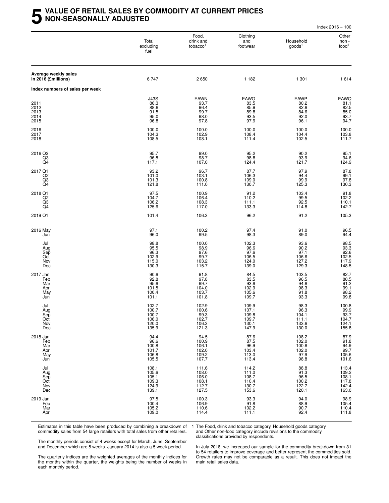#### **5 VALUE OF RETAIL SALES BY COMMODITY AT CURRENT PRICES NON-SEASONALLY ADJUSTED**

|                                             |                                                    |                                                         |                                                    |                                                        | Index $2016 = 100$                                                                |
|---------------------------------------------|----------------------------------------------------|---------------------------------------------------------|----------------------------------------------------|--------------------------------------------------------|-----------------------------------------------------------------------------------|
|                                             | Total<br>excluding<br>fuel                         | Food,<br>drink and<br>tobacco <sup>1</sup>              | Clothing<br>and<br>footwear                        | Household<br>goods <sup>1</sup>                        | Other<br>non-<br>food <sup>1</sup>                                                |
| Average weekly sales<br>in 2016 (£millions) | 6747                                               | 2650                                                    | 1 1 8 2                                            | 1 301                                                  | 1 6 1 4                                                                           |
| Index numbers of sales per week             |                                                    |                                                         |                                                    |                                                        |                                                                                   |
| 2011<br>2012<br>2013<br>2014<br>2015        | J43S<br>86.3<br>88.6<br>91.5<br>95.0<br>96.8       | EAWN<br>93.7<br>96.4<br>99.7<br>98.0<br>97.8            | EAWO<br>83.5<br>85.9<br>89.8<br>93.5<br>97.9       | EAWP<br>80.2<br>82.6<br>84.6<br>92.0<br>96.1           | EAWQ<br>81.1<br>82.5<br>85.0<br>93.7<br>94.7                                      |
| 2016<br>2017<br>2018                        | 100.0<br>104.3<br>108.5                            | 100.0<br>102.9<br>108.1                                 | 100.0<br>108.4<br>111.4                            | 100.0<br>104.4<br>102.5                                | 100.0<br>103.8<br>111.7                                                           |
| 2016 Q2<br>Q3<br>Q4                         | 95.7<br>96.8<br>117.1                              | 99.0<br>98.7<br>107.0                                   | 95.2<br>98.8<br>124.4                              | 90.2<br>93.9<br>121.7                                  | 95.1<br>94.6<br>124.9                                                             |
| 2017 Q1<br>Q <sub>2</sub><br>$^{Q3}_{Q4}$   | 93.2<br>101.0<br>101.3<br>121.8                    | 96.7<br>103.1<br>100.8<br>111.0                         | 87.7<br>106.3<br>109.0<br>130.7                    | 97.9<br>94.4<br>99.9<br>125.3                          | $\frac{87.8}{99.1}$<br>97.8<br>130.3                                              |
| 2018 Q1<br>Q2<br>Q3<br>Q4                   | 97.5<br>104.7<br>106.2<br>125.6                    | 100.9<br>106.4<br>108.3<br>117.0                        | $91.2$<br>110.2<br>111.1<br>133.3                  | 103.4<br>99.5<br>92.5<br>114.8                         | $91.8$<br>102.2<br>110.1<br>142.7                                                 |
| 2019 Q1                                     | 101.4                                              | 106.3                                                   | 96.2                                               | 91.2                                                   | 105.3                                                                             |
| 2016 May<br>Jun                             | 97.1<br>96.0                                       | 100.2<br>99.5                                           | 97.4<br>98.3                                       | 91.0<br>89.0                                           | 96.5<br>94.4                                                                      |
| Jul<br>Aug<br>Sep<br>Oct<br>Nov<br>Dec      | 98.8<br>95.5<br>96.3<br>102.9<br>115.0<br>130.3    | 100.0<br>98.9<br>97.6<br>99.7<br>103.2<br>115.7         | 102.3<br>96.6<br>$97.6$<br>106.5<br>124.0<br>139.0 | 93.6<br>90.2<br>97.1<br>106.6<br>127.2<br>129.3        | 98.5<br>93.3<br>92.6<br>102.5<br>117.9<br>148.5                                   |
| 2017 Jan<br>Feb<br>Mar<br>Apr<br>May<br>Jun | 90.6<br>92.8<br>95.6<br>101.5<br>100.4<br>101.1    | 91.8<br>97.8<br>99.7<br>104.0<br>103.7<br>101.8         | 84.5<br>83.5<br>93.6<br>102.9<br>105.6<br>109.7    | 103.5<br>96.5<br>94.6<br>98.3<br>91.8<br>93.3          | 82.7<br>88.5<br>91.2<br>99.1<br>98.2<br>99.8                                      |
| Jul<br>Aug<br>Sep<br>Oct<br>Nov<br>Dec      | 102.7<br>100.7<br>100.7<br>106.0<br>120.0<br>135.9 | 102.9<br>100.6<br>$99.3$<br>$102.7$<br>$106.3$<br>121.3 | 109.9<br>107.1<br>109.8<br>109.7<br>130.1<br>147.9 | 98.3<br>96.3<br>104.1<br>111.1<br>133.6<br>130.0       | $\begin{array}{c}\n100.8 \\ 99.9 \\ 93.7 \\ 104.7 \\ 124.1\n\end{array}$<br>155.8 |
| 2018 Jan<br>Feb<br>Mar<br>Apr<br>May<br>Jun | 94.4<br>96.6<br>100.8<br>101.7<br>106.8<br>105.5   | 94.5<br>100.9<br>106.1<br>102.0<br>109.2<br>107.7       | 87.6<br>87.5<br>96.9<br>103.4<br>113.0<br>113.4    | 108.2<br>102.0<br>100.6<br>102.0<br>97.9<br>98.8       | 87.9<br>91.8<br>94.9<br>99.7<br>105.6<br>101.6                                    |
| Jul<br>Aug<br>Sep<br>Oct<br>Nov<br>Dec      | 108.1<br>105.6<br>105.1<br>109.3<br>124.9<br>139.1 | 111.6<br>108.0<br>106.0<br>108.1<br>112.7<br>127.5      | 114.2<br>111.0<br>108.7<br>110.4<br>130.7<br>153.6 | 88.8<br>$\frac{91.3}{96.5}$<br>100.2<br>122.7<br>120.1 | 113.4<br>109.2<br>108.1<br>117.8<br>142.4<br>163.0                                |
| 2019 Jan<br>Feb<br>Mar<br>Apr               | 97.5<br>100.4<br>105.2<br>109.0                    | 100.3<br>106.9<br>110.6<br>114.4                        | 93.3<br>91.8<br>102.2<br>111.1                     | 94.0<br>88.9<br>90.7<br>92.4                           | 98.9<br>105.4<br>110.4<br>111.8                                                   |

Estimates in this table have been produced by combining a breakdown of commodity sales from 54 large retailers with total sales from other retailers.

1 The Food, drink and tobacco category, Household goods category and Other non-food category include revisions to the commodity classifications provided by respondents.

The monthly periods consist of 4 weeks except for March, June, September and December which are 5 weeks. January 2014 is also a 5 week period.

The quarterly indices are the weighted averages of the monthly indices for the months within the quarter, the weights being the number of weeks in each monthly period.

In July 2018, we increased our sample for the commodity breakdown from 31 to 54 retailers to improve coverage and better represent the commodities sold. Growth rates may not be comparable as a result. This does not impact the main retail sales data.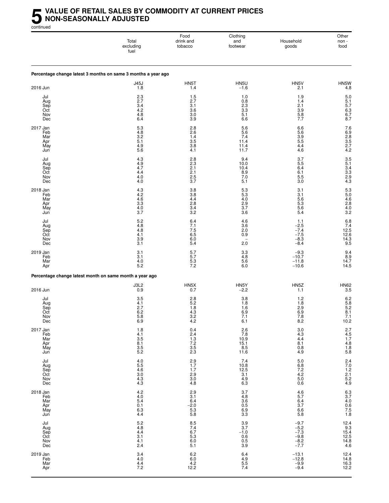#### **5** VALUE OF RETAIL SALES BY COMMODITY AT CURRENT PRICES<br>MON-SEASONALLY ADJUSTED<br>continued **NON-SEASONALLY ADJUSTED**

continued

|                                             | Total<br>excluding<br>fuel                                            | Food<br>drink and<br>tobacco                                                                         | Clothing<br>and<br>footwear                                        | Household<br>goods                                                      | Other<br>non -<br>food                                  |
|---------------------------------------------|-----------------------------------------------------------------------|------------------------------------------------------------------------------------------------------|--------------------------------------------------------------------|-------------------------------------------------------------------------|---------------------------------------------------------|
|                                             | Percentage change latest 3 months on same 3 months a year ago         |                                                                                                      |                                                                    |                                                                         |                                                         |
| 2016 Jun                                    | <b>J45J</b><br>1.8                                                    | HN5T<br>1.4                                                                                          | HN5U<br>$-1.6$                                                     | HN5V<br>2.1                                                             | HN5W<br>4.8                                             |
| Jul<br>Aug<br>Sep<br>Oct<br>Nov<br>Dec      | 2.3<br>2.7<br>3.4<br>4.2<br>4.8<br>6.4                                | 1.5<br>2.7<br>3.1<br>3.6<br>3.0<br>3.9                                                               | 1.0<br>0.8<br>2.3<br>$3.\overline{3}$<br>5.1<br>6.6                | 1.9<br>1.4<br>2.1<br>3.9<br>5.8<br>7.7                                  | $5.0\,$<br>$\frac{5.1}{5.7}$<br>$6.3$<br>$6.7$<br>$8.7$ |
| 2017 Jan<br>Feb<br>Mar<br>Apr<br>May<br>Jun | $\frac{5.3}{4.8}$<br>$3.\overline{2}$<br>5.1<br>4.9<br>5.6            | 2.8<br>2.6<br>1.4<br>3.5<br>3.8<br>4.1                                                               | 5.6<br>5.6<br>7.4<br>11.4<br>11.4<br>11.7                          | 6.6<br>5.6<br>3.9<br>5.5<br>4.4<br>4.6                                  | 7.6<br>6.9<br>2.8<br>3.5<br>2.7<br>4.2                  |
| Jul<br>Aug<br>Sep<br>Oct<br>Nov<br>Dec      | 4.3<br>4.9<br>4.7<br>4.4<br>4.0<br>4.0                                | 2.8<br>$2.\overline{3}$<br>2.1<br>2.1<br>2.5<br>3.7                                                  | 9.4<br>10.0<br>10.4<br>8.9<br>7.0<br>5.1                           | 3.7<br>5.5<br>6.4<br>6.1<br>5.5<br>3.0                                  | $3.5$<br>$5.1$<br>$3.4$<br>$3.3$<br>$2.9$<br>$4.3$      |
| 2018 Jan<br>Feb<br>Mar<br>Apr<br>May<br>Jun | 4.3<br>4.2<br>4.6<br>$3.\overline{3}$<br>4.0<br>3.7                   | 3.8<br>3.8<br>4.4<br>2.8<br>3.4<br>3.2                                                               | $5.3$<br>5.3<br>4.0<br>$\frac{2.9}{3.7}$<br>3.6                    | 3.1<br>3.1<br>5.6<br>$5.\overline{3}$<br>5.6<br>5.4                     | 5.3<br>5.0<br>4.6<br>2.8<br>$\frac{4.0}{3.2}$           |
| Jul<br>Aug<br>Sep<br>Oct<br>Nov<br>Dec      | $\frac{5.2}{4.8}$<br>4.8<br>4.1<br>3.9<br>3.1                         | 6.4<br>7.1<br>7.5<br>$6.5$<br>$6.0$<br>5.4                                                           | $\frac{4.6}{3.6}$<br>2.0<br>0.9<br>$\overline{\phantom{0}}$<br>2.0 | 1.1<br>$-2.5 - 7.4$<br>$-7.5$<br>$-8.3$<br>$-8.4$                       | $6.8$<br>$7.4$<br>$12.5$<br>12.6<br>14.3<br>9.5         |
| 2019 Jan<br>Feb<br>Mar<br>Apr               | 3.1<br>3.1<br>4.0<br>5.2                                              | 5.7<br>5.7<br>$5.3\,$<br>7.2                                                                         | 3.3<br>4.8<br>5.6<br>6.0                                           | $-9.3$<br>$-10.7$<br>$-11.8$<br>$-10.6$                                 | 9.4<br>8.9<br>14.7<br>14.5                              |
|                                             | Percentage change latest month on same month a year ago               |                                                                                                      |                                                                    |                                                                         |                                                         |
| 2016 Jun                                    | J3L2<br>0.9                                                           | HN5X<br>0.7                                                                                          | HN5Y<br>$-2.2$                                                     | HN <sub>5</sub> Z<br>1.1                                                | <b>HN62</b><br>3.5                                      |
| Jul<br>Aug<br>Sep<br>Oct<br>Nov<br>Dec      | 3.5<br>4.1<br>2.7<br>6.2<br>$\begin{array}{c} 5.8 \\ 6.9 \end{array}$ | 2.8<br>5.2<br>1.8<br>4.3<br>$3.2$<br>$4.2$                                                           | 3.8<br>1.8<br>1.6<br>6.9<br>$7.1$<br>6.1                           | 1.2<br>1.8<br>2.9<br>6.9<br>$7.8$<br>$8.2$                              | 6.2<br>5.8<br>5.2<br>8.1<br>$7.1$<br>10.2               |
| 2017 Jan<br>Feb<br>Mar<br>Apr<br>May<br>Jun | $\frac{1.8}{4.1}$<br>3.5<br>$8.1$<br>$3.5$<br>$5.2$                   | 0.4<br>$2.4$<br>$7.3$<br>$7.2$<br>$3.5$<br>$2.3$                                                     | 2.6<br>7.8<br>10.9<br>15.1<br>8.5<br>11.6                          | $\begin{array}{c} 3.0 \\ 4.3 \\ 4.4 \end{array}$<br>8.1<br>$0.8$<br>4.9 | 2.7<br>4.5<br>1.7<br>4.8<br>1.8<br>5.8                  |
| Jul<br>Aug<br>Sep<br>Oct<br>Nov<br>Dec      | 4.0<br>5.5<br>4.6<br>3.0<br>4.3<br>4.3                                | $2.9$<br>1.7<br>1.7<br>$\frac{2.9}{3.0}$<br>4.8                                                      | $7.4$<br>10.8<br>12.5<br>13.1<br>4.9<br>6.3                        | 5.0<br>6.8<br>7.2<br>4.2<br>5.0<br>0.6                                  | 2.4<br>7.0<br>1.2<br>2.1<br>5.2<br>4.9                  |
| 2018 Jan<br>Feb<br>Mar<br>Apr<br>May<br>Jun | $4.2$<br>$4.0$<br>$5.4$<br>0.1<br>$6.3$<br>4.4                        | 2.9<br>3.1<br>6.4<br>$-2.0$<br>5.3<br>5.8                                                            | 378<br>486<br>365<br>659<br>33                                     | $\frac{4.6}{5.7}$<br>6.4<br>3.7<br>6.6<br>5.8                           | 6.3<br>3.7<br>4.0<br>0.6<br>7.5<br>1.8                  |
| Jul<br>Aug<br>Sep<br>Oct<br>Nov<br>Dec      | $5.2$<br>$4.8$<br>$4.4$<br>3.1<br>4.1<br>2.4                          | $\begin{array}{c} 8.5 \\ 7.4 \\ 6.7 \end{array}$<br>$\begin{array}{c} 5.3 \\ 6.0 \\ 5.1 \end{array}$ | $3.9$<br>$3.7$<br>$-1.0$<br>$0.6$<br>$0.5$<br>$3.9$                | $-9.7$<br>$-5.2$<br>$-7.3$<br>$-9.8$<br>$-8.2$<br>$-7.7$                | 12.4<br>9.3<br>15.4<br>12.5<br>14.8<br>4.6              |
| 2019 Jan<br>Feb<br>Mar<br>Apr               | 3.4<br>4.0<br>$\frac{4.4}{7.2}$                                       | $6.2$<br>$6.0$<br>$4.2$<br>12.2                                                                      | 6.4<br>4.9<br>5.5<br>7.4                                           | $-13.1$<br>$-12.8$<br>$-9.9$<br>$-9.4$                                  | 12.4<br>14.8<br>16.3<br>12.2                            |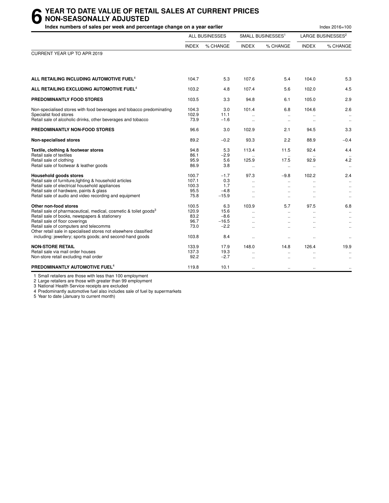#### **6** YEAR TO DATE VALUE OF RETAIL SALES AT CURRENT PRICES<br> **6** NON-SEASONALLY ADJUSTED<br>
Index numbers of sales per week and percentage change on a vear earlier **NON-SEASONALLY ADJUSTED**

| Index numbers of sales per week and percentage change on a year earlier                                                                                                                                                                                                                                                                                             |                                                 |                                                   |                                                                                    |                                                     |                                          | Index 2016=100                                                     |
|---------------------------------------------------------------------------------------------------------------------------------------------------------------------------------------------------------------------------------------------------------------------------------------------------------------------------------------------------------------------|-------------------------------------------------|---------------------------------------------------|------------------------------------------------------------------------------------|-----------------------------------------------------|------------------------------------------|--------------------------------------------------------------------|
|                                                                                                                                                                                                                                                                                                                                                                     |                                                 | <b>ALL BUSINESSES</b>                             |                                                                                    | SMALL BUSINESSES <sup>1</sup>                       |                                          | LARGE BUSINESSES <sup>2</sup>                                      |
|                                                                                                                                                                                                                                                                                                                                                                     | <b>INDEX</b>                                    | % CHANGE                                          | <b>INDEX</b>                                                                       | % CHANGE                                            | <b>INDEX</b>                             | % CHANGE                                                           |
| CURRENT YEAR UP TO APR 2019                                                                                                                                                                                                                                                                                                                                         |                                                 |                                                   |                                                                                    |                                                     |                                          |                                                                    |
| ALL RETAILING INCLUDING AUTOMOTIVE FUEL <sup>4</sup>                                                                                                                                                                                                                                                                                                                | 104.7                                           | 5.3                                               | 107.6                                                                              | 5.4                                                 | 104.0                                    | 5.3                                                                |
| ALL RETAILING EXCLUDING AUTOMOTIVE FUEL <sup>4</sup>                                                                                                                                                                                                                                                                                                                | 103.2                                           | 4.8                                               | 107.4                                                                              | 5.6                                                 | 102.0                                    | 4.5                                                                |
| PREDOMINANTLY FOOD STORES                                                                                                                                                                                                                                                                                                                                           | 103.5                                           | 3.3                                               | 94.8                                                                               | 6.1                                                 | 105.0                                    | 2.9                                                                |
| Non-specialised stores with food beverages and tobacco predominating<br>Specialist food stores<br>Retail sale of alcoholic drinks, other beverages and tobacco                                                                                                                                                                                                      | 104.3<br>102.9<br>73.9                          | 3.0<br>11.1<br>$-1.6$                             | 101.4<br>$\ddot{\phantom{a}}$                                                      | 6.8<br>$\ddot{\phantom{a}}$<br>$\ddot{\phantom{a}}$ | 104.6<br>$\ddot{\phantom{a}}$            | 2.6<br>$\ddotsc$<br>$\ddotsc$                                      |
| PREDOMINANTLY NON-FOOD STORES                                                                                                                                                                                                                                                                                                                                       | 96.6                                            | 3.0                                               | 102.9                                                                              | 2.1                                                 | 94.5                                     | 3.3                                                                |
| Non-specialised stores                                                                                                                                                                                                                                                                                                                                              | 89.2                                            | $-0.2$                                            | 93.3                                                                               | 2.2                                                 | 88.9                                     | $-0.4$                                                             |
| Textile, clothing & footwear stores<br>Retail sale of textiles<br>Retail sale of clothing<br>Retail sale of footwear & leather goods                                                                                                                                                                                                                                | 94.8<br>86.1<br>95.9<br>86.9                    | 5.3<br>$-2.9$<br>5.6<br>3.8                       | 113.4<br>125.9<br>$\ddot{\phantom{1}}$                                             | 11.5<br>17.5<br>$\ddotsc$                           | 92.4<br>92.9<br>$\ddotsc$                | 4.4<br>4.2<br>$\ldots$                                             |
| <b>Household goods stores</b><br>Retail sale of furniture, lighting & household articles<br>Retail sale of electrical household appliances<br>Retail sale of hardware, paints & glass<br>Retail sale of audio and video recording and equipment                                                                                                                     | 100.7<br>107.1<br>100.3<br>95.5<br>75.8         | $-1.7$<br>0.3<br>1.7<br>$-4.8$<br>$-15.9$         | 97.3<br>$\ddotsc$<br>$\ddot{\phantom{a}}$<br>÷.                                    | $-9.8$<br>$\ddot{\phantom{a}}$                      | 102.2                                    | 2.4<br>$\ddot{\phantom{a}}$<br>$\ddotsc$<br>$\ddotsc$<br>$\ddotsc$ |
| Other non-food stores<br>Retail sale of pharmaceutical, medical, cosmetic & toilet goods <sup>3</sup><br>Retail sale of books, newspapers & stationery<br>Retail sale of floor coverings<br>Retail sale of computers and telecomms<br>Other retail sale in specialised stores not elsewhere classified<br>including: jewellery; sports goods; and second-hand goods | 100.5<br>120.9<br>83.2<br>96.7<br>73.0<br>103.8 | 6.3<br>15.6<br>$-8.6$<br>$-16.5$<br>$-2.2$<br>8.4 | 103.9<br>$\mathbf{r}$<br>$\ddot{\phantom{a}}$<br>$\ddot{\phantom{1}}$<br>$\ddotsc$ | 5.7<br>$\ddotsc$<br>$\cdot$ .<br>$\ddotsc$          | 97.5<br>$\sim$<br>$\ddotsc$<br>$\ddotsc$ | 6.8<br>$\ldots$<br>$\ldots$<br>$\ddotsc$<br>$\ldots$<br>$\ddotsc$  |
| <b>NON-STORE RETAIL</b><br>Retail sale via mail order houses<br>Non-store retail excluding mail order                                                                                                                                                                                                                                                               | 133.9<br>137.3<br>92.2                          | 17.9<br>19.3<br>$-2.7$                            | 148.0<br>$\ddot{\phantom{a}}$                                                      | 14.8<br>$\ddotsc$                                   | 126.4                                    | 19.9<br>$\ddotsc$                                                  |
| PREDOMINANTLY AUTOMOTIVE FUEL <sup>4</sup>                                                                                                                                                                                                                                                                                                                          | 119.8                                           | 10.1                                              | $\ddot{\phantom{a}}$                                                               | $\ddotsc$                                           | $\ddotsc$                                | $\ldots$                                                           |

1 Small retailers are those with less than 100 employment

2 Large retailers are those with greater than 99 employment

3 National Health Service receipts are excluded

4 Predominantly automotive fuel also includes sale of fuel by supermarkets

5 Year to date (January to current month)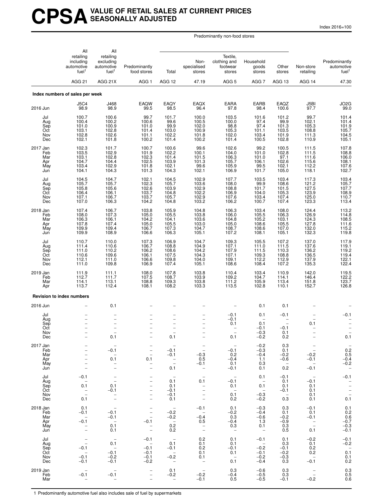### **CPSAVALUE OF RETAIL SALES AT CURRENT PRICES SEASONALLY ADJUSTED**

Index 2016=100

Predominantly non-food stores

|                                             | All<br>retailing<br>including<br>automotive<br>fuel <sup>1</sup>      | All<br>retailing<br>excluding<br>automotive<br>fuel <sup>1</sup>                          | Predominantly<br>food stores                                                                                                      | Total                                                                                                                     | Non-<br>specialised<br>stores                                                    | Textile,<br>clothing and<br>footwear<br>stores                                      | Household<br>goods<br>stores                                                           | Other<br>stores                                                   | Non-store<br>retailing                                                                        | Predominantly<br>automotive<br>fuel <sup>1</sup>                 |
|---------------------------------------------|-----------------------------------------------------------------------|-------------------------------------------------------------------------------------------|-----------------------------------------------------------------------------------------------------------------------------------|---------------------------------------------------------------------------------------------------------------------------|----------------------------------------------------------------------------------|-------------------------------------------------------------------------------------|----------------------------------------------------------------------------------------|-------------------------------------------------------------------|-----------------------------------------------------------------------------------------------|------------------------------------------------------------------|
|                                             | <b>AGG 21</b>                                                         | AGG 21X                                                                                   | AGG <sub>1</sub>                                                                                                                  | AGG 12                                                                                                                    | 47.19                                                                            | AGG <sub>5</sub>                                                                    | AGG <sub>7</sub>                                                                       | AGG 13                                                            | AGG 14                                                                                        | 47.30                                                            |
|                                             | Index numbers of sales per week                                       |                                                                                           |                                                                                                                                   |                                                                                                                           |                                                                                  |                                                                                     |                                                                                        |                                                                   |                                                                                               |                                                                  |
| 2016 Jun                                    | <b>J5C4</b><br>98.9                                                   | J468<br>98.9                                                                              | <b>EAQW</b><br>99.5                                                                                                               | EAQY<br>98.5                                                                                                              | <b>EAQX</b><br>96.4                                                              | EARA<br>97.8                                                                        | EARB<br>98.4                                                                           | EAQZ<br>100.6                                                     | J5BI<br>97.7                                                                                  | JO2G<br>99.0                                                     |
| Jul<br>Aug<br>Sep<br>Oct<br>Nov<br>Dec      | 100.7<br>100.4<br>101.0<br>103.1<br>102.8<br>102.1                    | 100.6<br>100.2<br>100.9<br>102.8<br>102.6<br>101.8                                        | 99.7<br>100.6<br>101.0<br>101.4<br>101.1<br>100.2                                                                                 | 101.7<br>99.6<br>99.9<br>103.0<br>102.2<br>101.4                                                                          | 100.0<br>100.5<br>102.0<br>100.9<br>101.8<br>100.2                               | 103.5<br>100.0<br>98.8<br>105.3<br>102.0<br>101.4                                   | 101.6<br>97.4<br>97.4<br>101.1<br>103.4<br>100.5                                       | 101.2<br>99.9<br>101.3<br>103.5<br>101.9<br>102.8                 | 99.7<br>102.1<br>105.3<br>108.8<br>111.3<br>110.9                                             | 101.4<br>101.4<br>101.9<br>105.7<br>104.5<br>105.1               |
| 2017 Jan<br>Feb<br>Mar<br>Apr<br>May<br>Jun | 102.3<br>103.5<br>103.1<br>104.7<br>103.4<br>104.1                    | 101.7<br>102.9<br>102.8<br>104.4<br>102.9<br>104.3                                        | 100.7<br>101.9<br>102.3<br>102.5<br>101.8<br>101.3                                                                                | 100.6<br>102.2<br>101.4<br>103.9<br>102.1<br>104.3                                                                        | 99.6<br>100.1<br>$101.5$<br>$101.3$<br>99.6<br>102.1                             | 102.6<br>104.0<br>106.3<br>105.7<br>105.9<br>106.9                                  | 99.2<br>101.0<br>101.0<br>106.1<br>99.5<br>101.7                                       | 100.5<br>102.8<br>97.1<br>102.6<br>102.1<br>105.0                 | 111.5<br>111.5<br>111.6<br>115.6<br>112.2<br>118.1                                            | 107.8<br>108.8<br>106.0<br>108.1<br>107.6<br>102.7               |
| Jul<br>Aug<br>Sep<br>Oct<br>Nov<br>Dec      | 104.5<br>105.7<br>105.8<br>106.4<br>107.1<br>107.0                    | 104.7<br>105.7<br>105.6<br>106.1<br>106.7<br>106.3                                        | 102.1<br>102.3<br>102.6<br>103.7<br>103.7<br>104.2                                                                                | 104.5<br>105.7<br>103.9<br>104.8<br>105.7<br>104.8                                                                        | 102.9<br>103.6<br>102.9<br>102.2<br>102.9<br>103.2                               | 107.7<br>108.0<br>108.8<br>106.9<br>107.6<br>106.2                                  | 103.5<br>99.9<br>101.7<br>104.0<br>103.4<br>100.7                                      | 103.4<br>108.6<br>101.5<br>105.3<br>107.4<br>107.4                | 117.3<br>121.2<br>127.5<br>123.9<br>125.0<br>123.3                                            | 103.4<br>105.7<br>107.7<br>$\frac{108.9}{110.7}$<br>113.4        |
| 2018 Jan<br>Feb<br>Mar<br>Apr<br>May<br>Jun | 107.4<br>108.0<br>106.3<br>107.8<br>109.9<br>109.9                    | 106.7<br>107.3<br>106.1<br>107.4<br>109.4<br>108.9                                        | 103.8<br>105.0<br>104.2<br>105.0<br>106.7<br>106.6                                                                                | 105.9<br>105.5<br>104.1<br>105.5<br>107.3<br>106.3                                                                        | 104.8<br>103.8<br>103.6<br>103.0<br>104.7<br>105.1                               | 106.3<br>106.0<br>104.8<br>105.0<br>108.7<br>107.2                                  | 103.4<br>105.5<br>105.2<br>108.6<br>108.6<br>108.1                                     | 108.0<br>106.3<br>103.1<br>105.5<br>107.0<br>105.1                | 124.4<br>126.9<br>124.3<br>127.8<br>132.0<br>132.3                                            | 113.2<br>114.8<br>108.5<br>111.6<br>115.2<br>119.8               |
| Jul<br>Aug<br>Sep<br>Oct<br>Nov<br>Dec      | 110.7<br>111.4<br>111.0<br>110.6<br>112.1<br>111.0                    | 110.0<br>110.6<br>110.2<br>109.6<br>111.0<br>109.8                                        | 107.3<br>106.7<br>106.2<br>106.1<br>106.6<br>106.9                                                                                | 106.9<br>108.8<br>108.6<br>107.5<br>109.8<br>107.4                                                                        | 104.7<br>104.9<br>104.2<br>104.3<br>104.0<br>105.1                               | 109.3<br>107.1<br>107.9<br>107.1<br>109.1<br>108.6                                  | 105.5<br>111.0<br>111.5<br>109.3<br>112.2<br>108.4                                     | 107.2<br>111.5<br>110.3<br>108.8<br>112.9<br>107.2                | 137.0<br>137.6<br>136.2<br>136.5<br>137.9<br>135.3                                            | 117.9<br>119.1<br>119.2<br>119.4<br>122.1<br>122.4               |
| 2019 Jan<br>Feb<br>Mar<br>Apr               | 111.9<br>112.7<br>114.1<br>113.7                                      | 111.1<br>111.7<br>113.1<br>112.4                                                          | 108.0<br>107.5<br>108.8<br>108.1                                                                                                  | 107.8<br>108.7<br>109.3<br>108.2                                                                                          | 103.8<br>103.9<br>103.8<br>103.3                                                 | 110.4<br>109.2<br>111.2<br>113.5                                                    | 103.4<br>104.7<br>105.9<br>102.8                                                       | 110.9<br>114.1<br>113.4<br>110.1                                  | 142.0<br>146.4<br>151.8<br>152.7                                                              | 119.5<br>122.2<br>123.7<br>126.8                                 |
|                                             | <b>Revision to index numbers</b>                                      |                                                                                           |                                                                                                                                   |                                                                                                                           |                                                                                  |                                                                                     |                                                                                        |                                                                   |                                                                                               |                                                                  |
| 2016 Jun<br>Jul                             |                                                                       | 0.1                                                                                       |                                                                                                                                   | -                                                                                                                         |                                                                                  | $-0.1$                                                                              | 0.1<br>0.1                                                                             | 0.1<br>$-0.1$                                                     |                                                                                               | $-0.1$                                                           |
| Aug<br>Sep<br>Oct<br>Nov<br>Dec             | $\overline{a}$                                                        | $\frac{1}{2}$<br>0.1                                                                      | $\overline{\phantom{a}}$<br>$\overline{a}$                                                                                        | $\overline{\phantom{0}}$<br>$\overline{\phantom{0}}$<br>0.1                                                               | $\qquad \qquad -$                                                                | $-0.1$<br>0.1<br>0.1                                                                | $0.\overline{1}$<br>$-0.1$<br>$-0.3$<br>$-0.2$                                         | $-0.1$<br>0.1<br>0.2                                              | 0.1<br>$\qquad \qquad -$                                                                      | 0.1                                                              |
| 2017 Jan<br>Feb<br>Mar<br>Apr<br>May<br>Jun |                                                                       | $-0.1$<br>0.1<br>$\overline{\phantom{a}}$<br>$\overline{\phantom{0}}$                     | $\overline{\phantom{0}}$<br>$\overline{\phantom{0}}$<br>0.1<br>$\overline{a}$<br>$\overline{\phantom{0}}$                         | $-0.1$<br>$-0.1$<br>$\overline{\phantom{a}}$<br>$\overline{\phantom{a}}$<br>0.1                                           | $\bar{\Box}$<br>$-0.3$<br>0.5<br>$-0.1$                                          | $-0.1$<br>0.2<br>$-0.4$<br>0.1<br>$-0.1$                                            | $^{-0.2}_{-0.3}$<br>$-0.4$<br>1.1<br>0.3<br>0.1                                        | 0.3<br>0.1<br>$-0.2$<br>$-0.6$<br>$\overline{\phantom{a}}$<br>0.2 | $\overline{\phantom{a}}$<br>$-0.2$<br>$-0.1$<br>$\overline{\phantom{a}}$<br>$-0.1$            | $0.\overline{2}$<br>0.5<br>$-0.4$<br>$-0.2$<br>$\qquad \qquad -$ |
| Jul<br>Aug<br>Sep<br>Oct<br>Nov<br>Dec      | $-0.1$<br>0.1<br>$\overline{\phantom{m}}$<br>$\qquad \qquad -$<br>0.1 | $\bar{a}$<br>0.1<br>$-0.1$<br>$\qquad \qquad -$<br>$\bar{a}$                              | $\overline{\phantom{0}}$<br>$\overline{\phantom{0}}$<br>$\qquad \qquad -$<br>$\overline{\phantom{0}}$<br>$\overline{\phantom{0}}$ | $\hspace{0.1mm}-\hspace{0.1mm}$<br>0.1<br>0.1<br>$-0.1$<br>$-0.1$<br>0.1                                                  | $\overline{\phantom{a}}$<br>0.1<br>$\overline{\phantom{a}}$<br>$\qquad \qquad -$ | $\overline{\phantom{a}}$<br>$-0.1$<br>0.1<br>$\overline{\phantom{a}}$<br>0.1<br>0.2 | 0.1<br>$\overline{\phantom{a}}$<br>0.1<br>$\overline{\phantom{a}}$<br>$-0.3$<br>$-0.2$ | $-0.1$<br>0.1<br>0.1<br>$-0.1$<br>$\overline{\phantom{0}}$<br>0.3 | $\hspace{0.1mm}-\hspace{0.1mm}$<br>$-0.1$<br>0.1<br>0.1<br>0.1<br>0.1                         | $-0.1$<br>$\frac{1}{2}$<br>$\frac{1}{2}$<br>0.1                  |
| 2018 Jan<br>Feb<br>Mar<br>Apr<br>May<br>Jun | 0.1<br>$-0.1$<br>$\overline{\phantom{m}}$<br>$-0.1$<br>$\bar{a}$      | $\overline{\phantom{a}}$<br>$-0.1$<br>$-0.1$<br>$\overline{\phantom{a}}$<br>0.1<br>0.1    | -<br>$\overline{\phantom{a}}$<br>$-0.1$<br>$\overline{\phantom{0}}$<br>$\overline{\phantom{0}}$                                   | $\hspace{0.1mm}-\hspace{0.1mm}$<br>$-0.2$<br>$-0.2$<br>$\hspace{0.1mm}-\hspace{0.1mm}$<br>0.2<br>0.2                      | $-0.1$<br>$\overline{\phantom{a}}$<br>$-0.4$<br>0.5<br>$\bar{a}$                 | 0.1<br>$-0.2$<br>0.3<br>-0.4<br>0.3<br>$\overline{\phantom{m}}$                     | $-0.3$<br>$-0.4$<br>$-0.6$<br>1.3<br>0.1<br>$\overline{\phantom{0}}$                   | 0.3<br>0.1<br>$-0.2$<br>$-0.9$<br>0.3<br>0.5                      | $-0.1$<br>0.1<br>$-0.1$<br>$\hspace{0.1mm}-\hspace{0.1mm}$<br>$\overline{\phantom{a}}$<br>0.1 | 0.1<br>$0.2 \\ 0.6$<br>$-0.7$<br>$-0.3$<br>$-0.1$                |
| Jul<br>Aug<br>Sep<br>Oct<br>Nov<br>Dec      | $\equiv$<br>$-0.1$<br>$\qquad \qquad -$<br>$-0.1$<br>$-0.1$           | $\overline{\phantom{a}}$<br>0.1<br>$\overline{\phantom{a}}$<br>$-0.1$<br>$-0.2$<br>$-0.1$ | $-0.1$<br>$\overline{\phantom{a}}$<br>$-0.1$<br>$-0.1$<br>$-0.1$<br>-0.2                                                          | $\hspace{0.1mm}-\hspace{0.1mm}$<br>0.1<br>$-0.1$<br>$\hspace{0.1mm}-\hspace{0.1mm}$<br>$-0.2$<br>$\overline{\phantom{a}}$ | $0.2 \\ 0.1$<br>0.2<br>0.1<br>0.1<br>$\overline{\phantom{a}}$                    | 0.1<br>0.1<br>$-0.1$<br>0.1<br>$\overline{\phantom{0}}$<br>0.1                      | $-0.1$<br>$\overline{\phantom{a}}$<br>$-0.2$<br>$-0.1$<br>$-0.2$<br>$-0.4$             | 0.1<br>0.3<br>$-0.1$<br>$-0.2$<br>$-0.3$<br>0.3                   | $-0.2$<br>0.1<br>0.2<br>0.2<br>$\hspace{0.1mm}-\hspace{0.1mm}$<br>$-0.1$                      | $-0.1$<br>$-0.2$<br>$0.\overline{1}$<br>0.1<br>0.2               |
| 2019 Jan<br>Feb<br>Mar                      | $-0.1$<br>$\overline{\phantom{a}}$                                    | $\overline{\phantom{0}}$<br>$-0.1$<br>$\overline{\phantom{0}}$                            | $\overline{\phantom{0}}$<br>$\overline{\phantom{0}}$                                                                              | 0.1<br>$-0.2$<br>$\qquad \qquad -$                                                                                        | $\overline{\phantom{a}}$<br>$-0.2$<br>$-0.1$                                     | 0.3<br>$-0.4$<br>0.5                                                                | $-0.6$<br>$-0.5$<br>$-0.5$                                                             | 0.3<br>0.3<br>$-0.1$                                              | $\overline{\phantom{m}}$<br>$\overline{\phantom{a}}$<br>$-0.2$                                | 0.3<br>0.5<br>0.6                                                |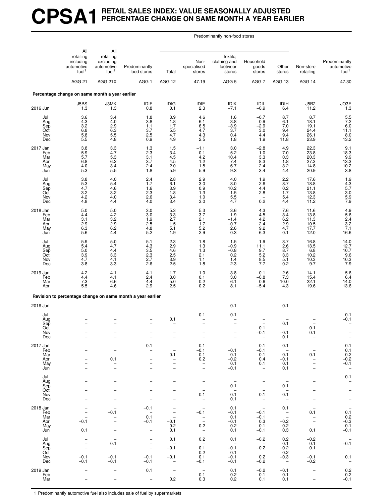# **CPSA1 RETAIL SALES INDEX: VALUE SEASONALLY ADJUSTED PERCENTAGE CHANGE ON SAME MONTH A YEAR EARLIER**

Predominantly non-food stores

|                                             | All<br>retailing                                        | All<br>retailing                                                                                             |                                                                                                      |                                                                                                      |                                                                                              | Textile,                                                                              |                                                                                           |                                                                                                                                        |                                                                                         |                                                                                                      |
|---------------------------------------------|---------------------------------------------------------|--------------------------------------------------------------------------------------------------------------|------------------------------------------------------------------------------------------------------|------------------------------------------------------------------------------------------------------|----------------------------------------------------------------------------------------------|---------------------------------------------------------------------------------------|-------------------------------------------------------------------------------------------|----------------------------------------------------------------------------------------------------------------------------------------|-----------------------------------------------------------------------------------------|------------------------------------------------------------------------------------------------------|
|                                             | including<br>automotive<br>fuel <sup>1</sup>            | excluding<br>automotive<br>fuel <sup>1</sup>                                                                 | Predominantly<br>food stores                                                                         | Total                                                                                                | Non-<br>specialised<br>stores                                                                | clothing and<br>footwear<br>stores                                                    | Household<br>goods<br>stores                                                              | Other<br>stores                                                                                                                        | Non-store<br>retailing                                                                  | Predominantly<br>automotive<br>fuel <sup>1</sup>                                                     |
|                                             | AGG <sub>21</sub>                                       | AGG 21X                                                                                                      | AGG <sub>1</sub>                                                                                     | AGG 12                                                                                               | 47.19                                                                                        | AGG <sub>5</sub>                                                                      | AGG <sub>7</sub>                                                                          | AGG 13                                                                                                                                 | AGG 14                                                                                  | 47.30                                                                                                |
|                                             | Percentage change on same month a year earlier          |                                                                                                              |                                                                                                      |                                                                                                      |                                                                                              |                                                                                       |                                                                                           |                                                                                                                                        |                                                                                         |                                                                                                      |
| 2016 Jun                                    | J5BS<br>1.3                                             | J3MK<br>1.3                                                                                                  | IDIF<br>0.8                                                                                          | <b>IDIG</b><br>0.1                                                                                   | IDIE<br>2.3                                                                                  | <b>IDIK</b><br>$-7.1$                                                                 | IDIL<br>$-0.9$                                                                            | <b>IDIH</b><br>6.4                                                                                                                     | <b>J5B2</b><br>11.2                                                                     | JO3E<br>1.3                                                                                          |
| Jul<br>Aug<br>Sep<br>Oct<br>Nov<br>Dec      | 3.6<br>4.3<br>3.2<br>6.8<br>$5.\overline{8}$<br>5.5     | 3.4<br>4.0<br>$\begin{array}{c} 2.9 \\ 6.3 \\ 5.5 \end{array}$<br>4.8                                        | 1.8<br>3.8<br>1.1<br>3.7<br>2.5<br>0.9                                                               | 3.9<br>1.8<br>1.7<br>$\frac{5.5}{4.7}$<br>4.9                                                        | 4.6<br>6.1<br>6.5<br>4.7<br>$4.3\,$<br>2.5                                                   | 1.6<br>$-3.8$<br>$-3.9$<br>3.7<br>0.4<br>1.8                                          | $-0.7$<br>$-0.9$<br>$-2.9$<br>3.0<br>4.4<br>1.9                                           | 8.7<br>6.1<br>7.0<br>9.4<br>9.4<br>11.8                                                                                                | 8.7<br>18.1<br>19.1<br>24.4<br>26.1<br>23.9                                             | 5.5<br>7.2<br>6.0<br>11.1<br>8.0<br>13.2                                                             |
| 2017 Jan<br>Feb<br>Mar<br>Apr<br>May<br>Jun | 3.8<br>5.9<br>5.7<br>6.8<br>4.0<br>5.3                  | 3.3<br>4.7<br>5.3<br>6.2<br>3.4<br>5.5                                                                       | 1.3<br>2.3<br>3.1<br>3.7<br>2.4<br>1.8                                                               | 1.5<br>3.4<br>4.5<br>4.5<br>2.0<br>5.9                                                               | $-1.1$<br>0.1<br>$4.2$<br>$1.2$<br>$-1.5$<br>5.9                                             | 3.0<br>5.2<br>10.4<br>7.4<br>6.7<br>9.3                                               | $-2.8$<br>$-1.0$<br>3.3<br>8.3<br>$-2.4$<br>3.4                                           | 4.9<br>7.0<br>0.3<br>1.8<br>$3.2$<br>$4.4$                                                                                             | 22.3<br>23.8<br>20.3<br>27.3<br>14.8<br>20.9                                            | $9.1$<br>$18.3$<br>$9.9$<br>$13.3$<br>$\frac{10.2}{3.8}$                                             |
| Jul<br>Aug<br>Sep<br>Oct<br>Nov<br>Dec      | $\frac{3.8}{5.3}$<br>4.7<br>$\frac{3.2}{4.2}$<br>4.8    | 4.0<br>5.4<br>4.6<br>$3.2\,$<br>4.0<br>4.4                                                                   | 2.4<br>1.7<br>1.6<br>2.3<br>2.6<br>4.0                                                               | $^{2.8}_{6.1}$<br>3.9<br>1.8<br>3.4<br>3.4                                                           | $\frac{2.9}{3.0}$<br>0.9<br>$1.3$<br>1.0<br>3.0                                              | 4.0<br>8.0<br>10.2<br>$\frac{1.5}{5.5}$<br>4.7                                        | 1.9<br>2.6<br>4.4<br>2.8<br>0.2                                                           | $\frac{2.2}{8.7}$<br>0.2<br>1.7<br>5.4<br>4.4                                                                                          | 17.6<br>18.8<br>21.1<br>13.8<br>12.3<br>11.2                                            | $1.9$<br>$4.3$<br>$5.7$<br>$3.0$<br>$5.9$<br>$7.9$                                                   |
| 2018 Jan<br>Feb<br>Mar<br>Apr<br>May<br>Jun | 5.0<br>4.4<br>3.1<br>2.9<br>6.3<br>5.6                  | 5.0<br>4.2<br>$\frac{3.2}{2.9}$<br>$6.\overline{2}$<br>4.4                                                   | 3.0<br>3.0<br>$\frac{1.9}{2.5}$<br>4.8<br>5.2                                                        | $\frac{5.3}{3.3}$<br>2.7<br>1.5<br>5.1<br>1.9                                                        | $\frac{5.3}{3.7}$<br>2.1<br>1.7<br>$5.2\,$<br>2.9                                            | 3.6<br>1.9<br>$-1.4$<br>$-0.7$<br>2.6<br>0.3                                          | 4.3<br>4.5<br>4.2<br>2.4<br>$9.2\,$<br>6.3                                                | 7.6<br>3.4<br>$6.2$<br>$2.9$<br>$4.7$<br>0.1                                                                                           | 11.6<br>13.8<br>11.3<br>10.5<br>17.7<br>12.0                                            | $4.9$<br>5.6<br>2.4<br>3.2<br>3.2<br>7.1<br>16.6                                                     |
| Jul<br>Aug<br>Sep<br>Oct<br>Nov<br>Dec      | 5.9<br>5.4<br>5.0<br>3.9<br>4.7<br>3.8                  | 5.0<br>4.7<br>4.4<br>3.3<br>4.1<br>3.3                                                                       | 5.1<br>4.3<br>3.5<br>2.3<br>2.7<br>2.6                                                               | 2.3<br>$^{2.9}_{4.6}$<br>$2.\overline{5}$<br>$\frac{3.9}{2.5}$                                       | 1.8<br>$\frac{1.3}{1.3}$<br>2.1<br>1.1<br>1.8                                                | 1.5<br>$-0.9$<br>$-0.8$<br>0.2<br>1.4<br>2.3                                          | 1.9<br>11.1<br>9.7<br>5.2<br>$8.5$<br>7.7                                                 | 3.7<br>2.6<br>$\overline{8.7}$<br>3.3<br>5.1<br>$-0.2$                                                                                 | 16.8<br>13.5<br>6.8<br>10.2<br>10.3<br>9.7                                              | 14.0<br>$12.7$<br>$10.7$<br>$9.6$<br>$10.3$<br>$7.9$                                                 |
| 2019 Jan<br>Feb<br>Mar<br>Apr               | 4.2<br>4.4<br>7.3<br>5.5                                | 4.1<br>4.1<br>6.6<br>4.6                                                                                     | 4.1<br>2.4<br>4.4<br>2.9                                                                             | 1.7<br>3.0<br>5.0<br>2.5                                                                             | $-1.0$<br>0.1<br>0.2<br>0.2                                                                  | 3.8<br>3.0<br>6.1<br>8.1                                                              | 0.1<br>$-0.8$<br>0.6<br>$-5.4$                                                            | 2.6<br>7.3<br>10.0<br>4.3                                                                                                              | 14.1<br>15.4<br>22.1<br>19.6                                                            | $5.6$<br>$6.4$<br>$14.0$<br>13.6                                                                     |
|                                             |                                                         |                                                                                                              | Revision to percentage change on same month a year earlier                                           |                                                                                                      |                                                                                              |                                                                                       |                                                                                           |                                                                                                                                        |                                                                                         |                                                                                                      |
| 2016 Jun                                    |                                                         |                                                                                                              |                                                                                                      |                                                                                                      |                                                                                              | $-0.1$                                                                                |                                                                                           | 0.1                                                                                                                                    |                                                                                         |                                                                                                      |
| Jul<br>Aug<br>Sep<br>Oct<br>Nov<br>Dec      |                                                         | $\overline{\phantom{0}}$                                                                                     | $\qquad \qquad -$<br>$\qquad \qquad -$                                                               | 0.1<br>$\overline{\phantom{0}}$<br>-                                                                 | $-0.1$                                                                                       | $-0.1$<br>$\overline{\phantom{0}}$<br>$\overline{\phantom{0}}$                        | $-0.1$<br>$-0.1$                                                                          | 0.1<br>$-0.1$<br>0.1                                                                                                                   | 0.1<br>0.1                                                                              | $-0.1$<br>$-0.1$                                                                                     |
| 2017 Jan<br>Feb<br>Mar<br>Apr<br>May<br>Jun | $\qquad \qquad -$<br>-<br>$\overline{\phantom{0}}$      | $\overline{a}$<br>÷,<br>0.1<br>$\overline{\phantom{0}}$<br>$\overline{a}$                                    | $-0.1$<br>$\qquad \qquad -$<br>$\qquad \qquad -$<br>$\qquad \qquad -$                                | $\overline{\phantom{0}}$<br>$\overline{\phantom{0}}$<br>$-0.1$<br>-<br>$\overline{\phantom{0}}$<br>- | $-0.1$<br>$-0.1$<br>$-0.1$<br>0.2<br>$\overline{\phantom{0}}$<br>$\qquad \qquad -$           | $\overline{\phantom{a}}$<br>$-0.1$<br>0.1<br>$-0.2$<br>0.1<br>$-0.1$                  | $-0.1$<br>$-0.1$<br>$-0.1$<br>0.4<br>0.1<br>$\qquad \qquad -$                             | 0.1<br>$\hspace{0.1mm}$<br>$-0.1$<br>$-0.1$<br>0.1<br>0.1                                                                              | $-0.1$                                                                                  | 0.1<br>0.1<br>$-0.2$<br>-0.2<br>-0.1<br>$\overline{\phantom{a}}$                                     |
| Jul<br>Aug<br>Sep<br>Oct<br>Nov<br>Dec      | $\overline{a}$<br>$\overline{\phantom{0}}$              | $\overline{\phantom{0}}$<br>$\overline{\phantom{0}}$<br>$\overline{\phantom{0}}$<br>$\overline{\phantom{0}}$ | $\qquad \qquad -$<br>$\overline{a}$<br>$\overline{\phantom{0}}$<br>$\overline{\phantom{0}}$          | -<br>$\overline{\phantom{0}}$<br>$\overline{\phantom{0}}$<br>-<br>$\overline{a}$                     | $\qquad \qquad -$<br>$\overline{\phantom{a}}$<br>$-0.1$<br>$\overline{\phantom{0}}$          | $\overline{\phantom{0}}$<br>$\equiv$<br>0.1<br>$\overline{\phantom{0}}$<br>0.1<br>0.1 | $\qquad \qquad -$<br>$\qquad \qquad -$<br>$-0.1$<br>$\overline{\phantom{a}}$              | $\hspace{1.0cm} - \hspace{1.0cm}$<br>$\overline{\phantom{a}}$<br>0.1<br>$\overline{\phantom{m}}$<br>$-0.1$<br>$\overline{\phantom{a}}$ | $\overline{\phantom{0}}$                                                                | $-0.1$<br>$\overline{\phantom{0}}$<br>$\frac{1}{1}$                                                  |
| 2018 Jan<br>Feb<br>Mar<br>Apr<br>May<br>Jun | $-0.1$<br>0.1                                           | $-0.1$<br>$\overline{\phantom{a}}$                                                                           | $-0.1$<br>$\overline{\phantom{a}}$<br>0.1<br>$-0.1$<br>$\overline{\phantom{a}}$<br>$\qquad \qquad -$ | $\overline{\phantom{0}}$<br>$\qquad \qquad -$<br>$\overline{\phantom{a}}$<br>$-0.1$<br>0.2<br>0.1    | $\overline{\phantom{0}}$<br>$-0.1$<br>$\bar{\Box}$<br>0.2<br>$\hspace{0.1mm}-\hspace{0.1mm}$ | 0.1<br>$-0.1$<br>0.1<br>$-0.1$<br>0.2<br>0.1                                          | $\hspace{0.1mm}-\hspace{0.1mm}$<br>$-0.1$<br>$-0.1$<br>0.3<br>$-0.1$<br>$-0.1$            | 0.1<br>$\bar{\mathbb{I}}$<br>$-0.2$<br>0.2<br>0.3                                                                                      | 0.1<br>$\qquad \qquad -$<br>$\overline{\phantom{0}}$<br>$\overline{\phantom{a}}$<br>0.1 | $0.\overline{1}$<br>0.2<br>$-0.3$<br>$-0.1$<br>$-0.1$                                                |
| Jul<br>Aug<br>Sep<br>Oct<br>Nov<br>Dec      | $\qquad \qquad -$<br>$\overline{a}$<br>$-0.1$<br>$-0.1$ | $\overline{\phantom{m}}$<br>0.1<br>$\overline{\phantom{a}}$<br>$\overline{\phantom{0}}$<br>$-0.1$<br>$-0.1$  | $\qquad \qquad -$<br>$\qquad \qquad -$<br>$\equiv$<br>$\qquad \qquad -$<br>$-0.1$<br>$-0.1$          | 0.1<br>$\overline{\phantom{a}}$<br>$-0.1$<br>$\overline{\phantom{a}}$<br>$-0.1$<br>$\qquad \qquad -$ | 0.2<br>$\qquad \qquad -$<br>0.1<br>0.2<br>0.1<br>$-0.1$                                      | 0.1<br>$\overline{\phantom{0}}$<br>$-0.1$<br>0.1<br>$-0.1$<br>$-0.1$                  | $-0.2$<br>$\overline{\phantom{0}}$<br>$-0.2$<br>$\overline{\phantom{0}}$<br>0.2<br>$-0.2$ | 0.2<br>0.1<br>$-0.2$<br>$-0.2$<br>$-0.3$<br>$\hspace{0.1mm}-\hspace{0.1mm}$                                                            | $-0.2$<br>0.1<br>0.1<br>$\overline{\phantom{a}}$<br>$-0.1$<br>$-0.2$                    | $\overline{\phantom{a}}$<br>$-0.1$<br>$\overline{a}$<br>$0.\overline{1}$<br>$\overline{\phantom{a}}$ |
| 2019 Jan<br>Feb<br>Mar                      |                                                         |                                                                                                              | 0.1<br>$\overline{\phantom{m}}$<br>$\overline{a}$                                                    | $\qquad \qquad -$<br>$\overline{\phantom{a}}$<br>0.2                                                 | $\overline{\phantom{a}}$<br>$-0.1$<br>0.3                                                    | 0.1<br>$-0.2$<br>0.2                                                                  | $-0.2$<br>$-0.1$<br>0.1                                                                   | $-0.1$<br>0.1<br>0.1                                                                                                                   | $\qquad \qquad -$<br>$\overline{\phantom{0}}$                                           | 0.2<br>0.2<br>$-0.1$                                                                                 |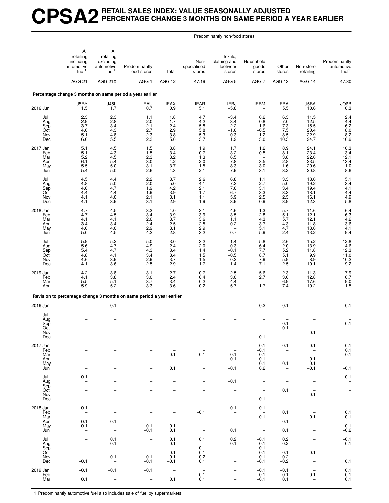## **CPSA2 RETAIL SALES INDEX: VALUE SEASONALLY ADJUSTED PERCENTAGE CHANGE 3 MONTHS ON SAME PERIOD A YEAR EARLIER**

Predominantly non-food stores

|                                                    | All                                                                 | All                                                                                                                  |                                                                                                                      |                                                                                                                            |                                                                |                                                                                                                                                    |                                                                                                                                             |                                                                                                                                |                                                                                                                                          |                                                                            |
|----------------------------------------------------|---------------------------------------------------------------------|----------------------------------------------------------------------------------------------------------------------|----------------------------------------------------------------------------------------------------------------------|----------------------------------------------------------------------------------------------------------------------------|----------------------------------------------------------------|----------------------------------------------------------------------------------------------------------------------------------------------------|---------------------------------------------------------------------------------------------------------------------------------------------|--------------------------------------------------------------------------------------------------------------------------------|------------------------------------------------------------------------------------------------------------------------------------------|----------------------------------------------------------------------------|
|                                                    | retailing<br>including<br>automotive<br>fuel <sup>1</sup>           | retailing<br>excluding<br>automotive<br>fuel <sup>1</sup>                                                            | Predominantly<br>food stores                                                                                         | Total                                                                                                                      | Non-<br>specialised<br>stores                                  | Textile,<br>clothing and<br>footwear<br>stores                                                                                                     | Household<br>goods<br>stores                                                                                                                | Other<br>stores                                                                                                                | Non-store<br>retailing                                                                                                                   | Predominantly<br>automotive<br>fuel <sup>1</sup>                           |
|                                                    | AGG <sub>21</sub>                                                   | AGG 21X                                                                                                              | AGG <sub>1</sub>                                                                                                     | AGG 12                                                                                                                     | 47.19                                                          | AGG <sub>5</sub>                                                                                                                                   | AGG <sub>7</sub>                                                                                                                            | AGG 13                                                                                                                         | AGG 14                                                                                                                                   | 47.30                                                                      |
|                                                    |                                                                     |                                                                                                                      | Percentage change 3 months on same period a year earlier                                                             |                                                                                                                            |                                                                |                                                                                                                                                    |                                                                                                                                             |                                                                                                                                |                                                                                                                                          |                                                                            |
| 2016 Jun                                           | J5BY<br>1.5                                                         | $J45L$<br>$1.7$                                                                                                      | <b>IEAU</b><br>0.7                                                                                                   | IEAX<br>0.9                                                                                                                | <b>IEAR</b><br>5.1                                             | <b>IEBJ</b><br>$-5.8$                                                                                                                              | <b>IEBM</b>                                                                                                                                 | IEBA<br>5.5                                                                                                                    | J5BA<br>10.6                                                                                                                             | $\bigcup_{0.3}$                                                            |
| Jul<br>Aug<br>Sep<br>Oct<br>Nov<br>Dec             | 2.3<br>2.9<br>3.7<br>4.6<br>5.1<br>6.0                              | $^{2.3}_{2.8}$<br>3.4<br>$^{4.3}_{4.8}$<br>5.5                                                                       | 1.1<br>2.0<br>2.1<br>$^{2.7}_{2.3}$<br>2.3                                                                           | $1.8$<br>1.7<br>2.4<br>$\frac{2.9}{3.8}$<br>5.0                                                                            | $^{4.7}_{4.2}$<br>5.8<br>$\frac{5.8}{5.3}$<br>3.7              | $-3.4$<br>$-3.4$<br>$-2.2$<br>$-1.6$<br>$-0.3$<br>1.9                                                                                              | 0.2<br>$-0.8$<br>$-1.6$<br>$-0.5$<br>1.2<br>3.0                                                                                             | 6.3<br>7.0<br>7.3<br>$7.5$<br>8.5<br>10.3                                                                                      | 11.5<br>12.5<br>15.5<br>20.4<br>22.9<br>24.7                                                                                             | 2.4<br>4.4<br>6.2<br>8.0<br>8.0<br>8.2<br>10.9                             |
| 2017 Jan<br>Feb<br>Mar<br>Apr<br>May<br>Jun        | 5.1<br>5.1<br>5.2<br>6.1<br>5.5<br>5.4                              | 4.5<br>4.3<br>$\frac{4.5}{5.4}$<br>5.0<br>5.0                                                                        | 1.5<br>1.5<br>$\frac{2.3}{3.0}$<br>3.1<br>2.6                                                                        | 3.8<br>3.4<br>$\frac{3.2}{4.2}$<br>$3.7\,$<br>4.3                                                                          | 1.9<br>0.7<br>$\frac{1.3}{2.0}$<br>1.5<br>2.1                  | 1.7<br>$3.2\,$<br>6.5<br>7.8<br>8.3<br>7.9                                                                                                         | 1.2<br>$-0.5$<br>$3.\overline{5}$<br>3.0<br>3.1                                                                                             | 8.9<br>8.1<br>$\frac{3.8}{2.8}$<br>$\overline{1.6}$<br>3.2                                                                     | 24.1<br>23.4<br>22.0<br>23.5<br>20.6<br>20.8                                                                                             | $10.3$<br>$13.4$<br>$12.1$<br>$13.4$<br>11.0<br>8.6                        |
| Jul<br>Aug<br>Sep<br>Oct<br>Nov<br>Dec             | 4.5<br>4.8<br>4.6<br>4.4<br>4.1<br>4.1                              | 4.4<br>5.0<br>4.7<br>4.4<br>4.0<br>3.9                                                                               | 2.2<br>2.0<br>1.9<br>1.9<br>2.1<br>3.1                                                                               | 3.7<br>$5.0\,$<br>4.2<br>3.9<br>3.1<br>2.9                                                                                 | 2.6<br>4.1<br>2.1<br>1.7<br>1.1<br>1.9                         | 6.8<br>7.2<br>7.6<br>6.7<br>$\frac{5.9}{3.9}$                                                                                                      | 1.1<br>2.7<br>3.1<br>3.3<br>$^{2.5}_{0.9}$                                                                                                  | 3.3<br>$5.0\,$<br>3.4<br>3.3<br>$\frac{2.3}{3.9}$                                                                              | 18.0<br>19.2<br>19.4<br>18.1<br>16.1<br>12.3                                                                                             | 5.1<br>$3.4$<br>$4.1$<br>$4.4$<br>$\frac{4.9}{5.8}$                        |
| 2018 <u>Jan</u><br>Feb<br>Mar<br>Apr<br>May<br>Jun | $\frac{4.7}{4.7}$<br>4.1<br>3.4<br>4.0<br>5.0                       | $\frac{4.5}{4.5}$<br>4.1<br>3.4<br>4.0<br>4.5                                                                        | $\frac{3.3}{3.4}$<br>2.6<br>$^{2.4}_{2.9}$<br>4.2                                                                    | $\frac{4.0}{3.9}$<br>$3.7\,$<br>2.5<br>3.1<br>2.8                                                                          | $\frac{3.1}{3.9}$<br>3.6<br>$2.5$<br>$2.9$<br>$3.2$            | $\frac{4.6}{3.5}$<br>1.1<br>$-0.2$<br>$\overline{\phantom{0}}$<br>0.7                                                                              | $\frac{1.3}{2.8}$<br>4.3<br>3.7<br>5.1<br>5.9                                                                                               | 5.7<br>5.1<br>$5.7\,$<br>$\frac{4.3}{4.7}$<br>2.4                                                                              | 11.6<br>12.1<br>12.1<br>11.8<br>13.0<br>13.2                                                                                             | 6.4<br>6.3<br>4.2<br>$3.6$<br>$4.1$<br>9.4                                 |
| Jul<br>Aug<br>Sep<br>Oct<br>Nov<br>Dec             | 5.9<br>5.6<br>5.4<br>4.8<br>4.6<br>4.1                              | 5.2<br>4.7<br>4.7<br>4.1<br>3.9<br>3.6                                                                               | 5.0<br>4.9<br>4.3<br>3.4<br>2.9<br>2.5                                                                               | 3.0<br>2.4<br>3.4<br>3.4<br>3.7<br>2.9                                                                                     | 3.2<br>2.0<br>$1.4$<br>$1.5$<br>1.5<br>1.7                     | 1.4<br>0.3<br>$-0.1$<br>$-0.5$<br>0.2<br>1.4                                                                                                       | 5.8<br>6.4<br>$7.7 \n8.7$<br>7.9<br>7.1                                                                                                     | 2.6<br>2.0<br>5.2<br>5.1<br>5.9<br>2.5                                                                                         | 15.2<br>13.9<br>11.8<br>9.9<br>8.9<br>10.1                                                                                               | 12.8<br>14.6<br>$\begin{array}{c} 12.3 \\ 11.0 \\ 10.2 \\ 9.2 \end{array}$ |
| 2019 Jan<br>Feb<br>Mar<br>Apr                      | 4.2<br>4.1<br>5.5<br>5.9                                            | 3.8<br>3.8<br>5.1<br>5.2                                                                                             | 3.1<br>3.0<br>3.7<br>3.3                                                                                             | 2.7<br>2.4<br>3.4<br>3.6                                                                                                   | 0.7<br>0.4<br>$-0.2$<br>0.2                                    | 2.5<br>3.0<br>4.4<br>5.7                                                                                                                           | 5.6<br>2.7<br>$\overline{\phantom{0}}$<br>$-1.7$                                                                                            | 2.3<br>$3.0\,$<br>$6.9$<br>$7.4$                                                                                               | 11.3<br>12.8<br>17.6<br>19.2                                                                                                             | $7.9$<br>6.7<br>9.0<br>11.5                                                |
|                                                    |                                                                     |                                                                                                                      | Revision to percentage change 3 months on same period a year earlier                                                 |                                                                                                                            |                                                                |                                                                                                                                                    |                                                                                                                                             |                                                                                                                                |                                                                                                                                          |                                                                            |
| 2016 Jun                                           |                                                                     | 0.1                                                                                                                  |                                                                                                                      |                                                                                                                            |                                                                |                                                                                                                                                    | 0.2                                                                                                                                         | $-0.1$                                                                                                                         |                                                                                                                                          | $-0.1$                                                                     |
| Jul<br>Aug<br>Sep<br>Oct<br>Nov<br>Dec             | $\overline{\phantom{0}}$                                            | $\overline{\phantom{a}}$<br>$\overline{\phantom{0}}$                                                                 | $\overline{\phantom{0}}$                                                                                             | ▃<br>$\overline{\phantom{0}}$                                                                                              |                                                                | $\overline{a}$<br>$\overline{\phantom{0}}$                                                                                                         | $\overline{a}$<br>$\overline{\phantom{0}}$<br>$-0.1$                                                                                        | 0.1<br>0.1                                                                                                                     | $\overline{\phantom{0}}$<br>0.1                                                                                                          | $-0.1$<br>$\qquad \qquad -$                                                |
| 2017 Jan<br>Feb<br>Mar<br>Apr<br>May<br>Jun        | $\overline{\phantom{0}}$<br>-                                       | $\overline{\phantom{a}}$<br>$\overline{\phantom{a}}$<br>$\overline{\phantom{0}}$<br>-<br>-                           | $\overline{\phantom{0}}$<br>$\overline{\phantom{0}}$<br>$\qquad \qquad -$<br>$\qquad \qquad -$<br>$\qquad \qquad -$  | -<br>$\overline{\phantom{0}}$<br>$-0.1$<br>$\qquad \qquad -$<br>$\qquad \qquad -$<br>0.1                                   | $\overline{\phantom{0}}$<br>$-0.1$<br>$\overline{\phantom{0}}$ | $\qquad \qquad -$<br>$\overline{\phantom{a}}$<br>0.1<br>-0.1<br>$\overline{\phantom{0}}$<br>$-0.1$                                                 | $-0.1$<br>$-0.1$<br>$-0.1$<br>0.1<br>0.1<br>0.2                                                                                             | 0.1<br>$\overline{\phantom{a}}$<br>$\qquad \qquad -$<br>$\overline{a}$<br>$-0.1$<br>$\qquad \qquad -$                          | 0.1<br>$\overline{\phantom{a}}$<br>$\overline{a}$<br>$-0.1$<br>$-0.1$<br>$-0.1$                                                          | 0.1<br>0.1<br>0.1<br>$\bar{\mathbb{I}}$<br>$-0.1$                          |
| Jul<br>Aug<br>Sep<br>Oct<br>Nov<br>Dec             | 0.1<br>-<br>$\overline{\phantom{0}}$<br>$\qquad \qquad -$           | $\overline{\phantom{0}}$<br>$\overline{a}$<br>L.<br>$\overline{\phantom{0}}$<br>$\overline{\phantom{0}}$             | $\overline{\phantom{0}}$<br>$\overline{\phantom{0}}$<br>$\overline{\phantom{0}}$<br>$\overline{a}$<br>$\overline{a}$ | $\overline{\phantom{0}}$<br>$\overline{\phantom{0}}$<br>$\overline{\phantom{0}}$<br>$\overline{a}$<br>-<br>-               | $\overline{\phantom{0}}$                                       | $\overline{\phantom{a}}$<br>$-0.1$<br>$\overline{\phantom{0}}$<br>$\overline{\phantom{0}}$<br>$\overline{\phantom{0}}$<br>$\overline{\phantom{a}}$ | $\overline{\phantom{0}}$<br>$\overline{\phantom{0}}$<br>$\qquad \qquad -$<br>$\overline{\phantom{m}}$<br>$\overline{\phantom{0}}$<br>$-0.1$ | $\overline{a}$<br>$\overline{\phantom{0}}$<br>$\overline{\phantom{0}}$<br>0.1<br>$\overline{\phantom{a}}$<br>$\qquad \qquad -$ | $\overline{\phantom{a}}$<br>$\qquad \qquad -$<br>$\overline{\phantom{a}}$<br>$\overline{\phantom{a}}$<br>0.1<br>$\overline{\phantom{a}}$ | $-0.1$<br>$\bar{a}$<br>$\frac{1}{1}$                                       |
| 2018 Jan<br>Feb<br>Mar<br>Apr<br>May<br>Jun        | 0.1<br>$\qquad \qquad -$<br>$\overline{a}$<br>$-0.1$<br>$-0.1$<br>- | -<br>$\overline{\phantom{0}}$<br>$\overline{\phantom{a}}$<br>$-0.1$<br>$\qquad \qquad -$<br>$\overline{\phantom{0}}$ | $-0.1$<br>$-0.1$                                                                                                     | $\overline{\phantom{0}}$<br>$\overline{\phantom{0}}$<br>$\overline{\phantom{0}}$<br>$\overline{\phantom{0}}$<br>0.1<br>0.1 | $-0.1$<br>$\overline{\phantom{0}}$<br>$\qquad \qquad -$        | 0.1<br>$\overline{\phantom{0}}$<br>$\overline{\phantom{0}}$<br>$\bar{a}$<br>0.1                                                                    | $-0.1$<br>$\qquad \qquad -$<br>$-0.1$<br>$\overline{\phantom{0}}$<br>$\overline{\phantom{a}}$<br>$\qquad \qquad -$                          | $\overline{\phantom{a}}$<br>0.1<br>$\overline{\phantom{a}}$<br>$-0.1$<br>$\overline{\phantom{m}}$<br>0.1                       | $\overline{a}$<br>$-0.1$<br>$\qquad \qquad -$<br>-<br>$\overline{\phantom{0}}$                                                           | $0.\overline{1}$<br>0.1<br>$-0.\overline{1}$<br>$-0.2$                     |
| Jul<br>Aug<br>Sep<br>Oct<br>Nov<br>Dec             | -<br>$\overline{\phantom{0}}$<br>$\overline{\phantom{0}}$<br>$-0.1$ | 0.1<br>0.1<br>$\overline{\phantom{0}}$<br>$\overline{\phantom{0}}$<br>$-0.1$<br>$\overline{\phantom{0}}$             | $\overline{\phantom{0}}$<br>$\qquad \qquad -$<br>$\bar{ }$<br>$-0.1$<br>$-0.1$                                       | 0.1<br>0.1<br>$\overline{\phantom{0}}$<br>$-0.1$<br>$-0.1$<br>$-0.1$                                                       | 0.1<br>$\overline{\phantom{m}}$<br>0.1<br>0.1<br>0.2<br>0.1    | 0.2<br>0.1<br>$\qquad \qquad -$<br>$\qquad \qquad -$<br>-<br>$\bar{\phantom{a}}$                                                                   | $-0.1$<br>$-0.1$<br>$-0.1$<br>$-0.1$<br>$-0.1$<br>$-0.1$                                                                                    | 0.2<br>0.2<br>$\overline{a}$<br>$-0.1$<br>$-0.2$<br>$-0.2$                                                                     | $\overline{\phantom{0}}$<br>$\qquad \qquad -$<br>0.1<br>$\qquad \qquad -$                                                                | $-0.1$<br>$-0.1$<br>$\bar{a}$<br>$\overline{\phantom{a}}$<br>0.1           |
| 2019 Jan<br>Feb<br>Mar                             | $-0.1$<br>0.1                                                       | $-0.1$<br>$\overline{a}$                                                                                             | $-0.1$<br>$\bar{a}$                                                                                                  | $\qquad \qquad -$<br>$\overline{\phantom{a}}$<br>0.1                                                                       | $\overline{\phantom{a}}$<br>$-0.1$<br>0.1                      | $\overline{\phantom{0}}$<br>$\overline{\phantom{0}}$                                                                                               | $-0.1$<br>$-0.1$<br>$-0.1$                                                                                                                  | $-0.1$<br>0.1<br>0.1                                                                                                           | $-0.1$<br>$\qquad \qquad -$                                                                                                              | 0.1<br>0.1<br>0.1                                                          |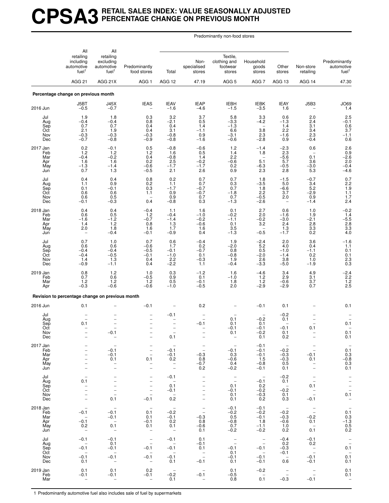#### **CPSA3 RETAIL SALES INDEX: VALUE SEASONALLY ADJUSTED PERCENTAGE CHANGE ON PREVIOUS MONTH**

Predominantly non-food stores

|                                             | All<br>retailing<br>including<br>automotive<br>fuel <sup>1</sup>                   | All<br>retailing<br>excluding<br>automotive<br>fuel <sup>1</sup>                           | Predominantly<br>food stores                                                                                                                                  | Total                                                                                                | Non-<br>specialised<br>stores                                                                  | Textile,<br>clothing and<br>footwear<br>stores                                       | Household<br>goods<br>stores                                                                 | Other<br>stores                                                               | Non-store<br>retailing                                                                                                        | Predominantly<br>automotive<br>fuel <sup>1</sup>                        |
|---------------------------------------------|------------------------------------------------------------------------------------|--------------------------------------------------------------------------------------------|---------------------------------------------------------------------------------------------------------------------------------------------------------------|------------------------------------------------------------------------------------------------------|------------------------------------------------------------------------------------------------|--------------------------------------------------------------------------------------|----------------------------------------------------------------------------------------------|-------------------------------------------------------------------------------|-------------------------------------------------------------------------------------------------------------------------------|-------------------------------------------------------------------------|
|                                             | AGG <sub>21</sub>                                                                  | AGG 21X                                                                                    | AGG <sub>1</sub>                                                                                                                                              | AGG 12                                                                                               | 47.19                                                                                          | AGG <sub>5</sub>                                                                     | AGG <sub>7</sub>                                                                             | AGG 13                                                                        | AGG 14                                                                                                                        | 47.30                                                                   |
|                                             | Percentage change on previous month                                                |                                                                                            |                                                                                                                                                               |                                                                                                      |                                                                                                |                                                                                      |                                                                                              |                                                                               |                                                                                                                               |                                                                         |
| 2016 Jun                                    | J5BT<br>$-0.5$                                                                     | J45X<br>$-0.7$                                                                             | <b>IEAS</b>                                                                                                                                                   | <b>IEAV</b><br>$-1.6$                                                                                | <b>IEAP</b><br>$-4.6$                                                                          | <b>IEBH</b><br>$-1.5$                                                                | <b>IEBK</b><br>$-3.5$                                                                        | <b>IEAY</b><br>1.6                                                            | J5B3                                                                                                                          | <b>JO69</b><br>1.4                                                      |
| Jul<br>Aug<br>Sep<br>Oct<br>Nov<br>Dec      | 1.9<br>$-0.4$<br>0.7<br>2.1<br>$-0.3$<br>$-0.7$                                    | 1.8<br>$-0.4$<br>0.7<br>1.9<br>$-0.3$<br>$-0.8$                                            | 0.3<br>0.8<br>0.4<br>0.4<br>$-0.3$<br>$-0.9$                                                                                                                  | 3.2<br>$-2.1$<br>0.4<br>3.1<br>$-0.8$<br>$-0.8$                                                      | 3.7<br>0.5<br>1.4<br>$-1.1$<br>0.9<br>$-1.6$                                                   | 5.8<br>$-3.3$<br>$-1.3$<br>6.6<br>$-3.1$<br>$-0.6$                                   | 3.3<br>$-4.2$<br>$\overline{\phantom{m}}$<br>3.8<br>2.3<br>$-2.8$                            | 0.6<br>$-1.3$<br>1.4<br>2.2<br>$-1.6$<br>0.9                                  | 2.0<br>2.4<br>3.1<br>3.4<br>2.3<br>$-0.4$                                                                                     | $2.5 - 0.1$<br>$\begin{array}{c} 0.6 \\ 3.7 \\ -1.1 \end{array}$<br>0.6 |
| 2017 Jan<br>Feb<br>Mar<br>Apr<br>May<br>Jun | 0.2<br>1.2<br>$-0.4$<br>1.6<br>$-1.3$<br>0.7                                       | $-0.1$<br>$1.2 - 0.2$<br>1.6<br>$-1.4$<br>1.3                                              | 0.5<br>1.2<br>0.4<br>0.2<br>$-0.6$<br>$-0.5$                                                                                                                  | $-0.8$<br>1.6<br>$-0.8$<br>2.5<br>$-1.7$<br>2.1                                                      | $-0.6$<br>0.5<br>1.4<br>$-0.2$<br>$-1.7$<br>2.6                                                | 1.2<br>1.4<br>2.2<br>$-0.6$<br>0.2<br>0.9                                            | $-1.4$<br>1.8<br>$\qquad \qquad -$<br>5.1<br>$-6.3$<br>2.3                                   | $-2.3$<br>2.3<br>$-5.6$<br>5.7<br>$-0.5$<br>2.8                               | 0.6<br>$\overline{\phantom{0}}$<br>0.1<br>3.6<br>$-3.0$<br>5.3                                                                | $2.6$<br>0.9<br>-2.6<br>2.0<br>$-0.4$<br>$-4.6$                         |
| Jul<br>Aug<br>Sep<br>Oct<br>Nov<br>Dec      | 0.4<br>1.1<br>0.1<br>0.6<br>0.6<br>-0.1                                            | 0.4<br>0.9<br>$-0.1$<br>0.6<br>0.5<br>$-0.3$                                               | 0.8<br>0.2<br>0.3<br>1.1<br>0.4                                                                                                                               | 0.2<br>1.1<br>$-1.7$<br>0.9<br>0.9<br>$-0.8$                                                         | 0.7<br>0.7<br>$-0.7$<br>$-0.7$<br>0.7<br>0.3                                                   | 0.7<br>0.3<br>0.7<br>$-1.8$<br>0.7<br>$-1.3$                                         | 1.8<br>$-3.5$<br>1.8<br>2.2<br>$-0.5$<br>$-2.6$                                              | $-1.5$<br>5.0<br>$-6.6$<br>3.7<br>2.0<br>$\qquad \qquad -$                    | $-0.7$<br>3.4<br>5.2<br>$-2.9$<br>0.9<br>$-1.4$                                                                               | $0.7$<br>$2.2$<br>$1.9$<br>$\frac{1.1}{1.7}$<br>2.4                     |
| 2018 Jan<br>Feb<br>Mar<br>Apr<br>May<br>Jun | 0.4<br>0.6<br>$-1.6$<br>1.4<br>2.0                                                 | 0.4<br>0.5<br>$-1.2$<br>$1.2$<br>1.8<br>$-0.4$                                             | $-0.4$<br>1.2<br>$-0.7$<br>0.8<br>1.6<br>$-0.1$                                                                                                               | 1.1<br>$-0.4$<br>$-1.4$<br>1.3<br>1.7<br>$-0.9$                                                      | 1.6<br>$-1.0$<br>$-0.2$<br>$-0.6$<br>1.6<br>0.4                                                | 0.1<br>$-0.2$<br>$-1.1$<br>0.1<br>3.5<br>$-1.3$                                      | 2.7<br>2.0<br>$-0.2$<br>3.2<br>$-0.5$                                                        | 0.6<br>$-1.6$<br>$-3.0$<br>2.4<br>1.3<br>$-1.7$                               | 1.0<br>1.9<br>$-2.1$<br>2.8<br>3.3<br>0.2                                                                                     | $-0.2$<br>1.4<br>$-5.5$<br>2.8<br>3.3<br>4.0                            |
| Jul<br>Aug<br>Sep<br>Oct<br>Nov<br>Dec      | 0.7<br>0.6<br>$-0.4$<br>$-0.4$<br>1.4<br>$-0.9$                                    | 1.0<br>0.6<br>$-0.4$<br>$-0.5$<br>1.3<br>$-1.1$                                            | 0.7<br>$-0.6$<br>$-0.5$<br>$-0.1$<br>0.4<br>0.4                                                                                                               | 0.6<br>1.7<br>$-0.1$<br>$-1.0$<br>2.2<br>$-2.2$                                                      | $-0.4$<br>0.2<br>$-0.7$<br>0.1<br>$-0.3$<br>1.1                                                | 1.9<br>$-2.0$<br>0.8<br>$-0.8$<br>1.9<br>$-0.4$                                      | $-2.4$<br>5.2<br>0.5<br>$-2.0$<br>2.6<br>$-3.3$                                              | 2.0<br>4.0<br>$-1.0$<br>$-1.4$<br>3.8<br>$-5.0$                               | 3.6<br>0.4<br>$-1.1$<br>0.2<br>1.0<br>$-1.9$                                                                                  | $-1.6$<br>1.1<br>0.1<br>0.1<br>$\frac{2.3}{0.3}$                        |
| 2019 Jan<br>Feb<br>Mar<br>Apr               | 0.8<br>0.7<br>1.2<br>$-0.3$                                                        | 1.2<br>0.6<br>1.2<br>$-0.6$                                                                | 1.0<br>$-0.5$<br>1.2<br>$-0.6$                                                                                                                                | 0.3<br>0.9<br>0.5<br>$-1.0$                                                                          | $-1.2$<br>0.1<br>$-0.1$<br>$-0.5$                                                              | 1.6<br>$-1.0$<br>1.8<br>2.0                                                          | $-4.6$<br>1.2<br>1.2<br>$-2.9$                                                               | 3.4<br>2.9<br>$-0.6$<br>$-2.9$                                                | 4.9<br>3.1<br>3.7<br>0.7                                                                                                      | $-2.4$<br>2.2<br>1.2<br>2.5                                             |
|                                             | Revision to percentage change on previous month                                    |                                                                                            |                                                                                                                                                               |                                                                                                      |                                                                                                |                                                                                      |                                                                                              |                                                                               |                                                                                                                               |                                                                         |
| 2016 Jun                                    | 0.1                                                                                |                                                                                            | $-0.1$                                                                                                                                                        |                                                                                                      | 0.2                                                                                            |                                                                                      | $-0.1$                                                                                       | 0.1                                                                           |                                                                                                                               | 0.1                                                                     |
| Jul<br>Aug<br>Sep<br>Oct<br>Nov<br>Dec      | 0.1                                                                                | $-0.1$<br>$\overline{\phantom{0}}$                                                         | $\overline{\phantom{0}}$<br>-                                                                                                                                 | $-0.1$<br>-<br>0.1                                                                                   | $-0.1$                                                                                         | 0.1<br>0.1<br>$-0.1$<br>0.1<br>$\overline{\phantom{0}}$                              | $-0.2$<br>0.1<br>$-0.1$<br>$-0.2$<br>0.1                                                     | $-0.2$<br>0.1<br>$-0.1$<br>0.1<br>0.2                                         | 0.1                                                                                                                           | $0.\overline{1}$<br>0.1<br>0.1                                          |
| 2017 Jan<br>Feb<br>Mar<br>Apr<br>May<br>Jun | -<br>$\overline{\phantom{0}}$                                                      | $\overline{\phantom{a}}$<br>$-0.1$<br>$-0.1$<br>0.1<br>$\qquad \qquad -$<br>$\overline{a}$ | $\overline{\phantom{a}}$<br>$\overline{\phantom{0}}$<br>0.1<br>$\qquad \qquad -$<br>$\overline{a}$                                                            | $\overline{\phantom{a}}$<br>$-0.1$<br>$-0.1$<br>0.2<br>$\bar{z}$                                     | $\overline{\phantom{a}}$<br>$-0.3$<br>0.8<br>$-0.7$<br>0.2                                     | $\hspace{0.1mm}-\hspace{0.1mm}$<br>$-0.1$<br>0.3<br>$-0.6$<br>0.4<br>$-0.2$          | $-0.1$<br>$-0.1$<br>$-0.1$<br>1.5<br>$-0.8$<br>$-0.1$                                        | $\overline{a}$<br>$-0.2$<br>$-0.3$<br>$-0.3$<br>0.5<br>0.1                    | $\overline{\phantom{a}}$<br>$-0.1$<br>0.1<br>$\overline{\phantom{a}}$                                                         | $0.\overline{1}$<br>$-0.8$<br>$-0.8$<br>0.3<br>0.1                      |
| Jul<br>Aug<br>Sep<br>Oct<br>Nov<br>Dec      | 0.1<br>-<br>$\overline{\phantom{0}}$<br>$\equiv$                                   | $\overline{\phantom{0}}$<br>$\frac{1}{2}$<br>$\overline{\phantom{0}}$<br>0.1               | $\qquad \qquad -$<br>$\hspace{1.0cm} - \hspace{1.0cm}$<br>$\hspace{1.0cm} - \hspace{1.0cm}$<br>$\overline{\phantom{0}}$<br>$\overline{\phantom{a}}$<br>$-0.1$ | $-0.1$<br>$\sim$<br>0.1<br>$-0.1$<br>$\overline{\phantom{0}}$<br>0.2                                 | $\qquad \qquad -$<br>$\overline{\phantom{a}}$<br>$\qquad \qquad -$<br>$\overline{\phantom{0}}$ | $\overline{\phantom{a}}$<br>$\overline{\phantom{a}}$<br>0.1<br>$-0.1$<br>0.1<br>0.1  | $\overline{\phantom{0}}$<br>$-0.1$<br>0.2<br>$-0.2$<br>$-0.3$<br>0.2                         | $-0.2$<br>0.1<br>$\sim$<br>$-0.2$<br>0.1<br>0.3                               | $\overline{\phantom{m}}$<br>$\overline{\phantom{a}}$<br>0.1<br>$\overline{\phantom{a}}$<br>$\overline{\phantom{a}}$<br>$-0.1$ | $\bar{a}$<br>$\frac{1}{0.1}$<br>$\overline{\phantom{a}}$                |
| 2018 Jan<br>Feb<br>Mar<br>Apr<br>May<br>Jun | $\qquad \qquad -$<br>$-0.1$<br>$\overline{\phantom{a}}$<br>$-0.1$<br>0.2           | $-0.1$<br>$-0.1$<br>$\overline{\phantom{a}}$<br>0.1<br>$\hspace{0.1mm}-\hspace{0.1mm}$     | 0.1<br>0.1<br>$-0.1$<br>0.1<br>$\overline{\phantom{a}}$                                                                                                       | $\hspace{0.1mm}-\hspace{0.1mm}$<br>$-0.2$<br>$-0.1$<br>0.2<br>0.1<br>$\hspace{0.1mm}-\hspace{0.1mm}$ | $\qquad \qquad -$<br>$\overline{a}$<br>$-0.3$<br>0.8<br>$-0.6$<br>0.1                          | $-0.1$<br>$-0.2$<br>0.5<br>$-0.8$<br>0.7<br>$-0.2$                                   | $-0.1$<br>$-0.2$<br>$-0.1$<br>1.8<br>$-1.1$<br>$-0.2$                                        | $\hspace{0.1mm}$ $\hspace{0.1mm}$<br>$-0.2$<br>$-0.3$<br>$-0.6$<br>1.0<br>0.2 | $\overline{\phantom{a}}$<br>$\overline{\phantom{a}}$<br>$-0.2$<br>0.1<br>$\sim$<br>0.1                                        | $0.\overline{1}$<br>$-1.3$<br>$-1.3$<br>0.5<br>0.2                      |
| Jul<br>Aug<br>Sep<br>Oct<br>Nov<br>Dec      | $-0.1$<br>$\qquad \qquad -$<br>$-0.1$<br>$\overline{\phantom{0}}$<br>$-0.1$<br>0.1 | $-0.1$<br>0.1<br>$-0.1$<br>$\overline{\phantom{a}}$<br>$-0.1$<br>$\overline{\phantom{a}}$  | $\overline{\phantom{a}}$<br>$\overline{\phantom{a}}$<br>$-0.1$<br>$\overline{\phantom{a}}$<br>$-0.1$<br>$\overline{\phantom{a}}$                              | $-0.1$<br>$\overline{\phantom{0}}$<br>$-0.1$<br>$\sim$<br>$-0.1$<br>0.1                              | 0.1<br>$-0.1$<br>0.1<br>$\bar{a}$<br>$-0.1$                                                    | $\overline{\phantom{a}}$<br>$\overline{\phantom{a}}$<br>$-0.1$<br>0.1<br>-0.1<br>0.1 | $\overline{\phantom{a}}$<br>$\overline{\phantom{a}}$<br>$-0.1$<br>$\sim$<br>$-0.1$<br>$-0.1$ | $-0.4$<br>0.2<br>$-0.3$<br>$-0.1$<br>$\overline{\phantom{0}}$<br>0.6          | $-0.1$<br>0.2<br>$\sim$ $-$<br>$\equiv$<br>$-0.1$<br>$-0.1$                                                                   | $\bar{\mathbb{I}}$<br>0.1<br>$0.\overline{1}$<br>0.1                    |
| 2019 Jan<br>Feb<br>Mar                      | 0.1<br>$-0.1$                                                                      | 0.1<br>$-0.1$<br>$\overline{\phantom{a}}$                                                  | 0.2<br>$-0.1$<br>$\overline{\phantom{0}}$                                                                                                                     | $\hspace{0.1mm}$<br>$-0.2$<br>0.1                                                                    | $-0.1$<br>$\equiv$                                                                             | 0.1<br>$-0.5$<br>0.8                                                                 | $-0.2$<br>$\overline{\phantom{0}}$<br>0.1                                                    | $\sim$<br>$\overline{a}$<br>$-0.3$                                            | $\bar{\mathbb{I}}$<br>$-0.1$                                                                                                  | 0.1<br>0.1<br>$\overline{\phantom{0}}$                                  |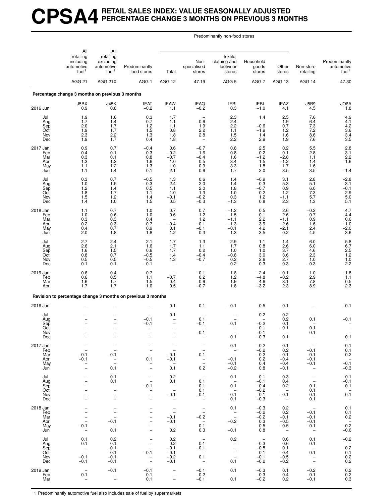#### **CPSA4 RETAIL SALES INDEX: VALUE SEASONALLY ADJUSTED PERCENTAGE CHANGE 3 MONTHS ON PREVIOUS 3 MONTHS**

Predominantly non-food stores

|                                             | All                                                                                           | All                                                                                                                           |                                                                                                                                                               |                                                                                                             |                                                                                        |                                                                                  |                                                                                                      |                                                                   |                                                                                                            |                                                                                |
|---------------------------------------------|-----------------------------------------------------------------------------------------------|-------------------------------------------------------------------------------------------------------------------------------|---------------------------------------------------------------------------------------------------------------------------------------------------------------|-------------------------------------------------------------------------------------------------------------|----------------------------------------------------------------------------------------|----------------------------------------------------------------------------------|------------------------------------------------------------------------------------------------------|-------------------------------------------------------------------|------------------------------------------------------------------------------------------------------------|--------------------------------------------------------------------------------|
|                                             | retailing<br>including<br>automotive<br>fuel <sup>1</sup>                                     | retailing<br>excluding<br>automotive<br>fuel <sup>1</sup>                                                                     | Predominantly<br>food stores                                                                                                                                  | Total                                                                                                       | Non-<br>specialised<br>stores                                                          | Textile,<br>clothing and<br>footwear<br>stores                                   | Household<br>goods<br>stores                                                                         | Other<br>stores                                                   | Non-store<br>retailing                                                                                     | Predominantly<br>automotive<br>fuel <sup>1</sup>                               |
|                                             | <b>AGG 21</b>                                                                                 | AGG 21X                                                                                                                       | AGG <sub>1</sub>                                                                                                                                              | AGG 12                                                                                                      | 47.19                                                                                  | AGG <sub>5</sub>                                                                 | AGG <sub>7</sub>                                                                                     | AGG 13                                                            | AGG 14                                                                                                     | 47.30                                                                          |
|                                             | Percentage change 3 months on previous 3 months                                               |                                                                                                                               |                                                                                                                                                               |                                                                                                             |                                                                                        |                                                                                  |                                                                                                      |                                                                   |                                                                                                            |                                                                                |
| 2016 Jun                                    | J5BX<br>0.9                                                                                   | <b>J45K</b><br>0.8                                                                                                            | <b>IEAT</b><br>$-0.2$                                                                                                                                         | <b>IEAW</b><br>1.1                                                                                          | <b>IEAQ</b><br>$-0.2$                                                                  | <b>IEBI</b><br>0.3                                                               | <b>IEBL</b><br>$-1.0$                                                                                | <b>IEAZ</b><br>4.1                                                | J5B9<br>4.5                                                                                                | $JO6A$<br>$1.8$                                                                |
| Jul<br>Aug<br>Sep<br>Oct<br>Nov<br>Dec      | 1.9<br>1.7<br>2.0<br>1.9<br>2.3<br>1.9                                                        | 1.6<br>1.4<br>1.7<br>1.7<br>2.2<br>1.7                                                                                        | 0.3<br>0.7<br>1.2<br>1.5<br>$1.\overline{3}$<br>0.4                                                                                                           | 1.7<br>1.1<br>1.1<br>0.8<br>1.8<br>1.8                                                                      | $-0.6$<br>1.9<br>$^{2.2}_{2.8}$<br>$\overline{\phantom{a}}$                            | $^{2.3}_{2.4}$<br>2.2<br>1.1<br>1.5<br>2.2                                       | 1.4<br>$-0.6$<br>$-1.9$<br>1.4<br>2.9                                                                | $^{2.5}_{1.9}$<br>0.7<br>1.2<br>$1.\overline{6}$<br>1.9           | 7.6<br>6.4<br>7.3<br>7.2<br>8.6<br>7.6                                                                     | 4.9<br>4.1<br>4.2<br>3.6<br>3.4<br>3.5                                         |
| 2017 Jan<br>Feb<br>Mar<br>Apr<br>May<br>Jun | 0.9<br>0.4<br>0.3<br>1.3<br>1.1<br>1.1                                                        | 0.7<br>0.1<br>0.1<br>1.3<br>1.2<br>1.4                                                                                        | $-0.4$<br>$-0.3$<br>0.8<br>1.6<br>1.3<br>0.1                                                                                                                  | 0.6<br>$-0.2$<br>$-0.7$<br>1.0<br>1.0<br>2.1                                                                | $-0.7$<br>$-1.6$<br>$-0.4$<br>0.5<br>0.9<br>0.6                                        | 0.8<br>0.8<br>1.6<br>3.4<br>3.3<br>1.7                                           | 2.5<br>$-0.2$<br>$-1.2$<br>1.5<br>1.8<br>2.0                                                         | 0.2<br>$-0.1$<br>$-2.8$<br>$-1.\overline{2}$<br>$-1.7$<br>3.5     | 5.5<br>2.8<br>1.1<br>1.4<br>1.6<br>3.5                                                                     | $2.8$<br>$3.1$<br>$2.2$<br>$1.6$<br>$-1.\overline{4}$                          |
| Jul<br>Aug<br>Sep<br>Oct<br>Nov<br>Dec      | 0.3<br>1.0<br>1.2<br>1.8<br>1.5<br>1.4                                                        | 0.7<br>1.5<br>1.4<br>1.7<br>1.2<br>1.0                                                                                        | $-0.5$<br>$-0.3$<br>0.5<br>1.1<br>1.4<br>1.5                                                                                                                  | 1.3<br>2.4<br>1.1<br>1.0<br>$-0.1$<br>0.5                                                                   | 0.6<br>$^{2.0}_{2.0}$<br>1.3<br>$-0.2$<br>$-0.3$                                       | 1.4<br>1.4<br>1.8<br>1.0<br>0.3<br>$-1.\overline{3}$                             | $-0.9$<br>$-0.3$<br>$-0.7$<br>0.2<br>$\!\!\!\!\begin{array}{c} 1.2 \\ 0.8 \end{array}\!\!\!\!\!\!\!$ | 3.1<br>5.3<br>0.9<br>1.2<br>$-1.1$<br>2.3                         | 2.8<br>5.1<br>6.0<br>$7.3\,$<br>5.7<br>1.3                                                                 | $-2.8$<br>$-3.1$<br>$-0.1$<br>$\frac{2.9}{5.0}$<br>5.1                         |
| 2018 Jan<br>Feb<br>Mar<br>Apr<br>May<br>Jun | 1.1<br>1.0<br>0.3<br>0.2<br>0.4<br>2.0                                                        | 0.7<br>0.6<br>0.3<br>$0.3 \ 0.7$<br>1.8                                                                                       | 1.0<br>1.0<br>0.4<br>0.7<br>0.9<br>1.8                                                                                                                        | 0.7<br>0.6<br>$-0.4$<br>0.1<br>1.2                                                                          | 0.7<br>1.2<br>1.2<br>$-0.1$<br>$-0.1$<br>0.3                                           | $-1.2$<br>$-1.5$<br>$-1.1$<br>$-1.3$<br>$-0.1$<br>1.3                            | 0.5<br>0.1<br>2.2<br>$3.9$<br>$4.2$<br>3.5                                                           | 2.6<br>2.6<br>$-1.1$<br>$-2.6$<br>$-2.1$<br>0.2                   | $-0.2$<br>$-0.7$<br>0.9<br>1.6<br>2.4<br>4.5                                                               | $4.7$<br>$4.4$<br>0.6<br>$-1.0$<br>$-2.0$<br>3.6                               |
| Jul<br>Aug<br>Sep<br>Oct<br>Nov<br>Dec      | 2.7<br>2.6<br>1.6<br>0.8<br>0.5<br>0.1                                                        | 2.4<br>2.1<br>1.5<br>0.7<br>0.5<br>$-0.1$                                                                                     | 2.1<br>1.6<br>0.6<br>$-0.5$<br>$-0.5$<br>$-0.1$                                                                                                               | 1.7<br>1.7<br>1.7<br>1.4<br>1.3<br>$\qquad \qquad -$                                                        | 1.3<br>1.1<br>0.2<br>$-0.4$<br>$-0.7$<br>$\qquad \qquad -$                             | 2.9<br>1.7<br>1.0<br>$-0.8$<br>0.2<br>0.2                                        | 1.1<br>0.8<br>1.0<br>3.0<br>2.6<br>0.3                                                               | 1.4<br>2.6<br>3.7<br>3.6<br>2.7<br>$-0.3$                         | 6.0<br>6.0<br>4.6<br>$2.\overline{3}$<br>1.0<br>$-0.3$                                                     | 5.8<br>6.7<br>2.5<br>1.2<br>1.0<br>2.2                                         |
| 2019 Jan<br>Feb<br>Mar<br>Apr               | 0.6<br>0.6<br>1.6<br>1.7                                                                      | 0.4<br>0.5<br>1.7<br>1.7                                                                                                      | 0.7<br>1.1<br>1.5<br>1.0                                                                                                                                      | $-0.7$<br>0.4<br>0.5                                                                                        | $-0.1$<br>0.2<br>$-0.6$<br>$-0.7$                                                      | 1.8<br>1.2<br>1.9<br>1.8                                                         | $-2.4$<br>$-4.8$<br>$-4.6$<br>$-3.2$                                                                 | $-0.1$<br>$-0.2$<br>3.1<br>2.3                                    | 1.0<br>$\frac{2.9}{7.8}$<br>8.9                                                                            | $1.8$<br>$\begin{array}{c} 1.1 \\ 0.5 \\ 2.3 \end{array}$                      |
|                                             |                                                                                               |                                                                                                                               | Revision to percentage change 3 months on previous 3 months                                                                                                   |                                                                                                             |                                                                                        |                                                                                  |                                                                                                      |                                                                   |                                                                                                            |                                                                                |
| 2016 Jun                                    |                                                                                               |                                                                                                                               |                                                                                                                                                               | 0.1<br>0.1                                                                                                  | 0.1                                                                                    | $-0.1$                                                                           | 0.5<br>0.2                                                                                           | $-0.1$<br>0.2                                                     |                                                                                                            | $-0.1$                                                                         |
| Jul<br>Aug<br>Sep<br>Oct<br>Nov<br>Dec      |                                                                                               | $\overline{\phantom{0}}$<br>$\overline{\phantom{0}}$<br>$\qquad \qquad -$                                                     | -0.1<br>$-0.1$                                                                                                                                                | $\overline{\phantom{0}}$<br>$\qquad \qquad -$<br>$\qquad \qquad -$<br>$\qquad \qquad -$                     | 0.1<br>$-0.1$<br>$-0.1$<br>$\overline{\phantom{a}}$                                    | 0.1<br>$\overline{\phantom{0}}$<br>0.1                                           | $-0.2$<br>$-0.1$<br>$-0.1$<br>$-0.3$                                                                 | 0.2<br>0.1<br>$-0.1$<br>0.1                                       | 0.1<br>0.1<br>0.1<br>$\overline{\phantom{0}}$                                                              | $-0.1$<br>0.1                                                                  |
| 2017 Jan<br>Feb<br>Mar<br>Apr<br>May<br>Jun | $\qquad \qquad -$<br>$-0.1$<br>$-0.1$                                                         | $\overline{\phantom{0}}$<br>$-0.1$<br>$\bar{a}$<br>0.1                                                                        | $\qquad \qquad -$<br>$\frac{1}{2}$<br>0.1<br>$\bar{a}$                                                                                                        | $\qquad \qquad -$<br>$\overline{\phantom{a}}$<br>$-0.1$<br>$-0.1$<br>$\hspace{0.1mm}-\hspace{0.1mm}$<br>0.1 | $\overline{\phantom{0}}$<br>$\overline{\phantom{a}}$<br>$-0.1$<br>$\bar{a}$<br>0.2     | 0.1<br>$\overline{a}$<br>$-0.1$<br>$-0.1$<br>$-0.2$                              | $-0.2$<br>$-0.2$<br>$-0.2$<br>0.2<br>0.4<br>0.8                                                      | 0.1<br>0.2<br>$-0.1$<br>$-0.4$<br>$-0.4$<br>$-0.1$                | $\hspace{0.1mm}-\hspace{0.1mm}$<br>$-0.1$<br>$-0.1$<br>$-0.1$<br>$-0.1$<br>$\hspace{0.1mm}-\hspace{0.1mm}$ | 0.1<br>0.1<br>0.2<br>$-0.\overline{1}$<br>$-0.3$                               |
| Jul<br>Aug<br>Sep<br>Oct<br>Nov<br>Dec      | $\overline{\phantom{0}}$<br>$\overline{\phantom{0}}$<br>$\overline{\phantom{0}}$              | 0.1<br>0.1<br>$\overline{\phantom{0}}$<br>$\overline{\phantom{0}}$<br>$\overline{a}$<br>$\qquad \qquad -$                     | $\bar{a}$<br>$-0.1$<br>$\bar{a}$<br>$\qquad \qquad -$                                                                                                         | 0.2<br>0.1<br>$\sim$ $-$<br>$\overline{\phantom{a}}$<br>$-0.1$<br>$\overline{\phantom{a}}$                  | $\overline{\phantom{a}}$<br>0.1<br>$-0.1$<br>0.1<br>$-0.1$<br>$\overline{\phantom{a}}$ | 0.1<br>$\overline{\phantom{a}}$<br>0.1<br>$\overline{\phantom{a}}$<br>0.1<br>0.1 | 0.1<br>$-0.1$<br>$-0.4$<br>$-0.2$<br>$-0.1$<br>$-0.3$                                                | 0.3<br>0.4<br>0.2<br>$\overline{\phantom{0}}$<br>$-0.1$<br>$\sim$ | $\bar{\mathbb{I}}$<br>0.1<br>0.1<br>0.1<br>0.1                                                             | $-0.1$<br>$-0.1$<br>0.1<br>$0.\overline{1}$<br>$\overline{\phantom{a}}$        |
| 2018 Jan<br>Feb<br>Mar<br>Apr<br>May<br>Jun | $\bar{ }$<br>$-0.1$                                                                           | $\overline{\phantom{a}}$<br>$\overline{\phantom{0}}$<br>$\overline{\phantom{0}}$<br>$-0.1$<br>$\overline{\phantom{a}}$<br>0.1 | $\qquad \qquad -$<br>$\overline{\phantom{0}}$<br>$\overline{\phantom{0}}$<br>$\overline{\phantom{0}}$<br>$\overline{\phantom{0}}$<br>$\overline{\phantom{0}}$ | $\overline{\phantom{a}}$<br>$\overline{a}$<br>$-0.1$<br>$-0.1$<br>$\overline{\phantom{0}}$<br>0.2           | $\overline{\mathbb{Z}}$<br>$-0.2$<br>$\sim$<br>0.1<br>0.3                              | 0.1<br>$\bar{z}$<br>$-0.2$<br>$\sim$<br>$-0.1$                                   | $-0.3$<br>$-0.2$<br>$-0.2$<br>0.3<br>0.5<br>0.8                                                      | 0.2<br>0.2<br>$-0.1$<br>$-0.5$<br>$-0.5$<br>$\sim$                | $\hspace{0.1mm}-\hspace{0.1mm}$<br>$-0.1$<br>$-0.1$<br>$-0.1$<br>$-0.1$<br>$\overline{\phantom{0}}$        | 0.1<br>$0.1 \\ 0.2$<br>$-0.2$<br>-0.6                                          |
| Jul<br>Aug<br>Sep<br>Oct<br>Nov<br>Dec      | 0.1<br>0.1<br>$\hspace{0.1mm}-\hspace{0.1mm}$<br>$\overline{\phantom{a}}$<br>$-0.1$<br>$-0.1$ | 0.2<br>0.1<br>$-0.1$<br>$-0.1$<br>$-0.1$<br>$-0.1$                                                                            | $\qquad \qquad -$<br>$\qquad \qquad -$<br>$\overline{a}$<br>$-0.1$<br>$\bar{a}$                                                                               | 0.2<br>0.2<br>$-0.1$<br>$-0.1$<br>$-0.2$<br>$-0.1$                                                          | $\sim$<br>0.1<br>$-0.1$<br>$\overline{\phantom{0}}$<br>0.1<br>$\overline{\phantom{m}}$ | 0.2<br>$\bar{z}$<br>$\bar{a}$<br>0.1                                             | $\overline{\phantom{0}}$<br>$-0.3$<br>$-0.5$<br>$-0.1$<br>$-0.1$<br>$-0.2$                           | 0.6<br>0.6<br>0.1<br>$-0.4$<br>$-0.5$<br>$-0.2$                   | 0.1<br>0.1<br>$\overline{\phantom{a}}$<br>0.1<br>$\overline{\phantom{a}}$                                  | $-0.2$<br>$0.\overline{2}$<br>$\begin{array}{c} 0.1 \\ 0.2 \\ 0.2 \end{array}$ |
| 2019 Jan<br>Feb<br>Mar                      | 0.1<br>$\overline{\phantom{a}}$                                                               | $-0.1$<br>$\qquad \qquad -$<br>$\equiv$                                                                                       | $-0.1$<br>0.1<br>0.1                                                                                                                                          | $\qquad \qquad -$<br>$\qquad \qquad -$<br>$\overline{\phantom{0}}$                                          | $-0.1$<br>$-0.2$<br>$-0.1$                                                             | 0.1<br>$\hspace{0.1mm}-\hspace{0.1mm}$<br>0.1                                    | $-0.3$<br>$-0.3$<br>$-0.2$                                                                           | 0.1<br>0.4<br>0.2                                                 | $-0.2$<br>$-0.1$<br>$-0.1$                                                                                 | 0.2<br>0.2<br>0.3                                                              |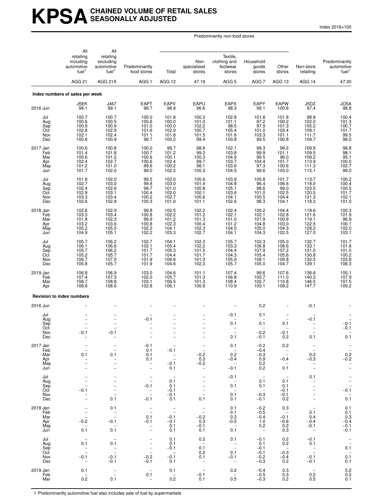# **KPSACHAINED VOLUME OF RETAIL SALES SEASONALLY ADJUSTED**

Index 2016=100

Predominantly non-food stores

|                                             | All<br>retailing<br>including<br>automotive<br>fuel <sup>1</sup>                                                | All<br>retailing<br>excluding<br>automotive<br>fuel <sup>1</sup>                        | Predominantly<br>food stores                                                                                              | Total                                                             | Non-<br>specialised<br>stores                                                    | Textile,<br>clothing and<br>footwear<br>stores                                                    | Household<br>goods<br>stores                                                                         | Other<br>stores                                                                                                 | Non-store<br>retailing                                                                        | Predominantly<br>automotive<br>fuel <sup>1</sup>                                       |
|---------------------------------------------|-----------------------------------------------------------------------------------------------------------------|-----------------------------------------------------------------------------------------|---------------------------------------------------------------------------------------------------------------------------|-------------------------------------------------------------------|----------------------------------------------------------------------------------|---------------------------------------------------------------------------------------------------|------------------------------------------------------------------------------------------------------|-----------------------------------------------------------------------------------------------------------------|-----------------------------------------------------------------------------------------------|----------------------------------------------------------------------------------------|
|                                             | <b>AGG 21</b>                                                                                                   | AGG 21X                                                                                 | AGG <sub>1</sub>                                                                                                          | AGG 12                                                            | 47.19                                                                            | AGG <sub>5</sub>                                                                                  | AGG <sub>7</sub>                                                                                     | AGG 13                                                                                                          | AGG 14                                                                                        | 47.30                                                                                  |
|                                             | Index numbers of sales per week                                                                                 |                                                                                         |                                                                                                                           |                                                                   |                                                                                  |                                                                                                   |                                                                                                      |                                                                                                                 |                                                                                               |                                                                                        |
| 2016 Jun                                    | J5EK<br>99.1                                                                                                    | J467<br>99.1                                                                            | EAPT<br>99.7                                                                                                              | <b>EAPV</b><br>98.9                                               | EAPU<br>96.6                                                                     | <b>EAPX</b><br>98.3                                                                               | EAPY<br>99.1                                                                                         | <b>EAPW</b><br>100.8                                                                                            | J5DZ<br>97.4                                                                                  | JO5A<br>98.8                                                                           |
| Jul<br>Aug<br>Sep<br>Oct<br>Nov<br>Dec      | 100.7<br>100.6<br>100.9<br>102.8<br>102.1<br>100.6                                                              | 100.7<br>100.5<br>100.9<br>102.9<br>102.4<br>100.9                                      | 100.0<br>100.6<br>101.0<br>101.6<br>101.1<br>99.7                                                                         | 101.8<br>100.0<br>100.0<br>102.9<br>101.8<br>100.2                | 100.3<br>101.0<br>102.2<br>100.7<br>101.5<br>99.4                                | 102.8<br>101.1<br>$98.5$<br>105.4<br>101.6<br>100.8                                               | 101.8<br>97.2<br>97.9<br>101.0<br>103.3<br>99.5                                                      | 101.8<br>100.2<br>101.3<br>103.4<br>101.1<br>100.8                                                              | 98.8<br>102.0<br>105.2<br>109.1<br>111.7<br>109.7                                             | 100.4<br>101.3<br>100.7<br>101.7<br>99.5<br>98.0                                       |
| 2017 Jan<br>Feb<br>Mar<br>Apr<br>May<br>Jun | 100.6<br>101.4<br>100.6<br>102.4<br>101.2<br>101.7                                                              | 100.8<br>101.8<br>101.2<br>102.7<br>101.0<br>102.0                                      | 100.0<br>100.7<br>100.6<br>100.6<br>99.6<br>99.0                                                                          | 99.7<br>101.2<br>100.1<br>102.4<br>100.2<br>102.2                 | 98.6<br>99.2<br>100.3<br>99.7<br>98.1<br>100.3                                   | 102.1<br>103.8<br>104.9<br>103.7<br>103.6<br>104.5                                                | 98.3<br>99.9<br>99.5<br>104.4<br>97.3<br>99.6                                                        | 99.2<br>101.1<br>96.0<br>101.7<br>100.6<br>103.0                                                                | 109.9<br>109.5<br>109.2<br>113.9<br>111.3<br>115.1                                            | 98.8<br>98.1<br>$95.1$<br>$100.0$<br>$102.7$<br>99.0                                   |
| Jul<br>Aug<br>Sep<br>Oct<br>Nov<br>Dec      | 101.8<br>102.7<br>102.4<br>102.9<br>103.3<br>102.6                                                              | 102.0<br>103.0<br>102.6<br>103.1<br>103.4<br>102.8                                      | 99.5<br>99.8<br>99.7<br>100.4<br>100.2<br>100.3                                                                           | 102.0<br>103.0<br>101.0<br>102.0<br>102.7<br>101.9                | 100.9<br>101.4<br>100.8<br>100.1<br>100.6<br>101.1                               | 103.9<br>104.8<br>105.1<br>103.6<br>104.1<br>102.6                                                | 100.8<br>96.4<br>98.6<br>101.0<br>100.5<br>98.3                                                      | 101.7<br>106.6<br>99.0<br>102.5<br>104.4<br>104.1                                                               | 113.7<br>118.0<br>123.5<br>120.5<br>121.3<br>118.3                                            | 100.2<br>100.4<br>100.5<br>101.7<br>102.1<br>101.0                                     |
| 2018 Jan<br>Feb<br>Mar<br>Apr<br>May<br>Jun | 102.6<br>103.3<br>101.8<br>103.2<br>105.2<br>104.9                                                              | 102.9<br>103.4<br>102.3<br>103.6<br>105.5<br>105.1                                      | 99.8<br>100.8<br>99.9<br>100.8<br>102.2<br>102.2                                                                          | 102.5<br>102.2<br>101.2<br>102.3<br>104.1<br>103.3                | 102.2<br>101.2<br>101.3<br>100.4<br>102.3<br>102.7                               | 102.4<br>102.1<br>101.0<br>101.2<br>104.5<br>104.1                                                | 100.2<br>102.1<br>101.9<br>104.8<br>105.0<br>104.3                                                   | 104.4<br>102.8<br>100.9<br>103.0<br>104.3<br>102.5                                                              | 118.6<br>121.6<br>119.1<br>122.5<br>128.2<br>127.0                                            | $\begin{array}{c} 100.3 \\ 101.9 \\ 96.9 \end{array}$<br>$100.1$<br>$102.0$<br>$103.1$ |
| Jul<br>Aug<br>Sep<br>Oct<br>Nov<br>Dec      | 105.7<br>106.1<br>105.7<br>105.2<br>106.7<br>105.8                                                              | 106.2<br>106.6<br>106.2<br>105.7<br>107.0<br>105.7                                      | 102.7<br>102.1<br>101.7<br>101.7<br>101.9<br>101.9                                                                        | 104.1<br>105.4<br>105.3<br>104.4<br>106.6<br>104.6                | 102.3<br>102.2<br>101.5<br>101.7<br>101.3<br>102.3                               | 105.7<br>103.3<br>104.4<br>104.3<br>105.9<br>105.7                                                | 102.3<br>106.8<br>107.9<br>105.4<br>108.1<br>105.0                                                   | 105.0<br>108.6<br>107.2<br>105.6<br>109.8<br>104.7                                                              | 132.7<br>133.1<br>131.0<br>130.8<br>132.5<br>129.1                                            | 101.7<br>$101.6$<br>$101.0$<br>$100.2$<br>$103.8$<br>$106.3$                           |
| 2019 Jan<br>Feb<br>Mar<br>Apr               | 106.8<br>107.4<br>108.7<br>108.6                                                                                | 106.9<br>107.3<br>108.8<br>108.6                                                        | 103.0<br>102.0<br>103.1<br>102.8                                                                                          | 104.6<br>105.7<br>106.5<br>106.1                                  | 101.1<br>101.3<br>101.3<br>100.9                                                 | 107.4<br>106.8<br>108.4<br>110.9                                                                  | 99.6<br>100.7<br>102.7<br>100.1                                                                      | 107.6<br>111.0<br>110.8<br>109.2                                                                                | 136.6<br>140.3<br>146.5<br>147.7                                                              | 105.1<br>$\frac{107.9}{107.5}$<br>109.2                                                |
|                                             | <b>Revision to index numbers</b>                                                                                |                                                                                         |                                                                                                                           |                                                                   |                                                                                  |                                                                                                   |                                                                                                      |                                                                                                                 |                                                                                               |                                                                                        |
| 2016 Jun                                    |                                                                                                                 |                                                                                         |                                                                                                                           |                                                                   |                                                                                  |                                                                                                   | 0.2                                                                                                  |                                                                                                                 | $-0.1$                                                                                        |                                                                                        |
| Jul<br>Aug<br>Sep<br>Oct<br>Nov<br>Dec      | $-0.1$<br>$\qquad \qquad -$                                                                                     | -0.1<br>$\qquad \qquad -$                                                               | $-0.1$                                                                                                                    | $\qquad \qquad -$<br>$\qquad \qquad -$                            |                                                                                  | $-0.1$<br>0.1<br>0.1                                                                              | 0.1<br>0.1<br>$-0.2$<br>$-0.1$                                                                       | 0.1<br>-0.1<br>0.2                                                                                              | $-0.1$<br>0.1                                                                                 | $-0.1$<br>$-0.1$<br>0.1                                                                |
| 2017 Jan<br>Feb<br>Mar<br>Apr<br>May<br>Jun | 0.1<br>$\qquad \qquad -$<br>$\overline{a}$<br>$\overline{\phantom{0}}$                                          | $\bar{a}$<br>0.1<br>$\bar{a}$<br>$\overline{\phantom{0}}$                               | $-0.1$<br>0.1<br>0.1<br>0.1<br>$\overline{\phantom{0}}$<br>$\qquad \qquad -$                                              | $-0.1$<br>$\bar{a}$<br>$-0.1$<br>0.1                              | $\bar{a}$<br>$-0.2$<br>0.3<br>$-0.2$<br>$\overline{\phantom{a}}$                 | 0.1<br>$\overline{\phantom{a}}$<br>0.2<br>$-0.4$<br>$\overline{\phantom{a}}$<br>$-0.1$            | $-0.2$<br>$-0.4$<br>$-0.3$<br>$_{0.2}^{0.9}$<br>0.2                                                  | 0.2<br>$\overline{\phantom{a}}$<br>$\overline{\phantom{a}}$<br>$-0.4$<br>$\hspace{0.1mm}-\hspace{0.1mm}$<br>0.1 | $\bar{a}$<br>0.2<br>$-0.3$<br>$\overline{\phantom{m}}$<br>$\overline{\phantom{0}}$            | $-0.2$<br>-0.2<br>$\bar{a}$                                                            |
| Jul<br>Aug<br>Sep<br>Oct<br>Nov<br>Dec      | $\overline{\phantom{0}}$<br>$-0.1$<br>$\overline{\phantom{0}}$<br>$\overline{\phantom{0}}$                      | $\overline{\phantom{0}}$<br>$\overline{\phantom{0}}$<br>$\overline{\phantom{0}}$<br>0.1 | $\qquad \qquad -$<br>$\overline{\phantom{a}}$<br>$-0.1$<br>$\overline{\phantom{0}}$<br>$\overline{\phantom{0}}$<br>$-0.1$ | 0.1<br>0.1<br>$-0.1$<br>$-0.1$<br>0.1                             | $\overline{a}$<br>$\overline{\phantom{a}}$<br>0.1                                | $-0.1$<br>$\overline{\phantom{a}}$<br>0.1<br>$\overline{\phantom{a}}$<br>0.1<br>0.1               | $\hspace{0.1mm}-\hspace{0.1mm}$<br>0.1<br>0.1<br>$\hspace{0.1mm}-\hspace{0.1mm}$<br>$-0.3$<br>$-0.1$ | 0.1<br>0.1<br>$-0.1$<br>$-0.1$<br>0.2                                                                           | 0.1<br>$\bar{a}$<br>$\qquad \qquad -$<br>$\qquad \qquad -$                                    | $\frac{-}{-}$<br>-0.1<br>$0.\overline{1}$                                              |
| 2018 Jan<br>Feb<br>Mar<br>Apr<br>May<br>Jun | $\qquad \qquad -$<br>$\overline{a}$<br>$\frac{1}{2}$<br>$-0.2$<br>$\qquad \qquad -$<br>0.1                      | 0.1<br>$\bar{a}$<br>$-0.1$<br>0.1                                                       | $\overline{\phantom{0}}$<br>$\overline{\phantom{0}}$<br>0.1<br>$-0.1$<br>$\bar{a}$                                        | $\bar{a}$<br>$-0.1$<br>$-0.1$<br>0.1<br>0.1                       | $\bar{a}$<br>$-0.2$<br>0.3<br>$-0.1$<br>0.1                                      | 0.1<br>0.1<br>0.3<br>$-0.5$<br>$\overline{\phantom{a}}$<br>0.1                                    | $-0.2$<br>$-0.5$<br>$-0.4$<br>1.0<br>0.2<br>$\overline{\phantom{a}}$                                 | 0.3<br>$\sim$<br>$-0.1$<br>$-0.6$<br>0.2<br>0.3                                                                 | $\hspace{0.1mm}-\hspace{0.1mm}$<br>0.1<br>0.4<br>$-0.4$<br>$-0.1$<br>$\overline{\phantom{a}}$ | 0.1<br>0.1<br>0.3<br>$-0.4$<br>$-0.1$<br>$-0.1$                                        |
| Jul<br>Aug<br>Sep<br>Oct<br>Nov<br>Dec      | $\overline{\phantom{m}}$<br>0.1<br>$\qquad \qquad -$<br>$\overline{\phantom{0}}$<br>$-0.1$<br>$\qquad \qquad -$ | $\overline{\phantom{a}}$<br>0.1<br>$\bar{a}$<br>$-0.1$<br>$-0.1$                        | $\overline{\phantom{0}}$<br>$\overline{\phantom{0}}$<br>$\overline{\phantom{a}}$<br>$-0.2$<br>$-0.1$                      | 0.1<br>0.1<br>$-0.1$<br>$\overline{\phantom{a}}$<br>$-0.1$<br>0.1 | 0.2<br>$\overline{\phantom{a}}$<br>0.1<br>0.2<br>0.1<br>$\overline{\phantom{a}}$ | 0.1<br>$\overline{\phantom{a}}$<br>$\overline{\phantom{a}}$<br>0.1<br>$-0.1$<br>$\qquad \qquad -$ | $-0.1$<br>0.1<br>$-0.1$<br>$-0.1$<br>$-0.2$<br>$-0.3$                                                | 0.2<br>0.2<br>$\hspace{0.1mm}-\hspace{0.1mm}$<br>$-0.3$<br>$-0.4$<br>0.2                                        | $-0.1$<br>0.1<br>$\overline{\phantom{a}}$<br>$\frac{1}{2}$<br>$-0.1$<br>$-0.1$                | $\bar{a}$<br>0.1<br>$0.\overline{1}$<br>0.1                                            |
| 2019 Jan<br>Feb<br>Mar                      | 0.1<br>$\overline{\phantom{m}}$<br>0.2                                                                          | $\overline{\phantom{0}}$<br>$\overline{\phantom{0}}$<br>0.1                             | $\overline{\phantom{0}}$<br>0.1<br>$\overline{\phantom{0}}$                                                               | 0.1<br>$\overline{\phantom{a}}$<br>0.2                            | $\overline{\phantom{a}}$<br>$-0.1$<br>0.1                                        | 0.2<br>$\overline{\phantom{a}}$<br>0.5                                                            | $-0.4$<br>$-0.5$<br>$-0.3$                                                                           | 0.3<br>0.3<br>0.2                                                                                               | $\overline{\phantom{a}}$<br>0.2<br>0.5                                                        | 0.2<br>0.2<br>0.1                                                                      |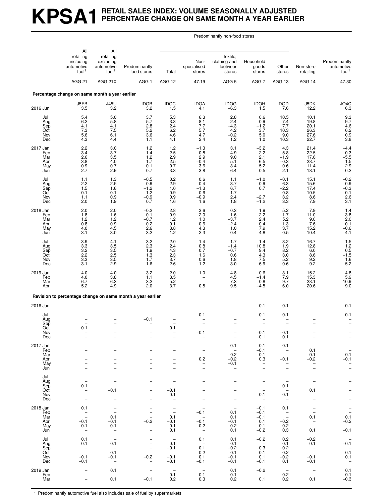# **KPSA1 RETAIL SALES INDEX: VOLUME SEASONALLY ADJUSTED PERCENTAGE CHANGE ON SAME MONTH A YEAR EARLIER**

Predominantly non-food stores

|                                             | All                                                                             | All                                                                                                                    |                                                                                                                                      |                                                                                                                        |                                                                                                                  |                                                                                                                                                            |                                                                                                                                             |                                                                                                         |                                                                                                                     |                                                                                  |
|---------------------------------------------|---------------------------------------------------------------------------------|------------------------------------------------------------------------------------------------------------------------|--------------------------------------------------------------------------------------------------------------------------------------|------------------------------------------------------------------------------------------------------------------------|------------------------------------------------------------------------------------------------------------------|------------------------------------------------------------------------------------------------------------------------------------------------------------|---------------------------------------------------------------------------------------------------------------------------------------------|---------------------------------------------------------------------------------------------------------|---------------------------------------------------------------------------------------------------------------------|----------------------------------------------------------------------------------|
|                                             | retailing<br>including<br>automotive<br>fuel <sup>1</sup>                       | retailing<br>excluding<br>automotive<br>fuel <sup>1</sup>                                                              | Predominantly<br>food stores                                                                                                         | Total                                                                                                                  | Non-<br>specialised<br>stores                                                                                    | Textile,<br>clothing and<br>footwear<br>stores                                                                                                             | Household<br>goods<br>stores                                                                                                                | Other<br>stores                                                                                         | Non-store<br>retailing                                                                                              | Predominantly<br>automotive<br>fuel <sup>1</sup>                                 |
|                                             | AGG <sub>21</sub>                                                               | AGG 21X                                                                                                                | AGG <sub>1</sub>                                                                                                                     | AGG 12                                                                                                                 | 47.19                                                                                                            | AGG <sub>5</sub>                                                                                                                                           | AGG <sub>7</sub>                                                                                                                            | AGG 13                                                                                                  | AGG 14                                                                                                              | 47.30                                                                            |
|                                             | Percentage change on same month a year earlier                                  |                                                                                                                        |                                                                                                                                      |                                                                                                                        |                                                                                                                  |                                                                                                                                                            |                                                                                                                                             |                                                                                                         |                                                                                                                     |                                                                                  |
| 2016 Jun                                    | J5EB<br>3.5                                                                     | <b>J45U</b><br>3.2                                                                                                     | <b>IDOB</b><br>3.2                                                                                                                   | <b>IDOC</b><br>1.5                                                                                                     | <b>IDOA</b><br>4.1                                                                                               | <b>IDOG</b><br>$-6.3$                                                                                                                                      | <b>IDOH</b><br>1.5                                                                                                                          | <b>IDOD</b><br>7.6                                                                                      | J5DK<br>12.2                                                                                                        | $JO4C$<br>6.3                                                                    |
| Jul<br>Aug<br>Sep<br>Oct<br>Nov<br>Dec      | 5.4<br>6.2<br>4.1<br>7.3<br>5.6<br>4.3                                          | 5.0<br>5.8<br>4.1<br>7.5<br>6.1<br>4.4                                                                                 | 3.7<br>5.7<br>$^{2.8}_{5.2}$<br>3.6<br>1.1                                                                                           | $\begin{array}{c} 5.3 \\ 3.3 \end{array}$<br>2.4<br>6.2<br>4.6<br>4.1                                                  | 6.3<br>8.1<br>7.7<br>5.7<br>4.7<br>2.4                                                                           | 2.8<br>$-2.4$<br>$-4.3$<br>4.2<br>$-0.2$<br>1.2                                                                                                            | 0.6<br>0.9<br>$-1.2$<br>3.7<br>5.0<br>1.0                                                                                                   | 10.5<br>7.4<br>7.7<br>10.3<br>9.0<br>10.3                                                               | $10.1$<br>19.8<br>20.1<br>26.3<br>27.6<br>22.7                                                                      | 9.3<br>9.7<br>4.6<br>6.2<br>0.9<br>3.8                                           |
| 2017 Jan<br>Feb<br>Mar<br>Apr<br>May<br>Jun | 2.2<br>3.4<br>2.6<br>3.8<br>$0.9$<br>$2.7$                                      | 3.0<br>3.7<br>3.5<br>4.0<br>0.7<br>2.9                                                                                 | 1.2<br>1.4<br>1.2<br>1.7<br>$-0.1$<br>$-0.7$                                                                                         | 1.2<br>2.5<br>2.9<br>$2.\overline{5}$<br>$-0.7$<br>3.3                                                                 | $-1.3$<br>$-0.8$<br>2.9<br>$-0.4$<br>$-3.6$<br>3.8                                                               | 3.1<br>4.9<br>9.0<br>5.1<br>3.4<br>6.4                                                                                                                     | $-3.2$<br>$^{-2.2}_{2.1}$<br>6.5<br>$-5.2$<br>0.5                                                                                           | 4.3<br>5.8<br>$-1.9$<br>$-0.3$<br>0.6<br>2.1                                                            | 21.4<br>22.5<br>17.6<br>23.7<br>11.4<br>18.1                                                                        | $-4.4$<br>0.3<br>$-5.5$<br>1.5<br>1.5<br>2.9<br>0.2                              |
| Jul<br>Aug<br>Sep<br>Oct<br>Nov<br>Dec      | 1.1<br>2.2<br>1.5<br>0.1<br>1.1<br>2.0                                          | $\frac{1.3}{2.5}$<br>1.6<br>0.1<br>0.9<br>1.9                                                                          | $-0.5$<br>$-0.9$<br>$-1.2$<br>$-1.2$<br>$-0.9$<br>0.7                                                                                | $0.2$<br>2.9<br>1.0<br>$-0.9$<br>0.9<br>1.6                                                                            | 0.6<br>0.4<br>$-1.3$<br>$-0.6$<br>$-0.9$<br>1.6                                                                  | 1.1<br>3.7<br>6.7<br>$-1.7$<br>2.4<br>1.8                                                                                                                  | $-1.0$<br>$-0.9$<br>$0.7\,$<br>$\overline{\phantom{a}}$<br>$-2.7$<br>$-1.2$                                                                 | $-0.1$<br>6.3<br>$-2.2$<br>$-0.8$<br>$\begin{array}{c} 3.2 \\ 3.3 \end{array}$                          | $15.1$<br>15.6<br>17.4<br>10.5<br>8.6<br>7.9                                                                        | $-0.2$<br>$-0.9$<br>$-0.3$<br>$\frac{0.1}{2.6}$<br>3.1                           |
| 2018 Jan<br>Feb<br>Mar<br>Apr<br>May<br>Jun | 2.0<br>1.8<br>1.2<br>0.8<br>4.0<br>3.1                                          | 2.0<br>1.6<br>1.2<br>0.9<br>4.5<br>3.0                                                                                 | $-0.2$<br>0.1<br>$-0.7$<br>0.2<br>2.6<br>3.2                                                                                         | 2.8<br>0.9<br>1.2<br>$-0.1$<br>3.8<br>1.2                                                                              | 3.6<br>2.0<br>1.0<br>0.6<br>4.3<br>2.3                                                                           | 0.3<br>$-1.6$<br>$-3.7$<br>$-2.4$<br>1.0<br>$-0.4$                                                                                                         | 1.9<br>$2.\overline{2}$<br>2.4<br>0.4<br>7.9<br>4.8                                                                                         | $5.2$<br>1.7<br>5.2<br>1.3<br>3.7<br>$-0.5$                                                             | 7.9<br>11.0<br>9.0<br>7.6<br>15.2<br>10.4                                                                           | $\frac{1.4}{3.8}$<br>2.0<br>0.1<br>$-0.6$<br>4.1                                 |
| Jul<br>Aug<br>Sep<br>Oct<br>Nov<br>Dec      | 3.9<br>3.3<br>3.2<br>2.2<br>3.3<br>3.1                                          | 4.1<br>3.5<br>$\overline{3.5}$<br>2.5<br>3.5<br>2.9                                                                    | 3.2<br>2.3<br>1.9<br>1.3<br>1.7<br>1.6                                                                                               | 2.0<br>2.4<br>4.3<br>$2.\overline{3}$<br>3.7<br>2.6                                                                    | 1.4<br>$0.8 \ 0.7$<br>1.6<br>0.6<br>1.2                                                                          | 1.7<br>$-1.4$<br>$-0.7$<br>0.6<br>1.8<br>3.0                                                                                                               | 1.4<br>10.8<br>9.4<br>4.3<br>7.5<br>6.9                                                                                                     | 3.2<br>1.9<br>8.2<br>3.0<br>$\!\!\!\begin{array}{c} 5.2 \\ 0.6 \end{array}\!\!\!\!$                     | 16.7<br>12.8<br>6.0<br>8.6<br>9.2<br>9.2                                                                            | $1.5$<br>$1.2$<br>$0.5$<br>$-1.5$<br>$\frac{1.6}{5.2}$                           |
| 2019 Jan<br>Feb<br>Mar<br>Apr               | 4.0<br>4.0<br>6.7<br>5.2                                                        | 4.0<br>3.8<br>6.3<br>4.9                                                                                               | 3.2<br>1.1<br>3.2<br>2.0                                                                                                             | 2.0<br>$3.5$<br>$5.2$<br>3.7                                                                                           | $-1.0$<br>0.5                                                                                                    | 4.8<br>4.5<br>$7.\overline{3}$<br>9.5                                                                                                                      | $-0.6$<br>$-1.4$<br>0.8<br>$-4.5$                                                                                                           | 3.1<br>7.9<br>9.7<br>6.0                                                                                | 15.2<br>15.3<br>23.1<br>20.6                                                                                        | $\begin{array}{c} 4.8 \\ 5.9 \\ 10.9 \\ 9.0 \end{array}$                         |
|                                             |                                                                                 |                                                                                                                        | Revision to percentage change on same month a year earlier                                                                           |                                                                                                                        |                                                                                                                  |                                                                                                                                                            |                                                                                                                                             |                                                                                                         |                                                                                                                     |                                                                                  |
| 2016 Jun                                    |                                                                                 |                                                                                                                        |                                                                                                                                      |                                                                                                                        |                                                                                                                  |                                                                                                                                                            | 0.1                                                                                                                                         | $-0.1$                                                                                                  |                                                                                                                     | $-0.1$                                                                           |
| Jul<br>Aug<br>Sep<br>Oct<br>Nov<br>Dec      | $-0.1$                                                                          | $\overline{\phantom{0}}$                                                                                               | $-0.1$                                                                                                                               | $-0.1$                                                                                                                 | $-0.1$<br>-0.1                                                                                                   | $\qquad \qquad -$                                                                                                                                          | 0.1<br>$-0.1$<br>$-0.1$                                                                                                                     | 0.1<br>$\overline{a}$<br>1<br>$-0.1$<br>0.1                                                             |                                                                                                                     | $-0.1$                                                                           |
| 2017 Jan<br>Feb<br>Mar<br>Apr<br>May<br>Jun | -<br>$\overline{\phantom{0}}$<br>$\overline{\phantom{0}}$<br>$\equiv$           | $\overline{\phantom{0}}$<br>$\overline{\phantom{0}}$<br>$\overline{\phantom{0}}$                                       | $\overline{\phantom{0}}$<br>$\overline{\phantom{0}}$<br>$\overline{\phantom{0}}$<br>-<br>$\overline{\phantom{0}}$                    | $\overline{\phantom{0}}$<br>$\overline{\phantom{0}}$<br>-<br>$\overline{\phantom{0}}$<br>-<br>$\overline{\phantom{0}}$ | $\qquad \qquad -$<br>$\overline{\phantom{0}}$<br>$0.2\,$<br>$\overline{\phantom{0}}$<br>$\overline{\phantom{a}}$ | 0.1<br>$\overline{\phantom{m}}$<br>0.2<br>$-0.2$<br>$-0.1$<br>$\overline{\phantom{a}}$                                                                     | $-0.1$<br>$-0.1$<br>$-0.1$<br>0.3<br>$\qquad \qquad -$<br>$\qquad \qquad -$                                                                 | 0.1<br>$\qquad \qquad -$<br>$\overline{a}$<br>$-0.1$<br>$\overline{a}$<br>$\overline{a}$                | $\overline{\phantom{a}}$<br>0.1<br>0.1<br>$-0.2$<br>$\overline{a}$<br>$\overline{\phantom{0}}$                      | $\bar{a}$<br>0.1<br>$-0.1$<br>$\bar{a}$                                          |
| Jul<br>Aug<br>Sep<br>Oct<br>Nov<br>Dec      | $\overline{a}$<br>0.1<br>$\bar{a}$<br>$\qquad \qquad -$                         | $\overline{\phantom{0}}$<br>$\overline{\phantom{a}}$<br>$-0.1$<br>$\overline{\phantom{0}}$<br>$\overline{\phantom{0}}$ | $\qquad \qquad -$<br>$\overline{\phantom{0}}$<br>$\overline{\phantom{0}}$<br>$\qquad \qquad -$<br>$\overline{\phantom{0}}$           | $\qquad \qquad -$<br>$\qquad \qquad -$<br>$\overline{\phantom{a}}$<br>$-0.1$<br>$-0.1$<br>$\overline{\phantom{0}}$     |                                                                                                                  | $\overline{\phantom{0}}$<br>$\overline{\phantom{0}}$<br>$\overline{a}$<br>$\overline{\phantom{0}}$<br>$\overline{\phantom{0}}$<br>$\overline{\phantom{0}}$ | $\overline{\phantom{0}}$<br>$\qquad \qquad -$<br>$\overline{\phantom{a}}$<br>$\overline{\phantom{0}}$<br>$-0.1$<br>$\overline{\phantom{0}}$ | <sup>-</sup><br>$\overline{a}$<br>0.1<br>$\overline{\phantom{m}}$<br>$-0.1$<br>$\overline{\phantom{a}}$ | $\overline{\phantom{0}}$<br>$\overline{\phantom{0}}$<br>0.1<br>$\overline{\phantom{a}}$                             |                                                                                  |
| 2018 Jan<br>Feb<br>Mar<br>Apr<br>May<br>Jun | 0.1<br>$\bar{a}$<br>$-0.1$<br>0.1<br>$\qquad \qquad -$                          | $\overline{\phantom{0}}$<br>$\overline{\phantom{a}}$<br>0.1<br>$-0.1$<br>0.1<br>$\overline{\phantom{a}}$               | $\overline{\phantom{0}}$<br>$\overline{\phantom{0}}$<br>$-0.2$<br>$\qquad \qquad -$<br>$\qquad \qquad -$                             | $\overline{\phantom{m}}$<br>$\frac{1}{2}$<br>0.1<br>$-0.1$<br>0.1<br>0.1                                               | $-0.1$<br>$\overline{\phantom{m}}$<br>$-0.1$<br>0.2<br>$\overline{\phantom{0}}$                                  | $\qquad \qquad -$<br>0.1<br>0.1<br>$-0.1$<br>0.2<br>0.1                                                                                                    | $-0.1$<br>$-0.1$<br>$-0.1$<br>0.1<br>$-0.1$<br>$-0.2$                                                                                       | 0.1<br>$\bar{a}$<br>$-0.2$<br>0.2<br>0.3                                                                | $\qquad \qquad -$<br>$\overline{\phantom{a}}$<br>0.1<br>$\overline{\phantom{a}}$<br>$\overline{\phantom{0}}$<br>0.1 | $\frac{1}{0.1}$<br>$-0.2$<br>$-0.\overline{1}$                                   |
| Jul<br>Aug<br>Sep<br>Oct<br>Nov<br>Dec      | 0.1<br>0.1<br>$\overline{\phantom{a}}$<br>$\qquad \qquad -$<br>$-0.1$<br>$-0.1$ | $\overline{\phantom{a}}$<br>0.1<br>$\overline{\phantom{a}}$<br>$-0.1$<br>$-0.1$<br>$\overline{\phantom{0}}$            | $\overline{\phantom{0}}$<br>$\qquad \qquad -$<br>$\overline{\phantom{0}}$<br>$\overline{\phantom{a}}$<br>$-0.2$<br>$\qquad \qquad -$ | $\overline{\phantom{0}}$<br>0.1<br>$-0.1$<br>$\overline{\phantom{0}}$<br>$-0.1$<br>$-0.1$                              | 0.1<br>$\overline{\phantom{a}}$<br>0.1<br>0.2<br>0.1<br>$-0.1$                                                   | 0.1<br>0.1<br>$-0.2$<br>0.1<br>$-0.1$<br>$-0.1$                                                                                                            | $-0.2$<br>$\overline{\phantom{a}}$<br>$-0.3$<br>$-0.1$<br>0.1<br>$-0.1$                                                                     | 0.2<br>0.1<br>$-0.2$<br>$-0.2$<br>$-0.2$<br>0.1                                                         | $-0.2$<br>0.1<br>$\overline{\phantom{a}}$<br>$\overline{\phantom{a}}$<br>$-0.1$<br>$-0.1$                           | $-0.\overline{1}$<br>$\qquad \qquad -$<br>0.1<br>0.1<br>$\overline{\phantom{0}}$ |
| 2019 Jan<br>Feb<br>Mar                      | $\qquad \qquad -$                                                               | 0.1<br>$\overline{\phantom{a}}$<br>0.1                                                                                 | $\qquad \qquad -$<br>$\overline{\phantom{0}}$<br>$-0.1$                                                                              | $\qquad \qquad -$<br>0.1<br>0.2                                                                                        | $\overline{\phantom{a}}$<br>$-0.1$<br>0.3                                                                        | 0.1<br>$-0.1$<br>0.2                                                                                                                                       | $-0.2$<br>$\overline{\phantom{a}}$<br>0.1                                                                                                   | $\overline{\phantom{a}}$<br>0.2<br>0.2                                                                  | $\overline{\phantom{a}}$<br>$\overline{\phantom{a}}$<br>0.1                                                         | 0.1<br>0.1<br>$-0.3$                                                             |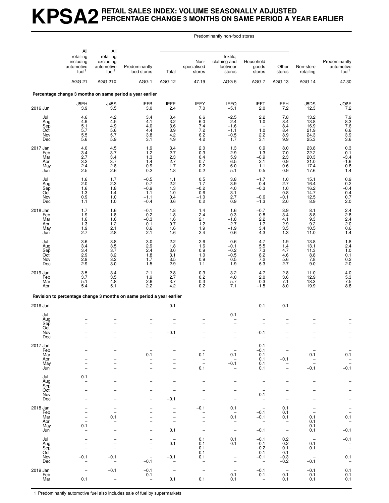## **KPSA2 RETAIL SALES INDEX: VOLUME SEASONALLY ADJUSTED PERCENTAGE CHANGE 3 MONTHS ON SAME PERIOD A YEAR EARLIER**

Predominantly non-food stores

|                                             | All<br>retailing<br>including<br>automotive<br>fuel <sup>1</sup> | All<br>retailing<br>excluding<br>automotive<br>fuel <sup>1</sup>                                                                                | Predominantly<br>food stores                                                                                                                               | Total                                                                                                                                | Non-<br>specialised<br>stores                                         | Textile,<br>clothing and<br>footwear<br>stores                                                                                                             | Household<br>goods<br>stores                                                                                           | Other<br>stores                                                                            | Non-store<br>retailing                                                                       | Predominantly<br>automotive<br>fuel <sup>1</sup>                             |
|---------------------------------------------|------------------------------------------------------------------|-------------------------------------------------------------------------------------------------------------------------------------------------|------------------------------------------------------------------------------------------------------------------------------------------------------------|--------------------------------------------------------------------------------------------------------------------------------------|-----------------------------------------------------------------------|------------------------------------------------------------------------------------------------------------------------------------------------------------|------------------------------------------------------------------------------------------------------------------------|--------------------------------------------------------------------------------------------|----------------------------------------------------------------------------------------------|------------------------------------------------------------------------------|
|                                             | AGG <sub>21</sub>                                                | AGG 21X                                                                                                                                         | AGG <sub>1</sub>                                                                                                                                           | AGG 12                                                                                                                               | 47.19                                                                 | AGG <sub>5</sub>                                                                                                                                           | AGG <sub>7</sub>                                                                                                       | AGG 13                                                                                     | AGG 14                                                                                       | 47.30                                                                        |
|                                             |                                                                  |                                                                                                                                                 | Percentage change 3 months on same period a year earlier                                                                                                   |                                                                                                                                      |                                                                       |                                                                                                                                                            |                                                                                                                        |                                                                                            |                                                                                              |                                                                              |
| 2016 Jun                                    | J5EH<br>3.9                                                      | <b>J45S</b><br>3.5                                                                                                                              | <b>IEFB</b><br>3.0                                                                                                                                         | <b>IEFE</b><br>2.4                                                                                                                   | <b>IEEY</b><br>7.0                                                    | <b>IEFQ</b><br>$-5.1$                                                                                                                                      | <b>IEFT</b><br>2.0                                                                                                     | <b>IEFH</b><br>7.2                                                                         | J5DS<br>12.3                                                                                 | JO6E<br>7.2                                                                  |
| Jul<br>Aug<br>Sep<br>Oct<br>Nov<br>Dec      | 4.6<br>4.9<br>5.1<br>5.7<br>5.5<br>5.6                           | $\frac{4.2}{4.5}$<br>4.9<br>$5.\overline{6}$<br>5.7<br>5.9                                                                                      | 3.4<br>4.1<br>4.0<br>4.4<br>3.8<br>3.1                                                                                                                     | 3.4<br>3.2<br>3.6<br>3.9<br>4.2<br>4.9                                                                                               | 6.6<br>6.0<br>7.4<br>$\frac{7.2}{6.2}$<br>4.2                         | $-2.5$<br>$-2.4$<br>$-1.6$<br>$-1.1$<br>$-0.5$<br>1.7                                                                                                      | 2.2<br>1.0<br>$\qquad \qquad -$<br>1.0<br>2.2<br>3.1                                                                   | 7.8<br>8.4<br>$\begin{array}{c} 8.4 \\ 8.4 \end{array}$<br>8.9<br>9.9                      | 13.2<br>13.8<br>$\frac{16.9}{21.9}$<br>24.3<br>25.3                                          | 7.9<br>8.3<br>7.6<br>6.9<br>9.9<br>3.6                                       |
| 2017 Jan<br>Feb<br>Mar<br>Apr<br>May<br>Jun | 4.0<br>3.4<br>2.7<br>3.2<br>2.4<br>2.5                           | 4.5<br>3.7<br>3.4<br>3.7<br>2.8<br>2.6                                                                                                          | 1.9<br>1.2<br>1.3<br>1.4<br>0.9<br>0.2                                                                                                                     | 3.4<br>2.7<br>$\frac{2.3}{2.7}$<br>1.7<br>1.8                                                                                        | 2.0<br>$\substack{0.3 \ 0.4}$<br>0.7<br>$-0.2$<br>0.2                 | 1.3<br>$\frac{2.9}{5.9}$<br>6.5<br>6.0<br>5.1                                                                                                              | 0.9<br>$-1.3$<br>$-0.9$<br>2.1<br>1.1<br>0.5                                                                           | 8.0<br>7.0<br>$2.\overline{3}$<br>$0.\overline{9}$<br>$-0.6$<br>0.9                        | 23.8<br>22.2<br>20.3<br>21.0<br>17.4<br>17.6                                                 | 0.3<br>$\begin{array}{c} 0.1 \\ -3.4 \\ -1.6 \end{array}$<br>$^{-0.8}_{1.4}$ |
| Jul<br>Aug<br>Sep<br>Oct<br>Nov<br>Dec      | 1.6<br>2.0<br>1.6<br>1.3<br>0.9<br>1.1                           | 1.7<br>2.3<br>1.8<br>1.4<br>1.0<br>1.0                                                                                                          | $-0.5$<br>$-0.7$<br>$-0.9$<br>$-1.1$<br>$-1.1$<br>$-0.4$                                                                                                   | 1.1<br>2.2<br>$1.3$<br>1.0<br>0.4<br>0.6                                                                                             | $0.5$<br>1.7<br>$-0.2$<br>$-0.6$<br>$-1.0$<br>$0.\overline{2}$        | $\begin{array}{c} 3.8 \\ 3.9 \end{array}$<br>4.0<br>3.1<br>2.7<br>0.9                                                                                      | $-1.7$<br>$-0.4$<br>$-0.3$<br>$-0.6$<br>$-1.3$                                                                         | 1.0<br>2.7<br>1.0<br>0.8<br>$-0.1$<br>2.0                                                  | 15.1<br>16.4<br>16.2<br>14.7<br>12.5<br>8.9                                                  | $0.9 - 0.2 - 0.4$<br>$-0.4$<br>0.7<br>2.0                                    |
| 2018 Jan<br>Feb<br>Mar<br>Apr<br>May<br>Jun | 1.7<br>1.9<br>1.6<br>1.3<br>1.9<br>2.7                           | 1.6<br>1.8<br>1.6<br>1.2<br>2.1<br>2.8                                                                                                          | $-0.1$<br>0.2<br>$-0.3$<br>$-0.1$<br>0.6<br>2.1                                                                                                            | 1.8<br>1.8<br>1.6<br>0.7<br>1.6<br>1.6                                                                                               | 1.4<br>2.4<br>2.1<br>1.2<br>1.9<br>2.4                                | 1.6<br>0.3<br>$-1.8$<br>$-2.7$<br>$-1.9$<br>$-0.6$                                                                                                         | $-0.7$<br>0.8<br>$2.2$<br>1.7<br>3.4<br>4.3                                                                            | 3.9<br>3.4<br>4.1<br>$\frac{2.9}{3.5}$<br>1.3                                              | 8.1<br>8.8<br>$\frac{9.3}{9.2}$<br>10.5<br>11.0                                              | 2.4<br>2.8<br>2.4<br>2.0<br>0.6<br>1.4                                       |
| Jul<br>Aug<br>Sep<br>Oct<br>Nov<br>Dec      | 3.6<br>3.4<br>3.4<br>2.9<br>2.9<br>2.9                           | 3.8<br>$\frac{3.5}{3.7}$<br>3.2<br>$\begin{array}{c} 3.2 \\ 3.0 \end{array}$                                                                    | 3.0<br>2.9<br>2.4<br>1.8<br>1.7<br>1.5                                                                                                                     | 2.2<br>1.8<br>3.0<br>3.1<br>3.5<br>2.9                                                                                               | 2.6<br>1.6<br>0.9<br>1.0<br>0.9<br>1.1                                | 0.6<br>$-0.1$<br>$-0.2$<br>$-0.5$<br>0.5<br>1.9                                                                                                            | 4.7<br>5.5<br>$7.3$<br>8.2<br>$7.2$<br>6.3                                                                             | 1.9<br>1.4<br>4.7<br>4.6<br>5.6<br>2.7                                                     | 13.8<br>$13.1$<br>$11.3$<br>8.8<br>7.8<br>9.0                                                | $1.8$<br>$2.4$<br>1.0<br>0.1<br>0.2<br>2.0                                   |
| 2019 Jan<br>Feb<br>Mar<br>Apr               | 3.5<br>3.7<br>5.1<br>5.4                                         | 3.4<br>3.5<br>4.8<br>5.1                                                                                                                        | 2.1<br>1.9<br>2.6<br>2.2                                                                                                                                   | 2.8<br>2.7<br>3.7<br>4.2                                                                                                             | $\begin{array}{c} 0.3 \\ 0.2 \end{array}$<br>$-0.3$<br>0.2            | 3.2<br>4.0<br>5.7<br>7.1                                                                                                                                   | 4.7<br>2.0<br>$-0.3$<br>$-1.5$                                                                                         | 2.8<br>3.6<br>7.1<br>8.0                                                                   | 11.0<br>12.9<br>18.3<br>19.9                                                                 | 4.0<br>5.3<br>7.5<br>8.8                                                     |
|                                             |                                                                  |                                                                                                                                                 | Revision to percentage change 3 months on same period a year earlier                                                                                       |                                                                                                                                      |                                                                       |                                                                                                                                                            |                                                                                                                        |                                                                                            |                                                                                              |                                                                              |
| 2016 Jun                                    |                                                                  |                                                                                                                                                 |                                                                                                                                                            | $-0.1$                                                                                                                               |                                                                       |                                                                                                                                                            | 0.1                                                                                                                    | $-0.1$                                                                                     |                                                                                              |                                                                              |
| Jul<br>Aug<br>Sep<br>Oct<br>Nov<br>Dec      | $\overline{a}$                                                   | L.<br>$\overline{a}$<br>$\overline{\phantom{0}}$                                                                                                | $\qquad \qquad -$                                                                                                                                          | -<br>-0.1                                                                                                                            |                                                                       | $-0.1$<br>-<br>$\overline{\phantom{0}}$                                                                                                                    | $\overline{\phantom{0}}$<br>$-0.1$                                                                                     | $\overline{\phantom{0}}$<br>-<br>-                                                         |                                                                                              |                                                                              |
| 2017 Jan<br>Feb<br>Mar<br>Apr<br>May<br>Jun | $\overline{\phantom{0}}$<br>$\overline{\phantom{0}}$             | $\overline{\phantom{0}}$<br>$\overline{\phantom{0}}$<br>$\overline{\phantom{0}}$<br>-<br>$\overline{\phantom{0}}$<br>$\overline{\phantom{0}}$   | $\overline{\phantom{0}}$<br>0.1<br>$\qquad \qquad -$<br>$\overline{\phantom{0}}$                                                                           | -<br>-<br>-<br>-<br>-<br>$\overline{\phantom{0}}$                                                                                    | $-0.1$<br>$\overline{\phantom{0}}$<br>$\overline{\phantom{0}}$<br>0.1 | $\overline{\phantom{0}}$<br>$\qquad \qquad -$<br>0.1<br>$\overline{\phantom{0}}$<br>$-0.1$<br>$\qquad \qquad -$                                            | $-0.1$<br>$-0.1$<br>$-0.1$<br>0.1<br>0.1<br>0.1                                                                        | $\overline{\phantom{0}}$<br>$\qquad \qquad -$<br>$-0.1$<br>$\overline{a}$<br>÷             | 0.1<br>$\qquad \qquad -$<br>$-0.1$                                                           | $\overline{a}$<br>0.1<br>$-$<br>$-$<br>$-$<br>0.1                            |
| Jul<br>Aug<br>Sep<br>Oct<br>Nov<br>Dec      | $-0.1$<br>$\overline{\phantom{0}}$                               | $\overline{a}$<br>$\overline{\phantom{0}}$<br>$\overline{\phantom{0}}$<br>-<br>$\overline{\phantom{0}}$                                         | $\qquad \qquad -$<br>$\overline{\phantom{0}}$<br>-<br>$\overline{\phantom{0}}$<br>$\overline{\phantom{0}}$                                                 | $\overline{\phantom{0}}$<br>$\overline{\phantom{0}}$<br>$\overline{\phantom{0}}$<br>-<br>$\overline{\phantom{0}}$<br>$-0.1$          | $\overline{\phantom{0}}$<br>L.                                        | $\overline{\phantom{0}}$<br>$\overline{\phantom{0}}$<br>$\overline{a}$<br>$\overline{\phantom{0}}$<br>$\overline{\phantom{0}}$<br>$\overline{\phantom{0}}$ | $\overline{\phantom{0}}$<br>$\overline{\phantom{0}}$<br>$\overline{\phantom{0}}$<br>$-0.1$<br>$\overline{\phantom{0}}$ | 1<br>$\overline{\phantom{0}}$<br>$\overline{\phantom{0}}$<br>1<br>$\overline{\phantom{a}}$ | $\qquad \qquad -$<br>$\overline{\phantom{0}}$<br>-<br>-<br>$\overline{\phantom{0}}$          | $\frac{1}{1}$<br>$\frac{-}{1}$                                               |
| 2018 Jan<br>Feb<br>Mar<br>Apr<br>May<br>Jun | $\qquad \qquad -$<br>$-0.1$                                      | $\overline{\phantom{0}}$<br>$\overline{\phantom{a}}$<br>0.1<br>$\overline{\phantom{0}}$<br>$\overline{\phantom{0}}$<br>$\overline{\phantom{0}}$ | $\overline{a}$<br>$\overline{\phantom{0}}$<br>$\overline{\phantom{0}}$<br>$\overline{\phantom{0}}$<br>$\overline{\phantom{0}}$<br>$\overline{\phantom{0}}$ | $\overline{\phantom{0}}$<br>$\overline{\phantom{m}}$<br>$\overline{\phantom{0}}$<br>$\qquad \qquad -$<br>$\qquad \qquad -$<br>0.1    | $-0.1$<br><sup>-</sup>                                                | 0.1<br>$\overline{\phantom{0}}$<br>0.1<br>$\overline{\phantom{0}}$<br>$\overline{\phantom{0}}$<br>$\qquad \qquad -$                                        | $\overline{\phantom{m}}$<br>$-0.1$<br>$-0.1$<br>$\overline{\phantom{a}}$<br>$\overline{\phantom{0}}$<br>$-0.1$         | 0.1<br>0.1<br>0.1<br>$\qquad \qquad -$<br>$\overline{\phantom{0}}$<br>$\qquad \qquad -$    | $\overline{\phantom{0}}$<br>0.1<br>0.1<br>0.1<br>0.1                                         | $\frac{-}{0.1}$<br>$\overline{a}$<br>$\overline{\phantom{0}}$<br>$-0.1$      |
| Jul<br>Aug<br>Sep<br>Oct<br>Nov<br>Dec      | $\overline{\phantom{0}}$<br>$\overline{\phantom{0}}$<br>$-0.1$   | $\overline{\phantom{0}}$<br>$\overline{a}$<br>$\overline{a}$<br>L.<br>$-0.1$<br>÷                                                               | $\qquad \qquad -$<br>$\overline{\phantom{0}}$<br>$\qquad \qquad -$<br>$\qquad \qquad -$<br>$-0.1$                                                          | $\overline{\phantom{0}}$<br>0.1<br>$\hspace{0.1mm}-\hspace{0.1mm}$<br>$\overline{\phantom{a}}$<br>$-0.1$<br>$\overline{\phantom{0}}$ | 0.1<br>0.1<br>0.1<br>0.1<br>0.1<br>$\overline{\phantom{0}}$           | 0.1<br>0.1<br>$\qquad \qquad -$<br>$\overline{\phantom{0}}$<br>$\overline{\phantom{0}}$<br>$\overline{\phantom{0}}$                                        | $-0.1$<br>$-0.1$<br>$-0.2$<br>$-0.1$<br>$-0.1$<br>$\qquad \qquad -$                                                    | 0.2<br>0.2<br>0.1<br>$-0.1$<br>$-0.3$<br>$-0.2$                                            | $\overline{\phantom{m}}$<br>0.1<br>0.1<br>$\mathbb{L}$<br>$\overline{\phantom{a}}$<br>$-0.1$ | $-0.1$<br>$\frac{1}{1}$<br>$0.\overline{1}$<br>$\overline{a}$                |
| 2019 Jan<br>Feb<br>Mar                      | $\overline{\phantom{0}}$<br>0.1                                  | $-0.1$                                                                                                                                          | $-0.1$<br>$-0.1$<br>$\qquad \qquad -$                                                                                                                      | $\qquad \qquad -$<br>$\qquad \qquad -$<br>0.1                                                                                        | $\overline{a}$<br>0.1                                                 | $-0.1$<br>0.1                                                                                                                                              | $-0.1$<br>$-0.1$<br>$\qquad \qquad -$                                                                                  | $\hspace{0.1mm}-\hspace{0.1mm}$<br>0.1<br>0.1                                              | $-0.1$<br>$-0.1$<br>0.1                                                                      | 0.1<br>0.1<br>0.1                                                            |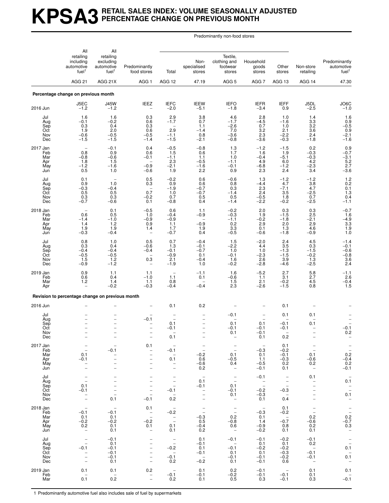#### **KPSA3 RETAIL SALES INDEX: VOLUME SEASONALLY ADJUSTED PERCENTAGE CHANGE ON PREVIOUS MONTH**

Predominantly non-food stores

|                                                    | All                                                                                                           | All                                                                                                                                      |                                                                                                                                                        |                                                                                                                        |                                                                             |                                                                                                   |                                                                      |                                                                  |                                                                                                                       |                                                                          |
|----------------------------------------------------|---------------------------------------------------------------------------------------------------------------|------------------------------------------------------------------------------------------------------------------------------------------|--------------------------------------------------------------------------------------------------------------------------------------------------------|------------------------------------------------------------------------------------------------------------------------|-----------------------------------------------------------------------------|---------------------------------------------------------------------------------------------------|----------------------------------------------------------------------|------------------------------------------------------------------|-----------------------------------------------------------------------------------------------------------------------|--------------------------------------------------------------------------|
|                                                    | retailing<br>including<br>automotive<br>fuel <sup>1</sup><br>AGG <sub>21</sub>                                | retailing<br>excluding<br>automotive<br>fuel <sup>1</sup>                                                                                | Predominantly<br>food stores                                                                                                                           | Total                                                                                                                  | Non-<br>specialised<br>stores                                               | Textile,<br>clothing and<br>footwear<br>stores                                                    | Household<br>goods<br>stores                                         | Other<br>stores                                                  | Non-store<br>retailing                                                                                                | Predominantly<br>automotive<br>fuel <sup>1</sup>                         |
|                                                    |                                                                                                               | AGG 21X                                                                                                                                  | AGG <sub>1</sub>                                                                                                                                       | AGG 12                                                                                                                 | 47.19                                                                       | AGG <sub>5</sub>                                                                                  | AGG 7                                                                | AGG 13                                                           | AGG 14                                                                                                                | 47.30                                                                    |
|                                                    | Percentage change on previous month                                                                           |                                                                                                                                          |                                                                                                                                                        |                                                                                                                        |                                                                             |                                                                                                   |                                                                      |                                                                  |                                                                                                                       |                                                                          |
| 2016 Jun                                           | J5EC<br>$-1.2$                                                                                                | <b>J45W</b><br>$-1.2$                                                                                                                    | <b>IEEZ</b><br>$\overbrace{\phantom{1232211}}$                                                                                                         | <b>IEFC</b><br>$-2.0$                                                                                                  | <b>IEEW</b><br>$-5.1$                                                       | <b>IEFO</b><br>$-1.8$                                                                             | <b>IEFR</b><br>$-3.4$                                                | <b>IEFF</b><br>0.9                                               | J5DL<br>$-2.5$                                                                                                        | $J$ O6C<br>-1.0                                                          |
| Jul<br>Aug<br>Sep<br>Oct<br>Nov<br>Dec             | 1.6<br>$-0.1$<br>0.3<br>1.9<br>$-0.6$<br>$-1.5$                                                               | 1.6<br>$-0.2$<br>0.4<br>2.0<br>$-0.5$<br>$-1.5$                                                                                          | 0.3<br>0.6<br>0.3<br>0.6<br>$-0.5$<br>$-1.4$                                                                                                           | $^{2.9}_{-1.7}$<br>$\qquad \qquad -$<br>2.9<br>$-1.1$<br>$-1.5$                                                        | $\begin{array}{c} 3.8 \\ 0.7 \end{array}$<br>1.1<br>$-1.4$<br>0.8<br>$-2.1$ | 4.6<br>$-1.7$<br>$-2.6$<br>7.0<br>$-3.6$<br>$-0.8$                                                | $^{2.8}_{-4.5}$<br>0.7<br>$\frac{3.2}{2.3}$<br>$-3.6$                | 1.0<br>$-1.6$<br>1.0<br>2.1<br>$-2.2$<br>$-0.3$                  | 1.4<br>3.3<br>3.2<br>3.6<br>2.4<br>$-1.8$                                                                             | $1.6$<br>0.9<br>-0.5<br>0.9<br>-2.1<br>$-1.6$                            |
| 2017 Jan<br>Feb<br>Mar<br>Apr<br>May<br>Jun        | $\overline{\phantom{0}}$<br>0.8<br>$-0.8$<br>1.8<br>$-1.2$<br>0.5                                             | $-0.1$<br>0.9<br>$-0.6$<br>1.5<br>$-1.6$<br>1.0                                                                                          | 0.4<br>0.6<br>$-0.1$<br>$-0.9$<br>$-0.6$                                                                                                               | $-0.5$<br>1.5<br>$-1.1$<br>2.3<br>$-2.1$<br>1.9                                                                        | $-0.8$<br>0.6<br>1.1<br>$-0.5$<br>$-1.6$<br>2.2                             | 1.3<br>1.7<br>1.0<br>$-1.1$<br>$-0.1$<br>0.9                                                      | $-1.2$<br>1.6<br>$-0.4$<br>4.9<br>$-6.8$<br>2.3                      | $-1.5$<br>1.9<br>$-5.1$<br>6.0<br>$-1.2$<br>2.4                  | 0.2<br>$-0.3$<br>$-0.3$<br>4.2<br>$-2.3$<br>3.4                                                                       | $0.9 - 0.7$<br>$-3.1$<br>5.2<br>2.7<br>$-3.6$                            |
| Jul<br>Aug<br>Sep<br>Oct<br>Nov<br>Dec             | 0.1<br>0.9<br>$-0.3$<br>0.5<br>$0.3 - 0.7$                                                                    | $\overline{\phantom{0}}$<br>1.0<br>$-0.4$<br>0.5<br>0.3<br>$-0.6$                                                                        | 0.5<br>0.3<br>$\overline{\phantom{a}}$<br>0.7<br>$-0.2$<br>0.1                                                                                         | $-0.2$<br>0.9<br>$-1.9$<br>1.0<br>0.7<br>$-0.8$                                                                        | 0.6<br>0.6<br>$-0.7$<br>$-0.7$<br>0.5<br>0.4                                | $-0.6$<br>0.8<br>0.3<br>$-1.4$<br>0.5<br>$-1.4$                                                   | 1.3<br>$-4.4$<br>2.3<br>2.4<br>$-0.5$<br>$-2.2$                      | $-1.2$<br>4.7<br>$-7.1$<br>3.5<br>1.8<br>$-0.2$                  | $-1.2$<br>3.8<br>4.7<br>$-2.5$<br>0.7<br>$-2.5$                                                                       | $\begin{array}{c} 1.2 \\ 0.2 \\ 0.1 \end{array}$<br>1.3<br>0.4<br>$-1.1$ |
| 2018 <u>Jan</u><br>Feb<br>Mar<br>Apr<br>May<br>Jun | 0.6<br>$-1.4$<br>1.4<br>1.9<br>$-0.3$                                                                         | 0.1<br>0.5<br>$-1.0$<br>1.2<br>1.9<br>$-0.4$                                                                                             | $-0.5$<br>1.0<br>$-0.9$<br>0.9<br>1.4<br>$\overline{\phantom{0}}$                                                                                      | 0.6<br>$-0.4$<br>$-0.9$<br>1.1<br>1.7<br>$-0.7$                                                                        | 1.1<br>$-0.9$<br>$-0.9$<br>1.9<br>0.4                                       | $-0.2$<br>$-0.3$<br>$-1.1$<br>$\begin{array}{c} 0.2 \\ 3.3 \end{array}$<br>$-0.5$                 | 2.0<br>1.9<br>$-0.2$<br>2.9<br>0.1<br>$-0.6$                         | $0.3 - 1.5$<br>$-1.8$<br>2.0<br>1.3<br>$-1.8$                    | 0.3<br>2.5<br>$-2.1$<br>2.9<br>4.6<br>$-0.9$                                                                          | $-0.7$<br>1.6<br>$-4.9$<br>$\frac{3.3}{1.9}$<br>1.0                      |
| Jul<br>Aug<br>Sep<br>Oct<br>Nov<br>Dec             | 0.8<br>0.3<br>$-0.4$<br>$-0.5$<br>1.5<br>$-0.9$                                                               | 1.0<br>0.4<br>$-0.4$<br>$-0.5$<br>1.2<br>$-1.2$                                                                                          | 0.5<br>$-0.6$<br>$-0.4$<br>$\overline{\phantom{0}}$<br>$0.3\,$                                                                                         | 0.7<br>1.3<br>$-0.1$<br>$-0.9$<br>2.1<br>$-1.9$                                                                        | $-0.4$<br>$-0.1$<br>$-0.7$<br>0.1<br>$-0.4$<br>1.0                          | 1.5<br>$-2.2$<br>1.0<br>$-0.1$<br>1.6<br>$-0.2$                                                   | $-2.0$<br>4.4<br>1.0<br>$-2.3$<br>2.6<br>$-2.8$                      | 2.4<br>3.5<br>$-1.3$<br>$-1.5$<br>3.9<br>$-4.6$                  | 4.5<br>0.3<br>$-1.5$<br>$-0.2$<br>1.3<br>$-2.5$                                                                       | $-1.4$<br>$-0.1$<br>$-0.6$<br>$-0.8$<br>$3.\overline{6}$<br>2.4          |
| 2019 Jan<br>Feb<br>Mar<br>Apr                      | 0.9<br>0.6<br>1.2<br>$\overline{\phantom{0}}$                                                                 | 1.1<br>0.4<br>1.4<br>$-0.2$                                                                                                              | 1.1<br>$-1.0$<br>1.1<br>$-0.3$                                                                                                                         | $\overline{\phantom{0}}$<br>1.1<br>0.8<br>$-0.4$                                                                       | $-1.1$<br>0.1<br>$-0.4$                                                     | 1.6<br>$-0.6$<br>1.5<br>2.3                                                                       | $-5.2$<br>1.1<br>2.1<br>$-2.6$                                       | 2.7<br>3.1<br>$-0.2$<br>$-1.5$                                   | 5.8<br>2.7<br>4.5<br>0.8                                                                                              | $-1.1$<br>$\begin{array}{c} 2.6 \\ -0.4 \\ 1.5 \end{array}$              |
|                                                    | Revision to percentage change on previous month                                                               |                                                                                                                                          |                                                                                                                                                        |                                                                                                                        |                                                                             |                                                                                                   |                                                                      |                                                                  |                                                                                                                       |                                                                          |
| 2016 Jun                                           |                                                                                                               |                                                                                                                                          |                                                                                                                                                        | 0.1                                                                                                                    | 0.2                                                                         |                                                                                                   |                                                                      | 0.1                                                              |                                                                                                                       |                                                                          |
| Jul<br>Aug<br>Sep<br>Oct<br>Nov<br>Dec             | $\equiv$                                                                                                      | $\overline{a}$<br>$\qquad \qquad -$<br>$\overline{\phantom{0}}$                                                                          | $-0.1$<br>$\overline{\phantom{0}}$<br>$\qquad \qquad -$                                                                                                | 0.1<br>$-0.1$<br>0.1                                                                                                   | $\overline{\phantom{0}}$                                                    | $-0.1$<br>0.1<br>$-0.1$<br>0.1<br>$\qquad \qquad -$                                               | 0.1<br>$-0.1$<br>$-0.1$<br>0.1                                       | 0.1<br>$-0.1$<br>$-0.1$<br>-<br>0.2                              | 0.1<br>0.1                                                                                                            | $-0.1$<br>0.2                                                            |
| 2017 Jan<br>Feb<br>Mar<br>Apr<br>May<br>Jun        | $\overline{\phantom{a}}$<br>0.1<br>$-0.1$<br>$\overline{\phantom{0}}$<br>$\overline{\phantom{0}}$             | $-0.1$<br>$\overline{\phantom{0}}$<br>$\overline{\phantom{0}}$<br>$\overline{\phantom{0}}$                                               | 0.1<br>$\overline{\phantom{0}}$<br>$\qquad \qquad -$<br>$\qquad \qquad -$<br>$\qquad \qquad -$<br>$\overline{\phantom{0}}$                             | $\overline{\phantom{a}}$<br>$-0.1$<br>$\overline{\phantom{a}}$<br>0.1<br>$\overline{\phantom{a}}$<br>$\qquad \qquad -$ | $\overline{a}$<br>$-0.2$<br>0.6<br>$-0.6$<br>0.2                            | $\qquad \qquad -$<br>$\overline{\phantom{a}}$<br>0.1<br>$-0.5$<br>0.4<br>$\overline{\phantom{a}}$ | $\overline{\phantom{0}}$<br>$-0.3$<br>0.1<br>1.1<br>$-0.5$<br>$-0.1$ | 0.1<br>$-0.2$<br>$-0.1$<br>$-0.3$<br>0.2<br>0.1                  | $\overline{\phantom{a}}$<br>0.1<br>$-0.6$<br>0.2<br>$\hspace{0.1mm}-\hspace{0.1mm}$                                   | $\bar{a}$<br>0.2<br>$^{-0.4}_{0.2}$<br>$-0.1$                            |
| Jul<br>Aug<br>Sep<br>Oct<br>Nov<br>Dec             | $\overline{\phantom{0}}$<br>0.1<br>$-0.1$<br>$\bar{a}$                                                        | $\overline{\phantom{0}}$<br>$\overline{\phantom{a}}$<br>$\qquad \qquad -$<br>$\overline{\phantom{0}}$<br>$\overline{\phantom{0}}$<br>0.1 | $\overline{\phantom{0}}$<br>$\qquad \qquad -$<br>$\qquad \qquad -$<br>$\overline{\phantom{0}}$<br>$\overline{\phantom{a}}$<br>$-0.1$                   | $\overline{\phantom{a}}$<br>$\frac{1}{2}$<br>$-0.1$<br>$\overline{a}$<br>0.2                                           | $\overline{\phantom{a}}$<br>0.1<br>$-0.1$<br>$\overline{\phantom{0}}$       | $\overline{\mathbb{Z}}$<br>0.1<br>$-0.1$<br>0.1<br>$\overline{\phantom{a}}$                       | $-0.1$<br>$\bar{a}$<br>$-0.2$<br>$-0.3$<br>0.1                       | $\overline{\phantom{a}}$<br>$\bar{a}$<br>$-0.3$<br>$\sim$<br>0.4 | 0.1<br>$\overline{\phantom{a}}$<br>$\qquad \qquad -$<br>$\bar{\phantom{a}}$<br>$\qquad \qquad -$<br>$\qquad \qquad -$ | $\pm$<br>0.1<br>$\bar{\Box}$<br>0.1<br>$\overline{\phantom{a}}$          |
| 2018 Jan<br>Feb<br>Mar<br>Apr<br>May<br>Jun        | $\overline{\phantom{a}}$<br>$-0.1$<br>0.1<br>$-0.2$<br>0.2<br>$\overline{\phantom{a}}$                        | $\overline{\phantom{a}}$<br>$-0.1$<br>0.1<br>$-0.2$<br>0.1<br>0.1                                                                        | 0.1<br>$\bar{\mathbb{I}}$<br>$-0.2$<br>0.1<br>$\overline{\phantom{a}}$                                                                                 | $\overline{\phantom{a}}$<br>$-0.2$<br>$\overline{\phantom{a}}$<br>0.1<br>0.1                                           | $\bar{\Box}$<br>$-0.3$<br>0.5<br>$-0.4$<br>0.2                              | $\bar{a}$<br>0.2<br>$-0.8$<br>0.6<br>$\overline{\phantom{m}}$                                     | $\sim$ $-$<br>$-0.3$<br>0.1<br>1.4<br>$-0.9$<br>$-0.2$               | 0.1<br>$-0.2$<br>$\sim$<br>$-0.7$<br>0.8<br>0.1                  | $\bar{\mathbb{I}}$<br>0.2<br>$-0.6$<br>0.2<br>0.1                                                                     | $-0.\overline{2}$<br>-0.7<br>0.3<br>$\overline{\phantom{a}}$             |
| Jul<br>Aug<br>Sep<br>Oct<br>Nov<br>Dec             | $\overline{\phantom{a}}$<br>$\overline{\phantom{a}}$<br>$-0.1$<br>$\qquad \qquad -$<br>-<br>$\qquad \qquad -$ | $-0.1$<br>0.1<br>$-0.1$<br>$-0.1$<br>$-0.1$<br>0.1                                                                                       | $\qquad \qquad -$<br>$\overline{\phantom{a}}$<br>$\overline{\phantom{0}}$<br>$\overline{\phantom{a}}$<br>$\qquad \qquad -$<br>$\overline{\phantom{a}}$ | $\hspace{0.1mm}-\hspace{0.1mm}$<br>$\sim$ $-$<br>$-0.2$<br>$\sim$<br>$-0.1$<br>0.2                                     | 0.1<br>$-0.1$<br>0.1<br>$-0.1$<br>$\sim$<br>$-0.2$                          | $-0.1$<br>$\sim$<br>$-0.1$<br>0.1<br>$-0.1$<br>0.1                                                | $-0.1$<br>0.1<br>$-0.2$<br>0.1<br>$-0.1$<br>$-0.1$                   | $-0.2$<br>0.1<br>$-0.2$<br>$-0.3$<br>$-0.2$<br>0.6               | $-0.1$<br>0.2<br>$\sim$ $-$<br>$-0.1$<br>$-0.1$<br>$\overline{\phantom{a}}$                                           | $\mathbb{I}$<br>0.1<br>$0.\overline{1}$                                  |
| 2019 Jan<br>Feb<br>Mar                             | 0.1<br>$\overline{\phantom{a}}$<br>0.1                                                                        | 0.1<br>$\overline{\phantom{a}}$<br>0.2                                                                                                   | 0.2<br>$\bar{a}$                                                                                                                                       | $\overline{\phantom{a}}$<br>$-0.1$<br>0.2                                                                              | 0.1<br>$-0.1$<br>0.1                                                        | 0.2<br>$-0.2$<br>0.5                                                                              | $-0.1$<br>$-0.1$<br>0.3                                              | $\overline{\phantom{a}}$<br>$-0.1$<br>$-0.1$                     | 0.1<br>0.1<br>0.3                                                                                                     | 0.1<br>$-0.1$                                                            |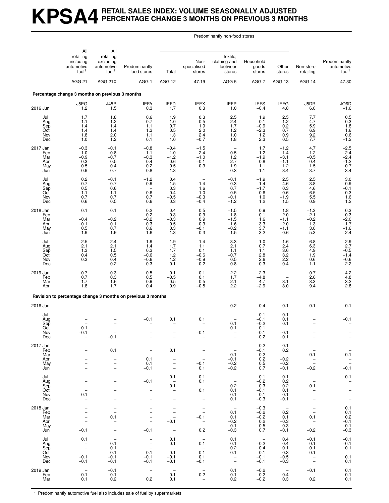#### **KPSA4 RETAIL SALES INDEX: VOLUME SEASONALLY ADJUSTED PERCENTAGE CHANGE 3 MONTHS ON PREVIOUS 3 MONTHS**

Predominantly non-food stores

|                                             | All                                                                            | All                                                                                                          |                                                                                                                                   |                                                                                                                                             |                                                                                              |                                                                                           |                                                                                |                                                                      |                                                                                                               |                                                                              |
|---------------------------------------------|--------------------------------------------------------------------------------|--------------------------------------------------------------------------------------------------------------|-----------------------------------------------------------------------------------------------------------------------------------|---------------------------------------------------------------------------------------------------------------------------------------------|----------------------------------------------------------------------------------------------|-------------------------------------------------------------------------------------------|--------------------------------------------------------------------------------|----------------------------------------------------------------------|---------------------------------------------------------------------------------------------------------------|------------------------------------------------------------------------------|
|                                             | retailing<br>including<br>automotive<br>fuel <sup>1</sup><br>AGG <sub>21</sub> | retailing<br>excluding<br>automotive<br>fuel <sup>1</sup>                                                    | Predominantly<br>food stores                                                                                                      | Total                                                                                                                                       | Non-<br>specialised<br>stores                                                                | Textile,<br>clothing and<br>footwear<br>stores                                            | Household<br>goods<br>stores                                                   | Other<br>stores                                                      | Non-store<br>retailing                                                                                        | Predominantly<br>automotive<br>fuel <sup>1</sup>                             |
|                                             |                                                                                | AGG 21X                                                                                                      | AGG <sub>1</sub>                                                                                                                  | AGG 12                                                                                                                                      | 47.19                                                                                        | AGG <sub>5</sub>                                                                          | AGG <sub>7</sub>                                                               | AGG 13                                                               | AGG 14                                                                                                        | 47.30                                                                        |
|                                             | Percentage change 3 months on previous 3 months                                |                                                                                                              |                                                                                                                                   |                                                                                                                                             |                                                                                              |                                                                                           |                                                                                |                                                                      |                                                                                                               |                                                                              |
| 2016 Jun                                    | J5EG<br>1.2                                                                    | <b>J45R</b><br>1.5                                                                                           | <b>IEFA</b><br>0.3                                                                                                                | <b>IEFD</b><br>1.7                                                                                                                          | <b>IEEX</b><br>0.3                                                                           | <b>IEFP</b><br>1.0                                                                        | <b>IEFS</b><br>$-0.4$                                                          | <b>IEFG</b><br>4.8                                                   | J5DR<br>6.0                                                                                                   | $JO6D - 1.6$                                                                 |
| Jul<br>Aug<br>Sep<br>Oct<br>Nov<br>Dec      | 1.7<br>1.1<br>1.4<br>1.4<br>1.8<br>1.0                                         | 1.8<br>1.2<br>1.4<br>1.4<br>2.0<br>1.2                                                                       | 0.6<br>0.7<br>1.1<br>1.3<br>1.1<br>0.1                                                                                            | 1.9<br>1.0<br>0.7<br>$\begin{array}{c} 0.5 \\ 1.3 \end{array}$<br>1.0                                                                       | 0.3<br>$-0.5$<br>1.9<br>2.0<br>$\overline{2.4}$<br>$-0.7$                                    | 2.5<br>$\overline{2.4}$<br>1.7<br>1.2<br>1.0<br>1.8                                       | 1.9<br>0.1<br>$-0.9$<br>$-2.3$<br>1.2<br>2.3                                   | $^{2.5}_{1.2}$<br>$0.2\,$<br>0.7<br>0.9<br>0.5                       | 7.7<br>4.7<br>5.9<br>$6.9$<br>$9.2$<br>7.7                                                                    | $0.5$<br>0.3<br>1.8<br>1.6<br>1.6<br>0.6<br>-1.2                             |
| 2017 Jan<br>Feb<br>Mar<br>Apr<br>May<br>Jun | $-0.3$<br>$-1.0$<br>$-0.9$<br>0.3<br>0.5<br>0.9                                | $-0.1$<br>$-0.8$<br>$-0.7$<br>0.5<br>0.4<br>0.7                                                              | $-0.8$<br>$-1.1$<br>$-0.3$<br>0.4<br>0.2<br>$-0.8$                                                                                | $-0.4$<br>$-1.0$<br>$-1.2$<br>0.6<br>0.5<br>1.3                                                                                             | $-1.5$<br>$-2.4$<br>$-1.0$<br>$-0.1$<br>0.3<br>$\overline{\phantom{a}}$                      | $\overline{\phantom{a}}$<br>0.5<br>1.2<br>2.7<br>1.9<br>0.3                               | 1.7<br>$-1.2$<br>$-1.9$<br>0.8<br>1.1<br>1.1                                   | $-1.2$<br>$-1.4$<br>$-3.1$<br>$-1.1$<br>$-1.2$<br>3.4                | 4.7<br>1.2<br>$-0.5$<br>0.4<br>1.5<br>3.7                                                                     | $-2.5$<br>$-2.4$<br>$-2.4$<br>$-1.2$<br>0.7<br>3.4                           |
| Jul<br>Aug<br>Sep<br>Oct<br>Nov<br>Dec      | 0.2<br>0.7<br>0.5<br>1.1<br>0.7<br>0.6                                         | $-0.1$<br>0.7<br>0.6<br>1.1<br>0.7<br>0.5                                                                    | $-1.2$<br>$-0.9$<br>0.6<br>0.7<br>0.6                                                                                             | 0.4<br>1.5<br>0.3<br>0.4<br>$-0.5$<br>0.3                                                                                                   | 1.4<br>1.6<br>1.0<br>$-0.3$<br>$-0.4$                                                        | $-0.1$<br>$0.3$<br>$0.7$<br>0.5<br>$-0.1$<br>$-1.2$                                       | $-1.9$<br>$-1.4$<br>$-1.7$<br>$-0.6$<br>1.0<br>1.2                             | 2.5<br>4.6<br>0.3<br>0.6<br>$-1.9$<br>1.5                            | 2.5<br>3.8<br>4.6<br>6.5<br>$\frac{5.5}{0.9}$                                                                 | $3.0$<br>$0.9$<br>$-0.1$<br>$\begin{array}{c} 0.3 \\ 1.6 \\ 1.2 \end{array}$ |
| 2018 Jan<br>Feb<br>Mar<br>Apr<br>May<br>Jun | 0.1<br>$-0.4$<br>$-0.1$<br>0.5<br>1.9                                          | 0.1<br>$-0.2$<br>0.1<br>0.7<br>1.9                                                                           | 0.2<br>0.2<br>$-0.2$<br>0.3<br>0.6<br>1.6                                                                                         | 0.4<br>0.3<br>$-0.3$<br>$-0.5$<br>0.3<br>1.3                                                                                                | 0.5<br>0.9<br>0.9<br>$-0.3$<br>$-0.1$<br>0.3                                                 | $-1.5$<br>$-1.8$<br>$-1.5$<br>$-1.6$<br>$-0.2$<br>1.5                                     | 0.9<br>0.1<br>1.6<br>$\frac{3.3}{3.7}$<br>3.2                                  | 1.8<br>2.0<br>$-1.1$<br>$-2.0$<br>$-1.1$<br>0.6                      | $-1.3$<br>$-2.1$<br>$-0.2$<br>1.3<br>3.0<br>5.3                                                               | $_{-0.3}^{0.3}$<br>$-2.0$<br>$-1.7 - 1.6$<br>2.4                             |
| Jul<br>Aug<br>Sep<br>Oct<br>Nov<br>Dec      | 2.5<br>2.1<br>1.3<br>0.4<br>0.3                                                | 2.4<br>2.1<br>1.5<br>0.5<br>0.4<br>$-0.2$                                                                    | 1.9<br>1.4<br>0.3<br>$-0.6$<br>$-0.6$<br>$-0.3$                                                                                   | 1.9<br>1.7<br>1.7<br>1.2<br>1.2<br>0.1                                                                                                      | 1.4<br>1.1<br>0.1<br>$-0.6$<br>$-0.9$<br>$-0.2$                                              | 3.3<br>2.1<br>1.1<br>$-0.7$<br>0.5<br>0.8                                                 | 1.0<br>0.7<br>1.1<br>2.8<br>2.6<br>0.3                                         | 1.6<br>2.4<br>3.6<br>$\overline{3.2}$<br>2.2<br>$-0.4$               | 6.8<br>6.3<br>4.9<br>1.9<br>0.6<br>$-1.1$                                                                     | $2.9$<br>$2.7$<br>$-0.5$<br>$-1.4$<br>$^{-0.6}_{2.2}$                        |
| 2019 Jan<br>Feb<br>Mar<br>Apr               | 0.7<br>0.7<br>1.7<br>1.8                                                       | 0.3<br>0.3<br>1.6<br>1.7                                                                                     | 0.5<br>0.5<br>0.9<br>0.4                                                                                                          | 0.1<br>$-0.5$<br>0.5<br>0.9                                                                                                                 | $-0.1$<br>0.1<br>$-0.5$<br>$-0.5$                                                            | 2.2<br>1.7<br>2.1<br>2.2                                                                  | $-2.3$<br>$-4.8$<br>$-4.7$<br>$-2.9$                                           | $\overline{\phantom{0}}$<br>3.1<br>3.0                               | 0.7<br>2.6<br>$8.\overline{3}$<br>9.4                                                                         | $4.2$<br>$4.8$<br>$3.2$<br>$2.8$                                             |
|                                             |                                                                                |                                                                                                              | Revision to percentage change 3 months on previous 3 months                                                                       |                                                                                                                                             |                                                                                              |                                                                                           |                                                                                |                                                                      |                                                                                                               |                                                                              |
| 2016 Jun                                    |                                                                                |                                                                                                              |                                                                                                                                   |                                                                                                                                             |                                                                                              | $-0.2$                                                                                    | 0.4<br>0.1                                                                     | $-0.1$                                                               | $-0.1$                                                                                                        | $-0.1$                                                                       |
| Jul<br>Aug<br>Sep<br>Oct<br>Nov<br>Dec      | $-0.1$<br>$-0.1$<br>$\qquad \qquad -$                                          | $\qquad \qquad -$<br>$-0.1$                                                                                  | $-0.1$                                                                                                                            | 0.1<br>-<br>$\qquad \qquad -$                                                                                                               | 0.1<br>-0.1                                                                                  | 0.1<br>0.1<br>$\qquad \qquad -$                                                           | $^{-0.1}_{-0.2}$<br>$-0.1$<br>$-0.1$<br>$-0.2$                                 | 0.1<br>0.1<br>0.1<br>$-0.1$<br>$-0.1$                                |                                                                                                               | $-0.1$                                                                       |
| 2017 Jan<br>Feb<br>Mar<br>Apr<br>May<br>Jun | $\qquad \qquad -$                                                              | 0.1<br>$\qquad \qquad -$<br>$\overline{\phantom{0}}$<br>$\overline{\phantom{0}}$<br>$\overline{\phantom{m}}$ | $\overline{\phantom{0}}$<br>$\qquad \qquad -$<br>0.1<br>0.1<br>$-0.1$                                                             | $\qquad \qquad -$<br>0.1<br>$\overline{\phantom{a}}$<br>$\qquad \qquad -$<br>$\overline{\phantom{0}}$<br>$\overline{\phantom{0}}$           | $-0.1$<br>0.1                                                                                | $\overline{\phantom{m}}$<br>$\overline{\phantom{a}}$<br>0.1<br>$-0.1$<br>$-0.2$<br>$-0.2$ | $-0.2$<br>$-0.1$<br>$-0.2$<br>$\begin{array}{c} 0.2 \\ 0.5 \end{array}$<br>0.7 | 0.1<br>0.2<br>$\overline{a}$<br>$-0.2$<br>$-0.2$<br>$-0.1$           | $\overline{\phantom{a}}$<br>0.1<br>$\bar{a}$<br>$-0.2$                                                        | $\frac{-}{0.1}$<br>$\bar{a}$<br>$-0.1$                                       |
| Jul<br>Aug<br>Sep<br>Oct<br>Nov<br>Dec      | $-0.1$                                                                         | $\overline{\phantom{0}}$<br>$\overline{\phantom{m}}$<br>$\overline{\phantom{0}}$                             | $\overline{\phantom{0}}$<br>$-0.1$<br>$\overline{\phantom{0}}$<br>$\overline{a}$<br>$\overline{a}$<br>$\overline{\phantom{0}}$    | 0.1<br>$\hspace{0.1mm}-\hspace{0.1mm}$<br>0.1<br>$\bar{a}$<br>$\qquad \qquad -$                                                             | $-0.1$<br>0.1<br>$\sim$<br>0.1<br>$\qquad \qquad -$<br>$\overline{\phantom{0}}$              | $\bar{a}$<br>0.2<br>0.1<br>0.1<br>0.1                                                     | 0.1<br>$-0.2$<br>$-0.3$<br>$-0.1$<br>$-0.1$<br>$-0.3$                          | 0.1<br>0.2<br>0.2<br>0.1<br>$-0.1$<br>$-0.1$                         | $\bar{a}$<br>0.1<br>$\overline{\phantom{a}}$<br>$\qquad \qquad -$                                             | $-0.1$<br>$\frac{1}{1}$<br>$\frac{1}{2}$                                     |
| 2018 Jan<br>Feb<br>Mar<br>Apr<br>May<br>Jun | -<br>$\equiv$<br>$-0.1$                                                        | $\overline{\phantom{m}}$<br>$\overline{a}$<br>0.1<br>$\overline{\phantom{m}}$<br>$\overline{\phantom{0}}$    | $\qquad \qquad -$<br>$\overline{\phantom{0}}$<br>$\overline{\phantom{0}}$<br>$\overline{a}$<br>$\overline{\phantom{0}}$<br>$-0.1$ | $\overline{\phantom{a}}$<br>$\overline{\phantom{m}}$<br>$\qquad \qquad -$<br>$-0.1$<br>$\overline{\phantom{0}}$<br>$\overline{\phantom{a}}$ | $\bar{a}$<br>$-0.1$<br>$\bar{a}$<br>0.2                                                      | $\hspace{0.1mm}-\hspace{0.1mm}$<br>0.1<br>0.1<br>$-0.2$<br>$-0.1$<br>$-0.3$               | $-0.3$<br>$-0.2$<br>$-0.2$<br>0.2<br>0.5<br>0.7                                | $\overline{\phantom{a}}$<br>0.2<br>0.1<br>$-0.3$<br>$-0.3$<br>$-0.1$ | $\overline{\phantom{m}}$<br>$\overline{\phantom{a}}$<br>0.1<br>$\overline{\phantom{m}}$<br>$\equiv$<br>$-0.2$ | 0.1<br>$0.1 \\ 0.2$<br>$-0.1$<br>$-0.1$<br>$-0.3$                            |
| Jul<br>Aug<br>Sep<br>Oct<br>Nov<br>Dec      | 0.1<br>$\bar{\Box}$<br>$\equiv$<br>$-0.1$<br>$-0.1$                            | $\overline{\phantom{a}}$<br>0.1<br>0.1<br>$-0.1$<br>$-0.1$<br>$-0.1$                                         | $\overline{\phantom{a}}$<br>$\bar{a}$<br>$-0.1$<br>$-0.1$<br>$-0.1$                                                               | 0.1<br>0.1<br>$\hspace{0.1mm}-\hspace{0.1mm}$<br>$-0.1$<br>$-0.1$<br>$-0.1$                                                                 | $\hspace{1.0cm} - \hspace{1.0cm}$<br>0.1<br>$\overline{\phantom{a}}$<br>0.1<br>0.1<br>$-0.1$ | 0.1<br>0.1<br>0.2<br>$-0.1$<br>$\overline{\phantom{a}}$<br>$\frac{1}{2}$                  | $\overline{\phantom{a}}$<br>$-0.2$<br>$-0.4$<br>$-0.1$<br>$-0.1$<br>$-0.1$     | 0.4<br>0.4<br>0.1<br>$-0.3$<br>$-0.5$<br>$-0.3$                      | $-0.1$<br>0.1<br>0.1<br>0.1<br>$\hspace{0.1mm}-\hspace{0.1mm}$<br>$\overline{\phantom{a}}$                    | $-0.1$<br>$-0.1$<br>0.1<br>$\overline{a}$<br>0.1<br>0.1                      |
| 2019 Jan<br>Feb<br>Mar                      | 0.1<br>0.1                                                                     | $-0.1$<br>0.1<br>0.2                                                                                         | $\bar{a}$<br>0.2                                                                                                                  | $\overline{\phantom{a}}$<br>0.1<br>0.1                                                                                                      | $\overline{\phantom{a}}$<br>$-0.2$<br>$\overline{\phantom{a}}$                               | 0.1<br>0.1<br>0.2                                                                         | $-0.2$<br>$-0.2$<br>$-0.2$                                                     | $\hspace{0.1mm}-\hspace{0.1mm}$<br>0.4<br>0.3                        | $-0.1$<br>$\hspace{0.1mm}-\hspace{0.1mm}$<br>0.2                                                              | 0.1<br>0.1<br>0.1                                                            |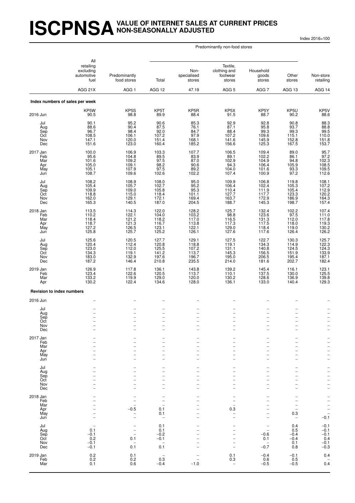#### **ISCPNSAVALUE OF INTERNET SALES AT CURRENT PRICES NON-SEASONALLY ADJUSTED**

Index 2016=100

Predominantly non-food stores

|                                             | All<br>retailing<br>excluding<br>automotive<br>fuel<br>AGG 21X                   | Predominantly<br>food stores                                                                                 | Total<br>AGG 12                                                    | Non-<br>specialised<br>stores                             | Textile,<br>clothing and<br>footwear<br>stores<br>AGG <sub>5</sub> | Household<br>goods<br>stores                                                                                                                  | Other<br>stores<br>AGG 13                                              | Non-store<br>retailing                                                                             |
|---------------------------------------------|----------------------------------------------------------------------------------|--------------------------------------------------------------------------------------------------------------|--------------------------------------------------------------------|-----------------------------------------------------------|--------------------------------------------------------------------|-----------------------------------------------------------------------------------------------------------------------------------------------|------------------------------------------------------------------------|----------------------------------------------------------------------------------------------------|
|                                             |                                                                                  | AGG <sub>1</sub>                                                                                             |                                                                    | 47.19                                                     |                                                                    | AGG <sub>7</sub>                                                                                                                              |                                                                        | AGG 14                                                                                             |
|                                             | Index numbers of sales per week<br>KP5W                                          | KP5S                                                                                                         | KP5T                                                               | KP5R                                                      | KP5X                                                               | KP5Y                                                                                                                                          | KP5U                                                                   | KP5V                                                                                               |
| 2016 Jun                                    | 90.5                                                                             | 98.8                                                                                                         | 89.9                                                               | 88.4                                                      | 91.5                                                               | 88.7                                                                                                                                          | 90.2                                                                   | 88.6                                                                                               |
| Jul<br>Aug<br>Sep<br>Oct<br>Nov<br>Dec      | 90.1<br>88.6<br>96.7<br>108.5<br>147.1<br>151.6                                  | 95.2<br>90.4<br>98.4<br>106.1<br>120.0<br>123.0                                                              | 90.6<br>87.5<br>92.0<br>107.2<br>151.4<br>160.4                    | 85.3<br>76.1<br>84.7<br>97.9<br>168.1<br>185.2            | 92.9<br>87.1<br>88.4<br>107.2<br>141.6<br>156.6                    | 92.8<br>95.8<br>99.3<br>109.6<br>145.9<br>125.3                                                                                               | 90.8<br>93.7<br>99.3<br>115.1<br>152.8<br>167.5                        | 88.3<br>$88.8$<br>99.5<br>110.0<br>151.8<br>153.7                                                  |
| 2017 Jan<br>Feb<br>Mar<br>Apr<br>May<br>Jun | 100.0<br>95.6<br>101.6<br>105.0<br>105.1<br>108.7                                | 106.9<br>104.8<br>109.2<br>109.1<br>107.9<br>109.6                                                           | 103.3<br>89.5<br>97.5<br>98.2<br>97.5<br>102.6                     | 107.7<br>83.9<br>87.0<br>90.6<br>89.2<br>102.2            | 106.5<br>89.1<br>102.9<br>94.3<br>104.0<br>107.4                   | 109.4<br>102.2<br>104.9<br>106.4<br>101.6<br>100.9                                                                                            | 89.0<br>86.1<br>94.8<br>105.9<br>93.3<br>97.2                          | 95.7<br>97.2<br>102.3<br>108.5<br>109.5<br>112.6                                                   |
| Jul<br>Aug<br>Sep<br>Oct<br>Nov<br>Dec      | 108.2<br>105.4<br>109.9<br>118.8<br>162.0<br>165.3                               | 108.9<br>105.7<br>109.0<br>115.0<br>129.1<br>140.5                                                           | 108.0<br>102.7<br>105.8<br>118.4<br>172.1<br>187.0                 | 95.0<br>95.2<br>95.3<br>101.1<br>169.4<br>204.5           | 109.9<br>106.4<br>110.4<br>127.7<br>163.7<br>188.7                 | 106.8<br>102.4<br>111.9<br>117.7<br>172.9<br>145.3                                                                                            | 119.8<br>105.3<br>105.4<br>123.3<br>186.9<br>198.7                     | 108.1<br>107.2<br>$112.9$<br>$120.2$<br>$164.3$<br>157.4                                           |
| 2018 Jan<br>Feb<br>Mar<br>Apr<br>May<br>Jun | 113.5<br>110.2<br>118.4<br>118.7<br>127.2<br>125.8                               | 114.3<br>122.1<br>121.2<br>121.3<br>126.5<br>125.7                                                           | 122.0<br>$\frac{104.0}{118.2}$<br>118.2<br>123.1<br>125.2          | 128.2<br>103.2<br>117.0<br>113.8<br>122.1<br>126.1        | 125.7<br>$98.8$<br>116.5<br>117.3<br>129.0<br>127.6                | 132.4<br>123.6<br>131.3<br>117.5<br>118.4<br>117.6                                                                                            | 102.2<br>97.5<br>112.0<br>118.0<br>119.0<br>126.4                      | 107.4<br>$\begin{array}{r} 107.4 \\ 111.0 \\ 117.8 \\ 19.3 \\ 130.2 \\ 126.2 \end{array}$          |
| Jul<br>Aug<br>Sep<br>Oct<br>Nov<br>Dec      | 125.6<br>120.4<br>123.0<br>134.3<br>183.0<br>187.2                               | 120.5<br>112.4<br>112.0<br>119.1<br>132.9<br>146.4                                                           | 127.7<br>120.8<br>125.5<br>141.2<br>197.6<br>210.8                 | 129.1<br>118.8<br>107.2<br>113.7<br>196.7<br>235.5        | 127.5<br>119.1<br>131.1<br>145.3<br>195.0<br>214.0                 | 122.7<br>$\frac{134.3}{140.8}$<br>156.5<br>206.5<br>181.6                                                                                     | 130.3<br>114.9<br>124.5<br>151.9<br>195.4<br>202.7                     | 125.7<br>122.3<br>124.3<br>133.9<br>187.1<br>182.4                                                 |
| 2019 Jan<br>Feb<br>Mar<br>Apr               | 126.9<br>123.4<br>133.2<br>130.2                                                 | 117.8<br>122.6<br>119.9<br>122.4                                                                             | 136.1<br>120.5<br>129.0<br>134.6                                   | 143.8<br>113.7<br>120.0<br>128.0                          | 139.2<br>110.1<br>130.2<br>136.1                                   | 145.4<br>137.5<br>128.6<br>133.0                                                                                                              | 116.1<br>130.0<br>136.9<br>140.4                                       | 123.1<br>125.5<br>139.8<br>129.3                                                                   |
| Revision to index numbers                   |                                                                                  |                                                                                                              |                                                                    |                                                           |                                                                    |                                                                                                                                               |                                                                        |                                                                                                    |
| 2016 Jun                                    |                                                                                  |                                                                                                              |                                                                    |                                                           |                                                                    |                                                                                                                                               |                                                                        |                                                                                                    |
| Jul<br>Aug<br>Sep<br>Oct<br>Nov<br>Dec      | $\overline{\phantom{0}}$<br>$\overline{\phantom{0}}$<br>$\overline{\phantom{0}}$ | $\overline{\phantom{0}}$<br>$\overline{\phantom{a}}$<br>$\overline{\phantom{a}}$                             | $\overline{\phantom{0}}$<br>$\overline{\phantom{0}}$<br>$\equiv$   | $\overline{\phantom{0}}$<br>$\qquad \qquad -$<br>$\equiv$ | $\qquad \qquad -$<br>$\overline{\phantom{0}}$<br>$\equiv$          | -<br>$\overline{\phantom{0}}$<br>$\overline{\phantom{0}}$<br>$\overline{a}$                                                                   | $\overline{a}$<br>$\overline{\phantom{0}}$<br>$\overline{\phantom{0}}$ | $\overline{\phantom{0}}$<br>$\overline{a}$                                                         |
| 2017 Jan<br>Feb<br>Mar<br>Apr<br>May<br>Jun |                                                                                  |                                                                                                              | -<br>-                                                             |                                                           |                                                                    | -<br>$\overline{\phantom{a}}$<br>L.<br>$\overline{\phantom{0}}$<br>L.                                                                         | $\overline{\phantom{0}}$                                               | $\overline{\phantom{0}}$<br>$\overline{\phantom{0}}$<br>$\frac{1}{1}$<br>$\overline{a}$            |
| Jul<br>Aug<br>Sep<br>Oct<br>Nov<br>Dec      |                                                                                  |                                                                                                              | $\overline{\phantom{0}}$                                           |                                                           | $\overline{\phantom{0}}$<br>$\overline{\phantom{0}}$               | $\overline{\phantom{0}}$<br>$\overline{\phantom{0}}$<br>$\overline{\phantom{0}}$<br>÷<br>$\overline{\phantom{0}}$<br>$\overline{\phantom{a}}$ | $\overline{a}$                                                         | $\overline{\phantom{0}}$<br>$\frac{-}{-}$                                                          |
| 2018 Jan<br>Feb<br>Mar<br>Apr<br>May<br>Jun |                                                                                  | $\overline{\phantom{0}}$<br>$\overline{\phantom{0}}$<br>$-0.5$<br>$\overline{\phantom{a}}$<br>$\overline{a}$ | $\overline{\phantom{0}}$<br>0.1<br>0.1<br>$\overline{\phantom{a}}$ | $\overline{\phantom{0}}$<br>L.                            | $\overline{a}$<br>0.3                                              | $\overline{\phantom{0}}$<br>$\overline{\phantom{0}}$<br>÷<br>$\overline{a}$<br>$\overline{\phantom{0}}$<br>$\overline{\phantom{a}}$           | $\overline{\phantom{0}}$<br>0.3<br>$\overline{\phantom{0}}$            | $\overline{\phantom{0}}$<br>$\overline{\phantom{0}}$<br>$\overline{a}$<br>$-$<br>$-0.\overline{1}$ |
| Jul<br>Aug<br>Sep<br>Oct<br>Nov<br>Dec      | 0.1<br>$-0.1$<br>0.2<br>$-0.1$<br>$-0.1$                                         | $\overline{a}$<br>$\overline{\phantom{a}}$<br>0.1<br>$\overline{\phantom{0}}$<br>0.1                         | 0.1<br>0.1<br>$-0.2$<br>$-0.1$<br>$\overline{\phantom{a}}$<br>0.1  |                                                           | $\overline{\phantom{0}}$<br>L.                                     | -<br>$\overline{a}$<br>$-0.6$<br>0.1<br>$\overline{\phantom{0}}$<br>$-0.7$                                                                    | 0.4<br>0.5<br>$-0.4$<br>$-0.4$<br>0.1<br>0.8                           | $-0.1$<br>$-0.1$<br>$-0.1$<br>0.4<br>$-0.1$<br>$-0.3$                                              |
| 2019 Jan<br>Feb<br>Mar                      | $0.2 \\ 0.2$<br>0.1                                                              | $0.1 \\ 0.2$<br>0.6                                                                                          | 0.3<br>$-0.4$                                                      | $\overline{\phantom{0}}$<br>$-1.0$                        | 0.1<br>0.3<br>$\overline{\phantom{0}}$                             | $-0.4$<br>0.6<br>$-0.5$                                                                                                                       | $-0.1$<br>0.5<br>$-0.5$                                                | 0.4<br>0.4                                                                                         |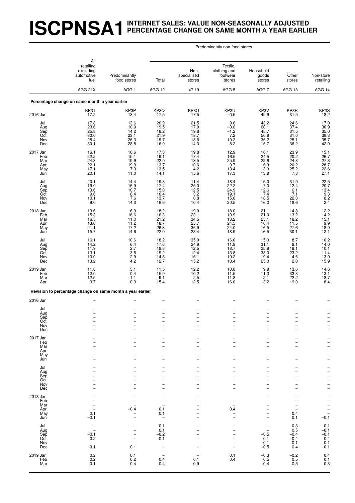# **ISCPNSA1INTERNET SALES: VALUE NON-SEASONALLY ADJUSTED PERCENTAGE CHANGE ON SAME MONTH A YEAR EARLIER**

#### Predominantly non-food stores

|                                             | All                                                              |                                                                |                                                                                              |                                                      |                                                                                  |                                                                                       |                                                                                                                                               |                                                                                         |
|---------------------------------------------|------------------------------------------------------------------|----------------------------------------------------------------|----------------------------------------------------------------------------------------------|------------------------------------------------------|----------------------------------------------------------------------------------|---------------------------------------------------------------------------------------|-----------------------------------------------------------------------------------------------------------------------------------------------|-----------------------------------------------------------------------------------------|
|                                             | retailing<br>excluding<br>automotive<br>fuel                     | Predominantly<br>food stores                                   | Total                                                                                        | Non-<br>specialised<br>stores                        | Textile,<br>clothing and<br>footwear<br>stores                                   | Household<br>goods<br>stores                                                          | Other<br>stores                                                                                                                               | Non-store<br>retailing                                                                  |
|                                             | AGG 21X                                                          | AGG <sub>1</sub>                                               | AGG 12                                                                                       | 47.19                                                | AGG <sub>5</sub>                                                                 | AGG <sub>7</sub>                                                                      | AGG 13                                                                                                                                        | AGG 14                                                                                  |
|                                             | Percentage change on same month a year earlier                   |                                                                |                                                                                              |                                                      |                                                                                  |                                                                                       |                                                                                                                                               |                                                                                         |
| 2016 Jun                                    | KP3T<br>17.2                                                     | KP3P<br>13.4                                                   | KP3Q<br>17.5                                                                                 | KP3O<br>17.5                                         | KP3U<br>$-0.5$                                                                   | KP3V<br>49.9                                                                          | KP3R<br>31.5                                                                                                                                  | KP3S<br>18.2                                                                            |
| Jul<br>Aug<br>Sep<br>Oct<br>Nov<br>Dec      | 17.8<br>23.6<br>$25.8$<br>$30.0$<br>28.4<br>30.1                 | 13.6<br>10.9<br>14.2<br>23.1<br>26.3<br>28.8                   | 20.9<br>19.5<br>18.2<br>21.9<br>19.7<br>16.9                                                 | 21.5<br>17.9<br>19.8<br>18.7<br>18.6<br>14.3         | 9.6<br>$-3.0$<br>$-1.2$<br>7.2<br>10.2<br>8.2                                    | 43.2<br>60.1<br>45.7<br>50.8<br>35.2<br>15.7                                          | 24.6<br>37.4<br>$31.5$<br>$31.0$<br>25.1<br>36.2                                                                                              | 17.0<br>30.9<br>35.0<br>38.3<br>38.7<br>42.0                                            |
| 2017 Jan<br>Feb<br>Mar<br>Apr<br>May<br>Jun | 16.1<br>22.2<br>$\overline{24.3}$<br>22.1<br>17.1<br>20.1        | 16.6<br>15.1<br>19.9<br>19.9<br>7.3<br>11.0                    | 17.3<br>19.1<br>22.0<br>13.7<br>13.5<br>14.1                                                 | 19.8<br>17.4<br>13.5<br>10.6<br>4.2<br>15.6          | 12.9<br>16.5<br>25.9<br>9.7<br>13.4<br>17.3                                      | 16.1<br>24.5<br>22.6<br>16.3<br>13.3<br>13.8                                          | 23.9<br>$20.2$<br>24.3<br>20.2<br>$\frac{25.2}{7.8}$                                                                                          | 15.1<br>26.7<br>27.3<br>28.7<br>22.6<br>27.1                                            |
| Jul<br>Aug<br>Sep<br>Oct<br>Nov<br>Dec      | 20.1<br>19.0<br>13.6<br>9.6<br>10.1<br>9.0                       | 14.4<br>16.9<br>10.7<br>8.4<br>7.6<br>14.3                     | 19.3<br>17.4<br>15.0<br>10.4<br>13.7<br>16.6                                                 | 11.4<br>25.0<br>12.5<br>3.2<br>0.8<br>10.4           | 18.4<br>22.2<br>24.9<br>19.1<br>15.6<br>20.5                                     | 15.0<br>7.0<br>12.6<br>7.4<br>18.5<br>16.0                                            | 31.9<br>12.4<br>6.1<br>7.1<br>22.3<br>18.6                                                                                                    | $22.5$<br>$20.7$<br>$\frac{13.4}{9.3}$<br>8.2<br>2.4                                    |
| 2018 Jan<br>Feb<br>Mar<br>Apr<br>May<br>Jun | 13.6<br>15.3<br>16.5<br>13.0<br>21.1<br>15.7                     | 6.9<br>16.6<br>11.0<br>11.2<br>17.2<br>14.6                    | 18.2<br>16.3<br>21.2<br>18.7<br>26.3<br>22.0                                                 | 19.0<br>23.1<br>34.5<br>25.7<br>36.9<br>23.4         | 18.0<br>10.9<br>$\frac{13.2}{24.5}$<br>24.0<br>18.9                              | 21.1<br>21.0<br>25.1<br>10.4<br>16.5<br>16.5                                          | 14.8<br>13.2<br>18.2<br>11.5<br>$27.\overline{6}$<br>30.1                                                                                     | $12.2$<br>$14.2$<br>$\begin{array}{c} 15.1 \\ 9.9 \\ 18.9 \end{array}$<br>12.1          |
| Jul<br>Aug<br>Sep<br>Oct<br>Nov<br>Dec      | 16.1<br>$14.2$<br>11.9<br>13.1<br>13.0<br>13.2                   | 10.6<br>$6.4$<br>2.7<br>$3.5\,$<br>$^{2.9}_{4.2}$              | 18.2<br>17.6<br>18.6<br>19.2<br>14.8<br>12.7                                                 | 35.9<br>24.9<br>12.5<br>12.4<br>16.1<br>15.2         | 16.0<br>11.9<br>18.7<br>13.8<br>19.2<br>13.4                                     | 15.0<br>31.1<br>25.9<br>33.0<br>19.4<br>25.0                                          | 8.7<br>$\frac{9.1}{18.1}$<br>23.2<br>4.6<br>2.0                                                                                               | 16.2<br>14.0<br>10.1<br>11.4<br>13.9<br>15.9                                            |
| 2019 <u>Jan</u><br>Feb<br>Mar<br>Apr        | 11.8<br>12.0<br>12.5<br>9.7                                      | 3.1<br>0.4<br>$-1.1$<br>0.9                                    | 11.5<br>15.9<br>9.1<br>15.4                                                                  | 12.2<br>10.2<br>2.5<br>12.5                          | $10.8$<br>11.5<br>11.8<br>16.0                                                   | 9.8<br>11.3<br>$-2.1$<br>13.2                                                         | 13.6<br>33.3<br>22.2<br>19.0                                                                                                                  | $14.6$<br>$13.1$<br>18.7<br>8.4                                                         |
|                                             | Revision to percentage change on same month a year earlier       |                                                                |                                                                                              |                                                      |                                                                                  |                                                                                       |                                                                                                                                               |                                                                                         |
| 2016 Jun                                    |                                                                  |                                                                |                                                                                              |                                                      |                                                                                  |                                                                                       |                                                                                                                                               |                                                                                         |
| Jul<br>Aug<br>Sep<br>Oct<br>Nov<br>Dec      | $\overline{\phantom{0}}$                                         | $\qquad \qquad -$<br>$\qquad \qquad -$                         | $\qquad \qquad -$<br>-                                                                       | $\overline{\phantom{a}}$<br>$\overline{\phantom{0}}$ | $\qquad \qquad -$<br>$\overline{\phantom{a}}$                                    | $\overline{\phantom{0}}$<br>$\qquad \qquad -$<br>$\overline{\phantom{0}}$             | -<br>$\qquad \qquad -$                                                                                                                        | $\qquad \qquad -$<br>$\overline{\phantom{0}}$                                           |
| 2017 Jan<br>Feb<br>Mar<br>Apr<br>May<br>Jun |                                                                  |                                                                | $\overline{\phantom{0}}$<br>$\overline{a}$                                                   | $\overline{a}$                                       |                                                                                  | -<br>$\overline{a}$<br>$\overline{\phantom{0}}$<br>-<br>$\overline{\phantom{0}}$      | -<br>$\overline{\phantom{0}}$<br>$\overline{\phantom{0}}$<br>$\overline{\phantom{0}}$<br>$\overline{\phantom{0}}$<br>$\overline{\phantom{0}}$ | $\overline{a}$<br>$\overline{\phantom{0}}$<br>$\frac{1}{2}$<br>$\overline{\phantom{0}}$ |
| Jul<br>Aug<br>Sep<br>Oct<br>Nov<br>Dec      |                                                                  |                                                                | $\equiv$<br>$\overline{\phantom{0}}$<br>$\overline{\phantom{0}}$<br>$\overline{\phantom{0}}$ | $\overline{\phantom{a}}$                             | ۰<br>L.<br>$\overline{\phantom{0}}$                                              | -<br>$\overline{a}$<br>$\overline{\phantom{0}}$<br>-<br>-<br>$\overline{\phantom{0}}$ | $\overline{\phantom{0}}$<br>$\overline{\phantom{0}}$<br>$\overline{\phantom{0}}$<br>$\overline{\phantom{0}}$                                  | <b>-</b><br>$\frac{-}{-}$                                                               |
| 2018 Jan<br>Feb<br>Mar<br>Apr<br>May<br>Jun | 0.1<br>$-0.1$                                                    | $\overline{\phantom{0}}$<br>$-0.4$<br>$\overline{\phantom{0}}$ | $\overline{\phantom{a}}$<br>$\qquad \qquad -$<br>0.1<br>0.1<br>$\qquad \qquad -$             | $\overline{\phantom{0}}$                             | $\overline{\phantom{0}}$<br>$\overline{a}$<br>0.4                                | -<br>-<br>-<br>-<br>$\overline{\phantom{0}}$                                          | $\overline{\phantom{a}}$<br>$\overline{\phantom{0}}$<br>0.4<br>0.1                                                                            | -<br>$\bar{a}$<br>$\frac{-}{-0.1}$                                                      |
| Jul<br>Aug<br>Sep<br>Oct<br>Nov<br>Dec      | $\bar{a}$<br>$-0.1$<br>0.2<br>$\overline{\phantom{a}}$<br>$-0.1$ | $\overline{\phantom{0}}$<br>$\qquad \qquad -$<br>0.1           | 0.1<br>0.1<br>$-0.2$<br>$-0.1$<br>$\qquad \qquad -$                                          |                                                      | $\overline{\phantom{0}}$<br>$\overline{\phantom{a}}$<br>$\overline{\phantom{a}}$ | -<br>$\overline{\phantom{0}}$<br>$-0.5$<br>0.1<br>$-0.1$<br>$-0.5$                    | $\substack{0.3 \\ 0.5}$<br>$-0.4$<br>$-0.4$<br>0.1<br>0.4                                                                                     | $-0.1$<br>$-0.1$<br>$-0.1$<br>0.4<br>$-0.1$<br>$-0.1$                                   |
| 2019 Jan<br>Feb<br>Mar                      | $0.2$<br>$0.2$<br>0.1                                            | 0.1<br>0.2<br>0.4                                              | 0.4<br>$-0.4$                                                                                | 0.1<br>$-0.9$                                        | 0.1<br>0.4<br>$\overline{\phantom{a}}$                                           | $-0.3$<br>0.5<br>$-0.4$                                                               | $-0.2$<br>$0.5 - 0.5$                                                                                                                         | 0.4<br>$0.1$<br>$0.3$                                                                   |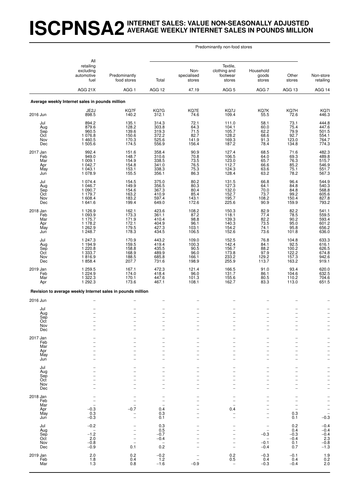#### **ISCPNSA2INTERNET SALES: VALUE NON-SEASONALLY ADJUSTED AVERAGE WEEKLY INTERNET SALES IN POUNDS MILLION**

| Predominantly non-food stores |  |  |
|-------------------------------|--|--|
|-------------------------------|--|--|

|                                             | All<br>retailing<br>excluding<br>automotive<br>fuel                              | Predominantly<br>food stores                                                     | Total                                                                     | Non-<br>specialised<br>stores                                             | Textile.<br>clothing and<br>footwear<br>stores                                   | Household<br>goods<br>stores                                                                                                                 | Other<br>stores                                                                        | Non-store<br>retailing                                                                                                              |
|---------------------------------------------|----------------------------------------------------------------------------------|----------------------------------------------------------------------------------|---------------------------------------------------------------------------|---------------------------------------------------------------------------|----------------------------------------------------------------------------------|----------------------------------------------------------------------------------------------------------------------------------------------|----------------------------------------------------------------------------------------|-------------------------------------------------------------------------------------------------------------------------------------|
|                                             | AGG 21X                                                                          | AGG <sub>1</sub>                                                                 | AGG 12                                                                    | 47.19                                                                     | AGG <sub>5</sub>                                                                 | AGG <sub>7</sub>                                                                                                                             | AGG 13                                                                                 | AGG 14                                                                                                                              |
|                                             | Average weekly Internet sales in pounds million                                  |                                                                                  |                                                                           |                                                                           |                                                                                  |                                                                                                                                              |                                                                                        |                                                                                                                                     |
| 2016 Jun                                    | JE <sub>2</sub> J<br>898.5                                                       | KQ7F<br>140.2                                                                    | KQ7G<br>312.1                                                             | KQ7E<br>74.6                                                              | KQ7J<br>109.4                                                                    | KQ7K<br>55.5                                                                                                                                 | KQ7H<br>72.6                                                                           | KQ7I<br>446.3                                                                                                                       |
| Jul<br>Aug<br>Sep<br>Oct<br>Nov<br>Dec      | 894.2<br>879.6<br>960.5<br>1 076.8<br>1460.5<br>1 505.6                          | 135.1<br>128.2<br>139.6<br>150.6<br>170.3<br>174.5                               | 314.3<br>303.8<br>319.3<br>372.2<br>525.6<br>556.9                        | 72.1<br>64.3<br>71.5<br>82.7<br>141.9<br>156.4                            | 111.0<br>104.1<br>105.7<br>128.2<br>169.3<br>187.2                               | 58.1<br>60.0<br>62.2<br>68.6<br>91.3<br>78.4                                                                                                 | 73.1<br>75.4<br>79.9<br>92.7<br>123.0<br>134.8                                         | 444.8<br>447.6<br>501.5<br>554.1<br>764.7<br>774.3                                                                                  |
| 2017 Jan<br>Feb<br>Mar<br>Apr<br>May<br>Jun | 992.4<br>949.0<br>1 009.1<br>1 042.7<br>1 043.1<br>1 0 78.9                      | 151.6<br>148.7<br>154.9<br>154.8<br>153.1<br>155.5                               | 358.4<br>310.6<br>338.5<br>341.0<br>338.3<br>356.1                        | 90.9<br>70.8<br>73.5<br>76.5<br>75.3<br>86.3                              | 127.4<br>106.5<br>123.0<br>112.7<br>124.3<br>128.4                               | 68.5<br>64.0<br>65.7<br>66.6<br>63.6<br>63.2                                                                                                 | 71.6<br>$\begin{array}{c} 69.3 \\ 76.3 \\ 85.2 \end{array}$<br>75.1<br>78.2            | 482.3<br>489.8<br>515.7<br>546.9<br>551.7<br>567.3                                                                                  |
| Jul<br>Aug<br>Sep<br>Oct<br>Nov<br>Dec      | 1 0 7 4 .4<br>1 046.7<br>1 090.7<br>1 179.7<br>1 608.4<br>1641.6                 | 154.5<br>149.9<br>154.6<br>163.2<br>183.2<br>199.4                               | 375.0<br>356.5<br>367.3<br>410.9<br>597.4<br>649.0                        | 80.2<br>80.3<br>80.4<br>85.4<br>143.1<br>172.6                            | 131.5<br>127.3<br>132.0<br>152.7<br>195.7<br>225.6                               | 66.8<br>64.1<br>70.0<br>73.7<br>108.2<br>90.9                                                                                                | 96.4<br>84.8<br>84.8<br>99.2<br>150.4<br>159.9                                         | 544.9<br>540.3<br>568.8<br>605.6<br>605.6<br>827.8<br>793.2                                                                         |
| 2018 Jan<br>Feb<br>Mar<br>Apr<br>May<br>Jun | 1 1 2 6 .9<br>1 0 9 3.9<br>1 175.7<br>1 178.2<br>1 262.9<br>1 248.7              | 162.1<br>173.3<br>171.9<br>172.1<br>179.5<br>178.3                               | 423.6<br>361.1<br>410.4<br>404.9<br>427.3<br>434.5                        | 108.2<br>87.2<br>98.8<br>96.1<br>103.1<br>106.5                           | 150.3<br>118.1<br>139.3<br>140.3<br>154.2<br>152.6                               | 82.9<br>77.4<br>82.2<br>73.5<br>74.1<br>73.6                                                                                                 | 82.2<br>78.5<br>90.2<br>95.0<br>95.8<br>101.8                                          | 541.1<br>559.5<br>593.4<br>601.2<br>656.2<br>636.0                                                                                  |
| Jul<br>Aug<br>Sep<br>Oct<br>Nov<br>Dec      | 1 247.3<br>1 194.9<br>1 2 2 0.8<br>1 3 3 3.7<br>1816.9<br>1858.4                 | 170.9<br>159.5<br>158.8<br>168.9<br>188.5<br>207.7                               | 443.2<br>419.4<br>435.5<br>489.9<br>685.8<br>731.6                        | 109.0<br>100.3<br>90.5<br>96.0<br>166.1<br>198.9                          | 152.5<br>142.4<br>156.7<br>173.8<br>233.2<br>255.9                               | 76.8<br>84.1<br>88.2<br>97.9<br>129.2<br>113.7                                                                                               | 104.8<br>92.5<br>100.2<br>122.2<br>157.3<br>163.2                                      | 633.3<br>616.1<br>626.5<br>674.8<br>942.6<br>919.1                                                                                  |
| 2019 Jan<br>Feb<br>Mar<br>Apr               | 1 259.5<br>1 2 2 4 .9<br>1 322.3<br>1 292.3                                      | 167.1<br>174.0<br>170.1<br>173.6                                                 | 472.3<br>418.4<br>447.6<br>467.1                                          | 121.4<br>96.0<br>101.3<br>108.1                                           | 166.5<br>131.7<br>155.6<br>162.7                                                 | 91.0<br>86.1<br>80.5<br>83.3                                                                                                                 | 93.4<br>104.6<br>110.2<br>113.0                                                        | 620.0<br>632.5<br>704.6<br>651.5                                                                                                    |
|                                             | Revision to average weekly Internet sales in pounds million                      |                                                                                  |                                                                           |                                                                           |                                                                                  |                                                                                                                                              |                                                                                        |                                                                                                                                     |
| 2016 Jun                                    |                                                                                  |                                                                                  |                                                                           |                                                                           |                                                                                  |                                                                                                                                              |                                                                                        |                                                                                                                                     |
| Jul<br>Aug<br>Sep<br>Oct<br>Nov<br>Dec      | $\overline{\phantom{a}}$<br>$\overline{\phantom{a}}$<br>$\overline{\phantom{0}}$ | $\overline{\phantom{0}}$<br>$\overline{\phantom{0}}$<br>$\overline{\phantom{0}}$ | -<br>-<br>$\qquad \qquad -$<br>$\overline{a}$<br>$\overline{\phantom{0}}$ | $\qquad \qquad -$<br>$\overline{\phantom{0}}$<br>$\overline{\phantom{a}}$ | $\overline{\phantom{0}}$<br>$\overline{\phantom{0}}$<br>$\overline{\phantom{a}}$ | $\overline{\phantom{0}}$<br>$\overline{\phantom{0}}$<br>$\qquad \qquad -$<br>$\overline{a}$<br>$\qquad \qquad -$<br>$\overline{\phantom{a}}$ | $\overline{\phantom{0}}$<br>$\overline{\phantom{m}}$<br>$\overline{\phantom{a}}$       | $\overline{a}$<br>$\qquad \qquad -$<br>-<br>$\overline{a}$                                                                          |
| 2017 Jan<br>Feb<br>Mar<br>Apr<br>May<br>Jun |                                                                                  |                                                                                  | $\overline{\phantom{0}}$                                                  | $\overline{\phantom{0}}$                                                  |                                                                                  | $\overline{\phantom{0}}$<br>$\overline{a}$<br>$\overline{a}$<br>$\overline{\phantom{0}}$<br>$\overline{\phantom{a}}$                         | $\overline{\phantom{0}}$<br>$\overline{\phantom{a}}$<br>$\overline{\phantom{0}}$<br>L. | -<br>$\overline{\phantom{0}}$<br>$\overline{\phantom{0}}$<br>$\overline{a}$<br>$\overline{\phantom{0}}$<br>$\overline{\phantom{0}}$ |
| Jul<br>Aug<br>Sep<br>Oct<br>Nov<br>Dec      |                                                                                  |                                                                                  | $\overline{\phantom{0}}$<br>-                                             | -                                                                         |                                                                                  | -<br>$\overline{a}$<br>$\overline{a}$<br>$\overline{\phantom{0}}$<br>$\overline{a}$<br>$\overline{\phantom{0}}$                              | $\overline{\phantom{a}}$<br>L.<br>$\overline{a}$                                       | <sup>-</sup><br>$\bar{a}$<br>$\overline{\phantom{0}}$<br>$\overline{\phantom{0}}$<br>$\overline{\phantom{0}}$                       |
| 2018 Jan<br>Feb<br>Mar<br>Apr<br>May<br>Jun | $-0.3$<br>0.3<br>$-0.3$                                                          | $\overline{a}$<br>$-0.7$<br>$\qquad \qquad -$                                    | $\overline{\phantom{0}}$<br>0.4<br>0.3<br>0.1                             | -<br>-                                                                    | $\overline{\phantom{0}}$<br>0.4                                                  | -<br>$\overline{a}$<br>$\overline{\phantom{0}}$<br>$\overline{a}$<br>$\overline{\phantom{0}}$<br>$\overline{\phantom{0}}$                    | L.<br>$\overline{\phantom{0}}$<br>0.3<br>0.1                                           | <b>-</b><br>$\overline{\phantom{0}}$<br>$\overline{\phantom{0}}$<br>$\overline{\phantom{0}}$<br>$\overline{a}$<br>$-0.3$            |
| Jul<br>Aug<br>Sep<br>Oct<br>Nov<br>Dec      | $-0.2$<br>$\overline{\phantom{a}}$<br>$-1.2$<br>2.0<br>$-0.8$<br>$-0.9$          | $\overline{\phantom{0}}$<br>$\overline{\phantom{m}}$<br>0.1                      | 0.3<br>0.5<br>$-0.7$<br>$-0.4$<br>$\overline{\phantom{a}}$<br>0.2         | $\overline{\phantom{0}}$                                                  | $\overline{\phantom{a}}$<br>$\overline{\phantom{0}}$<br>$\overline{\phantom{a}}$ | $\overline{\phantom{0}}$<br>$\overline{\phantom{0}}$<br>$-0.3$<br>$-0.1$<br>$-0.4$                                                           | 0.2<br>0.4<br>$-0.3$<br>$-0.4$<br>0.1<br>0.7                                           | $-0.4 -0.4$<br>$-0.4$<br>2.3<br>$-0.8$<br>$-1.3$                                                                                    |
| 2019 Jan<br>Feb<br>Mar                      | 2.0<br>1.8<br>1.3                                                                | ${}^{0.2}_{0.4}$<br>0.8                                                          | $-0.2$<br>1.2<br>$-1.6$                                                   | -<br>$-0.9$                                                               | $_{0.2}^{0.2}$                                                                   | $-0.3$<br>0.4<br>$-0.3$                                                                                                                      | $-0.1$<br>0.4<br>$-0.4$                                                                | $\begin{array}{c} 1.9 \\ 0.2 \end{array}$<br>2.0                                                                                    |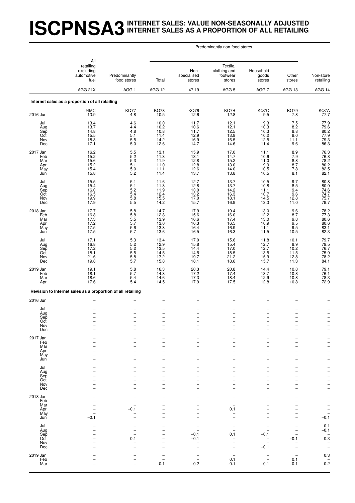#### **ISCPNSA3INTERNET SALES: VALUE NON-SEASONALLY ADJUSTED INTERNET SALES AS A PROPORTION OF ALL RETAILING**

| Predominantly non-food stores |  |  |
|-------------------------------|--|--|
|-------------------------------|--|--|

|                                             | All<br>retailing<br>excluding<br>automotive<br>fuel                                   | Predominantly<br>food stores                                                     | Total                                                                 | Non-<br>specialised<br>stores                                      | Textile,<br>clothing and<br>footwear<br>stores        | Household<br>goods<br>stores                                                                   | Other<br>stores                                                              | Non-store<br>retailing                             |
|---------------------------------------------|---------------------------------------------------------------------------------------|----------------------------------------------------------------------------------|-----------------------------------------------------------------------|--------------------------------------------------------------------|-------------------------------------------------------|------------------------------------------------------------------------------------------------|------------------------------------------------------------------------------|----------------------------------------------------|
|                                             | AGG 21X                                                                               | AGG <sub>1</sub>                                                                 | AGG 12                                                                | 47.19                                                              | AGG <sub>5</sub>                                      | AGG 7                                                                                          | AGG 13                                                                       | AGG 14                                             |
|                                             | Internet sales as a proportion of all retailing                                       |                                                                                  |                                                                       |                                                                    |                                                       |                                                                                                |                                                                              |                                                    |
| 2016 Jun                                    | J4MC<br>13.9                                                                          | KQ77<br>4.8                                                                      | <b>KQ78</b><br>10.5                                                   | <b>KQ76</b><br>12.6                                                | KQ7B<br>12.8                                          | KQ7C<br>9.5                                                                                    | <b>KQ79</b><br>7.8                                                           | KQ7A<br>77.7                                       |
| Jul<br>Aug<br>Sep<br>Oct<br>Nov<br>Dec      | 13.4<br>13.7<br>14.8<br>15.5<br>18.8<br>17.1                                          | 4.6<br>4.4<br>$4.8\,$<br>5.1<br>$\begin{array}{c} 5.5 \\ 5.0 \end{array}$        | 10.0<br>10.2<br>10.8<br>11.4<br>14.2<br>12.6                          | 11.7<br>10.6<br>11.7<br>12.9<br>16.9<br>14.7                       | 12.1<br>12.1<br>$\frac{12.5}{13.8}$<br>16.5<br>14.6   | 9.3<br>10.3<br>10.3<br>10.2<br>12.5<br>11.4                                                    | 7.5<br>$8.\overline{2}$<br>$8.\overline{8}$<br>9.0<br>11.1<br>9.6            | 77.9<br>$79.6$<br>$80.2$<br>$77.9$<br>79.3<br>86.3 |
| 2017 Jan<br>Feb<br>Mar<br>Apr<br>May<br>Jun | 16.2<br>15.2<br>15.6<br>15.2<br>15.4<br>15.8                                          | $5.5$<br>$5.2$<br>$5.3$<br>$\frac{5.1}{5.0}$<br>5.2                              | 13.1<br>11.3<br>11.9<br>11.0<br>11.1<br>11.4                          | 15.9<br>13.1<br>12.8<br>12.8<br>12.6<br>13.7                       | 17.0<br>14.7<br>15.2<br>13.0<br>14.0<br>13.8          | 11.1<br>10.6<br>11.0<br>9.9<br>10.5<br>10.5                                                    | $\begin{array}{c} 8.9 \\ 7.9 \\ 8.8 \end{array}$<br>$\frac{8.7}{7.8}$<br>8.1 | 76.3<br>76.8<br>78.2<br>80.2<br>82.5<br>82.1       |
| Jul<br>Aug<br>Sep<br>Oct<br>Nov<br>Dec      | 15.5<br>15.4<br>$\frac{16.0}{16.5}$<br>19.9<br>17.9                                   | 5.1<br>5.1<br>$\frac{5.2}{5.4}$<br>5.8<br>5.5                                    | 11.6<br>11.3<br>11.9<br>12.4<br>15.5<br>14.2                          | 12.7<br>12.8<br>13.0<br>13.2<br>17.0<br>15.7                       | 13.7<br>13.7<br>14.2<br>16.3<br>18.1<br>16.9          | 10.5<br>10.8<br>11.1<br>10.7<br>14.5<br>13.3                                                   | 9.7<br>8.5<br>9.4<br>9.6<br>12.8<br>11.0                                     | $80.8$<br>$80.0$<br>74.6<br>74.7<br>75.7<br>79.7   |
| 2018 Jan<br>Feb<br>Mar<br>Apr<br>May<br>Jun | 17.7<br>$\begin{array}{c} 16.8 \\ 17.3 \\ 17.2 \\ \hline \end{array}$<br>17.5<br>17.5 | 5.8<br>5.8<br>5.5<br>5.7<br>$\frac{5.6}{5.7}$                                    | 14.7<br>12.8<br>13.9<br>13.0<br>13.3<br>13.6                          | 17.9<br>15.6<br>16.6<br>16.3<br>16.4<br>16.5                       | 19.4<br>16.0<br>$17.4$<br>16.5<br>16.9<br>16.3        | 13.0<br>$12.2$<br>$13.0$<br>10.9<br>11.1<br>11.5                                               | 9.6<br>8.7<br>$\frac{9.8}{9.5}$<br>$\frac{9.5}{10.5}$                        | 78.2<br>77.3<br>80.6<br>80.6<br>83.1<br>82.3       |
| Jul<br>Aug<br>Sep<br>Oct<br>Nov<br>Dec      | 17.1<br>16.8<br>17.2<br>18.1<br>21.6<br>19.8                                          | 5.3<br>5.2<br>5.5<br>5.5<br>5.7                                                  | 13.4<br>12.9<br>13.5<br>14.5<br>17.2<br>15.8                          | 17.0<br>15.8<br>14.4<br>14.5<br>19.7<br>18.1                       | 15.6<br>$15.4$<br>17.0<br>$\frac{18.5}{21.2}$<br>18.6 | 11.8<br>12.7<br>12.7<br>13.5<br>15.9<br>15.7                                                   | 10.1<br>$8.9$<br>10.2<br>11.5<br>12.8<br>11.3                                | 79.7<br>79.5<br>76.7<br>75.9<br>78.2<br>84.1       |
| 2019 Jan<br>Feb<br>Mar<br>Apr               | 19.1<br>18.1<br>18.6<br>17.6                                                          | $\frac{5.8}{5.7}$<br>5.4<br>5.4                                                  | 16.3<br>14.3<br>14.6<br>14.5                                          | 20.3<br>17.2<br>17.3<br>17.9                                       | $20.8$<br>17.4<br>18.4<br>17.5                        | 14.4<br>13.7<br>12.9<br>12.8                                                                   | $10.8$<br>$10.8$<br>10.8<br>10.8                                             | 79.1<br>76.1<br>78.3<br>72.9                       |
|                                             | Revision to Internet sales as a proportion of all retailing                           |                                                                                  |                                                                       |                                                                    |                                                       |                                                                                                |                                                                              |                                                    |
| 2016 Jun                                    |                                                                                       |                                                                                  |                                                                       |                                                                    |                                                       |                                                                                                |                                                                              |                                                    |
| Jul<br>Aug<br>Sep<br>Oct<br>Nov<br>Dec      | $\overline{\phantom{0}}$<br>$\overline{\phantom{0}}$<br>$\overline{a}$                | $\overline{\phantom{0}}$<br>$\overline{\phantom{0}}$<br>$\overline{\phantom{0}}$ | $\overline{\phantom{0}}$<br>$\qquad \qquad -$<br>$\equiv$<br>$\equiv$ | $\qquad \qquad -$<br>$\qquad \qquad -$<br>$\overline{\phantom{0}}$ | $\overline{\phantom{0}}$<br>$\overline{\phantom{a}}$  | $\overline{\phantom{0}}$<br>$\qquad \qquad -$<br>$\qquad \qquad -$<br>$\overline{\phantom{a}}$ | $\overline{\phantom{0}}$<br>$\overline{\phantom{0}}$<br>$\overline{a}$       | $\qquad \qquad -$<br>$\qquad \qquad -$             |
| 2017 Jan<br>Feb<br>Mar<br>Apr<br>May<br>Jun |                                                                                       |                                                                                  |                                                                       |                                                                    |                                                       |                                                                                                |                                                                              |                                                    |
| Jul<br>Aug<br>Sep<br>Oct<br>Nov<br>Dec      |                                                                                       |                                                                                  | $\overline{\phantom{0}}$                                              |                                                                    |                                                       | -<br>-                                                                                         |                                                                              |                                                    |
| 2018 Jan<br>Feb<br>Mar<br>Apr<br>May<br>Jun | $-0.1$                                                                                | $-0.1$                                                                           |                                                                       |                                                                    | 0.1                                                   | -                                                                                              |                                                                              | $\qquad \qquad -$<br>$\qquad \qquad -$<br>$-0.1$   |
| Jul<br>Aug<br>Sep<br>Oct<br>Nov<br>Dec      |                                                                                       | 0.1                                                                              |                                                                       | $-0.1$<br>$-0.1$                                                   | 0.1                                                   | -0.1<br>$\overline{\phantom{0}}$<br>$-0.1$                                                     | $-0.1$                                                                       | 0.1<br>$-0.1$<br>$0.\overline{3}$<br>$\bar{a}$     |
| 2019 Jan<br>Feb<br>Mar                      |                                                                                       | $\overline{a}$                                                                   | $-0.1$                                                                | $-0.2$                                                             | 0.1<br>$-0.1$                                         | $\qquad \qquad -$<br>$-0.1$                                                                    | 0.1<br>$-0.1$                                                                | 0.3<br>$^{-}_{0.2}$                                |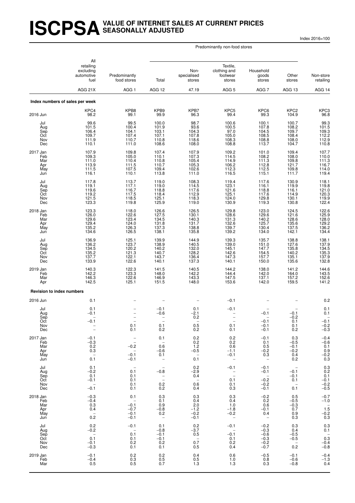#### **ISCPSAVALUE OF INTERNET SALES AT CURRENT PRICES SEASONALLY ADJUSTED**

Index 2016=100

Predominantly non-food stores

|                                               | All<br>retailing<br>excluding<br>automotive<br>fuel<br>AGG 21X             | Predominantly<br>food stores                                            | Total                                                                               | Non-<br>specialised<br>stores                                  | Textile,<br>clothing and<br>footwear<br>stores          | Household<br>goods<br>stores                                               | Other<br>stores                                                       | Non-store<br>retailing                                                            |
|-----------------------------------------------|----------------------------------------------------------------------------|-------------------------------------------------------------------------|-------------------------------------------------------------------------------------|----------------------------------------------------------------|---------------------------------------------------------|----------------------------------------------------------------------------|-----------------------------------------------------------------------|-----------------------------------------------------------------------------------|
|                                               |                                                                            | AGG <sub>1</sub>                                                        | AGG 12                                                                              | 47.19                                                          | AGG <sub>5</sub>                                        | AGG <sub>7</sub>                                                           | AGG 13                                                                | AGG 14                                                                            |
|                                               | Index numbers of sales per week                                            |                                                                         |                                                                                     |                                                                |                                                         |                                                                            |                                                                       |                                                                                   |
| 2016 Jun                                      | KPC4<br>98.2                                                               | KPB8<br>99.1                                                            | KPB9<br>99.9                                                                        | KPB7<br>96.3                                                   | KPC <sub>5</sub><br>99.4                                | KPC6<br>99.3                                                               | KPC <sub>2</sub><br>104.9                                             | KPC3<br>96.8                                                                      |
| Jul<br>Aug<br>Sep<br>Oct<br>Nov<br>Dec        | 99.6<br>101.5<br>106.4<br>109.7<br>111.9<br>110.1                          | 99.5<br>100.4<br>104.1<br>107.4<br>110.7<br>111.0                       | 100.0<br>101.9<br>103.1<br>107.1<br>110.8<br>108.6                                  | 98.7<br>93.6<br>104.3<br>107.8<br>118.6<br>108.0               | 100.6<br>100.5<br>$97.0$<br>105.0<br>108.3<br>108.8     | 100.1<br>107.8<br>104.5<br>108.5<br>108.8<br>113.7                         | 100.7<br>108.2<br>109.7<br>108.4<br>108.0<br>104.7                    | 99.3<br>109.3<br>112.2<br>112.9<br>110.8                                          |
| 2017 Jan<br>Feb<br>Mar<br>Apr<br>May<br>Jun   | 107.9<br>109.3<br>111.0<br>113.9<br>111.5<br>116.1                         | 109.8<br>105.0<br>110.4<br>111.5<br>107.5<br>110.1                      | 107.4<br>110.1<br>110.8<br>110.7<br>109.4<br>113.8                                  | 107.9<br>107.3<br>105.4<br>105.3<br>102.6<br>111.0             | 109.2<br>114.5<br>114.9<br>106.2<br>112.3<br>116.5      | 101.0<br>108.2<br>111.3<br>112.8<br>112.5<br>115.1                         | 109.4<br>108.0<br>109.8<br>121.7<br>109.8<br>111.7                    | 107.7<br>$\begin{array}{c} 110.0 \\ 111.3 \\ 116.7 \end{array}$<br>114.0<br>119.4 |
| Jul<br>Aug<br>Sep<br>Oct<br><b>Nov</b><br>Dec | 117.8<br>119.1<br>119.6<br>119.2<br>121.5<br>123.3                         | 113.7<br>117.1<br>116.7<br>117.5<br>118.5<br>119.8                      | 119.0<br>119.0<br>118.8<br>118.4<br>125.1<br>125.9                                  | 108.3<br>114.5<br>117.6<br>112.9<br>118.3<br>119.0             | 119.4<br>123.1<br>121.6<br>125.1<br>124.0<br>130.9      | 117.6<br>116.1<br>118.8<br>117.6<br>129.8<br>119.3                         | 130.9<br>119.9<br>116.1<br>114.9<br>130.1<br>130.8                    | 118.1<br>119.8<br>121.0<br>$\frac{120.3}{119.9}$<br>122.4                         |
| 2018 Jan<br>Feb<br>Mar<br>Apr<br>May<br>Jun   | 123.3<br>126.0<br>129.6<br>129.4<br>135.2<br>134.6                         | 118.0<br>122.6<br>123.4<br>124.0<br>126.3<br>126.5                      | 126.6<br>127.5<br>134.5<br>131.8<br>137.3<br>138.1                                  | 126.5<br>130.1<br>140.3<br>131.7<br>138.8<br>135.8             | 129.8<br>128.6<br>131.3<br>132.6<br>139.7<br>139.2      | 123.0<br>129.6<br>140.2<br>125.7<br>130.4<br>134.0                         | 124.5<br>121.6<br>128.6<br>135.6<br>137.5<br>142.1                    | 122.6<br>125.9<br>$\frac{128.0}{129.2}$<br>136.2<br>134.4                         |
| Jul<br>Aug<br>Sep<br>Oct<br>Nov<br>Dec        | 136.9<br>136.2<br>134.5<br>135.2<br>137.7<br>133.9                         | 125.1<br>123.7<br>120.2<br>121.3<br>122.1<br>122.6                      | 139.9<br>138.9<br>140.2<br>140.7<br>143.7<br>140.1                                  | 144.9<br>140.5<br>132.0<br>128.2<br>136.4<br>137.3             | 139.3<br>139.0<br>145.1<br>142.6<br>147.3<br>140.1      | 135.7<br>151.0<br>147.7<br>154.5<br>157.7<br>150.0                         | 138.8<br>127.6<br>135.8<br>140.2<br>135.1<br>135.6                    | 138.1<br>137.9<br>134.5<br>135.3<br>137.9<br>132.8                                |
| 2019 Jan<br>Feb<br>Mar<br>Apr                 | 140.3<br>142.2<br>146.3<br>142.5                                           | 122.3<br>123.3<br>122.6<br>125.1                                        | 141.5<br>148.0<br>146.9<br>151.5                                                    | 140.5<br>142.2<br>143.3<br>148.0                               | 144.2<br>144.4<br>147.5<br>153.6                        | 138.0<br>142.0<br>137.1<br>142.0                                           | 141.2<br>164.0<br>157.2<br>159.5                                      | 144.6<br>143.5<br>152.6<br>141.2                                                  |
| <b>Revision to index numbers</b>              |                                                                            |                                                                         |                                                                                     |                                                                |                                                         |                                                                            |                                                                       |                                                                                   |
| 2016 Jun                                      | 0.1                                                                        |                                                                         |                                                                                     |                                                                | $-0.1$                                                  |                                                                            |                                                                       | 0.2                                                                               |
| Jul<br>Aug<br>Sep<br>Oct<br><b>NOV</b><br>Dec | 0.1<br>$-0.1$<br>$-0.1$<br>-<br>$\qquad \qquad -$                          | 0.1<br>0.1                                                              | $-0.1$<br>$-0.6$<br>0.1<br>0.2                                                      | 0.1<br>$^{-2.1}_{0.2}$<br>0.5<br>0.2                           | $-0.1$<br>0.1<br>0.1                                    | $-0.1$<br>$-0.1$<br>$-0.1$<br>$-0.1$                                       | $-0.1$<br>$-0.2$<br>0.1<br>0.1<br>0.2                                 | 0.1<br>0.1<br>$-0.1$<br>$-0.2$<br>$-0.3$                                          |
| 2017 Jan<br>Feb<br>Mar<br>Apr<br>May<br>Jun   | $-0.1$<br>$-0.3$<br>0.2<br>0.3<br>$\overline{\phantom{a}}$<br>0.1          | $\bar{a}$<br>$-0.2$<br>$\overline{\phantom{0}}$<br>$-0.1$<br>$-0.1$     | 0.1<br>$\overline{\phantom{a}}$<br>0.6<br>$-0.6$<br>0.1<br>$\overline{\phantom{m}}$ | 0.2<br>0.2<br>1.2<br>$-0.5$<br>$\overline{\phantom{a}}$<br>0.1 | 0.2<br>0.2<br>0.6<br>$-1.1$<br>$-0.1$                   | $-0.1$<br>0.1<br>0.5<br>$-0.2$<br>0.3                                      | 0.3<br>$-0.5$<br>$-0.1$<br>$-0.2$<br>0.4<br>0.2                       | $^{-0.4}_{-0.6}$<br>$0.1$<br>$0.9$<br>$-0.2$<br>0.3                               |
| Jul<br>Aug<br>Sep<br>Oct<br>Nov<br>Dec        | 0.1<br>$-0.2$<br>0.1<br>$-0.1$<br>$-0.\overline{1}$                        | 0.1<br>0.1<br>0.1<br>0.1<br>0.1                                         | $-0.8$<br>$\overline{\phantom{0}}$<br>0.2<br>0.2                                    | 0.2<br>$-2.9$<br>0.4<br>$\overline{\phantom{a}}$<br>0.6<br>0.4 | $-0.1$<br>$\overline{\phantom{0}}$<br>0.1<br>0.1<br>0.3 | $-0.1$<br>$-0.1$<br>$\overline{\phantom{a}}$<br>$-0.2$<br>$-0.2$<br>$-0.1$ | $-0.\overline{1}$<br>$-0.1$<br>0.1<br>$\overline{\phantom{a}}$<br>0.1 | $0.3$<br>$0.2$<br>0.1<br>$-0.1$<br>$^{-0.2}_{-0.5}$                               |
| 2018 Jan<br>Feb<br>Mar<br>Apr<br>May<br>Jun   | $-0.3$<br>$-0.4$<br>0.3<br>0.4<br>$\hspace{0.1mm}$ $\hspace{0.1mm}$<br>0.2 | 0.1<br>$\overline{\phantom{0}}$<br>$-0.1$<br>$-0.7$<br>$-0.1$<br>$-0.1$ | 0.3<br>0.1<br>0.9<br>$-0.8$<br>0.2<br>$\overline{\phantom{0}}$                      | 0.3<br>0.4<br>2.0<br>$-1.2$<br>$-0.2$<br>$-0.1$                | 0.3<br>0.4<br>1.0<br>$-1.8$<br>$-0.2$                   | $-0.2$<br>0.2<br>0.6<br>$-0.1$<br>0.4<br>$\overline{\phantom{0}}$          | 0.5<br>$-0.5$<br>$-0.3$<br>0.7<br>0.9<br>0.3                          | $-0.7$<br>$-1.0$<br>$-1.5$<br>$-0.2$<br>0.3                                       |
| Jul<br>Aug<br>Sep<br>Oct<br>Nov<br>Dec        | 0.2<br>$-0.2$<br>$0.\overline{1}$<br>$-0.1$<br>$-0.3$                      | $-0.1$<br>0.1<br>0.1<br>0.2<br>0.1                                      | 0.1<br>$-0.8$<br>$-0.1$<br>$-0.1$<br>0.2<br>0.1                                     | 0.2<br>$-3.7$<br>0.5<br>$\overline{\phantom{a}}$<br>0.7<br>0.5 | $-0.1$<br>$-0.1$<br>0.1<br>0.2<br>0.4                   | $-0.2$<br>$-0.3$<br>$-0.6$<br>$-0.3$<br>$-0.2$<br>$-0.7$                   | 0.3<br>0.4<br>$-0.5$<br>$-0.5$<br>$\overline{\phantom{0}}$<br>0.2     | $0.3 \\ 0.1$<br>$\frac{0.3}{-0.4}$<br>$-0.8$                                      |
| 2019 Jan<br>Feb<br>Mar                        | $-0.1$<br>$-0.4$<br>0.5                                                    | 0.2<br>0.3<br>0.5                                                       | 0.2<br>0.5<br>0.7                                                                   | 0.4<br>0.5<br>1.3                                              | 0.6<br>1.0<br>1.3                                       | $-0.5$<br>0.8<br>0.3                                                       | $-0.1$<br>$-0.6$<br>$-0.8$                                            | $-0.4$<br>$-1.3$<br>0.4                                                           |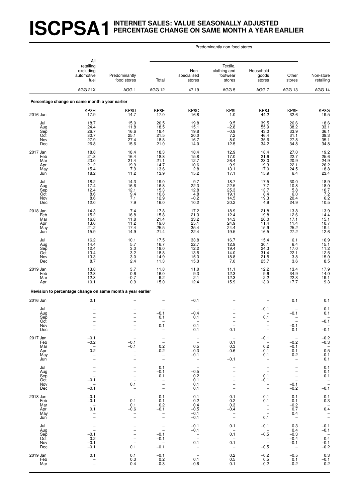# **ISCPSA1INTERNET SALES: VALUE SEASONALLY ADJUSTED PERCENTAGE CHANGE ON SAME MONTH A YEAR EARLIER**

#### Predominantly non-food stores

|                                             | All                                                                        |                                                                                                              |                                                                                                          |                                                                           |                                                                           |                                                                                         |                                                                                            |                                                                         |
|---------------------------------------------|----------------------------------------------------------------------------|--------------------------------------------------------------------------------------------------------------|----------------------------------------------------------------------------------------------------------|---------------------------------------------------------------------------|---------------------------------------------------------------------------|-----------------------------------------------------------------------------------------|--------------------------------------------------------------------------------------------|-------------------------------------------------------------------------|
|                                             | retailing<br>excluding<br>automotive<br>fuel<br>AGG 21X                    | Predominantly<br>food stores                                                                                 | Total                                                                                                    | Non-<br>specialised<br>stores                                             | Textile,<br>clothing and<br>footwear<br>stores                            | Household<br>goods<br>stores                                                            | Other<br>stores                                                                            | Non-store<br>retailing                                                  |
|                                             |                                                                            | AGG <sub>1</sub>                                                                                             | AGG 12                                                                                                   | 47.19                                                                     | AGG <sub>5</sub>                                                          | AGG <sub>7</sub>                                                                        | AGG 13                                                                                     | AGG 14                                                                  |
|                                             | Percentage change on same month a year earlier                             |                                                                                                              |                                                                                                          |                                                                           |                                                                           |                                                                                         |                                                                                            |                                                                         |
| 2016 Jun                                    | KP8H<br>17.9                                                               | KP8D<br>14.7                                                                                                 | KP8E<br>17.0                                                                                             | KP8C<br>16.8                                                              | KP8I<br>$-1.0$                                                            | KP8J<br>44.2                                                                            | KP8F<br>32.6                                                                               | KP8G<br>19.5                                                            |
| Jul<br>Aug<br>Sep<br>Oct<br>Nov<br>Dec      | 18.7<br>24.4<br>26.7<br>30.7<br>27.9<br>26.8                               | 15.0<br>11.8<br>16.6<br>25.1<br>27.4<br>15.6                                                                 | 20.5<br>18.5<br>18.4<br>21.5<br>18.8<br>21.0                                                             | 19.8<br>15.1<br>19.8<br>20.0<br>16.7<br>14.0                              | 9.5<br>$-2.8$<br>$-0.9$<br>7.2<br>8.0<br>12.5                             | 39.5<br>55.9<br>43.0<br>46.4<br>35.6<br>34.2                                            | 26.6<br>38.2<br>33.9<br>31.1<br>27.8<br>34.8                                               | 18.6<br>33.1<br>$\frac{36.1}{39.3}$<br>35.1<br>34.8                     |
| 2017 Jan<br>Feb<br>Mar<br>Apr<br>May<br>Jun | 18.8<br>21.8<br>23.0<br>21.2<br>15.4<br>18.2                               | 18.4<br>16.4<br>21.4<br>19.9<br>$7.9$<br>11.2                                                                | 18.3<br>18.8<br>21.1<br>14.7<br>13.6<br>13.9                                                             | 18.4<br>15.8<br>12.7<br>10.6<br>$2.8$<br>15.2                             | 12.9<br>17.0<br>26.4<br>9.9<br>13.1<br>17.1                               | 18.4<br>21.6<br>23.0<br>19.3<br>17.0<br>15.9                                            | 27.0<br>22.7<br>20.9<br>22.1<br>$^{24.5}_{6.4}$                                            | 19.2<br>25.6<br>24.9<br>26.2<br>$\frac{18.8}{23.4}$                     |
| Jul<br>Aug<br>Sep<br>Oct<br>Nov<br>Dec      | $18.2$<br>$17.4$<br>12.4<br>8.6<br>$8.6$<br>12.0                           | 14.3<br>16.6<br>12.1<br>$\frac{9.4}{7.1}$<br>7.9                                                             | 19.0<br>16.8<br>15.3<br>10.6<br>12.9<br>16.0                                                             | 9.7<br>22.3<br>12.8<br>4.8<br>$-0.2$<br>10.2                              | 18.7<br>22.5<br>25.3<br>19.1<br>14.5<br>20.2                              | 17.5<br>7.7<br>13.7<br>8.4<br>19.3<br>4.9                                               | 30.0<br>10.8<br>5.8<br>6.0<br>20.4<br>24.9                                                 | 18.9<br>18.0<br>10.7<br>$7.2$<br>6.2<br>10.5                            |
| 2018 Jan<br>Feb<br>Mar<br>Apr<br>May<br>Jun | 14.3<br>15.2<br>16.8<br>13.6<br>21.2<br>15.9                               | 7.4<br>16.8<br>11.8<br>11.2<br>17.4<br>14.9                                                                  | 17.8<br>15.8<br>21.4<br>19.0<br>25.5<br>21.4                                                             | 17.2<br>21.3<br>33.2<br>25.1<br>35.4<br>22.4                              | 18.9<br>12.4<br>14.3<br>24.9<br>24.4<br>19.5                              | 21.8<br>19.8<br>26.0<br>11.4<br>15.9<br>16.5                                            | 13.8<br>12.6<br>17.1<br>11.4<br>25.2<br>27.2                                               | 13.9<br>14.4<br>$15.1$<br>$10.7$<br>19.4<br>12.6                        |
| Jul<br>Aug<br>Sep<br>Oct<br>Nov<br>Dec      | 16.2<br>14.4<br>12.4<br>13.4<br>$\frac{13.3}{8.7}$                         | 10.1<br>5.7<br>$\frac{3.0}{3.2}$<br>$\frac{3.0}{2.4}$                                                        | 17.5<br>16.7<br>18.0<br>18.8<br>14.9<br>11.3                                                             | 33.8<br>$22.7$<br>12.2<br>13.5<br>15.3<br>15.3                            | 16.7<br>12.9<br>19.4<br>14.0<br>18.8<br>7.0                               | 15.4<br>30.1<br>24.3<br>31.4<br>21.5<br>25.7                                            | 6.1<br>6.4<br>17.0<br>22.1<br>$3.8\,$<br>3.6                                               | 16.9<br>$15.1$<br>$11.2$<br>$12.5$<br>$15.0$<br>$8.5$                   |
| 2019 Jan<br>Feb<br>Mar<br>Apr               | 13.8<br>12.8<br>12.8<br>10.1                                               | 3.7<br>0.6<br>$-0.7$<br>0.9                                                                                  | 11.8<br>16.0<br>9.2<br>15.0                                                                              | 11.0<br>9.3<br>2.1<br>12.4                                                | 11.1<br>12.3<br>12.3<br>15.9                                              | 12.2<br>9.6<br>$-2.2$<br>13.0                                                           | 13.4<br>34.9<br>22.3<br>17.7                                                               | 17.9<br>14.0<br>19.1<br>9.3                                             |
|                                             | Revision to percentage change on same month a year earlier                 |                                                                                                              |                                                                                                          |                                                                           |                                                                           |                                                                                         |                                                                                            |                                                                         |
| 2016 Jun                                    | 0.1                                                                        |                                                                                                              |                                                                                                          | $-0.1$                                                                    |                                                                           |                                                                                         | 0.1                                                                                        | 0.1                                                                     |
| Jul<br>Aug<br>Sep<br>Oct<br>Nov<br>Dec      | $\overline{\phantom{a}}$                                                   |                                                                                                              | $-0.1$<br>0.1<br>-<br>0.1<br>$\overline{\phantom{a}}$                                                    | $-0.4$<br>0.1<br>0.1<br>0.1                                               | 0.1                                                                       | $-0.1$<br>0.1<br>$\overline{a}$<br>$\qquad \qquad -$                                    | $-0.1$<br>$-0.1$<br>0.1                                                                    | 0.1<br>0.1<br>$-0.1$<br>$-0.1$                                          |
| 2017 Jan<br>Feb<br>Mar<br>Apr<br>May<br>Jun | $-0.1$<br>$-0.2$<br>$\overline{\phantom{a}}$<br>0.2<br>$\bar{a}$           | $-0.1$<br>$-0.1$<br>$\overline{\phantom{0}}$                                                                 | $\bar{\mathbb{I}}$<br>0.2<br>$-0.2$<br>$\overline{\phantom{0}}$<br>$\overline{a}$                        | $\bar{\mathbb{I}}$<br>0.5<br>$-0.3$<br>$-0.1$<br>$\overline{\phantom{a}}$ | 0.1<br>0.3<br>$-0.6$<br>$\overline{\phantom{a}}$<br>$-0.1$                | $-0.1$<br>$\overline{\phantom{a}}$<br>0.2<br>$-0.1$<br>0.1<br>$\overline{\phantom{a}}$  | $-0.2$<br>$-0.1$<br>0.1<br>0.2<br>$\qquad \qquad -$                                        | $-0.2$<br>$-0.3$<br>$0.\overline{5}$<br>$-0.1$<br>0.1                   |
| Jul<br>Aug<br>Sep<br>Oct<br>Nov<br>Dec      | $\bar{a}$<br>$\frac{1}{2}$<br>$-0.1$<br>$\overline{\phantom{a}}$<br>$-0.1$ | -<br>$\qquad \qquad -$<br>$\overline{a}$<br>$\overline{\phantom{0}}$<br>0.1<br>$\overline{\phantom{m}}$      | 0.1<br>$-0.1$<br>0.1<br>$\overline{\phantom{0}}$<br>$\overline{\phantom{a}}$<br>$\overline{\phantom{a}}$ | $\overline{\phantom{a}}$<br>$-0.5$<br>0.2<br>0.1<br>0.1<br>0.1            | $\overline{\phantom{0}}$<br>$\overline{\phantom{0}}$                      | $\overline{\phantom{a}}$<br>0.1<br>$-0.1$<br>$\bar{a}$                                  | $\overline{\phantom{0}}$<br>$\overline{a}$<br>$\overline{\phantom{a}}$<br>$-0.1$<br>$-0.2$ | 0.1<br>0.1<br>0.1<br>$\bar{\mathbb{Z}}$<br>$-0.1$                       |
| 2018 Jan<br>Feb<br>Mar<br>Apr<br>May<br>Jun | $-0.1$<br>$-0.1$<br>$\overline{a}$<br>0.1<br>$\overline{\phantom{0}}$      | $\overline{\phantom{m}}$<br>0.1<br>0.1<br>$-0.6$<br>$\overline{\phantom{0}}$                                 | 0.1<br>0.1<br>0.2<br>$-0.1$<br>$\overline{\phantom{0}}$<br>$\overline{\phantom{a}}$                      | 0.1<br>0.2<br>0.4<br>$-0.5$<br>$-0.1$<br>$-0.1$                           | 0.1<br>0.2<br>0.3<br>$-0.4$<br>$\bar{a}$                                  | $-0.1$<br>0.1<br>$\frac{1}{2}$<br>0.1                                                   | 0.1<br>0.1<br>$-0.2$<br>0.7<br>0.4<br>$\overline{\phantom{a}}$                             | $-0.1$<br>$-0.3$<br>$0.\overline{4}$<br>$\mathbb{C}$                    |
| Jul<br>Aug<br>Sep<br>Oct<br>Nov<br>Dec      | $\overline{\phantom{a}}$<br>$-0.1$<br>0.2<br>$-0.1$<br>$-0.1$              | $\overline{\phantom{0}}$<br>$\overline{\phantom{0}}$<br>$\overline{\phantom{0}}$<br>$\qquad \qquad -$<br>0.1 | $\bar{\mathbb{I}}$<br>$-0.1$<br>$-0.1$<br>$\sim$<br>$-0.1$                                               | $-0.1$<br>$-0.1$<br>$\bar{z}$<br>0.1                                      | 0.1<br>$\overline{\phantom{a}}$<br>0.1<br>0.1<br>$\overline{\phantom{a}}$ | $-0.1$<br>$\overline{\phantom{a}}$<br>$-0.5$<br>$\qquad \qquad -$<br>$\equiv$<br>$-0.5$ | 0.3<br>0.4<br>$-0.3$<br>$-0.4$<br>$-0.1$<br>$\overline{\phantom{m}}$                       | $-0.1$<br>$-0.1$<br>$\overline{\phantom{0}}$<br>0.4<br>$-0.1$<br>$-0.2$ |
| 2019 Jan<br>Feb<br>Mar                      | 0.1<br>$\overline{\phantom{a}}$                                            | 0.1<br>0.3<br>0.4                                                                                            | $-0.1$<br>0.2<br>$-0.3$                                                                                  | 0.1<br>$-0.6$                                                             | 0.2<br>0.5<br>0.1                                                         | $-0.2$<br>0.5<br>$-0.2$                                                                 | $-0.5$<br>0.1<br>$-0.2$                                                                    | 0.3<br>$-0.1$<br>0.2                                                    |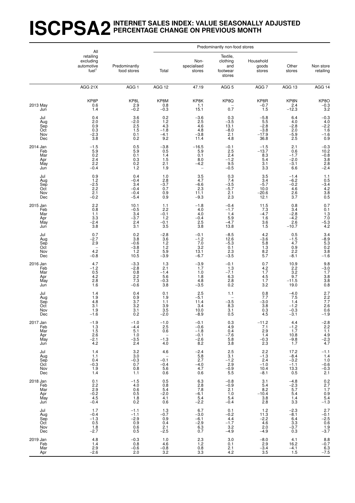#### **ISCPSA2INTERNET SALES INDEX: VALUE SEASONALLY ADJUSTED PERCENTAGE CHANGE ON PREVIOUS MONTH**

|                                             | All                                                                         |                                                                         |                                                                   |                                                       | Predominantly non-food stores                                             |                                                      |                                                              |                                                                                |
|---------------------------------------------|-----------------------------------------------------------------------------|-------------------------------------------------------------------------|-------------------------------------------------------------------|-------------------------------------------------------|---------------------------------------------------------------------------|------------------------------------------------------|--------------------------------------------------------------|--------------------------------------------------------------------------------|
|                                             | retailing<br>excluding<br>automotive<br>fuel <sup>1</sup>                   | Predominantly<br>food stores                                            | Total                                                             | Non-<br>specialised<br>stores                         | Textile,<br>clothing<br>and<br>footwear<br>stores                         | Household<br>goods<br>stores                         | Other<br>stores                                              | Non store<br>retailing                                                         |
|                                             | AGG 21X                                                                     | AGG <sub>1</sub>                                                        | AGG 12                                                            | 47.19                                                 | AGG <sub>5</sub>                                                          | AGG 7                                                | AGG 13                                                       | AGG 14                                                                         |
| 2013 May<br>Jun                             | KP8P<br>0.6<br>1.4                                                          | KP8L<br>2.9<br>$-0.2$                                                   | KP8M<br>0.8<br>$-0.3$                                             | KP8K<br>1.1<br>15.1                                   | KP8Q<br>0.7                                                               | $KPRB - 0.7$<br>1.5                                  | KP8N<br>2.4<br>$-12.3$                                       | $KP8O -0.3$<br>3.2                                                             |
| Jul<br>Aug<br>Sep<br>Oct<br>Nov<br>Dec      | 0.4<br>2.0<br>0.9<br>0.3<br>$-2.3$<br>3.8                                   | 3.6<br>$-2.0$<br>$^{2.5}_{1.5}$<br>0.1<br>0.2                           | 0.2<br>1.2<br>4.3<br>$-1.8$<br>$-4.1$<br>9.2                      | $-3.6$<br>2.5<br>4.6<br>4.8<br>$-3.8$<br>11.4         | 0.3<br>$-3.5$<br>13.1<br>$-8.0$<br>2.1<br>4.8                             | $-5.8$<br>5.5<br>$-2.8$<br>$-3.8$<br>$-17.9$<br>36.8 | 6.4<br>4.0<br>$^{-2.8}_{2.0}$<br>$-5.9$<br>2.5               | $-0.3$<br>4.0<br>$-2.2$<br>1.6<br>$-1.6$<br>0.9                                |
| 2014 Jan<br>Feb<br>Mar<br>Apr<br>May<br>Jun | $-1.5$<br>$\begin{array}{c} 5.9 \\ 0.2 \end{array}$<br>2.4<br>2.2<br>$-0.4$ | 0.5<br>$\begin{array}{c} 5.9 \\ 0.1 \end{array}$<br>0.3<br>$0.2$<br>1.2 | $-3.8$<br>0.5<br>1.4<br>1.5<br>2.1<br>1.9                         | $-16.5$<br>5.9<br>0.1<br>8.0<br>$-4.2$                | $-0.1$<br>2.5<br>2.4<br>$-1.2$<br>$^{9.5}_{-0.5}$                         | $-1.5$<br>$-13.7$<br>8.3<br>5.4<br>3.1<br>3.3        | 2.1<br>0.6<br>$-1.7$<br>$-2.0$<br>$-3.1$<br>6.6              | $-0.3$<br>$10.2$<br>$-0.8$<br>$3.8$<br>$2.8$<br>$-2.4$                         |
| Jul<br>Aug<br>Sep<br>Oct<br>Nov<br>Dec      | 0.9<br>1.2<br>$-2.5$<br>$2.2$<br>$2.1$<br>$-0.2$                            | 0.4<br>$-0.4$<br>3.4<br>$-0.4$<br>$-0.4$<br>$-5.4$                      | 1.0<br>$2.\overline{8}$<br>$-3.7$<br>0.7<br>0.9<br>0.9            | $\frac{3.5}{4.7}$<br>-6.6<br>2.3<br>11.1<br>$-9.3$    | $\frac{0.3}{7.4}$<br>$-3.5$<br>$-5.7$<br>2.1<br>2.3                       | $\frac{3.5}{3.4}$<br>$-5.7$<br>$10.0 - 20.6$<br>12.1 | $-1.4$<br>$-6.2$<br>$-0.2$<br>4.6<br>$2.\overline{6}$<br>3.7 | $\begin{array}{c} 1.1 \\ 0.5 \\ -3.4 \\ 4.2 \\ 3.8 \\ 0.5 \end{array}$         |
| 2015 Jan<br>Feb<br>Mar<br>Apr<br>May<br>Jun | 2.2<br>0.8<br>1.1<br>3.3<br>$-2.4$<br>3.8                                   | 10.1<br>$-0.5$<br>3.4<br>$-3.7$<br>2.4<br>3.1                           | 1.1<br>2.2<br>$-0.1$<br>1.2<br>$-0.1$<br>3.5                      | $-1.8$<br>4.0<br>4.0<br>$-0.4$<br>2.5<br>3.8          | $-0.4$<br>$-1.7$<br>1.4<br>5.9<br>$-4.7$<br>13.8                          | 11.5<br>7.3<br>$-4.7$<br>1.6<br>3.6<br>1.5           | 0.8<br>3.4<br>$-2.8$<br>$-4.2$<br>2.6<br>$-10.7$             | 0.7<br>0.1<br>$\frac{1.3}{7.0}$<br>$-5.\overline{3}$<br>4.2                    |
| Jul<br>Aug<br>Sep<br>Oct<br>Nov<br>Dec      | 0.7<br>$-2.7$<br>$\overline{2.9}$<br>4.2<br>$-0.8$                          | 0.2<br>3.8<br>$-0.6$<br>$-3.8$<br>$1.2$<br>10.5                         | $-2.8$<br>3.6<br>1.2<br>1.2<br>$\frac{5.9}{-3.9}$                 | $-0.1$<br>$-1.2$<br>7.0<br>3.2<br>13.1<br>$-6.7$      | $-8.5$<br>12.6<br>$-5.\overline{3}$<br>0.1<br>$^{2.3}_{-3.5}$             | 4.2<br>$^{-3.6}_{-5.8}$<br>1.3<br>$\frac{8.2}{5.7}$  | 0.5<br>$-1.5$<br>4.7<br>0.9<br>2.2<br>$-8.1$                 | $3.4 -8.9$<br>5.3<br>0.2<br>$3.8 - 1.6$                                        |
| 2016 Jan<br>Feb<br>Mar<br>Apr<br>May<br>Jun | 4.7<br>$-1.2$<br>0.5<br>$^{4.2}_{2.8}$<br>1.6                               | $-3.3$<br>$-2.8$<br>0.8<br>$\frac{2.2}{7.3}$<br>$-0.6$                  | 1.3<br>2.1<br>$-1.4$<br>5.6<br>$-0.3$<br>3.8                      | $-3.9$<br>1.7<br>1.0<br>1.8<br>4.8<br>$-3.5$          | $-0.1$<br>1.3<br>$-7.1$<br>6.3<br>2.8<br>0.2                              | 0.7<br>4.2<br>1.7<br>4.5<br>1.7<br>3.2               | $^{10.9}_{2.2}$<br>3.2<br>9.7<br>$-11.5$<br>19.0             | $\frac{9.8}{-3.0}$<br>$\begin{array}{c} 3.8 \\ 3.8 \\ 0.8 \end{array}$         |
| Jul<br>Aug<br>Sep<br>Oct<br>Nov<br>Dec      | 1.4<br>1.9<br>4.8<br>3.1<br>1.9<br>$-1.6$                                   | 0.4<br>0.9<br>3.7<br>3.2<br>3.1<br>0.2                                  | 0.1<br>1.9<br>1.1<br>3.9<br>3.5<br>$-2.0$                         | 2.5<br>$-5.1$<br>11.4<br>3.4<br>10.0<br>$-8.9$        | 1.1<br>$-3.5$<br>8.3<br>3.1<br>0.5                                        | 0.8<br>7.7<br>$-3.0$<br>3.8<br>0.3<br>4.5            | $-4.0$<br>7.5<br>1.4<br>$-1.2$<br>$-0.3$<br>$-3.1$           | $2.7$<br>$2.2$<br>$7.7$<br>2.6<br>0.6<br>$-1.9$                                |
| 2017 Jan<br>Feb<br>Mar<br>Apr<br>May<br>Jun | $^{-1.9}_{-1.3}$<br>1.5<br>2.6<br>$-2.1$<br>4.2                             | $-1.0$<br>$-4.4$<br>5.1<br>1.0<br>$-3.5$<br>2.4                         | $-1.0$<br>2.5<br>0.6<br>$-1.\overline{3}$<br>4.0                  | $-0.1$<br>$-0.6$<br>$-1.8$<br>$-0.1$<br>$-2.6$<br>8.2 | 0.3<br>4.9<br>0.4<br>$-7.6$<br>5.8<br>3.8                                 | $-11.2$<br>7.1<br>2.9<br>1.4<br>$-0.3$<br>2.3        | 4.4<br>$-1.2$<br>1.7<br>10.8<br>$-9.8$<br>1.7                | $-2.8$<br>2.2<br>1.1<br>4.9<br>4.3<br>4.7                                      |
| Jul<br>Aug<br>Sep<br>Oct<br>Nov<br>Dec      | 1.4<br>1.1<br>0.4<br>$-0.3$<br>1.9<br>1.4                                   | 3.2<br>3.0<br>$-0.3$<br>0.7<br>0.8<br>1.1                               | 4.6<br>$\overline{\phantom{a}}$<br>$-0.1$<br>$-0.4$<br>5.6<br>0.6 | $-2.4$<br>5.8<br>2.7<br>$-4.0$<br>4.7<br>0.6          | 2.5<br>3.1<br>$-1.2$<br>$\begin{array}{c} 2.9 \\ -0.9 \\ 5.5 \end{array}$ | 2.2<br>$-1.3$<br>2.4<br>$-1.0$<br>10.4<br>$-8.1$     | 17.2<br>$-8.4$<br>$-3.2$<br>$-1.1$<br>$^{13.3}_{0.5}$        | $-1.1$<br>$\begin{array}{c} 1.4 \\ 1.0 \end{array}$<br>$-0.6$<br>$-0.3$<br>2.1 |
| 2018 Jan<br>Feb<br>Mar<br>Apr<br>May<br>Jun | 0.1<br>2.2<br>$2.9 - 0.2$<br>4.5<br>$-0.4$                                  | $-1.5$<br>4.0<br>0.6<br>0.5<br>1.8<br>0.2                               | 0.5<br>0.8<br>5.4<br>$-2.0$<br>4.1<br>0.6                         | 6.3<br>2.8<br>7.8<br>$-6.1$<br>5.4<br>$-2.2$          | $-0.8$<br>$-0.9$<br>2.1<br>1.0<br>5.4<br>$-0.4$                           | 3.1<br>5.4<br>8.2<br>$^{-10.4}_{-3.8}$<br>2.8        | $-4.8$<br>$-2.3$<br>5.7<br>5.4<br>1.4<br>3.3                 | $0.2$<br>$2.7$<br>$1.7$<br>$0.9$<br>$5.4$<br>$-1.3$                            |
| Jul<br>Aug<br>Sep<br>Oct<br>Nov<br>Dec      | 1.7<br>$-0.4$<br>$-1.3$<br>0.5<br>1.8<br>$-2.7$                             | $-1.1$<br>$-1.1$<br>$-2.9$<br>0.9<br>0.6<br>0.5                         | 1.3<br>$-0.7$<br>0.9<br>0.4<br>2.1<br>$-2.5$                      | 6.7<br>$-3.0$<br>$-6.1$<br>$-2.9$<br>6.3<br>0.7       | 0.1<br>$-0.2$<br>$4.4 - 1.7$<br>3.2<br>$-4.9$                             | 1.2<br>11.3<br>$-2.2$<br>4.6<br>2.0<br>$-4.9$        | $-2.3$<br>$-8.1$<br>6.4<br>3.3<br>$-3.7$<br>0.3              | 2.7<br>$-0.1$<br>$-2.5$<br>0.6<br>1.9<br>$-3.7$                                |
| 2019 Jan<br>Feb<br>Mar<br>Apr               | 4.8<br>1.4<br>2.9<br>$-2.6$                                                 | $-0.3$<br>0.8<br>$-0.6$<br>2.0                                          | 1.0<br>4.6<br>$-0.8$<br>3.2                                       | 2.3<br>1.2<br>0.8<br>3.3                              | 3.0<br>0.1<br>2.1<br>4.2                                                  | $-8.0$<br>$-2.9$<br>$-3.4$<br>$3.5$                  | 4.1<br>$16.2 - 4.1$<br>1.5                                   | $8.8 - 0.7$<br>6.3<br>$-7.5$                                                   |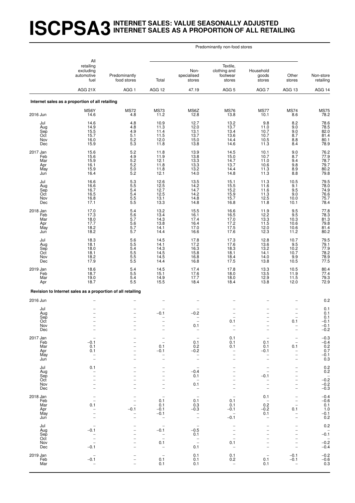#### **ISCPSA3INTERNET SALES: VALUE SEASONALLY ADJUSTED INTERNET SALES AS A PROPORTION OF ALL RETAILING**

#### Predominantly non-food stores

|                                             | All                                                         |                                                      |                                                                                                               |                                                                                                          |                                                  |                                                              |                                                                             |                                                                                    |
|---------------------------------------------|-------------------------------------------------------------|------------------------------------------------------|---------------------------------------------------------------------------------------------------------------|----------------------------------------------------------------------------------------------------------|--------------------------------------------------|--------------------------------------------------------------|-----------------------------------------------------------------------------|------------------------------------------------------------------------------------|
|                                             | retailing<br>excluding<br>automotive<br>fuel                | Predominantly<br>food stores                         | Total                                                                                                         | Non-<br>specialised<br>stores                                                                            | Textile,<br>clothing and<br>footwear<br>stores   | Household<br>goods<br>stores                                 | Other<br>stores                                                             | Non-store<br>retailing                                                             |
|                                             | AGG 21X                                                     | AGG <sub>1</sub>                                     | AGG 12                                                                                                        | 47.19                                                                                                    | AGG <sub>5</sub>                                 | AGG 7                                                        | AGG 13                                                                      | AGG 14                                                                             |
|                                             | Internet sales as a proportion of all retailing             |                                                      |                                                                                                               |                                                                                                          |                                                  |                                                              |                                                                             |                                                                                    |
| 2016 Jun                                    | MS6Y<br>14.6                                                | <b>MS72</b><br>4.8                                   | <b>MS73</b><br>11.2                                                                                           | MS6Z<br>12.8                                                                                             | <b>MS76</b><br>13.8                              | <b>MS77</b><br>10.1                                          | <b>MS74</b><br>8.6                                                          | <b>MS75</b><br>78.2                                                                |
| Jul<br>Aug<br>Sep<br>Oct<br>Nov<br>Dec      | 14.6<br>14.9<br>15.5<br>15.7<br>16.0<br>15.9                | 4.8<br>4.8<br>$\frac{4.9}{5.1}$<br>5.2<br>$5.3\,$    | 10.9<br>11.3<br>11.4<br>11.5<br>12.0<br>11.8                                                                  | 12.7<br>12.0<br>13.1<br>13.7<br>15.0<br>13.8                                                             | 13.2<br>13.7<br>$13.4$<br>$13.6$<br>14.4<br>14.6 | 9.8<br>11.0<br>10.7<br>10.7<br>10.5<br>11.3                  | $8.2$<br>9.0<br>$\frac{9.0}{8.7}$<br>$8.8\,$<br>8.4                         | 78.6<br>78.5<br>82.0<br>81.4<br>80.1<br>78.9                                       |
| 2017 Jan<br>Feb<br>Mar<br>Apr<br>May<br>Jun | 15.6<br>15.6<br>15.9<br>16.1<br>15.9<br>16.4                | $5.2\,$<br>$4.9$<br>5.2<br>5.2<br>$\frac{5.0}{5.2}$  | 11.8<br>11.9<br>12.1<br>11.8<br>11.8<br>12.1                                                                  | 13.9<br>$\frac{13.8}{13.3}$<br>13.3<br>13.2<br>14.0                                                      | 14.5<br>15.0<br>14.7<br>13.7<br>14.4<br>14.8     | 10.1<br>10.7<br>11.0<br>10.6<br>11.3<br>11.3                 | 9.0<br>8.7<br>9.4<br>9.8<br>$\frac{8.9}{8.8}$                               | 76.2<br>77.9<br>78.7<br>79.7<br>80.2<br>79.8                                       |
| Jul<br>Aug<br>Sep<br>Oct<br>Nov<br>Dec      | 16.6<br>16.6<br>16.7<br>16.5<br>16.8<br>17.1                | 5.3<br>5.5<br>5.4<br>$5.4$<br>$5.5$<br>$5.5$         | 12.6<br>12.5<br>12.7<br>12.5<br>13.1<br>13.3                                                                  | 13.5<br>14.2<br>14.7<br>14.2<br>14.8<br>14.8                                                             | 15.1<br>15.5<br>15.2<br>15.9<br>15.7<br>16.8     | 11.3<br>11.6<br>11.6<br>11.3<br>12.5<br>11.8                 | 10.5<br>9.1<br>9.5<br>$\frac{9.0}{10.0}$<br>10.1                            | 79.5<br>78.0<br>74.9<br>76.6<br>75.7<br>78.4                                       |
| 2018 Jan<br>Feb<br>Mar<br>Apr<br>May<br>Jun | 17.0<br>17.3<br>18.0<br>17.7<br>18.2<br>18.2                | 5.4<br>$5.6\,$<br>$\frac{5.7}{5.6}$<br>5.7<br>5.7    | 13.2<br>13.4<br>14.3<br>13.8<br>14.1<br>14.4                                                                  | 15.5<br>16.1<br>17.4<br>16.4<br>17.0<br>16.6                                                             | 16.6<br>16.5<br>$17.0$<br>17.2<br>17.5<br>17.6   | 11.9<br>12.2<br>13.3<br>11.5<br>12.0<br>12.3                 | 9.5<br>9.5<br>10.3<br>10.6<br>10.6<br>11.2                                  | 77.8<br>78.3<br>81.3<br>79.8<br>81.4<br>80.2                                       |
| Jul<br>Aug<br>Sep<br>Oct<br>Nov<br>Dec      | 18.3<br>$\frac{18.1}{18.0}$<br>18.1<br>18.2<br>17.9         | 5.6<br>$\frac{5.5}{5.4}$<br>5.5<br>$\frac{5.5}{5.5}$ | 14.5<br>14.1<br>14.3<br>14.5<br>14.5<br>14.4                                                                  | 17.8<br>17.2<br>16.3<br>15.8<br>16.8<br>16.8                                                             | 17.3<br>17.6<br>18.3<br>18.1<br>18.4<br>17.5     | 12.8<br>13.6<br>13.2<br>14.1<br>14.0<br>13.8                 | 10.7<br>$\frac{9.5}{10.2}$<br>10.7<br>$\frac{9.9}{10.5}$                    | 79.5<br>79.1<br>77.9<br>78.2<br>78.9<br>77.5                                       |
| 2019 Jan<br>Feb<br>Mar<br>Apr               | 18.6<br>18.7<br>19.0<br>18.7                                | $\frac{5.4}{5.5}$<br>5.4<br>5.5                      | 14.5<br>15.1<br>14.9<br>15.5                                                                                  | 17.4<br>17.6<br>17.7<br>18.4                                                                             | 17.8<br>18.0<br>18.0<br>18.4                     | $13.3$<br>$13.5$<br>12.9<br>13.8                             | $\begin{array}{c} 10.5 \\ 11.9 \\ 11.5 \end{array}$<br>12.0                 | 80.4<br>77.4<br>79.3<br>72.9                                                       |
|                                             | Revision to Internet sales as a proportion of all retailing |                                                      |                                                                                                               |                                                                                                          |                                                  |                                                              |                                                                             |                                                                                    |
| 2016 Jun                                    |                                                             |                                                      |                                                                                                               |                                                                                                          |                                                  |                                                              |                                                                             | 0.2                                                                                |
| Jul<br>Aug<br>Sep<br>Oct<br>Nov<br>Dec      | $\overline{\phantom{0}}$                                    | $\overline{\phantom{0}}$<br>$\overline{\phantom{0}}$ | $-0.1$                                                                                                        | $-0.2$<br>0.1<br>$\overline{\phantom{a}}$                                                                | 0.1<br>$\qquad \qquad -$                         | $\overline{a}$<br>$\overline{\phantom{0}}$<br>$\overline{a}$ | $\overline{\phantom{0}}$<br>$\overline{\phantom{0}}$<br>0.1                 | 0.1<br>0.1<br>0.1<br>$-0.1$<br>$-0.1$<br>$-0.2$                                    |
| 2017 Jan<br>Feb<br>Mar<br>Apr<br>May<br>Jun | $-0.1$<br>0.1<br>0.1<br>$\overline{\phantom{0}}$            |                                                      | $\overline{\phantom{0}}$<br>0.1<br>$-0.1$                                                                     | 0.1<br>0.2<br>$-0.2$<br>$\qquad \qquad -$                                                                | 0.1<br>0.1<br>0.1                                | 0.1<br>0.1<br>-0.1                                           | $\overline{\phantom{0}}$<br>0.1<br><sup>-</sup><br>$\overline{a}$           | $-0.3$<br>$-0.4$<br>$0.2$<br>$0.7$<br>$-0.1$<br>0.3                                |
| Jul<br>Aug<br>Sep<br>Oct<br>Nov<br>Dec      | 0.1<br>$\overline{a}$<br>$\overline{\phantom{0}}$           |                                                      |                                                                                                               | $\overline{\phantom{a}}$<br>$-0.4$<br>0.1<br>$\overline{\phantom{0}}$<br>0.1<br>$\overline{\phantom{0}}$ |                                                  | $-0.1$                                                       | 1<br>i,<br>$\overline{\phantom{0}}$<br>$\overline{a}$                       | $\begin{array}{c} 0.2 \\ 0.2 \end{array}$<br>$-0.\overline{2}$<br>$-0.2$<br>$-0.3$ |
| 2018 Jan<br>Feb<br>Mar<br>Apr<br>May<br>Jun | $\overline{\phantom{0}}$<br>0.1<br>$\overline{\phantom{0}}$ | $-0.1$                                               | 0.1<br>0.1<br>$-0.1$<br>$-0.1$<br>$\qquad \qquad -$                                                           | $\overline{\phantom{a}}$<br>0.1<br>0.3<br>$-0.3$<br>$\overline{\phantom{0}}$                             | 0.1<br>0.1<br>$-0.1$<br>$-0.\overline{1}$        | 0.1<br>$\overline{\phantom{m}}$<br>0.2<br>$-0.2$<br>0.1      | $\overline{\phantom{0}}$<br>$\overline{\phantom{0}}$<br>0.1<br><sup>-</sup> | $-0.4$<br>$-0.6$<br>0.1<br>1.0<br>$^{-0.1}_{0.2}$                                  |
| Jul<br>Aug<br>Sep<br>Oct<br>Nov<br>Dec      | $-0.1$<br>$\overline{a}$<br>$-0.1$                          |                                                      | $\overline{\phantom{0}}$<br>-0.1<br>$\qquad \qquad -$<br>$\overline{\phantom{0}}$<br>0.1<br>$\qquad \qquad -$ | $-0.5$<br>0.1<br>$\bar{a}$<br>0.1                                                                        | 0.1                                              | $\overline{\phantom{0}}$<br>-                                | $\overline{a}$                                                              | $0.2\,$<br>$\overline{\phantom{a}}$<br>$-0.1$<br>$-0.\overline{2}$<br>$-0.4$       |
| 2019 Jan<br>Feb<br>Mar                      | $-0.1$<br>$\overline{\phantom{0}}$                          | $\overline{\phantom{0}}$                             | $\overline{\phantom{m}}$<br>0.1<br>0.1                                                                        | 0.1<br>0.1<br>0.1                                                                                        | 0.1<br>0.2<br>$\overline{\phantom{a}}$           | 0.1<br>0.1                                                   | $-0.1$<br>$-0.1$<br>$\qquad \qquad -$                                       | $-0.2$<br>$-0.6$<br>0.3                                                            |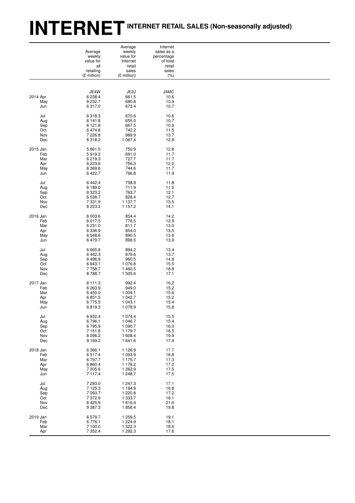# **INTERNETINTERNET RETAIL SALES (Non-seasonally adjusted)**

| retailing<br>sales<br>sales<br>(% )<br>(£ million)<br>(£ million)<br>JE4W<br>JE2J<br>J4MC |  |
|-------------------------------------------------------------------------------------------|--|
|                                                                                           |  |
|                                                                                           |  |
| 2014 Apr<br>6 2 38.4<br>661.5<br>10.6                                                     |  |
| 6 232.7<br>680.8<br>May<br>10.9                                                           |  |
| 6317.0<br>673.4<br>10.7<br>Jun                                                            |  |
| Jul<br>670.6<br>10.6<br>6318.3                                                            |  |
| 6 141.8<br>655.0<br>10.7<br>Aug                                                           |  |
| 6 121.8<br>667.5<br>10.9<br>Sep<br>6 474.8<br>742.2<br>11.5<br>Oct                        |  |
| 7 2 2 6.8<br>989.9<br>13.7<br>Nov                                                         |  |
| 1 0 6 7.4<br>Dec<br>8 3 1 8 . 2<br>12.8                                                   |  |
| 2015 Jan<br>5 861.5<br>750.9<br>12.8                                                      |  |
| Feb<br>5919.2<br>691.0<br>11.7                                                            |  |
| 727.7<br>6 219.3<br>11.7<br>Mar<br>6 2 2 3.6<br>756.3<br>12.2<br>Apr                      |  |
| May<br>6 3 6 9 . 6<br>744.6<br>11.7                                                       |  |
| 6 4 22.7<br>766.8<br>11.9<br>Jun                                                          |  |
| Jul<br>6 4 4 2.4<br>758.9<br>11.8                                                         |  |
| 6 189.0<br>711.9<br>11.5<br>Aug                                                           |  |
| 6 3 2 3.2<br>763.7<br>12.1<br>Sep<br>Oct<br>6 538.7<br>828.4<br>12.7                      |  |
| 7 3 3 1 . 9<br>1 137.7<br>15.5<br>Nov                                                     |  |
| 8 2 2 3 . 3<br>1 157.2<br>14.1<br>Dec                                                     |  |
| 854.4<br>14.2<br>2016 Jan<br>6 003.6                                                      |  |
| 6 017.3<br>776.5<br>12.9<br>Feb                                                           |  |
| Mar<br>6 231.0<br>811.7<br>13.0<br>6 3 3 6 . 9<br>854.0<br>13.5<br>Apr                    |  |
| 6548.6<br>890.5<br>May<br>13.6                                                            |  |
| 6 479.7<br>898.5<br>13.9<br>Jun                                                           |  |
| Jul<br>6 6 6 5.8<br>894.2<br>13.4                                                         |  |
| 6 4 4 2.3<br>879.6<br>13.7<br>Aug<br>6496.9<br>960.5<br>14.8<br>Sep                       |  |
| Oct<br>6943.1<br>1 076.8<br>15.5                                                          |  |
| 7758.7<br>Nov<br>1460.5<br>18.8                                                           |  |
| 8788.7<br>Dec<br>1 505.6<br>17.1                                                          |  |
| 2017 Jan<br>992.4<br>16.2<br>6 111.3                                                      |  |
| Feb<br>6 263.9<br>949.0<br>15.2<br>6 450.0<br>1 009.1<br>15.6<br>Mar                      |  |
| 6851.5<br>1 042.7<br>15.2<br>Apr                                                          |  |
| 1 043.1<br>15.4<br>May<br>6775.5                                                          |  |
| 6819.3<br>1 0 78.9<br>15.8<br>Jun                                                         |  |
| Jul<br>6932.4<br>1 0 7 4 .4<br>15.5                                                       |  |
| 6796.1<br>1 046.7<br>15.4<br>Aug<br>1 090.7<br>6795.9<br>16.0<br>Sep                      |  |
| 7 151.8<br>1 179.7<br>16.5<br>Oct                                                         |  |
| 8 0 9 6.2<br>1 608.4<br>19.9<br>Nov                                                       |  |
| 9 1 6 9.2<br>17.9<br>Dec<br>1641.6                                                        |  |
| 2018 Jan<br>6 3 6 6.1<br>1 1 2 6.9<br>17.7                                                |  |
| 6517.4<br>1 093.9<br>Feb<br>16.8<br>6797.7<br>1 175.7<br>17.3<br>Mar                      |  |
| 6 8 6 0.4<br>1 178.2<br>17.2<br>Apr                                                       |  |
| 7 205.6<br>1 262.9<br>17.5<br>May                                                         |  |
| 7 117.4<br>1 248.7<br>17.5<br>Jun                                                         |  |
| Jul<br>7 293.0<br>1 247.3<br>17.1<br>7 125.3                                              |  |
| 1 194.9<br>16.8<br>Aug<br>7 093.7<br>1 2 2 0.8<br>17.2<br>Sep                             |  |
| 7 372.9<br>Oct<br>1 3 3 3.7<br>18.1                                                       |  |
| 8 4 2 5.9<br>1816.9<br>21.6<br>Nov                                                        |  |
| 9 3 8 7 . 3<br>1858.4<br>19.8<br>Dec                                                      |  |
| 2019 Jan<br>19.1<br>6579.7<br>1 259.5                                                     |  |
| Feb<br>6776.1<br>1 2 2 4 . 9<br>18.1<br>1 322.3<br>Mar<br>7 100.0<br>18.6                 |  |
| 7 3 5 2.4<br>17.6<br>Apr<br>1 292.3                                                       |  |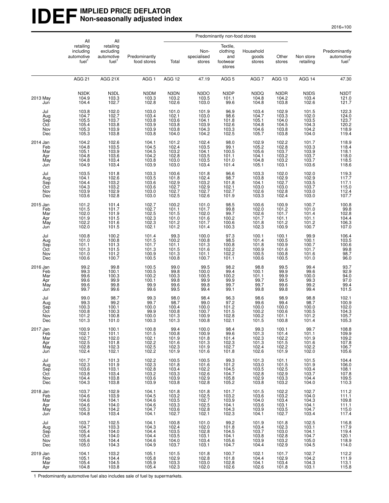#### **IDEF** IMPLIED PRICE DEFLATOR **Non-seasonally adjusted index**

|                                             | All                                                       |                                                                                   |                                                          | Predominantly non-food stores                             |                                                          |                                                                                 |                                                           |                                                    |                                                      |                                                          |
|---------------------------------------------|-----------------------------------------------------------|-----------------------------------------------------------------------------------|----------------------------------------------------------|-----------------------------------------------------------|----------------------------------------------------------|---------------------------------------------------------------------------------|-----------------------------------------------------------|----------------------------------------------------|------------------------------------------------------|----------------------------------------------------------|
|                                             | retailing<br>including<br>automotive<br>fuel <sup>1</sup> | All<br>retailing<br>excluding<br>automotive<br>fuel <sup>1</sup>                  | Predominantly<br>food stores                             | Total                                                     | Non-<br>specialised<br>stores                            | Textile,<br>clothing<br>and<br>footwear<br>stores                               | Household<br>goods<br>stores                              | Other<br>stores                                    | Non store<br>retailing                               | Predominantly<br>automotive<br>fuel <sup>1</sup>         |
|                                             | <b>AGG 21</b>                                             | AGG 21X                                                                           | AGG <sub>1</sub>                                         | AGG 12                                                    | 47.19                                                    | AGG <sub>5</sub>                                                                | AGG <sub>7</sub>                                          | AGG <sub>13</sub>                                  | AGG 14                                               | 47.30                                                    |
| 2013 May<br>Jun                             | N3DK<br>104.9<br>104.4                                    | N3DL<br>103.3<br>102.7                                                            | N3DM<br>103.3<br>102.8                                   | N3DN<br>103.2<br>102.6                                    | N3DO<br>103.5<br>103.0                                   | N3DP<br>101.1<br>99.6                                                           | N3DQ<br>104.8<br>104.8                                    | N3DR<br>104.2<br>103.8                             | N3DS<br>103.4<br>102.6                               | N3DT<br>121.0<br>121.7                                   |
| Jul<br>Aug<br>Sep<br>Oct<br>Nov<br>Dec      | 103.8<br>104.7<br>105.5<br>105.4<br>105.3<br>105.3        | 102.0<br>102.7<br>103.7<br>103.8<br>103.9<br>103.8                                | 103.0<br>103.4<br>103.8<br>103.9<br>103.9<br>103.8       | 101.0<br>102.1<br>103.6<br>103.8<br>103.8<br>104.0        | 101.9<br>103.0<br>104.1<br>103.9<br>104.3<br>104.2       | 96.9<br>98.6<br>101.8<br>102.6<br>103.3<br>102.5                                | 103.4<br>104.7<br>105.1<br>104.8<br>104.6<br>105.7        | 102.9<br>103.3<br>104.0<br>104.5<br>103.8<br>103.8 | 101.5<br>102.0<br>103.5<br>104.3<br>104.2<br>104.0   | 122.3<br>124.0<br>123.7<br>120.2<br>118.9<br>119.4       |
| 2014 Jan<br>Feb<br>Mar<br>Apr<br>May<br>Jun | 104.2<br>104.8<br>105.1<br>104.8<br>104.8<br>104.9        | 102.6<br>103.5<br>103.9<br>103.6<br>103.4<br>103.4                                | 104.1<br>104.5<br>104.5<br>104.2<br>103.8<br>103.9       | 101.2<br>102.4<br>103.2<br>102.8<br>103.0<br>103.0        | 102.4<br>103.5<br>104.1<br>103.5<br>103.5<br>103.4       | 98.0<br>99.1<br>100.5<br>101.1<br>101.0<br>101.4                                | 102.9<br>105.2<br>105.6<br>104.1<br>104.8<br>105.1        | 102.2<br>102.8<br>103.7<br>103.2<br>103.2<br>103.1 | 101.7<br>103.3<br>103.9<br>103.7<br>103.7<br>103.6   | 118.9<br>118.4<br>118.1<br>118.0<br>118.5<br>118.6       |
| Jul<br>Aug<br>Sep<br>Oct<br>Nov<br>Dec      | 103.5<br>104.1<br>104.4<br>104.3<br>103.9<br>103.6        | 101.8<br>102.6<br>103.2<br>103.2<br>102.9<br>102.8                                | 103.3<br>103.5<br>103.6<br>103.6<br>103.0<br>103.0       | 100.6<br>101.8<br>102.9<br>102.7<br>102.7<br>102.5        | 101.8<br>102.4<br>103.2<br>102.9<br>102.7<br>102.6       | 96.6<br>98.7<br>101.8<br>102.1<br>102.7<br>101.9                                | 103.3<br>$\frac{103.8}{104.1}$<br>103.0<br>102.6<br>103.3 | 102.0<br>102.9<br>102.7<br>103.0<br>102.8<br>102.4 | 102.0<br>102.9<br>103.5<br>103.7<br>103.0<br>103.0   | 119.3<br>117.7<br>117.1<br>115.0<br>112.4<br>107.7       |
| 2015 Jan<br>Feb<br>Mar<br>Apr<br>May<br>Jun | 101.2<br>101.5<br>102.0<br>101.9<br>102.2<br>102.0        | 101.4<br>101.7<br>$101.9$<br>$101.5$<br>101.6<br>101.5                            | 102.7<br>102.7<br>102.5<br>102.3<br>102.3<br>102.1       | 100.2<br>101.1<br>101.5<br>101.0<br>101.2<br>101.2        | 101.0<br>101.7<br>102.0<br>101.6<br>101.7<br>101.4       | 98.5<br>99.8<br>99.7<br>100.2<br>100.6<br>100.3                                 | 100.6<br>102.0<br>102.6<br>101.7<br>101.8<br>102.3        | 100.9<br>101.2<br>101.7<br>101.1<br>101.2<br>100.9 | 100.7<br>101.0<br>101.4<br>101.1<br>101.2<br>100.7   | 100.8<br>99.8<br>102.8<br>104.4<br>106.3<br>107.0        |
| Jul<br>Aug<br>Sep<br>Oct<br>Nov<br>Dec      | 100.8<br>101.0<br>101.1<br>101.3<br>101.0<br>100.6        | 100.2<br>100.8<br>101.3<br>101.5<br>101.2<br>100.7                                | 101.4<br>101.5<br>101.7<br>101.3<br>100.9<br>100.5       | 99.3<br>100.2<br>101.1<br>101.5<br>101.3<br>100.8         | 100.0<br>100.8<br>101.3<br>101.6<br>101.1<br>100.7       | 97.3<br>98.5<br>100.8<br>102.2<br>102.2<br>101.1                                | 100.1<br>101.4<br>101.8<br>100.9<br>100.5<br>100.6        | 100.1<br>100.5<br>100.9<br>101.6<br>100.8<br>100.5 | 99.9<br>100.1<br>100.7<br>101.7<br>101.6<br>101.0    | 106.4<br>103.5<br>100.6<br>99.8<br>98.7<br>96.0          |
| 2016 Jan<br>Feb<br>Mar<br>Apr<br>May<br>Jun | 99.2<br>99.3<br>99.6<br>99.6<br>99.6<br>99.7              | $99.8$<br>$100.1$<br>$100.3$<br>99.9<br>99.8<br>99.6                              | 100.5<br>100.5<br>100.2<br>100.1<br>99.9<br>99.6         | 99.0<br>$99.8$<br>100.3<br>99.8<br>99.6<br>99.5           | 99.5<br>100.0<br>100.5<br>99.9<br>99.8<br>99.4           | 98.2<br>99.4<br>100.2<br>99.9<br>99.7<br>99.1                                   | 98.8<br>100.1<br>101.1<br>99.7<br>99.7<br>99.8            | 99.5<br>99.9<br>99.9<br>99.5<br>99.6<br>99.8       | 99.4<br>$\frac{99.6}{100.0}$<br>99.3<br>99.2<br>99.4 | 93.7<br>92.9<br>94.0<br>97.0<br>$99.4$<br>101.5          |
| Jul<br>Aug<br>Sep<br>Oct<br>Nov<br>Dec      | 99.0<br>99.3<br>100.3<br>100.8<br>101.2<br>101.3          | 98.7<br>99.2<br>100.1<br>100.3<br>100.8<br>101.0                                  | 99.3<br>99.7<br>100.0<br>99.9<br>100.0<br>100.3          | 98.0<br>98.7<br>100.4<br>100.8<br>101.3<br>101.3          | 98.4<br>99.0<br>100.0<br>100.7<br>100.9<br>100.8         | 96.3<br>97.2<br>101.2<br>101.5<br>102.8<br>102.1                                | 98.6<br>99.6<br>100.0<br>100.2<br>100.2<br>101.5          | 98.9<br>99.4<br>100.0<br>100.6<br>101.1<br>100.8   | 98.8<br>98.7<br>100.0<br>100.5<br>101.2<br>101.4     | 102.1<br>100.9<br>102.0<br>104.3<br>105.7<br>105.3       |
| 2017 Jan<br>Feb<br>Mar<br>Apr<br>May<br>Jun | 100.9<br>102.1<br>102.7<br>102.5<br>102.8<br>102.4        | 100.1<br>101.1<br>102.0<br>101.8<br>102.3<br>102.1                                | 100.8<br>101.5<br>102.1<br>102.2<br>102.5<br>102.2       | 99.4<br>100.8<br>101.9<br>101.6<br>102.3<br>101.9         | 100.0<br>100.9<br>101.8<br>101.3<br>101.9<br>101.6       | 98.4<br>99.6<br>$\begin{array}{c} 101.4 \\ 102.3 \\ 102.7 \end{array}$<br>101.8 | 99.3<br>101.3<br>102.3<br>101.3<br>102.4<br>102.6         | 100.1<br>101.4<br>102.2<br>101.5<br>102.2<br>101.9 | 99.7<br>101.1<br>101.9<br>101.6<br>102.2<br>102.0    | 108.8<br>109.9<br>$109.2$<br>$107.8$<br>$106.7$<br>105.6 |
| Jul<br>Aug<br>Sep<br>Oct<br>Nov<br>Dec      | 101.7<br>102.3<br>103.6<br>103.8<br>104.4<br>104.3        | 101.3<br>101.9<br>$103.1$<br>$103.4$<br>$103.8$<br>$103.8$                        | 102.2<br>$102.3$<br>$102.8$<br>$103.2$<br>103.6<br>103.9 | 100.5<br>101.8<br>103.4<br>103.3<br>103.9<br>103.8        | 100.5<br>101.6<br>102.2<br>102.6<br>102.9<br>102.8       | 99.3<br>101.2<br>104.5<br>104.7<br>105.8<br>105.2                               | 101.3<br>103.0<br>103.5<br>102.8<br>$\frac{102.9}{103.8}$ | 101.1<br>101.5<br>102.5<br>102.9<br>103.3<br>103.2 | 101.5<br>101.9<br>103.4<br>103.7<br>104.4<br>104.0   | 104.4<br>106.0<br>108.1<br>107.8<br>109.5<br>110.3       |
| 2018 Jan<br>Feb<br>Mar<br>Apr<br>May<br>Jun | 103.7<br>104.6<br>104.6<br>104.6<br>105.3<br>104.8        | 102.9<br>103.9<br>104.1<br>104.0<br>104.2<br>103.4                                | 104.1<br>104.5<br>104.6<br>104.6<br>104.7<br>104.1       | 101.8<br>103.2<br>103.5<br>$\frac{103.3}{103.6}$<br>102.7 | 101.8<br>102.5<br>102.7<br>102.5<br>102.8<br>102.1       | 101.7<br>103.2<br>103.9<br>104.1<br>104.3<br>102.3                              | 101.5<br>103.6<br>104.0<br>103.6<br>103.9<br>104.1        | 102.2<br>103.2<br>103.4<br>103.1<br>103.5<br>102.7 | 102.7<br>104.0<br>104.3<br>104.1<br>104.7<br>103.4   | 111.2<br>111.1<br>109.8<br>111.1<br>115.0<br>117.4       |
| Jul<br>Aug<br>Sep<br>Oct<br>Nov<br>Dec      | 103.7<br>104.7<br>105.4<br>105.4<br>105.6<br>105.0        | 102.5<br>103.3<br>$\begin{array}{c} 104.0 \\ 104.0 \\ 104.4 \end{array}$<br>104.3 | 104.1<br>104.3<br>104.4<br>104.4<br>104.6<br>104.9       | 100.8<br>102.4<br>103.5<br>103.5<br>104.0<br>103.7        | 101.0<br>102.0<br>$102.8$<br>$103.1$<br>$103.4$<br>103.1 | $99.2$<br>101.8<br>$104.5$<br>$104.1$<br>$105.6$<br>104.7                       | 101.9<br>103.4<br>103.7<br>103.8<br>103.9<br>104.4        | 101.8<br>102.3<br>103.0<br>102.8<br>103.2<br>102.9 | 102.5<br>103.1<br>104.1<br>104.7<br>105.0<br>104.5   | 116.8<br>117.9<br>119.4<br>120.1<br>118.9<br>114.0       |
| 2019 Jan<br>Feb<br>Mar<br>Apr               | 104.1<br>105.1<br>105.4<br>104.8                          | 103.2<br>104.4<br>104.5<br>103.8                                                  | 105.1<br>105.8<br>105.9<br>105.4                         | 101.5<br>102.9<br>103.3<br>102.3                          | 101.8<br>102.8<br>103.0<br>102.0                         | 100.7<br>101.8<br>102.8<br>102.6                                                | 102.1<br>104.4<br>104.1<br>102.6                          | 101.7<br>102.9<br>103.4<br>101.8                   | 102.7<br>104.2<br>104.3<br>103.1                     | 112.2<br>111.9<br>113.1<br>115.8                         |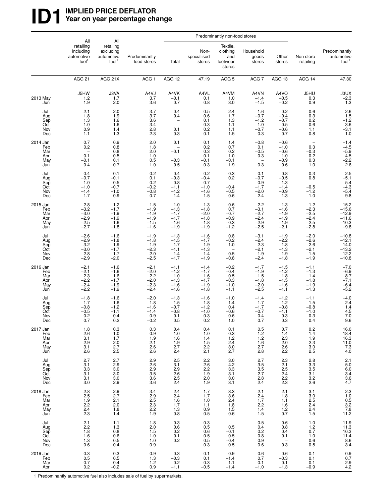#### **ID1** WPLIED PRICE DEFLATOR<br>
Year on year percentage ch Year on year percentage change

|                                             | All                                                                       |                                                                  |                                                          | Predominantly non-food stores                            |                                                          |                                                                              |                                                                             |                                                                           |                                                                             |                                                                |
|---------------------------------------------|---------------------------------------------------------------------------|------------------------------------------------------------------|----------------------------------------------------------|----------------------------------------------------------|----------------------------------------------------------|------------------------------------------------------------------------------|-----------------------------------------------------------------------------|---------------------------------------------------------------------------|-----------------------------------------------------------------------------|----------------------------------------------------------------|
|                                             | retailing<br>including<br>automotive<br>fuel <sup>1</sup>                 | All<br>retailing<br>excluding<br>automotive<br>fuel <sup>1</sup> | Predominantly<br>food stores                             | Total                                                    | Non-<br>specialised<br>stores                            | Textile,<br>clothing<br>and<br>footwear<br>stores                            | Household<br>goods<br>stores                                                | Other<br>stores                                                           | Non store<br>retailing                                                      | Predominantly<br>automotive<br>fuel <sup>1</sup>               |
|                                             | <b>AGG 21</b>                                                             | AGG 21X                                                          | AGG <sub>1</sub>                                         | AGG 12                                                   | 47.19                                                    | AGG <sub>5</sub>                                                             | AGG <sub>7</sub>                                                            | AGG 13                                                                    | AGG 14                                                                      | 47.30                                                          |
| 2013 May<br>Jun                             | J5HW<br>$\frac{1.2}{1.9}$                                                 | J3VA<br>1.7<br>2.0                                               | A4VJ<br>3.7<br>3.6                                       | A4VK<br>$-0.1$<br>0.7                                    | A4VL<br>0.1<br>0.8                                       | A4VM<br>1.0<br>3.0                                                           | A4VN<br>$-1.4$<br>$-1.5$                                                    | A4VO<br>$-0.5$<br>$-0.2$                                                  | J5HU<br>$\substack{0.3 \\ 0.9}$                                             | $J3UX -2.3$<br>1.3                                             |
| Jul<br>Aug<br>Sep<br>Oct<br>Nov<br>Dec      | 2.1<br>1.8<br>1.3<br>1.0<br>0.9<br>1.1                                    | 2.0<br>1.9<br>1.6<br>1.6<br>1.4<br>1.3                           | 3.7<br>3.7<br>3.6<br>3.4<br>2.8<br>2.3                   | 0.4<br>0.4<br>0.1<br>0.3                                 | 0.5<br>0.6<br>0.1<br>0.3<br>0.2<br>0.1                   | 2.4<br>1.7<br>1.3<br>1.1<br>1.1<br>1.5                                       | $-1.6$<br>$-0.7$<br>$-1.2$<br>$-1.0$<br>$-0.7$<br>0.3                       | $-0.2$<br>$-0.4$<br>$-0.7$<br>$-0.5$<br>$-0.6$<br>$-0.7$                  | 0.6<br>0.3<br>0.2<br>0.6<br>1.1<br>0.8                                      | $2.6$<br>1.5<br>-1.2<br>-3.6<br>-3.1<br>$-1.0$                 |
| 2014 Jan<br>Feb<br>Mar<br>Apr<br>May<br>Jun | 0.7<br>0.2<br>$-0.1$<br>$-0.1$<br>0.4                                     | 0.9<br>0.8<br>$0.8$<br>$0.5$<br>0.1<br>0.7                       | 2.0<br>1.8<br>2.0<br>1.0<br>0.5<br>1.0                   | 0.1<br>$-0.1$<br>$-0.3$<br>0.5                           | 0.1<br>0.2<br>0.3<br>0.1<br>$-0.1$<br>0.3                | 1.4<br>0.7<br>0.2<br>1.0<br>$-0.1$<br>1.9                                    | $-0.8$<br>0.1<br>$-0.5$<br>$-0.3$<br>$\overbrace{\phantom{1232211}}$<br>0.3 | $-0.6$<br>$-1.0$<br>$-0.6$<br>$-1.0$<br>$-0.9$<br>$-0.6$                  | $\overline{\phantom{a}}$<br>0.3<br>$-0.3$<br>$0.\overline{2}$<br>0.3<br>1.0 | $-1.4$<br>$-4.5$<br>$-5.9$<br>$-4.5$<br>$-2.2$<br>$-2.6$       |
| Jul<br>Aug<br>Sep<br>Oct<br>Nov<br>Dec      | $-0.4$<br>$-0.7$<br>$-1.0$<br>$-1.0$<br>$-1.4$<br>$-1.7$                  | $-0.1$<br>$-0.1$<br>$-0.5$<br>$-0.7$<br>$-1.0$<br>$-0.9$         | 0.2<br>0.1<br>$-0.2$<br>$-0.2$<br>$-0.8$<br>$-0.7$       | $-0.4$<br>$-0.3$<br>$-0.8$<br>$-1.1$<br>$-1.2$<br>$-1.4$ | $-0.2$<br>$-0.4$<br>$-0.7$<br>$-1.0$<br>$-1.6$<br>$-1.5$ | $-0.3$<br>0.2<br>$-0.4$<br>$-0.5$<br>$-0.6$                                  | $-0.1$<br>$-0.7$<br>$-0.9$<br>$-1.7$<br>$^{-2.0}_{-2.4}$                    | $-0.8$<br>$-0.5$<br>$-1.3$<br>$-1.4$<br>$-0.9$<br>$-1.3$                  | 0.3<br>0.8<br>$-0.5$<br>$-1.2$<br>$-1.0$                                    | $-2.5$<br>$-5.1$<br>$-5.4$<br>$-4.3$<br>$-5.4$<br>$-9.8$       |
| 2015 Jan<br>Feb<br>Mar<br>Apr<br>May<br>Jun | $-2.8$<br>$-3.\overline{2}$<br>$-3.0$<br>$-2.9$<br>$-2.5$<br>$-2.7$       | $-1.2$<br>$-1.7$<br>$-1.9$<br>$-1.9$<br>$-1.6$<br>$-1.8$         | $-1.5$<br>$-1.9$<br>$-1.9$<br>$-1.9$<br>$-1.5$<br>$-1.6$ | $-1.0$<br>$-1.3$<br>$-1.7$<br>$-1.7$<br>$-1.6$<br>$-1.9$ | $-1.3$<br>$-1.8$<br>$-2.0$<br>$-1.8$<br>$-1.8$<br>$-1.9$ | 0.6<br>0.7<br>$-0.7$<br>$-0.9$<br>$-0.3$<br>$-1.2$                           | $-2.2$<br>$-3.1$<br>$-2.7$<br>$-2.4$<br>$-2.9$<br>$-2.5$                    | $-1.3$<br>$-1.6$<br>$-1.9$<br>$-1.9$<br>$-1.9$<br>$-2.1$                  | $^{-1.2}_{-2.3}$<br>$-2.5$<br>$-2.4$<br>$-2.5$<br>$-2.8$                    | $-15.2$<br>$-15.6$<br>$-12.9$<br>$-11.6$<br>$-10.3$<br>$-9.8$  |
| Jul<br>Aug<br>Sep<br>Oct<br>Nov<br>Dec      | $-2.6$<br>$-2.9$<br>$-3.2$<br>$-3.0$<br>$-2.8$<br>$-2.9$                  | $-1.6$<br>$-1.8$<br>$-1.9$<br>$-1.7$<br>$-1.7$<br>$-2.0$         | $-1.9$<br>$-1.8$<br>$-1.9$<br>$-2.3$<br>$-2.0$<br>$-2.5$ | $-1.3$<br>$-1.5$<br>$-1.7$<br>$-1.1$<br>$-1.4$<br>$-1.7$ | $-1.6$<br>$-1.7$<br>$-1.9$<br>$-1.3$<br>$-1.4$<br>$-1.9$ | 0.8<br>$-0.2$<br>$-1.0$<br>$\qquad \qquad -$<br>$-0.5$<br>$-0.8$             | $-3.1$<br>$-2.4$<br>$-2.3$<br>$-2.1$<br>$-1.9$<br>$-2.4$                    | $-1.9$<br>$-2.2$<br>$-1.8$<br>$-1.3$<br>$-1.9$<br>$-1.8$                  | $-2.0$<br>$-2.6$<br>$-2.6$<br>$-2.1$<br>$-1.5$<br>$-1.9$                    | $-10.8$<br>$-12.1$<br>$-14.0$<br>$-13.2$<br>$-12.2$<br>$-10.8$ |
| 2016 Jan<br>Feb<br>Mar<br>Apr<br>May<br>Jun | $-2.1$<br>$-2.1$<br>$-2.3$<br>$-2.2$<br>$-2.4$<br>$-2.2$                  | $-1.6$<br>$-1.6$<br>$-1.6$<br>$-1.7$<br>$-1.9$<br>$-1.9$         | $-2.1$<br>$^{-2.0}_{-2.2}$<br>$-2.0$<br>$-2.3$<br>$-2.4$ | $-1.1$<br>$-1.2$<br>$-1.0$<br>$-1.3$<br>$-1.6$<br>$-1.6$ | $-1.4$<br>$-1.7$<br>$-1.6$<br>$-1.7$<br>$-1.9$<br>$-1.8$ | $-0.2$<br>$-0.4$<br>0.5<br>$-0.3$<br>$-1.0$<br>$-1.1$                        | $-1.7$<br>$-1.9$<br>$-1.5$<br>$-1.8$<br>$^{-2.0}_{-2.5}$                    | $-1.5$<br>$-1.2$<br>$-1.8$<br>$-1.5$<br>$-1.6$<br>$-1.1$                  | $-1.1$<br>$-1.3$<br>$-1.4$<br>$-1.8$<br>$-1.9$<br>$-1.\overline{3}$         | $-7.0$<br>$-6.9$<br>$-8.7$<br>$-7.1$<br>$-6.4$<br>$-5.2$       |
| Jul<br>Aug<br>Sep<br>Oct<br>Nov<br>Dec      | $-1.8$<br>$-1.7$<br>$-0.8$<br>$-0.5$<br>$0.\overline{2}$<br>0.7           | $-1.6$<br>$-1.6$<br>$-1.2$<br>$-1.1$<br>$-0.4$<br>0.2            | $-2.0$<br>$-1.8$<br>$-1.6$<br>$-1.4$<br>$-0.9$<br>-0.2   | $-1.3$<br>$-1.5$<br>$-0.7$<br>$-0.8$<br>0.1<br>0.5       | $-1.6$<br>$-1.8$<br>$-1.2$<br>$-1.0$<br>$-0.3$<br>0.2    | $-1.0$<br>$-1.4$<br>0.4<br>$-0.6$<br>0.6<br>1.0                              | $-1.4$<br>$-1.7$<br>$-1.7$<br>$-0.7$<br>$-0.4$<br>0.7                       | $-1.2$<br>$-1.2$<br>$-0.8$<br>$-1.1$<br>0.3<br>0.3                        | $-1.1$<br>$-1.5$<br>$-0.8$<br>$-1.0$<br>$-0.\overline{3}$<br>0.4            | $-4.0$<br>$-2.4$<br>$1.4$<br>$4.5$<br>$7.0$<br>9.6             |
| 2017 Jan<br>Feb<br>Mar<br>Apr<br>May<br>Jun | 1.8<br>2.6<br>3.1<br>2.9<br>$\frac{3.1}{2.6}$                             | $0.3\,$<br>1.0<br>1.7<br>$\frac{2.0}{2.7}$<br>2.5                | 0.3<br>$0.9$<br>1.9<br>2.1<br>2.6<br>2.6                 | 0.4<br>1.0<br>1.6<br>$\frac{1.9}{2.7}$<br>2.4            | 0.4<br>1.0<br>1.4<br>1.5<br>2.2<br>2.1                   | 0.1<br>$\begin{array}{c} 0.3 \\ 1.2 \\ 2.4 \end{array}$<br>$\frac{3.0}{2.7}$ | 0.5<br>$1.2$<br>$1.2$<br>$1.6$<br>$^{2.7}_{2.8}$                            | 0.7<br>1.4<br>$^{2.3}_{2.0}$<br>$^{2.6}_{2.2}$                            | $0.2$<br>1.4<br>$1.9$<br>$2.3$<br>$\frac{3.0}{2.5}$                         | 16.0<br>18.4<br>16.3<br>11.0<br>7.3<br>4.0                     |
| Jul<br>Aug<br>Sep<br>Oct<br>Nov<br>Dec      | $\frac{2.7}{3.1}$<br>3.3<br>$\frac{3.1}{3.1}$<br>3.0                      | 2.7<br>2.9<br>3.0<br>3.0<br>3.0<br>2.9                           | $2.9$<br>$2.6$<br>$2.9$<br>$\frac{3.5}{3.6}$<br>3.6      | $\frac{2.5}{3.1}$<br>2.9<br>$2.6$<br>$2.5$<br>$2.4$      | $2.2$<br>$2.6$<br>$2.2$<br>$\frac{1.9}{2.0}$<br>1.9      | $\begin{array}{c} 3.0 \\ 4.2 \end{array}$<br>$3.3\,$<br>3.1<br>3.0<br>3.1    | $2.7$<br>$3.5$<br>$3.5$<br>2.7<br>$^{2.8}_{2.4}$                            | $2.3$<br>$2.1$<br>$2.5$<br>$2.4$<br>$2.2$<br>$2.3$                        | $\begin{array}{l} 2.8 \\ 3.3 \\ 3.5 \end{array}$<br>$3.1$<br>$3.2$<br>$2.6$ | 2.1<br>5.0<br>6.0<br>3.4<br>3.6<br>4.7                         |
| 2018 Jan<br>Feb<br>Mar<br>Apr<br>May<br>Jun | $2.8$<br>$2.5$<br>$\begin{array}{c} 1.9 \\ 2.2 \\ 2.4 \end{array}$<br>2.3 | $^{2.9}_{2.7}$<br>$\frac{2.1}{2.0}$<br>1.8<br>1.4                | 3.4<br>2.9<br>$2.5$<br>$2.3$<br>$2.2$<br>1.9             | $^{2.4}_{2.4}$<br>$1.6$<br>$1.7$<br>$\frac{1.3}{0.8}$    | 1.7<br>1.7<br>1.0<br>1.1<br>0.9<br>0.5                   | $\begin{array}{c} 3.3 \\ 3.6 \end{array}$<br>2.4<br>1.8<br>1.5<br>0.6        | $2.1$<br>$2.4$<br>$1.7$<br>$2.2$<br>1.4<br>1.5                              | $^{2.1}_{1.8}$<br>1.1<br>$\begin{array}{c} 1.6 \\ 1.2 \\ 0.7 \end{array}$ | 3.1<br>3.0<br>2.5<br>$2.4$<br>$2.4$<br>$1.5$                                | 2.3<br>1.0<br>0.5<br>3.2<br>7.8<br>11.2                        |
| Jul<br>Aug<br>Sep<br>Oct<br>Nov<br>Dec      | 2.1<br>$2.2$<br>1.8<br>$1.\overline{6}$<br>$1.3$<br>0.6                   | 1.1<br>$1.3$<br>0.8<br>0.6<br>0.5<br>0.5                         | 1.8<br>$^{2.0}_{1.5}$<br>1.0<br>1.0<br>0.9               | $0.3$<br>$0.6$<br>$0.2$<br>$0.1$<br>$0.2 - 0.2 - 0.2$    | 0.3<br>0.5<br>0.6<br>0.5<br>0.5<br>0.3                   | $\qquad \qquad -$<br>0.5<br>$-0.1$<br>$-0.5$<br>$-0.4$<br>$-0.5$             | 0.5<br>0.4<br>${}^{0.2}_{0.8}$<br>0.9<br>0.6                                | 0.6<br>0.8<br>0.4<br>$-0.1$<br>$-0.3$                                     | 1.0<br>$1.2$<br>0.7<br>1.0<br>0.6<br>0.5                                    | $11.9$<br>$11.3$<br>$10.3$<br>$11.4$<br>$8.6$<br>$3.4$         |
| 2019 Jan<br>Feb<br>Mar<br>Apr               | $\begin{array}{c} 0.3 \\ 0.5 \\ 0.7 \end{array}$<br>0.2                   | $\begin{array}{c} 0.3 \\ 0.5 \end{array}$<br>0.4<br>$-0.2$       | 0.9<br>1.3<br>$1.\overline{2}$<br>0.9                    | $-0.3$<br>$-0.3$<br>$-0.2$<br>$-1.1$                     | 0.1<br>0.1<br>0.3<br>$-0.5$                              | $-0.9$<br>$-1.4$<br>$-1.1$<br>$-1.4$                                         | 0.6<br>0.7<br>0.1<br>$-1.0$                                                 | $-0.6$<br>$-0.3$<br>0.1<br>$-1.3$                                         | $-0.1$<br>0.1<br>$-0.1$<br>$-0.9$                                           | $0.9$<br>$0.7$<br>$2.9$<br>$4.2$                               |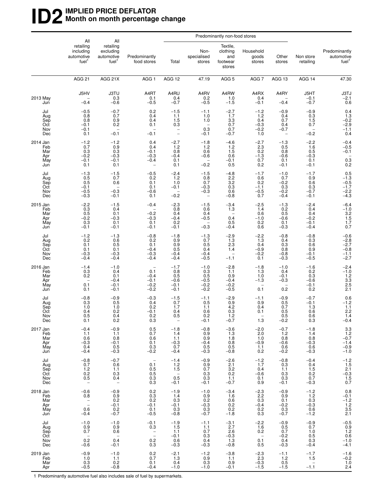#### **ID2** IMPLIED PRICE DEFLATOR<br>Month on month percentage **Month on month percentage change**

|                                             | All                                                                      |                                                                          |                                                                 | Predominantly non-food stores                           |                                                                      |                                                     |                                                                       |                                                            |                                                            |                                                                                       |
|---------------------------------------------|--------------------------------------------------------------------------|--------------------------------------------------------------------------|-----------------------------------------------------------------|---------------------------------------------------------|----------------------------------------------------------------------|-----------------------------------------------------|-----------------------------------------------------------------------|------------------------------------------------------------|------------------------------------------------------------|---------------------------------------------------------------------------------------|
|                                             | retailing<br>including<br>automotive<br>fuel <sup>1</sup>                | All<br>retailing<br>excluding<br>automotive<br>fuel <sup>1</sup>         | Predominantly<br>food stores                                    | Total                                                   | Non-<br>specialised<br>stores                                        | Textile,<br>clothing<br>and<br>footwear<br>stores   | Household<br>goods<br>stores                                          | Other<br>stores                                            | Non store<br>retailing                                     | Predominantly<br>automotive<br>fuel <sup>1</sup>                                      |
|                                             | AGG <sub>21</sub>                                                        | AGG 21X                                                                  | AGG <sub>1</sub>                                                | AGG 12                                                  | 47.19                                                                | AGG <sub>5</sub>                                    | AGG <sub>7</sub>                                                      | AGG 13                                                     | AGG 14                                                     | 47.30                                                                                 |
| 2013 May<br>Jun                             | J5HV<br>$-0.4$                                                           | <b>J3TU</b><br>0.3<br>$-0.6$                                             | A4RT<br>0.1<br>$-0.5$                                           | A4RU<br>0.4<br>$-0.7$                                   | A4RV<br>0.2<br>$-0.5$                                                | A4RW<br>1.0<br>$-1.5$                               | A4RX<br>0.4<br>$-0.1$                                                 | A4RY<br>$-0.4$                                             | J5HT<br>$-0.1$<br>$-0.7$                                   | $J3TJ$<br>$-2.1$<br>$0.6$                                                             |
| Jul<br>Aug<br>Sep<br>Oct<br>Nov<br>Dec      | $-0.5$<br>0.8<br>0.8<br>$-0.1$<br>$-0.1$<br>0.1                          | $-0.7$<br>0.7<br>0.9<br>0.2<br>$-0.1$                                    | 0.2<br>0.4<br>0.4<br>0.1<br>$-0.1$                              | $-1.5$<br>1.1<br>1.5<br>0.3<br>$\overline{\phantom{0}}$ | $-1.1$<br>1.0<br>1.0<br>$\overline{\phantom{a}}$<br>0.3<br>$-0.1$    | $-2.7$<br>1.7<br>3.3<br>0.7<br>0.7<br>$-0.7$        | $-1.2$<br>1.2<br>0.4<br>$-0.3$<br>$-0.2$<br>1.0                       | $-0.9$<br>0.4<br>0.7<br>0.4<br>$-0.7$<br>$\qquad \qquad -$ | $-0.9$<br>0.3<br>1.5<br>0.7<br>$-0.2$                      | $0.4$<br>$1.3$<br>$-0.2$<br>$-2.9$<br>$-1.1$<br>0.4                                   |
| 2014 Jan<br>Feb<br>Mar<br>Apr<br>May<br>Jun | $-1.2$<br>0.7<br>0.3<br>$-0.2$<br>$-0.1$<br>0.1                          | $-1.2$<br>0.9<br>0.3<br>$-0.3$<br>$-0.1$<br>0.1                          | 0.4<br>0.4<br>$-0.1$<br>$-0.3$<br>$-0.4$                        | $-2.7$<br>$1.2$<br>0.8<br>$-0.4$<br>0.1<br>0.1          | $-1.8$<br>1.2<br>0.6<br>$-0.6$<br>$-0.2$                             | $-4.6$<br>$1.2$<br>1.5<br>0.6<br>$-0.1$<br>0.5      | $-2.7$<br>2.3<br>0.2<br>$-1.3$<br>0.7<br>0.2                          | $-1.3$<br>0.5<br>0.8<br>$-0.6$<br>0.1<br>$-0.1$            | $-2.2$<br>1.6<br>0.5<br>$-0.3$<br>0.1<br>$-0.1$            | $-0.4$<br>$-0.5$<br>$-0.1$<br>$\!\!\!\begin{array}{c} 0.3 \\ 0.2 \end{array}\!\!\!\!$ |
| Jul<br>Aug<br>Sep<br>Oct<br>Nov<br>Dec      | $-1.3$<br>0.5<br>0.5<br>$-0.1$<br>$-0.5$<br>$-0.3$                       | $-1.5$<br>0.7<br>0.6<br>$-0.3$<br>$-0.1$                                 | $-0.5$<br>0.2<br>0.1<br>0.1<br>$-0.6$<br>0.1                    | $-2.4$<br>1.2<br>1.0<br>$-0.1$<br>$-0.2$                | $-1.5$<br>0.8<br>0.7<br>$-0.3$<br>$-0.3$<br>$\overline{\phantom{a}}$ | $-4.8$<br>2.2<br>3.2<br>0.3<br>0.6<br>$-0.8$        | $-1.7$<br>0.6<br>0.2<br>$-1.1$<br>$-0.5$<br>0.7                       | $-1.0$<br>0.7<br>$-0.2$<br>0.3<br>$-0.2$<br>$-0.4$         | $-1.7$<br>0.9<br>0.6<br>0.3<br>$-0.7$<br>$-0.1$            | $0.5$<br>$-1.3$<br>$-0.5$<br>$-1.7$<br>$-2.2$<br>$-4.3$                               |
| 2015 Jan<br>Feb<br>Mar<br>Apr<br>May<br>Jun | $-2.2$<br>0.3<br>0.5<br>$-0.2$<br>0.3<br>$-0.1$                          | $-1.5$<br>0.4<br>0.1<br>$-0.3$<br>0.1<br>$-0.1$                          | $-0.4$<br>$-0.2$<br>$-0.3$<br>0.1<br>$-0.1$                     | $-2.3$<br>0.8<br>0.4<br>$-0.4$<br>0.2<br>$-0.1$         | $-1.5$<br>0.6<br>0.4<br>$-0.5$<br>$-0.3$                             | $-3.4$<br>1.3<br>0.4<br>0.5<br>$-0.4$               | $-2.5$<br>1.4<br>0.6<br>$-1.0$<br>0.2<br>0.6                          | $-1.3$<br>0.2<br>0.5<br>$-0.6$<br>0.1<br>$-0.3$            | $-2.4$<br>0.4<br>0.4<br>$-0.2$<br>$-0.1$<br>$-0.4$         | $-6.4$<br>$-1.0$<br>$3.2$<br>$1.5$<br>$1.7$<br>0.7                                    |
| Jul<br>Aug<br>Sep<br>Oct<br>Nov<br>Dec      | $-1.2$<br>0.2<br>0.1<br>0.1<br>$-0.3$<br>$-0.4$                          | $-1.3$<br>0.6<br>0.5<br>0.1<br>$-0.3$<br>$-0.4$                          | $-0.8$<br>0.2<br>0.1<br>$-0.4$<br>$-0.3$<br>$-0.4$              | $-1.8$<br>0.9<br>0.9<br>0.5<br>$-0.4$<br>$-0.4$         | $-1.3$<br>0.7<br>0.5<br>0.4<br>$-0.4$<br>$-0.5$                      | $-2.9$<br>1.3<br>2.3<br>1.4<br>-<br>$-1.1$          | $-2.2$<br>1.3<br>0.4<br>$-0.9$<br>$-0.2$<br>0.1                       | $-0.8$<br>0.4<br>0.3<br>0.8<br>$-0.8$<br>$-0.3$            | $-0.8$<br>0.3<br>0.6<br>0.9<br>$-0.1$<br>$-0.5$            | $-0.6$<br>$-2.8$<br>$-2.7$<br>$-0.8$<br>$-1.1$<br>$-2.7$                              |
| 2016 Jan<br>Feb<br>Mar<br>Apr<br>May<br>Jun | $-1.4$<br>0.3<br>0.2<br>$\qquad \qquad -$<br>0.1<br>0.1                  | $-1.0$<br>0.4<br>0.1<br>$-0.4$<br>$-0.1$<br>$-0.1$                       | 0.1<br>$-0.4$<br>$-0.1$<br>$-0.2$<br>$-0.2$                     | $-1.7$<br>0.8<br>0.5<br>$-0.6$<br>$-0.1$<br>$-0.1$      | $-1.0$<br>0.3<br>0.5<br>$-0.5$<br>$-0.2$<br>$-0.2$                   | $-2.8$<br>1.1<br>0.9<br>$-0.4$<br>$-0.2$<br>$-0.5$  | $-1.8$<br>1.3<br>1.0<br>$-1.3$<br>$\overline{\phantom{0}}$<br>0.1     | $-1.0$<br>0.4<br>$-0.1$<br>$-0.3$<br>0.2                   | $-1.6$<br>0.2<br>0.3<br>$-0.6$<br>$-0.1$<br>0.2            | $-2.4$<br>$-1.0$<br>$1.2$<br>$3.3$<br>$2.5$<br>$2.1$                                  |
| Jul<br>Aug<br>Sep<br>Oct<br>Nov<br>Dec      | $-0.8$<br>0.3<br>1.0<br>0.4<br>0.5<br>0.1                                | $-0.9$<br>0.5<br>1.0<br>0.2<br>0.4<br>0.2                                | $-0.3$<br>0.4<br>0.2<br>$-0.1$<br>0.2<br>0.3                    | $-1.5$<br>0.7<br>1.7<br>0.4<br>0.5<br>$\qquad \qquad -$ | $-1.1$<br>0.5<br>1.1<br>0.6<br>0.2<br>$-0.1$                         | $-2.9$<br>$\frac{0.9}{4.2}$<br>0.3<br>1.2<br>$-0.7$ | $-1.1$<br>0.9<br>0.4<br>0.1<br>1.3                                    | $-0.9$<br>0.5<br>0.7<br>0.5<br>0.5<br>$-0.2$               | $-0.7$<br>$-0.1$<br>1.3<br>0.6<br>0.6<br>0.3               | $0.6$<br>-1.2<br>1.1<br>$^{2.2}_{1.4}$<br>$-0.4$                                      |
| 2017 Jan<br>Feb<br>Mar<br>Apr<br>May<br>Jun | $-0.4$<br>1.1<br>0.6<br>$-0.3$<br>0.4<br>$-0.4$                          | $-0.9$<br>1.1<br>0.8<br>$-0.1$<br>0.5<br>$-0.3$                          | 0.5<br>0.7<br>0.6<br>0.1<br>0.3<br>$-0.2$                       | $-1.8$<br>1.4<br>1.1<br>$-0.3$<br>0.7<br>$-0.4$         | $-0.8$<br>0.9<br>0.9<br>$-0.4$<br>0.5<br>$-0.3$                      | $-3.6$<br>1.3<br>1.8<br>0.8<br>0.5<br>$-0.8$        | $-2.0$<br>2.0<br>1.0<br>$-0.9$<br>1.1<br>0.2                          | $-0.7$<br>1.2<br>0.8<br>$-0.6$<br>0.6<br>$-0.2$            | $-1.8$<br>1.4<br>0.8<br>$-0.3$<br>0.6<br>$-0.3$            | $3.3$<br>$1.2$<br>$-0.7$<br>$-1.4$<br>$-0.9$<br>$-1.0$                                |
| Jul<br>Aug<br>Sep<br>Oct<br>Nov<br>Dec      | $-0.8$<br>0.7<br>$1.2$<br>0.2<br>0.5<br>$\overline{\phantom{a}}$         | $-0.7$<br>0.6<br>1.1<br>0.3<br>0.4<br>$\hspace{0.1mm}-\hspace{0.1mm}$    | $\overline{\phantom{a}}$<br>0.1<br>0.5<br>0.5<br>$0.3\,$<br>0.3 | $-1.4$<br>1.2<br>1.5<br>$0.\overline{5}$<br>$-0.1$      | $-0.9$<br>0.9<br>0.7<br>0.3<br>0.3<br>$-0.1$                         | $-2.6$<br>2.1<br>3.2<br>0.2<br>1.1<br>$-0.7$        | $-1.2$<br>1.7<br>0.4<br>$-0.6$<br>0.1<br>0.9                          | $-0.8$<br>0.3<br>1.1<br>0.3<br>0.3<br>$-0.1$               | $-0.4$<br>0.4<br>1.5<br>0.2<br>0.7<br>$-0.3$               | $-1.2$<br>1.5<br>2.1<br>-0.3<br>1.5<br>0.7                                            |
| 2018 Jan<br>Feb<br>Mar<br>Apr<br>May<br>Jun | $-0.6$<br>0.8<br>$\bar{z}$<br>0.6<br>$-0.4$                              | $-0.9$<br>0.9<br>0.2<br>$-0.1$<br>0.2<br>$-0.7$                          | 0.2<br>0.3<br>0.2<br>$-0.1$<br>0.1<br>$-0.5$                    | $-1.9$<br>1.4<br>0.3<br>$-0.1$<br>0.3<br>$-0.8$         | $-1.0$<br>0.9<br>0.2<br>$-0.3$<br>0.3<br>$-0.7$                      | $-3.4$<br>1.6<br>0.6<br>0.2<br>0.2<br>$-1.8$        | $-2.3$<br>2.2<br>0.3<br>$-0.4$<br>0.2<br>0.3                          | $-0.9$<br>0.9<br>0.1<br>$-0.2$<br>0.3<br>$-0.7$            | $-1.2$<br>1.2<br>0.3<br>$-0.3$<br>0.6<br>$-1.2$            | 0.8<br>$-0.1$<br>$-1.2$<br>$1.2$<br>$3.5$<br>2.1                                      |
| Jul<br>Aug<br>Sep<br>Oct<br>Nov<br>Dec      | $-1.0$<br>0.9<br>0.7<br>$\hspace{0.1mm}-\hspace{0.1mm}$<br>0.2<br>$-0.6$ | $-1.0$<br>0.9<br>0.6<br>$\hspace{0.1mm}-\hspace{0.1mm}$<br>0.4<br>$-0.1$ | $-0.1$<br>0.3<br>$\bar{1}$<br>0.2<br>0.3                        | $-1.9$<br>1.5<br>1.1<br>$-0.1$<br>0.6<br>$-0.3$         | $-1.1$<br>1.1<br>0.7<br>0.3<br>0.4<br>$-0.3$                         | $-3.1$<br>2.7<br>2.6<br>$-0.3$<br>1.3<br>$-0.8$     | $-2.2$<br>1.6<br>0.2<br>$\hspace{0.1mm}-\hspace{0.1mm}$<br>0.1<br>0.5 | $-0.9$<br>0.5<br>0.7<br>$-0.2$<br>0.4<br>$-0.3$            | $-0.9$<br>0.7<br>1.0<br>0.5<br>0.3<br>$-0.4$               | $-0.5$<br>$\begin{array}{c} 0.9 \\ 1.2 \\ 0.6 \end{array}$<br>$-1.0$<br>$-4.1$        |
| 2019 Jan<br>Feb<br>Mar<br>Apr               | $-0.9$<br>1.0<br>0.3<br>$-0.5$                                           | $-1.0$<br>1.1<br>0.2<br>$-0.8$                                           | 0.2<br>0.7<br>0.1<br>$-0.4$                                     | $-2.1$<br>1.3<br>0.4<br>$-1.0$                          | $-1.2$<br>0.9<br>0.3<br>$-1.0$                                       | $-3.8$<br>1.1<br>0.9<br>$-0.1$                      | $-2.3$<br>$2.3\,$<br>$-0.3$<br>$-1.5$                                 | $-1.1$<br>1.2<br>0.5<br>$-1.5$                             | $-1.7$<br>1.5<br>$\hspace{0.1mm}-\hspace{0.1mm}$<br>$-1.1$ | $-1.6$<br>$-0.2$<br>1.0<br>2.4                                                        |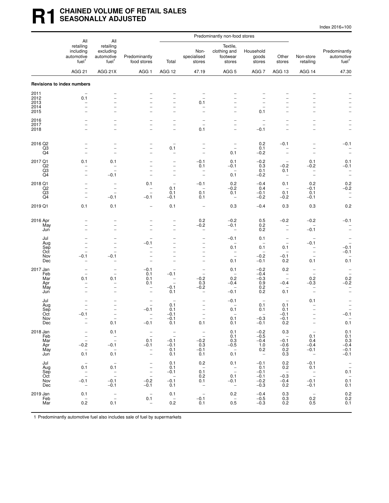#### **R1 CHAINED VOLUME OF RETAIL SALES SEASONALLY ADJUSTED**

| Index 2016=100 |  |  |  |  |
|----------------|--|--|--|--|
|----------------|--|--|--|--|

|                                             | All                                                                                                |                                                                                                                                          |                                                                                  | Predominantly non-food stores                                                                  |                                                                   |                                                                                        |                                                                       |                                                                                   |                                                                                                                        |                                                                                          |
|---------------------------------------------|----------------------------------------------------------------------------------------------------|------------------------------------------------------------------------------------------------------------------------------------------|----------------------------------------------------------------------------------|------------------------------------------------------------------------------------------------|-------------------------------------------------------------------|----------------------------------------------------------------------------------------|-----------------------------------------------------------------------|-----------------------------------------------------------------------------------|------------------------------------------------------------------------------------------------------------------------|------------------------------------------------------------------------------------------|
|                                             | retailing<br>including<br>automotive<br>fuel <sup>1</sup>                                          | All<br>retailing<br>excluding<br>automotive<br>fuel <sup>1</sup>                                                                         | Predominantly<br>food stores                                                     | Total                                                                                          | Non-<br>specialised<br>stores                                     | Textile,<br>clothing and<br>footwear<br>stores                                         | Household<br>goods<br>stores                                          | Other<br>stores                                                                   | Non-store<br>retailing                                                                                                 | Predominantly<br>automotive<br>fuel <sup>1</sup>                                         |
|                                             | AGG <sub>21</sub>                                                                                  | AGG 21X                                                                                                                                  | AGG <sub>1</sub>                                                                 | AGG 12                                                                                         | 47.19                                                             | AGG <sub>5</sub>                                                                       | AGG 7                                                                 | AGG 13                                                                            | AGG 14                                                                                                                 | 47.30                                                                                    |
|                                             | Revisions to index numbers                                                                         |                                                                                                                                          |                                                                                  |                                                                                                |                                                                   |                                                                                        |                                                                       |                                                                                   |                                                                                                                        |                                                                                          |
| 2011<br>2012<br>2013<br>2014                | 0.1<br>$\overline{\phantom{0}}$                                                                    |                                                                                                                                          | $\overline{\phantom{0}}$<br>$\overline{a}$<br>$\overline{\phantom{0}}$           | $\overline{\phantom{0}}$<br>$\overline{\phantom{0}}$                                           | 0.1                                                               | $\overline{\phantom{0}}$                                                               | $\overline{\phantom{0}}$                                              |                                                                                   |                                                                                                                        |                                                                                          |
| 2015<br>2016<br>2017<br>2018                | $\overline{\phantom{0}}$<br>$\overline{\phantom{0}}$                                               | $\overline{\phantom{a}}$<br>$\overline{\phantom{0}}$                                                                                     | $\overline{\phantom{0}}$<br>$\overline{\phantom{0}}$                             | $\overline{\phantom{0}}$<br>$\overline{\phantom{0}}$<br>$\qquad \qquad -$                      | 0.1                                                               | $\overline{\phantom{0}}$<br>$\overline{\phantom{0}}$<br>$\overline{\phantom{0}}$       | 0.1<br>$\overline{\phantom{0}}$<br>$\overline{\phantom{a}}$<br>$-0.1$ | $\overline{\phantom{a}}$<br>$\overline{\phantom{0}}$<br>$\overline{\phantom{0}}$  | $\overline{a}$<br>$\overline{a}$                                                                                       |                                                                                          |
| 2016 Q2<br>Q3<br>Q4                         | $\overline{\phantom{0}}$<br>$\qquad \qquad -$<br>$\overline{\phantom{0}}$                          | $\overline{a}$<br>$\overline{\phantom{a}}$                                                                                               | $\overline{a}$<br>$\overline{a}$<br>$\overline{\phantom{0}}$                     | 0.1                                                                                            | $\overline{\phantom{a}}$                                          | -<br>0.1                                                                               | 0.2<br>0.1<br>$-0.2$                                                  | $-0.1$<br>$\overline{\phantom{0}}$                                                | $\overline{a}$<br>$\overline{\phantom{0}}$                                                                             | $-0.1$<br>$\overline{\phantom{a}}$                                                       |
| 2017 Q1<br>Q <sub>2</sub><br>Q3<br>Q4       | 0.1<br>$\overline{a}$<br>$\overline{a}$                                                            | 0.1<br>$-0.1$                                                                                                                            | $\overline{\phantom{0}}$<br>$\overline{\phantom{0}}$<br>$\overline{\phantom{0}}$ | $\qquad \qquad -$<br>$\qquad \qquad -$<br>$\overline{\phantom{0}}$<br>$\overline{\phantom{0}}$ | $-0.1$<br>0.1                                                     | 0.1<br>$-0.1$<br>0.1                                                                   | $-0.2$<br>0.3<br>0.1<br>$-0.2$                                        | $\overline{\phantom{0}}$<br>$-0.2$<br>0.1<br>$\overline{\phantom{0}}$             | 0.1<br>$-0.2$<br>$\overline{\phantom{0}}$<br>$\overline{\phantom{m}}$                                                  | 0.1<br>$-0.1$<br>$\bar{a}$                                                               |
| 2018 Q1<br>Q <sub>2</sub><br>Q3<br>Q4       | $\overline{\phantom{0}}$<br>$\overline{a}$<br>$\overline{\phantom{0}}$<br>$\overline{\phantom{0}}$ | $\overline{\phantom{a}}$<br>$\overline{\phantom{a}}$<br>$-0.1$                                                                           | 0.1<br>$-0.1$                                                                    | $\qquad \qquad -$<br>0.1<br>0.1<br>$-0.1$                                                      | $-0.1$<br>$\overline{\phantom{0}}$<br>0.1<br>0.1                  | 0.2<br>$-0.2$<br>0.1<br>$\qquad \qquad -$                                              | $-0.4$<br>0.4<br>$-0.1$<br>$-0.2$                                     | 0.1<br>$\qquad \qquad -$<br>0.1<br>$-0.2$                                         | 0.2<br>$-0.1$<br>0.1<br>$-0.1$                                                                                         | $0.2 - 0.2$<br>$\qquad \qquad -$<br>$\overline{\phantom{0}}$                             |
| 2019 Q1                                     | 0.1                                                                                                | 0.1                                                                                                                                      | $\overline{\phantom{0}}$                                                         | 0.1                                                                                            | $\overline{\phantom{a}}$                                          | 0.3                                                                                    | $-0.4$                                                                | 0.3                                                                               | 0.3                                                                                                                    | 0.2                                                                                      |
| 2016 Apr<br>May<br>Jun                      | $\overline{\phantom{0}}$<br>$\overline{\phantom{0}}$                                               | $\overline{\phantom{0}}$                                                                                                                 | $\overline{\phantom{0}}$                                                         | $\overline{\phantom{0}}$<br>$\overline{\phantom{0}}$<br>$\overline{\phantom{0}}$               | 0.2<br>$-0.2$<br>$\overline{a}$                                   | $-0.2$<br>$-0.1$<br>$\overline{\phantom{0}}$                                           | 0.5<br>0.2<br>0.2                                                     | $-0.2$<br>$\overline{\phantom{0}}$                                                | $-0.2$<br>$-0.1$                                                                                                       | $-0.1$<br>$\overline{\phantom{a}}$<br>$\overline{\phantom{0}}$                           |
| Jul<br>Aug<br>Sep<br>Oct<br>Nov<br>Dec      | $\equiv$<br>$\overline{\phantom{0}}$<br>$-0.1$                                                     | $\overline{\phantom{a}}$<br>$\overline{\phantom{0}}$<br>$-0.1$                                                                           | $-0.1$<br>$\overline{a}$<br>$\overline{\phantom{0}}$                             | $\overline{\phantom{0}}$<br>$\overline{a}$                                                     |                                                                   | $-0.1$<br>0.1<br>$\overline{\phantom{m}}$<br>$\overline{\phantom{0}}$<br>0.1           | 0.1<br>0.1<br>$\overline{\phantom{0}}$<br>$-0.2$<br>$-0.1$            | -<br>$\overline{\phantom{a}}$<br>0.1<br>$\overline{\phantom{a}}$<br>$-0.1$<br>0.2 | $\overline{\phantom{0}}$<br>$-0.1$<br>-<br>$\overline{\phantom{0}}$<br>0.1                                             | $\overline{\phantom{0}}$<br>$-0.1$<br>$-0.1$<br>0.1                                      |
| 2017 Jan<br>Feb<br>Mar<br>Apr<br>May<br>Jun | $\overline{\phantom{0}}$<br>0.1<br>-                                                               | $\overline{\phantom{0}}$<br>$\overline{\phantom{a}}$<br>0.1<br>$\overline{\phantom{0}}$<br>$\qquad \qquad -$<br>$\overline{\phantom{0}}$ | $-0.1$<br>0.1<br>0.1<br>0.1<br>-<br>$\overline{\phantom{0}}$                     | $-0.1$<br>$\overline{\phantom{0}}$<br>$-0.1$<br>0.1                                            | $\equiv$<br>$-0.2$<br>0.3<br>$-0.2$<br>$\overline{\phantom{0}}$   | 0.1<br>$\overline{\phantom{a}}$<br>0.2<br>$-0.4$<br>$\overline{\phantom{0}}$<br>$-0.1$ | $-0.2$<br>$-0.4$<br>$-0.3$<br>0.9<br>0.2<br>0.2                       | 0.2<br>$\overline{\phantom{0}}$<br>$\overline{\phantom{a}}$<br>$-0.4$<br>0.1      | $\overline{\phantom{0}}$<br>$\overline{\phantom{a}}$<br>0.2<br>$-0.3$<br>$\qquad \qquad -$<br>$\overline{\phantom{0}}$ | $\overline{\phantom{a}}$<br>$0.2 - 0.2$<br>$\qquad \qquad -$<br>$\overline{\phantom{0}}$ |
| Jul<br>Aug<br>Sep<br>Oct<br>Nov<br>Dec      | $\overline{\phantom{0}}$<br>$-0.1$<br>$\overline{\phantom{m}}$                                     | 0.1                                                                                                                                      | $\overline{\phantom{a}}$<br>$-0.1$<br>$-0.1$                                     | $\overline{\phantom{a}}$<br>0.1<br>0.1<br>$-0.1$<br>$-0.1$<br>0.1                              | 0.1                                                               | $-0.1$<br>0.1<br>$\overline{\phantom{0}}$<br>0.1<br>0.1                                | $\overline{\phantom{0}}$<br>0.1<br>0.1<br>$-0.3$<br>$-0.1$            | $\overline{\phantom{a}}$<br>0.1<br>0.1<br>$-0.1$<br>$-0.1$<br>0.2                 | 0.1<br>۰<br>$\overline{\phantom{m}}$                                                                                   | $-0.1$<br>$\overline{\phantom{m}}$<br>0.1                                                |
| 2018 Jan<br>Feb<br>Mar<br>Apr<br>May<br>Jun | $\overline{\phantom{0}}$<br>$-$<br>$-0.\overline{2}$<br>$\overline{\phantom{0}}$<br>0.1            | 0.1<br>$\frac{-}{-}$<br>$-0.1$<br>$\overline{\phantom{a}}$<br>0.1                                                                        | $\bar{a}$<br>0.1<br>$-0.1$<br>$\bar{a}$                                          | $\bar{a}$<br>$-0.1$<br>$-0.1$<br>0.1<br>0.1                                                    | $\bar{a}$<br>$-0.2$<br>0.3<br>$-0.1$<br>0.1                       | 0.1<br>0.1<br>0.3<br>$-0.5$<br>$\overline{\phantom{a}}$<br>0.1                         | $-0.2$<br>$-0.5$<br>$-0.4$<br>1.0<br>0.2<br>$\overline{\phantom{a}}$  | 0.3<br>$\overline{\phantom{0}}$<br>$-0.1$<br>$-0.6$<br>0.2<br>0.3                 | $\overline{\phantom{m}}$<br>0.1<br>0.4<br>$-0.4$<br>$-0.1$<br>$\hspace{0.1mm}-\hspace{0.1mm}$                          | 0.1<br>0.1<br>0.3<br>$-0.4$<br>$-0.1$<br>$-0.1$                                          |
| Jul<br>Aug<br>Sep<br>Oct<br>Nov<br>Dec      | $\qquad \qquad -$<br>0.1<br>$\bar{a}$<br>$-0.1$<br>$\overline{\phantom{a}}$                        | $0.\overline{1}$<br>$\frac{1}{2}$<br>$-0.1$<br>$-0.1$                                                                                    | $\bar{a}$<br>$-0.\overline{2}$<br>$-0.1$                                         | 0.1<br>0.1<br>$-0.1$<br>$-0.\bar{1}$<br>0.1                                                    | 0.2<br>$0.\overline{1}$<br>0.2<br>0.1<br>$\overline{\phantom{a}}$ | 0.1<br>$\bar{a}$<br>0.1<br>$-0.1$<br>$\overline{\phantom{a}}$                          | $-0.1$<br>0.1<br>$-0.1$<br>$-0.1$<br>$-0.2$<br>$-0.3$                 | 0.2<br>0.2<br>$\hspace{0.1cm} -$<br>$-0.3$<br>$-0.4$<br>0.2                       | $-0.1$<br>0.1<br>$\mathbb{Z}$<br>$-0.1$<br>$-0.1$                                                                      | $\frac{1}{0.1}$<br>$0.\overline{1}$<br>0.1                                               |
| 2019 Jan<br>Feb<br>Mar                      | 0.1<br>$\overline{\phantom{a}}$<br>0.2                                                             | $\overline{\phantom{0}}$<br>$\overline{\phantom{0}}$<br>0.1                                                                              | $\overline{\phantom{a}}$<br>0.1<br>$\qquad \qquad -$                             | 0.1<br>$\hspace{0.1mm}$ $\hspace{0.1mm}$<br>0.2                                                | $\overline{\phantom{a}}$<br>$-0.1$<br>0.1                         | 0.2<br>$\overline{\phantom{a}}$<br>0.5                                                 | $-0.4$<br>$-0.5$<br>$-0.3$                                            | 0.3<br>0.3<br>0.2                                                                 | $\overline{\phantom{a}}$<br>0.2<br>0.5                                                                                 | $\begin{array}{c} 0.2 \\ 0.2 \\ 0.1 \end{array}$                                         |